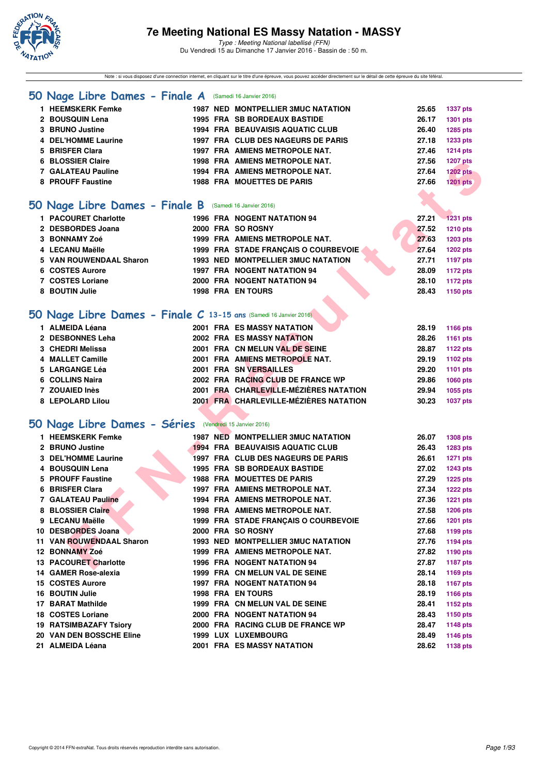

Note : si vous disposez d'une connection internet, en cliquant sur le titre d'une épreuve, vous pouvez accéder directement sur le détail de cette épreuve du site féféral.

#### **[50 Nage Libre Dames - Finale A](http://www.ffnatation.fr/webffn/resultats.php?idact=nat&go=epr&idcpt=35299&idepr=1)** (Samedi 16 Janvier 2016)

| 1 HEEMSKERK Femke   |  | <b>1987 NED MONTPELLIER 3MUC NATATION</b> | 25.65 | <b>1337 pts</b> |
|---------------------|--|-------------------------------------------|-------|-----------------|
| 2 BOUSQUIN Lena     |  | <b>1995 FRA SB BORDEAUX BASTIDE</b>       | 26.17 | 1301 pts        |
| 3 BRUNO Justine     |  | <b>1994 FRA BEAUVAISIS AQUATIC CLUB</b>   | 26.40 | 1285 pts        |
| 4 DEL'HOMME Laurine |  | 1997 FRA CLUB DES NAGEURS DE PARIS        | 27.18 | 1233 pts        |
| 5 BRISFER Clara     |  | 1997 FRA AMIENS METROPOLE NAT.            | 27.46 | <b>1214 pts</b> |
| 6 BLOSSIER Claire   |  | 1998 FRA AMIENS METROPOLE NAT.            | 27.56 | <b>1207 pts</b> |
| 7 GALATEAU Pauline  |  | 1994 FRA AMIENS METROPOLE NAT.            | 27.64 | <b>1202 pts</b> |
| 8 PROUFF Faustine   |  | <b>1988 FRA MOUETTES DE PARIS</b>         | 27.66 | <b>1201 pts</b> |
|                     |  |                                           |       |                 |

#### **[50 Nage Libre Dames - Finale B](http://www.ffnatation.fr/webffn/resultats.php?idact=nat&go=epr&idcpt=35299&idepr=1)** (Samedi 16 Janvier 2016)

| 1 PACOURET Charlotte    |  | <b>1996 FRA NOGENT NATATION 94</b>   | 27.21 | $-1231$ pts       |
|-------------------------|--|--------------------------------------|-------|-------------------|
| 2 DESBORDES Joana       |  | 2000 FRA SO ROSNY                    |       | 27.52<br>1210 pts |
| 3 BONNAMY Zoé           |  | 1999 FRA AMIENS METROPOLE NAT.       | 27.63 | 1203 pts          |
| 4 LECANU Maëlle         |  | 1999 FRA STADE FRANCAIS O COURBEVOIE | 27.64 | 1202 pts          |
| 5 VAN ROUWENDAAL Sharon |  | 1993 NED MONTPELLIER 3MUC NATATION   | 27.71 | 1197 pts          |
| 6 COSTES Aurore         |  | <b>1997 FRA NOGENT NATATION 94</b>   | 28.09 | 1172 pts          |
| 7 COSTES Loriane        |  | 2000 FRA NOGENT NATATION 94          |       | 1172 pts<br>28.10 |
| 8 BOUTIN Julie          |  | <b>1998 FRA EN TOURS</b>             |       | 28.43<br>1150 pts |

## **[50 Nage Libre Dames - Finale C](http://www.ffnatation.fr/webffn/resultats.php?idact=nat&go=epr&idcpt=35299&idepr=1) 13-15 ans** (Samedi 16 Janvier 2016)

| 2001 FRA ES MASSY NATATION<br>28.19<br>1166 pts                    | 1 ALMEIDA Léana  |  |
|--------------------------------------------------------------------|------------------|--|
| 2002 FRA ES MASSY NATATION<br>1161 pts<br>28.26                    | 2 DESBONNES Leha |  |
| 2001 FRA CN MELUN VAL DE SEINE<br><b>1122 pts</b><br>28.87         | 3 CHEDRI Melissa |  |
| 2001 FRA AMIENS METROPOLE NAT.<br>29.19<br>1102 pts                | 4 MALLET Camille |  |
| <b>2001 FRA SN VERSAILLES</b><br>1101 pts<br>29.20                 | 5 LARGANGE Léa   |  |
| 2002 FRA RACING CLUB DE FRANCE WP<br><b>1060 pts</b><br>29.86      | 6 COLLINS Naira  |  |
| 2001 FRA CHARLEVILLE-MÉZIÈRES NATATION<br>1055 pts<br>29.94        | 7 ZOUAIED Inès   |  |
| 2001 FRA CHARLEVILLE-MÉZIÈRES NATATION<br>30.23<br><b>1037 pts</b> | 8 LEPOLARD Lilou |  |
|                                                                    |                  |  |

## **[50 Nage Libre Dames - Séries](http://www.ffnatation.fr/webffn/resultats.php?idact=nat&go=epr&idcpt=35299&idepr=1)** (Vendredi 15 Janvier 2016)

| <b>BLOSSIER Claire</b>                                           |  | 1998 FRA AMIENS METROPOLE NAT.          | 27.56 | <b>1207 pts</b> |
|------------------------------------------------------------------|--|-----------------------------------------|-------|-----------------|
| 7 GALATEAU Pauline                                               |  | 1994 FRA AMIENS METROPOLE NAT.          | 27.64 | <b>1202 pts</b> |
| 8 PROUFF Faustine                                                |  | <b>1988 FRA MOUETTES DE PARIS</b>       | 27.66 | <b>1201 pts</b> |
|                                                                  |  |                                         |       |                 |
| iO Nage Libre Dames - Finale B (Samedi 16 Janvier 2016)          |  |                                         |       |                 |
|                                                                  |  |                                         |       |                 |
| 1 PACOURET Charlotte                                             |  | 1996 FRA NOGENT NATATION 94             | 27.21 | <b>1231 pts</b> |
| 2 DESBORDES Joana                                                |  | 2000 FRA SO ROSNY                       | 27.52 | 1210 pts        |
| 3 BONNAMY Zoé                                                    |  | 1999 FRA AMIENS METROPOLE NAT.          | 27.63 | <b>1203 pts</b> |
| 4 LECANU Maëlle                                                  |  | 1999 FRA STADE FRANÇAIS O COURBEVOIE    | 27.64 | 1202 pts        |
| 5 VAN ROUWENDAAL Sharon                                          |  | 1993 NED MONTPELLIER 3MUC NATATION      | 27.71 | 1197 pts        |
| 6 COSTES Aurore                                                  |  | 1997 FRA NOGENT NATATION 94             | 28.09 | <b>1172 pts</b> |
| 7 COSTES Loriane                                                 |  | 2000 FRA NOGENT NATATION 94             | 28.10 | 1172 pts        |
| 8 BOUTIN Julie                                                   |  | <b>1998 FRA EN TOURS</b>                | 28.43 | 1150 pts        |
|                                                                  |  |                                         |       |                 |
| O Nage Libre Dames - Finale C 13-15 ans (Samedi 16 Janvier 2016) |  |                                         |       |                 |
| 1 ALMEIDA Léana                                                  |  | <b>2001 FRA ES MASSY NATATION</b>       | 28.19 | <b>1166 pts</b> |
| 2 DESBONNES Leha                                                 |  | 2002 FRA ES MASSY NATATION              | 28.26 | 1161 pts        |
| 3 CHEDRI Melissa                                                 |  | 2001 FRA CN MELUN VAL DE SEINE          | 28.87 | 1122 pts        |
| 4 MALLET Camille                                                 |  | 2001 FRA AMIENS METROPOLE NAT.          | 29.19 | 1102 pts        |
| 5 LARGANGE Léa                                                   |  | 2001 FRA SN VERSAILLES                  | 29.20 | 1101 pts        |
| 6 COLLINS Naira                                                  |  | 2002 FRA RACING CLUB DE FRANCE WP       | 29.86 | 1060 pts        |
| 7 ZOUAIED Inès                                                   |  | 2001 FRA CHARLEVILLE-MÉZIÈRES NATATION  | 29.94 | 1055 pts        |
| 8 LEPOLARD Lilou                                                 |  | 2001 FRA CHARLEVILLE-MÉZIÈRES NATATION  | 30.23 | <b>1037 pts</b> |
|                                                                  |  |                                         |       |                 |
|                                                                  |  |                                         |       |                 |
| iO Nage Libre Dames - Séries (Vendredi 15 Janvier 2016)          |  |                                         |       |                 |
| 1 HEEMSKERK Femke                                                |  | 1987 NED MONTPELLIER 3MUC NATATION      | 26.07 | <b>1308 pts</b> |
| 2 BRUNO Justine                                                  |  | <b>1994 FRA BEAUVAISIS AQUATIC CLUB</b> | 26.43 | 1283 pts        |
| 3 DEL'HOMME Laurine                                              |  | 1997 FRA CLUB DES NAGEURS DE PARIS      | 26.61 | <b>1271 pts</b> |
| 4 BOUSQUIN Lena                                                  |  | 1995 FRA SB BORDEAUX BASTIDE            | 27.02 | <b>1243 pts</b> |
| 5 PROUFF Faustine                                                |  | <b>1988 FRA MOUETTES DE PARIS</b>       | 27.29 | <b>1225 pts</b> |
| 6 BRISFER Clara                                                  |  | 1997 FRA AMIENS METROPOLE NAT.          | 27.34 | <b>1222 pts</b> |
| 7 GALATEAU Pauline                                               |  | 1994 FRA AMIENS METROPOLE NAT.          | 27.36 | <b>1221 pts</b> |
| 8 BLOSSIER Claire                                                |  | 1998 FRA AMIENS METROPOLE NAT.          | 27.58 | <b>1206 pts</b> |
| 9 LECANU Maëlle                                                  |  | 1999 FRA STADE FRANÇAIS O COURBEVOIE    | 27.66 | <b>1201 pts</b> |
| 10 DESBORDES Joana                                               |  | 2000 FRA SO ROSNY                       | 27.68 | 1199 pts        |
| 11 VAN ROUWENDAAL Sharon                                         |  | 1993 NED MONTPELLIER 3MUC NATATION      | 27.76 | <b>1194 pts</b> |
| 12 BONNAMY Zoé                                                   |  | 1999 FRA AMIENS METROPOLE NAT.          | 27.82 | 1190 pts        |
| <b>13 PACOURET Charlotte</b>                                     |  | <b>1996 FRA NOGENT NATATION 94</b>      | 27.87 | <b>1187 pts</b> |
| 14 GAMER Rose-alexia                                             |  | 1999 FRA CN MELUN VAL DE SEINE          | 28.14 | 1169 pts        |
| 15 COSTES Aurore                                                 |  | <b>1997 FRA NOGENT NATATION 94</b>      | 28.18 | <b>1167 pts</b> |
| 16 BOUTIN Julie                                                  |  | <b>1998 FRA EN TOURS</b>                | 28.19 | 1166 pts        |
| 17 BARAT Mathilde                                                |  | 1999 FRA CN MELUN VAL DE SEINE          | 28.41 | <b>1152 pts</b> |
| 18 COSTES Loriane                                                |  | 2000 FRA NOGENT NATATION 94             | 28.43 | 1150 pts        |
| <b>19 RATSIMBAZAFY Tsiory</b>                                    |  | 2000 FRA RACING CLUB DE FRANCE WP       | 28.47 | <b>1148 pts</b> |
| 20 VAN DEN BOSSCHE Eline                                         |  | 1999 LUX LUXEMBOURG                     | 28.49 | <b>1146 pts</b> |
| 21 ALMEIDA Léana                                                 |  | 2001 FRA ES MASSY NATATION              | 28.62 | 1138 pts        |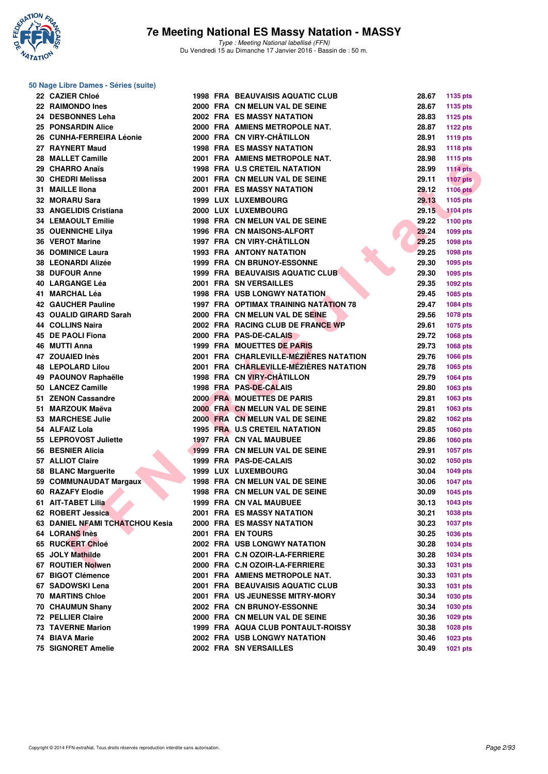

#### **50 Nage Libre Dames - Séries (suite)**

| 22 CAZIER Chloé                 |  | <b>1998 FRA BEAUVAISIS AQUATIC CLUB</b>      | 28.67 | 1135 pts        |
|---------------------------------|--|----------------------------------------------|-------|-----------------|
| 22 RAIMONDO Ines                |  | 2000 FRA CN MELUN VAL DE SEINE               | 28.67 | 1135 pts        |
| 24 DESBONNES Leha               |  | <b>2002 FRA ES MASSY NATATION</b>            | 28.83 | 1125 pts        |
| <b>25 PONSARDIN Alice</b>       |  | 2000 FRA AMIENS METROPOLE NAT.               | 28.87 | <b>1122 pts</b> |
| 26 CUNHA-FERREIRA Léonie        |  | 2000 FRA CN VIRY-CHÂTILLON                   | 28.91 | <b>1119 pts</b> |
| 27 RAYNERT Maud                 |  | <b>1998 FRA ES MASSY NATATION</b>            | 28.93 | <b>1118 pts</b> |
| 28 MALLET Camille               |  | 2001 FRA AMIENS METROPOLE NAT.               | 28.98 | <b>1115 pts</b> |
| 29 CHARRO Anaïs                 |  | 1998 FRA U.S CRETEIL NATATION                | 28.99 | <b>1114 pts</b> |
| 30 CHEDRI Melissa               |  | 2001 FRA CN MELUN VAL DE SEINE               | 29.11 | <b>1107 pts</b> |
| 31 MAILLE IIona                 |  | <b>2001 FRA ES MASSY NATATION</b>            | 29.12 | <b>1106 pts</b> |
| 32 MORARU Sara                  |  | <b>1999 LUX LUXEMBOURG</b>                   | 29.13 | 1105 pts        |
| 33 ANGELIDIS Cristiana          |  | 2000 LUX LUXEMBOURG                          | 29.15 | <b>1104 pts</b> |
| <b>34 LEMAOULT Emilie</b>       |  | 1998 FRA CN MELUN VAL DE SEINE               | 29.22 | <b>1100 pts</b> |
| 35 OUENNICHE Lilya              |  | 1996 FRA CN MAISONS-ALFORT                   | 29.24 | 1099 pts        |
| <b>36 VEROT Marine</b>          |  | 1997 FRA CN VIRY-CHÂTILLON                   | 29.25 | 1098 pts        |
| <b>36 DOMINICE Laura</b>        |  | <b>1993 FRA ANTONY NATATION</b>              | 29.25 | 1098 pts        |
| 38 LEONARDI Alizée              |  | 1999 FRA CN BRUNOY-ESSONNE                   | 29.30 | 1095 pts        |
| <b>38 DUFOUR Anne</b>           |  | 1999 FRA BEAUVAISIS AQUATIC CLUB             | 29.30 | 1095 pts        |
| 40 LARGANGE Léa                 |  | <b>2001 FRA SN VERSAILLES</b>                | 29.35 | 1092 pts        |
| 41 MARCHAL Léa                  |  | <b>1998 FRA USB LONGWY NATATION.</b>         | 29.45 | 1085 pts        |
| 42 GAUCHER Pauline              |  | <b>1997 FRA OPTIMAX TRAINING NATATION 78</b> | 29.47 | 1084 pts        |
| 43 OUALID GIRARD Sarah          |  | 2000 FRA CN MELUN VAL DE SEINE               | 29.56 | <b>1078 pts</b> |
| 44 COLLINS Naira                |  | 2002 FRA RACING CLUB DE FRANCE WP            | 29.61 | 1075 pts        |
| 45 DE PAOLI Fiona               |  | 2000 FRA PAS-DE-CALAIS                       | 29.72 | 1068 pts        |
| 46 MUTTI Anna                   |  | 1999 FRA MOUETTES DE PARIS                   | 29.73 | 1068 pts        |
| 47 ZOUAIED Inès                 |  | 2001 FRA CHARLEVILLE-MÉZIÈRES NATATION       | 29.76 | 1066 pts        |
| <b>48 LEPOLARD Lilou</b>        |  | 2001 FRA CHARLEVILLE-MEZIERES NATATION       | 29.78 | 1065 pts        |
| 49 PAOUNOV Raphaëlle            |  | 1998 FRA CN VIRY-CHÂTILLON                   | 29.79 | 1064 pts        |
| 50 LANCEZ Camille               |  | 1998 FRA PAS-DE-CALAIS                       | 29.80 | 1063 pts        |
| 51 ZENON Cassandre              |  | 2000 FRA MOUETTES DE PARIS                   | 29.81 | 1063 pts        |
| 51 MARZOUK Maëva                |  | 2000 FRA CN MELUN VAL DE SEINE               | 29.81 | 1063 pts        |
| 53 MARCHESE Julie               |  | 2000 FRA CN MELUN VAL DE SEINE               | 29.82 | 1062 pts        |
| 54 ALFAIZ Lola                  |  | 1995 FRA U.S CRETEIL NATATION                | 29.85 | 1060 pts        |
| 55 LEPROVOST Juliette           |  | 1997 FRA CN VAL MAUBUEE                      | 29.86 | 1060 pts        |
| 56 BESNIER Alicia               |  | 1999 FRA CN MELUN VAL DE SEINE               | 29.91 | <b>1057 pts</b> |
| 57 ALLIOT Claire                |  | 1999 FRA PAS-DE-CALAIS                       | 30.02 | 1050 pts        |
| 58 BLANC Marguerite             |  | <b>1999 LUX LUXEMBOURG</b>                   | 30.04 | 1049 pts        |
| 59 COMMUNAUDAT Margaux          |  | 1998 FRA CN MELUN VAL DE SEINE               | 30.06 | <b>1047 pts</b> |
| 60 RAZAFY Elodie                |  | 1998 FRA CN MELUN VAL DE SEINE               | 30.09 | 1045 pts        |
| 61 AIT-TABET Lilia              |  | 1999 FRA CN VAL MAUBUEE                      | 30.13 | 1043 pts        |
| 62 ROBERT Jessica               |  | <b>2001 FRA ES MASSY NATATION</b>            | 30.21 | 1038 pts        |
| 63 DANIEL NFAMI TCHATCHOU Kesia |  | <b>2000 FRA ES MASSY NATATION</b>            | 30.23 | <b>1037 pts</b> |
| 64 LORANS Inès                  |  | 2001 FRA EN TOURS                            | 30.25 | 1036 pts        |
| 65 RUCKERT Chloé                |  | 2002 FRA USB LONGWY NATATION                 | 30.28 | <b>1034 pts</b> |
| 65 JOLY Mathilde                |  | 2001 FRA C.N OZOIR-LA-FERRIERE               | 30.28 | 1034 pts        |
| 67 ROUTIER Nolwen               |  | 2000 FRA C.N OZOIR-LA-FERRIERE               | 30.33 | 1031 pts        |
| 67 BIGOT Clémence               |  | 2001 FRA AMIENS METROPOLE NAT.               | 30.33 | 1031 pts        |
| 67 SADOWSKI Lena                |  | 2001 FRA BEAUVAISIS AQUATIC CLUB             | 30.33 | 1031 pts        |
| <b>70 MARTINS Chloe</b>         |  | 2001 FRA US JEUNESSE MITRY-MORY              | 30.34 | 1030 pts        |
| 70 CHAUMUN Shany                |  | 2002 FRA CN BRUNOY-ESSONNE                   | 30.34 | 1030 pts        |
| 72 PELLIER Claire               |  | 2000 FRA CN MELUN VAL DE SEINE               | 30.36 | 1029 pts        |
| 73 TAVERNE Marion               |  | 1999 FRA AQUA CLUB PONTAULT-ROISSY           | 30.38 | <b>1028 pts</b> |
| 74 BIAVA Marie                  |  | 2002 FRA USB LONGWY NATATION                 | 30.46 | 1023 pts        |
| 75 SIGNORET Amelie              |  | 2002 FRA SN VERSAILLES                       | 30.49 | 1021 pts        |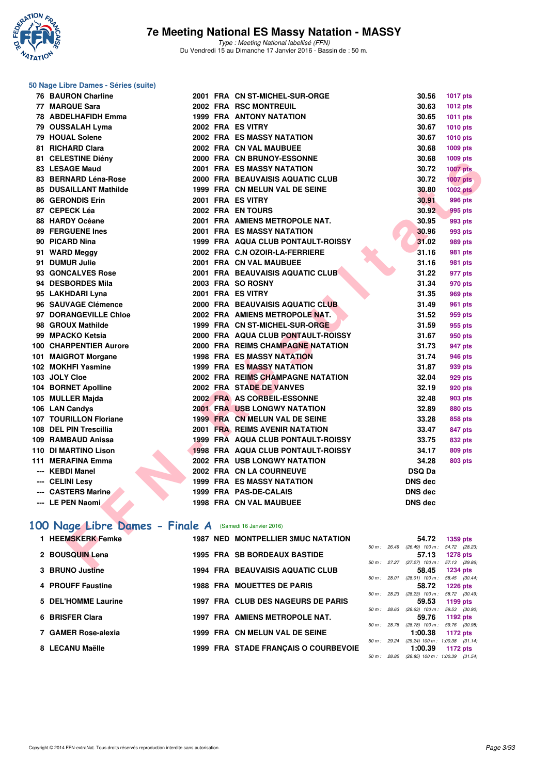

#### **50 Nage Libre Dames - Séries (suite)**

| <b>76 BAURON Charline</b>                               |  | 2001 FRA CN ST-MICHEL-SUR-ORGE            | 30.56                                             | <b>1017 pts</b> |
|---------------------------------------------------------|--|-------------------------------------------|---------------------------------------------------|-----------------|
| 77 MARQUE Sara                                          |  | <b>2002 FRA RSC MONTREUIL</b>             | 30.63                                             | 1012 pts        |
| 78 ABDELHAFIDH Emma                                     |  | <b>1999 FRA ANTONY NATATION</b>           | 30.65                                             | 1011 pts        |
| 79 OUSSALAH Lyma                                        |  | 2002 FRA ES VITRY                         | 30.67                                             | 1010 pts        |
| 79 HOUAL Solene                                         |  | 2002 FRA ES MASSY NATATION                | 30.67                                             | 1010 pts        |
| 81 RICHARD Clara                                        |  | 2002 FRA CN VAL MAUBUEE                   | 30.68                                             | 1009 pts        |
| 81 CELESTINE Diény                                      |  | 2000 FRA CN BRUNOY-ESSONNE                | 30.68                                             | 1009 pts        |
| <b>83 LESAGE Maud</b>                                   |  | <b>2001 FRA ES MASSY NATATION</b>         | 30.72                                             | <b>1007 pts</b> |
| 83 BERNARD Léna-Rose                                    |  | 2000 FRA BEAUVAISIS AQUATIC CLUB          | 30.72                                             | <b>1007 pts</b> |
| <b>85 DUSAILLANT Mathilde</b>                           |  | 1999 FRA CN MELUN VAL DE SEINE            | 30.80                                             | <b>1002 pts</b> |
| 86 GERONDIS Erin                                        |  | 2001 FRA ES VITRY                         | 30.91                                             | <b>996 pts</b>  |
| 87 CEPECK Léa                                           |  | 2002 FRA EN TOURS                         | 30.92                                             | 995 pts         |
| 88 HARDY Océane                                         |  | 2001 FRA AMIENS METROPOLE NAT.            | 30.95                                             | 993 pts         |
| <b>89 FERGUENE Ines</b>                                 |  | <b>2001 FRA ES MASSY NATATION</b>         | 30.96                                             | 993 pts         |
| 90 PICARD Nina                                          |  | 1999 FRA AQUA CLUB PONTAULT-ROISSY        | 31.02                                             | 989 pts         |
| 91 WARD Meggy                                           |  | 2002 FRA C.N OZOIR-LA-FERRIERE            | 31.16                                             | 981 pts         |
| 91 DUMUR Julie                                          |  | 2001 FRA CN VAL MAUBUEE                   | 31.16                                             | 981 pts         |
| 93 GONCALVES Rose                                       |  | 2001 FRA BEAUVAISIS AQUATIC CLUB          | 31.22                                             | 977 pts         |
| 94 DESBORDES Mila                                       |  | 2003 FRA SO ROSNY                         | 31.34                                             | 970 pts         |
| 95 LAKHDARI Lyna                                        |  | 2001 FRA ES VITRY                         | 31.35                                             | 969 pts         |
| 96 SAUVAGE Clémence                                     |  | 2000 FRA BEAUVAISIS AQUATIC CLUB          | 31.49                                             | <b>961 pts</b>  |
| 97 DORANGEVILLE Chloe                                   |  | 2002 FRA AMIENS METROPOLE NAT.            | 31.52                                             | 959 pts         |
| 98 GROUX Mathilde                                       |  | 1999 FRA CN ST-MICHEL-SUR-ORGE            | 31.59                                             | 955 pts         |
| 99 MPACKO Ketsia                                        |  | 2000 FRA AQUA CLUB PONTAULT-ROISSY        | 31.67                                             | 950 pts         |
| 100 CHARPENTIER Aurore                                  |  | 2000 FRA REIMS CHAMPAGNE NATATION         | 31.73                                             | 947 pts         |
| 101 MAIGROT Morgane                                     |  | <b>1998 FRA ES MASSY NATATION</b>         | 31.74                                             | <b>946 pts</b>  |
| 102 MOKHFI Yasmine                                      |  | <b>1999 FRA ES MASSY NATATION</b>         | 31.87                                             | 939 pts         |
| 103 JOLY Cloe                                           |  | 2002 FRA REIMS CHAMPAGNE NATATION         | 32.04                                             | 929 pts         |
| 104 BORNET Apolline                                     |  | 2002 FRA STADE DE VANVES                  | 32.19                                             | <b>920 pts</b>  |
| 105 MULLER Majda                                        |  | 2002 FRA AS CORBEIL-ESSONNE               | 32.48                                             | 903 pts         |
| 106 LAN Candys                                          |  | <b>2001 FRA USB LONGWY NATATION</b>       | 32.89                                             | <b>880 pts</b>  |
| 107 TOURILLON Floriane                                  |  | 1999 FRA CN MELUN VAL DE SEINE            | 33.28                                             | 858 pts         |
| 108 DEL PIN Trescillia                                  |  | 2001 FRA REIMS AVENIR NATATION            | 33.47                                             | 847 pts         |
| 109 RAMBAUD Anissa                                      |  | 1999 FRA AQUA CLUB PONTAULT-ROISSY        | 33.75                                             | <b>832 pts</b>  |
| 110 DI MARTINO Lison                                    |  | 1998 FRA AQUA CLUB PONTAULT-ROISSY        | 34.17                                             | <b>809 pts</b>  |
| 111 MERAFINA Emma                                       |  | <b>2002 FRA USB LONGWY NATATION</b>       | 34.28                                             | <b>803 pts</b>  |
| --- KEBDI Manel                                         |  | 2002 FRA CN LA COURNEUVE                  | <b>DSQ Da</b>                                     |                 |
| --- CELINI Lesy                                         |  | <b>1999 FRA ES MASSY NATATION</b>         | <b>DNS dec</b>                                    |                 |
| --- CASTERS Marine                                      |  | 1999 FRA PAS-DE-CALAIS                    | <b>DNS dec</b>                                    |                 |
| --- LE PEN Naomi                                        |  | <b>1998 FRA CN VAL MAUBUEE</b>            | <b>DNS dec</b>                                    |                 |
|                                                         |  |                                           |                                                   |                 |
| 00 Nage Libre Dames - Finale A (Samedi 16 Janvier 2016) |  |                                           |                                                   |                 |
| 1 HEEMSKERK Femke                                       |  | <b>1987 NED MONTPELLIER 3MUC NATATION</b> | 54.72                                             | 1359 pts        |
|                                                         |  |                                           | 50 m: 26.49 (26.49) 100 m: 54.72 (28.23)          |                 |
| 2 BOUSQUIN Lena                                         |  | 1995 FRA SB BORDEAUX BASTIDE              | 57.13                                             | <b>1278 pts</b> |
| 0.001000                                                |  | 1004 FBA BEAUVAIOICAOUATIO OLUB           | 50 m: 27.27 (27.27) 100 m: 57.13 (29.86)<br>EO AF | $\overline{AB}$ |

## **[100 Nage Libre Dames - Finale A](http://www.ffnatation.fr/webffn/resultats.php?idact=nat&go=epr&idcpt=35299&idepr=2)** (Samedi 16 Janvier 2016)

| 1 HEEMSKERK Femke   | 1987 NED MONTPELLIER 3MUC NATATION      |                        |                        | 54.72                                          | 1359 pts                         |
|---------------------|-----------------------------------------|------------------------|------------------------|------------------------------------------------|----------------------------------|
| 2 BOUSQUIN Lena     | <b>1995 FRA SB BORDEAUX BASTIDE</b>     | 50 m: 26.49            |                        | $(26.49)$ 100 m :<br>57.13                     | 54.72 (28.23)<br><b>1278 pts</b> |
| 3 BRUNO Justine     | <b>1994 FRA BEAUVAISIS AQUATIC CLUB</b> |                        | $50 \text{ m}$ : 27.27 | $(27.27)$ 100 m :<br>58.45                     | 57.13 (29.86)<br><b>1234 pts</b> |
| 4 PROUFF Faustine   | <b>1988 FRA MOUETTES DE PARIS</b>       | 50 m: 28.01            |                        | $(28.01)$ 100 m :<br>58.72                     | 58.45 (30.44)<br><b>1226 pts</b> |
| 5 DEL'HOMME Laurine | 1997 FRA CLUB DES NAGEURS DE PARIS      |                        | 50 m : 28.23           | $(28.23)$ 100 m :<br>59.53                     | 58.72 (30.49)<br>1199 pts        |
| 6 BRISFER Clara     | 1997 FRA AMIENS METROPOLE NAT.          | 50 m : 28.63           |                        | $(28.63)$ 100 m :<br>59.76                     | 59.53 (30.90)<br>1192 pts        |
| 7 GAMER Rose-alexia | 1999 FRA CN MELUN VAL DE SEINE          | 50 m: 28.78            |                        | $(28.78)$ 100 m :<br>1:00.38                   | 59.76 (30.98)<br>1172 pts        |
| 8 LECANU Maëlle     | 1999 FRA STADE FRANCAIS O COURBEVOIE    | $50 \text{ m}$ : 29.24 |                        | $(29.24)$ 100 m : 1:00.38 $(31.14)$<br>1:00.39 | 1172 pts                         |
|                     |                                         | 50 m :                 | 28.85                  | $(28.85)$ 100 m : 1:00.39                      | (31.54)                          |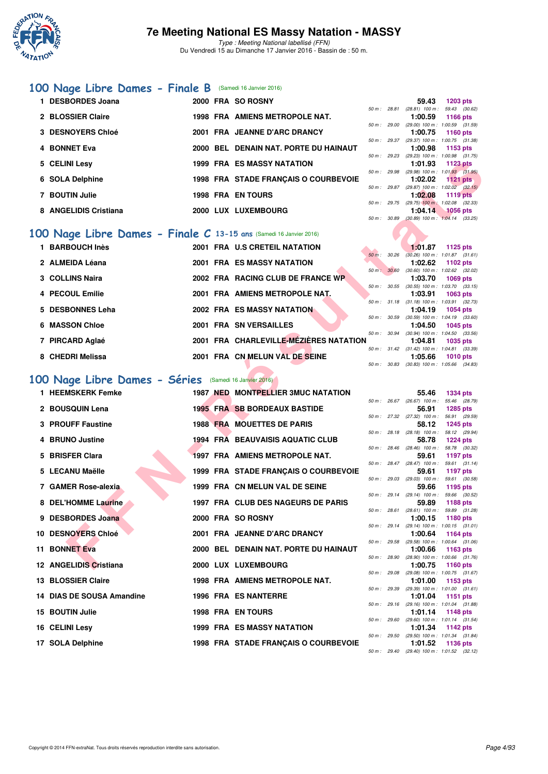

#### **[100 Nage Libre Dames - Finale B](http://www.ffnatation.fr/webffn/resultats.php?idact=nat&go=epr&idcpt=35299&idepr=2)** (Samedi 16 Janvier 2016)

| 1 DESBORDES Joana     |  | 2000 FRA SO ROSNY                     |              | 59.43                                     | 1203 pts        |  |
|-----------------------|--|---------------------------------------|--------------|-------------------------------------------|-----------------|--|
|                       |  |                                       | 50 m: 28.81  | $(28.81)$ 100 m :                         | 59.43 (30.      |  |
| 2 BLOSSIER Claire     |  | 1998 FRA AMIENS METROPOLE NAT.        |              | 1:00.59                                   | 1166 pts        |  |
|                       |  |                                       | 50 m: 29.00  | $(29.00)$ 100 m : 1:00.59 (31.            |                 |  |
| 3 DESNOYERS Chloé     |  | 2001 FRA JEANNE D'ARC DRANCY          | 50 m: 29.37  | 1:00.75<br>(29.37) 100 m : 1:00.75 (31.   | 1160 pts        |  |
| 4 BONNET Eva          |  | 2000 BEL DENAIN NAT. PORTE DU HAINAUT |              | 1:00.98                                   | 1153 pts        |  |
|                       |  |                                       | 50 m: 29.23  | (29.23) 100 m: 1:00.98 (31.               |                 |  |
| 5 CELINI Lesv         |  | <b>1999 FRA ES MASSY NATATION</b>     |              | 1:01.93                                   | 1123 pts        |  |
|                       |  |                                       | 50 m: 29.98  | $(29.98)$ 100 m : 1:01.93 (31.            |                 |  |
| 6 SOLA Delphine       |  | 1998 FRA STADE FRANCAIS O COURBEVOIE  |              | 1:02.02                                   | <b>1121 pts</b> |  |
|                       |  |                                       | 50 m: 29.87  | (29.87) 100 m : 1:02.02 (32.              |                 |  |
| 7 BOUTIN Julie        |  | <b>1998 FRA EN TOURS</b>              |              | 1:02.08                                   | <b>1119 pts</b> |  |
| 8 ANGELIDIS Cristiana |  | 2000 LUX LUXEMBOURG                   | 50 m : 29.75 | $(29.75)$ 100 m : 1:02.08 (32.<br>1:04.14 | <b>1056 pts</b> |  |
|                       |  |                                       |              |                                           |                 |  |

# **[100 Nage Libre Dames - Finale C](http://www.ffnatation.fr/webffn/resultats.php?idact=nat&go=epr&idcpt=35299&idepr=2) 13-15 ans (Samedi 16 Janvier 2016)**

| 1 BARBOUCH Inès  |  | 2001 FRA U.S CRETEIL NATATION          |                          |       | 1:01.87                                 | 1125 pts |  |
|------------------|--|----------------------------------------|--------------------------|-------|-----------------------------------------|----------|--|
|                  |  |                                        | $50 m$ :                 | 30.26 | $(30.26)$ 100 m : 1:01.87 $(31.$        |          |  |
| 2 ALMEIDA Léana  |  | <b>2001 FRA ES MASSY NATATION</b>      |                          |       | 1:02.62                                 | 1102 pts |  |
|                  |  |                                        | $50 m$ :                 | 30.60 | $(30.60)$ 100 m : 1:02.62 $(32.$        |          |  |
| 3 COLLINS Naira  |  | 2002 FRA RACING CLUB DE FRANCE WP      |                          |       | 1:03.70                                 | 1069 pts |  |
|                  |  |                                        | 50 m : 30.55             |       | $(30.55)$ 100 m : 1:03.70 $(33.$        |          |  |
| 4 PECOUL Emilie  |  | 2001 FRA AMIENS METROPOLE NAT.         |                          |       | 1:03.91                                 | 1063 pts |  |
|                  |  |                                        |                          |       | 50 m: 31.18 (31.18) 100 m: 1:03.91 (32. |          |  |
| 5 DESBONNES Leha |  | <b>2002 FRA ES MASSY NATATION</b>      |                          |       | 1:04.19                                 | 1054 pts |  |
|                  |  |                                        | 50 m : 30.59             |       | $(30.59)$ 100 m : 1:04.19 $(33.$        |          |  |
| 6 MASSON Chloe   |  | <b>2001 FRA SN VERSAILLES</b>          |                          |       | 1:04.50                                 | 1045 pts |  |
|                  |  |                                        | 50 m: 30.94              |       | $(30.94)$ 100 m : 1:04.50 $(33.$        |          |  |
| 7 PIRCARD Aglaé  |  | 2001 FRA CHARLEVILLE-MÉZIÈRES NATATION |                          |       | 1:04.81                                 | 1035 pts |  |
|                  |  |                                        | $50 \text{ m}$ : $31.42$ |       | $(31.42)$ 100 m : 1:04.81 $(33.$        |          |  |
| 8 CHEDRI Melissa |  | 2001 FRA CN MELUN VAL DE SEINE         |                          |       | 1:05.66                                 | 1010 pts |  |
|                  |  |                                        |                          |       |                                         |          |  |

## **[100 Nage Libre Dames - Séries](http://www.ffnatation.fr/webffn/resultats.php?idact=nat&go=epr&idcpt=35299&idepr=2)** (Samedi 16 Janvier 2016)

| 5 CELINI Lesy                                                     |  | <b>1999 FRA ES MASSY NATATION</b>      |              |              | 1:01.93                               | <b>1123 pts</b>                                                 |
|-------------------------------------------------------------------|--|----------------------------------------|--------------|--------------|---------------------------------------|-----------------------------------------------------------------|
| 6 SOLA Delphine                                                   |  | 1998 FRA STADE FRANÇAIS O COURBEVOIE   |              |              | 1:02.02                               | 50 m: 29.98 (29.98) 100 m: 1:01.93 (31.95)<br>1121 $pts$        |
| 7 BOUTIN Julie                                                    |  | <b>1998 FRA EN TOURS</b>               |              |              | 1:02.08                               | 50 m : 29.87 (29.87) 100 m : 1:02.02 (32.15)<br><b>1119 pts</b> |
| 8 ANGELIDIS Cristiana                                             |  | 2000 LUX LUXEMBOURG                    | 50 m : 29.75 |              | 1:04.14                               | $(29.75)$ 100 m : 1:02.08 $(32.33)$<br>$1056$ pts               |
|                                                                   |  |                                        | 50 m : 30.89 |              |                                       | $(30.89)$ 100 m : 1:04.14 $(33.25)$                             |
| 00 Nage Libre Dames - Finale C 13-15 ans (Samedi 16 Janvier 2016) |  |                                        |              |              |                                       |                                                                 |
| 1 BARBOUCH Inès                                                   |  | 2001 FRA U.S CRETEIL NATATION          |              |              | 1:01.87                               | 1125 pts                                                        |
| 2 ALMEIDA Léana                                                   |  | 2001 FRA ES MASSY NATATION             | 50 m: 30.26  |              | 1:02.62                               | $(30.26)$ 100 m : 1:01.87 $(31.61)$<br>1102 pts                 |
|                                                                   |  |                                        | 50 m : 30.60 |              |                                       | (30.60) 100 m : 1:02.62 (32.02)                                 |
| 3 COLLINS Naira                                                   |  | 2002 FRA RACING CLUB DE FRANCE WP      |              |              | 1:03.70                               | 1069 pts<br>50 m: 30.55 (30.55) 100 m: 1:03.70 (33.15)          |
| 4 PECOUL Emilie                                                   |  | 2001 FRA AMIENS METROPOLE NAT.         |              |              | 1:03.91                               | 1063 pts                                                        |
| 5 DESBONNES Leha                                                  |  | <b>2002 FRA ES MASSY NATATION</b>      | 50 m : 31.18 |              | 1:04.19                               | $(31.18)$ 100 m : 1:03.91 $(32.73)$<br>1054 pts                 |
|                                                                   |  |                                        |              | 50 m : 30.59 |                                       | $(30.59)$ 100 m : 1:04.19 $(33.60)$                             |
| 6 MASSON Chloe                                                    |  | 2001 FRA SN VERSAILLES                 |              |              | 1:04.50                               | 1045 pts<br>50 m : 30.94 (30.94) 100 m : 1:04.50 (33.56)        |
| 7 PIRCARD Aglaé                                                   |  | 2001 FRA CHARLEVILLE-MÉZIÈRES NATATION |              |              | 1:04.81                               | 1035 pts                                                        |
| 8 CHEDRI Melissa                                                  |  | 2001 FRA CN MELUN VAL DE SEINE         |              |              | 1:05.66                               | 50 m: 31.42 (31.42) 100 m: 1:04.81 (33.39)<br><b>1010 pts</b>   |
|                                                                   |  |                                        |              |              |                                       | 50 m: 30.83 (30.83) 100 m: 1:05.66 (34.83)                      |
| 00 Nage Libre Dames - Séries (Samedi 16 Janvier 2016)             |  |                                        |              |              |                                       |                                                                 |
| 1 HEEMSKERK Femke                                                 |  | 1987 NED MONTPELLIER 3MUC NATATION     |              |              | 55.46                                 | <b>1334 pts</b>                                                 |
|                                                                   |  |                                        | 50 m: 26.67  |              | $(26.67)$ 100 m :                     | 55.46 (28.79)                                                   |
| 2 BOUSQUIN Lena                                                   |  | <b>1995 FRA SB BORDEAUX BASTIDE</b>    |              |              | 56.91                                 | <b>1285 pts</b><br>50 m: 27.32 (27.32) 100 m: 56.91 (29.59)     |
| 3 PROUFF Faustine                                                 |  | <b>1988 FRA MOUETTES DE PARIS</b>      |              |              | 58.12                                 | <b>1245 pts</b>                                                 |
| 4 BRUNO Justine                                                   |  | 1994 FRA BEAUVAISIS AQUATIC CLUB       |              |              | 58.78                                 | 50 m: 28.18 (28.18) 100 m: 58.12 (29.94)                        |
|                                                                   |  |                                        |              |              |                                       | <b>1224 pts</b><br>50 m: 28.46 (28.46) 100 m: 58.78 (30.32)     |
| 5 BRISFER Clara                                                   |  | 1997 FRA AMIENS METROPOLE NAT.         |              |              | 59.61                                 | 1197 pts                                                        |
| 5 LECANU Maëlle                                                   |  | 1999 FRA STADE FRANÇAIS O COURBEVOIE   |              |              | 50 m : 28.47 (28.47) 100 m :<br>59.61 | 59.61 (31.14)<br>1197 pts                                       |
|                                                                   |  |                                        |              |              | 50 m : 29.03 (29.03) 100 m :          | 59.61 (30.58)                                                   |
| 7 GAMER Rose-alexia                                               |  | 1999 FRA CN MELUN VAL DE SEINE         |              |              | 59.66<br>50 m : 29.14 (29.14) 100 m : | 1195 pts<br>59.66 (30.52)                                       |
| 8 DEL'HOMME Laurine                                               |  | 1997 FRA CLUB DES NAGEURS DE PARIS     |              |              | 59.89                                 | 1188 pts                                                        |
| 9 DESBORDES Joana                                                 |  | 2000 FRA SO ROSNY                      | 50 m : 28.61 |              | $(28.61)$ 100 m :<br>1:00.15          | 59.89 (31.28)<br>1180 pts                                       |
|                                                                   |  |                                        |              |              |                                       | 50 m: 29.14 (29.14) 100 m: 1:00.15 (31.01)                      |
| 10 DESNOYERS Chloé                                                |  | 2001 FRA JEANNE D'ARC DRANCY           |              |              | 1:00.64                               | 1164 pts<br>50 m: 29.58 (29.58) 100 m: 1:00.64 (31.06)          |
| 11 BONNET Eva                                                     |  | 2000 BEL DENAIN NAT. PORTE DU HAINAUT  |              |              | 1:00.66                               | 1163 pts                                                        |
| 12 ANGELIDIS Cristiana                                            |  | 2000 LUX LUXEMBOURG                    |              |              | 1:00.75                               | 50 m : 28.90 (28.90) 100 m : 1:00.66 (31.76)<br>1160 pts        |
|                                                                   |  |                                        | 50 m : 29.08 |              |                                       | (29.08) 100 m : 1:00.75 (31.67)                                 |
| 13 BLOSSIER Claire                                                |  | 1998 FRA AMIENS METROPOLE NAT.         |              | 50 m : 29.39 | 1:01.00                               | 1153 pts<br>$(29.39)$ 100 m : 1:01.00 $(31.61)$                 |
| 14 DIAS DE SOUSA Amandine                                         |  | 1996 FRA ES NANTERRE                   |              |              | 1:01.04                               | 1151 pts                                                        |
| 15 BOUTIN Julie                                                   |  | 1998 FRA EN TOURS                      |              |              | 1:01.14                               | 50 m: 29.16 (29.16) 100 m: 1:01.04 (31.88)<br>1148 pts          |
|                                                                   |  |                                        |              |              |                                       | 50 m: 29.60 (29.60) 100 m: 1:01.14 (31.54)                      |
| 16 CELINI Lesy                                                    |  | <b>1999 FRA ES MASSY NATATION</b>      | 50 m : 29.50 |              | 1:01.34                               | 1142 pts<br>$(29.50)$ 100 m : 1:01.34 $(31.84)$                 |
| 17 SOLA Delphine                                                  |  | 1998 FRA STADE FRANÇAIS O COURBEVOIE   |              |              | 1:01.52                               | 1136 pts                                                        |

|              |              | 59.43             | 1203 pts            |  |
|--------------|--------------|-------------------|---------------------|--|
| 50 m: 28.81  |              | $(28.81)$ 100 m : | 59.43 (30.62)       |  |
|              |              | 1:00.59           | 1166 pts            |  |
| 50 m : 29.00 |              | $(29.00)$ 100 m : | 1:00.59 (31.59)     |  |
|              |              | 1:00.75           | 1160 pts            |  |
| 50 m: 29.37  |              | $(29.37)$ 100 m : | 1:00.75 (31.38)     |  |
|              |              | 1:00.98           | 1153 pts            |  |
| 50 m : 29.23 |              | $(29.23)$ 100 m : | 1:00.98 (31.75)     |  |
|              |              | 1:01.93           | 1123 pts            |  |
| 50 m : 29.98 |              | $(29.98) 100 m$ : | $1:01.93$ $(31.95)$ |  |
|              |              | 1:02.02           | $1121$ pts          |  |
| 50 m: 29.87  |              | $(29.87)$ 100 m : | $1:02.02$ $(32.15)$ |  |
|              |              | 1:02.08           | 1119 pts            |  |
|              | 50 m : 29.75 | $(29.75)$ 100 m : | $1:02.08$ $(32.33)$ |  |
|              |              | 1:04.14           | <b>1056 pts</b>     |  |
| $50 m$ :     | 30.89        | $(30.89)$ 100 m : | $1:04.14$ $(33.25)$ |  |

|   |                          | 1:01.87                                    | 1125 pts            |  |
|---|--------------------------|--------------------------------------------|---------------------|--|
|   | $50 \text{ m}$ : $30.26$ | $(30.26)$ 100 m :                          | $1:01.87$ $(31.61)$ |  |
|   |                          | 1:02.62                                    | 1102 $pts$          |  |
|   | 50 m: 30.60              | $(30.60)$ 100 m :                          | 1:02.62 (32.02)     |  |
|   |                          | 1:03.70 1069 pts                           |                     |  |
|   | $50 m$ : $30.55$         | $(30.55)$ 100 m :                          | $1:03.70$ $(33.15)$ |  |
|   |                          | $1:03.91$ 1063 pts                         |                     |  |
|   | 50 m : 31.18             | $(31.18) 100 m$ :                          | 1:03.91 (32.73)     |  |
|   |                          | 1:04.19 1054 pts                           |                     |  |
|   | 50 m : 30.59             | $(30.59)$ 100 m :                          | $1:04.19$ $(33.60)$ |  |
|   |                          | $1:04.50$ 1045 pts                         |                     |  |
|   | 50 m: 30.94              | $(30.94)$ 100 m :                          | 1:04.50 (33.56)     |  |
| N |                          | $1:04.81$ 1035 pts                         |                     |  |
|   |                          | 50 m: 31.42 (31.42) 100 m: 1:04.81 (33.39) |                     |  |
|   |                          | 1:05.66 1010 pts                           |                     |  |
|   | 50 m : 30.83             | $(30.83)$ 100 m : 1:05.66 $(34.83)$        |                     |  |

|          |       | 55.46             | 1334 pts            |  |
|----------|-------|-------------------|---------------------|--|
| $50 m$ : | 26.67 | $(26.67)$ 100 m : | 55.46 (28.79)       |  |
|          |       | 56.91             | 1285 pts            |  |
| $50 m$ : | 27.32 | $(27.32)$ 100 m : | 56.91 (29.59)       |  |
|          |       | 58.12             | 1245 pts            |  |
| $50 m$ : | 28.18 | $(28.18)$ 100 m : | 58.12 (29.94)       |  |
|          |       | 58.78             | <b>1224 pts</b>     |  |
| $50 m$ : | 28.46 | $(28.46)$ 100 m : | 58.78 (30.32)       |  |
|          |       | 59.61             | 1197 pts            |  |
| $50 m$ : | 28.47 | $(28.47)$ 100 m : | 59.61 (31.14)       |  |
|          |       | 59.61             | <b>1197 pts</b>     |  |
| $50 m$ : | 29.03 | $(29.03)$ 100 m : | 59.61 (30.58)       |  |
|          |       | 59.66             | 1195 pts            |  |
| $50 m$ : | 29.14 | $(29.14)$ 100 m : | 59.66 (30.52)       |  |
|          |       | 59.89             | <b>1188 pts</b>     |  |
| 50 m:    | 28.61 | $(28.61)$ 100 m : | 59.89 (31.28)       |  |
|          |       | 1:00.15           | 1180 pts            |  |
| 50 m:    | 29.14 | $(29.14)$ 100 m : | $1:00.15$ $(31.01)$ |  |
|          |       | 1:00.64           | 1164 pts            |  |
| $50 m$ : | 29.58 | $(29.58) 100 m$ : | 1:00.64 (31.06)     |  |
|          |       | 1:00.66           | 1163 $pts$          |  |
| $50 m$ : | 28.90 | $(28.90)$ 100 m : | 1:00.66 (31.76)     |  |
|          |       | 1:00.75           | 1160 $pts$          |  |
| $50 m$ : | 29.08 | $(29.08) 100 m$ : | 1:00.75 (31.67)     |  |
|          |       | 1:01.00           | 1153 pts            |  |
| $50 m$ : | 29.39 | $(29.39) 100 m$ : | 1:01.00 (31.61)     |  |
|          |       | 1:01.04           | 1151 pts            |  |
| 50 m:    | 29.16 | $(29.16) 100 m$ : | 1:01.04 (31.88)     |  |
|          |       | 1:01.14           | 1148 pts            |  |
| 50 m:    | 29.60 | $(29.60)$ 100 m : | $1:01.14$ $(31.54)$ |  |
|          |       | 1:01.34           | 1142 pts            |  |
| $50 m$ : | 29.50 | $(29.50)$ 100 m : | $1:01.34$ $(31.84)$ |  |
|          |       | 1:01.52           | 1136 pts            |  |
| $50 m$ : | 29.40 | $(29.40)$ 100 m : | $1:01.52$ $(32.12)$ |  |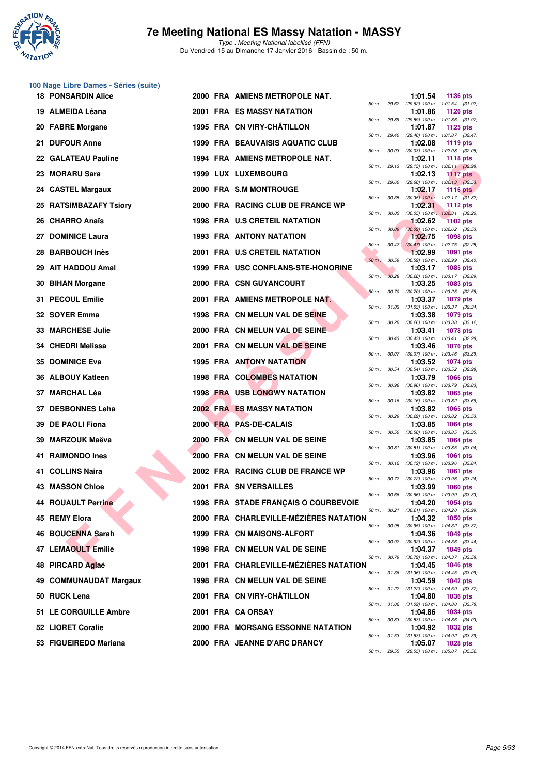

## **7e Meeting National ES Massy Natation - MASSY**

|     | <b>18 PONSARDIN Alice</b> |  | 2000 FRA AMIENS METROPOLE NAT.           |              |                  | 1:01.54 | 1136 pts                                                                                      |  |
|-----|---------------------------|--|------------------------------------------|--------------|------------------|---------|-----------------------------------------------------------------------------------------------|--|
| 19. | <b>ALMEIDA Léana</b>      |  | <b>2001 FRA ES MASSY NATATION</b>        | 50 m: 29.62  |                  | 1:01.86 | (29.62) 100 m: 1:01.54 (31.92)<br><b>1126 pts</b>                                             |  |
|     | 20 FABRE Morgane          |  | 1995 FRA CN VIRY-CHÂTILLON               | 50 m: 29.89  |                  | 1:01.87 | (29.89) 100 m: 1:01.86 (31.97)<br>1125 pts                                                    |  |
|     | 21 DUFOUR Anne            |  | <b>1999 FRA BEAUVAISIS AQUATIC CLUB</b>  | 50 m: 29.40  |                  | 1:02.08 | (29.40) 100 m: 1:01.87 (32.47)<br>1119 pts                                                    |  |
| 22. | <b>GALATEAU Pauline</b>   |  | 1994 FRA AMIENS METROPOLE NAT.           | 50 m: 30.03  |                  | 1:02.11 | $(30.03)$ 100 m : 1:02.08 $(32.05)$<br>1118 $pts$                                             |  |
| 23  | <b>MORARU Sara</b>        |  | 1999 LUX LUXEMBOURG                      |              | 50 m : 29.13     | 1:02.13 | $(29.13)$ 100 m : 1:02.11 $(32.98)$<br><b>1117 pts</b>                                        |  |
| 24. | <b>CASTEL Margaux</b>     |  | 2000 FRA S.M MONTROUGE                   | 50 m: 29.60  |                  | 1:02.17 | $(29.60)$ 100 m : 1:02.13 $(32.53)$<br>1116 $pts$                                             |  |
|     | 25 RATSIMBAZAFY Tsiory    |  | 2000 FRA RACING CLUB DE FRANCE WP        |              |                  | 1:02.31 | 50 m : 30.35 (30.35) 100 m : 1:02.17 (31.82)<br><b>1112 pts</b>                               |  |
|     | 26 CHARRO Anaïs           |  | <b>1998 FRA U.S CRETEIL NATATION</b>     | 50 m: 30.05  |                  | 1:02.62 | $(30.05)$ 100 m : 1:02.31 $(32.26)$<br><b>1102 pts</b>                                        |  |
| 27  | <b>DOMINICE Laura</b>     |  | <b>1993 FRA ANTONY NATATION</b>          |              | 50 m: 30.09      | 1:02.75 | $(30.09)$ 100 m : 1:02.62 $(32.53)$<br>1098 pts                                               |  |
| 28  | <b>BARBOUCH Inès</b>      |  | 2001 FRA U.S CRETEIL NATATION            |              | $50 m$ : $30.47$ | 1:02.99 | $(30.47)$ 100 m : 1:02.75 $(32.28)$<br>1091 pts                                               |  |
| 29  | <b>AIT HADDOU Amal</b>    |  | 1999 FRA USC CONFLANS-STE-HONORINE       | $50 m$ :     | 30.59            | 1:03.17 | $(30.59)$ 100 m : 1:02.99 $(32.40)$<br>1085 pts                                               |  |
| 30  | <b>BIHAN Morgane</b>      |  | 2000 FRA CSN GUYANCOURT                  | $50 m$ :     |                  | 1:03.25 | 30.28 (30.28) 100 m: 1:03.17 (32.89)<br><b>1083 pts</b>                                       |  |
| 31. | <b>PECOUL Emilie</b>      |  | 2001 FRA AMIENS METROPOLE NAT.           | 50 m : 30.70 |                  | 1:03.37 | $(30.70)$ 100 m : 1:03.25 $(32.55)$<br>1079 pts                                               |  |
|     | 32 SOYER Emma             |  | 1998 FRA CN MELUN VAL DE SEINE           |              |                  | 1:03.38 | 50 m: 31.03 (31.03) 100 m: 1:03.37 (32.34)<br>1079 pts                                        |  |
| 33  | <b>MARCHESE Julie</b>     |  | 2000 FRA CN MELUN VAL DE SEINE           | 50 m: 30.26  |                  | 1:03.41 | $(30.26)$ 100 m : 1:03.38 $(33.12)$<br>1078 pts                                               |  |
| 34  | <b>CHEDRI Melissa</b>     |  | 2001 FRA CN MELUN VAL DE SEINE           | 50 m: 30.43  | 50 m : 30.07     | 1:03.46 | $(30.43)$ 100 m : 1:03.41 $(32.98)$<br><b>1076 pts</b>                                        |  |
| 35  | <b>DOMINICE Eva</b>       |  | <b>1995 FRA ANTONY NATATION</b>          |              | 50 m : 30.54     | 1:03.52 | $(30.07)$ 100 m : 1:03.46 $(33.39)$<br>1074 pts<br>$(30.54)$ 100 m : 1:03.52 $(32.98)$        |  |
| 36  | <b>ALBOUY Katleen</b>     |  | 1998 FRA COLOMBES NATATION               | 50 m : 30.96 |                  | 1:03.79 | <b>1066 pts</b><br>$(30.96)$ 100 m : 1:03.79 $(32.83)$                                        |  |
|     | 37 MARCHAL Léa            |  | <b>1998 FRA USB LONGWY NATATION</b>      | 50 m: 30.16  |                  | 1:03.82 | 1065 pts                                                                                      |  |
|     | 37 DESBONNES Leha         |  | <b>2002 FRA ES MASSY NATATION</b>        |              | 50 m : 30.29     | 1:03.82 | $(30.16)$ 100 m : 1:03.82 $(33.66)$<br>1065 pts<br>$(30.29)$ 100 m : 1:03.82 $(33.53)$        |  |
| 39  | <b>DE PAOLI Fiona</b>     |  | 2000 FRA PAS-DE-CALAIS                   | 50 m : 30.50 |                  | 1:03.85 | 1064 pts<br>$(30.50)$ 100 m : 1:03.85 $(33.35)$                                               |  |
| 39  | <b>MARZOUK Maëva</b>      |  | 2000 FRA CN MELUN VAL DE SEINE           | 50 m: 30.81  |                  | 1:03.85 | 1064 pts                                                                                      |  |
| 41  | <b>RAIMONDO Ines</b>      |  | 2000 FRA CN MELUN VAL DE SEINE           |              |                  | 1:03.96 | $(30.81)$ 100 m : 1:03.85 $(33.04)$<br>1061 pts<br>50 m: 30.12 (30.12) 100 m: 1:03.96 (33.84) |  |
| 41. | <b>COLLINS Naira</b>      |  | 2002 FRA RACING CLUB DE FRANCE WP        | 50 m : 30.72 |                  | 1:03.96 | 1061 pts<br>$(30.72)$ 100 m : 1:03.96 $(33.24)$                                               |  |
| 43. | <b>MASSON Chloe</b>       |  | 2001 FRA SN VERSAILLES                   | 50 m : 30.66 |                  | 1:03.99 | <b>1060 pts</b><br>$(30.66)$ 100 m : 1:03.99 $(33.33)$                                        |  |
|     | 44 ROUAULT Perrine        |  | 1998 FRA STADE FRANÇAIS O COURBEVOIE     |              |                  | 1:04.20 | 1054 pts<br>50 m: 30.21 (30.21) 100 m: 1:04.20 (33.99)                                        |  |
|     | 45 REMY Elora             |  | 2000 FRA CHARLEVILLE-MÉZIÈRES NATATION   |              |                  | 1:04.32 | 1050 pts<br>50 m: 30.95 (30.95) 100 m: 1:04.32 (33.37)                                        |  |
|     | 46 BOUCENNA Sarah         |  | 1999 FRA CN MAISONS-ALFORT               |              |                  | 1:04.36 | 1049 pts<br>50 m : 30.92 (30.92) 100 m : 1:04.36 (33.44)                                      |  |
|     | <b>47 LEMAOULT Emilie</b> |  | 1998 FRA CN MELUN VAL DE SEINE           |              |                  | 1:04.37 | 1049 pts<br>50 m: 30.79 (30.79) 100 m: 1:04.37 (33.58)                                        |  |
|     | 48 PIRCARD Aglaé          |  | 2001 FRA CHARLEVILLE-MÉZIÈRES NATATION   |              |                  | 1:04.45 | 1046 pts<br>50 m: 31.36 (31.36) 100 m: 1:04.45 (33.09)                                        |  |
|     | 49 COMMUNAUDAT Margaux    |  | 1998 FRA CN MELUN VAL DE SEINE           |              |                  | 1:04.59 | 1042 pts<br>50 m: 31.22 (31.22) 100 m: 1:04.59 (33.37)                                        |  |
|     | 50 RUCK Lena              |  | 2001 FRA CN VIRY-CHATILLON               |              |                  | 1:04.80 | <b>1036 pts</b><br>50 m: 31.02 (31.02) 100 m: 1:04.80 (33.78)                                 |  |
|     | 51 LE CORGUILLE Ambre     |  | 2001 FRA CA ORSAY                        |              |                  | 1:04.86 | 1034 pts<br>50 m : 30.83 (30.83) 100 m : 1:04.86 (34.03)                                      |  |
|     | 52 LIORET Coralie         |  | <b>2000 FRA MORSANG ESSONNE NATATION</b> |              |                  | 1:04.92 | <b>1032 pts</b><br>50 m: 31.53 (31.53) 100 m: 1:04.92 (33.39)                                 |  |
|     | 53 FIGUEIREDO Mariana     |  | 2000 FRA JEANNE D'ARC DRANCY             |              |                  | 1:05.07 | 1028 pts<br>50 m: 29.55 (29.55) 100 m: 1:05.07 (35.52)                                        |  |
|     |                           |  |                                          |              |                  |         |                                                                                               |  |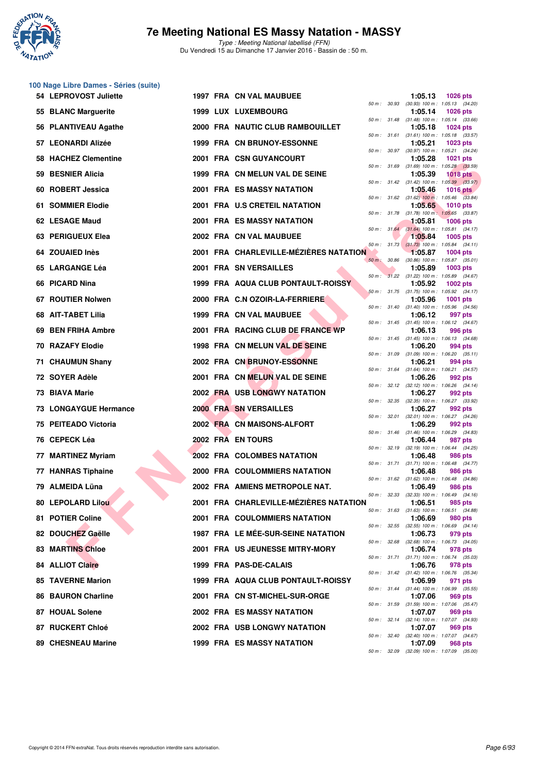

#### **7e Meeting National ES Massy Natation - MASSY**

Type : Meeting National labellisé (FFN) Du Vendredi 15 au Dimanche 17 Janvier 2016 - Bassin de : 50 m.

| 54 LEPROVOST Juliette        |  | 1997 FRA CN VAL MAUBUEE                   |              | 1:05.13                                                 | <b>1026 pts</b> |  |
|------------------------------|--|-------------------------------------------|--------------|---------------------------------------------------------|-----------------|--|
| 55 BLANC Marguerite          |  | 1999 LUX LUXEMBOURG                       |              | 50 m: 30.93 (30.93) 100 m: 1:05.13 (34.20)<br>1:05.14   | <b>1026 pts</b> |  |
| 56 PLANTIVEAU Agathe         |  | 2000 FRA NAUTIC CLUB RAMBOUILLET          |              | 50 m: 31.48 (31.48) 100 m: 1:05.14 (33.66)<br>1:05.18   | <b>1024 pts</b> |  |
| 57 LEONARDI Alizée           |  | 1999 FRA CN BRUNOY-ESSONNE                |              | 50 m: 31.61 (31.61) 100 m: 1:05.18 (33.57)<br>1:05.21   | <b>1023 pts</b> |  |
| 58 HACHEZ Clementine         |  | 2001 FRA CSN GUYANCOURT                   |              | 50 m: 30.97 (30.97) 100 m: 1:05.21 (34.24)<br>1:05.28   | <b>1021 pts</b> |  |
| 59 BESNIER Alicia            |  | 1999 FRA CN MELUN VAL DE SEINE            |              | 50 m: 31.69 (31.69) 100 m: 1:05.28 (33.59)<br>1:05.39   | <b>1018 pts</b> |  |
| 60 ROBERT Jessica            |  | <b>2001 FRA ES MASSY NATATION</b>         |              | 50 m: 31.42 (31.42) 100 m: 1:05.39 (33.97)<br>1:05.46   | 1016 $pts$      |  |
| 61 SOMMIER Elodie            |  | 2001 FRA U.S CRETEIL NATATION             |              | 50 m : 31.62 (31.62) 100 m : 1:05.46 (33.84)<br>1:05.65 | <b>1010 pts</b> |  |
| 62 LESAGE Maud               |  | <b>2001 FRA ES MASSY NATATION</b>         |              | 50 m: 31.78 (31.78) 100 m: 1:05.65 (33.87)              |                 |  |
|                              |  |                                           |              | 1:05.81<br>50 m: 31.64 (31.64) 100 m: 1:05.81 (34.17)   | <b>1006 pts</b> |  |
| 63 PERIGUEUX Elea            |  | 2002 FRA CN VAL MAUBUEE                   |              | 1:05.84<br>50 m: 31.73 (31.73) 100 m: 1:05.84 (34.11)   | 1005 pts        |  |
| 64 ZOUAIED Inès              |  | 2001 FRA CHARLEVILLE-MÉZIÈRES NATATION    | 50 m : 30.86 | 1:05.87<br>$(30.86)$ 100 m : 1:05.87 $(35.01)$          | $1004$ pts      |  |
| 65 LARGANGE Léa              |  | <b>2001 FRA SN VERSAILLES</b>             |              | 1:05.89<br>50 m: 31.22 (31.22) 100 m: 1:05.89 (34.67)   | <b>1003 pts</b> |  |
| 66 PICARD Nina               |  | 1999 FRA AQUA CLUB PONTAULT-ROISSY        |              | 1:05.92<br>50 m: 31.75 (31.75) 100 m: 1:05.92 (34.17)   | <b>1002 pts</b> |  |
| 67 ROUTIER Nolwen            |  | 2000 FRA C.N OZOIR-LA-FERRIERE            |              | 1:05.96                                                 | <b>1001 pts</b> |  |
| 68 AIT-TABET Lilia           |  | 1999 FRA CN VAL MAUBUEE                   |              | 50 m: 31.40 (31.40) 100 m: 1:05.96 (34.56)<br>1:06.12   | 997 pts         |  |
| 69 BEN FRIHA Ambre           |  | 2001 FRA RACING CLUB DE FRANCE WP         |              | 50 m: 31.45 (31.45) 100 m: 1:06.12 (34.67)<br>1:06.13   | 996 pts         |  |
| <b>70 RAZAFY Elodie</b>      |  | 1998 FRA CN MELUN VAL DE SEINE            |              | 50 m: 31.45 (31.45) 100 m: 1:06.13 (34.68)<br>1:06.20   | 994 pts         |  |
| 71 CHAUMUN Shany             |  | 2002 FRA CN BRUNOY-ESSONNE                |              | 50 m: 31.09 (31.09) 100 m: 1:06.20 (35.11)<br>1:06.21   | 994 pts         |  |
| 72 SOYER Adèle               |  | 2001 FRA CN MELUN VAL DE SEINE            |              | 50 m: 31.64 (31.64) 100 m: 1:06.21 (34.57)<br>1:06.26   | 992 pts         |  |
| 73 BIAVA Marie               |  | <b>2002 FRA USB LONGWY NATATION</b>       |              | 50 m: 32.12 (32.12) 100 m: 1:06.26 (34.14)<br>1:06.27   | 992 pts         |  |
| <b>73 LONGAYGUE Hermance</b> |  | <b>2000 FRA SN VERSAILLES</b>             |              | 50 m: 32.35 (32.35) 100 m: 1:06.27 (33.92)<br>1:06.27   | 992 pts         |  |
|                              |  | 2002 FRA CN MAISONS-ALFORT                |              | 50 m: 32.01 (32.01) 100 m: 1:06.27 (34.26)              |                 |  |
| 75 PEITEADO Victoria         |  |                                           |              | 1:06.29<br>50 m: 31.46 (31.46) 100 m: 1:06.29 (34.83)   | 992 pts         |  |
| 76 CEPECK Léa                |  | 2002 FRA EN TOURS                         |              | 1:06.44<br>50 m: 32.19 (32.19) 100 m: 1:06.44 (34.25)   | 987 pts         |  |
| 77 MARTINEZ Myriam           |  | 2002 FRA COLOMBES NATATION                | 50 m : 31.71 | 1:06.48<br>$(31.71)$ 100 m : 1:06.48 $(34.77)$          | 986 pts         |  |
| 77 HANRAS Tiphaine           |  | 2000 FRA COULOMMIERS NATATION             |              | 1:06.48<br>50 m: 31.62 (31.62) 100 m: 1:06.48 (34.86)   | 986 pts         |  |
| 79 ALMEIDA Lüna              |  | 2002 FRA AMIENS METROPOLE NAT.            |              | 1:06.49<br>50 m: 32.33 (32.33) 100 m: 1:06.49 (34.16)   | <b>986 pts</b>  |  |
| 80 LEPOLARD Lilou            |  | 2001 FRA CHARLEVILLE-MÉZIÈRES NATATION    |              | 1:06.51<br>50 m: 31.63 (31.63) 100 m: 1:06.51 (34.88)   | 985 pts         |  |
| 81 POTIER Coline             |  | <b>2001 FRA COULOMMIERS NATATION</b>      |              | 1:06.69<br>50 m: 32.55 (32.55) 100 m: 1:06.69 (34.14)   | 980 pts         |  |
| 82 DOUCHEZ Gaëlle            |  | <b>1987 FRA LE MÉE-SUR-SEINE NATATION</b> |              | 1:06.73                                                 | 979 pts         |  |
| <b>83 MARTINS Chloe</b>      |  | 2001 FRA US JEUNESSE MITRY-MORY           |              | 50 m: 32.68 (32.68) 100 m: 1:06.73 (34.05)<br>1:06.74   | 978 pts         |  |
| <b>84 ALLIOT Claire</b>      |  | 1999 FRA PAS-DE-CALAIS                    |              | 50 m: 31.71 (31.71) 100 m: 1:06.74 (35.03)<br>1:06.76   | 978 pts         |  |
| <b>85 TAVERNE Marion</b>     |  | 1999 FRA AQUA CLUB PONTAULT-ROISSY        |              | 50 m: 31.42 (31.42) 100 m: 1:06.76 (35.34)<br>1:06.99   | 971 pts         |  |
| 86 BAURON Charline           |  | 2001 FRA CN ST-MICHEL-SUR-ORGE            |              | 50 m: 31.44 (31.44) 100 m: 1:06.99 (35.55)<br>1:07.06   | 969 pts         |  |
| 87 HOUAL Solene              |  | <b>2002 FRA ES MASSY NATATION</b>         |              | 50 m: 31.59 (31.59) 100 m: 1:07.06 (35.47)<br>1:07.07   | 969 pts         |  |
| 87 RUCKERT Chloé             |  | <b>2002 FRA USB LONGWY NATATION</b>       |              | 50 m: 32.14 (32.14) 100 m: 1:07.07 (34.93)<br>1:07.07   | 969 pts         |  |
| 89 CHESNEAU Marine           |  | 1999 FRA ES MASSY NATATION                |              | 50 m: 32.40 (32.40) 100 m: 1:07.07 (34.67)<br>1:07.09   | <b>968 pts</b>  |  |
|                              |  |                                           |              |                                                         |                 |  |

50 m : 32.09 (32.09) 100 m : 1:07.09 (35.00)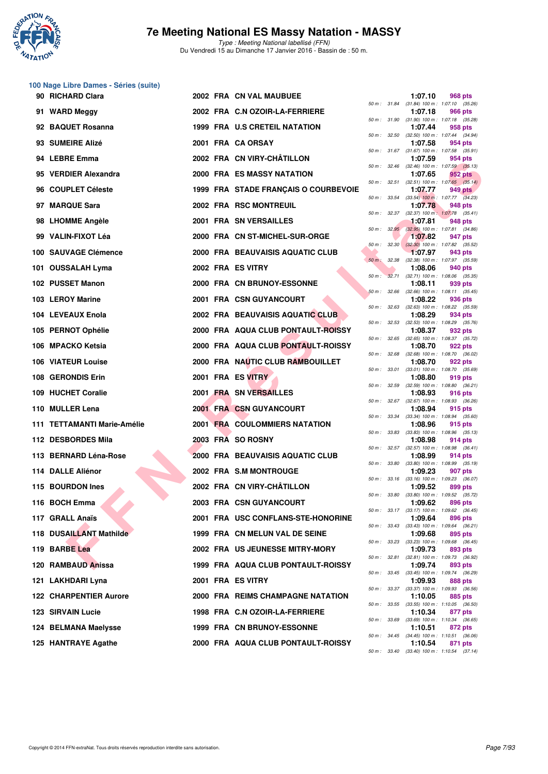

Type : Meeting National labellisé (FFN) Du Vendredi 15 au Dimanche 17 Janvier 2016 - Bassin de : 50 m.

# **100 Nage Libre Dames - Séries (suite)**

| 90 RICHARD Clara              |  | 2002 FRA CN VAL MAUBUEE                 |              |              | 1:07.10 | 968 pts                                                       |
|-------------------------------|--|-----------------------------------------|--------------|--------------|---------|---------------------------------------------------------------|
| 91 WARD Meggy                 |  | 2002 FRA C.N OZOIR-LA-FERRIERE          |              |              | 1:07.18 | 50 m: 31.84 (31.84) 100 m: 1:07.10 (35.26)<br>966 pts         |
| 92 BAQUET Rosanna             |  | 1999 FRA U.S CRETEIL NATATION           |              |              | 1:07.44 | 50 m: 31.90 (31.90) 100 m: 1:07.18 (35.28)<br>958 pts         |
| 93 SUMEIRE Alizé              |  | 2001 FRA CA ORSAY                       |              | 50 m: 32.50  | 1:07.58 | $(32.50)$ 100 m : 1:07.44 $(34.94)$<br>954 pts                |
| 94 LEBRE Emma                 |  | 2002 FRA CN VIRY-CHÂTILLON              |              |              | 1:07.59 | $50\,m:~~31.67~~(31.67)~100\,m:~~1.07.58~~(35.91)$<br>954 pts |
| 95 VERDIER Alexandra          |  | <b>2000 FRA ES MASSY NATATION</b>       |              |              | 1:07.65 | 50 m: 32.46 (32.46) 100 m: 1:07.59 (35.13)<br>952 pts         |
| 96 COUPLET Céleste            |  | 1999 FRA STADE FRANÇAIS O COURBEVOIE    |              | 50 m: 32.51  | 1:07.77 | $(32.51)$ 100 m : 1:07.65 $(35.14)$<br>949 pts                |
| 97 MARQUE Sara                |  | 2002 FRA RSC MONTREUIL                  |              | 50 m : 33.54 | 1:07.78 | $(33.54)$ 100 m : 1:07.77 $(34.23)$<br>948 pts                |
| 98 LHOMME Angèle              |  | <b>2001 FRA SN VERSAILLES</b>           |              |              | 1:07.81 | 50 m: 32.37 (32.37) 100 m: 1:07.78 (35.41)<br>948 pts         |
| 99 VALIN-FIXOT Léa            |  | 2000 FRA CN ST-MICHEL-SUR-ORGE          |              |              | 1:07.82 | 50 m : 32.95 (32.95) 100 m : 1:07.81 (34.86)<br>947 pts       |
| 100 SAUVAGE Clémence          |  | 2000 FRA BEAUVAISIS AQUATIC CLUB        |              | 50 m: 32.30  | 1:07.97 | $(32.30)$ 100 m : 1:07.82 $(35.52)$<br>943 pts                |
| 101 OUSSALAH Lyma             |  | 2002 FRA ES VITRY                       |              | 50 m: 32.38  | 1:08.06 | $(32.38)$ 100 m : 1:07.97 $(35.59)$<br>940 pts                |
| 102 PUSSET Manon              |  | 2000 FRA CN BRUNOY-ESSONNE              | 50 m :       |              | 1:08.11 | 32.71 (32.71) 100 m: 1:08.06 (35.35)<br>939 pts               |
|                               |  | 2001 FRA CSN GUYANCOURT                 | 50 m: 32.66  |              |         | $(32.66)$ 100 m : 1:08.11 $(35.45)$                           |
| 103 LEROY Marine              |  |                                         |              |              | 1:08.22 | 936 pts<br>50 m: 32.63 (32.63) 100 m: 1:08.22 (35.59)         |
| 104 LEVEAUX Enola             |  | <b>2002 FRA BEAUVAISIS AQUATIC CLUB</b> |              | 50 m : 32.53 | 1:08.29 | 934 pts<br>$(32.53)$ 100 m : 1:08.29 $(35.76)$                |
| 105 PERNOT Ophélie            |  | 2000 FRA AQUA CLUB PONTAULT-ROISSY      |              |              | 1:08.37 | 932 pts<br>50 m: 32.65 (32.65) 100 m: 1:08.37 (35.72)         |
| 106 MPACKO Ketsia             |  | 2000 FRA AQUA CLUB PONTAULT-ROISSY      |              | 50 m : 32.68 | 1:08.70 | 922 pts<br>$(32.68)$ 100 m : 1:08.70 $(36.02)$                |
| 106 VIATEUR Louise            |  | 2000 FRA NAUTIC CLUB RAMBOUILLET        |              | 50 m : 33.01 | 1:08.70 | 922 pts<br>$(33.01)$ 100 m : 1:08.70 $(35.69)$                |
| 108 GERONDIS Erin             |  | 2001 FRA ES VITRY                       | 50 m: 32.59  |              | 1:08.80 | 919 pts<br>$(32.59)$ 100 m : 1:08.80 $(36.21)$                |
| 109 HUCHET Coralie            |  | 2001 FRA SN VERSAILLES                  |              |              | 1:08.93 | 916 pts                                                       |
| 110 MULLER Lena               |  | <b>2001 FRA CSN GUYANCOURT</b>          |              | 50 m: 32.67  | 1:08.94 | $(32.67)$ 100 m : 1:08.93 $(36.26)$<br>915 pts                |
| 111 TETTAMANTI Marie-Amélie   |  | <b>2001 FRA COULOMMIERS NATATION</b>    |              |              | 1:08.96 | 50 m: 33.34 (33.34) 100 m: 1:08.94 (35.60)<br>915 pts         |
| 112 DESBORDES Mila            |  | 2003 FRA SO ROSNY                       |              | 50 m : 33.83 | 1:08.98 | $(33.83)$ 100 m : 1:08.96 $(35.13)$<br>914 pts                |
| 113 BERNARD Léna-Rose         |  | 2000 FRA BEAUVAISIS AQUATIC CLUB        |              |              | 1:08.99 | 50 m: 32.57 (32.57) 100 m: 1:08.98 (36.41)<br>914 pts         |
| 114 DALLE Aliénor             |  | 2002 FRA S.M MONTROUGE                  | 50 m : 33.80 |              | 1:09.23 | $(33.80)$ 100 m : 1:08.99 $(35.19)$<br>907 pts                |
| 115 BOURDON Ines              |  | 2002 FRA CN VIRY-CHÂTILLON              |              |              | 1:09.52 | 50 m: 33.16 (33.16) 100 m: 1:09.23 (36.07)<br>899 pts         |
| 116 BOCH Emma                 |  | 2003 FRA CSN GUYANCOURT                 |              |              | 1:09.62 | 50 m: 33.80 (33.80) 100 m: 1:09.52 (35.72)<br>896 pts         |
| 117 GRALL Anaïs               |  | 2001 FRA USC CONFLANS-STE-HONORINE      |              |              | 1:09.64 | 50 m: 33.17 (33.17) 100 m: 1:09.62 (36.45)<br>896 pts         |
| 118 DUSAILLANT Mathilde       |  | 1999 FRA CN MELUN VAL DE SEINE          |              |              | 1:09.68 | 50 m: 33.43 (33.43) 100 m: 1:09.64 (36.21)<br>895 pts         |
| 119 BARBE Lea                 |  | 2002 FRA US JEUNESSE MITRY-MORY         |              |              | 1:09.73 | 50 m: 33.23 (33.23) 100 m: 1:09.68 (36.45)<br>893 pts         |
| 120 RAMBAUD Anissa            |  | 1999 FRA AQUA CLUB PONTAULT-ROISSY      |              | 50 m : 32.81 | 1:09.74 | (32.81) 100 m: 1:09.73 (36.92)<br>893 pts                     |
| 121 LAKHDARI Lyna             |  | 2001 FRA ES VITRY                       |              |              | 1:09.93 | 50 m: 33.45 (33.45) 100 m: 1:09.74 (36.29)<br>888 pts         |
| <b>122 CHARPENTIER Aurore</b> |  | 2000 FRA REIMS CHAMPAGNE NATATION       |              |              | 1:10.05 | 50 m: 33.37 (33.37) 100 m: 1:09.93 (36.56)<br>885 pts         |
| 123 SIRVAIN Lucie             |  | 1998 FRA C.N OZOIR-LA-FERRIERE          |              |              | 1:10.34 | 50 m : 33.55 (33.55) 100 m : 1:10.05 (36.50)<br>877 pts       |
| 124 BELMANA Maelysse          |  | 1999 FRA CN BRUNOY-ESSONNE              |              |              | 1:10.51 | 50 m: 33.69 (33.69) 100 m: 1:10.34 (36.65)<br>872 pts         |
|                               |  |                                         |              |              |         | 50 m: 34.45 (34.45) 100 m: 1:10.51 (36.06)                    |
| 125 HANTRAYE Agathe           |  | 2000 FRA AQUA CLUB PONTAULT-ROISSY      |              |              | 1:10.54 | 871 pts                                                       |

| 50 m:    | 31.84 | 1:07.10<br>$(31.84) 100 m$ : | 968 pts<br>1:07.10 (35.26)           |
|----------|-------|------------------------------|--------------------------------------|
|          |       | 1:07.18                      | <b>966 pts</b>                       |
| $50 m$ : | 31.90 | $(31.90) 100 m$ :<br>1:07.44 | 1:07.18 (35.28)<br>958 pts           |
| $50 m$ : | 32.50 | $(32.50)$ 100 m :            | 1:07.44<br>(34.94)                   |
| $50 m$ : | 31.67 | 1:07.58<br>$(31.67) 100 m$ : | 954 pts<br>1:07.58                   |
|          |       | 1:07.59                      | (35.91)<br>954 pts                   |
| $50 m$ : | 32.46 | $(32.46)$ 100 m :            | 1:07.59<br>(35.13)                   |
| $50 m$ : | 32.51 | 1:07.65<br>$(32.51)$ 100 m : | 952 pts<br>$1:07.65$ $(35.14)$       |
|          |       | 1:07.77                      | <b>949 pts</b>                       |
| $50 m$ : | 33.54 | $(33.54)$ 100 m :<br>1:07.78 | 1:07.77 (34.23)<br>948 pts           |
| $50 m$ : | 32.37 | $(32.37)$ 100 m:             | 1:07.78<br>(35.41)                   |
| $50 m$ : | 32.95 | 1:07.81<br>$(32.95)$ 100 m : | 948 pts<br>1:07.81<br>(34.86)        |
|          |       | 1:07.82                      | 947 pts                              |
| $50 m$ : | 32.30 | $(32.30)$ 100 m :<br>1:07.97 | (35.52)<br>1:07.82<br>943 pts        |
| $50 m$ : | 32.38 | $(32.38) 100 m$ :            | 1:07.97 (35.59)                      |
|          |       | 1:08.06                      | 940 pts                              |
| $50 m$ : | 32.71 | $(32.71)$ 100 m :<br>1:08.11 | 1:08.06 (35.35)<br>939 pts           |
| $50 m$ : | 32.66 | $(32.66)$ 100 m :            | $1:08.11$ $(35.45)$                  |
| $50 m$ : | 32.63 | 1:08.22<br>$(32.63) 100 m$ : | 936 pts<br>1:08.22 (35.59)           |
|          |       | 1:08.29                      | 934 pts                              |
| $50 m$ : | 32.53 | $(32.53) 100 m$ :<br>1:08.37 | (35.76)<br>1:08.29<br>932 pts        |
| 50 m :   | 32.65 | $(32.65)$ 100 m :            | 1:08.37 (35.72)                      |
| $50 m$ : | 32.68 | 1:08.70<br>$(32.68) 100 m$ : | 922 pts<br>1:08.70<br>(36.02)        |
|          |       | 1:08.70                      | 922 pts                              |
| $50 m$ : | 33.01 | $(33.01)$ 100 m :<br>1:08.80 | 1:08.70 (35.69)                      |
| $50 m$ : | 32.59 | $(32.59) 100 m$ :            | 919 pts<br>1:08.80 (36.21)           |
|          |       | 1:08.93                      | 916 pts                              |
| $50 m$ : | 32.67 | $(32.67) 100 m$ :<br>1:08.94 | 1:08.93 (36.26)<br>915 pts           |
| $50 m$ : | 33.34 | $(33.34) 100 m$ :            | 1:08.94 (35.60)                      |
| $50 m$ : | 33.83 | 1:08.96<br>$(33.83) 100 m$ : | 915 pts<br>1:08.96 (35.13)           |
|          |       | 1:08.98                      | 914 pts                              |
| $50 m$ : | 32.57 | $(32.57)$ 100 m :<br>1:08.99 | 1:08.98 (36.41)<br>914 pts           |
| $50 m$ : | 33.80 | $(33.80)$ 100 m :            | 1:08.99 (35.19)                      |
| $50 m$ : | 33.16 | 1:09.23<br>$(33.16) 100 m$ : | 907 pts<br>(36.07)<br>1:09.23        |
|          |       | 1:09.52                      | <b>899 pts</b>                       |
| $50 m$ : | 33.80 | $(33.80)$ 100 m :<br>1:09.62 | 1:09.52<br>(35.72)<br>896 pts        |
| 50 m :   | 33.17 | $(33.17) 100 m$ :            | 1:09.62<br>(36.45)                   |
| $50 m$ : | 33.43 | 1:09.64<br>$(33.43) 100 m$ : | 896 pts<br>1:09.64<br>(36.21)        |
|          |       | 1:09.68                      | 895 pts                              |
| $50 m$ : | 33.23 | $(33.23) 100 m$ :            | 1:09.68<br>(36.45)                   |
| $50 m$ : | 32.81 | 1:09.73<br>$(32.81)$ 100 m : | 893 pts<br>1:09.73<br>(36.92)        |
|          |       | 1:09.74                      | 893 pts                              |
| $50 m$ : | 33.45 | $(33.45) 100 m$ :<br>1:09.93 | 1:09.74<br>(36.29)<br><b>888 pts</b> |
| $50 m$ : | 33.37 | $(33.37) 100 m$ :            | 1:09.93<br>(36.56)                   |
| $50 m$ : | 33.55 | 1:10.05<br>$(33.55)$ 100 m : | 885 pts<br>1:10.05<br>(36.50)        |
|          |       | 1:10.34                      | 877 pts                              |
| $50 m$ : | 33.69 | $(33.69)$ 100 m :<br>1:10.51 | 1:10.34<br>(36.65)<br>872 pts        |
| $50 m$ : | 34.45 | $(34.45) 100 m$ :            | 1:10.51<br>(36.06)                   |
| 50 m :   | 33.40 | 1:10.54<br>$(33.40)$ 100 m : | 871 pts<br>$1:10.54$ $(37.14)$       |
|          |       |                              |                                      |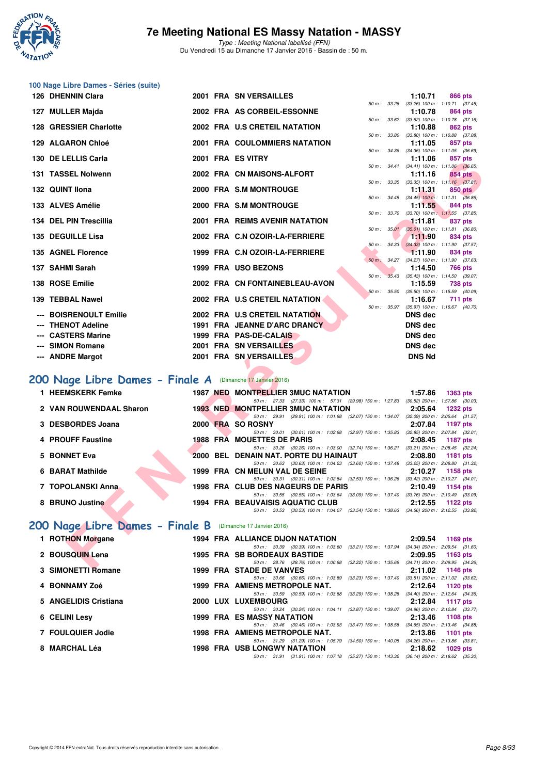

Type : Meeting National labellisé (FFN) Du Vendredi 15 au Dimanche 17 Janvier 2016 - Bassin de : 50 m.

# **100 Nage Libre Dames - Séries (suite)**

| 126 DHENNIN Clara                                          |  | <b>2001 FRA SN VERSAILLES</b>                                                                                                       |                  | 1:10.71         | 866 pts                                                 |
|------------------------------------------------------------|--|-------------------------------------------------------------------------------------------------------------------------------------|------------------|-----------------|---------------------------------------------------------|
| 127 MULLER Majda                                           |  | 2002 FRA AS CORBEIL-ESSONNE                                                                                                         |                  | 1:10.78         | 50 m: 33.26 (33.26) 100 m: 1:10.71 (37.45)<br>864 pts   |
|                                                            |  |                                                                                                                                     | 50 m : 33.62     |                 | $(33.62)$ 100 m : 1:10.78 $(37.16)$                     |
| 128 GRESSIER Charlotte                                     |  | 2002 FRA U.S CRETEIL NATATION                                                                                                       |                  | 1:10.88         | 862 pts<br>50 m: 33.80 (33.80) 100 m: 1:10.88 (37.08)   |
| 129 ALGARON Chloé                                          |  | 2001 FRA COULOMMIERS NATATION                                                                                                       |                  | 1:11.05         | 857 pts<br>50 m: 34.36 (34.36) 100 m: 1:11.05 (36.69)   |
| 130 DE LELLIS Carla                                        |  | 2001 FRA ES VITRY                                                                                                                   |                  | 1:11.06         | 857 pts                                                 |
| 131 TASSEL Nolwenn                                         |  | 2002 FRA CN MAISONS-ALFORT                                                                                                          |                  | 1:11.16         | 50 m: 34.41 (34.41) 100 m: 1:11.06 (36.65)<br>854 pts   |
|                                                            |  |                                                                                                                                     |                  |                 | 50 m: 33.35 (33.35) 100 m: 1:11.16 (37.81)              |
| 132 QUINT Ilona                                            |  | 2000 FRA S.M MONTROUGE                                                                                                              |                  | 1:11.31         | 850 pts<br>50 m: 34.45 (34.45) 100 m: 1:11.31 (36.86)   |
| 133 ALVES Amélie                                           |  | 2000 FRA S.M MONTROUGE                                                                                                              |                  | 1:11.55         | 844 pts                                                 |
| 134 DEL PIN Trescillia                                     |  | 2001 FRA REIMS AVENIR NATATION                                                                                                      |                  | 1:11.81         | 50 m: 33.70 (33.70) 100 m: 1:11.55 (37.85)<br>837 pts   |
| 135 DEGUILLE Lisa                                          |  | 2002 FRA C.N OZOIR-LA-FERRIERE                                                                                                      | $50 m$ : $35.01$ | 1:11.90         | $(35.01)$ 100 m : 1:11.81 $(36.80)$<br>834 pts          |
|                                                            |  |                                                                                                                                     |                  |                 | 50 m: 34.33 (34.33) 100 m: 1:11.90 (37.57)              |
| 135 AGNEL Florence                                         |  | 1999 FRA C.N OZOIR-LA-FERRIERE                                                                                                      |                  | 1:11.90         | 834 pts<br>50 m: 34.27 (34.27) 100 m: 1:11.90 (37.63)   |
| 137 SAHMI Sarah                                            |  | 1999 FRA USO BEZONS                                                                                                                 |                  | 1:14.50         | <b>766 pts</b>                                          |
| 138 ROSE Emilie                                            |  | $50 m$ :<br>2002 FRA CN FONTAINEBLEAU-AVON                                                                                          |                  | 1:15.59         | 35.43 (35.43) 100 m : 1:14.50 (39.07)<br><b>738 pts</b> |
|                                                            |  |                                                                                                                                     |                  |                 | 50 m: 35.50 (35.50) 100 m: 1:15.59 (40.09)              |
| 139 TEBBAL Nawel                                           |  | 2002 FRA U.S CRETEIL NATATION                                                                                                       | 50 m : 35.97     | 1:16.67         | <b>711 pts</b><br>$(35.97)$ 100 m : 1:16.67 $(40.70)$   |
| --- BOISRENOULT Emilie                                     |  | 2002 FRA U.S CRETEIL NATATION                                                                                                       |                  | <b>DNS dec</b>  |                                                         |
| --- THENOT Adeline                                         |  | 1991 FRA JEANNE D'ARC DRANCY                                                                                                        |                  | <b>DNS dec</b>  |                                                         |
| --- CASTERS Marine                                         |  | 1999 FRA PAS-DE-CALAIS                                                                                                              |                  | <b>DNS dec</b>  |                                                         |
| --- SIMON Romane                                           |  | 2001 FRA SN VERSAILLES                                                                                                              |                  | <b>DNS dec</b>  |                                                         |
| --- ANDRE Margot                                           |  | 2001 FRA SN VERSAILLES                                                                                                              |                  | <b>DNS Nd</b>   |                                                         |
|                                                            |  |                                                                                                                                     |                  |                 |                                                         |
| 200 Nage Libre Dames - Finale A (Dimanche 17 Janvier 2016) |  |                                                                                                                                     |                  |                 |                                                         |
| 1 HEEMSKERK Femke                                          |  | 1987 NED MONTPELLIER 3MUC NATATION                                                                                                  |                  | 1:57.86         | <b>1363 pts</b>                                         |
| 2 VAN ROUWENDAAL Sharon                                    |  | 50 m: 27.33 (27.33) 100 m: 57.31 (29.98) 150 m: 1:27.83 (30.52) 200 m: 1:57.86 (30.03)<br><b>1993 NED MONTPELLIER 3MUC NATATION</b> |                  | 2:05.64         | <b>1232 pts</b>                                         |
| <b>DESBORDES Joana</b>                                     |  | 50 m: 29.91 (29.91) 100 m: 1:01.98 (32.07) 150 m: 1:34.07 (32.09) 200 m: 2:05.64 (31.57)<br>2000 FRA SO ROSNY                       |                  | 2:07.84         | <b>1197 pts</b>                                         |
|                                                            |  | 50 m: 30.01 (30.01) 100 m: 1:02.98 (32.97) 150 m: 1:35.83 (32.85) 200 m: 2:07.84 (32.01)                                            |                  |                 |                                                         |
| <b>4 PROUFF Faustine</b>                                   |  | <b>1988 FRA MOUETTES DE PARIS</b><br>50 m: 30.26 (30.26) 100 m: 1:03.00 (32.74) 150 m: 1:36.21 (33.21) 200 m: 2:08.45 (32.24)       |                  | 2:08.45         | <b>1187 pts</b>                                         |
| <b>5 BONNET Eva</b>                                        |  | 2000 BEL DENAIN NAT. PORTE DU HAINAUT                                                                                               |                  | 2:08.80         | <b>1181 pts</b>                                         |
| 6 BARAT Mathilde                                           |  | 50 m: 30.63 (30.63) 100 m: 1:04.23 (33.60) 150 m: 1:37.48 (33.25) 200 m: 2:08.80 (31.32)<br>1999 FRA CN MELUN VAL DE SEINE          |                  | 2:10.27         | 1158 pts                                                |
|                                                            |  | 50 m: 30.31 (30.31) 100 m: 1:02.84 (32.53) 150 m: 1:36.26 (33.42) 200 m: 2:10.27 (34.01)                                            |                  |                 |                                                         |
| 7 TOPOLANSKI Anna                                          |  | 1998 FRA CLUB DES NAGEURS DE PARIS<br>50 m: 30.55 (30.55) 100 m: 1:03.64 (33.09) 150 m: 1:37.40 (33.76) 200 m: 2:10.49 (33.09)      |                  | 2:10.49         | 1154 pts                                                |
| 8 BRUNO Justine                                            |  | <b>1994 FRA BEAUVAISIS AQUATIC CLUB</b>                                                                                             |                  | 2:12.55         | 1122 $pts$                                              |
|                                                            |  | 50 m: 30.53 (30.53) 100 m: 1:04.07 (33.54) 150 m: 1:38.63 (34.56) 200 m: 2:12.55 (33.92)                                            |                  |                 |                                                         |
| 200 Nage Libre Dames - Finale B (Dimanche 17 Janvier 2016) |  |                                                                                                                                     |                  |                 |                                                         |
| 1 ROTHON Morgane                                           |  | 1994 FRA ALLIANCE DIJON NATATION                                                                                                    |                  | 2:09.54         | 1169 pts                                                |
| 2 BOUSQUIN Lena                                            |  | 50 m: 30.39 (30.39) 100 m: 1:03.60 (33.21) 150 m: 1:37.94 (34.34) 200 m: 2:09.54 (31.60)<br>1995 FRA SB BORDEAUX BASTIDE            |                  | 2:09.95         | 1163 pts                                                |
|                                                            |  | 50 m: 28.76 (28.76) 100 m: 1:00.98 (32.22) 150 m: 1:35.69 (34.71) 200 m: 2:09.95 (34.26)                                            |                  |                 |                                                         |
| $0.0100$ NICTTLE                                           |  | 4000 FBA CTABE BE VANUES                                                                                                            |                  | $0.4400 + 4440$ |                                                         |

## **[200 Nage Libre Dames - Finale A](http://www.ffnatation.fr/webffn/resultats.php?idact=nat&go=epr&idcpt=35299&idepr=3)** (Dimanche 17 Janvier 2016)

| 1 HEEMSKERK Femke       |  | <b>1987 NED MONTPELLIER 3MUC NATATION</b>                                                                                           | 1:57.86 | 1363 pts                                                |
|-------------------------|--|-------------------------------------------------------------------------------------------------------------------------------------|---------|---------------------------------------------------------|
| 2 VAN ROUWENDAAL Sharon |  | 50 m: 27.33 (27.33) 100 m: 57.31 (29.98) 150 m: 1:27.83 (30.52) 200 m: 1:57.86 (30.03)<br><b>1993 NED MONTPELLIER 3MUC NATATION</b> | 2:05.64 | 1232 pts                                                |
|                         |  | 50 m: 29.91 (29.91) 100 m: 1:01.98 (32.07) 150 m: 1:34.07 (32.09) 200 m: 2:05.64 (31.57)                                            |         |                                                         |
| 3 DESBORDES Joana       |  | 2000 FRA SO ROSNY<br>50 m: 30.01 (30.01) 100 m: 1:02.98 (32.97) 150 m: 1:35.83                                                      |         | 2:07.84 1197 pts<br>$(32.85)$ 200 m : 2:07.84 $(32.01)$ |
| 4 PROUFF Faustine       |  | <b>1988 FRA MOUETTES DE PARIS</b>                                                                                                   |         | 2:08.45 1187 pts                                        |
| 5 BONNET Eva            |  | 50 m: 30.26 (30.26) 100 m: 1:03.00 (32.74) 150 m: 1:36.21<br>2000 BEL DENAIN NAT. PORTE DU HAINAUT                                  | 2:08.80 | $(33.21)$ 200 m : 2:08.45 $(32.24)$<br>1181 pts         |
|                         |  | 50 m: 30.63 (30.63) 100 m: 1:04.23 (33.60) 150 m: 1:37.48 (33.25) 200 m: 2:08.80 (31.32)                                            |         |                                                         |
| 6 BARAT Mathilde        |  | 1999 FRA CN MELUN VAL DE SEINE<br>50 m: 30.31 (30.31) 100 m: 1:02.84 (32.53) 150 m: 1:36.26 (33.42) 200 m: 2:10.27 (34.01)          | 2:10.27 | 1158 pts                                                |
| 7 TOPOLANSKI Anna.      |  | <b>1998 FRA CLUB DES NAGEURS DE PARIS</b>                                                                                           |         | 2:10.49 1154 pts                                        |
| 8 BRUNO Justine         |  | 50 m: 30.55 (30.55) 100 m: 1:03.64 (33.09) 150 m: 1:37.40 (33.76) 200 m: 2:10.49 (33.09)<br>1994 FRA BEAUVAISIS AQUATIC CLUB        |         | $2:12.55$ 1122 pts                                      |
|                         |  | (30.53) 100 m: 1:04.07 (33.54) 150 m: 1:38.63 (34.56) 200 m: 2:12.55 (33.92)<br>50 m : 30.53                                        |         |                                                         |

## [200 Nage Libre Dames - Finale B](http://www.ffnatation.fr/webffn/resultats.php?idact=nat&go=epr&idcpt=35299&idepr=3) (Dimanche 17 Janvier 2016)

| 1 ROTHON Morgane      |  | <b>1994 FRA ALLIANCE DIJON NATATION</b>                                                                                         |         | $2:09.54$ 1169 pts                  |
|-----------------------|--|---------------------------------------------------------------------------------------------------------------------------------|---------|-------------------------------------|
|                       |  | $(33.21)$ 150 m : 1:37.94 $(34.34)$ 200 m : 2:09.54 $(31.60)$<br>50 m : 30.39 (30.39) 100 m : 1:03.60                           |         |                                     |
| 2 BOUSQUIN Lena       |  | <b>1995 FRA SB BORDEAUX BASTIDE</b><br>50 m: 28.76 (28.76) 100 m: 1:00.98 (32.22) 150 m: 1:35.69 (34.71) 200 m: 2:09.95 (34.26) |         | $2:09.95$ 1163 pts                  |
| 3 SIMONETTI Romane    |  | 1999 FRA STADE DE VANVES                                                                                                        |         | 2:11.02 1146 pts                    |
|                       |  | (33.23) 150 m : 1:37.40<br>50 m: 30.66 (30.66) 100 m: 1:03.89                                                                   |         | $(33.51)$ 200 m : 2:11.02 $(33.62)$ |
| 4 BONNAMY Zoé         |  | 1999 FRA AMIENS METROPOLE NAT.                                                                                                  |         | $2:12.64$ 1120 pts                  |
|                       |  | (33.29) 150 m : 1:38.28<br>50 m : 30.59 (30.59) 100 m : 1:03.88                                                                 |         | $(34.40)$ 200 m : 2:12.64 $(34.36)$ |
| 5 ANGELIDIS Cristiana |  | 2000 LUX LUXEMBOURG                                                                                                             |         | 2:12.84 1117 pts                    |
|                       |  | 50 m: 30.24 (30.24) 100 m: 1:04.11 (33.87) 150 m: 1:39.07 (34.96) 200 m: 2:12.84 (33.77)                                        |         |                                     |
| 6 CELINI Lesy         |  | <b>1999 FRA ES MASSY NATATION</b>                                                                                               |         | 2:13.46 1108 pts                    |
|                       |  | 50 m : 30.46 (30.46) 100 m : 1:03.93 (33.47) 150 m : 1:38.58                                                                    |         | $(34.65)$ 200 m : 2:13.46 $(34.88)$ |
| 7 FOULQUIER Jodie     |  | 1998 FRA AMIENS METROPOLE NAT.                                                                                                  |         | 2:13.86 1101 pts                    |
|                       |  | (34.50) 150 m : 1:40.05<br>50 m : 31.29 (31.29) 100 m : 1:05.79                                                                 |         | $(34.26)$ 200 m : 2:13.86 $(33.81)$ |
| 8 MARCHAL Léa         |  | <b>1998 FRA USB LONGWY NATATION</b>                                                                                             | 2:18.62 | 1029 pts                            |
|                       |  | 50 m: 31.91 (31.91) 100 m: 1:07.18 (35.27) 150 m: 1:43.32 (36.14) 200 m: 2:18.62 (35.30)                                        |         |                                     |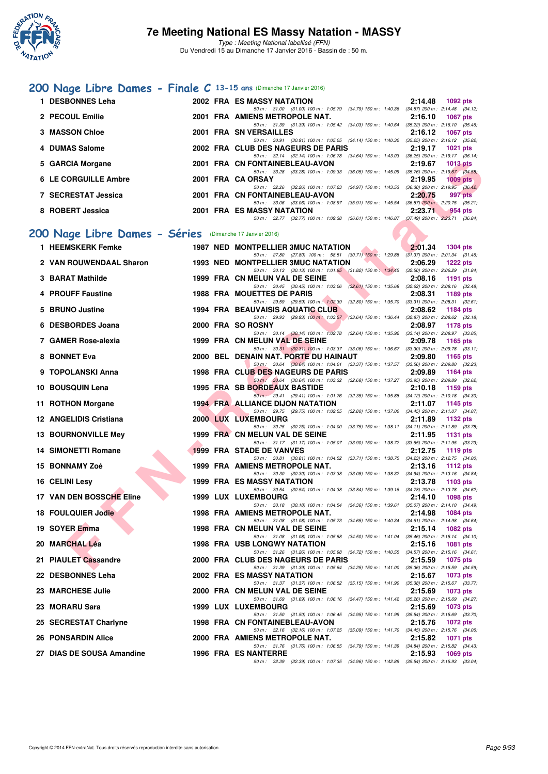

## **[200 Nage Libre Dames - Finale C](http://www.ffnatation.fr/webffn/resultats.php?idact=nat&go=epr&idcpt=35299&idepr=3) 13-15 ans** (Dimanche 17 Janvier 2016)

| 1. | <b>DESBONNES Leha</b>                                    |  | <b>2002 FRA ES MASSY NATATION</b>                                                                                                   | 2:14.48<br>1092 pts        |
|----|----------------------------------------------------------|--|-------------------------------------------------------------------------------------------------------------------------------------|----------------------------|
|    | 2 PECOUL Emilie                                          |  | 50 m: 31.00 (31.00) 100 m: 1:05.79 (34.79) 150 m: 1:40.36 (34.57) 200 m: 2:14.48 (34.12)<br>2001 FRA AMIENS METROPOLE NAT.          | 2:16.10<br>1067 pts        |
|    | 3 MASSON Chloe                                           |  | 50 m: 31.39 (31.39) 100 m: 1:05.42 (34.03) 150 m: 1:40.64 (35.22) 200 m: 2:16.10 (35.46)<br>2001 FRA SN VERSAILLES                  | 2:16.12<br>1067 pts        |
|    | 4 DUMAS Salome                                           |  | 50 m: 30.91 (30.91) 100 m: 1:05.05 (34.14) 150 m: 1:40.30 (35.25) 200 m: 2:16.12 (35.82)<br>2002 FRA CLUB DES NAGEURS DE PARIS      | 2:19.17<br>1021 pts        |
|    | <b>GARCIA Morgane</b>                                    |  | 50 m: 32.14 (32.14) 100 m: 1:06.78 (34.64) 150 m: 1:43.03 (36.25) 200 m: 2:19.17 (36.14)<br>2001 FRA CN FONTAINEBLEAU-AVON          | 2:19.67<br><b>1013 pts</b> |
|    | <b>6 LE CORGUILLE Ambre</b>                              |  | 50 m: 33.28 (33.28) 100 m: 1:09.33 (36.05) 150 m: 1:45.09 (35.76) 200 m: 2:19.67 (34.58)<br>2001 FRA CA ORSAY                       | 2:19.95<br>$1009$ pts      |
|    | 7 SECRESTAT Jessica                                      |  | 50 m: 32.26 (32.26) 100 m: 1:07.23 (34.97) 150 m: 1:43.53 (36.30) 200 m: 2:19.95 (36.42)<br>2001 FRA CN FONTAINEBLEAU-AVON          | 2:20.75<br>997 pts         |
|    |                                                          |  | 50 m: 33.06 (33.06) 100 m: 1:08.97 (35.91) 150 m: 1:45.54 (36.57) 200 m: 2:20.75 (35.21)<br><b>2001 FRA ES MASSY NATATION</b>       |                            |
|    | 8 ROBERT Jessica                                         |  | 50 m: 32.77 (32.77) 100 m: 1.09.38 (36.61) 150 m: 1.46.87 (37.49) 200 m: 2.23.71 (36.84)                                            | 2:23.71<br>954 pts         |
|    | 200 Nage Libre Dames - Séries (Dimanche 17 Janvier 2016) |  |                                                                                                                                     |                            |
|    | 1 HEEMSKERK Femke                                        |  | <b>1987 NED MONTPELLIER 3MUC NATATION</b>                                                                                           | 2:01.34<br>1304 pts        |
|    | 2 VAN ROUWENDAAL Sharon                                  |  | 50 m: 27.80 (27.80) 100 m: 58.51 (30.71) 150 m: 1:29.88 (31.37) 200 m: 2:01.34 (31.46)<br>1993 NED MONTPELLIER 3MUC NATATION        | 2:06.29<br><b>1222 pts</b> |
|    | 3 BARAT Mathilde                                         |  | 50 m: 30.13 (30.13) 100 m: 1:01.95 (31.82) 150 m: 1:34.45 (32.50) 200 m: 2:06.29 (31.84)<br>1999 FRA CN MELUN VAL DE SEINE          | 2:08.16<br>1191 pts        |
|    | 4 PROUFF Faustine                                        |  | 50 m: 30.45 (30.45) 100 m: 1:03.06 (32.61) 150 m: 1:35.68 (32.62) 200 m: 2:08.16 (32.48)<br><b>1988 FRA MOUETTES DE PARIS</b>       | 2:08.31<br>1189 pts        |
| 5  | <b>BRUNO Justine</b>                                     |  | 50 m: 29.59 (29.59) 100 m: 1:02.39 (32.80) 150 m: 1:35.70 (33.31) 200 m: 2:08.31 (32.61)<br><b>1994 FRA BEAUVAISIS AQUATIC CLUB</b> | 2:08.62<br>1184 pts        |
|    | 6 DESBORDES Joana                                        |  | 50 m: 29.93 (29.93) 100 m: 1:03.57 (33.64) 150 m: 1:36.44 (32.87) 200 m: 2:08.62 (32.18)<br>2000 FRA SO ROSNY                       | 2:08.97<br><b>1178 pts</b> |
|    | 7 GAMER Rose-alexia                                      |  | 50 m: 30.14 (30.14) 100 m: 1:02.78 (32.64) 150 m: 1:35.92 (33.14) 200 m: 2:08.97 (33.05)<br>1999 FRA CN MELUN VAL DE SEINE          | 2:09.78<br>1165 pts        |
|    | 8 BONNET Eva                                             |  | 50 m: 30.31 (30.31) 100 m: 1:03.37 (33.06) 150 m: 1:36.67 (33.30) 200 m: 2:09.78 (33.11)<br>2000 BEL DENAIN NAT. PORTE DU HAINAUT   | 2:09.80<br>1165 pts        |
|    | 9 TOPOLANSKI Anna                                        |  | 50 m: 30.64 (30.64) 100 m: 1:04.01 (33.37) 150 m: 1:37.57 (33.56) 200 m: 2:09.80 (32.23)<br>1998 FRA CLUB DES NAGEURS DE PARIS      | 2:09.89<br>1164 pts        |
|    |                                                          |  | 50 m : 30.64 (30.64) 100 m : 1:03.32 (32.68) 150 m : 1:37.27 (33.95) 200 m : 2:09.89 (32.62)                                        |                            |
|    | 10 BOUSQUIN Lena                                         |  | 1995 FRA SB BORDEAUX BASTIDE<br>50 m: 29.41 (29.41) 100 m: 1:01.76 (32.35) 150 m: 1:35.88 (34.12) 200 m: 2:10.18 (34.30)            | 2:10.18<br>1159 pts        |
|    | 11 ROTHON Morgane                                        |  | <b>1994 FRA ALLIANCE DIJON NATATION</b><br>50 m: 29.75 (29.75) 100 m: 1:02.55 (32.80) 150 m: 1:37.00 (34.45) 200 m: 2:11.07 (34.07) | 2:11.07<br>1145 pts        |
|    | 12 ANGELIDIS Cristiana                                   |  | 2000 LUX LUXEMBOURG<br>50 m: 30.25 (30.25) 100 m: 1:04.00 (33.75) 150 m: 1:38.11 (34.11) 200 m: 2:11.89 (33.78)                     | 2:11.89<br>1132 pts        |
|    | <b>13 BOURNONVILLE Mey</b>                               |  | 1999 FRA CN MELUN VAL DE SEINE<br>50 m: 31.17 (31.17) 100 m: 1:05.07 (33.90) 150 m: 1:38.72 (33.65) 200 m: 2:11.95 (33.23)          | 2:11.95<br>1131 pts        |
|    | <b>14 SIMONETTI Romane</b>                               |  | 1999 FRA STADE DE VANVES<br>50 m: 30.81 (30.81) 100 m: 1:04.52 (33.71) 150 m: 1:38.75 (34.23) 200 m: 2:12.75 (34.00)                | 2:12.75<br>1119 pts        |
|    | 15 BONNAMY Zoé                                           |  | 1999 FRA AMIENS METROPOLE NAT.<br>50 m: 30.30 (30.30) 100 m: 1:03.38 (33.08) 150 m: 1:38.32 (34.94) 200 m: 2:13.16 (34.84)          | 2:13.16<br>1112 pts        |
|    | 16 CELINI Lesy                                           |  | <b>1999 FRA ES MASSY NATATION</b>                                                                                                   | 2:13.78<br>1103 pts        |
|    | <b>17 VAN DEN BOSSCHE Eline</b>                          |  | 50 m: 30.54 (30.54) 100 m: 1:04.38 (33.84) 150 m: 1:39.16 (34.78) 200 m: 2:13.78 (34.62)<br>1999 LUX LUXEMBOURG                     | 2:14.10<br><b>1098 pts</b> |
|    | 18 FOULQUIER Jodie                                       |  | 50 m: 30.18 (30.18) 100 m: 1:04.54 (34.36) 150 m: 1:39.61 (35.07) 200 m: 2:14.10 (34.49)<br>1998 FRA AMIENS METROPOLE NAT.          | 2:14.98<br>1084 pts        |
|    | 19 SOYER Emma                                            |  | 50 m: 31.08 (31.08) 100 m: 1:05.73 (34.65) 150 m: 1:40.34 (34.61) 200 m: 2:14.98 (34.64)<br>1998 FRA CN MELUN VAL DE SEINE          | 2:15.14<br>1082 pts        |
|    | 20 MARCHAL Léa                                           |  | 50 m: 31.08 (31.08) 100 m: 1:05.58 (34.50) 150 m: 1:41.04 (35.46) 200 m: 2:15.14 (34.10)<br>1998 FRA USB LONGWY NATATION            | 2:15.16<br>1081 pts        |
|    | 21 PIAULET Cassandre                                     |  | 50 m: 31.26 (31.26) 100 m: 1:05.98 (34.72) 150 m: 1:40.55 (34.57) 200 m: 2:15.16 (34.61)<br>2000 FRA CLUB DES NAGEURS DE PARIS      | 2:15.59<br>1075 pts        |
|    | 22 DESBONNES Leha                                        |  | 50 m: 31.39 (31.39) 100 m: 1:05.64 (34.25) 150 m: 1:41.00 (35.36) 200 m: 2:15.59 (34.59)<br>2002 FRA ES MASSY NATATION              | 2:15.67<br>1073 pts        |
|    | 23 MARCHESE Julie                                        |  | 50 m: 31.37 (31.37) 100 m: 1:06.52 (35.15) 150 m: 1:41.90 (35.38) 200 m: 2:15.67 (33.77)<br>2000 FRA CN MELUN VAL DE SEINE          | 2:15.69<br>1073 pts        |
|    | 23 MORARU Sara                                           |  | 50 m: 31.69 (31.69) 100 m: 1:06.16 (34.47) 150 m: 1:41.42 (35.26) 200 m: 2:15.69 (34.27)<br><b>1999 LUX LUXEMBOURG</b>              |                            |
|    |                                                          |  | 50 m: 31.50 (31.50) 100 m: 1:06.45 (34.95) 150 m: 1:41.99 (35.54) 200 m: 2:15.69 (33.70)                                            | 2:15.69<br>1073 pts        |
|    | 25 SECRESTAT Charlyne                                    |  | 1998 FRA CN FONTAINEBLEAU-AVON<br>50 m: 32.16 (32.16) 100 m: 1:07.25 (35.09) 150 m: 1:41.70 (34.45) 200 m: 2:15.76 (34.06)          | 2:15.76<br>1072 pts        |
|    | <b>26 PONSARDIN Alice</b>                                |  | 2000 FRA AMIENS METROPOLE NAT.<br>50 m: 31.76 (31.76) 100 m: 1:06.55 (34.79) 150 m: 1:41.39 (34.84) 200 m: 2:15.82 (34.43)          | 2:15.82<br>1071 pts        |
|    | 27 DIAS DE SOUSA Amandine                                |  | 1996 FRA ES NANTERRE<br>50 m: 32.39 (32.39) 100 m: 1:07.35 (34.96) 150 m: 1:42.89 (35.54) 200 m: 2:15.93 (33.04)                    | 2:15.93<br>1069 pts        |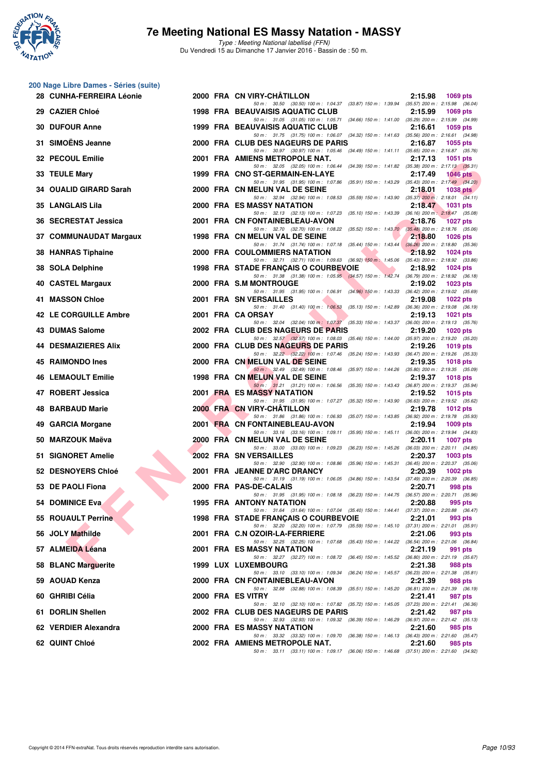

## **7e Meeting National ES Massy Natation - MASSY**

|     | 28 CUNHA-FERREIRA Léonie |  | 2000 FRA CN VIRY-CHATILLON                                                                                                                                        | 2:15.98<br>1069 pts        |
|-----|--------------------------|--|-------------------------------------------------------------------------------------------------------------------------------------------------------------------|----------------------------|
|     | 29 CAZIER Chloé          |  | 50 m: 30.50 (30.50) 100 m: 1:04.37 (33.87) 150 m: 1:39.94 (35.57) 200 m: 2:15.98 (36.04)<br>1998 FRA BEAUVAISIS AQUATIC CLUB                                      | 2:15.99<br>1069 pts        |
|     | <b>30 DUFOUR Anne</b>    |  | 50 m: 31.05 (31.05) 100 m: 1:05.71 (34.66) 150 m: 1:41.00 (35.29) 200 m: 2:15.99 (34.99)<br><b>1999 FRA BEAUVAISIS AQUATIC CLUB</b>                               | 2:16.61<br>1059 pts        |
|     | 31 SIMOËNS Jeanne        |  | 50 m: 31.75 (31.75) 100 m: 1:06.07 (34.32) 150 m: 1:41.63 (35.56) 200 m: 2:16.61 (34.98)<br>2000 FRA CLUB DES NAGEURS DE PARIS                                    | 2:16.87<br>1055 pts        |
|     | 32 PECOUL Emilie         |  | 50 m: 30.97 (30.97) 100 m: 1:05.46 (34.49) 150 m: 1:41.11 (35.65) 200 m: 2:16.87 (35.76)<br>2001 FRA AMIENS METROPOLE NAT.                                        | 2:17.13<br>1051 pts        |
|     | 33 TEULE Mary            |  | 50 m: 32.05 (32.05) 100 m: 1:06.44 (34.39) 150 m: 1:41.82 (35.38) 200 m: 2:17.13 (35.31)<br>1999 FRA CNO ST-GERMAIN-EN-LAYE                                       | 2:17.49<br><b>1046 pts</b> |
|     | 34 OUALID GIRARD Sarah   |  | 50 m: 31.95 (31.95) 100 m: 1:07.86 (35.91) 150 m: 1:43.29 (35.43) 200 m: 2:17.49 (34.20)<br>2000 FRA CN MELUN VAL DE SEINE                                        | 2:18.01<br>1038 $pts$      |
|     | 35 LANGLAIS Lila         |  | 50 m: 32.94 (32.94) 100 m: 1:08.53 (35.59) 150 m: 1:43.90 (35.37) 200 m: 2:18.01 (34.11)<br><b>2000 FRA ES MASSY NATATION</b>                                     | 2:18.47<br><b>1031 pts</b> |
|     | 36 SECRESTAT Jessica     |  | 50 m: 32.13 (32.13) 100 m: 1:07.23 (35.10) 150 m: 1:43.39 (36.16) 200 m: 2:18.47 (35.08)<br>2001 FRA CN FONTAINEBLEAU-AVON                                        | 2:18.76<br><b>1027 pts</b> |
|     | 37 COMMUNAUDAT Margaux   |  | 50 m: 32.70 (32.70) 100 m: 1:08.22 (35.52) 150 m: 1:43.70 (35.48) 200 m: 2:18.76 (35.06)<br>1998 FRA CN MELUN VAL DE SEINE                                        | 2:18.80<br>1026 pts        |
|     | 38 HANRAS Tiphaine       |  | 50 m: 31.74 (31.74) 100 m: 1:07.18 (35.44) 150 m: 1:43.44 (36.26) 200 m: 2:18.80 (35.36)<br>2000 FRA COULOMMIERS NATATION                                         | 2:18.92<br>1024 pts        |
| 38  | <b>SOLA Delphine</b>     |  | 50 m : 32.71 (32.71) 100 m : 1:09.63 (36.92) 150 m : 1:45.06 (35.43) 200 m : 2:18.92 (33.86)<br>1998 FRA STADE FRANÇAIS O COURBEVOIE<br><b>The Second Service</b> | 2:18.92<br>1024 pts        |
|     | 40 CASTEL Margaux        |  | 50 m: 31.38 (31.38) 100 m: 1:05.95 (34.57) 150 m: 1:42.74 (36.79) 200 m: 2:18.92 (36.18)<br>2000 FRA S.M MONTROUGE                                                | 2:19.02<br>$1023$ pts      |
| 41. | <b>MASSON Chloe</b>      |  | 50 m: 31.95 (31.95) 100 m: 1:06.91 (34.96) 150 m: 1:43.33 (36.42) 200 m: 2:19.02 (35.69)<br>2001 FRA SN VERSAILLES                                                | 2:19.08<br>1022 pts        |
|     | 42 LE CORGUILLE Ambre    |  | 50 m: 31.40 (31.40) 100 m: 1:06.53 (35.13) 150 m: 1:42.89 (36.36) 200 m: 2:19.08 (36.19)<br>2001 FRA CA ORSAY                                                     | 2:19.13<br>1021 pts        |
| 43. | <b>DUMAS Salome</b>      |  | 50 m: 32.04 (32.04) 100 m: 1:07.37 (35.33) 150 m: 1:43.37 (36.00) 200 m: 2:19.13 (35.76)<br>2002 FRA CLUB DES NAGEURS DE PARIS                                    | 2:19.20<br>$1020$ pts      |
| 44  | <b>DESMAIZIERES Alix</b> |  | 50 m: 32.57 (32.57) 100 m: 1:08.03 (35.46) 150 m: 1:44.00 (35.97) 200 m: 2:19.20 (35.20)<br>2000 FRA CLUB DES NAGEURS DE PARIS                                    | 2:19.26<br>1019 pts        |
|     | 45 RAIMONDO Ines         |  | 50 m: 32.22 (32.22) 100 m: 1:07.46 (35.24) 150 m: 1:43.93 (36.47) 200 m: 2:19.26 (35.33)<br>2000 FRA CN MELUN VAL DE SEINE                                        | 2:19.35<br>1018 pts        |
| 46. | <b>LEMAOULT Emilie</b>   |  | 50 m : 32.49 (32.49) 100 m : 1:08.46 (35.97) 150 m : 1:44.26 (35.80) 200 m : 2:19.35 (35.09)<br>1998 FRA CN MELUN VAL DE SEINE                                    | 2:19.37<br>1018 pts        |
|     | 47 ROBERT Jessica        |  | 50 m: 31.21 (31.21) 100 m: 1:06.56 (35.35) 150 m: 1:43.43 (36.87) 200 m: 2:19.37 (35.94)<br>2001 FRA ES MASSY NATATION                                            | 2:19.52<br>1015 pts        |
|     | 48 BARBAUD Marie         |  | 50 m: 31.95 (31.95) 100 m: 1:07.27 (35.32) 150 m: 1:43.90 (36.63) 200 m: 2:19.52 (35.62)<br>2000 FRA CN VIRY-CHATILLON                                            | 2:19.78<br>1012 pts        |
|     | 49 GARCIA Morgane        |  | 50 m: 31.86 (31.86) 100 m: 1:06.93 (35.07) 150 m: 1:43.85 (36.92) 200 m: 2:19.78 (35.93)<br>2001 FRA CN FONTAINEBLEAU-AVON                                        | 2:19.94<br>$1009$ pts      |
|     | 50 MARZOUK Maëva         |  | 50 m: 33.16 (33.16) 100 m: 1:09.11 (35.95) 150 m: 1:45.11 (36.00) 200 m: 2:19.94 (34.83)<br>2000 FRA CN MELUN VAL DE SEINE                                        | 2:20.11<br>1007 pts        |
| 51. | <b>SIGNORET Amelie</b>   |  | 50 m: 33.00 (33.00) 100 m: 1:09.23 (36.23) 150 m: 1:45.26 (36.03) 200 m: 2:20.11 (34.85)<br><b>2002 FRA SN VERSAILLES</b>                                         | 2:20.37<br>$1003$ pts      |
|     | 52 DESNOYERS Chloé       |  | 50 m: 32.90 (32.90) 100 m: 1:08.86 (35.96) 150 m: 1:45.31 (36.45) 200 m: 2:20.37 (35.06)<br>2001 FRA JEANNE D'ARC DRANCY                                          | 2:20.39<br>$1002$ pts      |
|     | 53 DE PAOLI Fiona        |  | 50 m: 31.19 (31.19) 100 m: 1:06.05 (34.86) 150 m: 1:43.54 (37.49) 200 m: 2:20.39 (36.85)<br>2000 FRA PAS-DE-CALAIS                                                | 2:20.71<br>998 pts         |
|     | 54 DOMINICE Eva          |  | 50 m: 31.95 (31.95) 100 m: 1:08.18 (36.23) 150 m: 1:44.75 (36.57) 200 m: 2:20.71 (35.96)<br>1995 FRA ANTONY NATATION                                              | 2:20.88<br>995 pts         |
|     | 55 ROUAULT Perrine       |  | 50 m: 31.64 (31.64) 100 m: 1:07.04 (35.40) 150 m: 1:44.41 (37.37) 200 m: 2:20.88 (36.47)<br>1998 FRA STADE FRANÇAIS O COURBEVOIE                                  | 2:21.01<br>993 pts         |
|     | 56 JOLY Mathilde         |  | 50 m: 32.20 (32.20) 100 m: 1:07.79 (35.59) 150 m: 1:45.10 (37.31) 200 m: 2:21.01 (35.91)<br>2001 FRA C.N OZOIR-LA-FERRIERE                                        | 2:21.06<br>993 pts         |
|     | 57 ALMEIDA Léana         |  | 50 m: 32.25 (32.25) 100 m: 1:07.68 (35.43) 150 m: 1:44.22 (36.54) 200 m: 2:21.06 (36.84)<br>2001 FRA ES MASSY NATATION                                            | 2:21.19<br>991 pts         |
|     | 58 BLANC Marguerite      |  | 50 m: 32.27 (32.27) 100 m: 1:08.72 (36.45) 150 m: 1:45.52 (36.80) 200 m: 2:21.19 (35.67)<br>1999 LUX LUXEMBOURG                                                   | 2:21.38<br>988 pts         |
|     | 59 AOUAD Kenza           |  | 50 m: 33.10 (33.10) 100 m: 1:09.34 (36.24) 150 m: 1:45.57 (36.23) 200 m: 2:21.38 (35.81)<br>2000 FRA CN FONTAINEBLEAU-AVON                                        | 2:21.39<br>988 pts         |
|     | 60 GHRIBI Célia          |  | 50 m: 32.88 (32.88) 100 m: 1:08.39 (35.51) 150 m: 1:45.20 (36.81) 200 m: 2:21.39 (36.19)<br>2000 FRA ES VITRY                                                     | 2:21.41<br>987 pts         |
|     | 61 DORLIN Shellen        |  | 50 m: 32.10 (32.10) 100 m: 1:07.82 (35.72) 150 m: 1:45.05 (37.23) 200 m: 2:21.41 (36.36)<br>2002 FRA CLUB DES NAGEURS DE PARIS                                    | 2:21.42<br>987 pts         |
|     | 62 VERDIER Alexandra     |  | 50 m: 32.93 (32.93) 100 m: 1:09.32 (36.39) 150 m: 1:46.29 (36.97) 200 m: 2:21.42 (35.13)<br>2000 FRA ES MASSY NATATION                                            | 2:21.60<br>985 pts         |
|     | 62 QUINT Chloé           |  | 50 m: 33.32 (33.32) 100 m: 1:09.70 (36.38) 150 m: 1:46.13 (36.43) 200 m: 2:21.60 (35.47)<br>2002 FRA AMIENS METROPOLE NAT.                                        | 2:21.60<br>985 pts         |
|     |                          |  | 50 m: 33.11 (33.11) 100 m: 1:09.17 (36.06) 150 m: 1:46.68 (37.51) 200 m: 2:21.60 (34.92)                                                                          |                            |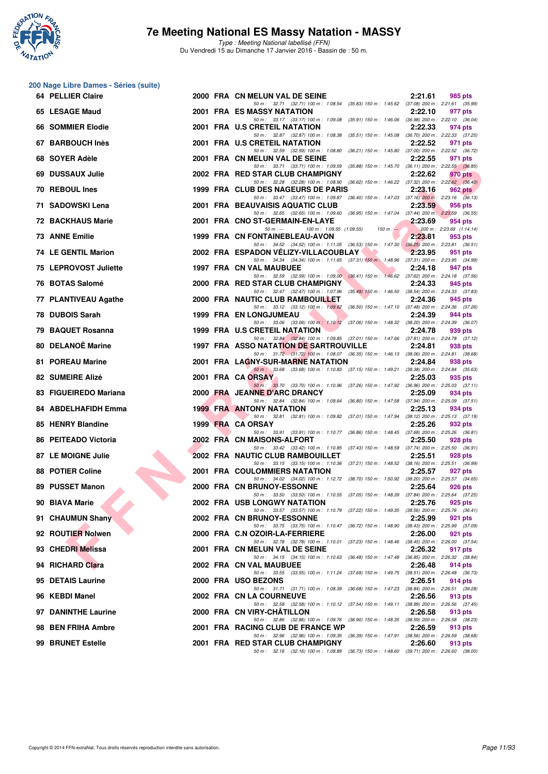

#### **7e Meeting National ES Massy Natation - MASSY**

| 64 PELLIER Claire          |  | 2000 FRA CN MELUN VAL DE SEINE                                                                                                                                                                                           | 2:21.61 | 985 pts                             |
|----------------------------|--|--------------------------------------------------------------------------------------------------------------------------------------------------------------------------------------------------------------------------|---------|-------------------------------------|
| 65 LESAGE Maud             |  | 50 m: 32.71 (32.71) 100 m: 1:08.54 (35.83) 150 m: 1:45.62 (37.08) 200 m: 2:21.61 (35.99)<br>2001 FRA ES MASSY NATATION                                                                                                   | 2:22.10 | 977 pts                             |
| 66 SOMMIER Elodie          |  | 50 m: 33.17 (33.17) 100 m: 1:09.08 (35.91) 150 m: 1:46.06 (36.98) 200 m: 2:22.10 (36.04)<br>2001 FRA U.S CRETEIL NATATION                                                                                                | 2:22.33 | 974 pts                             |
| 67 BARBOUCH Inès           |  | 50 m: 32.87 (32.87) 100 m: 1:08.38 (35.51) 150 m: 1:45.08 (36.70) 200 m: 2:22.33 (37.25)<br>2001 FRA U.S CRETEIL NATATION                                                                                                | 2:22.52 | 971 pts                             |
| 68 SOYER Adèle             |  | 50 m: 32.59 (32.59) 100 m: 1:08.80 (36.21) 150 m: 1:45.80 (37.00) 200 m: 2:22.52 (36.72)<br>2001 FRA CN MELUN VAL DE SEINE                                                                                               | 2:22.55 | 971 pts                             |
| 69 DUSSAUX Julie           |  | 50 m: 33.71 (33.71) 100 m: 1:09.59 (35.88) 150 m: 1:45.70 (36.11) 200 m: 2:22.55 (36.85)<br>2002 FRA RED STAR CLUB CHAMPIGNY                                                                                             | 2:22.62 | 970 pts                             |
| 70 REBOUL Ines             |  | 50 m: 32.28 (32.28) 100 m: 1:08.90 (36.62) 150 m: 1:46.22 (37.32) 200 m: 2:22.62 (36.40)<br>1999 FRA CLUB DES NAGEURS DE PARIS                                                                                           | 2:23.16 | 962 pts                             |
| 71 SADOWSKI Lena           |  | 50 m: 33.47 (33.47) 100 m: 1:09.87 (36.40) 150 m: 1:47.03 (37.16) 200 m: 2:23.16 (36.13)<br>2001 FRA BEAUVAISIS AQUATIC CLUB                                                                                             | 2:23.59 | 956 pts                             |
| <b>72 BACKHAUS Marie</b>   |  | 50 m: 32.65 (32.65) 100 m: 1:09.60 (36.95) 150 m: 1:47.04 (37.44) 200 m: 2:23.59 (36.55)<br>2001 FRA CNO ST-GERMAIN-EN-LAYE                                                                                              | 2:23.69 | 954 pts                             |
| 73 ANNE Emilie             |  | $50 m: -$<br>100 m: 1:09.55 (1:09.55)<br>$150 m : -$<br>1999 FRA CN FONTAINEBLEAU-AVON                                                                                                                                   | 2:23.81 | 200 m: 2:23.69 (1:14.14)<br>953 pts |
| <b>74 LE GENTIL Marion</b> |  | 50 m: 34.52 (34.52) 100 m: 1:11.05 (36.53) 150 m: 1:47.30 (36.25) 200 m: 2:23.81 (36.51)<br>2002 FRA ESPADON VELIZY-VILLACOUBLAY                                                                                         | 2:23.95 | 951 pts                             |
| 75 LEPROVOST Juliette      |  | 50 m: 34.34 (34.34) 100 m: 1:11.65 (37.31) 150 m: 1:48.96 (37.31) 200 m: 2:23.95 (34.99)<br>1997 FRA CN VAL MAUBUEE                                                                                                      | 2:24.18 | 947 pts                             |
| 76 BOTAS Salomé            |  | 50 m: 32.59 (32.59) 100 m: 1.09.00 (36.41) 150 m: 1.46.62 (37.62) 200 m: 2.24.18 (37.56)<br>2000 FRA RED STAR CLUB CHAMPIGNY                                                                                             | 2:24.33 | 945 pts                             |
| 77 PLANTIVEAU Agathe       |  | 50 m: 32.47 (32.47) 100 m: 1:07.96 (35.49) 150 m: 1:46.50 (38.54) 200 m: 2:24.33 (37.83)<br>2000 FRA NAUTIC CLUB RAMBOUILLET                                                                                             | 2:24.36 | 945 pts                             |
| 78 DUBOIS Sarah            |  | 50 m: 33.12 (33.12) 100 m: 1:09.62 (36.50) 150 m: 1:47.10 (37.48) 200 m: 2:24.36 (37.26)<br><b>1999 FRA EN LONGJUMEAU</b>                                                                                                | 2:24.39 | 944 pts                             |
| 79 BAQUET Rosanna          |  | 50 m: 33.06 (33.06) 100 m: 1:10.12 (37.06) 150 m: 1:48.32 (38.20) 200 m: 2:24.39 (36.07)<br>1999 FRA U.S CRETEIL NATATION                                                                                                | 2:24.78 | 939 pts                             |
| 80 DELANOË Marine          |  | 50 m: 32.84 (32.84) 100 m: 1:09.85 (37.01) 150 m: 1:47.66 (37.81) 200 m: 2:24.78 (37.12)<br><b>1997 FRA ASSO NATATION DE SARTROUVILLE</b>                                                                                | 2:24.81 | 938 pts                             |
| 81 POREAU Marine           |  | 50 m: 31.72 (31.72) 100 m: 1:08.07 (36.35) 150 m: 1:46.13 (38.06) 200 m: 2:24.81 (38.68)<br>2001 FRA LAGNY-SUR-MARNE NATATION                                                                                            | 2:24.84 | 938 pts                             |
| 82 SUMEIRE Alizé           |  | 50 m: 33.68 (33.68) 100 m: 1:10.83 (37.15) 150 m: 1:49.21 (38.38) 200 m: 2:24.84 (35.63)<br>2001 FRA CA ORSAY                                                                                                            | 2:25.03 | 935 pts                             |
| 83 FIGUEIREDO Mariana      |  | 50 m: 33.70 (33.70) 100 m: 1:10.96 (37.26) 150 m: 1:47.92 (36.96) 200 m: 2:25.03 (37.11)<br>2000 FRA JEANNE D'ARC DRANCY                                                                                                 | 2:25.09 | 934 pts                             |
| 84 ABDELHAFIDH Emma        |  | 50 m: 32.84 (32.84) 100 m: 1:09.64 (36.80) 150 m: 1:47.58 (37.94) 200 m: 2:25.09 (37.51)<br><b>1999 FRA ANTONY NATATION</b>                                                                                              | 2:25.13 | 934 pts                             |
| 85 HENRY Blandine          |  | 50 m: 32.81 (32.81) 100 m: 1:09.82 (37.01) 150 m: 1:47.94 (38.12) 200 m: 2:25.13 (37.19)<br>1999 FRA CA ORSAY                                                                                                            | 2:25.26 | 932 pts                             |
| 86 PEITEADO Victoria       |  | 50 m: 33.91 (33.91) 100 m: 1:10.77 (36.86) 150 m: 1:48.45 (37.68) 200 m: 2:25.26 (36.81)<br>2002 FRA CN MAISONS-ALFORT                                                                                                   | 2:25.50 | 928 pts                             |
| <b>87 LE MOIGNE Julie</b>  |  | 50 m: 33.42 (33.42) 100 m: 1:10.85 (37.43) 150 m: 1:48.59 (37.74) 200 m: 2:25.50 (36.91)<br>2002 FRA NAUTIC CLUB RAMBOUILLET<br>50 m: 33.15 (33.15) 100 m: 1:10.36 (37.21) 150 m: 1:48.52 (38.16) 200 m: 2:25.51 (36.99) | 2:25.51 | 928 pts                             |
| <b>88 POTIER Coline</b>    |  | 2001 FRA COULOMMIERS NATATION<br>50 m: 34.02 (34.02) 100 m: 1:12.72 (38.70) 150 m: 1:50.92 (38.20) 200 m: 2:25.57 (34.65)                                                                                                | 2:25.57 | 927 pts                             |
| 89 PUSSET Manon            |  | 2000 FRA CN BRUNOY-ESSONNE                                                                                                                                                                                               | 2:25.64 | 926 pts                             |
| 90 BIAVA Marie             |  | 50 m: 33.50 (33.50) 100 m: 1:10.55 (37.05) 150 m: 1:48.39 (37.84) 200 m: 2:25.64 (37.25)<br>2002 FRA USB LONGWY NATATION<br>50 m: 33.57 (33.57) 100 m: 1:10.79 (37.22) 150 m: 1:49.35 (38.56) 200 m: 2:25.76 (36.41)     | 2:25.76 | 925 pts                             |
| 91 CHAUMUN Shany           |  | 2002 FRA CN BRUNOY-ESSONNE                                                                                                                                                                                               | 2:25.99 | 921 pts                             |
| 92 ROUTIER Nolwen          |  | 50 m: 33.75 (33.75) 100 m: 1:10.47 (36.72) 150 m: 1:48.90 (38.43) 200 m: 2:25.99 (37.09)<br>2000 FRA C.N OZOIR-LA-FERRIERE                                                                                               | 2:26.00 | 921 pts                             |
| 93 CHEDRI Melissa          |  | 50 m: 32.78 (32.78) 100 m: 1:10.01 (37.23) 150 m: 1:48.46 (38.45) 200 m: 2:26.00 (37.54)<br>2001 FRA CN MELUN VAL DE SEINE<br>50 m: 34.15 (34.15) 100 m: 1:10.63 (36.48) 150 m: 1:47.48 (36.85) 200 m: 2:26.32 (38.84)   | 2:26.32 | 917 pts                             |
| 94 RICHARD Clara           |  | 2002 FRA CN VAL MAUBUEE                                                                                                                                                                                                  | 2:26.48 | 914 pts                             |
| 95 DETAIS Laurine          |  | 50 m: 33.55 (33.55) 100 m: 1:11.24 (37.69) 150 m: 1:49.75 (38.51) 200 m: 2:26.48 (36.73)<br>2000 FRA USO BEZONS                                                                                                          | 2:26.51 | 914 pts                             |
| 96 KEBDI Manel             |  | 50 m: 31.71 (31.71) 100 m: 1:08.39 (36.68) 150 m: 1:47.23 (38.84) 200 m: 2:26.51 (39.28)<br><b>2002 FRA CN LA COURNEUVE</b>                                                                                              | 2:26.56 | 913 pts                             |
| 97 DANINTHE Laurine        |  | 50 m: 32.58 (32.58) 100 m: 1:10.12 (37.54) 150 m: 1:49.11 (38.99) 200 m: 2:26.56 (37.45)<br>2000 FRA CN VIRY-CHATILLON                                                                                                   | 2:26.58 | 913 pts                             |
| 98 BEN FRIHA Ambre         |  | 50 m: 32.86 (32.86) 100 m: 1:09.76 (36.90) 150 m: 1:48.35 (38.59) 200 m: 2:26.58 (38.23)<br>2001 FRA RACING CLUB DE FRANCE WP                                                                                            | 2:26.59 | 913 pts                             |
| 99 BRUNET Estelle          |  | 50 m: 32.96 (32.96) 100 m: 1.09.35 (36.39) 150 m: 1.47.91 (38.56) 200 m: 2:26.59 (38.68)<br>2001 FRA RED STAR CLUB CHAMPIGNY                                                                                             | 2:26.60 | 913 pts                             |
|                            |  | 50 m: 32.16 (32.16) 100 m: 1:08.89 (36.73) 150 m: 1:48.60 (39.71) 200 m: 2:26.60 (38.00)                                                                                                                                 |         |                                     |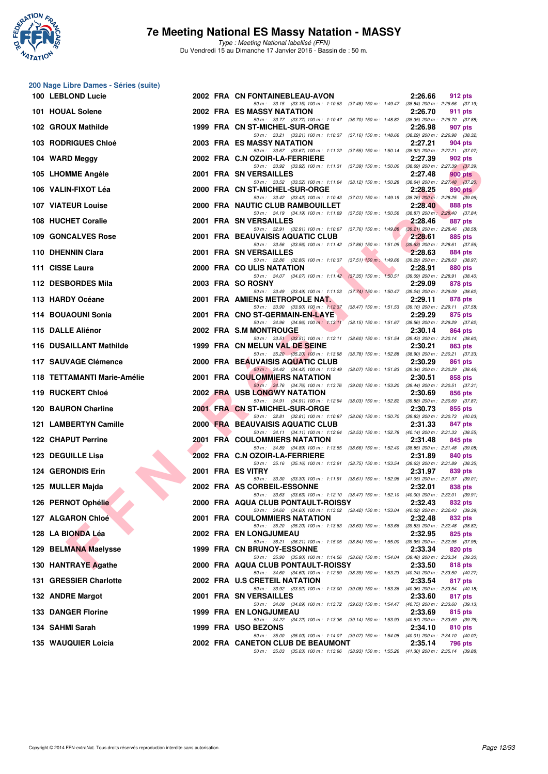

#### **7e Meeting National ES Massy Natation - MASSY**

| 100 LEBLOND Lucie                       |  | 2002 FRA CN FONTAINEBLEAU-AVON                                                                                                                                                                                             | 2:26.66 | 912 pts |
|-----------------------------------------|--|----------------------------------------------------------------------------------------------------------------------------------------------------------------------------------------------------------------------------|---------|---------|
| 101 HOUAL Solene                        |  | 50 m: 33.15 (33.15) 100 m: 1:10.63 (37.48) 150 m: 1:49.47 (38.84) 200 m: 2:26.66 (37.19)<br><b>2002 FRA ES MASSY NATATION</b>                                                                                              | 2:26.70 | 911 pts |
| 102 GROUX Mathilde                      |  | 50 m: 33.77 (33.77) 100 m: 1:10.47 (36.70) 150 m: 1:48.82 (38.35) 200 m: 2:26.70 (37.88)<br>1999 FRA CN ST-MICHEL-SUR-ORGE                                                                                                 | 2:26.98 | 907 pts |
| 103 RODRIGUES Chloé                     |  | 50 m: 33.21 (33.21) 100 m: 1:10.37 (37.16) 150 m: 1:48.66 (38.29) 200 m: 2:26.98 (38.32)<br>2003 FRA ES MASSY NATATION                                                                                                     | 2:27.21 | 904 pts |
| 104 WARD Meggy                          |  | 50 m: 33.67 (33.67) 100 m: 1:11.22 (37.55) 150 m: 1:50.14 (38.92) 200 m: 2:27.21 (37.07)<br>2002 FRA C.N OZOIR-LA-FERRIERE                                                                                                 | 2:27.39 | 902 pts |
| 105 LHOMME Angèle                       |  | 50 m: 33.92 (33.92) 100 m: 1:11.31 (37.39) 150 m: 1:50.00 (38.69) 200 m: 2:27.39 (37.39)<br>2001 FRA SN VERSAILLES<br>50 m: 33.52 (33.52) 100 m: 1:11.64 (38.12) 150 m: 1:50.28 (38.64) 200 m: 2:27.48 (37.20)             | 2:27.48 | 900 pts |
| 106 VALIN-FIXOT Léa                     |  | 2000 FRA CN ST-MICHEL-SUR-ORGE                                                                                                                                                                                             | 2:28.25 | 890 pts |
| <b>107 VIATEUR Louise</b>               |  | 50 m: 33.42 (33.42) 100 m: 1:10.43 (37.01) 150 m: 1:49.19 (38.76) 200 m: 2:28.25 (39.06)<br>2000 FRA NAUTIC CLUB RAMBOUILLET                                                                                               | 2:28.40 | 888 pts |
| 108 HUCHET Coralie                      |  | 50 m: 34.19 (34.19) 100 m: 1:11.69 (37.50) 150 m: 1:50.56 (38.87) 200 m: 2:28.40 (37.84)<br>2001 FRA SN VERSAILLES<br>50 m: 32.91 (32.91) 100 m: 1:10.67 (37.76) 150 m: 1:49.88 (39.21) 200 m: 2:28.46 (38.58)             | 2:28.46 | 887 pts |
| 109 GONCALVES Rose                      |  | 2001 FRA BEAUVAISIS AQUATIC CLUB                                                                                                                                                                                           | 2:28.61 | 885 pts |
| 110 DHENNIN Clara                       |  | 50 m: 33.56 (33.56) 100 m: 1:11.42 (37.86) 150 m: 1:51.05 (39.63) 200 m: 2:28.61 (37.56)<br><b>2001 FRA SN VERSAILLES</b>                                                                                                  | 2:28.63 | 884 pts |
| 111 CISSE Laura                         |  | 50 m: 32.86 (32.86) 100 m: 1:10.37 (37.51) 150 m: 1:49.66 (39.29) 200 m: 2:28.63 (38.97)<br>2000 FRA COULIS NATATION<br>50 m: 34.07 (34.07) 100 m: 1:11.42 (37.35) 150 m: 1:50.51 (39.09) 200 m: 2:28.91 (38.40)           | 2:28.91 | 880 pts |
| 112 DESBORDES Mila                      |  | 2003 FRA SO ROSNY<br>50 m: 33.49 (33.49) 100 m: 1:11.23 (37.74) 150 m: 1:50.47 (39.24) 200 m: 2:29.09 (38.62)                                                                                                              | 2:29.09 | 878 pts |
| 113 HARDY Océane                        |  | 2001 FRA AMIENS METROPOLE NAT.                                                                                                                                                                                             | 2:29.11 | 878 pts |
| 114 BOUAOUNI Sonia                      |  | 50 m: 33.90 (33.90) 100 m: 1:12.37 (38.47) 150 m: 1:51.53 (39.16) 200 m: 2:29.11 (37.58)<br>2001 FRA CNO ST-GERMAIN-EN-LAYE<br>50 m: 34.96 (34.96) 100 m: 1:13.11 (38.15) 150 m: 1:51.67 (38.56) 200 m: 2:29.29 (37.62)    | 2:29.29 | 875 pts |
| 115 DALLE Aliénor                       |  | 2002 FRA S.M MONTROUGE                                                                                                                                                                                                     | 2:30.14 | 864 pts |
| 116 DUSAILLANT Mathilde                 |  | 50 m: 33.51 (33.51) 100 m: 1:12.11 (38.60) 150 m: 1:51.54 (39.43) 200 m: 2:30.14 (38.60)<br>1999 FRA CN MELUN VAL DE SEINE<br>50 m: 35.20 (35.20) 100 m: 1:13.98 (38.78) 150 m: 1:52.88 (38.90) 200 m: 2:30.21 (37.33)     | 2:30.21 | 863 pts |
| 117 SAUVAGE Clémence                    |  | 2000 FRA BEAUVAISIS AQUATIC CLUB                                                                                                                                                                                           | 2:30.29 | 861 pts |
| 118 TETTAMANTI Marie-Amélie             |  | 50 m: 34.42 (34.42) 100 m: 1:12.49 (38.07) 150 m: 1:51.83 (39.34) 200 m: 2:30.29 (38.46)<br>2001 FRA COULOMMIERS NATATION                                                                                                  | 2:30.51 | 858 pts |
| 119 RUCKERT Chloé                       |  | 50 m: 34.76 (34.76) 100 m: 1:13.76 (39.00) 150 m: 1:53.20 (39.44) 200 m: 2:30.51 (37.31)<br><b>2002 FRA USB LONGWY NATATION</b>                                                                                            | 2:30.69 | 856 pts |
| 120 BAURON Charline                     |  | 50 m: 34.91 (34.91) 100 m: 1:12.94 (38.03) 150 m: 1:52.82 (39.88) 200 m: 2:30.69 (37.87)<br>2001 FRA CN ST-MICHEL-SUR-ORGE                                                                                                 | 2:30.73 | 855 pts |
| 121 LAMBERTYN Camille                   |  | 50 m: 32.81 (32.81) 100 m: 1:10.87 (38.06) 150 m: 1:50.70 (39.83) 200 m: 2:30.73 (40.03)<br>2000 FRA BEAUVAISIS AQUATIC CLUB<br>50 m: 34.11 (34.11) 100 m: 1:12.64 (38.53) 150 m: 1:52.78 (40.14) 200 m: 2:31.33 (38.55)   | 2:31.33 | 847 pts |
| 122 CHAPUT Perrine                      |  | 2001 FRA COULOMMIERS NATATION                                                                                                                                                                                              | 2:31.48 | 845 pts |
| 123 DEGUILLE Lisa                       |  | 50 m: 34.89 (34.89) 100 m: 1:13.55 (38.66) 150 m: 1:52.40 (38.85) 200 m: 2:31.48 (39.08)<br>2002 FRA C.N OZOIR-LA-FERRIERE<br>50 m: 35.16 (35.16) 100 m: 1:13.91 (38.75) 150 m: 1:53.54 (39.63) 200 m: 2:31.89 (38.35)     | 2:31.89 | 840 pts |
| 124 GERONDIS Erin                       |  | 2001 FRA ES VITRY<br>50 m: 33.30 (33.30) 100 m: 1:11.91 (38.61) 150 m: 1:52.96 (41.05) 200 m: 2:31.97 (39.01)                                                                                                              | 2:31.97 | 839 pts |
| 125 MULLER Majda                        |  | 2002 FRA AS CORBEIL-ESSONNE                                                                                                                                                                                                | 2:32.01 | 838 pts |
| 126 PERNOT Ophélie<br><b>CONTRACTOR</b> |  | 50 m: 33.63 (33.63) 100 m: 1:12.10 (38.47) 150 m: 1:52.10 (40.00) 200 m: 2:32.01 (39.91)<br>2000 FRA AQUA CLUB PONTAULT-ROISSY<br>50 m: 34.60 (34.60) 100 m: 1:13.02 (38.42) 150 m: 1:53.04 (40.02) 200 m: 2:32.43 (39.39) | 2:32.43 | 832 pts |
| 127 ALGARON Chloé                       |  | 2001 FRA COULOMMIERS NATATION                                                                                                                                                                                              | 2:32.48 | 832 pts |
| 128 LA BIONDA Léa                       |  | 50 m: 35.20 (35.20) 100 m: 1:13.83 (38.63) 150 m: 1:53.66 (39.83) 200 m: 2:32.48 (38.82)<br><b>2002 FRA EN LONGJUMEAU</b>                                                                                                  | 2:32.95 | 825 pts |
| 129 BELMANA Maelysse                    |  | 50 m: 36.21 (36.21) 100 m: 1:15.05 (38.84) 150 m: 1:55.00 (39.95) 200 m: 2:32.95 (37.95)<br>1999 FRA CN BRUNOY-ESSONNE                                                                                                     | 2:33.34 | 820 pts |
| 130 HANTRAYE Agathe                     |  | 50 m: 35.90 (35.90) 100 m: 1:14.56 (38.66) 150 m: 1:54.04 (39.48) 200 m: 2:33.34 (39.30)<br>2000 FRA AQUA CLUB PONTAULT-ROISSY                                                                                             | 2:33.50 | 818 pts |
| 131 GRESSIER Charlotte                  |  | 50 m: 34.60 (34.60) 100 m: 1:12.99 (38.39) 150 m: 1:53.23 (40.24) 200 m: 2:33.50 (40.27)<br>2002 FRA U.S CRETEIL NATATION                                                                                                  | 2:33.54 | 817 pts |
| 132 ANDRE Margot                        |  | 50 m: 33.92 (33.92) 100 m: 1:13.00 (39.08) 150 m: 1:53.36 (40.36) 200 m: 2:33.54 (40.18)<br>2001 FRA SN VERSAILLES                                                                                                         | 2:33.60 | 817 pts |
| <b>133 DANGER Florine</b>               |  | 50 m: 34.09 (34.09) 100 m: 1:13.72 (39.63) 150 m: 1:54.47 (40.75) 200 m: 2:33.60 (39.13)<br>1999 FRA EN LONGJUMEAU                                                                                                         | 2:33.69 | 815 pts |
| 134 SAHMI Sarah                         |  | 50 m: 34.22 (34.22) 100 m: 1:13.36 (39.14) 150 m: 1:53.93 (40.57) 200 m: 2:33.69 (39.76)<br>1999 FRA USO BEZONS                                                                                                            | 2:34.10 | 810 pts |
| 135 WAUQUIER Loicia                     |  | 50 m: 35.00 (35.00) 100 m: 1:14.07 (39.07) 150 m: 1:54.08 (40.01) 200 m: 2:34.10 (40.02)<br>2002 FRA CANETON CLUB DE BEAUMONT                                                                                              | 2:35.14 | 796 pts |
|                                         |  | 50 m: 35.03 (35.03) 100 m: 1:13.96 (38.93) 150 m: 1:55.26 (41.30) 200 m: 2:35.14 (39.88)                                                                                                                                   |         |         |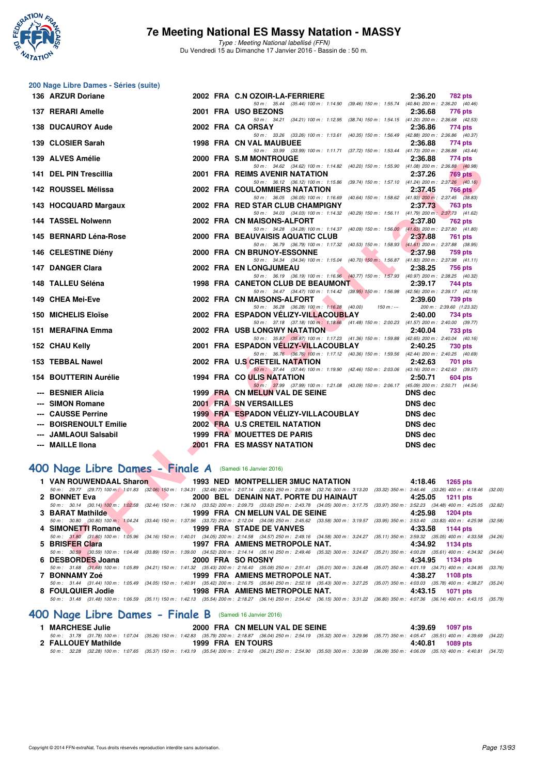

Type : Meeting National labellisé (FFN) Du Vendredi 15 au Dimanche 17 Janvier 2016 - Bassin de : 50 m.

| 200 Nage Libre Dames - Séries (suite)                      |  |                                                                                                                                                                                                                                              |                                                                                  |
|------------------------------------------------------------|--|----------------------------------------------------------------------------------------------------------------------------------------------------------------------------------------------------------------------------------------------|----------------------------------------------------------------------------------|
| 136 ARZUR Doriane                                          |  | 2002 FRA C.N OZOIR-LA-FERRIERE<br>2:36.20                                                                                                                                                                                                    | 782 pts                                                                          |
| 137 RERARI Amelle                                          |  | 50 m: 35.44 (35.44) 100 m: 1:14.90 (39.46) 150 m: 1:55.74 (40.84) 200 m: 2:36.20 (40.46)<br>2001 FRA USO BEZONS<br>2:36.68                                                                                                                   | 776 pts                                                                          |
| <b>138 DUCAUROY Aude</b>                                   |  | 50 m: 34.21 (34.21) 100 m: 1:12.95 (38.74) 150 m: 1:54.15 (41.20) 200 m: 2:36.68 (42.53)<br>2002 FRA CA ORSAY<br>2:36.86                                                                                                                     | 774 pts                                                                          |
| 139 CLOSIER Sarah                                          |  | 50 m: 33.26 (33.26) 100 m: 1:13.61 (40.35) 150 m: 1:56.49 (42.88) 200 m: 2:36.86 (40.37)<br><b>1998 FRA CN VAL MAUBUEE</b><br>2:36.88                                                                                                        | 774 pts                                                                          |
| 139 ALVES Amélie                                           |  | 50 m: 33.99 (33.99) 100 m: 1:11.71 (37.72) 150 m: 1:53.44 (41.73) 200 m: 2:36.88 (43.44)<br>2000 FRA S.M MONTROUGE<br>2:36.88<br>50 m: 34.62 (34.62) 100 m: 1:14.82 (40.20) 150 m: 1:55.90 (41.08) 200 m: 2:36.88 (40.98)                    | 774 pts                                                                          |
| 141 DEL PIN Trescillia                                     |  | 2001 FRA REIMS AVENIR NATATION<br>2:37.26<br>50 m: 36.12 (36.12) 100 m: 1:15.86 (39.74) 150 m: 1:57.10 (41.24) 200 m: 2:37.26 (40.16)                                                                                                        | 769 pts                                                                          |
| 142 ROUSSEL Mélissa                                        |  | <b>2002 FRA COULOMMIERS NATATION</b><br>2:37.45<br>50 m: 36.05 (36.05) 100 m: 1:16.69 (40.64) 150 m: 1:58.62 (41.93) 200 m: 2:37.45 (38.83)                                                                                                  | <b>766 pts</b>                                                                   |
| 143 HOCQUARD Margaux                                       |  | 2002 FRA RED STAR CLUB CHAMPIGNY<br>2:37.73<br>50 m: 34.03 (34.03) 100 m: 1:14.32 (40.29) 150 m: 1:56.11 (41.79) 200 m: 2:37.73 (41.62)                                                                                                      | 763 pts                                                                          |
| 144 TASSEL Nolwenn                                         |  | 2002 FRA CN MAISONS-ALFORT<br>2:37.80<br>50 m: 34.28 (34.28) 100 m: 1:14.37 (40.09) 150 m: 1:56.00 (41.63) 200 m: 2:37.80 (41.80)                                                                                                            | 762 pts                                                                          |
| 145 BERNARD Léna-Rose                                      |  | 2000 FRA BEAUVAISIS AQUATIC CLUB<br>2:37.88<br>50 m: 36.79 (36.79) 100 m: 1:17.32 (40.53) 150 m: 1:58.93 (41.61) 200 m: 2:37.88 (38.95)                                                                                                      | 761 pts                                                                          |
| 146 CELESTINE Diény<br>147 DANGER Clara                    |  | 2000 FRA CN BRUNOY-ESSONNE<br>2:37.98<br>50 m: 34.34 (34.34) 100 m: 1:15.04 (40.70) 150 m: 1:56.87 (41.83) 200 m: 2:37.98 (41.11)<br>2002 FRA EN LONGJUMEAU                                                                                  | 759 pts                                                                          |
| 148 TALLEU Séléna                                          |  | 2:38.25<br>50 m: 36.19 (36.19) 100 m: 1:16.96 (40.77) 150 m: 1:57.93 (40.97) 200 m: 2:38.25 (40.32)<br>1998 FRA CANETON CLUB DE BEAUMONT<br>2:39.17                                                                                          | 756 pts<br>744 pts                                                               |
| 149 CHEA Mei-Eve                                           |  | 50 m: 34.47 (34.47) 100 m: 1:14.42 (39.95) 150 m: 1:56.98 (42.56) 200 m: 2:39.17 (42.19)<br>2002 FRA CN MAISONS-ALFORT<br>2:39.60                                                                                                            | 739 pts                                                                          |
| <b>150 MICHELIS Eloïse</b>                                 |  | 50 m: 36.28 (36.28) 100 m: 1:16.28 (40.00)<br>$150 m : -$<br>2002 FRA ESPADON VELIZY-VILLACOUBLAY<br>2:40.00                                                                                                                                 | 200 m: 2:39.60 (1:23.32)<br>734 pts                                              |
| 151 MERAFINA Emma                                          |  | 50 m: 37.18 (37.18) 100 m: 1:18.66 (41.48) 150 m: 2:00.23 (41.57) 200 m: 2:40.00 (39.77)<br><b>2002 FRA USB LONGWY NATATION</b><br>2:40.04                                                                                                   | 733 pts                                                                          |
| 152 CHAU Kelly                                             |  | 50 m: 35.87 (35.87) 100 m: 1:17.23 (41.36) 150 m: 1:59.88 (42.65) 200 m: 2:40.04 (40.16)<br>2001 FRA ESPADON VELIZY-VILLACOUBLAY<br>2:40.25                                                                                                  | <b>730 pts</b>                                                                   |
| 153 TEBBAL Nawel                                           |  | 50 m: 36.76 (36.76) 100 m: 1:17.12 (40.36) 150 m: 1:59.56 (42.44) 200 m: 2:40.25 (40.69)<br>2002 FRA U.S CRETEIL NATATION<br>2:42.63<br>50 m: 37.44 (37.44) 100 m: 1:19.90 (42.46) 150 m: 2:03.06 (43.16) 200 m: 2:42.63 (39.57)             | 701 pts                                                                          |
| <b>154 BOUTTERIN Aurélie</b>                               |  | 1994 FRA CO ULIS NATATION<br>2:50.71<br>50 m: 37.99 (37.99) 100 m: 1:21.08 (43.09) 150 m: 2:06.17 (45.09) 200 m: 2:50.71 (44.54)                                                                                                             | 604 pts                                                                          |
| <b>BESNIER Alicia</b><br><b>SIMON Romane</b>               |  | 1999 FRA CN MELUN VAL DE SEINE<br><b>DNS</b> dec<br>2001 FRA SN VERSAILLES<br><b>DNS dec</b>                                                                                                                                                 |                                                                                  |
| <b>CAUSSE Perrine</b>                                      |  | 1999 FRA ESPADON VELIZY-VILLACOUBLAY<br><b>DNS dec</b>                                                                                                                                                                                       |                                                                                  |
| <b>BOISRENOULT Emilie</b>                                  |  | 2002 FRA U.S CRETEIL NATATION<br><b>DNS</b> dec                                                                                                                                                                                              |                                                                                  |
| <b>JAMLAOUI Salsabil</b>                                   |  | 1999 FRA MOUETTES DE PARIS<br><b>DNS</b> dec                                                                                                                                                                                                 |                                                                                  |
| <b>MAILLE IIona</b>                                        |  | <b>2001 FRA ES MASSY NATATION</b><br><b>DNS</b> dec                                                                                                                                                                                          |                                                                                  |
| 400 Nage Libre Dames - Finale A (Samedi 16 Janvier 2016)   |  |                                                                                                                                                                                                                                              |                                                                                  |
| 1 VAN ROUWENDAAL Sharon                                    |  | 1993 NED MONTPELLIER 3MUC NATATION                                                                                                                                                                                                           | 4:18.46 1265 pts                                                                 |
| 2 BONNET Eva                                               |  | 50 m : 29.77 (29.77) 100 m : 1:01.83 (32.06) 150 m : 1:34.31 (32.48) 200 m : 2:07.14 (32.83) 250 m : 2:39.88 (32.74) 300 m : 3:13.20 (33.32) 350 m : 3:46.46 (33.26) 400 m : 4:18.46 (33<br>2000 BEL DENAIN NAT. PORTE DU HAINAUT<br>4:25.05 | <b>1211 pts</b>                                                                  |
| 50 m : 30.14 (30.14) 100 m : 1:02.58                       |  | (32.44) 150 m: 1:36.10 (33.52) 200 m: 2:09.73 (33.63) 250 m: 2:43.78 (34.05) 300 m: 3:17.75 (33.97) 350 m: 3:52.23 (34.48) 400 m: 4:25.05 (3                                                                                                 |                                                                                  |
| 3 BARAT Mathilde                                           |  | 1999 FRA CN MELUN VAL DE SEINE<br>4:25.98                                                                                                                                                                                                    | <b>1204 pts</b>                                                                  |
| 50 m : 30.80 (30.80) 100 m : 1:04.24<br>4 SIMONETTI Romane |  | (33.44) 150 m: 1:37.96 (33.72) 200 m: 2:12.04 (34.08) 250 m: 2:45.62 (33.58) 300 m: 3:19.57<br><b>1999 FRA STADE DE VANVES</b><br>4:33.58                                                                                                    | $(33.95)$ 350 m : 3:53.40 $(33.83)$ 400 m : 4:25.98 $(33.95)$<br><b>1144 pts</b> |
| 50 m: 31.80 (31.80) 100 m: 1:05.96<br>5 BRISFER Clara      |  | $(34.16)$ 150 m : 1:40.01 $(34.05)$ 200 m : 2:14.58 $(34.57)$ 250 m : 2:49.16 $(34.58)$ 300 m : 3:24.27<br>1997 FRA AMIENS METROPOLE NAT.<br>4:34.92                                                                                         | (35.11) 350 m: 3:59.32 (35.05) 400 m: 4:33.58 (34)<br>1134 pts                   |
| 50 m: 30.59 (30.59) 100 m: 1:04.48<br>6 DESBORDES Joana    |  | $(33.89)$ 150 m : 1:39.00 $(34.52)$ 200 m : 2:14.14 $(35.14)$ 250 m : 2:49.46 $(35.32)$ 300 m : 3:24.67<br>4:34.95<br>2000 FRA SO ROSNY                                                                                                      | (35.21) 350 m: 4:00.28 (35.61) 400 m: 4:34.92 (34)<br>1134 pts                   |
|                                                            |  | 50 m: 31.68 (31.68) 100 m: 1:05.89 (34.21) 150 m: 1:41.32 (35.43) 200 m: 2:16.40 (35.08) 250 m: 2:51.41 (35.01) 300 m: 3:26.48 (35.07) 350 m: 4:01.19 (34.71) 400 m: 4:34.95 (3.                                                             |                                                                                  |

# **[400 Nage Libre Dames - Finale A](http://www.ffnatation.fr/webffn/resultats.php?idact=nat&go=epr&idcpt=35299&idepr=4)** (Samedi 16 Janvier 2016)

|                   | 1993 NED MONTPELLIER 3MUC NATATION 4:18.46 1265 pts                    |                                                                                                                                                                                              |
|-------------------|------------------------------------------------------------------------|----------------------------------------------------------------------------------------------------------------------------------------------------------------------------------------------|
|                   |                                                                        | 50 m: 29.77 (29.77) 100 m: 1:01.83 (32.06) 150 m: 1:34.31 (32.48) 200 m: 2:07.14 (32.83) 250 m: 2:39.88 (32.74) 300 m: 3:13.20 (33.32) 350 m: 3:46.46 (33.26) 400 m: 4:18.46 (32.00)         |
| 2 BONNET Eva      | <b>1211 pts</b> 2000 BEL DENAIN NAT. PORTE DU HAINAUT 4:25.05 1211 pts |                                                                                                                                                                                              |
|                   |                                                                        | 50 m : 30.14 (30.14) 100 m : 1:02.58 (32.44) 150 m : 1:36.10 (33.52) 200 m : 2:09.73 (33.63) 250 m : 2:43.78 (34.05) 300 m : 3:17.75 (33.97) 350 m : 3:52.23 (34.48) 400 m : 4:25.05 (32.82) |
| 3 BARAT Mathilde  | 1999 FRA CN MELUN VAL DE SEINE 4:25.98 1204 pts                        |                                                                                                                                                                                              |
|                   |                                                                        | 50 m: 30.80 (30.80) 100 m: 1:04.24 (33.44) 150 m: 1:37.96 (33.72) 200 m: 2:12.04 (34.08) 250 m: 2:45.62 (33.58) 300 m: 3:19.57 (33.95) 350 m: 3:53.40 (33.83) 400 m: 4:25.98 (32.58)         |
|                   | 4 SIMONETTI Romane 1999 FRA STADE DE VANVES                            | 4:33.58 1144 pts                                                                                                                                                                             |
|                   |                                                                        | 50 m: 31.80 (31.80) 100 m: 1:05.96 (34.16) 150 m: 1:40.01 (34.05) 200 m: 2:14.58 (34.57) 250 m: 2:49.16 (34.58) 300 m: 3:24.27 (35.11) 350 m: 3:59.32 (35.05) 400 m: 4:33.58 (34.26)         |
| 5 BRISFER Clara   | 1997 FRA AMIENS METROPOLE NAT. 4:34.92 1134 pts                        |                                                                                                                                                                                              |
|                   |                                                                        | 50 m: 30.59 (30.59) 100 m: 1:04.48 (33.89) 150 m: 1:39.00 (34.52) 200 m: 2:14.14 (35.14) 250 m: 2:49.46 (35.32) 300 m: 3:24.67 (35.21) 350 m: 4:00.28 (35.61) 400 m: 4:34.92 (34.64)         |
| 6 DESBORDES Joana | 2000 FRA SO ROSNY                                                      | 4:34.95 1134 pts                                                                                                                                                                             |
|                   |                                                                        | 50 m: 31.68 (31.68) 100 m: 1:05.89 (34.21) 150 m: 1:41.32 (35.43) 200 m: 2:16.40 (35.08) 250 m: 2:51.41 (35.01) 300 m: 3:26.48 (35.07) 350 m: 4:01.19 (34.71) 400 m: 4:34.95 (33.76)         |
| 7 BONNAMY Zoé     | 1999 FRA AMIENS METROPOLE NAT. 4:38.27 1108 pts                        |                                                                                                                                                                                              |
|                   |                                                                        | 50 m : 31.44 (31.44) 100 m : 1:05.49 (34.05) 150 m : 1:40.91 (35.42) 200 m : 2:16.75 (35.84) 250 m : 2:52.18 (35.43) 300 m : 3:27.25 (35.07) 350 m : 4:03.03 (35.78) 400 m : 4:03.27 (35.24) |
|                   | 8 FOULQUIER Jodie 1998 FRA AMIENS METROPOLE NAT. 4:43.15 1071 pts      |                                                                                                                                                                                              |
|                   |                                                                        | 50 m: 31.48 (31.48) 100 m: 1:06.59 (35.11) 150 m: 1:42.13 (35.54) 200 m: 2:18.27 (36.14) 250 m: 2:54.42 (36.15) 300 m: 3:31.22 (36.80) 350 m: 4:07.36 (36.14) 400 m: 4:43.15 (35.79)         |

## **[400 Nage Libre Dames - Finale B](http://www.ffnatation.fr/webffn/resultats.php?idact=nat&go=epr&idcpt=35299&idepr=4)** (Samedi 16 Janvier 2016)

| I MARCHESE Julie |                     |                   | 2000 FRA CN MELUN VAL DE SEINE | 4:39.69 1097 pts                                                                                                                                                                             |  |
|------------------|---------------------|-------------------|--------------------------------|----------------------------------------------------------------------------------------------------------------------------------------------------------------------------------------------|--|
|                  |                     |                   |                                | 50 m: 31.78 (31.78) 100 m: 1:07.04 (35.26) 150 m: 1:42.83 (35.79) 200 m: 2:18.87 (36.04) 250 m: 2:54.19 (35.32) 300 m: 3:29.96 (35.77) 350 m: 4:05.47 (35.51) 400 m: 4:39.69 (34.22)         |  |
|                  | 2 FALLOUEY Mathilde | 1999 FRA EN TOURS |                                | 4:40.81 1089 pts                                                                                                                                                                             |  |
|                  |                     |                   |                                | 50 m : 32.28 (32.28) 100 m : 1:07.65 (35.37) 150 m : 1:43.19 (35.54) 200 m : 2:19.40 (36.21) 250 m : 2:54.90 (35.50) 300 m : 3:30.99 (36.09) 350 m : 4:06.09 (35.10) 400 m : 4:40.81 (34.72) |  |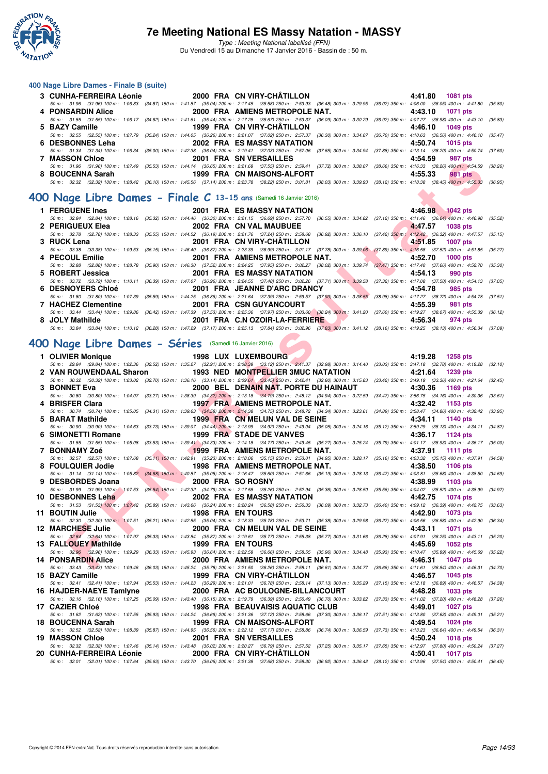

Type : Meeting National labellisé (FFN) Du Vendredi 15 au Dimanche 17 Janvier 2016 - Bassin de : 50 m.

#### **400 Nage Libre Dames - Finale B (suite)**

|                                           |                                                                                                                                                                                              | 4:41.80 1081 pts |
|-------------------------------------------|----------------------------------------------------------------------------------------------------------------------------------------------------------------------------------------------|------------------|
|                                           | 50 m: 31.96 (31.96) 100 m: 1:06.83 (34.87) 150 m: 1:41.87 (35.04) 200 m: 2:17.45 (35.58) 250 m: 2:53.93 (36.48) 300 m: 3:29.95 (36.02) 350 m: 4:06.00 (36.05) 400 m: 4:41.80 (35.80)         |                  |
| 4 PONSARDIN Alice                         | 2000 FRA AMIENS METROPOLE NAT.                                                                                                                                                               | 4:43.10 1071 pts |
|                                           | 50 m: 31.55 (31.55) 100 m: 1:06.17 (34.62) 150 m: 1:41.61 (35.44) 200 m: 2:17.28 (35.67) 250 m: 2:53.37 (36.09) 300 m: 3:30.29 (36.92) 350 m: 4:07.27 (36.98) 400 m: 4:43.10 (35.83)         |                  |
| 5 BAZY Camille                            | 1999 FRA CN VIRY-CHÂTILLON                                                                                                                                                                   | 4:46.10 1049 pts |
|                                           | 50 m: 32.55 (32.55) 100 m: 1:07.79 (35.24) 150 m: 1:44.05 (36.26) 200 m: 2:21.07 (37.02) 250 m: 2:57.37 (36.30) 300 m: 3:34.07 (36.70) 350 m: 4:10.63 (36.56) 400 m: 4:46.10 (35.47)         |                  |
| 6 DESBONNES Leha <b>Antiques Services</b> | 2002 FRA ES MASSY NATATION                                                                                                                                                                   | 4:50.74 1015 pts |
|                                           | 50 m : 31.34 (31.34) 100 m : 1:06.34 (35.00) 150 m : 1:42.38 (36.04) 200 m : 2:19.41 (37.03) 250 m : 2:57.06 (37.65) 300 m : 3:34.94 (37.88) 350 m : 4:13.14 (38.20) 400 m : 4:50.74 (37.60) |                  |
| 7 MASSON Chloe                            | 2001 FRA SN VERSAILLES                                                                                                                                                                       | 4:54.59 987 pts  |
|                                           | 50 m: 31.96 (31.96) 100 m: 1:07.49 (35.53) 150 m: 1:44.14 (36.65) 200 m: 2:21.69 (37.55) 250 m: 2:59.41 (37.72) 300 m: 3:38.07 (38.66) 350 m: 4:16.33 (38.26) 400 m: 4:54.59 (38.26)         |                  |
| 8 BOUCENNA Sarah                          | 1999 FRA CN MAISONS-ALFORT                                                                                                                                                                   | 4:55.33 981 pts  |
|                                           | 50 m : 32.32 (32.32) 100 m : 1:08.42 (36.10) 150 m : 1:45.56 (37.14) 200 m : 2:23.78 (38.22) 250 m : 3:01.81 (38.03) 300 m : 3:39.93 (38.12) 350 m : 4:18.38 (38.45) 400 m : 4:55.33 (36.55) |                  |

#### **[400 Nage Libre Dames - Finale C](http://www.ffnatation.fr/webffn/resultats.php?idact=nat&go=epr&idcpt=35299&idepr=4) 13-15 ans** (Samedi 16 Janvier 2016)

|                                          |  |                                                                                                               | 4:46.98 1042 pts                                                                                                                                                                             |
|------------------------------------------|--|---------------------------------------------------------------------------------------------------------------|----------------------------------------------------------------------------------------------------------------------------------------------------------------------------------------------|
|                                          |  |                                                                                                               | 50 m: 32.84 (32.84) 100 m: 1:08.16 (35.32) 150 m: 1:44.46 (36.30) 200 m: 2:21.15 (36.69) 250 m: 2:57.70 (36.55) 300 m: 3:34.82 (37.12) 350 m: 4:11.46 (36.64) 400 m: 4:46.98 (35.52)         |
| 2 PERIGUEUX Elea 2002 FRA CN VAL MAUBUEE |  |                                                                                                               | 4:47.57 1038 pts                                                                                                                                                                             |
|                                          |  |                                                                                                               | 50 m: 32.78 (32.78) 100 m: 1:08.33 (35.55) 150 m: 1:44.52 (36.19) 200 m: 2:21.76 (37.24) 250 m: 2:58.68 (36.92) 300 m: 3:36.10 (37.42) 350 m; 4:12.42 (36.32) 400 m: 4:47.57 (35.15)         |
| 3 RUCK Lena                              |  |                                                                                                               |                                                                                                                                                                                              |
|                                          |  |                                                                                                               | 50 m : 33.38 (33.38) 100 m : 1:09.53 (36.15) 150 m : 1:46.40 (36.87) 200 m : 2:23.39 (36.99) 250 m : 3:01.17 (37.78) 300 m : 3:39.06 (37.89) 350 m : 4:16.58 (37.52) 400 m : 4:51.85 (35.27) |
| 4 PECOUL Emilie                          |  | 2001 FRA AMIENS METROPOLE NAT. 4:52.70 1000 pts                                                               |                                                                                                                                                                                              |
|                                          |  |                                                                                                               | 50 m : 32.88 (32.88) 100 m : 1:08.78 (35.90) 150 m : 1:46.30 (37.52) 200 m : 2:24.25 (37.95) 250 m : 3:02.27 (38.02) 300 m : 3:39.74 (37.47) 350 m : 4:17.40 (37.66) 400 m : 4:52.70 (35.30) |
| 5 ROBERT Jessica                         |  | 2001 FRA ES MASSY NATATION                                                                                    | 4:54.13<br>990 pts                                                                                                                                                                           |
|                                          |  |                                                                                                               | 50 m: 33.72 (33.72) 100 m: 1:10.11 (36.39) 150 m: 1:47.07 (36.96) 200 m: 2:24.55 (37.48) 250 m: 3:02.26 (37.71) 300 m: 3:39.58 (37.32) 350 m: 4:17.08 (37.50) 400 m: 4:54.13 (37.05)         |
| 6 DESNOYERS Chloé                        |  | <b>2001 FRA JEANNE D'ARC DRANCY</b>                                                                           | 4:54.78<br>985 pts                                                                                                                                                                           |
|                                          |  |                                                                                                               | 50 m: 31.80 (31.80) 100 m: 1:07.39 (35.59) 150 m: 1:44.25 (36.86) 200 m: 2:21.64 (37.39) 250 m: 2:59.57 (37.93) 300 m: 3:38.55 (38.98) 350 m: 4:17.27 (38.72) 400 m: 4:54.78 (37.51)         |
| 7 HACHEZ Clementine                      |  | 2001 FRA CSN GUYANCOURT AND RESERVE THE RESERVE THAT A STRUCK THE RESERVE THAT A STRUCK THE RESERVE THAT A ST | 4:55.39<br>981 pts                                                                                                                                                                           |
|                                          |  |                                                                                                               | 50 m: 33.44 (33.44) 100 m: 1:09.86 (36.42) 150 m: 1:47.39 (37.53) 200 m: 2:25.36 (37.97) 250 m: 3:03.60 (38.24) 300 m: 3:41.20 (37.60) 350 m: 4:19.27 (38.07) 400 m: 4:55.39 (36.12)         |
| 8 JOLY Mathilde                          |  | 2001 FRA C.N OZOIR-LA-FERRIERE                                                                                | 4:56.34<br>974 pts                                                                                                                                                                           |
|                                          |  |                                                                                                               | 50 m: 33.84 (33.84) 100 m: 1:10.12 (36.28) 150 m: 1:47.29 (37.17) 200 m: 2:25.13 (37.84) 250 m: 3:02.96 (37.83) 300 m: 3:41.12 (38.16) 350 m: 4:19.25 (38.13) 400 m: 4:56.34 (37.09)         |

# **[400 Nage Libre Dames - Séries](http://www.ffnatation.fr/webffn/resultats.php?idact=nat&go=epr&idcpt=35299&idepr=4)** (Samedi 16 Janvier 2016)

| <b>UNAJJUN UNIUT</b>                                                                                                                                                                                             |                          | ZUUI FRA JN VERJAILLEJ                                                                                                                                                              |  | 4.94.99<br><i>อ</i> บ µเจ                                              |         |
|------------------------------------------------------------------------------------------------------------------------------------------------------------------------------------------------------------------|--------------------------|-------------------------------------------------------------------------------------------------------------------------------------------------------------------------------------|--|------------------------------------------------------------------------|---------|
| 50 m : 31.96 (31.96) 100 m : 1:07.49 (35.53) 150 m : 1:44.14 (36.65) 200 m : 2:21.69 (37.55) 250 m : 2:59.41 (37.72) 300 m : 3:38.07 (38.66) 350 m : 4:16.33 (38.26) 400 m : 4:54.59 (38.26)<br>8 BOUCENNA Sarah |                          | 1999 FRA CN MAISONS-ALFORT                                                                                                                                                          |  | 4:55.33<br><b>981 pts</b>                                              |         |
| 50 m: 32.32 (32.32) 100 m: 1:08.42 (36.10) 150 m: 1:45.56 (37.14) 200 m: 2:23.78 (38.22) 250 m: 3:01.81 (38.03) 300 m: 3:39.93 (38.12) 350 m: 4:18.38 (38.45) 400 m: 4:55.33 (36.95)                             |                          |                                                                                                                                                                                     |  |                                                                        |         |
| 00 Nage Libre Dames - Finale $C$ 13-15 ans (Samedi 16 Janvier 2016)                                                                                                                                              |                          |                                                                                                                                                                                     |  |                                                                        |         |
| 1 FERGUENE Ines                                                                                                                                                                                                  |                          | <b>2001 FRA ES MASSY NATATION</b>                                                                                                                                                   |  | 4:46.98 1042 pts                                                       |         |
| 50 m : 32.84 (32.84) 100 m : 1:08.16 (35.32) 150 m : 1:44.46 (36.30) 200 m : 2:21.15 (36.69) 250 m : 2:57.70 (36.55) 300 m : 3:34.82 (37.12) 350 m : 4:11.46 (36.64) 400 m : 4:46.98                             |                          |                                                                                                                                                                                     |  |                                                                        | (35.52) |
| 2 PERIGUEUX Elea                                                                                                                                                                                                 |                          | 2002 FRA CN VAL MAUBUEE                                                                                                                                                             |  | 4:47.57<br><b>1038 pts</b>                                             |         |
| 50 m: 32.78 (32.78) 100 m: 1:08.33 (35.55) 150 m: 1:44.52 (36.19) 200 m: 2:21.76 (37.24) 250 m: 2:58.68 (36.92) 300 m: 3:36.10 (37.42) 350 m; 4:12.42 (36.32) 400 m: 4:47.57<br>3 RUCK Lena                      |                          | 2001 FRA CN VIRY-CHATILLON                                                                                                                                                          |  | 4:51.85<br><b>1007 pts</b>                                             | (35.15) |
| 50 m: 33.38 (33.38) 100 m: 1:09.53 (36.15) 150 m: 1:46.40 (36.87) 200 m: 2:23.39 (36.99) 250 m: 3:01.17 (37.78) 300 m: 3:39.06 (37.89) 350 m: 4:16.58 (37.52) 400 m: 4:51.85                                     |                          |                                                                                                                                                                                     |  |                                                                        | (35.27) |
| 4 PECOUL Emilie                                                                                                                                                                                                  |                          | 2001 FRA AMIENS METROPOLE NAT.                                                                                                                                                      |  | 4:52.70<br><b>1000 pts</b>                                             |         |
| 50 m : 32.88 (32.88) 100 m : 1:08.78 (35.90) 150 m : 1:46.30 (37.52) 200 m : 2:24.25 (37.95) 250 m : 3:02.27 (38.02) 300 m : 3:39.74 (37.47) 350 m : 4:17.40 (37.66) 400 m : 4:52.70 (35.30)                     |                          |                                                                                                                                                                                     |  |                                                                        |         |
| 5 ROBERT Jessica<br>50 m: 33.72 (33.72) 100 m: 1:10.11 (36.39) 150 m: 1:47.07 (36.96) 200 m: 2:24.55 (37.48) 250 m: 3:02.26 (37.71) 300 m: 3:39.58 (37.32) 350 m: 4:17.08 (37.50) 400 m: 4:54.13 (37.05)         |                          | 2001 FRA ES MASSY NATATION                                                                                                                                                          |  | 4:54.13<br>990 pts                                                     |         |
| <b>6 DESNOYERS Chloé</b>                                                                                                                                                                                         |                          | 2001 FRA JEANNE D'ARC DRANCY                                                                                                                                                        |  | 4:54.78<br>985 pts                                                     |         |
| 50 m: 31.80 (31.80) 100 m: 1:07.39 (35.59) 150 m: 1:44.25 (36.86) 200 m: 2:21.64 (37.39) 250 m: 2:59.57 (37.93) 300 m: 3:38.55 (38.98) 350 m: 4:17.27 (38.72) 400 m: 4:54.78                                     |                          |                                                                                                                                                                                     |  |                                                                        | (37.51) |
| 7 HACHEZ Clementine                                                                                                                                                                                              |                          | 2001 FRA CSN GUYANCOURT                                                                                                                                                             |  | 4:55.39<br>981 pts                                                     |         |
| 50 m : 33.44 (33.44) 100 m : 1:09.86 (36.42) 150 m : 1:47.39 (37.53) 200 m : 2:25.36 (37.97) 250 m : 3:03.60 (38.24) 300 m : 3:41.20 (37.60) 350 m : 4:19.27 (38.07) 400 m : 4:55.39 (36.12)                     |                          |                                                                                                                                                                                     |  |                                                                        |         |
| 8 JOLY Mathilde<br>50 m : 33.84 (33.84) 100 m : 1:10.12 (36.28) 150 m : 1:47.29 (37.17) 200 m : 2:25.13 (37.84) 250 m : 3:02.96 (37.83) 300 m : 3:41.12 (38.16) 350 m : 4:19.25 (38.13) 400 m : 4:56.34 (37.09)  |                          | 2001 FRA C.N OZOIR-LA-FERRIERE                                                                                                                                                      |  | 4:56.34<br>974 pts                                                     |         |
|                                                                                                                                                                                                                  |                          |                                                                                                                                                                                     |  |                                                                        |         |
| 00 Nage Libre Dames - Séries (Samedi 16 Janvier 2016)                                                                                                                                                            |                          |                                                                                                                                                                                     |  |                                                                        |         |
| 1 OLIVIER Monique                                                                                                                                                                                                |                          | <b>1998 LUX LUXEMBOURG</b>                                                                                                                                                          |  | 4:19.28<br>1258 pts                                                    |         |
| 50 m : 29.84 (29.84) 100 m : 1:02.36 (32.52) 150 m : 1:35.27 (32.91) 200 m : 2:08.39 (33.12) 250 m : 2:41.37 (32.98) 300 m : 3:14.40 (33.03) 350 m : 3:47.18 (32.78) 400 m : 4:19.28 (32.10)                     |                          |                                                                                                                                                                                     |  |                                                                        |         |
| 2 VAN ROUWENDAAL Sharon                                                                                                                                                                                          |                          | 1993 NED MONTPELLIER 3MUC NATATION                                                                                                                                                  |  | 4:21.64<br>1239 pts                                                    |         |
| 50 m : 30.32 (30.32) 100 m : 1:03.02 (32.70) 150 m : 1:36.16 (33.14) 200 m : 2:09.61 (33.45) 250 m : 2:42.41 (32.80) 300 m : 3:15.83 (33.42) 350 m : 3:49.19 (33.36) 400 m : 4:21.64<br>3 BONNET Eva             |                          | 2000 BEL DENAIN NAT. PORTE DU HAINAUT                                                                                                                                               |  | 4:30.36<br>1169 pts                                                    | (32.45) |
| 50 m : 30.80 (30.80) 100 m : 1:04.07 (33.27) 150 m : 1:38.39 (34.32) 200 m : 2:13.18 (34.79) 250 m : 2:48.12 (34.94) 300 m : 3:22.59 (34.47) 350 m : 3:56.75 (34.16) 400 m : 4:30.36                             |                          |                                                                                                                                                                                     |  |                                                                        | (33.61) |
| 4 BRISFER Clara                                                                                                                                                                                                  |                          | <b>1997 FRA AMIENS METROPOLE NAT.</b>                                                                                                                                               |  | 4:32.42<br>1153 pts                                                    |         |
| 50 m: 30.74 (30.74) 100 m: 1:05.05 (34.31) 150 m: 1:39.63 (34.58) 200 m: 2:14.38 (34.75) 250 m: 2:48.72 (34.34) 300 m: 3:23.61 (34.89) 350 m: 3:58.47 (34.86) 400 m: 4:32.42 (33.95)                             |                          |                                                                                                                                                                                     |  |                                                                        |         |
| 5 BARAT Mathilde<br>50 m : 30.90 (30.90) 100 m : 1:04.63 (33.73) 150 m : 1:39.07 (34.44) 200 m : 2:13.99 (34.92) 250 m : 2:49.04 (35.05) 300 m : 3:24.16 (35.12) 350 m : 3:59.29 (35.13) 400 m : 4:34.11 (34.82) |                          | 1999 FRA CN MELUN VAL DE SEINE                                                                                                                                                      |  | 4:34.11<br>1140 pts                                                    |         |
| 6 SIMONETTI Romane                                                                                                                                                                                               |                          | 1999 FRA STADE DE VANVES                                                                                                                                                            |  | 4:36.17 1124 pts                                                       |         |
| 50 m: 31.55 (31.55) 100 m: 1:05.08 (33.53) 150 m: 1:39.41 (34.33) 200 m: 2:14.18 (34.77) 250 m: 2:49.45 (35.27) 300 m: 3:25.24 (35.79) 350 m: 4:01.17 (35.93) 400 m: 4:36.17 (35.00)                             |                          |                                                                                                                                                                                     |  |                                                                        |         |
| 7 BONNAMY Zoé                                                                                                                                                                                                    |                          | <b>1999 FRA AMIENS METROPOLE NAT.</b>                                                                                                                                               |  | 4:37.91<br>1111 pts                                                    |         |
| 50 m: 32.57 (32.57) 100 m: 1:07.68 (35.11) 150 m: 1:42.91 (35.23) 200 m: 2:18.06 (35.15) 250 m: 2:53.01 (34.95) 300 m: 3:28.17 (35.16) 350 m: 4:03.32 (35.15) 400 m: 4:37.91 (34.59)<br>8 FOULQUIER Jodie        |                          | 1998 FRA AMIENS METROPOLE NAT.                                                                                                                                                      |  | 4:38.50<br>1106 pts                                                    |         |
| 50 m: 31.14 (31.14) 100 m: 1:05.82 (34.68) 150 m: 1:40.87 (35.05) 200 m: 2:16.47 (35.60) 250 m: 2:51.66 (35.19) 300 m: 3:28.13 (36.47) 350 m: 4:03.81 (35.68) 400 m: 4:38.50 (34.69)                             |                          |                                                                                                                                                                                     |  |                                                                        |         |
| 9 DESBORDES Joana                                                                                                                                                                                                |                          | 2000 FRA SO ROSNY                                                                                                                                                                   |  | 4:38.99<br>1103 pts                                                    |         |
| 50 m: 31.99 (31.99) 100 m: 1:07.53 (35.54) 150 m: 1:42.32 (34.79) 200 m: 2:17.58 (35.26) 250 m: 2:52.94 (35.36) 300 m: 3:28.50 (35.56) 350 m: 4:04.02 (35.52) 400 m: 4:38.99                                     |                          |                                                                                                                                                                                     |  |                                                                        | (34.97) |
| 10 DESBONNES Leha<br>50 m: 31.53 (31.53) 100 m: 1:07.42 (35.89) 150 m: 1:43.66 (36.24) 200 m: 2:20.24 (36.58) 250 m: 2:56.33 (36.09) 300 m: 3:32.73 (36.40) 350 m: 4:09.12 (36.39) 400 m: 4:42.75 (33.63)        |                          | 2002 FRA ES MASSY NATATION                                                                                                                                                          |  | 4:42.75<br><b>1074 pts</b>                                             |         |
| 11 BOUTIN Julie                                                                                                                                                                                                  | <b>1998 FRA EN TOURS</b> |                                                                                                                                                                                     |  | 4:42.90<br>1073 pts                                                    |         |
| 50 m: 32.30 (32.30) 100 m: 1:07.51 (35.21) 150 m: 1:42.55 (35.04) 200 m: 2:18.33 (35.78) 250 m: 2:53.71 (35.38) 300 m: 3:29.98 (36.27) 350 m: 4:06.56 (36.58) 400 m: 4:42.90 (36.34)                             |                          |                                                                                                                                                                                     |  |                                                                        |         |
| 12 MARCHESE Julie                                                                                                                                                                                                |                          | 2000 FRA CN MELUN VAL DE SEINE                                                                                                                                                      |  | 4:43.11<br><b>1071 pts</b>                                             |         |
| 50 m: 32.64 (32.64) 100 m: 1:07.97 (35.33) 150 m: 1:43.84 (35.87) 200 m: 2:19.61 (35.77) 250 m: 2:55.38 (35.77) 300 m: 3:31.66 (36.28) 350 m: 4:07.91 (36.25) 400 m: 4:43.11 (35.20)<br>13 FALLOUEY Mathilde     | <b>1999 FRA EN TOURS</b> |                                                                                                                                                                                     |  | 4:45.69<br><b>1052 pts</b>                                             |         |
| 50 m : 32.96 (32.96) 100 m : 1:09.29 (36.33) 150 m : 1:45.93 (36.64) 200 m : 2:22.59 (36.66) 250 m : 2:58.55 (35.96) 300 m : 3:34.48 (35.93) 350 m : 4:10.47 (35.99) 400 m : 4:45.69 (35.22)                     |                          |                                                                                                                                                                                     |  |                                                                        |         |
| 14 PONSARDIN Alice                                                                                                                                                                                               |                          | 2000 FRA AMIENS METROPOLE NAT.                                                                                                                                                      |  | 4:46.31<br><b>1047 pts</b>                                             |         |
| 50 m: 33.43 (33.43) 100 m: 1:09.46 (36.03) 150 m: 1:45.24 (35.78) 200 m: 2:21.50 (36.26) 250 m: 2:58.11 (36.61) 300 m: 3:34.77 (36.66) 350 m: 4:11.61 (36.84) 400 m: 4:46.31 (34.70)                             |                          |                                                                                                                                                                                     |  |                                                                        |         |
| 15 BAZY Camille                                                                                                                                                                                                  |                          | 1999 FRA CN VIRY-CHATILLON                                                                                                                                                          |  | 4:46.57<br>1045 pts                                                    |         |
| 50 m : 32.41 (32.41) 100 m : 1:07.94<br>16 HAJDER-NAEYE Tamlyne                                                                                                                                                  |                          | (35.53) 150 m : 1:44.23 (36.29) 200 m : 2:21.01 (36.78) 250 m : 2:58.14 (37.13) 300 m : 3:35.29 (37.15) 350 m : 4:12.18 (36.89) 400 m : 4:46.57<br>2000 FRA AC BOULOGNE-BILLANCOURT |  | 4:48.28<br>1033 pts                                                    | (34.39) |
| 50 m : 32.16 (32.16) 100 m : 1:07.25 (35.09) 150 m : 1:43.40 (36.15) 200 m : 2:19.79 (36.39) 250 m : 2:56.49 (36.70) 300 m : 3:33.82                                                                             |                          |                                                                                                                                                                                     |  | (37.33) 350 m : 4:11.02 (37.20) 400 m : 4:48.28                        | (37.26) |
| 17 CAZIER Chloé                                                                                                                                                                                                  |                          | <b>1998 FRA BEAUVAISIS AQUATIC CLUB</b>                                                                                                                                             |  | 4:49.01<br><b>1027 pts</b>                                             |         |
| 50 m: 31.62 (31.62) 100 m: 1:07.55                                                                                                                                                                               |                          | (35.93) 150 m : 1:44.24 (36.69) 200 m : 2:21.36 (37.12) 250 m : 2:58.66 (37.30) 300 m : 3:36.17                                                                                     |  | (37.51) 350 m : 4:13.80 (37.63) 400 m : 4:49.01                        | (35.21) |
| 18 BOUCENNA Sarah<br>50 m : 32.52 (32.52) 100 m : 1:08.39 (35.87) 150 m : 1:44.95 (36.56) 200 m : 2:22.12 (37.17) 250 m : 2:58.86 (36.74) 300 m : 3:36.59                                                        |                          | 1999 FRA CN MAISONS-ALFORT                                                                                                                                                          |  | 4:49.54<br>1024 pts<br>(37.73) 350 m : 4:13.23 (36.64) 400 m : 4:49.54 | (36.31) |
| <b>19 MASSON Chloe</b>                                                                                                                                                                                           |                          | 2001 FRA SN VERSAILLES                                                                                                                                                              |  | 4:50.24<br><b>1018 pts</b>                                             |         |
| 50 m : 32.32 (32.32) 100 m : 1:07.46 (35.14) 150 m : 1:43.48 (36.02) 200 m : 2:20.27 (36.79) 250 m : 2:57.52 (37.25) 300 m : 3:35.17 (37.65) 350 m : 4:12.97 (37.80) 400 m : 4:50.24 (37.27)                     |                          |                                                                                                                                                                                     |  |                                                                        |         |
| 20   CUNHA-FERREIRA Léonie                                                                                                                                                                                       |                          | 2000 FRA CN VIRY-CHATILLON                                                                                                                                                          |  | 4:50.41<br><b>1017 pts</b>                                             |         |
| 50 m : 32.01 (32.01) 100 m : 1:07.64 (35.63) 150 m : 1:43.70 (36.06) 200 m : 2:21.38 (37.68) 250 m : 2:58.30 (36.92) 300 m : 3:36.42 (38.12) 350 m : 4:13.96 (37.54) 400 m : 4:50.41 (36.45)                     |                          |                                                                                                                                                                                     |  |                                                                        |         |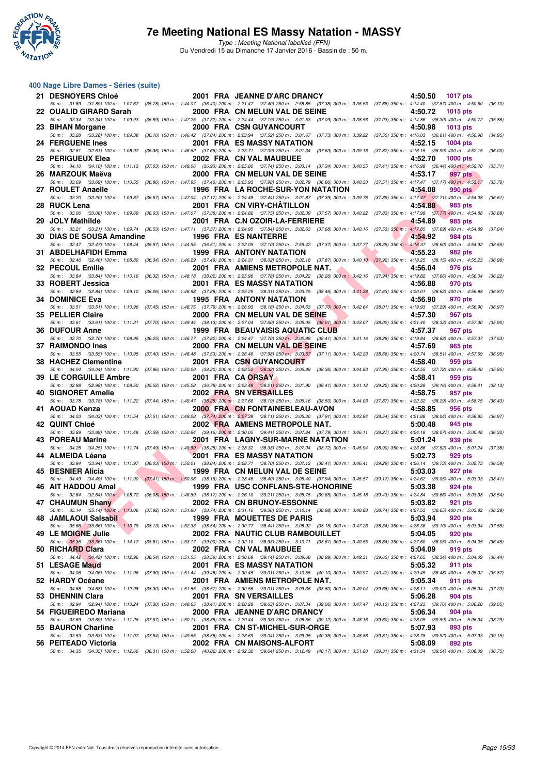

Type : Meeting National labellisé (FFN) Du Vendredi 15 au Dimanche 17 Janvier 2016 - Bassin de : 50 m.

#### **400 Nage Libre Dames - Séries (suite)**

| 21 DESNOYERS Chloé        | 2001 FRA JEANNE D'ARC DRANCY                                                                                                                                                                                                   | 4:50.50<br>1017 pts                             |         |
|---------------------------|--------------------------------------------------------------------------------------------------------------------------------------------------------------------------------------------------------------------------------|-------------------------------------------------|---------|
| 22 OUALID GIRARD Sarah    | 50 m: 31.89 (31.89) 100 m: 1:07.67 (35.78) 150 m: 1:44.07 (36.40) 200 m: 2:21.47 (37.40) 250 m: 2:58.85 (37.38) 300 m: 3:36.53 (37.68) 350 m: 4:14.40 (37.87) 400 m: 4:50.50 (36.10)<br>2000 FRA CN MELUN VAL DE SEINE         | 4:50.72<br><b>1015 pts</b>                      |         |
| 23 BIHAN Morgane          | 50 m: 33.34 (33.34) 100 m: 1:09.93 (36.59) 150 m: 1:47.25 (37.32) 200 m: 2:24.44 (37.19) 250 m: 3:01.53 (37.09) 300 m: 3:38.56 (37.03) 350 m: 4:14.86 (36.30) 400 m: 4:50.72 (35.86)<br>2000 FRA CSN GUYANCOURT                | 4:50.98<br><b>1013 pts</b>                      |         |
|                           | 50 m: 33.28 (33.28) 100 m: 1:09.38 (36.10) 150 m: 1:46.42 (37.04) 200 m: 2:23.94 (37.52) 250 m: 3:01.67 (37.73) 300 m: 3:39.22 (37.55) 350 m: 4:16.03 (36.81) 400 m: 4:50.98                                                   |                                                 | (34.95) |
| 24 FERGUENE Ines          | <b>2001 FRA ES MASSY NATATION</b><br>50 m: 32.61 (32.61) 100 m: 1:08.97 (36.36) 150 m: 1:46.62 (37.65) 200 m: 2:23.71 (37.09) 250 m: 3:01.34 (37.63) 300 m: 3:39.16 (37.82) 350 m: 4:16.15 (36.99) 400 m: 4:52.15 (36.00)      | 4:52.15<br><b>1004 pts</b>                      |         |
| 25 PERIGUEUX Elea         | 2002 FRA CN VAL MAUBUEE                                                                                                                                                                                                        | 4:52.70<br><b>1000 pts</b>                      |         |
| 26 MARZOUK Maëva          | 50 m: 34.10 (34.10) 100 m: 1:11.13 (37.03) 150 m: 1:48.06 (36.93) 200 m: 2:25.80 (37.74) 250 m: 3:03.14 (37.34) 300 m: 3:40.55 (37.41) 350 m: 4:16.99 (36.44) 400 m: 4:52.70<br>2000 FRA CN MELUN VAL DE SEINE                 | 4:53.17<br>997 pts                              | (35.71) |
| 27 ROULET Anaelle         | 50 m: 33.69 (33.69) 100 m: 1:10.55 (36.86) 150 m: 1:47.95 (37.40) 200 m: 2:25.93 (37.98) 250 m: 3:02.79 (36.86) 300 m: 3:40.30 (37.51) 350 m: 4:17.47 (37.17) 400 m: 4:53.17<br>1996 FRA LA ROCHE-SUR-YON NATATION             | 4:54.08<br>990 pts                              | (35.70) |
|                           | 50 m: 33.20 (33.20) 100 m: 1:09.87 (36.67) 150 m: 1:47.04 (37.17) 200 m: 2:24.48 (37.44) 250 m: 3:01.87 (37.39) 300 m: 3:39.76 (37.89) 350 m: 4:17.47 (37.71) 400 m: 4:54.08 (36.61)                                           |                                                 |         |
| 28 RUCK Lena              | 2001 FRA CN VIRY-CHATILLON<br>50 m : 33.06 (33.06) 100 m : 1:09.69 (36.63) 150 m : 1:47.07 (37.38) 200 m : 2:24.82 (37.75) 250 m : 3:02.39 (37.57) 300 m : 3:40.22 (37.83) 350 m : 4:17.99 (37.77) 400 m : 4:54.88             | 4:54.88<br>985 pts                              | (36.89) |
| 29 JOLY Mathilde          | 2001 FRA C.N OZOIR-LA-FERRIERE                                                                                                                                                                                                 | 4:54.89<br>985 pts                              |         |
| 30 DIAS DE SOUSA Amandine | 50 m: 33.21 (33.21) 100 m: 1:09.74 (36.53) 150 m: 1:47.11 (37.37) 200 m: 2:24.95 (37.84) 250 m: 3:02.63 (37.68) 300 m: 3:40.16 (37.53) 350 m: 4:17.85 (37.69) 400 m: 4:54.89<br><b>1996 FRA ES NANTERRE</b>                    | 4:54.92<br>984 pts                              | (37.04) |
|                           | 50 m: 32.47 (32.47) 100 m: 1:08.44 (35.97) 150 m: 1:44.95 (36.51) 200 m: 2:22.05 (37.10) 250 m: 2:59.42 (37.37) 300 m: 3:37.77 (38.35) 350 m: 4:16.37 (38.60) 400 m: 4:54.92                                                   |                                                 | (38.55) |
| 31 ABDELHAFIDH Emma       | <b>1999 FRA ANTONY NATATION</b><br>50 m: 32.46 (32.46) 100 m: 1:08.80 (36.34) 150 m: 1:46.29 (37.49) 200 m: 2:24.31 (38.02) 250 m: 3:02.18 (37.87) 300 m: 3:40.10 (37.92) 350 m: 4:18.25 (38.15) 400 m: 4:55.23                | 4:55.23<br>982 pts                              | (36.98) |
| 32 PECOUL Emilie          | 2001 FRA AMIENS METROPOLE NAT.<br>50 m : 33.84 (33.84) 100 m : 1:10.16 (36.32) 150 m : 1:48.18 (38.02) 200 m : 2:25.96 (37.78) 250 m : 3:04.22 (38.26) 300 m : 3:42.16 (37.94) 350 m : 4:19.82 (37.66) 400 m : 4:56.04 (36.22) | 4:56.04<br>976 pts                              |         |
| 33 ROBERT Jessica         | <b>2001 FRA ES MASSY NATATION</b>                                                                                                                                                                                              | 4:56.88<br>970 pts                              |         |
| 34 DOMINICE Eva           | 50 m : 32.84 (32.84) 100 m : 1:09.10 (36.26) 150 m : 1:46.98 (37.88) 200 m : 2:25.29 (38.31) 250 m : 3:03.75 (38.46) 300 m : 3:41.38 (37.63) 350 m : 4:20.01 (38.63) 400 m : 4:56.88<br>1995 FRA ANTONY NATATION               | 4:56.90<br>970 pts                              | (36.87) |
|                           | 50 m: 33.51 (33.51) 100 m: 1:10.96 (37.45) 150 m: 1:48.75 (37.79) 200 m: 2:26.93 (38.18) 250 m: 3:04.63 (37.70) 300 m: 3:42.64 (38.01) 350 m: 4:19.93 (37.29) 400 m: 4:56.90 (36.97)                                           |                                                 |         |
| 35 PELLIER Claire         | 2000 FRA CN MELUN VAL DE SEINE<br>50 m: 33.61 (33.61) 100 m: 1:11.31 (37.70) 150 m: 1:49.44 (38.13) 200 m: 2:27.04 (37.60) 250 m: 3:05.05 (38.01) 300 m: 3:43.07 (38.02) 350 m: 4:21.40 (38.33) 400 m: 4:57.30                 | 4:57.30<br>967 pts                              | (35.90) |
| <b>36 DUFOUR Anne</b>     | <b>1999 FRA BEAUVAISIS AQUATIC CLUB</b>                                                                                                                                                                                        | 4:57.37<br><b>967 pts</b>                       |         |
| 37 RAIMONDO Ines          | 50 m: 32.70 (32.70) 100 m: 1:08.95 (36.25) 150 m: 1:46.77 (37.82) 200 m: 2:24.47 (37.70) 250 m: 3:02.88 (38.41) 300 m: 3:41.16 (38.28) 350 m: 4:19.84 (38.68) 400 m: 4:57.37<br>2000 FRA CN MELUN VAL DE SEINE                 | 4:57.69<br>965 pts                              | (37.53) |
| 38 HACHEZ Clementine      | 50 m: 33.55 (33.55) 100 m: 1:10.95 (37.40) 150 m: 1:48.48 (37.53) 200 m: 2:26.46 (37.98) 250 m: 3:03.57 (37.11) 300 m: 3:42.23 (38.66) 350 m: 4:20.74 (38.51) 400 m: 4:57.69<br>2001 FRA CSN GUYANCOURT                        | 4:58.40<br>959 pts                              | (36.95) |
|                           | 50 m: 34.04 (34.04) 100 m: 1:11.90 (37.86) 150 m: 1:50.20 (38.30) 200 m: 2:28.52 (38.32) 250 m: 3:06.88 (38.36) 300 m: 3:44.83 (37.95) 350 m: 4:22.55 (37.72) 400 m: 4:58.40                                                   |                                                 | (35.85) |
| 39 LE CORGUILLE Ambre     | 2001 FRA CA ORSAY<br>50 m : 32.98 (32.98) 100 m : 1:08.50 (35.52) 150 m : 1:45.28 (36.78) 200 m : 2:23.49 (38.21) 250 m : 3:01.90 (38.41) 300 m : 3:41.12 (39.22) 350 m : 4:20.28 (39.16) 400 m : 4:58.41 (38.13)              | 4:58.41<br>959 pts                              |         |
| 40 SIGNORET Amelie        | 2002 FRA SN VERSAILLES                                                                                                                                                                                                         | 4:58.75<br>957 pts                              |         |
| 41 AOUAD Kenza            | 50 m: 33.78 (33.78) 100 m: 1:11.22 (37.44) 150 m: 1:49.47 (38.25) 200 m: 2:27.66 (38.19) 250 m: 3:06.16 (38.50) 300 m: 3:44.03 (37.87) 350 m: 4:22.32 (38.29) 400 m: 4:58.75<br>2000 FRA CN FONTAINEBLEAU-AVON                 | 4:58.85<br>956 pts                              | (36.43) |
|                           | 50 m: 34.03 (34.03) 100 m: 1:11.54 (37.51) 150 m: 1:49.28 (37.74) 200 m: 2:27.39 (38.11) 250 m: 3:05.30 (37.91) 300 m: 3:43.84 (38.54) 350 m: 4:21.88 (38.04) 400 m: 4:58.85 (36.97)                                           |                                                 |         |
| 42 QUINT Chloé            | 2002 FRA AMIENS METROPOLE NAT.<br>50 m: 33.89 (33.89) 100 m: 1:11.48 (37.59) 150 m: 1:50.64 (39.16) 200 m: 2:30.05 (39.41) 250 m: 3:07.84 (37.79) 300 m: 3:46.11 (38.27) 350 m: 4:24.18 (38.07) 400 m: 5:00.48                 | 5:00.48<br>945 pts                              | (36.30) |
| 43 POREAU Marine          | 2001 FRA LAGNY-SUR-MARNE NATATION<br>50 m: 34.25 (34.25) 100 m: 1:11.74 (37.49) 150 m: 1:49.99 (38.25) 200 m: 2:28.32 (38.33) 250 m: 3:07.04 (38.72) 300 m: 3:45.94 (38.90) 350 m: 4:23.86 (37.92) 400 m: 5:01.24 (37.38)      | 5:01.24<br>939 pts                              |         |
| 44 ALMEIDA Léana          | <b>2001 FRA ES MASSY NATATION</b>                                                                                                                                                                                              | 5:02.73<br>929 pts                              |         |
| 45 BESNIER Alicia         | 50 m: 33.94 (33.94) 100 m: 1:11.97 (38.03) 150 m: 1:50.01 (38.04) 200 m: 2:28.71 (38.70) 250 m: 3:07.12 (38.41) 300 m: 3:46.41 (39.29) 350 m: 4:26.14 (39.73) 400 m: 5:02.73 (36.59)<br>1999 FRA CN MELUN VAL DE SEINE         | 5:03.03<br>927 pts                              |         |
|                           | 50 m: 34.49 (34.49) 100 m: 1:11.90 (37.41) 150 m: 1:50.06 (38.16) 200 m: 2:28.46 (38.40) 250 m: 3:06.40 (37.94) 300 m: 3:45.57 (39.17) 350 m: 4:24.62 (39.05) 400 m: 5:03.03 (38.41)                                           |                                                 |         |
| 46 AIT HADDOU Amal        | 1999 FRA USC CONFLANS-STE-HONORINE<br>50 m: 32.64 (32.64) 100 m: 1:08.72 (36.08) 150 m: 1:46.89 (38.17) 200 m: 2:26.10 (39.21) 250 m: 3:05.75 (39.65) 300 m: 3:45.18 (39.43) 350 m: 4:24.84 (39.66) 400 m: 5:03.38 (38.54)     | 5:03.38<br>924 pts                              |         |
| 47 CHAUMUN Shany          | 2002 FRA CN BRUNOY-ESSONNE                                                                                                                                                                                                     | 5:03.82<br>921 pts                              |         |
| 48 JAMLAOUI Salsabil      | 50 m : 35.14 (35.14) 100 m : 1:13.06 (37.92) 150 m : 1:51.80 (38.74) 200 m : 2:31.16 (39.36) 250 m : 3:10.14 (38.98) 300 m : 3:48.88 (38.74) 350 m : 4:27.53 (38.65) 400 m : 5:03.82 (36.29)<br>1999 FRA MOUETTES DE PARIS     | 5:03.94<br>920 pts                              |         |
| 49 LE MOIGNE Julie        | 50 m: 35.66 (35.66) 100 m: 1:13.79 (38.13) 150 m: 1:52.33 (38.54) 200 m: 2:30.77 (38.44) 250 m: 3:08.92 (38.15) 300 m: 3:47.26 (38.34) 350 m: 4:26.36 (39.10) 400 m: 5:03.94<br>2002 FRA NAUTIC CLUB RAMBOUILLET               | 5:04.05<br><b>920 pts</b>                       | (37.58) |
|                           | 50 m: 35.36 (35.36) 100 m: 1:14.17 (38.81) 150 m: 1:53.17 (39.00) 200 m: 2:32.10 (38.93) 250 m: 3:10.71 (38.61) 300 m: 3:49.55 (38.84) 350 m: 4:27.60 (38.05) 400 m: 5:04.05                                                   |                                                 | (36.45) |
| 50 RICHARD Clara          | 2002 FRA CN VAL MAUBUEE<br>50 m : 34.42 (34.42) 100 m : 1:12.96 (38.54) 150 m : 1:51.55 (38.59) 200 m : 2:30.69 (39.14) 250 m : 3:09.68 (38.99) 300 m : 3:49.31 (39.63) 350 m : 4:27.65 (38.34) 400 m : 5:04.09 (36.44)        | 5:04.09<br>919 pts                              |         |
| 51 LESAGE Maud            | 2001 FRA ES MASSY NATATION                                                                                                                                                                                                     | 5:05.32<br>911 pts                              |         |
| 52 HARDY Océane           | 50 m: 34.06 (34.06) 100 m: 1:11.96 (37.90) 150 m: 1:51.44 (39.48) 200 m: 2:30.45 (39.01) 250 m: 3:10.55 (40.10) 300 m: 3:50.97 (40.42) 350 m: 4:29.45 (38.48) 400 m: 5:05.32 (35.87)<br>2001 FRA AMIENS METROPOLE NAT.         | 5:05.34<br>911 pts                              |         |
|                           | 50 m : 34.68 (34.68) 100 m : 1:12.98 (38.30) 150 m : 1:51.55 (38.57) 200 m : 2:30.56 (39.01) 250 m : 3:09.36 (38.80) 300 m : 3:49.04                                                                                           | (39.68) 350 m : 4:28.11 (39.07) 400 m : 5:05.34 | (37.23) |
| 53 DHENNIN Clara          | 2001 FRA SN VERSAILLES<br>50 m : 32.94 (32.94) 100 m : 1:10.24 (37.30) 150 m : 1:48.65 (38.41) 200 m : 2:28.28 (39.63) 250 m : 3:07.34 (39.06) 300 m : 3:47.47 (40.13) 350 m : 4:27.23 (39.76) 400 m : 5:06.28 (39.05)         | 5:06.28<br>904 pts                              |         |
| 54 FIGUEIREDO Mariana     | 2000 FRA JEANNE D'ARC DRANCY<br>50 m: 33.69 (33.69) 100 m: 1:11.26 (37.57) 150 m: 1:50.11 (38.85) 200 m: 2:29.44 (39.33) 250 m: 3:08.56 (39.12) 300 m: 3:48.16 (39.60) 350 m: 4:28.05 (39.89) 400 m: 5:06.34                   | 5:06.34<br>904 pts                              |         |
| 55 BAURON Charline        | 2001 FRA CN ST-MICHEL-SUR-ORGE                                                                                                                                                                                                 | 5:07.93<br>893 pts                              | (38.29) |
| 56 PEITEADO Victoria      | 50 m : 33.53 (33.53) 100 m : 1:11.07 (37.54) 150 m : 1:49.65 (38.58) 200 m : 2:28.69 (39.04) 250 m : 3:09.05 (40.36) 300 m : 3:48.86 (39.81) 350 m : 4:28.78 (39.92) 400 m : 5:07.93 (39.15)<br>2002 FRA CN MAISONS-ALFORT     | 5:08.09<br>892 pts                              |         |
|                           | 50 m: 34.35 (34.35) 100 m: 1:12.66 (38.31) 150 m: 1:52.68 (40.02) 200 m: 2:32.32 (39.64) 250 m: 3:12.49 (40.17) 300 m: 3:51.80 (39.31) 350 m: 4:31.34 (39.54) 400 m: 5:08.09 (36.75)                                           |                                                 |         |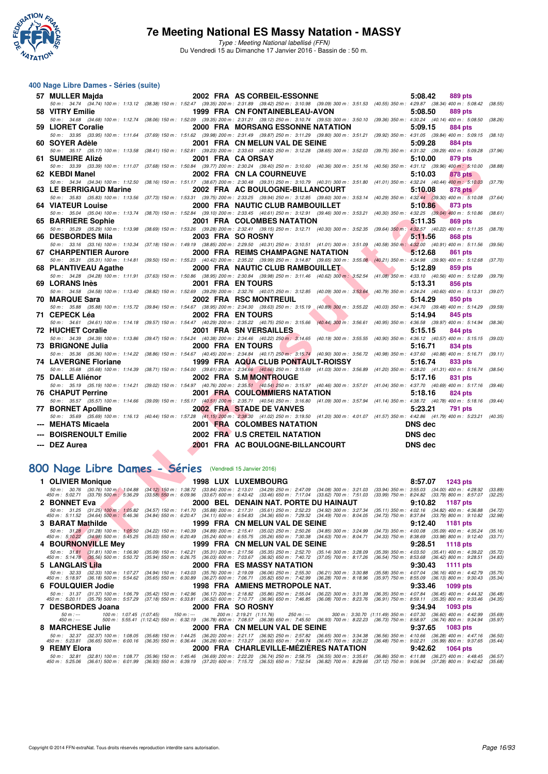

Type : Meeting National labellisé (FFN) Du Vendredi 15 au Dimanche 17 Janvier 2016 - Bassin de : 50 m.

#### **400 Nage Libre Dames - Séries (suite)**

| 57 MULLER Majda                                                                                                                                                                                                                   | 2002 FRA AS CORBEIL-ESSONNE                                                                                                                                                                                                       | 5:08.42<br>889 pts                                                                                                                                                                                                 |  |
|-----------------------------------------------------------------------------------------------------------------------------------------------------------------------------------------------------------------------------------|-----------------------------------------------------------------------------------------------------------------------------------------------------------------------------------------------------------------------------------|--------------------------------------------------------------------------------------------------------------------------------------------------------------------------------------------------------------------|--|
| 50 m: 34.74 (34.74) 100 m: 1:13.12 (38.38) 150 m: 1:52.47 (39.35) 200 m: 2:31.89 (39.42) 250 m: 3:10.98 (39.09) 300 m: 3:51.53 (40.55) 350 m: 4:29.87 (38.34) 400 m: 5:08.42<br>58 VITRY Emilie                                   | 1999 FRA CN FONTAINEBLEAU-AVON                                                                                                                                                                                                    | (38.55)<br>5:08.50<br>889 pts                                                                                                                                                                                      |  |
| 50 50 m: 34.68 (34.68) 100 m: 1:12.74 (38.06) 150 m: 1:52.09 (39.35) 200 m: 2:31.21 (39.12) 250 m: 3:10.74 (39.53) 300 m: 3:50.10 (39.36) 350 m: 4:30.24 (40.14) 400 m: 5:08.50                                                   |                                                                                                                                                                                                                                   | (38.26)                                                                                                                                                                                                            |  |
| 59 LIORET Coralie                                                                                                                                                                                                                 | 2000 FRA MORSANG ESSONNE NATATION                                                                                                                                                                                                 | 5:09.15<br><b>884 pts</b>                                                                                                                                                                                          |  |
| 50 m: 33.95 (33.95) 100 m: 1:11.64 (37.69) 150 m: 1:51.62 (39.98) 200 m: 2:31.49 (39.87) 250 m: 3:11.29 (39.80) 300 m: 3:51.21 (39.92) 350 m: 4:31.05 (39.84) 400 m: 5:09.15                                                      |                                                                                                                                                                                                                                   | (38.10)                                                                                                                                                                                                            |  |
| 60 SOYER Adèle                                                                                                                                                                                                                    | 2001 FRA CN MELUN VAL DE SEINE                                                                                                                                                                                                    | 5:09.28<br><b>884 pts</b>                                                                                                                                                                                          |  |
|                                                                                                                                                                                                                                   |                                                                                                                                                                                                                                   | 50 m: 35.17 (35.17) 100 m: 1:13.58 (38.41) 150 m: 1:52.81 (39.23) 200 m: 2:33.63 (40.82) 250 m: 3:12.28 (38.65) 300 m: 3:52.03 (39.75) 350 m: 4:31.32 (39.29) 400 m: 5:09.28 (37.96)                               |  |
| 61 SUMEIRE Alizé<br>50 m: 33.39 (33.39) 100 m: 1:11.07 (37.68) 150 m: 1:50.84 (39.77) 200 m: 2:30.24 (39.40) 250 m: 3:10.60 (40.36) 300 m: 3:51.16 (40.56) 350 m: 4:31.12 (39.96) 400 m: 5:10.00                                  | 2001 FRA CA ORSAY                                                                                                                                                                                                                 | 5:10.00<br><b>879 pts</b><br>(38.88)                                                                                                                                                                               |  |
| 62 KEBDI Manel                                                                                                                                                                                                                    | 2002 FRA CN LA COURNEUVE                                                                                                                                                                                                          | 5:10.03<br><b>878 pts</b>                                                                                                                                                                                          |  |
| 50 m: 34.34 (34.34) 100 m: 1:12.50 (38.16) 150 m: 1:51.17 (38.67) 200 m: 2:30.48 (39.31) 250 m: 3:10.79 (40.31) 300 m: 3:51.80 (41.01) 350 m: 4:32.24 (40.44) 400 m: 5:10.03                                                      |                                                                                                                                                                                                                                   | (37.79)                                                                                                                                                                                                            |  |
| 63 LE BERRIGAUD Marine                                                                                                                                                                                                            | 2002 FRA AC BOULOGNE-BILLANCOURT                                                                                                                                                                                                  | 5:10.08<br><b>878 pts</b>                                                                                                                                                                                          |  |
| 50 m: 35.83 (35.83) 100 m: 1:13.56 (37.73) 150 m: 1:53.31 (39.75) 200 m: 2:33.25 (39.94) 250 m: 3:12.85 (39.60) 300 m: 3:53.14 (40.29) 350 m: 4:32.44 (39.30) 400 m: 5:10.08                                                      |                                                                                                                                                                                                                                   | (37.64)                                                                                                                                                                                                            |  |
| <b>64 VIATEUR Louise</b>                                                                                                                                                                                                          | 2000 FRA NAUTIC CLUB RAMBOUILLET                                                                                                                                                                                                  | 5:10.86<br>873 pts                                                                                                                                                                                                 |  |
| 50 m: 35.04 (35.04) 100 m: 1:13.74 (38.70) 150 m: 1:52.84 (39.10) 200 m: 2:33.45 (40.61) 250 m: 3:12.91 (39.46) 300 m: 3:53.21 (40.30) 350 m: 4:32.25 (39.04) 400 m: 5:10.86<br>65 BARRIERE Sophie                                | 2001 FRA COLOMBES NATATION                                                                                                                                                                                                        | (38.61)<br>5:11.35<br>869 pts                                                                                                                                                                                      |  |
|                                                                                                                                                                                                                                   |                                                                                                                                                                                                                                   | 50 m: 35.29 (35.29) 100 m: 1:13.98 (38.69) 150 m: 1:53.26 (39.28) 200 m: 2:32.41 (39.15) 250 m: 3:12.71 (40.30) 300 m: 3:52.35 (39.64) 350 m: 4:32.57 (40.22) 400 m: 5:11.35 (38.78)                               |  |
| 66 DESBORDES Mila                                                                                                                                                                                                                 | 2003 FRA SO ROSNY                                                                                                                                                                                                                 | 5:11.56<br>868 pts                                                                                                                                                                                                 |  |
| 50 m: 33.16 (33.16) 100 m: 1:10.34 (37.18) 150 m: 1:49.19 (38.85) 200 m: 2:29.50 (40.31) 250 m: 3:10.51 (41.01) 300 m: 3:51.09 (40.58) 350 m: 4:32.00 (40.91) 400 m: 5:11.56                                                      |                                                                                                                                                                                                                                   | (39.56)                                                                                                                                                                                                            |  |
| <b>67 CHARPENTIER Aurore</b>                                                                                                                                                                                                      | 2000 FRA REIMS CHAMPAGNE NATATION                                                                                                                                                                                                 | 5:12.68<br>861 pts                                                                                                                                                                                                 |  |
| 50 m: 35.31 (35.31) 100 m: 1:14.81 (39.50) 150 m: 1:55.23 (40.42) 200 m: 2:35.22 (39.99) 250 m: 3:14.87 (39.65) 300 m: 3:55.08 (40.21) 350 m: 4:34.98 (39.90) 400 m: 5:12.68                                                      |                                                                                                                                                                                                                                   | (37.70)                                                                                                                                                                                                            |  |
| 68 PLANTIVEAU Agathe                                                                                                                                                                                                              | 2000 FRA NAUTIC CLUB RAMBOUILLET                                                                                                                                                                                                  | 5:12.89<br>859 pts                                                                                                                                                                                                 |  |
| 50 m : 34.28 (34.28) 100 m : 1:11.91 (37.63) 150 m : 1:50.86 (38.95) 200 m : 2:30.84 (39.98) 250 m : 3:11.46 (40.62) 300 m : 3:52.54 (41.08) 350 m : 4:33.10 (40.56) 400 m : 5:12.89<br>69 LORANS Inès                            | 2001 FRA EN TOURS                                                                                                                                                                                                                 | (39.79)<br>5:13.31<br>856 pts                                                                                                                                                                                      |  |
|                                                                                                                                                                                                                                   |                                                                                                                                                                                                                                   | 50 m: 34.58 (34.58) 100 m: 1:13.40 (38.82) 150 m: 1:52.69 (39.29) 200 m: 2:32.76 (40.07) 250 m: 3:12.85 (40.09) 300 m: 3:53.64 (40.79) 350 m: 4:34.24 (40.60) 400 m: 5:13.31 (39.07)                               |  |
| 70 MARQUE Sara                                                                                                                                                                                                                    | 2002 FRA RSC MONTREUIL                                                                                                                                                                                                            | 5:14.29<br>850 pts                                                                                                                                                                                                 |  |
| 50 m : 35.88 (35.88) 100 m : 1:15.72 (39.84) 150 m : 1:54.67 (38.95) 200 m : 2:34.30 (39.63) 250 m : 3:15.19 (40.89) 300 m : 3:55.22                                                                                              |                                                                                                                                                                                                                                   | (40.03) 350 m: 4:34.70 (39.48) 400 m: 5:14.29<br>(39.59)                                                                                                                                                           |  |
| 71 CEPECK Léa                                                                                                                                                                                                                     | 2002 FRA EN TOURS                                                                                                                                                                                                                 | 5:14.94<br>845 pts                                                                                                                                                                                                 |  |
| 50 m: 34.61 (34.61) 100 m: 1:14.18 (39.57) 150 m: 1:54.47 (40.29) 200 m: 2:35.22 (40.75) 250 m: 3:15.66 (40.44) 300 m: 3:56.61                                                                                                    |                                                                                                                                                                                                                                   | (40.95) 350 m: 4:36.58 (39.97) 400 m: 5:14.94<br>(38.36)                                                                                                                                                           |  |
| <b>72 HUCHET Coralie</b>                                                                                                                                                                                                          | 2001 FRA SN VERSAILLES                                                                                                                                                                                                            | 5:15.15<br>844 pts<br>50 m : 34.39 (34.39) 100 m : 1:13.86 (39.47) 150 m : 1:54.24 (40.38) 200 m : 2:34.46 (40.22) 250 m : 3:14.65 (40.19) 300 m : 3:55.55 (40.90) 350 m : 4:36.12 (40.57) 400 m : 5:15.15 (39.03) |  |
| 73 BRIGNONE Julia                                                                                                                                                                                                                 | 2000 FRA EN TOURS                                                                                                                                                                                                                 | 5:16.71<br>834 pts                                                                                                                                                                                                 |  |
|                                                                                                                                                                                                                                   |                                                                                                                                                                                                                                   | 50 m: 35.36 (35.36) 100 m: 1:14.22 (38.86) 150 m: 1:54.67 (40.45) 200 m: 2:34.84 (40.17) 250 m: 3:15.74 (40.90) 300 m: 3:56.72 (40.98) 350 m: 4:37.60 (40.88) 400 m: 5:16.71 (39.11)                               |  |
| <b>74 LAVERGNE Floriane</b>                                                                                                                                                                                                       | 1999 FRA AQUA CLUB PONTAULT-ROISSY                                                                                                                                                                                                | <b>833 pts</b><br>5:16.74                                                                                                                                                                                          |  |
|                                                                                                                                                                                                                                   |                                                                                                                                                                                                                                   | 50 m: 35.68 (35.68) 100 m: 1:14.39 (38.71) 150 m: 1:54.00 (39.61) 200 m: 2:34.66 (40.66) 250 m: 3:15.69 (41.03) 300 m: 3:56.89 (41.20) 350 m: 4:38.20 (41.31) 400 m: 5:16.74 (38.54)                               |  |
| 75 DALLE Aliénor                                                                                                                                                                                                                  | 2002 FRA S.M MONTROUGE                                                                                                                                                                                                            | 5:17.16<br>831 pts                                                                                                                                                                                                 |  |
| 50 m: 35.19 (35.19) 100 m: 1:14.21 (39.02) 150 m: 1:54.97 (40.76) 200 m: 2:35.51 (40.54) 250 m: 3:15.97 (40.46) 300 m: 3:57.01 (41.04) 350 m: 4:37.70 (40.69) 400 m: 5:17.16<br><b>76 CHAPUT Perrine</b>                          |                                                                                                                                                                                                                                   | (39.46)                                                                                                                                                                                                            |  |
|                                                                                                                                                                                                                                   | <b>2001 FRA COULOMMIERS NATATION</b>                                                                                                                                                                                              | 5:18.16<br>824 pts<br>50 m: 35.57 (35.57) 100 m: 1:14.66 (39.09) 150 m: 1:55.17 (40.51) 200 m: 2:35.71 (40.54) 250 m: 3:16.80 (41.09) 300 m: 3:57.94 (41.14) 350 m: 4:38.72 (40.78) 400 m: 5:18.16 (39.44)         |  |
| 77 BORNET Apolline                                                                                                                                                                                                                | 2002 FRA STADE DE VANVES                                                                                                                                                                                                          | 5:23.21<br>791 pts                                                                                                                                                                                                 |  |
|                                                                                                                                                                                                                                   |                                                                                                                                                                                                                                   | 50 m: 35.69 (35.69) 100 m: 1:16.13 (40.44) 150 m: 1:57.28 (41.15) 200 m: 2:38.30 (41.02) 250 m: 3:19.50 (41.20) 300 m: 4:01.07 (41.57) 350 m: 4:42.86 (41.79) 400 m: 5:23.21 (40.35)                               |  |
| <b>MEHATS Micaela</b>                                                                                                                                                                                                             | 2001 FRA COLOMBES NATATION                                                                                                                                                                                                        | <b>DNS</b> dec                                                                                                                                                                                                     |  |
| <b>BOISRENOULT Emilie</b>                                                                                                                                                                                                         | 2002 FRA U.S CRETEIL NATATION                                                                                                                                                                                                     | <b>DNS</b> dec                                                                                                                                                                                                     |  |
| --- DEZ Aurea                                                                                                                                                                                                                     | 2001 FRA AC BOULOGNE-BILLANCOURT                                                                                                                                                                                                  | <b>DNS</b> dec                                                                                                                                                                                                     |  |
|                                                                                                                                                                                                                                   |                                                                                                                                                                                                                                   |                                                                                                                                                                                                                    |  |
|                                                                                                                                                                                                                                   |                                                                                                                                                                                                                                   |                                                                                                                                                                                                                    |  |
| 100 Nage Libre Dames - Séries (Vendredi 15 Janvier 2016)                                                                                                                                                                          |                                                                                                                                                                                                                                   |                                                                                                                                                                                                                    |  |
| 1 OLIVIER Monique                                                                                                                                                                                                                 | 1998 LUX LUXEMBOURG                                                                                                                                                                                                               | 8:57.07<br>1243 pts                                                                                                                                                                                                |  |
| 50 m : 30.76 (30.76) 100 m : 1:04.88                                                                                                                                                                                              | (34.12) 150 m : 1:38.72 (33.84) 200 m : 2:13.01 (34.29) 250 m : 2:47.09 (34.08) 300 m : 3:21.03 (33.94) 350 m : 3:55.03 (34.00) 400 m : 4:28.92<br>(33.58) 550 m : 6:09.96 (33.67) 600 m : 6:43.42 (33.46) 650 m : 7:17.04 (33.62 | (33.89)                                                                                                                                                                                                            |  |
| 450 m : 5:02.71 (33.79) 500 m : 5:36.29<br>2 BONNET Eva                                                                                                                                                                           | 2000 BEL DENAIN NAT. PORTE DU HAINAUT                                                                                                                                                                                             | (32.25)<br>9:10.82<br><b>1187 pts</b>                                                                                                                                                                              |  |
|                                                                                                                                                                                                                                   |                                                                                                                                                                                                                                   | (34.72)                                                                                                                                                                                                            |  |
| 50 m : 31.25 (31.25) 100 m : 1.05.82 (34.57) 150 m : 1:41.70 (35.88) 200 m : 2:17.31 (35.61) 250 m : 2:52.23 (34.92) 300 m : 3:27.34 (35.11) 350 m : 4:02.16 (34.82) 400 m : 4:36.88<br>450 m : 5:11.52 (34.64) 500 m : 5:46.36 ( |                                                                                                                                                                                                                                   | (32.98)                                                                                                                                                                                                            |  |
| 3 BARAT Mathilde                                                                                                                                                                                                                  | 1999 FRA CN MELUN VAL DE SEINE                                                                                                                                                                                                    | 9:12.40<br>1181 pts                                                                                                                                                                                                |  |
| 50 m: 31.28 (31.28) 100 m: 1:05.50 (34.22) 150 m: 1:40.39 (34.89) 200 m: 2:15.41 (35.02) 250 m: 2:50.26 (34.85) 300 m: 3:24.99 (34.73) 350 m: 4:00.08<br>450 m: 5:10.22 (34.98) 500 m: 5:45.25 (35.03) 550 m: 6:20.49 (35.24) 600 |                                                                                                                                                                                                                                   | $(35.09)$ 400 m : 4:35.24<br>(35.16)<br>$(33.98)$ 800 m : 9:12.40<br>(33.71)                                                                                                                                       |  |
| <b>4 BOURNONVILLE Mey</b>                                                                                                                                                                                                         | 1999 FRA CN MELUN VAL DE SEINE                                                                                                                                                                                                    | 9:28.51<br><b>1118 pts</b>                                                                                                                                                                                         |  |
| 50 m : 31.81 (31.81) 100 m : 1.06.90 (35.09) 150 m : 1:42.21 (35.31) 200 m : 2:17.56 (35.35) 250 m : 2:25.70 (35.14) 300 m : 3:28.09 (35.39) 350 m : 4:03.50 (35.41) 400 m : 4:39.22<br>450 m : 5:14.78 (35.56) 500 m : 5:50.72 ( |                                                                                                                                                                                                                                   | (35.72)<br>(34.83)                                                                                                                                                                                                 |  |
| 5 LANGLAIS Lila                                                                                                                                                                                                                   | <b>2000 FRA ES MASSY NATATION</b>                                                                                                                                                                                                 | 9:30.43<br><b>1111 pts</b>                                                                                                                                                                                         |  |
|                                                                                                                                                                                                                                   |                                                                                                                                                                                                                                   |                                                                                                                                                                                                                    |  |

# **[800 Nage Libre Dames - Séries](http://www.ffnatation.fr/webffn/resultats.php?idact=nat&go=epr&idcpt=35299&idepr=5)** (Vendredi 15 Janvier 2016)

| 1 OLIVIER Monique                                                                                                                                                                                                                                                         |                                                                                                                         | <b>1998 LUX LUXEMBOURG</b>             |                                                                                                                                                                                                                                                                       | 8:57.07<br>1243 pts                                                                                                          |
|---------------------------------------------------------------------------------------------------------------------------------------------------------------------------------------------------------------------------------------------------------------------------|-------------------------------------------------------------------------------------------------------------------------|----------------------------------------|-----------------------------------------------------------------------------------------------------------------------------------------------------------------------------------------------------------------------------------------------------------------------|------------------------------------------------------------------------------------------------------------------------------|
| 50 m: 30.76 (30.76) 100 m: 1:04.88 (34.12) 150 m: 1:38.72 (33.84) 200 m: 2:13.01 (34.29) 250 m: 2:47.09 (34.08) 300 m: 3:21.03<br>450 m : 5:02.71 (33.79) 500 m : 5:36.29 (33.58) 550 m : 6:09.96 (33.67) 600 m : 6:43.42 (33.46) 650 m : 7:17.04 (33.62) 700 m : 7:51.03 |                                                                                                                         |                                        |                                                                                                                                                                                                                                                                       | (33.94) 350 m : 3:55.03 (34.00) 400 m : 4:28.92<br>(33.89)<br>$(33.99)$ 750 m : 8:24.82 $(33.79)$ 800 m : 8:57.07<br>(32.25) |
| 2 BONNET Eva                                                                                                                                                                                                                                                              |                                                                                                                         | 2000 BEL DENAIN NAT. PORTE DU HAINAUT  |                                                                                                                                                                                                                                                                       | $9:10.82$ 1187 pts                                                                                                           |
| $50 \text{ m}$ : 31.25<br>450 m : 5:11.52 (34.64) 500 m : 5:46.36 (34.84) 550 m : 6:20.47 (34.11) 600 m : 6:54.83 (34.36) 650 m : 7:29.32 (34.49) 700 m : 8:04.05                                                                                                         | (31.25) 100 m; 1:05.82 (34.57) 150 m; 1:41.70 (35.88) 200 m; 2:17.31 (35.61) 250 m; 2:52.23 (34.92) 300 m; 3:27.34      |                                        |                                                                                                                                                                                                                                                                       | $(35.11)$ 350 m : 4:02.16 $(34.82)$ 400 m : 4:36.88<br>(34.72)<br>(34.73) 750 m : 8:37.84 (33.79) 800 m : 9:10.82<br>(32.98) |
| 3 BARAT Mathilde                                                                                                                                                                                                                                                          |                                                                                                                         | 1999 FRA CN MELUN VAL DE SEINE         |                                                                                                                                                                                                                                                                       | $9:12.40$ 1181 pts                                                                                                           |
| 450 m : 5:10.22 (34.98) 500 m : 5:45.25 (35.03) 550 m : 6:20.49 (35.24) 600 m : 6:55.75 (35.26) 650 m : 7:30.38 (34.63) 700 m : 8:04.71                                                                                                                                   |                                                                                                                         |                                        | 50 m: 31.28 (31.28) 100 m: 1:05.50 (34.22) 150 m: 1:40.39 (34.89) 200 m: 2:15.41 (35.02) 250 m: 2:50.26 (34.85) 300 m: 3:24.99 (34.73) 350 m: 4:00.08 (35.09) 400 m: 4:35.24                                                                                          | (35.16)<br>(34.33) 750 m : 8:38.69 (33.98) 800 m : 9:12.40<br>(33.71)                                                        |
| 4 BOURNONVILLE Mey                                                                                                                                                                                                                                                        |                                                                                                                         | 1999 FRA CN MELUN VAL DE SEINE         |                                                                                                                                                                                                                                                                       | 9:28.51 1118 pts                                                                                                             |
| 450 m : 5:14.78 (35.56) 500 m : 5:50.72 (35.94) 550 m : 6:26.75 (36.03) 600 m : 7:03.67 (36.92) 650 m : 7:40.72 (37.05) 700 m : 8:17.26                                                                                                                                   |                                                                                                                         |                                        | 50 m: 31.81 (31.81) 100 m: 1:06.90 (35.09) 150 m: 1:42.21 (35.31) 200 m: 2:17.56 (35.35) 250 m: 2:52.70 (35.14) 300 m: 3:28.09 (35.39) 350 m: 4:03.50 (35.41) 400 m: 4:39.22                                                                                          | (35.72)<br>$(36.54)$ 750 m : $8.53.68$ $(36.42)$ 800 m : $9.28.51$<br>(34.83)                                                |
| 5 LANGLAIS Lila                                                                                                                                                                                                                                                           |                                                                                                                         | 2000 FRA ES MASSY NATATION             |                                                                                                                                                                                                                                                                       | $9:30.43$ 1111 pts                                                                                                           |
| $50 \text{ m}$ : 32.33<br>450 m : 5:18.97 (36.18) 500 m : 5:54.62 (35.65) 550 m : 6:30.89 (36.27) 600 m : 7:06.71 (35.82) 650 m : 7:42.99 (36.28) 700 m : 8:18.96                                                                                                         | (32.33) 100 m : 1:07.27 (34.94) 150 m : 1:43.03 (35.76) 200 m : 2:19.09 (36.06) 250 m : 2:55.30 (36.21) 300 m : 3:30.88 |                                        |                                                                                                                                                                                                                                                                       | (35.58) 350 m : 4:07.04 (36.16) 400 m : 4:42.79<br>(35.75)<br>$(35.97)$ 750 m : 8:55.09 $(36.13)$ 800 m : 9:30.43<br>(35.34) |
| 6 FOULQUIER Jodie                                                                                                                                                                                                                                                         |                                                                                                                         | 1998 FRA AMIENS METROPOLE NAT.         |                                                                                                                                                                                                                                                                       | 9:33.46<br>1099 pts                                                                                                          |
| 450 m : 5:20.11 (35.79) 500 m : 5:57.29 (37.18) 550 m : 6:33.81 (36.52) 600 m : 7:10.77 (36.96) 650 m : 7:46.85 (36.08) 700 m : 8:23.76 (36.91) 750 m : 8:59.11 (35.35) 800 m : 9:33.46                                                                                   |                                                                                                                         |                                        | 50 m: 31.37 (31.37) 100 m: 1:06.79 (35.42) 150 m: 1:42.96 (36.17) 200 m: 2:18.82 (35.86) 250 m: 2:55.04 (36.22) 300 m: 3:31.39 (36.35) 350 m: 4:07.84 (36.45) 400 m: 4:44.32                                                                                          | (36.48)<br>(34.35)                                                                                                           |
| 7 DESBORDES Joana                                                                                                                                                                                                                                                         | 2000 FRA SO ROSNY                                                                                                       |                                        |                                                                                                                                                                                                                                                                       | $9:34.94$ 1093 pts                                                                                                           |
| $50 m : -$<br>$450 m : -$                                                                                                                                                                                                                                                 | $100 \text{ m}$ : $1:07.45$ (1:07.45) $150 \text{ m}$ :---                                                              |                                        | 200 m : 2:19.21 (1:11.76) 250 m : --- 300 m : 3:30.70 (1:11.49) 350 m : 4:07.30 (36.60) 400 m : 4:42.99<br>500 m: 5:55.41 (1:12.42) 550 m: 6:32.19 (36.78) 600 m: 7:08.57 (36.38) 650 m: 7:45.50 (36.93) 700 m: 8:22.23 (36.73) 750 m: 8:58.97 (36.74) 800 m: 9:34.94 | (35.69)<br>(35.97)                                                                                                           |
| 8 MARCHESE Julie                                                                                                                                                                                                                                                          |                                                                                                                         | 2000 FRA CN MELUN VAL DE SEINE         |                                                                                                                                                                                                                                                                       | 9:37.65<br>1083 pts                                                                                                          |
| $50 \text{ m}$ : 32.37<br>450 m : 5:23.81                                                                                                                                                                                                                                 | (36.65) 500 m : 6:00.16 (36.35) 550 m : 6:36.44 (36.28) 600 m : 7:13.27 (36.83) 650 m : 7:49.74 (36.47) 700 m : 8:26.22 |                                        | (32.37) 100 m : 1:08.05 (35.68) 150 m : 1:44.25 (36.20) 200 m : 2:21.17 (36.92) 250 m : 2:57.82 (36.65) 300 m : 3:34.38 (36.56) 350 m : 4:10.66 (36.28) 400 m : 4:47.16                                                                                               | (36.50)<br>$(36.48)$ 750 m : $9:02.21$ $(35.99)$ 800 m : $9:37.65$<br>(35.44)                                                |
| 9 REMY Elora                                                                                                                                                                                                                                                              |                                                                                                                         | 2000 FRA CHARLEVILLE-MEZIERES NATATION |                                                                                                                                                                                                                                                                       | 9:42.62<br>$1064$ pts                                                                                                        |
| $450 \text{ m}$ : 5:25.06                                                                                                                                                                                                                                                 | (36.61) 500 m : 6:01.99 (36.93) 550 m : 6:39.19 (37.20) 600 m : 7:15.72 (36.53) 650 m : 7:52.54 (36.82) 700 m : 8:29.66 |                                        | 50 m: 32.81 (32.81) 100 m: 1:08.77 (35.96) 150 m: 1:45.46 (36.69) 200 m: 2:22.20 (36.74) 250 m: 2:58.75 (36.55) 300 m: 3:35.61 (36.86) 350 m: 4:11.88 (36.27) 400 m: 4:48.45                                                                                          | (36.57)<br>$(37.12)$ 750 m : $9.06.94$ $(37.28)$ 800 m : $9.42.62$<br>(35, 68)                                               |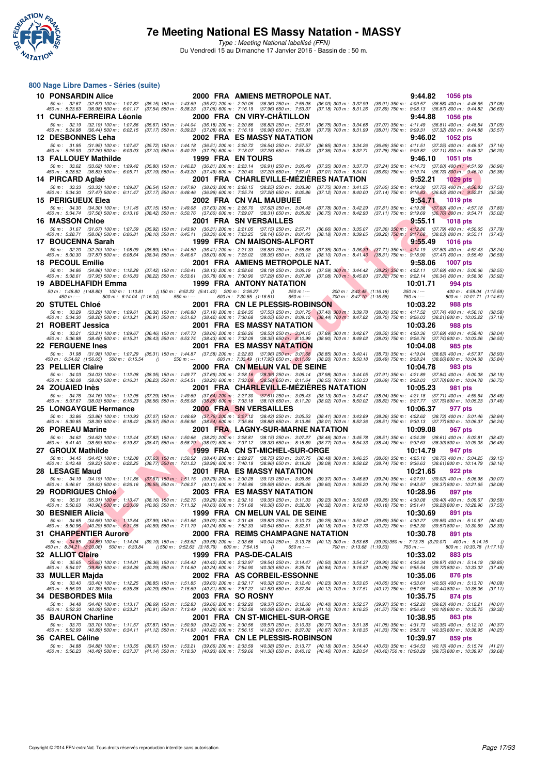

#### **800 Nage Libre Dames - Séries (suite)**

| <b>10 PONSARDIN Alice</b>         |                                                                                                                                                                                                                                                                                                                                                                          |                           |          |                                                      |                           |                                                     |                          | 2000 FRA AMIENS METROPOLE NAT.                                                                                                                                                                                                                                                                                     |                              |                                                                                                                                                                                                                                                                                                                  |                                                      |                                                                                                                    | 9:44.82                  | 1056 pts                                             |                                                       |                    |
|-----------------------------------|--------------------------------------------------------------------------------------------------------------------------------------------------------------------------------------------------------------------------------------------------------------------------------------------------------------------------------------------------------------------------|---------------------------|----------|------------------------------------------------------|---------------------------|-----------------------------------------------------|--------------------------|--------------------------------------------------------------------------------------------------------------------------------------------------------------------------------------------------------------------------------------------------------------------------------------------------------------------|------------------------------|------------------------------------------------------------------------------------------------------------------------------------------------------------------------------------------------------------------------------------------------------------------------------------------------------------------|------------------------------------------------------|--------------------------------------------------------------------------------------------------------------------|--------------------------|------------------------------------------------------|-------------------------------------------------------|--------------------|
|                                   | 50 m: 32.67 (32.67) 100 m: 1:07.82 (35.15) 150 m: 1:43.69<br>450 m : 5:23.63 (36.98) 500 m : 6:01.17                                                                                                                                                                                                                                                                     |                           |          |                                                      |                           |                                                     |                          | $(35.87)$ 200 m : 2:20.05 $(36.36)$ 250 m : 2:56.08<br>(37.54) 550 m : 6:38.23 (37.06) 600 m : 7:16.19 (37.96) 650 m : 7:53.37                                                                                                                                                                                     |                              | $(36.03)$ 300 m : 3:32.99<br>$(37.18)$ 700 m : $8.31.26$                                                                                                                                                                                                                                                         |                                                      | (36.91) 350 m: 4:09.57 (36.58) 400 m: 4:46.65<br>(37.89) 750 m : 9:08.13 (36.87) 800 m : 9:44.82                   |                          |                                                      |                                                       | (37.08)<br>(36.69) |
|                                   | 11 CUNHA-FERREIRA Léonie                                                                                                                                                                                                                                                                                                                                                 |                           |          |                                                      |                           |                                                     |                          | 2000 FRA CN VIRY-CHATILLON                                                                                                                                                                                                                                                                                         |                              |                                                                                                                                                                                                                                                                                                                  |                                                      |                                                                                                                    | 9:44.88                  |                                                      | <b>1056 pts</b>                                       |                    |
|                                   | 50 m: 32.19 (32.19) 100 m: 1:07.86                                                                                                                                                                                                                                                                                                                                       |                           |          |                                                      |                           |                                                     |                          | (35.67) 150 m: 1:44.04 (36.18) 200 m: 2:20.86 (36.82) 250 m: 2:57.61                                                                                                                                                                                                                                               |                              | $(36.75)$ 300 m : 3:34.68                                                                                                                                                                                                                                                                                        |                                                      | (37.07) 350 m: 4:11.49 (36.81) 400 m: 4:48.54                                                                      |                          |                                                      |                                                       | (37.05)            |
| 12 DESBONNES Leha                 | 450 m: 5:24.98 (36.44) 500 m: 6:02.15                                                                                                                                                                                                                                                                                                                                    |                           |          |                                                      |                           |                                                     |                          | (37.17) 550 m : 6:39.23 (37.08) 600 m : 7:16.19 (36.96) 650 m : 7:53.98<br>2002 FRA ES MASSY NATATION                                                                                                                                                                                                              |                              | $(37.79)$ 700 m : 8:31.99                                                                                                                                                                                                                                                                                        |                                                      | (38.01) 750 m : 9:09.31 (37.32) 800 m : 9:44.88                                                                    | 9:46.02                  |                                                      | 1052 pts                                              | (35.57)            |
|                                   | 50 m: 31.95 (31.95) 100 m: 1:07.67                                                                                                                                                                                                                                                                                                                                       |                           |          |                                                      |                           |                                                     |                          | (35.72) 150 m: 1:44.18 (36.51) 200 m: 2:20.72 (36.54) 250 m: 2:57.57                                                                                                                                                                                                                                               |                              | $(36.85)$ 300 m : 3:34.26                                                                                                                                                                                                                                                                                        |                                                      | (36.69) 350 m: 4:11.51 (37.25) 400 m: 4:48.67                                                                      |                          |                                                      |                                                       | (37.16)            |
|                                   | 450 m: 5:25.93 (37.26) 500 m: 6:03.03                                                                                                                                                                                                                                                                                                                                    |                           |          |                                                      |                           |                                                     |                          | (37.10) 550 m: 6:40.79 (37.76) 600 m: 7:18.07 (37.28) 650 m: 7:55.43                                                                                                                                                                                                                                               |                              | $(37.36)$ 700 m : 8:32.71                                                                                                                                                                                                                                                                                        |                                                      | (37.28) 750 m : 9:09.82 (37.11) 800 m : 9:46.02                                                                    |                          |                                                      |                                                       | (36.20)            |
| 50 m : 33.62                      | 13 FALLOUEY Mathilde<br>(33.62) 100 m : 1:09.42 (35.80) 150 m : 1:46.23 (36.81) 200 m : 2:23.14 (36.91) 250 m : 3:00.49                                                                                                                                                                                                                                                  |                           |          |                                                      |                           | 1999 FRA EN TOURS                                   |                          |                                                                                                                                                                                                                                                                                                                    |                              | (37.35) 300 m : 3:37.73                                                                                                                                                                                                                                                                                          |                                                      | (37.24) 350 m: 4:14.73 (37.00) 400 m: 4:51.69                                                                      | 9:46.10                  |                                                      | <b>1051 pts</b>                                       | (36.96)            |
| 450 m : 5:28.52                   | (36.83) 500 m : 6.05.71                                                                                                                                                                                                                                                                                                                                                  |                           |          |                                                      |                           |                                                     |                          |                                                                                                                                                                                                                                                                                                                    |                              | (37.19) 550 m : 6:43.20 (37.49) 600 m : 7:20.40 (37.20) 650 m : 7:57.41 (37.01) 700 m : 8:34.01                                                                                                                                                                                                                  |                                                      | (36.60) 750 m : 9:10.74 (36.73) 800 m : 9:46.10                                                                    |                          |                                                      |                                                       | (35.36)            |
| 14 PIRCARD Aglae                  |                                                                                                                                                                                                                                                                                                                                                                          |                           |          |                                                      |                           |                                                     |                          |                                                                                                                                                                                                                                                                                                                    |                              | 2001 FRA CHARLEVILLE-MEZIERES NATATION                                                                                                                                                                                                                                                                           |                                                      |                                                                                                                    | 9:52.21                  |                                                      | <b>1029 pts</b>                                       |                    |
|                                   | 50 m : 33.33 (33.33) 100 m : 1:09.87<br>450 m : 5:34.30 (37.47) 500 m : 6:11.47                                                                                                                                                                                                                                                                                          |                           |          |                                                      |                           |                                                     |                          | $\begin{array}{cccc} (36.54) \ 150 \ m \colon \ \ 1.47.90 \quad \  \  (38.03) \ 200 \ m \colon \ \ 2.26.15 \quad \  \  (38.25) \ 250 \ m \colon \ \ 3.03.90 \\ (37.17) \ 550 \ m \colon \ \ 6.48.46 \quad \  \  (36.99) \ 600 \ m \colon \ \ 7.25.74 \quad \  \  (37.28) \ 650 \ m \colon \ \ 8.02.86 \end{array}$ |                              | $(37.75)$ 300 m : 3:41.55<br>$(37.12)$ 700 m : 8:40.00                                                                                                                                                                                                                                                           |                                                      | $(37.65)$ 350 m : 4:19.30 $(37.75)$ 400 m : 4:56.83<br>$(37.14)$ 750 m : $9.16.83$ $(36.83)$ 800 m : $9.52.21$     |                          |                                                      |                                                       | (37.53)<br>(35.38) |
| <b>15 PERIGUEUX Elea</b>          |                                                                                                                                                                                                                                                                                                                                                                          |                           |          |                                                      |                           |                                                     |                          | 2002 FRA CN VAL MAUBUEE                                                                                                                                                                                                                                                                                            |                              |                                                                                                                                                                                                                                                                                                                  |                                                      |                                                                                                                    | 9:54.71                  |                                                      | <b>1019 pts</b>                                       |                    |
|                                   | 50 m: 34.30 (34.30) 100 m: 1:11.45 (37.15) 150 m: 1:49.08 (37.63) 200 m: 2:26.70 (37.62) 250 m: 3:04.48<br>450 m : 5:34.74 (37.56) 500 m : 6:13.16 (38.42) 550 m : 6:50.76 (37.60) 600 m : 7:29.07 (38.31) 650 m : 8:05.82                                                                                                                                               |                           |          |                                                      |                           |                                                     |                          |                                                                                                                                                                                                                                                                                                                    |                              | $(37.78)$ 300 m : 3:42.29<br>(36.75) 700 m : 8:42.93                                                                                                                                                                                                                                                             |                                                      | $(37.81)$ 350 m : 4:19.38<br>(37.11) 750 m : 9:19.69 (36.76) 800 m : 9:54.71                                       |                          | $(37.09)$ 400 m : 4:57.18                            |                                                       | (37.80)<br>(35.02) |
| <b>16 MASSON Chloe</b>            |                                                                                                                                                                                                                                                                                                                                                                          |                           |          |                                                      |                           |                                                     |                          | 2001 FRA SN VERSAILLES                                                                                                                                                                                                                                                                                             |                              |                                                                                                                                                                                                                                                                                                                  |                                                      |                                                                                                                    | 9:55.11                  |                                                      | 1018 pts                                              |                    |
|                                   | 50 m: 31.67 (31.67) 100 m: 1:07.59                                                                                                                                                                                                                                                                                                                                       |                           |          |                                                      |                           |                                                     |                          | (35.92) 150 m: 1:43.90 (36.31) 200 m: 2:21.05 (37.15) 250 m: 2:57.71                                                                                                                                                                                                                                               |                              | $(36.66)$ 300 m : 3:35.07                                                                                                                                                                                                                                                                                        |                                                      | $(37.36)$ 350 m : 4:12.86 $(37.79)$ 400 m : 4:50.65                                                                |                          |                                                      |                                                       | (37.79)            |
| 17 BOUCENNA Sarah                 | 450 m : 5:28.71 (38.06) 500 m : 6:06.81                                                                                                                                                                                                                                                                                                                                  |                           |          |                                                      |                           |                                                     |                          | (38.10) 550 m: 6:45.11 (38.30) 600 m: 7:23.25 (38.14) 650 m: 8:01.43<br>1999 FRA CN MAISONS-ALFORT                                                                                                                                                                                                                 |                              | $(38.18)$ 700 m : 8:39.65                                                                                                                                                                                                                                                                                        |                                                      | (38.22) 750 m: 9:17.68 (38.03) 800 m: 9:55.11                                                                      | 9:55.49                  |                                                      | <b>1016 pts</b>                                       | (37.43)            |
|                                   | 50 m: 32.20 (32.20) 100 m: 1:08.09                                                                                                                                                                                                                                                                                                                                       |                           |          |                                                      | $(35.89)$ 150 m : 1:44.50 |                                                     |                          | (36.41) 200 m : 2:21.33 (36.83) 250 m : 2:58.68                                                                                                                                                                                                                                                                    |                              |                                                                                                                                                                                                                                                                                                                  |                                                      | $(37.35)$ 300 m : $3.36.39$ $(37.71)$ 350 m : 4:14.19                                                              |                          | $(37.80)$ 400 m : 4:52.43                            |                                                       | (38.24)            |
|                                   | 450 m : 5:30.30 (37.87) 500 m : 6:08.64                                                                                                                                                                                                                                                                                                                                  |                           |          | (38.34) 550 m : 6:46.67                              |                           |                                                     |                          | $(38.03)$ 600 m : 7:25.02 $(38.35)$ 650 m : 8:03.12                                                                                                                                                                                                                                                                |                              |                                                                                                                                                                                                                                                                                                                  |                                                      | (38.10) 700 m : 8:41.43 (38.31) 750 m : 9:18.90                                                                    |                          | $(37.47)$ 800 m : 9:55.49                            |                                                       | (36.59)            |
| 18 PECOUL Emilie                  | 50 m: 34.86 (34.86) 100 m: 1:12.28                                                                                                                                                                                                                                                                                                                                       |                           |          |                                                      |                           |                                                     |                          | 2001 FRA AMIENS METROPOLE NAT.<br>(37.42) 150 m: 1:50.41 (38.13) 200 m: 2:28.60 (38.19) 250 m: 3:06.19                                                                                                                                                                                                             |                              | $(37.59)$ 300 m : 3:44.42                                                                                                                                                                                                                                                                                        |                                                      | (38.23) 350 m : 4:22.11 (37.69) 400 m : 5:00.66                                                                    | 9:58.06                  |                                                      | <b>1007 pts</b>                                       | (38.55)            |
|                                   | 450 m : 5:38.61 (37.95) 500 m : 6:16.83 (38.22) 550 m : 6:53.61 (36.78) 600 m : 7:30.90 (37.29) 650 m : 8:07.98                                                                                                                                                                                                                                                          |                           |          |                                                      |                           |                                                     |                          |                                                                                                                                                                                                                                                                                                                    |                              | (37.08) 700 m : 8:45.80 (37.82) 750 m : 9:22.14 (36.34) 800 m : 9:58.06                                                                                                                                                                                                                                          |                                                      |                                                                                                                    |                          |                                                      |                                                       | (35.92)            |
|                                   | 19 ABDELHAFIDH Emma                                                                                                                                                                                                                                                                                                                                                      |                           |          |                                                      |                           |                                                     |                          | <b>1999 FRA ANTONY NATATION</b>                                                                                                                                                                                                                                                                                    |                              |                                                                                                                                                                                                                                                                                                                  |                                                      |                                                                                                                    | 10:01.71                 |                                                      | 994 pts                                               |                    |
| $450 m : -$                       | 50 m: 1:48.80 (1:48.80) 100 m: 1:10.81                                                                                                                                                                                                                                                                                                                                   | 500 m : 6:14.04 (1:16.00) |          |                                                      | $550 m: -$                | () 150 m : 6:52.23 (5:41.42) 200 m : 2:26.27        | 600 m: 7:30.55 (1:16.51) | $\theta$                                                                                                                                                                                                                                                                                                           | 250 m : ---<br>$650 m$ : --- |                                                                                                                                                                                                                                                                                                                  | 300 m: 3:42.45 (1:16.18)<br>700 m: 8:47.10 (1:16.55) |                                                                                                                    | $350 m: -$<br>$750 m: -$ |                                                      | 400 m: 4:58.04 (1:15.59)<br>800 m: 10:01.71 (1:14.61) |                    |
| <b>20 STUTEL Chloé</b>            |                                                                                                                                                                                                                                                                                                                                                                          |                           |          |                                                      |                           |                                                     |                          | 2001 FRA CN LE PLESSIS-ROBINSON                                                                                                                                                                                                                                                                                    |                              |                                                                                                                                                                                                                                                                                                                  |                                                      |                                                                                                                    | 10:03.22                 |                                                      | 988 pts                                               |                    |
|                                   | 50 m: 33.29 (33.29) 100 m: 1:09.61 (36.32) 150 m: 1:46.80 (37.19) 200 m: 2:24.35 (37.55) 250 m: 3:01.75 (37.40) 300 m: 3:39.78 (38.03) 350 m: 4:17.52 (37.74) 400 m: 4:56.10<br>450 m : 5:34.30 (38.20) 500 m : 6:13.21 (38.91) 550 m : 6:51.63 (38.42) 600 m : 7:30.68 (39.05) 650 m : 8:09.12 (38.44) 700 m : 8:47.82                                                  |                           |          |                                                      |                           |                                                     |                          |                                                                                                                                                                                                                                                                                                                    |                              |                                                                                                                                                                                                                                                                                                                  |                                                      | (38.70) 750 m : 9:26.03 (38.21) 800 m : 10:03.22                                                                   |                          |                                                      |                                                       | (38.58)<br>(37.19) |
| 21 ROBERT Jessica                 |                                                                                                                                                                                                                                                                                                                                                                          |                           |          |                                                      |                           |                                                     |                          | <b>2001 FRA ES MASSY NATATION</b>                                                                                                                                                                                                                                                                                  |                              |                                                                                                                                                                                                                                                                                                                  |                                                      |                                                                                                                    | 10:03.26                 |                                                      | 988 pts                                               |                    |
|                                   | 50 m : 33.21 (33.21) 100 m : 1:09.67                                                                                                                                                                                                                                                                                                                                     |                           |          |                                                      |                           |                                                     |                          | $(36.46) 150\ m: 1:47.73\quad (38.06) 200\ m: 2:26.26\quad (38.53) 250\ m: 3:04.15$                                                                                                                                                                                                                                |                              | $(37.89)$ 300 m : 3:42.67                                                                                                                                                                                                                                                                                        |                                                      | (38.52) 350 m : 4:20.36 (37.69) 400 m : 4:58.40                                                                    |                          |                                                      |                                                       | (38.04)            |
| <b>22 FERGUENE Ines</b>           | 450 m : 5:36.88 (38.48) 500 m : 6:15.31                                                                                                                                                                                                                                                                                                                                  |                           |          |                                                      |                           | $(38.43)$ 550 m : 6:53.74 $(38.43)$ 600 m : 7:32.09 |                          | $(38.35)$ 650 m : 8:10.99<br>2001 FRA ES MASSY NATATION                                                                                                                                                                                                                                                            |                              | $(38.90)$ 700 m : 8:49.02                                                                                                                                                                                                                                                                                        |                                                      | (38.03) 750 m : 9:26.76 (37.74) 800 m : 10:03.26                                                                   | 10:04.08                 |                                                      | 985 pts                                               | (36.50)            |
|                                   | 50 m: 31.98 (31.98) 100 m: 1:07.29 (35.31) 150 m: 1:44.87 (37.58) 200 m: 2:22.83 (37.96) 250 m: 3:01.68                                                                                                                                                                                                                                                                  |                           |          |                                                      |                           |                                                     |                          |                                                                                                                                                                                                                                                                                                                    |                              | $(38.85)$ 300 m : 3:40.41                                                                                                                                                                                                                                                                                        |                                                      | (38.73) 350 m : 4:19.04 (38.63) 400 m : 4:57.97                                                                    |                          |                                                      |                                                       | (38.93)            |
|                                   | 450 m: 6:54.62 (1:56.65) 500 m: 6:15.54                                                                                                                                                                                                                                                                                                                                  |                           | $\theta$ |                                                      | $550 m: -$                |                                                     |                          | 600 m: 7:33.49 (1:17.95) 650 m: 8:11.69                                                                                                                                                                                                                                                                            |                              | $(38.20)$ 700 m : 8:50.18                                                                                                                                                                                                                                                                                        |                                                      | (38.49) 750 m : 9:28.24 (38.06) 800 m : 10:04.08                                                                   |                          |                                                      |                                                       | (35.84)            |
| 23 PELLIER Claire<br>50 m : 34.03 | (34.03) 100 m : 1:12.08                                                                                                                                                                                                                                                                                                                                                  |                           |          |                                                      |                           |                                                     |                          | 2000 FRA  CN MELUN VAL DE SEINE                                                                                                                                                                                                                                                                                    |                              |                                                                                                                                                                                                                                                                                                                  |                                                      | (37.91) 350 m: 4:21.89 (37.84) 400 m: 5:00.08                                                                      | 10:04.78                 |                                                      | 983 pts                                               | (38.19)            |
|                                   | 450 m : 5:38.08 (38.00) 500 m : 6:16.31                                                                                                                                                                                                                                                                                                                                  |                           |          |                                                      |                           |                                                     |                          |                                                                                                                                                                                                                                                                                                                    |                              | $\begin{array}{cccc} (38.05) \ 150 \ m : & \ 1.49.77 & (37.69) \ 200 \ m : & \ 2.28.16 & (38.39) \ 250 \ m : & \ 3.06.14 & (37.98) \ 300 \ m : & \ 3.44.05 \\ (38.23) \ 550 \ m : & \ 6.54.51 & (38.20) \ 600 \ m : & \ 7.33.09 & (38.58) \ 650 \ m : & \ 8.11.64 & (38.55) \ 700 \ m : & \ 8.50.33 \end{array}$ |                                                      | (38.69) 750 m : 9:28.03 (37.70) 800 m : 10:04.78                                                                   |                          |                                                      |                                                       | (36.75)            |
| 24 ZOUAIED Ines                   |                                                                                                                                                                                                                                                                                                                                                                          |                           |          |                                                      |                           |                                                     |                          |                                                                                                                                                                                                                                                                                                                    |                              | 2001 FRA CHARLEVILLE-MEZIERES NATATION                                                                                                                                                                                                                                                                           |                                                      |                                                                                                                    | 10:05.23                 |                                                      | 981 pts                                               |                    |
|                                   | 50 m: 34.76 (34.76) 100 m: 1:12.05<br>450 m: 5:37.67 (38.03) 500 m: 6:16.23                                                                                                                                                                                                                                                                                              |                           |          |                                                      |                           |                                                     |                          |                                                                                                                                                                                                                                                                                                                    |                              | $(37.29)$ 150 m : 1:49.69 $(37.64)$ 200 m : 2:27.30 $(37.61)$ 250 m : 3:05.43 $(38.13)$ 300 m : 3:43.47<br>(38.56) 550 m : 6:55.08 (38.85) 600 m : 7:33.18 (38.10) 650 m : 8:11.20 (38.02) 700 m : 8:50.02                                                                                                       |                                                      | (38.04) 350 m : 4:21.18 (37.71) 400 m : 4:59.64<br>(38.82) 750 m : 9:27.77 (37.75) 800 m : 10:05.23                |                          |                                                      |                                                       | (38.46)<br>(37.46) |
|                                   | 25 LONGAYGUE Hermance                                                                                                                                                                                                                                                                                                                                                    |                           |          |                                                      |                           |                                                     |                          | <b>2000 FRA SN VERSAILLES</b>                                                                                                                                                                                                                                                                                      |                              |                                                                                                                                                                                                                                                                                                                  |                                                      |                                                                                                                    | 10:06.37                 |                                                      | 977 pts                                               |                    |
|                                   | 50 m: 33.86 (33.86) 100 m: 1:10.93<br>450 m : 5:39.85 (38.39) 500 m : 6:18.42                                                                                                                                                                                                                                                                                            |                           |          | (37.07) 150 m : 1:48.69<br>$(38.57)$ 550 m : 6:56.96 |                           |                                                     |                          | $(37.76)$ 200 m : 2:27.12 $(38.43)$ 250 m : 3:05.53                                                                                                                                                                                                                                                                |                              | $(38.41)$ 300 m : 3:43.89<br>(38.54) 600 m : 7:35.84 (38.88) 650 m : 8:13.85 (38.01) 700 m : 8:52.36                                                                                                                                                                                                             |                                                      | (38.36) 350 m: 4:22.62 (38.73) 400 m: 5:01.46<br>(38.51) 750 m: 9:30.13 (37.77) 800 m: 10:06.37                    |                          |                                                      |                                                       | (38.84)<br>(36.24) |
| 26 POREAU Marine                  |                                                                                                                                                                                                                                                                                                                                                                          |                           |          |                                                      |                           |                                                     |                          |                                                                                                                                                                                                                                                                                                                    |                              | 2001 FRA LAGNY-SUR-MARNE NATATION                                                                                                                                                                                                                                                                                |                                                      |                                                                                                                    | 10:09.08                 |                                                      | 967 pts                                               |                    |
|                                   | 50 m: 34.62 (34.62) 100 m: 1:12.44<br>450 m: 5:41.40 (38.59) 500 m: 6:19.87                                                                                                                                                                                                                                                                                              |                           |          | $(38.47)$ 550 m : 6:58.79                            |                           |                                                     |                          | (38.92) 600 m : 7:37.12 (38.33) 650 m : 8:15.89                                                                                                                                                                                                                                                                    |                              | (37.82) 150 m : 1:50.66 (38.22) 200 m : 2:28.81 (38.15) 250 m : 3:07.27 (38.46) 300 m : 3:45.78<br>(38.77) 700 m : 8:54.33                                                                                                                                                                                       |                                                      | (38.51) 350 m : 4:24.39<br>(38.44) 750 m : 9:32.63                                                                 |                          | $(38.61)$ 400 m : 5:02.81<br>(38.30)800 m : 10:09.08 |                                                       | (38.42)<br>(36.45) |
| 27 GROUX Mathilde                 |                                                                                                                                                                                                                                                                                                                                                                          |                           |          |                                                      |                           |                                                     |                          | 1999 FRA CN ST-MICHEL-SUR-ORGE                                                                                                                                                                                                                                                                                     |                              |                                                                                                                                                                                                                                                                                                                  |                                                      |                                                                                                                    | 10:14.79                 |                                                      | 947 pts                                               |                    |
| 50 m: 34.45                       | $(34.45)$ 100 m : 1:12.08                                                                                                                                                                                                                                                                                                                                                |                           |          | $(37.63)$ 150 m : 1:50.52                            |                           |                                                     |                          | (38.44) 200 m : 2:29.27 (38.75) 250 m : 3:07.75                                                                                                                                                                                                                                                                    |                              | $(38.48)$ 300 m : 3:46.35                                                                                                                                                                                                                                                                                        |                                                      | $(38.60)$ 350 m : 4:25.10                                                                                          |                          | $(38.75)$ 400 m : 5:04.25                            |                                                       | (39.15)            |
| 28 LESAGE Maud                    | 450 m: 5:43.48 (39.23) 500 m: 6:22.25                                                                                                                                                                                                                                                                                                                                    |                           |          | $(38.77)$ 550 m : 7:01.23                            |                           |                                                     |                          | (38.98) 600 m : 7:40.19 (38.96) 650 m : 8:19.28<br>2001 FRA ES MASSY NATATION                                                                                                                                                                                                                                      |                              | $(39.09)$ 700 m : 8:58.02                                                                                                                                                                                                                                                                                        |                                                      | $(38.74)$ 750 m : $9:36.63$                                                                                        | 10:21.65                 | $(38.61)800 \text{ m}$ : 10:14.79                    | 922 pts                                               | (38.16)            |
|                                   | 50 m: 34.19 (34.19) 100 m: 1:11.86 (37.67) 150 m: 1:51.15 (39.29) 200 m: 2:30.28 (39.13) 250 m: 3:09.65                                                                                                                                                                                                                                                                  |                           |          |                                                      |                           |                                                     |                          |                                                                                                                                                                                                                                                                                                                    |                              | $(39.37)$ 300 m : 3:48.89                                                                                                                                                                                                                                                                                        |                                                      | (39.24) 350 m : 4:27.91                                                                                            |                          | $(39.02)$ 400 m : 5:06.98                            |                                                       | (39.07)            |
|                                   | 450 m : 5:46.61 (39.63) 500 m : 6:26.16 (39.55) 550 m : 7:06.27 (40.11) 600 m : 7:45.86 (39.59) 650 m : 8:25.46                                                                                                                                                                                                                                                          |                           |          |                                                      |                           |                                                     |                          |                                                                                                                                                                                                                                                                                                                    |                              | $(39.60)$ 700 m : $9.05.20$                                                                                                                                                                                                                                                                                      |                                                      | (39.74) 750 m: 9:43.57 (38.37) 800 m: 10:21.65                                                                     |                          |                                                      |                                                       | (38.08)            |
| <b>29 RODRIGUES Chloé</b>         | 50 m: 35.31 (35.31) 100 m: 1:13.47 (38.16) 150 m: 1:52.75 (39.28) 200 m: 2:32.10 (39.35) 250 m: 3:11.33 (39.23) 300 m: 3:50.68                                                                                                                                                                                                                                           |                           |          |                                                      |                           |                                                     |                          | <b>2003 FRA ES MASSY NATATION</b>                                                                                                                                                                                                                                                                                  |                              |                                                                                                                                                                                                                                                                                                                  |                                                      | (39.35) 350 m : 4:30.08 (39.40) 400 m : 5:09.67                                                                    | 10:28.96                 |                                                      | 897 pts                                               | (39.59)            |
|                                   | 450 m : 5:50.63 (40.96) 500 m : 6:30.69 (40.06) 550 m : 7:11.32 (40.63) 600 m : 7:51.68 (40.36) 650 m : 8:32.00 (40.32) 700 m : 9:12.18                                                                                                                                                                                                                                  |                           |          |                                                      |                           |                                                     |                          |                                                                                                                                                                                                                                                                                                                    |                              |                                                                                                                                                                                                                                                                                                                  |                                                      | (40.18) 750 m : 9:51.41 (39.23) 800 m : 10:28.96                                                                   |                          |                                                      |                                                       | (37.55)            |
| 30 BESNIER Alicia                 |                                                                                                                                                                                                                                                                                                                                                                          |                           |          |                                                      |                           |                                                     |                          | 1999 FRA CN MELUN VAL DE SEINE                                                                                                                                                                                                                                                                                     |                              |                                                                                                                                                                                                                                                                                                                  |                                                      |                                                                                                                    | 10:30.69                 |                                                      | 891 pts                                               |                    |
|                                   | 50 m: 34.65 (34.65) 100 m: 1:12.64 (37.99) 150 m: 1:51.66 (39.02) 200 m: 2:31.48 (39.82) 250 m: 3:10.73 (39.25) 300 m: 3:50.42 (39.69) 350 m: 4:30.27 (39.85) 400 m: 5:10.67<br>450 m : 5:50.96 (40.29) 500 m : 6:31.55 (40.59) 550 m : 7:11.79 (40.24) 600 m : 7:52.33 (40.54) 650 m : 8:32.51 (40.18) 700 m : 9:12.73 (40.22) 750 m : 9:52.30 (39.57) 800 m : 10:30.69 |                           |          |                                                      |                           |                                                     |                          |                                                                                                                                                                                                                                                                                                                    |                              |                                                                                                                                                                                                                                                                                                                  |                                                      |                                                                                                                    |                          |                                                      |                                                       | (40.40)<br>(38.39) |
|                                   | 31 CHARPENTIER Aurore                                                                                                                                                                                                                                                                                                                                                    |                           |          |                                                      |                           |                                                     |                          |                                                                                                                                                                                                                                                                                                                    |                              | 2000 FRA REIMS CHAMPAGNE NATATION                                                                                                                                                                                                                                                                                |                                                      |                                                                                                                    | 10:30.78                 |                                                      | 891 pts                                               |                    |
|                                   | 50 m: 34.85 (34.85) 100 m: 1:14.04 (39.19) 150 m: 1:53.62 (39.58) 200 m: 2:33.66 (40.04) 250 m: 3:13.78 (40.12) 300 m: 3:53.68 (39.90) 350 m: 7:13.75 (3:20.07) 400 m: 5:14.15<br>450 m : 8:34.21 (3:20.06) 500 m : 6:33.84                                                                                                                                              |                           |          |                                                      |                           | () 550 m : 9:52.63 (3:18.79) 600 m : 7:54.15        |                          | $\overline{0}$                                                                                                                                                                                                                                                                                                     | 650 m : ---                  |                                                                                                                                                                                                                                                                                                                  | 700 m: 9:13.68 (1:19.53)                             |                                                                                                                    | 750 m : ---              |                                                      | 800 m: 10:30.78 (1:17.10)                             | $\theta$           |
| 32 ALLIOT Claire                  |                                                                                                                                                                                                                                                                                                                                                                          |                           |          |                                                      |                           |                                                     |                          | 1999 FRA PAS-DE-CALAIS                                                                                                                                                                                                                                                                                             |                              |                                                                                                                                                                                                                                                                                                                  |                                                      |                                                                                                                    | 10:33.02                 |                                                      | 883 pts                                               |                    |
|                                   | 50 m : 35.65 (35.65) 100 m : 1:14.01 (38.36) 150 m : 1:54.43 (40.42) 200 m : 2:33.97 (39.54) 250 m : 3:14.47 (40.50) 300 m : 3:54.37                                                                                                                                                                                                                                     |                           |          |                                                      |                           |                                                     |                          |                                                                                                                                                                                                                                                                                                                    |                              | (40.84) 700 m : 9:15.82                                                                                                                                                                                                                                                                                          |                                                      | (39.90) 350 m : 4:34.34 (39.97) 400 m : 5:14.19                                                                    |                          |                                                      |                                                       | (39.85)            |
| 33   MULLER Majda                 | 450 m : 5:54.07 (39.88) 500 m : 6:34.36 (40.29) 550 m : 7:14.60 (40.24) 600 m : 7:54.90 (40.30) 650 m : 8:35.74                                                                                                                                                                                                                                                          |                           |          |                                                      |                           |                                                     |                          | 2002 FRA AS CORBEIL-ESSONNE                                                                                                                                                                                                                                                                                        |                              |                                                                                                                                                                                                                                                                                                                  |                                                      | (40.08) 750 m: 9:55.54 (39.72) 800 m: 10:33.02                                                                     | 10:35.06                 |                                                      | 876 pts                                               | (37.48)            |
|                                   | 50 m: 33.40 (33.40) 100 m: 1:12.25                                                                                                                                                                                                                                                                                                                                       |                           |          |                                                      |                           |                                                     |                          | (38.85) 150 m: 1:51.85 (39.60) 200 m: 2:32.17 (40.32) 250 m: 3:12.40                                                                                                                                                                                                                                               |                              | $(40.23)$ 300 m : 3:53.05                                                                                                                                                                                                                                                                                        |                                                      | (40.65) 350 m : 4:33.61                                                                                            |                          | $(40.56)$ 400 m : 5:13.70                            |                                                       | (40.09)            |
|                                   | 450 m: 5:55.09 (41.39) 500 m: 6:35.38                                                                                                                                                                                                                                                                                                                                    |                           |          |                                                      |                           |                                                     |                          | (40.29) 550 m: 7:15.69 (40.31) 600 m: 7:57.22 (41.53) 650 m: 8:37.34                                                                                                                                                                                                                                               |                              | $(40.12)$ 700 m : 9:17.51                                                                                                                                                                                                                                                                                        |                                                      | (40.17) 750 m : 9:57.95 (40.44) 800 m : 10:35.06                                                                   | 10:35.75                 |                                                      |                                                       | (37.11)            |
| 34 DESBORDES Mila                 | 50 m : 34.48 (34.48) 100 m : 1:13.17 (38.69) 150 m : 1:52.83 (39.66) 200 m : 2:32.20 (39.37) 250 m : 3:12.60 (40.40) 300 m : 3:52.57                                                                                                                                                                                                                                     |                           |          |                                                      |                           | 2003 FRA SO ROSNY                                   |                          |                                                                                                                                                                                                                                                                                                                    |                              |                                                                                                                                                                                                                                                                                                                  |                                                      | (39.97) 350 m : 4:32.20 (39.63) 400 m : 5:12.21                                                                    |                          |                                                      | 874 pts                                               | (40.01)            |
|                                   | 450 m : 5:52.30 (40.09) 500 m : 6:33.21 (40.91) 550 m : 7:13.49 (40.28) 600 m : 7:53.58 (40.09) 650 m : 8:34.68 (41.10) 700 m : 9:16.25                                                                                                                                                                                                                                  |                           |          |                                                      |                           |                                                     |                          |                                                                                                                                                                                                                                                                                                                    |                              |                                                                                                                                                                                                                                                                                                                  |                                                      | (41.57) 750 m : 9:56.43 (40.18) 800 m : 10:35.75                                                                   |                          |                                                      |                                                       | (39.32)            |
| 35 BAURON Charline                |                                                                                                                                                                                                                                                                                                                                                                          |                           |          |                                                      |                           |                                                     |                          | 2001 FRA CN ST-MICHEL-SUR-ORGE                                                                                                                                                                                                                                                                                     |                              |                                                                                                                                                                                                                                                                                                                  |                                                      |                                                                                                                    | 10:38.95                 |                                                      | 863 pts                                               |                    |
|                                   | 50 m: 33.70 (33.70) 100 m: 1:11.57 (37.87) 150 m: 1:50.99 (39.42) 200 m: 2:30.56 (39.57) 250 m: 3:10.33 (39.77) 300 m: 3:51.38<br>450 m : 5:52.99 (40.89) 500 m : 6:34.11                                                                                                                                                                                                |                           |          |                                                      |                           |                                                     |                          |                                                                                                                                                                                                                                                                                                                    |                              | (41.12) 550 m : 7:14.93 (40.82) 600 m : 7:56.15 (41.22) 650 m : 8:37.02 (40.87) 700 m : 9:18.35                                                                                                                                                                                                                  |                                                      | (41.05) 350 m : 4:31.73 (40.35) 400 m : 5:12.10<br>(41.33) 750 m : 9:58.70 (40.35) 800 m : 10:38.95                |                          |                                                      |                                                       | (40.37)<br>(40.25) |
| 36 CAREL Céline                   |                                                                                                                                                                                                                                                                                                                                                                          |                           |          |                                                      |                           |                                                     |                          | 2001 FRA CN LE PLESSIS-ROBINSON                                                                                                                                                                                                                                                                                    |                              |                                                                                                                                                                                                                                                                                                                  |                                                      |                                                                                                                    | 10:39.97                 |                                                      | 859 pts                                               |                    |
|                                   | 50 m : 34.88 (34.88) 100 m : 1:13.55 (38.67) 150 m : 1:53.21 (39.66) 200 m : 2:33.59 (40.38) 250 m : 3:13.77 (40.18) 300 m : 3:54.40<br>450 m : 5:56.23 (40.49) 500 m : 6:37.37 (41.14) 550 m : 7:18.30 (40.93) 600 m : 7:59.66 (41.36) 650 m : 8:40.12 (40.46) 700 m : 9:20.54                                                                                          |                           |          |                                                      |                           |                                                     |                          |                                                                                                                                                                                                                                                                                                                    |                              |                                                                                                                                                                                                                                                                                                                  |                                                      | (40.63) 350 m: 4:34.53 (40.13) 400 m: 5:15.74 (41.21)<br>(40.42) 750 m : 10:00.29 (39.75) 800 m : 10:39.97 (39.68) |                          |                                                      |                                                       |                    |
|                                   |                                                                                                                                                                                                                                                                                                                                                                          |                           |          |                                                      |                           |                                                     |                          |                                                                                                                                                                                                                                                                                                                    |                              |                                                                                                                                                                                                                                                                                                                  |                                                      |                                                                                                                    |                          |                                                      |                                                       |                    |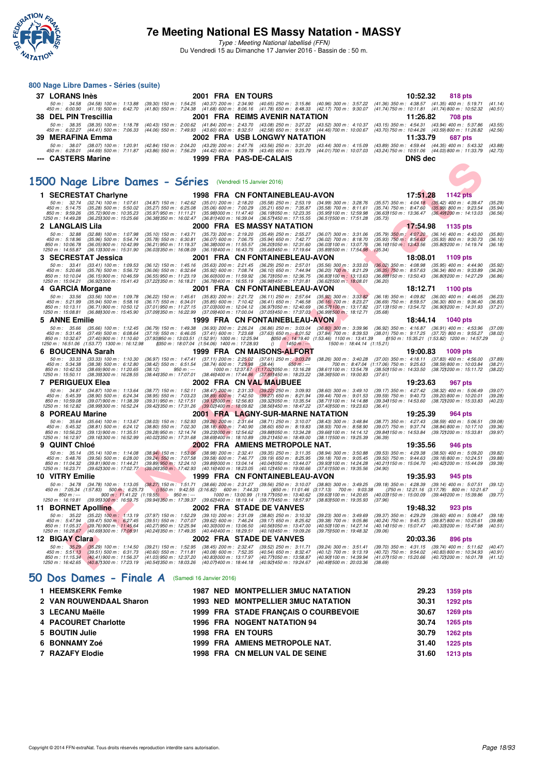

#### **7e Meeting National ES Massy Natation - MASSY**

| 37 LORANS Inès                                                                                     |                                                                                                      |                                                        | 2001 FRA ENTOURS                                                                                                                                                                                           |                                                                           |                                                        | 10:52.32<br>818 pts                                                                                                      |          |
|----------------------------------------------------------------------------------------------------|------------------------------------------------------------------------------------------------------|--------------------------------------------------------|------------------------------------------------------------------------------------------------------------------------------------------------------------------------------------------------------------|---------------------------------------------------------------------------|--------------------------------------------------------|--------------------------------------------------------------------------------------------------------------------------|----------|
| 50 m: 34.58 (34.58) 100 m: 1:13.88<br>450 m : 6:00.90 (41.19) 500 m : 6:42.70                      |                                                                                                      |                                                        | $(39.30)$ 150 m : 1:54.25 $(40.37)$ 200 m : 2:34.90 $(40.65)$ 250 m : 3:15.86 $(40.96)$ 300 m : 3:57.22<br>(41.80) 550 m : 7:24.38 (41.68) 600 m : 8:06.16 (41.78) 650 m : 8:48.33 (42.17) 700 m : 9:30.07 |                                                                           |                                                        | (41.36) 350 m: 4:38.57 (41.35) 400 m: 5:19.71<br>(41.14)<br>(41.74) 750 m : 10:11.81 (41.74) 800 m : 10:52.32<br>(40.51) |          |
| <b>38 DEL PIN Trescillia</b>                                                                       |                                                                                                      |                                                        | 2001 FRA REIMS AVENIR NATATION                                                                                                                                                                             |                                                                           |                                                        | 11:26.82<br>708 pts                                                                                                      |          |
| 50 m: 38.35 (38.35) 100 m: 1:18.78                                                                 |                                                                                                      |                                                        | (40.43) 150 m: 2:00.62 (41.84) 200 m: 2:43.70 (43.08) 250 m: 3:27.22 (43.52) 300 m: 4:10.37                                                                                                                |                                                                           |                                                        | (43.15) 350 m: 4:54.31 (43.94) 400 m: 5:37.86<br>(43.55)                                                                 |          |
| 450 m: 6:22.27 (44.41) 500 m: 7:06.33                                                              |                                                                                                      |                                                        | (44.06) 550 m : 7:49.93 (43.60) 600 m : 8:32.51 (42.58) 650 m : 9:16.97 (44.46) 700 m : 10:00.67                                                                                                           |                                                                           |                                                        | (43.70) 750 m : 10:44.26 (43.59) 800 m : 11:26.82<br>(42.56)                                                             |          |
| 39 MERAFINA Emma                                                                                   |                                                                                                      |                                                        | 2002 FRA USB LONGWY NATATION                                                                                                                                                                               |                                                                           |                                                        | 11:33.79<br>687 pts                                                                                                      |          |
| 50 m: 38.07 (38.07) 100 m: 1:20.91<br>450 m: 6:28.01 (44.69) 500 m: 7:11.87                        |                                                                                                      |                                                        | (42.84) 150 m: 2:04.20 (43.29) 200 m: 2:47.76 (43.56) 250 m: 3:31.20 (43.44) 300 m: 4:15.09<br>(43.86) 550 m : 7:56.29 (44.42) 600 m : 8:39.78 (43.49) 650 m : 9:23.79 (44.01) 700 m : 10:07.03            |                                                                           |                                                        | (43.89) 350 m : 4:59.44 (44.35) 400 m : 5:43.32<br>(43.88)<br>(43.24) 750 m : 10:51.06 (44.03) 800 m : 11:33.79 (42.73)  |          |
| --- CASTERS Marine                                                                                 |                                                                                                      |                                                        | 1999 FRA PAS-DE-CALAIS                                                                                                                                                                                     |                                                                           | <b>DNS</b> dec                                         |                                                                                                                          |          |
|                                                                                                    |                                                                                                      |                                                        |                                                                                                                                                                                                            |                                                                           |                                                        |                                                                                                                          |          |
|                                                                                                    |                                                                                                      |                                                        |                                                                                                                                                                                                            |                                                                           |                                                        |                                                                                                                          |          |
| 1500 Nage Libre Dames - Séries (Vendredi 15 Janvier 2016)                                          |                                                                                                      |                                                        |                                                                                                                                                                                                            |                                                                           |                                                        |                                                                                                                          |          |
|                                                                                                    |                                                                                                      |                                                        |                                                                                                                                                                                                            |                                                                           |                                                        |                                                                                                                          |          |
| 1 SECRESTAT Charlyne                                                                               |                                                                                                      |                                                        | 1998 FRA CN FONTAINEBLEAU-AVON                                                                                                                                                                             |                                                                           |                                                        | 17:51.28<br><b>1142 pts</b>                                                                                              |          |
| 50 m : 32.74<br>$(32.74)$ 100 m : 1:07.61<br>450 m : 5:14.75<br>$(35.28)$ 500 m : 5:50.02          | (34.87) 150 m: 1:42.62 (35.01) 200 m: 2:18.20<br>$(35.27)$ 550 m : 6:25.08                           | $(35.06)$ 600 m : 7:00.29                              | $(35.58)$ 250 m : 2:53.19<br>$(35.21)$ 650 m : 7:35.87                                                                                                                                                     | $(34.99)$ 300 m : 3:28.76<br>$(35.58)$ 700 m : 8:11.61                    | $(35.74)$ 750 m : $8.47.60$                            | (35.57) 350 m: 4:04.18 (35.42) 400 m: 4:39.47<br>(35.29)<br>(35.99) 800 m : 9:23.54<br>(35.94)                           |          |
| 850 m : 9:59.26<br>$(35.72)$ 900 m : 10:35.23<br>1250 m: 14:49.28<br>(36.251300 m : 15:25.66       | $(35.97)$ 950 m : 11:11.21<br>(36.38) 350 m : 16:02.47                                               | (35.98) 000 m: 11:47.40<br>(36.811400 m: 16:39.04)     | (36.191050 m: 12:23.35<br>(36.57) 450 m : 17:15.55                                                                                                                                                         | (35.95) 100 m : 12:59.98<br>(36.511500 m: 17:51.28<br>(35.73)             |                                                        | (36.63) 150 m : 13:36.47 (36.49) 200 m : 14:13.03<br>(36.56)                                                             |          |
| 2 LANGLAIS Lila                                                                                    |                                                                                                      |                                                        | 2000 FRA ES MASSY NATATION                                                                                                                                                                                 |                                                                           |                                                        | 17:54.98<br>1135 pts                                                                                                     |          |
| 50 m: 32.88<br>$(32.88)$ 100 m : 1:07.98                                                           | $(35.10)$ 150 m : 1:43.71                                                                            | $(35.73)$ 200 m : 2:19.20                              | $(35.49)$ 250 m : 2:55.27                                                                                                                                                                                  | $(36.07)$ 300 m : 3:31.06                                                 |                                                        | (35.79) 350 m: 4:07.20 (36.14) 400 m: 4:43.00<br>(35.80)                                                                 |          |
| (35.96) 500 m : 5.54.74<br>450 m : 5:18.96                                                         | $(35.78)$ 550 m : 6:30.81                                                                            | $(36.07)$ 600 m : 7:06.75                              | (35.94) 650 m : 7:42.77                                                                                                                                                                                    | (36.02) 700 m : 8:18.70                                                   |                                                        | (35.93) 750 m : 8:54.63 (35.93) 800 m : 9:30.73<br>(36.10)                                                               |          |
| 850 m : 10:06.78<br>(36.05) 900 m : 10:42.99<br>1250 m: 14:55.87<br>(36.13) 300 m : 15:31.90       | (36.21) 950 m: 11:19.37<br>(36.031350 m: 16:08.09)                                                   | (36.38) 000 m: 11:55.57<br>(36.19) 400 m : 16:43.75    | (36.201050 m: 12:31.60<br>(35.661450 m: 17:19.64                                                                                                                                                           | (36.03) 100 m : 13:07.76<br>(35.891500 m: 17:54.98)<br>(35.34)            |                                                        | (36.16) 150 m : 13:43.56 (35.80) 200 m : 14:19.74<br>(36.18)                                                             |          |
| 3 SECRESTAT Jessica                                                                                |                                                                                                      |                                                        | 2001 FRA CN FONTAINEBLEAU-AVON                                                                                                                                                                             |                                                                           |                                                        | 18:08.01<br>1109 pts                                                                                                     |          |
| 50 m: 33.41<br>$(33.41)$ 100 m : 1:09.53                                                           | $(36.12)$ 150 m : 1:45.16                                                                            | $(35.63)$ 200 m : 2:21.45                              | $(36.29)$ 250 m : 2:57.01                                                                                                                                                                                  | $(35.56)$ 300 m : 3:33.03                                                 | $(36.02)$ 350 m : 4:08.98                              | (35.95) 400 m : 4:44.90<br>(35.92)                                                                                       |          |
| (35.76) 500 m : 5:56.72<br>450 m : 5:20.66<br>850 m: 10:10.04<br>$(36.15)900 \text{ m}$ : 10:46.59 | $(36.06)$ 550 m : 6:32.64<br>$(36.55)$ 950 m : 11:23.19                                              | $(35.92)$ 600 m : 7:08.74<br>(36.60) 000 m: 11:59.92   | $(36.10)$ 650 m : 7:44.94<br>(36.731050 m : 12:36.75                                                                                                                                                       | $(36.20)$ 700 m; 8:21.29<br>$(36.831100 \text{ m} : 13.13.63)$            | $(36.35)$ 750 m : 8:57.63                              | $(36.34)$ 800 m : 9:33.89<br>(36.26)<br>(36.88) 150 m: 13:50.43 (36.80) 200 m: 14:27.29<br>(36.86)                       |          |
| 1250 m : 15:04.21<br>(36.921300 m : 15:41.43)                                                      | (37.22) 350 m : 16:18.21                                                                             |                                                        | (36.781400 m : 16:55.19)<br>(36.98) 450 m : 17:31.81                                                                                                                                                       | (36.62) 500 m : 18:08.01<br>(36.20)                                       |                                                        |                                                                                                                          |          |
| 4 GARCIA Morgane                                                                                   |                                                                                                      |                                                        | 2001 FRA CN FONTAINEBLEAU-AVON                                                                                                                                                                             |                                                                           |                                                        | 18:12.71<br>1100 pts                                                                                                     |          |
| 50 m: 33.56<br>$(33.56)$ 100 m : 1:09.78<br>450 m: 5:21.99<br>$(35.94)$ 500 m : 5:58.16            | $(36.22)$ 150 m : 1:45.61<br>$(36.17)$ 550 m : 6:34.01                                               | $(35.83)$ 200 m : 2:21.72<br>$(35.85)$ 600 m : 7:10.42 | $(36.11)$ 250 m : 2:57.64<br>$(36.41)$ 650 m : 7:46.58                                                                                                                                                     | $(35.92)$ 300 m : 3:33.82<br>$(36.16)$ 700 m : 8:23.27                    | $(36.18)$ 350 m : 4:09.82<br>$(36.69)$ 750 m : 8:59.57 | $(36.00)$ 400 m : 4:46.05<br>(36.23)<br>$(36.30)$ 800 m : 9:36.40<br>(36.83)                                             |          |
| 850 m : 10:13.11<br>$(36.71)$ 900 m : 10:50.12                                                     | (37.01) 950 m : 11:27.15                                                                             | (37.03) 000 m : 12:04.12                               | (36.971050 m: 12:40.69)                                                                                                                                                                                    | (36.571100 m: 13:17.82)                                                   | (37.13) 150 m : 13:54.72                               | (36.90) 200 m : 14:31.93<br>(37.21)                                                                                      |          |
| 1250 m: 15:08.81<br>(36.88) 300 m : 15:45.90                                                       | (37.09) 350 m : 16:22.99                                                                             | (37.091400 m : 17:00.04                                | (37.05) 450 m : 17:37.03                                                                                                                                                                                   | (36.991500 m: 18:12.71<br>(35.68)                                         |                                                        |                                                                                                                          |          |
| 5 ANNE Emilie<br>$(35.66)$ 100 m : 1:12.45                                                         |                                                                                                      |                                                        | <b>1999 FRA CN FONTAINEBLEAU-AVON</b><br>(36.79) 150 m : 1:49.38 (36.93) 200 m : 2:26.24 (36.86) 250 m : 3:03.04 (36.80) 300 m : 3:39.96                                                                   |                                                                           |                                                        | 18:44.14<br><b>1040 pts</b><br>(36.92) 350 m: 4:16.87 (36.91) 400 m: 4:53.96<br>(37.09)                                  |          |
| 50 m : 35.66<br>450 m: 5:31.45<br>$(37.49)$ 500 m : 6:08.64                                        |                                                                                                      |                                                        | (37.19) 550 m : 6:46.05 (37.41) 600 m : 7:23.68 (37.63) 650 m : 8:01.52                                                                                                                                    | (37.84) 700 m: 8:39.53 (38.01) 750 m: 9:17.25 (37.72) 800 m: 9:55.27      |                                                        | (38.02)                                                                                                                  |          |
| 850 m : 10:32.67<br>$(37.40)$ 900 m : 11:10.60<br>1250 m: 16:51.06 (1:53.77) 1300 m: 16:12.98      | (37.93)950 m : 13:03.51 (1:52.91) 1000 m : 12:25.94<br>(350 m : 18:07.04 (1:54.06) 1400 m : 17:28.93 |                                                        | $1450 m$ : ---<br>$\theta$                                                                                                                                                                                 | (050 m: 14:19.40 (1:53.46) 1100 m: 13:41.39<br>1500 m: 18:44.14 (1:15.21) |                                                        | (150 m : 15:35.21 (1:53.82) 1200 m : 14:57.29                                                                            | $\theta$ |
| 6 BOUCENNA Sarah                                                                                   |                                                                                                      |                                                        | 1999 FRA CN MAISONS-ALFORT                                                                                                                                                                                 |                                                                           |                                                        | 19:00.83<br>1009 pts                                                                                                     |          |
| $(33.33)$ 100 m : 1:10.30<br>50 m : 33.33                                                          |                                                                                                      |                                                        | (36.97) 150 m: 1:47.41 (37.11) 200 m: 2:25.02 (37.61) 250 m: 3:03.28                                                                                                                                       | $(38.26)$ 300 m : 3:40.28                                                 | $(37.00)$ 350 m : 4:18.11                              | $(37.83)$ 400 m : 4:56.00<br>(37.89)                                                                                     |          |
| 450 m : 5:34.38<br>(38.38) 500 m : 6:12.80<br>850 m : 10:42.53<br>$(38.69)$ 900 m : 11:20.65       | (38.42) 550 m : 6:51.54 (38.74) 600 m : 7:29.98 (38.44)<br>(38.12)<br>$950 m: -$                     |                                                        | $650 m$ : ---<br>1000 m: 12:37.67 (1:17.02) 050 m: 13:16.28                                                                                                                                                | 700 m: 8:47.04 (1:17.06) 750 m: 9:25.63<br>(38.611100 m: 13:54.78)        | (38.50) 150 m : 14:33.50                               | (38.59) 800 m : 10:03.84<br>(38.21)<br>(38.721200 m : 15:11.72<br>(38.22)                                                |          |
| 1250 m : 15:50.11<br>(38.39) 300 m : 16:28.55                                                      |                                                                                                      |                                                        | (38.44) 350 m : 17:07.01 (38.46) 400 m : 17:44.86 (37.85) 450 m : 18:23.22                                                                                                                                 | (38.361500 m : 19:00.83<br>(37.61)                                        |                                                        |                                                                                                                          |          |
| 7 PERIGUEUX Elea                                                                                   |                                                                                                      |                                                        | 2002 FRA CN VAL MAUBUEE                                                                                                                                                                                    |                                                                           |                                                        | 19:23.63<br>967 pts                                                                                                      |          |
| $(34.87)$ 100 m : 1:13.64<br>50 m : 34.87<br>450 m : 5:45.39<br>$(38.90)$ 500 m : 6:24.34          | $(38.77)$ 150 m : 1:52.11<br>$(38.95)$ 550 m : 7:03.23                                               | $(38.89)$ 600 m : 7:42.50                              | (38.47) 200 m : 2:31.33 (39.22) 250 m : 3:09.93<br>$(39.27)$ 650 m : 8:21.94                                                                                                                               | $(38.60)$ 300 m : 3:49.10<br>(39.44) 700 m : 9:01.53                      | $(39.59)$ 750 m : $9.40.73$                            | (39.17) 350 m: 4:27.42 (38.32) 400 m: 5:06.49<br>(39.07)<br>$(39.20)$ 800 m : 10:20.01<br>(39.28)                        |          |
| 850 m : 10:59.08<br>(39.07) 900 m : 11:38.39                                                       | $(39.31)$ 950 m : 12:17.51                                                                           | (39.121000 m: 12:56.83                                 | (39.32) 050 m : 13:35.54                                                                                                                                                                                   | (38.711100 m: 14:14.88                                                    | (39.34) 150 m : 14:53.60                               | (38.72) 200 m : 15:33.83<br>(40.23)                                                                                      |          |
| 1250 m: 16:12.82<br>(38.99) 300 m : 16:52.24                                                       | (39.42) 350 m : 17:31.26                                                                             | $(39.02)$ 400 m : 18:09.82                             | (38.56) 450 m : 18:47.22                                                                                                                                                                                   | (37.40) 500 m : 19:23.63                                                  | (36.41)                                                |                                                                                                                          |          |
| 8 POREAU Marine<br>50 m: 35.64                                                                     |                                                                                                      |                                                        | 2001 FRA LAGNY-SUR-MARNE NATATION                                                                                                                                                                          |                                                                           |                                                        | 19:25.39<br>964 pts                                                                                                      |          |
| $(35.64)$ 100 m : 1:13.67<br>450 m : 5:45.32<br>$(38.81)$ 500 m : 6:24.12                          | $(38.03)$ 150 m : 1:52.93<br>$(38.80)$ 550 m : 7:02.30                                               | $(39.26)$ 200 m : 2:31.64<br>$(38.18)$ 600 m : 7:40.90 | $(38.71)$ 250 m : 3:10.07<br>$(38.60)$ 650 m : 8:19.83                                                                                                                                                     | $(38.43)$ 300 m : 3:48.84<br>(38.93) 700 m : 8:58.90                      | (38.77) 350 m : 4:27.43<br>(39.07) 750 m : 9:37.74     | (38.59) 400 m : 5:06.51<br>(39.08)<br>(38.84) 800 m : 10:17.10<br>(39.36)                                                |          |
| 850 m: 10:56.23<br>(39.13) 900 m : 11:35.51<br>1250 m: 16:12.97<br>(39.16) 300 m : 16:52.99        | (39.28) 950 m : 12:14.74<br>(40.02) 350 m : 17:31.68                                                 | (39.23) 000 m: 12:54.62<br>(38.69) 400 m : 18:10.89    | (39.88) 050 m: 13:34.28<br>(39.211450 m: 18:49.00                                                                                                                                                          | (39.661100 m: 14:14.12)<br>(38.111500 m: 19:25.39)<br>(36.39)             |                                                        | (39.84) 150 m : 14.53.84 (39.72) 200 m : 15:33.81<br>(39.97)                                                             |          |
| 9 QUINT Chloé                                                                                      |                                                                                                      |                                                        | 2002 FRA AMIENS METROPOLE NAT.                                                                                                                                                                             |                                                                           |                                                        | 19:35.56<br>946 pts                                                                                                      |          |
| 50 m : 35.14<br>$(35.14)$ 100 m : 1:14.08                                                          | $(38.94)$ 150 m : 1:53.06                                                                            | $(38.98)$ 200 m : 2:32.41                              | $(39.35)$ 250 m : 3:11.35                                                                                                                                                                                  | $(38.94)$ 300 m : 3:50.88                                                 | $(39.53)$ 350 m : 4:29.38                              | $(38.50)$ 400 m : 5:09.20<br>(39.82)                                                                                     |          |
| (39.56) 500 m : 6.28.00<br>450 m : 5:48.76<br>850 m: 11:04.32<br>$(39.81)$ 900 m : 11:44.21        | (39.24) 550 m : 7:07.58<br>$(39.89)$ 950 m : 12:24.10                                                | $(39.58) 600 m$ : 7:46.77                              | $(39.19)$ 650 m : 8:25.95<br>(39.89) 000 m: 13:04.14 (40.04) 050 m: 13:44.07                                                                                                                               | $(39.18)$ 700 m : 9:05.45<br>(39.93) 100 m: 14:24.28                      | $(39.50)$ 750 m : $9.44.63$                            | $(39.18)800 \text{ m}$ : 10:24.51<br>(39.88)<br>(40.21) 150 m: 15:04.70 (40.42) 200 m: 15:44.09<br>(39.39)               |          |
| 1250 m : 16:23.71<br>(39.621300 m: 17:02.77)                                                       | $(39.06)350 \text{ m}$ : 17:42.93                                                                    |                                                        | (40.16) 400 m : 18:23.05<br>(40.12) 450 m : 19:00.66                                                                                                                                                       | (37.611500 m : 19:35.56<br>(34.90)                                        |                                                        |                                                                                                                          |          |
| 10 VITRY Emilie                                                                                    |                                                                                                      |                                                        | 1999 FRA CN FONTAINEBLEAU-AVON                                                                                                                                                                             |                                                                           |                                                        | 19:35.93<br>945 pts                                                                                                      |          |
| 50 m: 34.78 (34.78) 100 m: 1:13.05<br>450 m : 7:05.34 (1:57.83) 500 m : 6:25.73                    | $(38.27)$ 150 m : 1:51.71<br>$(1550 \text{ m} : 9.42.55 (3.16.82) 600 \text{ m} : 7.44.33)$          |                                                        | (38.66) 200 m : 2:31.27 (39.56) 250 m : 3:10.07 (38.80) 300 m : 3:49.25                                                                                                                                    |                                                                           |                                                        | (39.18) 350 m : 4:28.39 (39.14) 400 m : 5:07.51<br>(39.12)                                                               | $\theta$ |
|                                                                                                    |                                                                                                      |                                                        |                                                                                                                                                                                                            | ()650 m : 11:01.46 (3:17.13) 700 m : 9:03.38                              |                                                        | ()750 m: 12:21.16 (3:17.78) 800 m: 10:21.67                                                                              |          |
|                                                                                                    |                                                                                                      |                                                        |                                                                                                                                                                                                            |                                                                           |                                                        |                                                                                                                          |          |
| <b>BORNET Apolline</b>                                                                             | 2002                                                                                                 |                                                        | <b>FRA STADE DE VANVES</b>                                                                                                                                                                                 |                                                                           |                                                        | 19:48.32<br>923 pts                                                                                                      |          |
| 50 m: 35.22 (35.22) 100 m: 1:13.19<br>450 m : 5:47.94<br>$(39.47)$ 500 m : 6.27.45                 | $(37.97)$ 150 m : 1:52.29<br>$(39.51)$ 550 m : 7:07.07                                               | $(39.10)$ 200 m : 2:31.09<br>$(39.62)$ 600 m : 7:46.24 | (38.80) 250 m : 3:10.32<br>$(39.17)$ 650 m : 8:25.62                                                                                                                                                       | (39.23) 300 m : 3:49.69<br>(39.38) 700 m : 9:05.86                        | (39.37) 350 m : 4:29.29<br>(40.24) 750 m : 9:45.73     | $(39.60)$ 400 m : 5:08.47<br>(39.18)<br>(39.87) 800 m : 10:25.61<br>(39.88)                                              |          |
| 850 m: 11:05.37<br>(39.76) 900 m : 11:45.64<br>1250 m: 16:28.67<br>(40.69) 300 m : 17:08.91        | (40.27) 950 m : 12:25.94<br>(40.241350 m : 17:49.35                                                  | (40.30) 000 m: 13:06.50<br>(40.441400 m : 18:29.51     | (40.56) 050 m: 13:47.00<br>(40.16) 450 m : 19:09.26                                                                                                                                                        | (40.50) 100 m : 14:27.14<br>(39.751500 m : 19.48.32)<br>(39.06)           |                                                        | (40.14) 150 m: 15:07.47 (40.33) 200 m: 15:47.98<br>(40.51)                                                               |          |
| 12 BIGAY Clara                                                                                     |                                                                                                      |                                                        | <b>2002 FRA STADE DE VANVES</b>                                                                                                                                                                            |                                                                           |                                                        | 20:03.36<br>896 pts                                                                                                      |          |
| 50 m : 35.29<br>$(35.29)$ 100 m : 1:14.50                                                          | (39.21) 150 m : 1:52.95                                                                              | (38.45) 200 m : 2:32.47                                | (39.52) 250 m : 3:11.71                                                                                                                                                                                    | (39.24) 300 m : 3:51.41                                                   | $(39.70)$ 350 m : 4:31.15                              | $(39.74)$ 400 m : 5:11.62<br>(40.47)                                                                                     |          |
| 450 m: 5:51.13<br>$(39.51)$ 500 m : 6:31.73                                                        | $(40.60)$ 550 m : 7:11.81                                                                            | $(40.08)$ 600 m : 7:52.35                              | $(40.54)$ 650 m : 8:32.47                                                                                                                                                                                  | (40.12) 700 m : 9:13.19                                                   | (40.72) 750 m : 9:54.02                                | (40.83) 800 m : 10:34.93<br>(40.91)                                                                                      |          |
| (40.41) 900 m : 11:56.37<br>850 m: 11:15.34<br>1250 m : 16:42.65<br>(40.871300 m : 17:23.19)       | (41.03) 950 m : 12:37.20<br>(40.541350 m : 18:03.26                                                  | (40.831000 m: 13:17.97<br>(40.07) 400 m : 18:44.18     | (40.77) 050 m: 13:58.87<br>(40.92) 450 m : 19:24.67                                                                                                                                                        | (40.90) 100 m : 14:39.94<br>(40.491500 m : 20:03.36<br>(38.69)            | (41.071150 m : 15:20.66                                | (40.721200 m : 16:01.78<br>(41.12)                                                                                       |          |
|                                                                                                    |                                                                                                      |                                                        |                                                                                                                                                                                                            |                                                                           |                                                        |                                                                                                                          |          |
| 50 Dos Dames - Finale A                                                                            | (Samedi 16 Janvier 2016)                                                                             |                                                        |                                                                                                                                                                                                            |                                                                           |                                                        |                                                                                                                          |          |
| 1 HEEMSKERK Femke                                                                                  |                                                                                                      |                                                        | <b>1987 NED MONTPELLIER 3MUC NATATION</b>                                                                                                                                                                  |                                                                           |                                                        | 29.23<br><b>1359 pts</b>                                                                                                 |          |
|                                                                                                    |                                                                                                      |                                                        |                                                                                                                                                                                                            |                                                                           |                                                        |                                                                                                                          |          |

| 1 HEEMSKERK Femke       |  | <b>1987 NED MONTPELLIER 3MUC NATATION</b> | 29.23 | 1359 pts        |
|-------------------------|--|-------------------------------------------|-------|-----------------|
| 2 VAN ROUWENDAAL Sharon |  | <b>1993 NED MONTPELLIER 3MUC NATATION</b> | 30.31 | <b>1292 pts</b> |
| 3 LECANU Maëlle         |  | 1999 FRA STADE FRANCAIS O COURBEVOIE      | 30.67 | 1269 pts        |
| 4 PACOURET Charlotte    |  | <b>1996 FRA NOGENT NATATION 94</b>        | 30.74 | 1265 pts        |
| 5 BOUTIN Julie          |  | <b>1998 FRA EN TOURS</b>                  | 30.79 | 1262 pts        |
| 6 BONNAMY Zoé           |  | 1999 FRA AMIENS METROPOLE NAT.            | 31.40 | 1225 pts        |
| 7 RAZAFY Elodie         |  | 1998 FRA CN MELUN VAL DE SEINE            | 31.60 | 1213 pts        |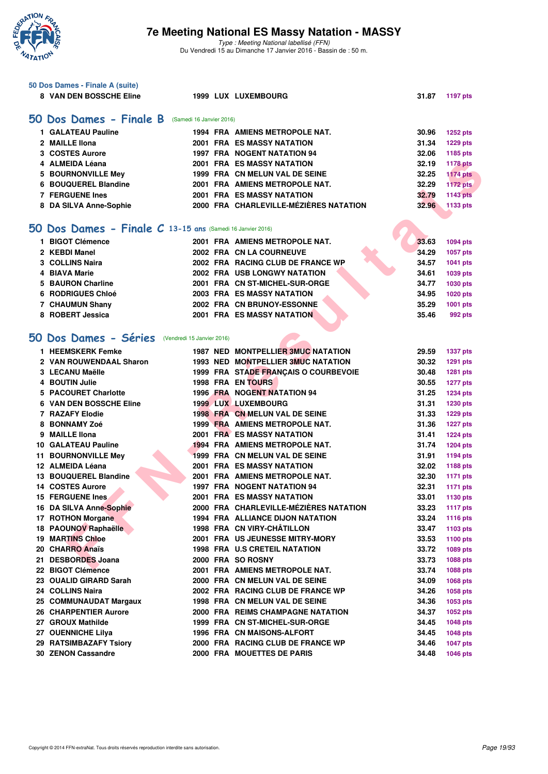

|    | 50 Dos Dames - Finale A (suite)                            |  |                                                                     |                |                             |
|----|------------------------------------------------------------|--|---------------------------------------------------------------------|----------------|-----------------------------|
|    | 8 VAN DEN BOSSCHE Eline                                    |  | 1999 LUX LUXEMBOURG                                                 | 31.87          | <b>1197 pts</b>             |
|    |                                                            |  |                                                                     |                |                             |
|    | 50 Dos Dames - Finale B (Samedi 16 Janvier 2016)           |  |                                                                     |                |                             |
|    | 1 GALATEAU Pauline                                         |  | 1994 FRA AMIENS METROPOLE NAT.                                      | 30.96          | <b>1252 pts</b>             |
|    | 2 MAILLE IIona                                             |  | 2001 FRA ES MASSY NATATION                                          | 31.34          | <b>1229 pts</b>             |
|    | 3 COSTES Aurore                                            |  | 1997 FRA NOGENT NATATION 94                                         | 32.06          | 1185 pts                    |
|    | 4 ALMEIDA Léana                                            |  | 2001 FRA ES MASSY NATATION                                          | 32.19          | <b>1178 pts</b>             |
|    | <b>BOURNONVILLE Mey</b>                                    |  | 1999 FRA CN MELUN VAL DE SEINE                                      | 32.25          | <b>1174 pts</b>             |
| 6  | <b>BOUQUEREL Blandine</b>                                  |  | 2001 FRA AMIENS METROPOLE NAT.                                      | 32.29          | <b>1172 pts</b>             |
|    | <b>7 FERGUENE Ines</b>                                     |  | 2001 FRA ES MASSY NATATION                                          | 32.79          | <b>1143 pts</b>             |
|    | 8 DA SILVA Anne-Sophie                                     |  | 2000 FRA CHARLEVILLE-MÉZIÈRES NATATION                              | 32.96          | 1133 pts                    |
|    |                                                            |  |                                                                     |                |                             |
|    | 50 Dos Dames - Finale C 13-15 ans (Samedi 16 Janvier 2016) |  |                                                                     |                |                             |
|    | 1 BIGOT Clémence                                           |  | 2001 FRA AMIENS METROPOLE NAT.                                      | 33.63          | 1094 pts                    |
|    | 2 KEBDI Manel                                              |  | 2002 FRA CN LA COURNEUVE                                            | 34.29          | 1057 pts                    |
|    | 3 COLLINS Naira                                            |  | 2002 FRA RACING CLUB DE FRANCE WP                                   | 34.57          | 1041 pts                    |
| 4  | <b>BIAVA Marie</b>                                         |  | <b>2002 FRA USB LONGWY NATATION</b>                                 | 34.61          | 1039 pts                    |
| 5  | <b>BAURON Charline</b>                                     |  | 2001 FRA CN ST-MICHEL-SUR-ORGE                                      | 34.77          | 1030 pts                    |
|    | <b>RODRIGUES Chloé</b>                                     |  | <b>2003 FRA ES MASSY NATATION</b>                                   | 34.95          | 1020 pts                    |
|    | 7 CHAUMUN Shany                                            |  | 2002 FRA CN BRUNOY-ESSONNE                                          | 35.29          | 1001 pts                    |
|    | 8 ROBERT Jessica                                           |  | 2001 FRA ES MASSY NATATION                                          | 35.46          | 992 pts                     |
|    |                                                            |  |                                                                     |                |                             |
|    | 50 Dos Dames - Séries                                      |  |                                                                     |                |                             |
|    | (Vendredi 15 Janvier 2016)                                 |  |                                                                     |                |                             |
|    | 1 HEEMSKERK Femke                                          |  | 1987 NED MONTPELLIER 3MUC NATATION                                  | 29.59          | <b>1337 pts</b>             |
|    | 2 VAN ROUWENDAAL Sharon                                    |  | 1993 NED MONTPELLIER 3MUC NATATION                                  | 30.32          | 1291 pts                    |
|    | 3 LECANU Maëlle                                            |  | 1999 FRA STADE FRANÇAIS O COURBEVOIE                                | 30.48          | 1281 pts                    |
|    | <b>BOUTIN Julie</b>                                        |  | 1998 FRA EN TOURS                                                   | 30.55          | <b>1277 pts</b>             |
| 5  | <b>PACOURET Charlotte</b>                                  |  | <b>1996 FRA NOGENT NATATION 94</b>                                  | 31.25          | <b>1234 pts</b>             |
| 6  | <b>VAN DEN BOSSCHE Eline</b>                               |  | <b>1999 LUX LUXEMBOURG</b>                                          | 31.31          | 1230 pts                    |
|    | 7 RAZAFY Elodie                                            |  | 1998 FRA CN MELUN VAL DE SEINE                                      | 31.33          | <b>1229 pts</b>             |
| 8  | <b>BONNAMY Zoé</b>                                         |  | 1999 FRA AMIENS METROPOLE NAT.                                      | 31.36          | <b>1227 pts</b>             |
| 9  | <b>MAILLE Ilona</b>                                        |  | <b>2001 FRA ES MASSY NATATION</b>                                   | 31.41          | <b>1224 pts</b>             |
|    | <b>10 GALATEAU Pauline</b>                                 |  | 1994 FRA AMIENS METROPOLE NAT.                                      | 31.74          | <b>1204 pts</b>             |
|    | 11 BOURNONVILLE Mev                                        |  | 1999 FRA CN MELUN VAL DE SEINE                                      | 31.91          | 1194 pts                    |
|    | 12 ALMEIDA Léana                                           |  | <b>2001 FRA ES MASSY NATATION</b>                                   | 32.02          | <b>1188 pts</b>             |
| 13 | <b>BOUQUEREL Blandine</b>                                  |  | 2001 FRA AMIENS METROPOLE NAT.                                      | 32.30          | <b>1171 pts</b>             |
|    | 14 COSTES Aurore                                           |  | <b>1997 FRA NOGENT NATATION 94</b>                                  | 32.31          | <b>1171 pts</b>             |
|    | <b>15 FERGUENE Ines</b>                                    |  | <b>2001 FRA ES MASSY NATATION</b>                                   | 33.01          | 1130 pts                    |
|    | 16 DA SILVA Anne-Sophie                                    |  | 2000 FRA CHARLEVILLE-MÉZIÈRES NATATION                              | 33.23          | <b>1117 pts</b>             |
|    | 17 ROTHON Morgane                                          |  | 1994 FRA ALLIANCE DIJON NATATION                                    | 33.24          | <b>1116 pts</b>             |
|    | 18 PAOUNOV Raphaëlle                                       |  | 1998 FRA CN VIRY-CHÂTILLON                                          | 33.47          | 1103 pts                    |
|    | <b>19 MARTINS Chloe</b>                                    |  | 2001 FRA US JEUNESSE MITRY-MORY                                     | 33.53          | 1100 pts                    |
|    | 20 CHARRO Anaïs                                            |  | 1998 FRA U.S CRETEIL NATATION                                       | 33.72          | 1089 pts                    |
|    | 21 DESBORDES Joana                                         |  | 2000 FRA SO ROSNY                                                   | 33.73          | 1088 pts                    |
|    | 22 BIGOT Clémence<br>23 OUALID GIRARD Sarah                |  | 2001 FRA AMIENS METROPOLE NAT.                                      | 33.74          | 1088 pts                    |
|    |                                                            |  | 2000 FRA CN MELUN VAL DE SEINE                                      | 34.09          | 1068 pts                    |
|    | 24 COLLINS Naira                                           |  | 2002 FRA RACING CLUB DE FRANCE WP                                   | 34.26          | 1058 pts                    |
|    | 25 COMMUNAUDAT Margaux                                     |  | 1998 FRA CN MELUN VAL DE SEINE                                      | 34.36          | 1053 pts                    |
|    | <b>26 CHARPENTIER Aurore</b>                               |  | 2000 FRA REIMS CHAMPAGNE NATATION<br>1999 FRA CN ST-MICHEL-SUR-ORGE | 34.37          | 1052 pts                    |
|    | 27 GROUX Mathilde<br>27 OUENNICHE Lilya                    |  | 1996 FRA CN MAISONS-ALFORT                                          | 34.45<br>34.45 | 1048 pts                    |
|    | 29 RATSIMBAZAFY Tsiory                                     |  | 2000 FRA RACING CLUB DE FRANCE WP                                   | 34.46          | 1048 pts<br><b>1047 pts</b> |
|    | 30 ZENON Cassandre                                         |  | 2000 FRA MOUETTES DE PARIS                                          | 34.48          | 1046 pts                    |
|    |                                                            |  |                                                                     |                |                             |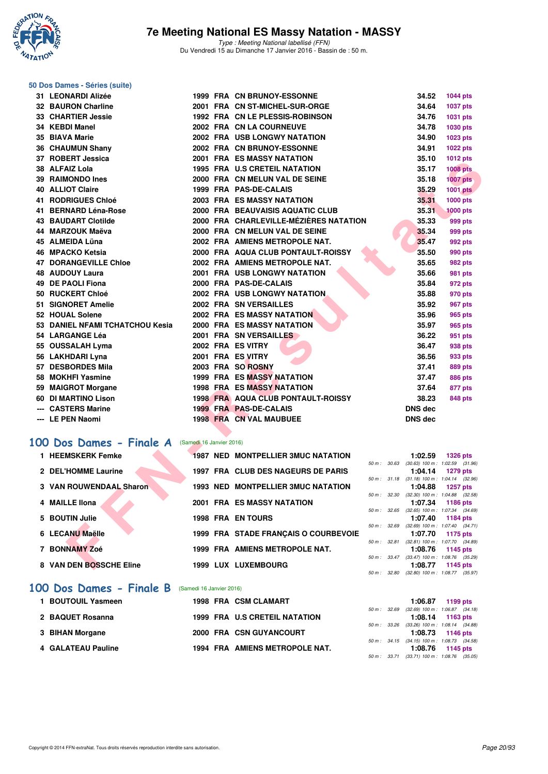

#### **50 Dos Dames - Séries (suite)**

| 31 LEONARDI Alizée                               |  | <b>1999 FRA CN BRUNOY-ESSONNE</b>         |             | 34.52          | <b>1044 pts</b>                                               |  |
|--------------------------------------------------|--|-------------------------------------------|-------------|----------------|---------------------------------------------------------------|--|
| 32 BAURON Charline                               |  | 2001 FRA CN ST-MICHEL-SUR-ORGE            |             | 34.64          | 1037 pts                                                      |  |
| 33 CHARTIER Jessie                               |  | 1992 FRA CN LE PLESSIS-ROBINSON           |             | 34.76          | 1031 pts                                                      |  |
| 34 KEBDI Manel                                   |  | 2002 FRA CN LA COURNEUVE                  |             | 34.78          | 1030 pts                                                      |  |
| 35 BIAVA Marie                                   |  | <b>2002 FRA USB LONGWY NATATION</b>       |             | 34.90          | 1023 pts                                                      |  |
| 36 CHAUMUN Shany                                 |  | 2002 FRA CN BRUNOY-ESSONNE                |             | 34.91          | 1022 pts                                                      |  |
| 37 ROBERT Jessica                                |  | <b>2001 FRA ES MASSY NATATION</b>         |             | 35.10          | 1012 pts                                                      |  |
| 38 ALFAIZ Lola                                   |  | <b>1995 FRA U.S CRETEIL NATATION</b>      |             | 35.17          | <b>1008 pts</b>                                               |  |
| <b>39 RAIMONDO Ines</b>                          |  | 2000 FRA CN MELUN VAL DE SEINE            |             | 35.18          | <b>1007 pts</b>                                               |  |
| <b>40 ALLIOT Claire</b>                          |  | 1999 FRA PAS-DE-CALAIS                    |             | 35.29          | <b>1001 pts</b>                                               |  |
| <b>41 RODRIGUES Chloé</b>                        |  | <b>2003 FRA ES MASSY NATATION</b>         |             | 35.31          | 1000 pts                                                      |  |
| 41 BERNARD Léna-Rose                             |  | 2000 FRA BEAUVAISIS AQUATIC CLUB          |             | 35.31          | <b>1000 pts</b>                                               |  |
| <b>43 BAUDART Clotilde</b>                       |  | 2000 FRA CHARLEVILLE-MÉZIÈRES NATATION    |             | 35.33          | 999 pts                                                       |  |
| 44 MARZOUK Maëva                                 |  | 2000 FRA CN MELUN VAL DE SEINE            |             | 35.34          | 999 pts                                                       |  |
| 45 ALMEIDA Lüna                                  |  | 2002 FRA AMIENS METROPOLE NAT.            |             | 35.47          | 992 pts                                                       |  |
| 46 MPACKO Ketsia                                 |  | 2000 FRA AQUA CLUB PONTAULT-ROISSY        |             | 35.50          | 990 pts                                                       |  |
| <b>47 DORANGEVILLE Chloe</b>                     |  | 2002 FRA AMIENS METROPOLE NAT.            |             | 35.65          | 982 pts                                                       |  |
| <b>48 AUDOUY Laura</b>                           |  | <b>2001 FRA USB LONGWY NATATION</b>       |             | 35.66          | 981 pts                                                       |  |
| 49 DE PAOLI Fiona                                |  | 2000 FRA PAS-DE-CALAIS                    |             | 35.84          | 972 pts                                                       |  |
| 50 RUCKERT Chloé                                 |  | <b>2002 FRA USB LONGWY NATATION.</b>      |             | 35.88          | 970 pts                                                       |  |
| 51 SIGNORET Amelie                               |  | 2002 FRA SN VERSAILLES                    |             | 35.92          | 967 pts                                                       |  |
| 52 HOUAL Solene                                  |  | <b>2002 FRA ES MASSY NATATION</b>         |             | 35.96          | 965 pts                                                       |  |
| 53 DANIEL NFAMI TCHATCHOU Kesia                  |  | <b>2000 FRA ES MASSY NATATION</b>         |             | 35.97          | 965 pts                                                       |  |
| 54 LARGANGE Léa                                  |  | 2001 FRA SN VERSAILLES                    |             | 36.22          | 951 pts                                                       |  |
| 55 OUSSALAH Lyma                                 |  | 2002 FRA ES VITRY                         |             | 36.47          | 938 pts                                                       |  |
| 56 LAKHDARI Lyna                                 |  | 2001 FRA ES VITRY                         |             | 36.56          | 933 pts                                                       |  |
| 57 DESBORDES Mila                                |  | 2003 FRA SO ROSNY                         |             | 37.41          | <b>889 pts</b>                                                |  |
| 58 MOKHFI Yasmine                                |  | 1999 FRA ES MASSY NATATION                |             | 37.47          | <b>886 pts</b>                                                |  |
| 59 MAIGROT Morgane                               |  | <b>1998 FRA ES MASSY NATATION</b>         |             | 37.64          | 877 pts                                                       |  |
| 60 DI MARTINO Lison                              |  | <b>1998 FRA AQUA CLUB PONTAULT-ROISSY</b> |             | 38.23          | 848 pts                                                       |  |
| --- CASTERS Marine                               |  | 1999 FRA PAS-DE-CALAIS                    |             | <b>DNS dec</b> |                                                               |  |
| --- LE PEN Naomi                                 |  | 1998 FRA CN VAL MAUBUEE                   |             | <b>DNS dec</b> |                                                               |  |
|                                                  |  |                                           |             |                |                                                               |  |
| 00 Dos Dames - Finale A (Samedi 16 Janvier 2016) |  |                                           |             |                |                                                               |  |
| 1 HEEMSKERK Femke                                |  | <b>1987 NED MONTPELLIER 3MUC NATATION</b> |             | 1:02.59        | 1326 pts                                                      |  |
| 2 DEL'HOMME Laurine                              |  | 1997 FRA CLUB DES NAGEURS DE PARIS        | 50 m: 30.63 |                | $(30.63)$ 100 m : 1:02.59 $(31.96)$                           |  |
|                                                  |  |                                           |             | 1:04.14        | <b>1279 pts</b><br>50 m: 31.18 (31.18) 100 m: 1:04.14 (32.96) |  |
| <b>3 VAN ROUWENDAAL Sharon</b>                   |  | <b>1993 NED MONTPELLIER 3MUC NATATION</b> |             | 1:04.88        | 1257 pts                                                      |  |
|                                                  |  |                                           | 50 m: 32.30 |                | $(32.30)$ 100 m : 1:04.88 $(32.58)$                           |  |
| 4 MAILLE IIona                                   |  | <b>2001 FRA ES MASSY NATATION</b>         |             | 1:07.34        | 1186 pts<br>50 m : 32.65 (32.65) 100 m : 1:07.34 (34.69)      |  |
| 5 BOUTIN Julie                                   |  | <b>1998 FRA EN TOURS</b>                  |             | 1:07.40        | 1184 pts                                                      |  |
| 6 LECANU Maëlle                                  |  |                                           | 50 m: 32.69 |                | $(32.69)$ 100 m : 1:07.40 $(34.71)$                           |  |
|                                                  |  | 1999 FRA STADE FRANÇAIS O COURBEVOIE      |             | 1:07.70        | 1175 pts<br>50 m: 32.81 (32.81) 100 m: 1:07.70 (34.89)        |  |
| 7 BONNAMY Zoé                                    |  | 1999 FRA AMIENS METROPOLE NAT.            |             | 1:08.76        | 1145 pts                                                      |  |
| 8 VAN DEN BOSSCHE Eline                          |  | 1999 LUX LUXEMBOURG                       |             | 1:08.77        | 50 m: 33.47 (33.47) 100 m: 1:08.76 (35.29)                    |  |
|                                                  |  |                                           |             |                | 1145 pts                                                      |  |

## **[100 Dos Dames - Finale A](http://www.ffnatation.fr/webffn/resultats.php?idact=nat&go=epr&idcpt=35299&idepr=12)** (Samedi 16 Janvier 2016)

| 1 HEEMSKERK Femke       | <b>1987 NED MONTPELLIER 3MUC NATATION</b> |                        |       | 1:02.59                                     | 1326 pts |  |
|-------------------------|-------------------------------------------|------------------------|-------|---------------------------------------------|----------|--|
| 2 DEL'HOMME Laurine     | 1997 FRA CLUB DES NAGEURS DE PARIS        | 50 m :                 | 30.63 | $(30.63)$ 100 m : 1:02.59 $(31.$<br>1:04.14 | 1279 pts |  |
| 3 VAN ROUWENDAAL Sharon | <b>1993 NED MONTPELLIER 3MUC NATATION</b> | 50 m: 31.18            |       | $(31.18)$ 100 m : 1:04.14 (32.<br>1:04.88   | 1257 pts |  |
| 4 MAILLE IIona          | 2001 FRA ES MASSY NATATION                | 50 m : 32.30           |       | $(32.30)$ 100 m : 1:04.88 $(32.$<br>1:07.34 | 1186 pts |  |
| 5 BOUTIN Julie          | <b>1998 FRA EN TOURS</b>                  | $50 m$ : $32.65$       |       | $(32.65)$ 100 m : 1.07.34 (34.<br>1:07.40   | 1184 pts |  |
| 6 LECANU Maëlle         | 1999 FRA STADE FRANCAIS O COURBEVOIE      | 50 m: 32.69            |       | $(32.69)$ 100 m : 1:07.40 $(34.$<br>1:07.70 | 1175 pts |  |
| 7 BONNAMY Zoé           | 1999 FRA AMIENS METROPOLE NAT.            | 50 m: 32.81            |       | $(32.81)$ 100 m : 1:07.70 $(34.$<br>1:08.76 | 1145 pts |  |
| 8 VAN DEN BOSSCHE Eline | 1999 LUX LUXEMBOURG                       | $50 \text{ m}$ : 33.47 |       | $(33.47)$ 100 m : 1:08.76 (35.<br>1:08.77   | 1145 pts |  |
|                         |                                           |                        |       | 50 m : 32.80 (32.80) 100 m : 1:08.77 (35.   |          |  |

#### **[100 Dos Dames - Finale B](http://www.ffnatation.fr/webffn/resultats.php?idact=nat&go=epr&idcpt=35299&idepr=12)** (Samedi 16 Janvier 2016)

|  |                                                                                                                    | 1:06.87<br>1199 pts                                            |
|--|--------------------------------------------------------------------------------------------------------------------|----------------------------------------------------------------|
|  |                                                                                                                    | 50 m: 32.69 (32.69) 100 m: 1:06.87 (34.<br>1:08.14<br>1163 pts |
|  |                                                                                                                    | 50 m: 33.26 (33.26) 100 m: 1:08.14 (34.<br>1:08.73 1146 pts    |
|  |                                                                                                                    | 50 m: 34.15 (34.15) 100 m: 1:08.73 (34.<br>1:08.76<br>1145 pts |
|  | 1998 FRA CSM CLAMART<br>1999 FRA U.S CRETEIL NATATION<br>2000 FRA CSN GUYANCOURT<br>1994 FRA AMIENS METROPOLE NAT. |                                                                |

|             |       | 1:02.59           | <b>1326 pts</b>     |
|-------------|-------|-------------------|---------------------|
| $50 m$ :    | 30.63 | $(30.63)$ 100 m : | 1:02.59 (31.96)     |
|             |       | 1:04.14           | 1279 pts            |
| $50 m$ :    | 31.18 | $(31.18) 100 m$ : | $1:04.14$ $(32.96)$ |
|             |       | 1:04.88           | 1257 pts            |
| 50 m: 32.30 |       | $(32.30)$ 100 m : | 1:04.88 (32.58)     |
|             |       | 1:07.34           | 1186 pts            |
| 50 m: 32.65 |       | $(32.65)$ 100 m : | 1:07.34 (34.69)     |
|             |       | 1:07.40           | 1184 pts            |
| $50 m$ :    | 32.69 | $(32.69)$ 100 m : | $1:07.40$ $(34.71)$ |
|             |       | 1:07.70           | 1175 pts            |
| $50 m$ :    | 32.81 | $(32.81)$ 100 m : | 1:07.70 (34.89)     |
|             |       | 1:08.76           | 1145 pts            |
| $50 m$ :    | 33.47 | $(33.47)$ 100 m : | 1:08.76 (35.29)     |
|             |       |                   | 1:08.77 1145 pts    |
| $50 m$ :    | 32.80 | $(32.80)$ 100 m : | 1:08.77 (35.97)     |

|  | 1:06.87 1199 pts                           |  |
|--|--------------------------------------------|--|
|  | 50 m: 32.69 (32.69) 100 m: 1:06.87 (34.18) |  |
|  | $1:08.14$ 1163 pts                         |  |
|  | 50 m: 33.26 (33.26) 100 m: 1:08.14 (34.88) |  |
|  | $1:08.73$ 1146 pts                         |  |
|  | 50 m: 34.15 (34.15) 100 m: 1:08.73 (34.58) |  |
|  | 1:08.76 1145 pts                           |  |
|  | 50 m: 33.71 (33.71) 100 m: 1:08.76 (35.05) |  |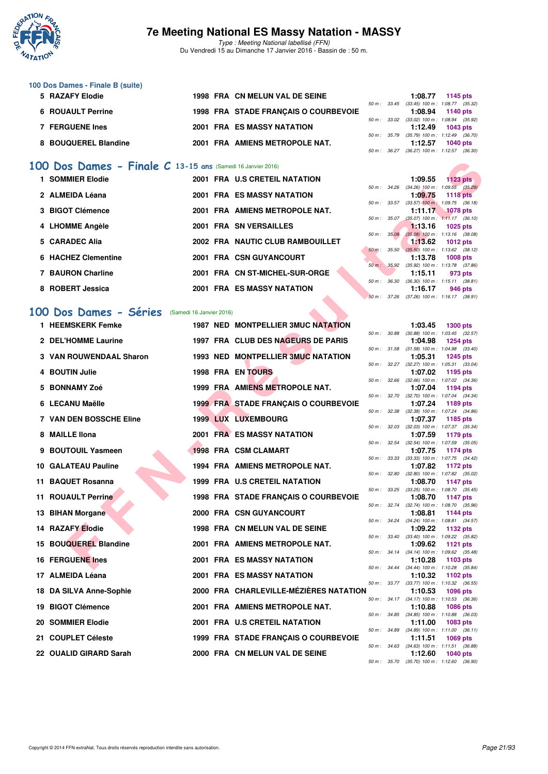

Type : Meeting National labellisé (FFN) Du Vendredi 15 au Dimanche 17 Janvier 2016 - Bassin de : 50 m.

#### **100 Dos Dames - Finale B (suite)**

| 5 RAZAFY Elodie      |  | 1998 FRA CN MELUN VAL DE SEINE       |  | 1:08.77 1145 pts                             |          |  |
|----------------------|--|--------------------------------------|--|----------------------------------------------|----------|--|
|                      |  |                                      |  | 50 m: 33.45 (33.45) 100 m: 1:08.77 (35.32)   |          |  |
| 6 ROUAULT Perrine    |  | 1998 FRA STADE FRANCAIS O COURBEVOIE |  | 1:08.94 1140 pts                             |          |  |
|                      |  |                                      |  | 50 m : 33.02 (33.02) 100 m : 1:08.94 (35.92) |          |  |
| 7 FERGUENE Ines      |  | 2001 FRA ES MASSY NATATION           |  | $1:12.49$ 1043 pts                           |          |  |
|                      |  |                                      |  | 50 m: 35.79 (35.79) 100 m: 1:12.49 (36.70)   |          |  |
| 8 BOUQUEREL Blandine |  | 2001 FRA AMIENS METROPOLE NAT.       |  | 1:12.57                                      | 1040 pts |  |
|                      |  |                                      |  | 50 m : 36.27 (36.27) 100 m : 1:12.57 (36.30) |          |  |

#### **[100 Dos Dames - Finale C](http://www.ffnatation.fr/webffn/resultats.php?idact=nat&go=epr&idcpt=35299&idepr=12) 13-15 ans** (Samedi 16 Janvier 2016)

| 1 SOMMIER Elodie    |  | 2001 FRA U.S CRETEIL NATATION     |              | 1:09.55                                      | $1123$ pts      |  |
|---------------------|--|-----------------------------------|--------------|----------------------------------------------|-----------------|--|
|                     |  |                                   |              | 50 m: 34.26 (34.26) 100 m: 1:09.55 (35.29)   |                 |  |
| 2 ALMEIDA Léana     |  | <b>2001 FRA ES MASSY NATATION</b> |              | 1:09.75                                      | <b>1118 pts</b> |  |
|                     |  |                                   | 50 m : 33.57 | $(33.57)$ 100 m : 1:09.75 $(36.18)$          |                 |  |
| 3 BIGOT Clémence    |  | 2001 FRA AMIENS METROPOLE NAT.    |              | 1:11.17                                      | <b>1078 pts</b> |  |
|                     |  |                                   | 50 m : 35.07 | $(35.07)$ 100 m : 1:11.17 $(36.10)$          |                 |  |
| 4 LHOMME Angèle     |  | <b>2001 FRA SN VERSAILLES</b>     |              | $1:13.16$ 1025 pts                           |                 |  |
|                     |  |                                   | 50 m: 35.08  | $(35.08)$ 100 m : 1:13.16 $(38.08)$          |                 |  |
| 5 CARADEC Alia      |  | 2002 FRA NAUTIC CLUB RAMBOUILLET  |              | 1:13.62                                      | 1012 $pts$      |  |
|                     |  |                                   |              | 50 m : 35.50 (35.50) 100 m : 1:13.62 (38.12) |                 |  |
| 6 HACHEZ Clementine |  | 2001 FRA CSN GUYANCOURT           |              | 1:13.78                                      | $1008$ pts      |  |
|                     |  |                                   | 50 m : 35.92 | $(35.92)$ 100 m : 1:13.78 $(37.86)$          |                 |  |
| 7 BAURON Charline   |  | 2001 FRA CN ST-MICHEL-SUR-ORGE    |              | 1:15.11                                      | 973 pts         |  |
|                     |  |                                   | 50 m : 36.30 | $(36.30)$ 100 m : 1:15.11 $(38.81)$          |                 |  |
| 8 ROBERT Jessica    |  | <b>2001 FRA ES MASSY NATATION</b> |              | 1:16.17                                      | 946 pts         |  |
|                     |  |                                   |              | 50 m: 37.26 (37.26) 100 m: 1:16.17 (38.91)   |                 |  |

#### **[100 Dos Dames - Séries](http://www.ffnatation.fr/webffn/resultats.php?idact=nat&go=epr&idcpt=35299&idepr=12)** (Samedi 16 Janvier 2016)

| 00 Dos Dames - Finale C 13-15 ans (Samedi 16 Janvier 2016) |  |                                           |              |         |                                                                 |
|------------------------------------------------------------|--|-------------------------------------------|--------------|---------|-----------------------------------------------------------------|
| 1 SOMMIER Elodie                                           |  | 2001 FRA U.S CRETEIL NATATION             |              | 1:09.55 | 1123 $pts$                                                      |
| 2 ALMEIDA Léana                                            |  | 2001 FRA ES MASSY NATATION                |              | 1:09.75 | 50 m: 34.26 (34.26) 100 m: 1:09.55 (35.29)<br><b>1118 pts</b>   |
| 3 BIGOT Clémence                                           |  | 2001 FRA AMIENS METROPOLE NAT.            | 50 m: 33.57  | 1:11.17 | $(33.57)$ 100 m : 1:09.75 $(36.18)$<br><b>1078 pts</b>          |
| 4 LHOMME Angèle                                            |  | 2001 FRA SN VERSAILLES                    | 50 m: 35.07  | 1:13.16 | $(35.07)$ 100 m : 1:11.17 $(36.10)$<br><b>1025 pts</b>          |
|                                                            |  |                                           | 50 m: 35.08  |         | $(35.08)$ 100 m : 1:13.16 $(38.08)$                             |
| 5 CARADEC Alia                                             |  | 2002 FRA NAUTIC CLUB RAMBOUILLET          | 50 m: 35.50  | 1:13.62 | <b>1012 pts</b><br>$(35.50)$ 100 m : 1:13.62 $(38.12)$          |
| 6 HACHEZ Clementine                                        |  | 2001 FRA CSN GUYANCOURT                   |              | 1:13.78 | <b>1008 pts</b>                                                 |
| <b>7 BAURON Charline</b>                                   |  | 2001 FRA CN ST-MICHEL-SUR-ORGE            |              | 1:15.11 | 50 m : 35.92 (35.92) 100 m : 1:13.78 (37.86)<br>973 pts         |
| 8 ROBERT Jessica                                           |  | 2001 FRA ES MASSY NATATION                | 50 m : 36.30 | 1:16.17 | $(36.30)$ 100 m : 1:15.11 $(38.81)$<br>946 pts                  |
|                                                            |  |                                           | 50 m: 37.26  |         | $(37.26)$ 100 m : 1:16.17 $(38.91)$                             |
| <b>00 Dos Dames - Séries</b> (Samedi 16 Janvier 2016)      |  |                                           |              |         |                                                                 |
| 1 HEEMSKERK Femke                                          |  | <b>1987 NED MONTPELLIER 3MUC NATATION</b> |              | 1:03.45 | <b>1300 pts</b>                                                 |
|                                                            |  |                                           | 50 m : 30.88 |         | $(30.88)$ 100 m : 1:03.45 $(32.57)$                             |
| 2 DEL'HOMME Laurine                                        |  | 1997 FRA CLUB DES NAGEURS DE PARIS        | 50 m : 31.58 | 1:04.98 | <b>1254 pts</b><br>$(31.58)$ 100 m : 1:04.98 $(33.40)$          |
| <b>3 VAN ROUWENDAAL Sharon</b>                             |  | 1993 NED MONTPELLIER 3MUC NATATION        |              | 1:05.31 | <b>1245 pts</b>                                                 |
| 4 BOUTIN Julie                                             |  | <b>1998 FRA EN TOURS</b>                  |              | 1:07.02 | 50 m: 32.27 (32.27) 100 m: 1:05.31 (33.04)<br>1195 pts          |
|                                                            |  |                                           | 50 m : 32.66 |         | $(32.66)$ 100 m : 1:07.02 $(34.36)$                             |
| 5 BONNAMY Zoé                                              |  | 1999 FRA AMIENS METROPOLE NAT.            | 50 m : 32.70 | 1:07.04 | 1194 pts<br>(32.70) 100 m: 1:07.04 (34.34)                      |
| 6 LECANU Maëlle                                            |  | 1999 FRA STADE FRANÇAIS O COURBEVOIE      |              | 1:07.24 | 1189 pts                                                        |
| <b>7 VAN DEN BOSSCHE Eline</b>                             |  | <b>1999 LUX LUXEMBOURG</b>                | 50 m: 32.38  | 1:07.37 | $(32.38)$ 100 m : 1:07.24 $(34.86)$<br>1185 pts                 |
| 8 MAILLE IIona                                             |  | <b>2001 FRA ES MASSY NATATION</b>         | 50 m : 32.03 | 1:07.59 | $(32.03)$ 100 m : 1:07.37 $(35.34)$<br>1179 pts                 |
|                                                            |  |                                           | 50 m : 32.54 |         | $(32.54)$ 100 m : 1:07.59 $(35.05)$                             |
| 9 BOUTOUIL Yasmeen                                         |  | 1998 FRA CSM CLAMART                      |              | 1:07.75 | 1174 pts<br>50 m: 33.33 (33.33) 100 m: 1:07.75 (34.42)          |
| <b>10 GALATEAU Pauline</b>                                 |  | <b>1994 FRA AMIENS METROPOLE NAT.</b>     | 50 m : 32.80 | 1:07.82 | 1172 pts<br>$(32.80)$ 100 m : 1:07.82 $(35.02)$                 |
| 11 BAQUET Rosanna                                          |  | 1999 FRA U.S CRETEIL NATATION             |              | 1:08.70 | 1147 pts                                                        |
| <b>11 ROUAULT Perrine</b>                                  |  | 1998 FRA STADE FRANÇAIS O COURBEVOIE      | 50 m: 33.25  | 1:08.70 | $(33.25)$ 100 m : 1:08.70 $(35.45)$<br>1147 pts                 |
|                                                            |  |                                           | 50 m : 32.74 |         | $(32.74)$ 100 m : 1:08.70 $(35.96)$                             |
| 13 BIHAN Morgane                                           |  | 2000 FRA CSN GUYANCOURT                   |              | 1:08.81 | 1144 pts<br>50 m: 34.24 (34.24) 100 m: 1:08.81 (34.57)          |
| <b>14 RAZAFY Elodie</b>                                    |  | 1998 FRA CN MELUN VAL DE SEINE            |              | 1:09.22 | 1132 pts                                                        |
| 15 BOUQUEREL Blandine                                      |  | 2001 FRA AMIENS METROPOLE NAT.            | 50 m : 33.40 | 1:09.62 | $(33.40)$ 100 m : 1:09.22 $(35.82)$<br>1121 pts                 |
| <b>16 FERGUENE Ines</b>                                    |  | <b>2001 FRA ES MASSY NATATION</b>         |              | 1:10.28 | 50 m: 34.14 (34.14) 100 m: 1:09.62 (35.48)<br>1103 pts          |
| 17 ALMEIDA Léana                                           |  | 2001 FRA ES MASSY NATATION                |              | 1:10.32 | 50 m: 34.44 (34.44) 100 m: 1:10.28 (35.84)<br><b>1102 pts</b>   |
|                                                            |  |                                           | 50 m : 33.77 |         | $(33.77)$ 100 m : 1:10.32 $(36.55)$                             |
| 18 DA SILVA Anne-Sophie                                    |  | 2000 FRA CHARLEVILLE-MEZIERES NATATION    |              | 1:10.53 | 1096 pts<br>50 m: 34.17 (34.17) 100 m: 1:10.53 (36.36)          |
| 19 BIGOT Clémence                                          |  | 2001 FRA AMIENS METROPOLE NAT.            |              | 1:10.88 | <b>1086 pts</b>                                                 |
| 20 SOMMIER Elodie                                          |  | 2001 FRA U.S CRETEIL NATATION             |              | 1:11.00 | 50 m : 34.85 (34.85) 100 m : 1:10.88 (36.03)<br>1083 pts        |
| 21 COUPLET Céleste                                         |  | 1999 FRA STADE FRANÇAIS O COURBEVOIE      | 50 m : 34.89 | 1:11.51 | $(34.89)$ 100 m : 1:11.00 $(36.11)$<br>1069 pts                 |
|                                                            |  |                                           |              |         | 50 m : 34.63 (34.63) 100 m : 1:11.51 (36.88)                    |
| 22 OUALID GIRARD Sarah                                     |  | 2000 FRA CN MELUN VAL DE SEINE            |              | 1:12.60 | <b>1040 pts</b><br>50 m : 35.70 (35.70) 100 m : 1:12.60 (36.90) |

|          |       | 1:03.45           | 1300 pts            |
|----------|-------|-------------------|---------------------|
| $50 m$ : | 30.88 | $(30.88) 100 m$ : | 1:03.45 (32.57)     |
|          |       | 1:04.98           | <b>1254 pts</b>     |
| $50 m$ : | 31.58 | $(31.58) 100 m$ : | 1:04.98 (33.40)     |
|          |       | 1:05.31           | 1245 pts            |
| $50 m$ : | 32.27 | $(32.27)$ 100 m : | 1:05.31 (33.04)     |
|          |       | 1:07.02           | 1195 pts            |
| $50 m$ : | 32.66 | $(32.66)$ 100 m : | 1:07.02 (34.36)     |
|          |       | 1:07.04           | 1194 pts            |
| $50 m$ : | 32.70 | $(32.70)$ 100 m : | 1:07.04 (34.34)     |
|          |       | 1:07.24           | 1189 pts            |
| $50 m$ : | 32.38 | $(32.38) 100 m$ : | 1:07.24 (34.86)     |
|          |       | 1:07.37           | 1185 pts            |
| $50 m$ : | 32.03 | $(32.03)$ 100 m : | 1:07.37 (35.34)     |
|          |       | 1:07.59           | <b>1179 pts</b>     |
| $50 m$ : | 32.54 | $(32.54)$ 100 m : | 1:07.59 (35.05)     |
|          |       | 1:07.75           | 1174 pts            |
| $50 m$ : | 33.33 | $(33.33) 100 m$ : | 1:07.75 (34.42)     |
|          |       | 1:07.82           | <b>1172 pts</b>     |
| $50 m$ : | 32.80 | $(32.80)$ 100 m : | 1:07.82 (35.02)     |
|          |       | 1:08.70           | 1147 pts            |
| $50 m$ : | 33.25 | $(33.25)$ 100 m : | 1:08.70 (35.45)     |
|          |       | 1:08.70           | 1147 pts            |
| $50 m$ : | 32.74 | $(32.74) 100 m$ : | 1:08.70 (35.96)     |
|          |       | 1:08.81           | 1144 pts            |
| $50 m$ : | 34.24 | $(34.24) 100 m$ : | 1:08.81 (34.57)     |
|          |       | 1:09.22           | <b>1132 pts</b>     |
| $50 m$ : | 33.40 | $(33.40)$ 100 m : | 1:09.22 (35.82)     |
|          |       | 1:09.62           | 1121 $pts$          |
| $50 m$ : | 34.14 | $(34.14) 100 m$ : | 1:09.62 (35.48)     |
|          |       | 1:10.28           | 1103 pts            |
| $50 m$ : | 34.44 | $(34.44) 100 m$ : | $1:10.28$ $(35.84)$ |
|          |       | 1:10.32           | 1102 pts            |
| $50 m$ : | 33.77 | $(33.77) 100 m$ : | 1:10.32 (36.55)     |
|          |       | 1:10.53           | 1096 pts            |
| $50 m$ : | 34.17 | $(34.17) 100 m$ : | 1:10.53 (36.36)     |
|          |       | 1:10.88           | 1086 pts            |
| $50 m$ : | 34.85 | $(34.85)$ 100 m : | 1:10.88 (36.03)     |
|          |       | 1:11.00           | 1083 pts            |
| $50 m$ : | 34.89 | $(34.89) 100 m$ : | $1:11.00$ $(36.11)$ |
|          |       | 1:11.51           | 1069 pts            |
| $50 m$ : | 34.63 | $(34.63) 100 m$ : | 1:11.51 (36.88)     |
|          |       | 1 12 60           | 1040 nts            |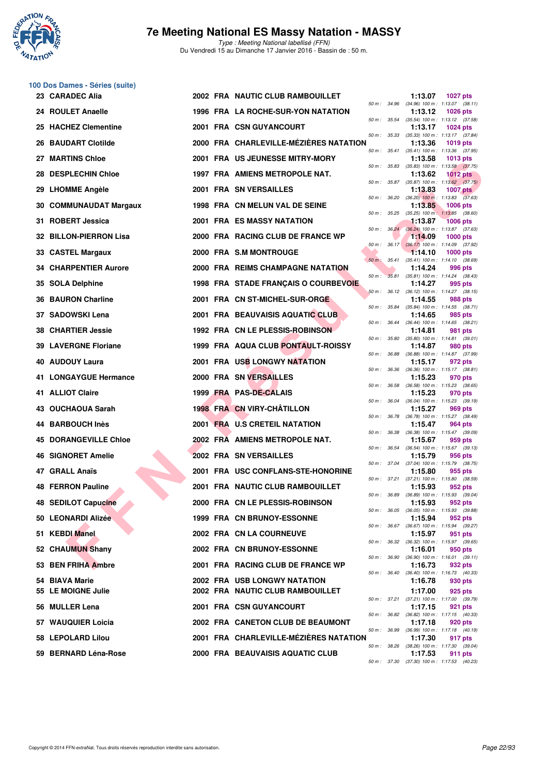

**100 Dos Dames - Séries (suite)**

#### **7e Meeting National ES Massy Natation - MASSY**

|     | 23 CARADEC Alia            |  | 2002 FRA NAUTIC CLUB RAMBOUILLET            |              |              | 1:13.07                                                 | <b>1027 pts</b> |  |
|-----|----------------------------|--|---------------------------------------------|--------------|--------------|---------------------------------------------------------|-----------------|--|
|     | 24 ROULET Anaelle          |  | 1996 FRA LA ROCHE-SUR-YON NATATION          | 50 m : 34.96 |              | $(34.96)$ 100 m : 1:13.07 $(38.11)$<br>1:13.12          | <b>1026 pts</b> |  |
| 25  | <b>HACHEZ Clementine</b>   |  | <b>2001 FRA CSN GUYANCOURT</b>              |              |              | 50 m: 35.54 (35.54) 100 m: 1:13.12 (37.58)<br>1:13.17   | <b>1024 pts</b> |  |
|     | 26 BAUDART Clotilde        |  | 2000 FRA CHARLEVILLE-MÉZIÈRES NATATION      | 50 m: 35.33  |              | $(35.33)$ 100 m : 1:13.17 $(37.84)$<br>1:13.36          | <b>1019 pts</b> |  |
| 27  | <b>MARTINS Chloe</b>       |  | 2001 FRA US JEUNESSE MITRY-MORY             |              | 50 m : 35.41 | $(35.41)$ 100 m : 1:13.36 $(37.95)$<br>1:13.58          | <b>1013 pts</b> |  |
| 28  | <b>DESPLECHIN Chloe</b>    |  | 1997 FRA AMIENS METROPOLE NAT.              |              |              | 50 m: 35.83 (35.83) 100 m: 1:13.58 (37.75)<br>1:13.62   | $1012$ pts      |  |
|     | 29 LHOMME Angèle           |  | 2001 FRA SN VERSAILLES                      |              |              | 50 m: 35.87 (35.87) 100 m: 1:13.62 (37.75)<br>1:13.83   | <b>1007 pts</b> |  |
| 30  | <b>COMMUNAUDAT Margaux</b> |  | 1998 FRA CN MELUN VAL DE SEINE              |              | 50 m : 36.20 | $(36.20)$ 100 m : 1:13.83 $(37.63)$<br>1:13.85          | <b>1006 pts</b> |  |
| 31  | <b>ROBERT Jessica</b>      |  | 2001 FRA ES MASSY NATATION                  | 50 m: 35.25  |              | $(35.25)$ 100 m : 1:13.85 $(38.60)$<br>1:13.87          | <b>1006 pts</b> |  |
| 32  | <b>BILLON-PIERRON Lisa</b> |  | 2000 FRA RACING CLUB DE FRANCE WP           |              | 50 m: 36.24  | (36.24) 100 m: 1:13.87 (37.63)<br>1:14.09               | $1000$ pts      |  |
|     |                            |  |                                             |              | 50 m: 36.17  | $(36.17)$ 100 m : 1:14.09 $(37.92)$                     |                 |  |
|     | 33 CASTEL Margaux          |  | 2000 FRA S.M MONTROUGE                      |              | 50 m: 35.41  | 1:14.10<br>$(35.41)$ 100 m : 1:14.10 $(38.69)$          | $1000$ pts      |  |
| 34  | <b>CHARPENTIER Aurore</b>  |  | 2000 FRA REIMS CHAMPAGNE NATATION           | 50 m:        |              | 1:14.24<br>35.81 (35.81) 100 m: 1:14.24 (38.43)         | 996 pts         |  |
| 35  | <b>SOLA Delphine</b>       |  | <b>1998 FRA STADE FRANÇAIS O COURBEVOIE</b> |              |              | 1:14.27<br>50 m: 36.12 (36.12) 100 m: 1:14.27 (38.15)   | 995 pts         |  |
| 36  | <b>BAURON Charline</b>     |  | 2001 FRA CN ST-MICHEL-SUR-ORGE              |              |              | 1:14.55<br>50 m: 35.84 (35.84) 100 m: 1:14.55 (38.71)   | 988 pts         |  |
|     | <b>SADOWSKI Lena</b>       |  | 2001 FRA BEAUVAISIS AQUATIC CLUB            |              | 50 m : 36.44 | 1:14.65<br>(36.44) 100 m: 1:14.65 (38.21)               | 985 pts         |  |
| 38. | <b>CHARTIER Jessie</b>     |  | 1992 FRA CN LE PLESSIS-ROBINSON             | 50 m : 35.80 |              | 1:14.81<br>$(35.80)$ 100 m : 1:14.81 $(39.01)$          | 981 pts         |  |
| 39  | <b>LAVERGNE Floriane</b>   |  | 1999 FRA AQUA CLUB PONTAULT-ROISSY          |              |              | 1:14.87<br>50 m : 36.88 (36.88) 100 m : 1:14.87 (37.99) | 980 pts         |  |
|     | 40 AUDOUY Laura            |  | <b>2001 FRA USB LONGWY NATATION</b>         | 50 m : 36.36 |              | 1:15.17<br>$(36.36)$ 100 m : 1:15.17 $(38.81)$          | 972 pts         |  |
|     | 41 LONGAYGUE Hermance      |  | <b>2000 FRA SN VERSAILLES</b>               |              | 50 m : 36.58 | 1:15.23<br>$(36.58)$ 100 m : 1:15.23 $(38.65)$          | 970 pts         |  |
|     | 41 ALLIOT Claire           |  | 1999 FRA PAS-DE-CALAIS                      | 50 m : 36.04 |              | 1:15.23<br>(36.04) 100 m: 1:15.23 (39.19)               | 970 pts         |  |
| 43. | OUCHAOUA Sarah             |  | 1998 FRA CN VIRY-CHÂTILLON                  |              |              | 1:15.27                                                 | 969 pts         |  |
| 44  | <b>BARBOUCH Inès</b>       |  | 2001 FRA U.S CRETEIL NATATION               | 50 m : 36.78 |              | (36.78) 100 m: 1:15.27 (38.49)<br>1:15.47               | 964 pts         |  |
| 45  | <b>DORANGEVILLE Chloe</b>  |  | 2002 FRĀ AMIENS METROPOLE NAT.              | 50 m : 36.38 |              | (36.38) 100 m: 1:15.47 (39.09)<br>1:15.67               | 959 pts         |  |
| 46  | <b>SIGNORET Amelie</b>     |  | 2002 FRA SN VERSAILLES                      |              | 50 m : 36.54 | $(36.54)$ 100 m : 1:15.67 $(39.13)$<br>1:15.79          | 956 pts         |  |
|     | 47 GRALL Anaïs             |  | 2001 FRA USC CONFLANS-STE-HONORINE          |              |              | 50 m: 37.04 (37.04) 100 m: 1:15.79 (38.75)<br>1:15.80   | 955 pts         |  |
|     | <b>48 FERRON Pauline</b>   |  | 2001 FRA NAUTIC CLUB RAMBOUILLET            |              |              | 50 m : 37.21 (37.21) 100 m : 1:15.80 (38.59)<br>1:15.93 | 952 pts         |  |
|     | 48 SEDILOT Capucine        |  | 2000 FRA CN LE PLESSIS-ROBINSON             |              |              | 50 m: 36.89 (36.89) 100 m: 1:15.93 (39.04)<br>1:15.93   | 952 pts         |  |
|     | 50 LEONARDI Alizée         |  | 1999 FRA CN BRUNOY-ESSONNE                  |              |              | 50 m: 36.05 (36.05) 100 m: 1:15.93 (39.88)<br>1:15.94   | 952 pts         |  |
|     | 51 KEBDI Manel             |  | 2002 FRA CN LA COURNEUVE                    |              |              | 50 m : 36.67 (36.67) 100 m : 1:15.94 (39.27)<br>1:15.97 | 951 pts         |  |
|     | 52 CHAUMUN Shany           |  | 2002 FRA CN BRUNOY-ESSONNE                  |              |              | 50 m : 36.32 (36.32) 100 m : 1:15.97 (39.65)<br>1:16.01 | 950 pts         |  |
|     | 53 BEN FRIHA Ambre         |  | 2001 FRA RACING CLUB DE FRANCE WP           |              |              | 50 m : 36.90 (36.90) 100 m : 1:16.01 (39.11)<br>1:16.73 | 932 pts         |  |
|     | 54 BIAVA Marie             |  | 2002 FRA USB LONGWY NATATION                |              |              | 50 m: 36.40 (36.40) 100 m: 1:16.73 (40.33)<br>1:16.78   | 930 pts         |  |
|     | 55 LE MOIGNE Julie         |  | 2002 FRA NAUTIC CLUB RAMBOUILLET            |              |              | 1:17.00                                                 | 925 pts         |  |
|     | 56 MULLER Lena             |  | <b>2001 FRA CSN GUYANCOURT</b>              |              |              | 50 m: 37.21 (37.21) 100 m: 1:17.00 (39.79)<br>1:17.15   | 921 pts         |  |
|     | 57 WAUQUIER Loicia         |  | 2002 FRA CANETON CLUB DE BEAUMONT           |              | 50 m : 36.82 | $(36.82)$ 100 m : 1:17.15 $(40.33)$<br>1:17.18          | 920 pts         |  |
|     | 58 LEPOLARD Lilou          |  | 2001 FRA CHARLEVILLE-MEZIERES NATATION      |              |              | 50 m : 36.99 (36.99) 100 m : 1:17.18 (40.19)<br>1:17.30 | 917 pts         |  |
|     | 59 BERNARD Léna-Rose       |  | 2000 FRA BEAUVAISIS AQUATIC CLUB            |              |              | 50 m : 38.26 (38.26) 100 m : 1:17.30 (39.04)<br>1:17.53 | 911 pts         |  |
|     |                            |  |                                             |              |              | 50 m: 37.30 (37.30) 100 m: 1:17.53 (40.23)              |                 |  |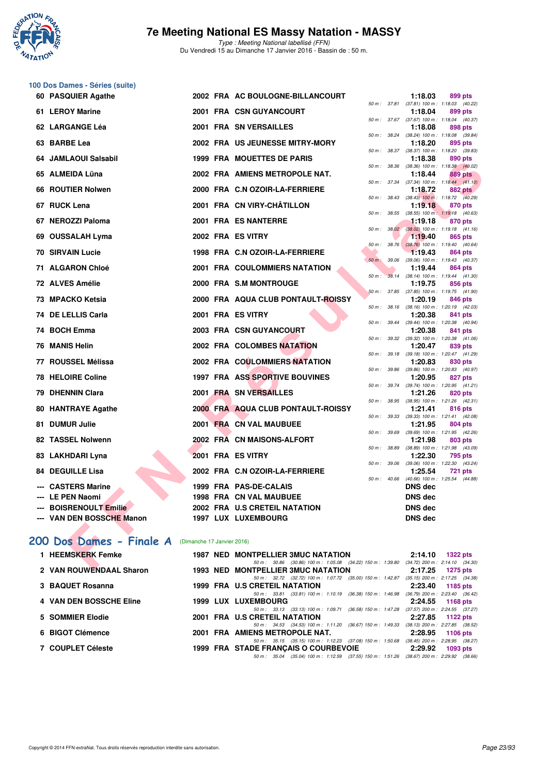

**100 Dos Dames - Séries (suite)**

## **7e Meeting National ES Massy Natation - MASSY**

Type : Meeting National labellisé (FFN) Du Vendredi 15 au Dimanche 17 Janvier 2016 - Bassin de : 50 m.

| 60 PASQUIER Agathe                                  |  | 2002 FRA AC BOULOGNE-BILLANCOURT                                                                                               |                  |                | 1:18.03                                               | 899 pts        |  |
|-----------------------------------------------------|--|--------------------------------------------------------------------------------------------------------------------------------|------------------|----------------|-------------------------------------------------------|----------------|--|
| 61 LEROY Marine                                     |  | 2001 FRA CSN GUYANCOURT                                                                                                        |                  |                | 50 m: 37.81 (37.81) 100 m: 1:18.03 (40.22)<br>1:18.04 | 899 pts        |  |
| 62 LARGANGE Léa                                     |  | <b>2001 FRA SN VERSAILLES</b>                                                                                                  |                  |                | 50 m: 37.67 (37.67) 100 m: 1:18.04 (40.37)<br>1:18.08 | 898 pts        |  |
| 63 BARBE Lea                                        |  | 2002 FRA US JEUNESSE MITRY-MORY                                                                                                |                  | 50 m : 38.24   | (38.24) 100 m: 1:18.08 (39.84)<br>1:18.20             | 895 pts        |  |
| 64 JAMLAOUI Salsabil                                |  | <b>1999 FRA MOUETTES DE PARIS</b>                                                                                              |                  |                | 50 m: 38.37 (38.37) 100 m: 1:18.20 (39.83)<br>1:18.38 | 890 pts        |  |
|                                                     |  |                                                                                                                                | $50 m$ : $38.36$ |                | (38.36) 100 m : 1:18.38 (40.02)                       |                |  |
| 65 ALMEIDA Lüna                                     |  | 2002 FRA AMIENS METROPOLE NAT.                                                                                                 |                  |                | 1:18.44                                               | <b>889 pts</b> |  |
| 66 ROUTIER Nolwen                                   |  | 2000 FRA C.N OZOIR-LA-FERRIERE                                                                                                 |                  | 50 m : 37.34   | $(37.34)$ 100 m : 1:18.44 $(41.10)$<br>1:18.72        | <b>882 pts</b> |  |
| 67 RUCK Lena                                        |  | 2001 FRA CN VIRY-CHÂTILLON                                                                                                     |                  | 50 m : 38.43   | $(38.43)$ 100 m : 1:18.72 $(40.29)$<br>1:19.18        | 870 pts        |  |
| 67 NEROZZI Paloma                                   |  | 2001 FRA ES NANTERRE                                                                                                           |                  | 50 m : 38.55   | $(38.55)$ 100 m : 1:19.18 $(40.63)$<br>1:19.18        | 870 pts        |  |
|                                                     |  |                                                                                                                                |                  |                | 50 m: 38.02 (38.02) 100 m: 1:19.18 (41.16)            |                |  |
| 69 OUSSALAH Lyma                                    |  | 2002 FRA ES VITRY                                                                                                              |                  |                | 1:19.40                                               | 865 pts        |  |
| <b>70 SIRVAIN Lucie</b>                             |  | 1998 FRA C.N OZOIR-LA-FERRIERE                                                                                                 |                  | $50 m$ : 38.76 | $(38.76)$ 100 m : 1:19.40 $(40.64)$<br>1:19.43        | 864 pts        |  |
|                                                     |  |                                                                                                                                |                  | 50 m : 39.06   | $(39.06)$ 100 m : 1:19.43 $(40.37)$                   |                |  |
| 71 ALGARON Chloé                                    |  | <b>2001 FRA COULOMMIERS NATATION</b>                                                                                           | $50 m$ :         | 38.14          | 1:19.44<br>$(38.14)$ 100 m : 1:19.44 $(41.30)$        | 864 pts        |  |
| 72 ALVES Amélie                                     |  | 2000 FRA S.M MONTROUGE                                                                                                         |                  |                | 1:19.75                                               | 856 pts        |  |
| 73 MPACKO Ketsia                                    |  | 2000 FRA AQUA CLUB PONTAULT-ROISSY                                                                                             |                  |                | 50 m: 37.85 (37.85) 100 m: 1:19.75 (41.90)<br>1:20.19 | 846 pts        |  |
|                                                     |  |                                                                                                                                |                  | 50 m : 38.16   | (38.16) 100 m: 1:20.19 (42.03)                        |                |  |
| 74 DE LELLIS Carla                                  |  | 2001 FRA ES VITRY                                                                                                              |                  | 50 m : 39.44   | 1:20.38<br>$(39.44)$ 100 m : 1:20.38 $(40.94)$        | 841 pts        |  |
| 74 BOCH Emma                                        |  | <b>2003 FRA CSN GUYANCOURT</b>                                                                                                 |                  |                | 1:20.38                                               | 841 pts        |  |
| 76 MANIS Helin                                      |  | 2002 FRA COLOMBES NATATION                                                                                                     |                  | 50 m : 39.32   | $(39.32)$ 100 m : 1:20.38 $(41.06)$<br>1:20.47        | 839 pts        |  |
|                                                     |  |                                                                                                                                |                  |                | 50 m: 39.18 (39.18) 100 m: 1:20.47 (41.29)            |                |  |
| 77 ROUSSEL Mélissa                                  |  | <b>2002 FRA COULOMMIERS NATATION</b>                                                                                           |                  |                | 1:20.83                                               | 830 pts        |  |
| 78 HELOIRE Coline                                   |  | 1997 FRA ASS SPORTIVE BOUVINES                                                                                                 |                  |                | 50 m: 39.86 (39.86) 100 m: 1:20.83 (40.97)<br>1:20.95 | 827 pts        |  |
|                                                     |  |                                                                                                                                |                  | 50 m : 39.74   | $(39.74)$ 100 m : 1:20.95 $(41.21)$                   |                |  |
| 79 DHENNIN Clara                                    |  | 2001 FRA SN VERSAILLES                                                                                                         |                  |                | 1:21.26<br>50 m: 38.95 (38.95) 100 m: 1:21.26 (42.31) | 820 pts        |  |
| 80 HANTRAYE Agathe                                  |  | 2000 FRA AQUA CLUB PONTAULT-ROISSY                                                                                             |                  |                | 1:21.41                                               | 816 pts        |  |
| 81 DUMUR Julie                                      |  | 2001 FRA CN VAL MAUBUEE                                                                                                        |                  | 50 m : 39.33   | (39.33) 100 m: 1:21.41 (42.08)<br>1:21.95             | 804 pts        |  |
|                                                     |  |                                                                                                                                |                  |                | 50 m: 39.69 (39.69) 100 m: 1:21.95 (42.26)            |                |  |
| 82 TASSEL Nolwenn                                   |  | 2002 FRA CN MAISONS-ALFORT                                                                                                     | 50 m: 38.89      |                | 1:21.98<br>(38.89) 100 m: 1:21.98 (43.09)             | 803 pts        |  |
| 83 LAKHDARI Lyna                                    |  | 2001 FRA ES VITRY                                                                                                              |                  |                | 1:22.30                                               | 795 pts        |  |
|                                                     |  |                                                                                                                                | 50 m : 39.06     |                | (39.06) 100 m: 1:22.30 (43.24)                        |                |  |
| <b>84 DEGUILLE Lisa</b>                             |  | 2002 FRA C.N OZOIR-LA-FERRIERE                                                                                                 |                  | 50 m : 40.66   | 1:25.54<br>$(40.66)$ 100 m : 1:25.54 $(44.88)$        | <b>721 pts</b> |  |
| --- CASTERS Marine                                  |  | 1999 FRA PAS-DE-CALAIS                                                                                                         |                  |                | <b>DNS</b> dec                                        |                |  |
| --- LE PEN Naomi                                    |  | 1998 FRA CN VAL MAUBUEE                                                                                                        |                  |                | <b>DNS</b> dec                                        |                |  |
| <b>BOISRENOULT Emilie</b>                           |  | 2002 FRA U.S CRETEIL NATATION                                                                                                  |                  |                | <b>DNS dec</b>                                        |                |  |
| --- VAN DEN BOSSCHE Manon                           |  | 1997 LUX LUXEMBOURG                                                                                                            |                  |                | <b>DNS dec</b>                                        |                |  |
|                                                     |  |                                                                                                                                |                  |                |                                                       |                |  |
| 200 Dos Dames - Finale A (Dimanche 17 Janvier 2016) |  |                                                                                                                                |                  |                |                                                       |                |  |
| 1 HEEMSKERK Femke                                   |  | 1987 NED MONTPELLIER 3MUC NATATION<br>50 m: 30.86 (30.86) 100 m: 1:05.08 (34.22) 150 m: 1:39.80 (34.72) 200 m: 2:14.10 (34.30) |                  |                | $2:14.10$ 1322 pts                                    |                |  |
| O MAN DOUMENDAAL OLANA                              |  | 1000 NED MONTRELLIER OMILO NATATION                                                                                            |                  |                | $0.4705 - 4075 + 4$                                   |                |  |

#### [200 Dos Dames - Finale A](http://www.ffnatation.fr/webffn/resultats.php?idact=nat&go=epr&idcpt=35299&idepr=13) (Dimanche 17 Janvier 2016)

| 1 HEEMSKERK Femke              | <b>1987 NED MONTPELLIER 3MUC NATATION</b>                                                       | 2:14.10 | <b>1322 pts</b>                                   |
|--------------------------------|-------------------------------------------------------------------------------------------------|---------|---------------------------------------------------|
|                                | 50 m : 30.86 (30.86) 100 m : 1:05.08 (34.22) 150 m : 1:39.80                                    |         | $(34.72)$ 200 m : 2:14.10 $(34.30)$               |
| 2 VAN ROUWENDAAL Sharon        | <b>1993 NED MONTPELLIER 3MUC NATATION</b>                                                       |         | $2:17.25$ 1275 pts                                |
|                                | 50 m: 32.72 (32.72) 100 m: 1:07.72 (35.00) 150 m: 1:42.87                                       |         | $(35.15)$ 200 m : 2:17.25 $(34.38)$               |
| 3 BAQUET Rosanna               | 1999 FRA U.S CRETEIL NATATION                                                                   | 2:23.40 | 1185 pts                                          |
|                                | 50 m: 33.81 (33.81) 100 m: 1:10.19 (36.38) 150 m: 1:46.98                                       |         | $(36.79)$ 200 m : 2:23.40 $(36.42)$               |
| <b>4 VAN DEN BOSSCHE Eline</b> | <b>1999 LUX LUXEMBOURG</b>                                                                      | 2:24.55 | 1168 pts                                          |
|                                | (36.58) 150 m : 1:47.28<br>50 m: 33.13 (33.13) 100 m: 1:09.71                                   |         | $(37.57)$ 200 m : 2:24.55 $(37.27)$               |
| 5 SOMMIER Elodie               | 2001 FRA U.S CRETEIL NATATION                                                                   | 2:27.85 | 1122 pts                                          |
| 6 BIGOT Clémence               | (36.67) 150 m : 1:49.33<br>50 m: 34.53 (34.53) 100 m: 1:11.20<br>2001 FRA AMIENS METROPOLE NAT. | 2:28.95 | $(38.13)$ 200 m : 2:27.85 $(38.52)$               |
|                                | 50 m: 35.15 (35.15) 100 m: 1:12.23 (37.08) 150 m: 1:50.68                                       |         | 1106 $pts$<br>$(38.45)$ 200 m : 2:28.95 $(38.27)$ |
| 7 COUPLET Céleste              | 1999 FRA STADE FRANCAIS O COURBEVOIE                                                            | 2:29.92 | 1093 pts                                          |
|                                |                                                                                                 |         |                                                   |
|                                | 50 m: 35.04 (35.04) 100 m: 1:12.59 (37.55) 150 m: 1:51.26                                       |         | $(38.67)$ 200 m : 2:29.92 $(38.66)$               |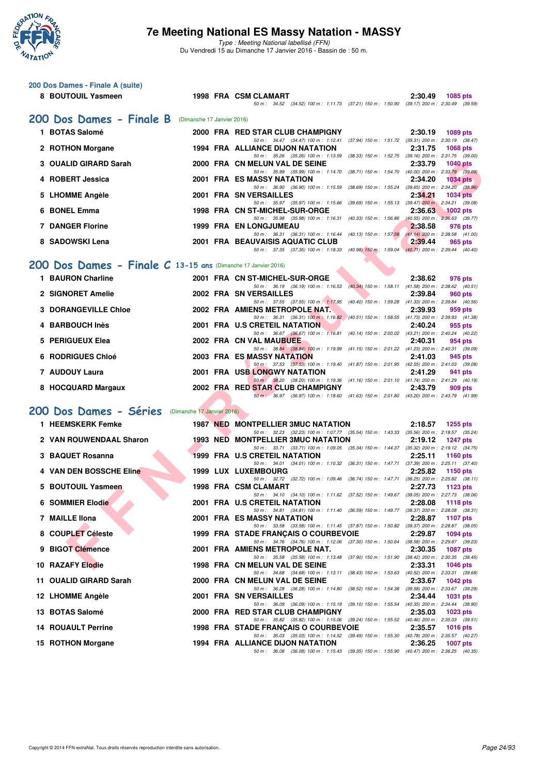

**200 Dos Dames - Finale A (suite)**

#### **7e Meeting National ES Massy Natation - MASSY**

|   | 8 BOUTOUIL Yasmeen                                            |  | 1998 FRA CSM CLAMART                                                                                                                    | 2:30.49 | <b>1085 pts</b> |  |
|---|---------------------------------------------------------------|--|-----------------------------------------------------------------------------------------------------------------------------------------|---------|-----------------|--|
|   |                                                               |  | 50 m: 34.52 (34.52) 100 m: 1:11.73 (37.21) 150 m: 1:50.90 (39.17) 200 m: 2:30.49 (39.59)                                                |         |                 |  |
|   | 200 Dos Dames - Finale B (Dimanche 17 Janvier 2016)           |  |                                                                                                                                         |         |                 |  |
|   | 1 BOTAS Salomé                                                |  | 2000 FRA RED STAR CLUB CHAMPIGNY                                                                                                        | 2:30.19 | 1089 pts        |  |
|   | 2 ROTHON Morgane                                              |  | 50 m: 34.47 (34.47) 100 m: 1:12.41 (37.94) 150 m: 1:51.72 (39.31) 200 m: 2:30.19 (38.47)<br>1994 FRA ALLIANCE DIJON NATATION            | 2:31.75 | 1068 pts        |  |
|   | 3 OUALID GIRARD Sarah                                         |  | 50 m: 35.26 (35.26) 100 m: 1:13.59 (38.33) 150 m: 1:52.75 (39.16) 200 m: 2:31.75 (39.00)<br>2000 FRA CN MELUN VAL DE SEINE              | 2:33.79 | <b>1040 pts</b> |  |
|   | 4 ROBERT Jessica                                              |  | 50 m: 35.99 (35.99) 100 m: 1:14.70 (38.71) 150 m: 1:54.70 (40.00) 200 m: 2:33.79 (39.09)<br>2001 FRA ES MASSY NATATION                  | 2:34.20 |                 |  |
|   |                                                               |  | 50 m: 36.90 (36.90) 100 m: 1:15.59 (38.69) 150 m: 1:55.24 (39.65) 200 m: 2:34.20 (38.96)                                                |         | <b>1034 pts</b> |  |
|   | 5 LHOMME Angèle                                               |  | 2001 FRA SN VERSAILLES<br>50 m: 35.97 (35.97) 100 m: 1:15.66 (39.69) 150 m: 1:55.13 (39.47) 200 m: 2:34.21 (39.08)                      | 2:34.21 | <b>1034 pts</b> |  |
|   | 6 BONEL Emma                                                  |  | 1998 FRA CN ST-MICHEL-SUR-ORGE<br>50 m: 35.98 (35.98) 100 m: 1:16.31 (40.33) 150 m: 1:56.86 (40.55) 200 m: 2:36.63 (39.77)              | 2:36.63 | $1002$ pts      |  |
|   | <b>7 DANGER Florine</b>                                       |  | <b>1999 FRA EN LONGJUMEAU</b>                                                                                                           | 2:38.58 | 976 pts         |  |
|   | 8 SADOWSKI Lena                                               |  | 50 m: 36.31 (36.31) 100 m: 1:16.44 (40.13) 150 m: 1:57.58 (41.14) 200 m: 2:38.58 (41.00)<br>2001 FRA BEAUVAISIS AQUATIC CLUB            | 2:39.44 | 965 pts         |  |
|   |                                                               |  | 50 m: 37.35 (37.35) 100 m: 1:18.33 (40.98) 150 m: 1:59.04 (40.71) 200 m: 2:39.44 (40.40)                                                |         |                 |  |
|   | 200 Dos Dames - Finale C 13-15 ans (Dimanche 17 Janvier 2016) |  |                                                                                                                                         |         |                 |  |
|   | 1 BAURON Charline                                             |  | 2001 FRA CN ST-MICHEL-SUR-ORGE                                                                                                          | 2:38.62 | 976 pts         |  |
|   | 2 SIGNORET Amelie                                             |  | 50 m: 36.19 (36.19) 100 m: 1:16.53 (40.34) 150 m: 1:58.11 (41.58) 200 m: 2:38.62 (40.51)<br>2002 FRA SN VERSAILLES                      | 2:39.84 | 960 pts         |  |
|   | <b>3 DORANGEVILLE Chloe</b>                                   |  | 50 m: 37.55 (37.55) 100 m: 1:17.95 (40.40) 150 m: 1:59.28 (41.33) 200 m: 2:39.84 (40.56)<br>2002 FRA AMIENS METROPOLE NAT.              | 2:39.93 | 959 pts         |  |
|   |                                                               |  | 50 m: 36.31 (36.31) 100 m: 1:16.82 (40.51) 150 m: 1:58.55 (41.73) 200 m: 2:39.93 (41.38)                                                |         |                 |  |
|   | 4 BARBOUCH Inès                                               |  | 2001 FRA U.S CRETEIL NATATION<br>50 m: 36.67 (36.67) 100 m: 1:16.81 (40.14) 150 m: 2:00.02 (43.21) 200 m: 2:40.24 (40.22)               | 2:40.24 | 955 pts         |  |
| 5 | <b>PERIGUEUX Elea</b>                                         |  | 2002 FRA CN VAL MAUBUEE<br>50 m: 38.84 (38.84) 100 m: 1:19.99 (41.15) 150 m: 2:01.22 (41.23) 200 m: 2:40.31 (39.09)                     | 2:40.31 | 954 pts         |  |
| 6 | <b>RODRIGUES Chloé</b>                                        |  | 2003 FRA ES MASSY NATATION                                                                                                              | 2:41.03 | 945 pts         |  |
|   | 7 AUDOUY Laura                                                |  | 50 m: 37.53 (37.53) 100 m: 1:19.40 (41.87) 150 m: 2:01.95 (42.55) 200 m: 2:41.03 (39.08)<br><b>2001 FRA USB LONGWY NATATION</b>         | 2:41.29 | 941 pts         |  |
|   | 8 HOCQUARD Margaux                                            |  | 50 m: 38.20 (38.20) 100 m: 1:19.36 (41.16) 150 m: 2:01.10 (41.74) 200 m: 2:41.29 (40.19)<br>2002 FRA RED STAR CLUB CHAMPIGNY            | 2:43.79 | 909 pts         |  |
|   |                                                               |  | 50 m · 36.97 (36.97) 100 m · 1:18.60 (41.63) 150 m · 2:01.80 (43.20) 200 m · 2:43.79 (41.99)                                            |         |                 |  |
|   | 200 Dos Dames - Séries (Dimanche 17 Janvier 2016)             |  |                                                                                                                                         |         |                 |  |
|   | 1 HEEMSKERK Femke                                             |  | <b>1987 NED MONTPELLIER 3MUC NATATION</b>                                                                                               | 2:18.57 | <b>1255 pts</b> |  |
|   | 2 VAN ROUWENDAAL Sharon                                       |  | 50 m: 32.23 (32.23) 100 m: 1:07.77 (35.54) 150 m: 1:43.33 (35.56) 200 m: 2:18.57 (35.24)<br><b>1993 NED MONTPELLIER 3MUC NATATION</b>   | 2:19.12 | <b>1247 pts</b> |  |
|   |                                                               |  | 50 m: 33.71 (33.71) 100 m: 1:09.05 (35.34) 150 m: 1:44.37 (35.32) 200 m: 2:19.12 (34.75)                                                |         |                 |  |
|   | 3 BAQUET Rosanna                                              |  | <b>1999 FRA U.S CRETEIL NATATION</b><br>50 m: 34.01 (34.01) 100 m: 1:10.32 (36.31) 150 m: 1:47.71 (37.39) 200 m: 2:25.11 (37.40)        | 2:25.11 | <b>1160 pts</b> |  |
|   | 4 VAN DEN BOSSCHE Eline                                       |  | 1999 LUX LUXEMBOURG<br>50 m: 32.72 (32.72) 100 m: 1.09.46 (36.74) 150 m: 1.47.71 (38.25) 200 m: 2.25.82 (38.11)                         | 2:25.82 | 1150 pts        |  |
| 5 | <b>BOUTOUIL Yasmeen</b>                                       |  | 1998 FRA CSM CLAMART                                                                                                                    | 2:27.73 | 1123 pts        |  |
|   | 6 SOMMIER Elodie                                              |  | 50 m: 34.10 (34.10) 100 m: 1:11.62 (37.52) 150 m: 1:49.67 (38.05) 200 m: 2:27.73 (38.06)<br>2001 FRA U.S CRETEIL NATATION               | 2:28.08 | 1118 pts        |  |
|   | 7 MAILLE IIona                                                |  | 50 m: 34.81 (34.81) 100 m: 1:11.40 (36.59) 150 m: 1:49.77 (38.37) 200 m: 2:28.08 (38.31)<br><b>2001 FRA ES MASSY NATATION</b>           | 2:28.87 | <b>1107 pts</b> |  |
|   |                                                               |  | 50 m: 33.58 (33.58) 100 m: 1:11.45 (37.87) 150 m: 1:50.82 (39.37) 200 m: 2:28.87 (38.05)                                                |         |                 |  |
|   | 8 COUPLET Céleste                                             |  | 1999 FRA STADE FRANCAIS O COURBEVOIE<br>50 m: 34.76 (34.76) 100 m: 1:12.06 (37.30) 150 m: 1:50.64 (38.58) 200 m: 2:29.87 (39.23)        | 2:29.87 | <b>1094 pts</b> |  |
| 9 | <b>BIGOT Clémence</b>                                         |  | 2001 FRA AMIENS METROPOLE NAT.<br>50 m: 35.58 (35.58) 100 m: 1:13.48 (37.90) 150 m: 1:51.90 (38.42) 200 m: 2:30.35 (38.45)              | 2:30.35 | <b>1087 pts</b> |  |
|   | <b>10 RAZAFY Elodie</b>                                       |  | 1998 FRA CN MELUN VAL DE SEINE                                                                                                          | 2:33.31 | 1046 pts        |  |
|   | 11 OUALID GIRARD Sarah                                        |  | 50 m: 34.68 (34.68) 100 m: 1:13.11 (38.43) 150 m: 1:53.63 (40.52) 200 m: 2:33.31 (39.68)<br>2000 FRA CN MELUN VAL DE SEINE              | 2:33.67 | <b>1042 pts</b> |  |
|   | 12 LHOMME Angèle                                              |  | 50 m: 36.28 (36.28) 100 m: 1:14.80 (38.52) 150 m: 1:54.38 (39.58) 200 m: 2:33.67 (39.29)<br>2001 FRA SN VERSAILLES                      | 2:34.44 | 1031 pts        |  |
|   |                                                               |  | 50 m : 36.09 (36.09) 100 m : 1:15.19 (39.10) 150 m : 1:55.54 (40.35) 200 m : 2:34.44 (38.90)                                            |         |                 |  |
|   | 13 BOTAS Salomé                                               |  | 2000 FRA RED STAR CLUB CHAMPIGNY<br>50 m: 35.82 (35.82) 100 m: 1:15.06 (39.24) 150 m: 1:55.52 (40.46) 200 m: 2:35.03 (39.51)            | 2:35.03 | <b>1023 pts</b> |  |
|   | <b>14 ROUAULT Perrine</b>                                     |  | <b>1998 FRA STADE FRANÇAIS O COURBEVOIE</b><br>50 m: 35.03 (35.03) 100 m: 1:14.52 (39.49) 150 m: 1:55.30 (40.78) 200 m: 2:35.57 (40.27) | 2:35.57 | <b>1016 pts</b> |  |
|   | 15 ROTHON Morgane                                             |  | 1994 FRA ALLIANCE DIJON NATATION                                                                                                        | 2:36.25 | 1007 pts        |  |
|   |                                                               |  | 50 m: 36.08 (36.08) 100 m: 1:15.43 (39.35) 150 m: 1:55.90 (40.47) 200 m: 2:36.25 (40.35)                                                |         |                 |  |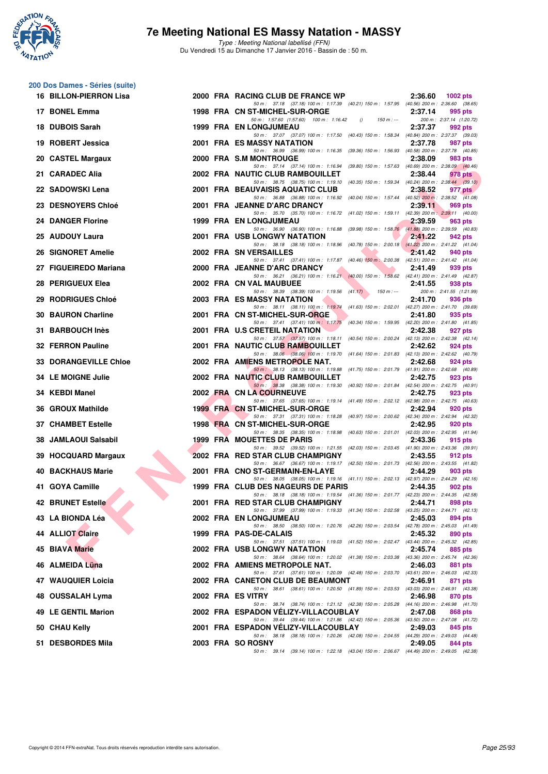

| 200 Dos Dames - Séries (suite) |  |                                                                                                                                                                                                                               |         |                                     |
|--------------------------------|--|-------------------------------------------------------------------------------------------------------------------------------------------------------------------------------------------------------------------------------|---------|-------------------------------------|
| 16 BILLON-PIERRON Lisa         |  | 2000 FRA RACING CLUB DE FRANCE WP<br>50 m: 37.18 (37.18) 100 m: 1:17.39 (40.21) 150 m: 1:57.95 (40.56) 200 m: 2:36.60 (38.65)                                                                                                 | 2:36.60 | <b>1002 pts</b>                     |
| 17 BONEL Emma                  |  | 1998 FRA CN ST-MICHEL-SUR-ORGE<br>50 m: 1:57.60 (1:57.60) 100 m: 1:16.42<br>$150 m : -$<br>$\theta$                                                                                                                           | 2:37.14 | 995 pts<br>200 m: 2:37.14 (1:20.72) |
| 18 DUBOIS Sarah                |  | <b>1999 FRA EN LONGJUMEAU</b>                                                                                                                                                                                                 | 2:37.37 | 992 pts                             |
| 19 ROBERT Jessica              |  | 50 m: 37.07 (37.07) 100 m: 1:17.50 (40.43) 150 m: 1:58.34 (40.84) 200 m: 2:37.37 (39.03)<br>2001 FRA ES MASSY NATATION                                                                                                        | 2:37.78 | 987 pts                             |
| 20 CASTEL Margaux              |  | 50 m: 36.99 (36.99) 100 m: 1:16.35 (39.36) 150 m: 1:56.93 (40.58) 200 m: 2:37.78 (40.85)<br>2000 FRA S.M MONTROUGE                                                                                                            | 2:38.09 | 983 pts                             |
| 21 CARADEC Alia                |  | 50 m: 37.14 (37.14) 100 m: 1:16.94 (39.80) 150 m: 1:57.63 (40.69) 200 m: 2:38.09 (40.46)<br>2002 FRA NAUTIC CLUB RAMBOUILLET                                                                                                  | 2:38.44 | 978 pts                             |
| 22 SADOWSKI Lena               |  | 50 m: 38.75 (38.75) 100 m: 1:19.10 (40.35) 150 m: 1:59.34 (40.24) 200 m: 2:38.44 (39.10)<br>2001 FRA BEAUVAISIS AQUATIC CLUB                                                                                                  | 2:38.52 | 977 pts                             |
| 23 DESNOYERS Chloé             |  | 50 m: 36.88 (36.88) 100 m: 1:16.92 (40.04) 150 m: 1:57.44 (40.52) 200 m: 2:38.52 (41.08)<br>2001 FRA JEANNE D'ARC DRANCY                                                                                                      | 2:39.11 | 969 pts                             |
| <b>24 DANGER Florine</b>       |  | 50 m: 35.70 (35.70) 100 m: 1:16.72 (41.02) 150 m: 1:59.11 (42.39) 200 m: 2:39.11 (40.00)<br><b>1999 FRA EN LONGJUMEAU</b>                                                                                                     | 2:39.59 | 963 pts                             |
| 25 AUDOUY Laura                |  | 50 m: 36.90 (36.90) 100 m: 1:16.88 (39.98) 150 m: 1:58.76 (41.88) 200 m: 2:39.59 (40.83)<br>2001 FRA USB LONGWY NATATION                                                                                                      | 2:41.22 | 942 pts                             |
| 26 SIGNORET Amelie             |  | 50 m: 38.18 (38.18) 100 m: 1:18.96 (40.78) 150 m: 2:00.18 (41.22) 200 m: 2:41.22 (41.04)<br>2002 FRA SN VERSAILLES                                                                                                            | 2:41.42 | 940 pts                             |
| 27 FIGUEIREDO Mariana          |  | 50 m: 37.41 (37.41) 100 m: 1:17.87 (40.46) 150 m: 2:00.38 (42.51) 200 m: 2:41.42 (41.04)<br>2000 FRA JEANNE D'ARC DRANCY                                                                                                      | 2:41.49 | 939 pts                             |
| 28 PERIGUEUX Elea              |  | 50 m: 36.21 (36.21) 100 m: 1:16.21 (40.00) 150 m: 1:58.62 (42.41) 200 m: 2:41.49 (42.87)<br>2002 FRA CN VAL MAUBUEE                                                                                                           | 2:41.55 | 938 pts                             |
| 29 RODRIGUES Chloé             |  | 50 m: 38.39 (38.39) 100 m: 1:19.56 (41.17)<br>150 m : ---<br><b>2003 FRA ES MASSY NATATION</b>                                                                                                                                | 2:41.70 | 200 m: 2:41.55 (1:21.99)<br>936 pts |
| <b>30 BAURON Charline</b>      |  | 50 m: 38.11 (38.11) 100 m: 1:19.74 (41.63) 150 m: 2:02.01 (42.27) 200 m: 2:41.70 (39.69)<br>2001 FRA CN ST-MICHEL-SUR-ORGE                                                                                                    | 2:41.80 | 935 pts                             |
| 31 BARBOUCH Inès               |  | 50 m: 37.41 (37.41) 100 m: 1:17.75 (40.34) 150 m: 1:59.95 (42.20) 200 m: 2:41.80 (41.85)<br>2001 FRA U.S CRETEIL NATATION<br>50 m: 37.57 (37.57) 100 m: 1:18.11 (40.54) 150 m: 2:00.24 (42.13) 200 m: 2:42.38 (42.14)         | 2:42.38 | 927 pts                             |
| 32 FERRON Pauline              |  | 2001 FRA NAUTIC CLUB RAMBOUILLET<br>50 m: 38.06 (38.06) 100 m: 1:19.70 (41.64) 150 m: 2:01.83 (42.13) 200 m: 2:42.62 (40.79)                                                                                                  | 2:42.62 | 924 pts                             |
| <b>33 DORANGEVILLE Chloe</b>   |  | 2002 FRA AMIENS METROPOLE NAT.                                                                                                                                                                                                | 2:42.68 | 924 pts                             |
| 34 LE MOIGNE Julie             |  | 50 m: 38.13 (38.13) 100 m: 1:19.88 (41.75) 150 m: 2:01.79 (41.91) 200 m: 2:42.68 (40.89)<br>2002 FRA NAUTIC CLUB RAMBOUILLET                                                                                                  | 2:42.75 | 923 pts                             |
| 34 KEBDI Manel                 |  | 50 m: 38.38 (38.38) 100 m: 1:19.30 (40.92) 150 m: 2:01.84 (42.54) 200 m: 2:42.75 (40.91)<br>2002 FRA CN LA COURNEUVE                                                                                                          | 2:42.75 | 923 pts                             |
| 36 GROUX Mathilde              |  | 50 m: 37.65 (37.65) 100 m: 1:19.14 (41.49) 150 m: 2:02.12 (42.98) 200 m: 2:42.75 (40.63)<br>1999 FRA CN ST-MICHEL-SUR-ORGE                                                                                                    | 2:42.94 | 920 pts                             |
| <b>37 CHAMBET Estelle</b>      |  | 50 m: 37.31 (37.31) 100 m: 1:18.28 (40.97) 150 m: 2:00.62 (42.34) 200 m: 2:42.94 (42.32)<br>1998 FRA CN ST-MICHEL-SUR-ORGE                                                                                                    | 2:42.95 | 920 pts                             |
| 38 JAMLAOUI Salsabil           |  | 50 m: 38.35 (38.35) 100 m: 1:18.98 (40.63) 150 m: 2:01.01 (42.03) 200 m: 2:42.95 (41.94)<br>1999 FRA MOUETTES DE PARIS                                                                                                        | 2:43.36 | 915 pts                             |
| 39 HOCQUARD Margaux            |  | 50 m: 39.52 (39.52) 100 m: 1:21.55 (42.03) 150 m: 2:03.45 (41.90) 200 m: 2:43.36 (39.91)<br>2002 FRA RED STAR CLUB CHAMPIGNY                                                                                                  | 2:43.55 | 912 pts                             |
| <b>40 BACKHAUS Marie</b>       |  | 50 m: 36.67 (36.67) 100 m: 1:19.17 (42.50) 150 m: 2:01.73 (42.56) 200 m: 2:43.55 (41.82)<br>2001 FRA CNO ST-GERMAIN-EN-LAYE                                                                                                   | 2:44.29 | 903 pts                             |
| 41 GOYA Camille                |  | 50 m: 38.05 (38.05) 100 m: 1:19.16 (41.11) 150 m: 2:02.13 (42.97) 200 m: 2:44.29 (42.16)<br>1999 FRA CLUB DES NAGEURS DE PARIS                                                                                                | 2:44.35 | 902 pts                             |
| <b>42 BRUNET Estelle</b>       |  | 50 m: 38.18 (38.18) 100 m: 1:19.54 (41.36) 150 m: 2:01.77 (42.23) 200 m: 2:44.35 (42.58)<br>2001 FRA RED STAR CLUB CHAMPIGNY<br>50 m: 37.99 (37.99) 100 m: 1:19.33 (41.34) 150 m: 2:02.58 (43.25) 200 m: 2:44.71 (42.13)      | 2:44.71 | 898 pts                             |
| 43 LA BIONDA Léa               |  | 2002 FRA EN LONGJUMEAU                                                                                                                                                                                                        | 2:45.03 | 894 pts                             |
| 44 ALLIOT Claire               |  | 50 m: 38.50 (38.50) 100 m: 1:20.76 (42.26) 150 m: 2:03.54 (42.78) 200 m: 2:45.03 (41.49)<br>1999 FRA PAS-DE-CALAIS<br>50 m: 37.51 (37.51) 100 m: 1:19.03 (41.52) 150 m: 2:02.47 (43.44) 200 m: 2:45.32 (42.85)                | 2:45.32 | 890 pts                             |
| 45 BIAVA Marie                 |  | <b>2002 FRA USB LONGWY NATATION</b><br>50 m: 38.64 (38.64) 100 m: 1:20.02 (41.38) 150 m: 2:03.38 (43.36) 200 m: 2:45.74 (42.36)                                                                                               | 2:45.74 | 885 pts                             |
| 46 ALMEIDA Lüna                |  | 2002 FRA AMIENS METROPOLE NAT.                                                                                                                                                                                                | 2:46.03 | 881 pts                             |
| <b>47 WAUQUIER Loicia</b>      |  | 50 m : 37.61 (37.61) 100 m : 1:20.09 (42.48) 150 m : 2:03.70 (43.61) 200 m : 2:46.03 (42.33)<br>2002 FRA CANETON CLUB DE BEAUMONT<br>50 m: 38.61 (38.61) 100 m: 1:20.50 (41.89) 150 m: 2:03.53 (43.03) 200 m: 2:46.91 (43.38) | 2:46.91 | 871 pts                             |
| 48 OUSSALAH Lyma               |  | 2002 FRA ES VITRY<br>50 m: 38.74 (38.74) 100 m: 1:21.12 (42.38) 150 m: 2:05.28 (44.16) 200 m: 2:46.98 (41.70)                                                                                                                 | 2:46.98 | 870 pts                             |
| 49 LE GENTIL Marion            |  | 2002 FRA ESPADON VELIZY-VILLACOUBLAY<br>50 m : 39.44 (39.44) 100 m : 1:21.86 (42.42) 150 m : 2:05.36 (43.50) 200 m : 2:47.08 (41.72)                                                                                          | 2:47.08 | 868 pts                             |
| 50 CHAU Kelly                  |  | 2001 FRA ESPADON VELIZY-VILLACOUBLAY                                                                                                                                                                                          | 2:49.03 | 845 pts                             |
| 51 DESBORDES Mila              |  | 50 m: 38.18 (38.18) 100 m: 1:20.26 (42.08) 150 m: 2:04.55 (44.29) 200 m: 2:49.03 (44.48)<br>2003 FRA SO ROSNY                                                                                                                 | 2:49.05 | 844 pts                             |
|                                |  | 50 m: 39.14 (39.14) 100 m: 1:22.18 (43.04) 150 m: 2:06.67 (44.49) 200 m: 2:49.05 (42.38)                                                                                                                                      |         |                                     |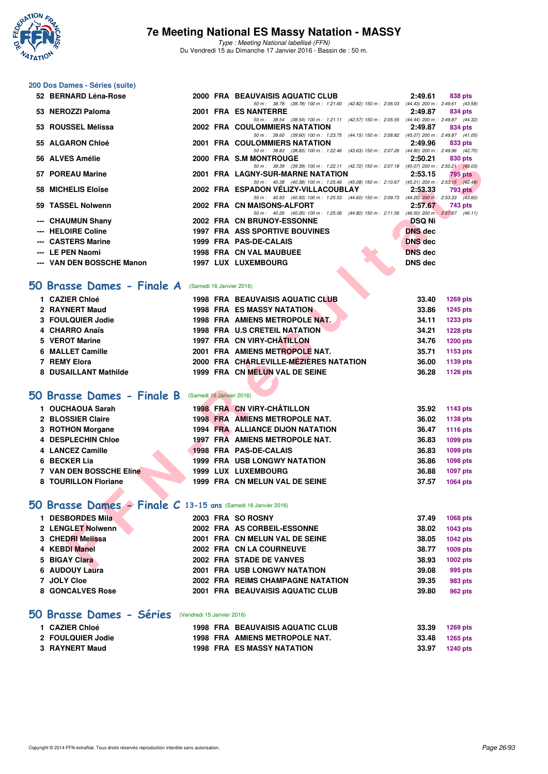

Type : Meeting National labellisé (FFN) Du Vendredi 15 au Dimanche 17 Janvier 2016 - Bassin de : 50 m.

#### **200 Dos Dames - Séries (suite)**

| 52 BERNARD Léna-Rose                                                 |                          | 2000 FRA BEAUVAISIS AQUATIC CLUB                                                                                                 | 2:49.61<br>838 pts               |
|----------------------------------------------------------------------|--------------------------|----------------------------------------------------------------------------------------------------------------------------------|----------------------------------|
| 53 NEROZZI Paloma                                                    |                          | 50 m: 38.78 (38.78) 100 m: 1:21.60 (42.82) 150 m: 2:06.03 (44.43) 200 m: 2:49.61 (43.58)<br>2001 FRA ES NANTERRE                 | 2:49.87<br>834 pts               |
| 53 ROUSSEL Mélissa                                                   |                          | 50 m: 38.54 (38.54) 100 m: 1:21.11 (42.57) 150 m: 2:05.55 (44.44) 200 m: 2:49.87 (44.32)<br><b>2002 FRA COULOMMIERS NATATION</b> | 2:49.87<br>834 pts               |
|                                                                      |                          | 50 m: 39.60 (39.60) 100 m: 1:23.75 (44.15) 150 m: 2:08.82 (45.07) 200 m: 2:49.87 (41.05)                                         |                                  |
| 55 ALGARON Chloé                                                     |                          | 2001 FRA COULOMMIERS NATATION<br>50 m: 38.83 (38.83) 100 m: 1:22.46 (43.63) 150 m: 2:07.26 (44.80) 200 m: 2:49.96 (42.70)        | 2:49.96<br>833 pts               |
| 56 ALVES Amélie                                                      |                          | 2000 FRA S.M MONTROUGE                                                                                                           | 2:50.21<br>830 pts               |
| 57 POREAU Marine                                                     |                          | 50 m: 39.39 (39.39) 100 m: 1:22.11 (42.72) 150 m: 2:07.18 (45.07) 200 m: 2:50.21 (43.03)<br>2001 FRA LAGNY-SUR-MARNE NATATION    | 2:53.15<br><b>795 pts</b>        |
| 58 MICHELIS Eloïse                                                   |                          | 50 m: 40.38 (40.38) 100 m: 1:25.46 (45.08) 150 m: 2:10.67 (45.21) 200 m: 2:53.15 (42.48)<br>2002 FRA ESPADON VELIZY-VILLACOUBLAY | 2:53.33<br>793 pts               |
| 59 TASSEL Nolwenn                                                    |                          | 50 m: 40.93 (40.93) 100 m: 1:25.53 (44.60) 150 m: 2:09.73 (44.20) 200 m: 2:53.33 (43.60)<br>2002 FRA CN MAISONS-ALFORT           | 2:57.67<br>743 pts               |
|                                                                      |                          | 50 m: 40.26 (40.26) 100 m: 1:25.06 (44.80) 150 m: 2:11.56 (46.50) 200 m: 2:57.67 (46.11)                                         |                                  |
| --- CHAUMUN Shany                                                    |                          | 2002 FRA CN BRUNOY-ESSONNE                                                                                                       | <b>DSQ Ni</b>                    |
| <b>HELOIRE Coline</b>                                                |                          | 1997 FRA ASS SPORTIVE BOUVINES                                                                                                   | <b>DNS</b> dec                   |
| --- CASTERS Marine                                                   |                          | 1999 FRA PAS-DE-CALAIS                                                                                                           | <b>DNS</b> dec                   |
| --- LE PEN Naomi<br>--- VAN DEN BOSSCHE Manon                        |                          | 1998 FRA CN VAL MAUBUEE<br><b>1997 LUX LUXEMBOURG</b>                                                                            | <b>DNS</b> dec<br><b>DNS</b> dec |
|                                                                      |                          |                                                                                                                                  |                                  |
|                                                                      |                          |                                                                                                                                  |                                  |
| i0 Brasse Dames - Finale A                                           | (Samedi 16 Janvier 2016) |                                                                                                                                  |                                  |
| 1 CAZIER Chloé                                                       |                          | <b>1998 FRA BEAUVAISIS AQUATIC CLUB</b>                                                                                          | 33.40<br><b>1269 pts</b>         |
| 2 RAYNERT Maud                                                       |                          | <b>1998 FRA ES MASSY NATATION</b>                                                                                                | 33.86<br>1245 pts                |
| 3 FOULQUIER Jodie                                                    |                          | 1998 FRA AMIENS METROPOLE NAT.                                                                                                   | 34.11<br>1233 pts                |
| 4 CHARRO Anaïs                                                       |                          | <b>1998 FRA U.S CRETEIL NATATION</b>                                                                                             | 34.21<br><b>1228 pts</b>         |
| 5 VEROT Marine                                                       |                          | 1997 FRA CN VIRY-CHATILLON                                                                                                       | 34.76<br><b>1200 pts</b>         |
| 6 MALLET Camille                                                     |                          | 2001 FRA AMIENS METROPOLE NAT.                                                                                                   | 35.71<br>1153 pts                |
| 7 REMY Elora                                                         |                          | 2000 FRA CHARLEVILLE-MÉZIÈRES NATATION                                                                                           | 36.00<br>1139 pts                |
| 8 DUSAILLANT Mathilde                                                |                          | 1999 FRA CN MELUN VAL DE SEINE                                                                                                   | 36.28<br>1126 pts                |
|                                                                      |                          |                                                                                                                                  |                                  |
| <b>iO Brasse Dames - Finale B</b>                                    | (Samedi 16 Janvier 2016) |                                                                                                                                  |                                  |
| 1 OUCHAOUA Sarah                                                     |                          | 1998 FRA CN VIRY-CHÂTILLON                                                                                                       | 35.92<br>1143 pts                |
| 2 BLOSSIER Claire                                                    |                          | <b>1998 FRA AMIENS METROPOLE NAT.</b>                                                                                            | 36.02<br>1138 pts                |
| 3 ROTHON Morgane                                                     |                          | <b>1994 FRA ALLIANCE DIJON NATATION</b>                                                                                          | 36.47<br><b>1116 pts</b>         |
| 4 DESPLECHIN Chloe                                                   |                          | 1997 FRA AMIENS METROPOLE NAT.                                                                                                   | 36.83<br>1099 pts                |
| 4 LANCEZ Camille                                                     |                          | 1998 FRA PAS-DE-CALAIS                                                                                                           | 36.83<br>1099 pts                |
| 6 BECKER Lia                                                         |                          | <b>1999 FRA USB LONGWY NATATION</b>                                                                                              | 36.86<br><b>1098 pts</b>         |
| 7 VAN DEN BOSSCHE Eline                                              |                          | <b>1999 LUX LUXEMBOURG</b>                                                                                                       | 36.88<br>1097 pts                |
| 8 TOURILLON Floriane                                                 |                          | 1999 FRA CN MELUN VAL DE SEINE                                                                                                   | 37.57<br>1064 pts                |
|                                                                      |                          |                                                                                                                                  |                                  |
| <b>iO Brasse Dames - Finale C 13-15 ans (Samedi 16 Janvier 2016)</b> |                          |                                                                                                                                  |                                  |
| 1 DESBORDES Mila                                                     |                          | 2003 FRA SO ROSNY                                                                                                                | 37.49<br>1068 pts                |
| 2 LENGLET Nolwenn                                                    |                          | 2002 FRA AS CORBEIL-ESSONNE                                                                                                      | 38.02<br>1043 pts                |
| 3 CHEDRI Melissa                                                     |                          | 2001 FRA CN MELUN VAL DE SEINE                                                                                                   | 38.05<br>1042 pts                |
| 4 KEBDI Manel                                                        |                          | 2002 FRA CN LA COURNEUVE                                                                                                         | 38.77<br>1009 pts                |
| 5 BIGAY Clara                                                        |                          | 2002 FRA STADE DE VANVES                                                                                                         | 38.93<br>1002 pts                |
| $A$ LIBOLIVI $\overline{A}$                                          |                          | <b>COOL FRA HOR LONOWIV MATATION</b>                                                                                             | 0000<br>$000 \pm 1$              |

#### **[50 Brasse Dames - Finale A](http://www.ffnatation.fr/webffn/resultats.php?idact=nat&go=epr&idcpt=35299&idepr=21)** (Samedi 16 Janvier 2016)

| 1 CAZIER Chloé        |  | <b>1998 FRA BEAUVAISIS AQUATIC CLUB</b> | 33.40 | <b>1269 pts</b> |
|-----------------------|--|-----------------------------------------|-------|-----------------|
| 2 RAYNERT Maud        |  | <b>1998 FRA ES MASSY NATATION</b>       | 33.86 | <b>1245 pts</b> |
| 3 FOULQUIER Jodie     |  | 1998 FRA AMIENS METROPOLE NAT.          | 34.11 | 1233 pts        |
| 4 CHARRO Anaïs        |  | <b>1998 FRA U.S CRETEIL NATATION</b>    | 34.21 | <b>1228 pts</b> |
| 5 VEROT Marine        |  | 1997 FRA CN VIRY-CHÂTILLON              | 34.76 | <b>1200 pts</b> |
| 6 MALLET Camille      |  | 2001 FRA AMIENS METROPOLE NAT.          | 35.71 | 1153 pts        |
| 7 REMY Elora          |  | 2000 FRA CHARLEVILLE-MEZIÈRES NATATION  | 36.00 | 1139 pts        |
| 8 DUSAILLANT Mathilde |  | 1999 FRA CN MELUN VAL DE SEINE          | 36.28 | 1126 pts        |
|                       |  |                                         |       |                 |

## **[50 Brasse Dames - Finale B](http://www.ffnatation.fr/webffn/resultats.php?idact=nat&go=epr&idcpt=35299&idepr=21)** (Samedi 16 Janvier 2016)

| 1 OUCHAOUA Sarah        |  | 1998 FRA CN VIRY-CHÂTILLON          | 35.92 | 1143 pts        |
|-------------------------|--|-------------------------------------|-------|-----------------|
| 2 BLOSSIER Claire       |  | 1998 FRA AMIENS METROPOLE NAT.      | 36.02 | 1138 pts        |
| 3 ROTHON Morgane        |  | 1994 FRA ALLIANCE DIJON NATATION    | 36.47 | 1116 pts        |
| 4 DESPLECHIN Chloe      |  | 1997 FRA AMIENS METROPOLE NAT.      | 36.83 | 1099 pts        |
| 4 LANCEZ Camille        |  | 1998 FRA PAS-DE-CALAIS              | 36.83 | 1099 pts        |
| 6 BECKER Lia            |  | <b>1999 FRA USB LONGWY NATATION</b> | 36.86 | 1098 pts        |
| 7 VAN DEN BOSSCHE Eline |  | 1999 LUX LUXEMBOURG                 | 36.88 | <b>1097 pts</b> |
| 8 TOURILLON Floriane    |  | 1999 FRA CN MELUN VAL DE SEINE      | 37.57 | <b>1064 pts</b> |

## **[50 Brasse Dames - Finale C](http://www.ffnatation.fr/webffn/resultats.php?idact=nat&go=epr&idcpt=35299&idepr=21) 13-15 ans** (Samedi 16 Janvier 2016)

| 1 DESBORDES Mila  | 2003 FRA SO ROSNY                   | 37.49 | 1068 pts        |
|-------------------|-------------------------------------|-------|-----------------|
| 2 LENGLET Nolwenn | 2002 FRA AS CORBEIL-ESSONNE         | 38.02 | 1043 pts        |
| 3 CHEDRI Melissa  | 2001 FRA CN MELUN VAL DE SEINE      | 38.05 | <b>1042 pts</b> |
| 4 KEBDI Manel     | 2002 FRA CN LA COURNEUVE            | 38.77 | 1009 pts        |
| 5 BIGAY Clara     | 2002 FRA STADE DE VANVES            | 38.93 | 1002 pts        |
| 6 AUDOUY Laura    | <b>2001 FRA USB LONGWY NATATION</b> | 39.08 | 995 pts         |
| 7 JOLY Cloe       | 2002 FRA REIMS CHAMPAGNE NATATION   | 39.35 | 983 pts         |
| 8 GONCALVES Rose  | 2001 FRA BEAUVAISIS AQUATIC CLUB    | 39.80 | <b>962 pts</b>  |
|                   |                                     |       |                 |

## **[50 Brasse Dames - Séries](http://www.ffnatation.fr/webffn/resultats.php?idact=nat&go=epr&idcpt=35299&idepr=21)** (Vendredi 15 Janvier 2016)

| 1 CAZIER Chloé    |  | 1998 FRA BEAUVAISIS AQUATIC CLUB  | 33.39 | 1269 pts |
|-------------------|--|-----------------------------------|-------|----------|
| 2 FOULQUIER Jodie |  | 1998 FRA AMIENS METROPOLE NAT.    | 33.48 | 1265 pts |
| 3 RAYNERT Maud    |  | <b>1998 FRA ES MASSY NATATION</b> | 33.97 | 1240 pts |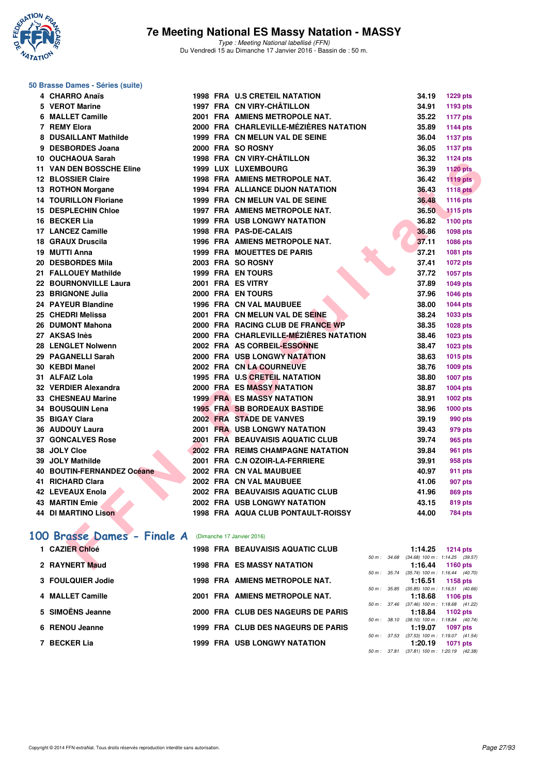

#### **50 Brasse Dames - Séries (suite)**

| 4 CHARRO Anaïs                                        |  | 1998 FRA U.S CRETEIL NATATION             | 34.19                                                 | <b>1229 pts</b> |
|-------------------------------------------------------|--|-------------------------------------------|-------------------------------------------------------|-----------------|
| 5 VEROT Marine                                        |  | 1997 FRA CN VIRY-CHATILLON                | 34.91                                                 | 1193 pts        |
| 6 MALLET Camille                                      |  | 2001 FRA AMIENS METROPOLE NAT.            | 35.22                                                 | <b>1177 pts</b> |
| 7 REMY Elora                                          |  | 2000 FRA CHARLEVILLE-MÉZIÈRES NATATION    | 35.89                                                 | <b>1144 pts</b> |
| 8 DUSAILLANT Mathilde                                 |  | 1999 FRA CN MELUN VAL DE SEINE            | 36.04                                                 | <b>1137 pts</b> |
| 9 DESBORDES Joana                                     |  | 2000 FRA SO ROSNY                         | 36.05                                                 | <b>1137 pts</b> |
| 10 OUCHAOUA Sarah                                     |  | 1998 FRA CN VIRY-CHÂTILLON                | 36.32                                                 | 1124 pts        |
| <b>11 VAN DEN BOSSCHE Eline</b>                       |  | 1999 LUX LUXEMBOURG                       | 36.39                                                 | <b>1120 pts</b> |
| 12 BLOSSIER Claire                                    |  | 1998 FRA AMIENS METROPOLE NAT.            | 36.42                                                 | <b>1119 pts</b> |
| 13 ROTHON Morgane                                     |  | <b>1994 FRA ALLIANCE DIJON NATATION</b>   | 36.43                                                 | <b>1118 pts</b> |
| <b>14 TOURILLON Floriane</b>                          |  | 1999 FRA CN MELUN VAL DE SEINE            | 36.48                                                 | <b>1116 pts</b> |
| <b>15 DESPLECHIN Chloe</b>                            |  | <b>1997 FRA AMIENS METROPOLE NAT.</b>     | 36.50                                                 | <b>1115 pts</b> |
| 16 BECKER Lia                                         |  | <b>1999 FRA USB LONGWY NATATION</b>       | 36.82                                                 | <b>1100 pts</b> |
| 17 LANCEZ Camille                                     |  | 1998 FRA PAS-DE-CALAIS                    | 36.86                                                 | 1098 pts        |
| 18 GRAUX Druscila                                     |  | 1996 FRA AMIENS METROPOLE NAT.            | 37.11                                                 | 1086 pts        |
| 19 MUTTI Anna                                         |  | <b>1999 FRA MOUETTES DE PARIS</b>         | 37.21                                                 | 1081 pts        |
| <b>20 DESBORDES Mila</b>                              |  | 2003 FRA SO ROSNY                         | 37.41                                                 | <b>1072 pts</b> |
| 21 FALLOUEY Mathilde                                  |  | 1999 FRA EN TOURS                         | 37.72                                                 | 1057 pts        |
| 22 BOURNONVILLE Laura                                 |  | 2001 FRA ES VITRY                         | 37.89                                                 | 1049 pts        |
| 23 BRIGNONE Julia                                     |  | 2000 FRA EN TOURS                         | 37.96                                                 | 1046 pts        |
| 24 PAYEUR Blandine                                    |  | 1996 FRA CN VAL MAUBUEE                   | 38.00                                                 | <b>1044 pts</b> |
| 25 CHEDRI Melissa                                     |  | 2001 FRA CN MELUN VAL DE SEINE            | 38.24                                                 | 1033 pts        |
| 26 DUMONT Mahona                                      |  | 2000 FRA RACING CLUB DE FRANCE WP         | 38.35                                                 | 1028 pts        |
| 27 AKSAS Inès                                         |  | 2000 FRA CHARLEVILLE-MÉZIÈRES NATATION    | 38.46                                                 | 1023 pts        |
| 28 LENGLET Nolwenn                                    |  | 2002 FRA AS CORBEIL-ESSONNE               | 38.47                                                 | 1023 pts        |
| 29 PAGANELLI Sarah                                    |  | 2000 FRA USB LONGWY NATATION              | 38.63                                                 | 1015 pts        |
| 30 KEBDI Manel                                        |  | 2002 FRA CN LA COURNEUVE                  | 38.76                                                 | 1009 pts        |
| 31 ALFAIZ Lola                                        |  | 1995 FRA U.S CRETEIL NATATION             | 38.80                                                 | <b>1007 pts</b> |
| 32 VERDIER Alexandra                                  |  | <b>2000 FRA ES MASSY NATATION</b>         | 38.87                                                 | 1004 pts        |
| 33 CHESNEAU Marine                                    |  | <b>1999 FRA ES MASSY NATATION</b>         | 38.91                                                 | 1002 pts        |
| <b>34 BOUSQUIN Lena</b>                               |  | <b>1995 FRA SB BORDEAUX BASTIDE</b>       | 38.96                                                 | <b>1000 pts</b> |
| 35 BIGAY Clara                                        |  | 2002 FRA STADE DE VANVES                  | 39.19                                                 | 990 pts         |
| 36 AUDOUY Laura                                       |  | <b>2001 FRA USB LONGWY NATATION</b>       | 39.43                                                 | 979 pts         |
| <b>37 GONCALVES Rose</b>                              |  | 2001 FRA BEAUVAISIS AQUATIC CLUB          | 39.74                                                 | 965 pts         |
| 38 JOLY Cloe                                          |  | 2002 FRA REIMS CHAMPAGNE NATATION         | 39.84                                                 | 961 pts         |
| 39 JOLY Mathilde                                      |  | 2001 FRA C.N OZOIR-LA-FERRIERE            | 39.91                                                 | 958 pts         |
| 40 BOUTIN-FERNANDEZ Océane                            |  | 2002 FRA CN VAL MAUBUEE                   | 40.97                                                 | 911 pts         |
| 41 RICHARD Clara                                      |  | 2002 FRA CN VAL MAUBUEE                   | 41.06                                                 | 907 pts         |
| 42 LEVEAUX Enola                                      |  | 2002 FRA BEAUVAISIS AQUATIC CLUB          | 41.96                                                 | <b>869 pts</b>  |
| 43 MARTIN Emie                                        |  | <b>2002 FRA USB LONGWY NATATION</b>       | 43.15                                                 | 819 pts         |
| <b>44 DI MARTINO Lison</b>                            |  | <b>1998 FRA AQUA CLUB PONTAULT-ROISSY</b> | 44.00                                                 | <b>784 pts</b>  |
|                                                       |  |                                           |                                                       |                 |
| 00 Brasse Dames - Finale A (Dimanche 17 Janvier 2016) |  |                                           |                                                       |                 |
| 1 CAZIER Chloé                                        |  | <b>1998 FRA BEAUVAISIS AQUATIC CLUB</b>   | 1:14.25                                               | <b>1214 pts</b> |
| 2 RAYNERT Maud                                        |  | <b>1998 FRA ES MASSY NATATION</b>         | 50 m: 34.68 (34.68) 100 m: 1:14.25 (39.57)<br>1:16.44 | <b>1160 pts</b> |
|                                                       |  |                                           |                                                       |                 |

# [100 Brasse Dames - Finale A](http://www.ffnatation.fr/webffn/resultats.php?idact=nat&go=epr&idcpt=35299&idepr=22) (Dimanche 17 Janvier 2016)

| 1 CAZIER Chloé    |  | <b>1998 FRA BEAUVAISIS AQUATIC CLUB</b> |                  | 1:14.25                                        | $1214$ pts      |         |
|-------------------|--|-----------------------------------------|------------------|------------------------------------------------|-----------------|---------|
| 2 RAYNERT Maud    |  | <b>1998 FRA ES MASSY NATATION</b>       | 50 m : 34.68     | $(34.68)$ 100 m : 1:14.25 $(39.57)$<br>1:16.44 | 1160 pts        |         |
| 3 FOULQUIER Jodie |  | <b>1998 FRA AMIENS METROPOLE NAT.</b>   | $50 m$ : $35.74$ | $(35.74)$ 100 m : 1:16.44 $(40.70)$<br>1:16.51 | 1158 pts        |         |
| 4 MALLET Camille  |  | 2001 FRA AMIENS METROPOLE NAT.          | 50 m : 35.85     | $(35.85)$ 100 m : 1:16.51 $(40.66)$<br>1:18.68 | 1106 $pts$      |         |
| 5 SIMOËNS Jeanne  |  | 2000 FRA CLUB DES NAGEURS DE PARIS      | 50 m : 37.46     | $(37.46)$ 100 m : 1:18.68 $(41.22)$<br>1:18.84 | 1102 $pts$      |         |
| 6 RENOU Jeanne    |  | 1999 FRA CLUB DES NAGEURS DE PARIS      | 50 m: 38.10      | $(38.10)$ 100 m : 1:18.84 $(40.74)$<br>1:19.07 | <b>1097 pts</b> |         |
| 7 BECKER Lia      |  | <b>1999 FRA USB LONGWY NATATION</b>     | 50 m: 37.53      | $(37.53)$ 100 m : 1:19.07 $(41.54)$<br>1:20.19 | <b>1071 pts</b> |         |
|                   |  |                                         | 50 m: 37.81      | $(37.81)$ 100 m : 1:20.19                      |                 | (42.38) |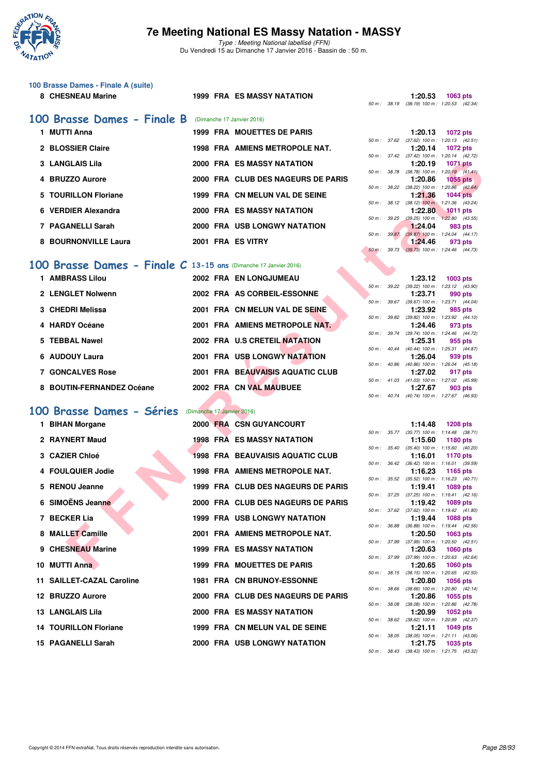

Type : Meeting National labellisé (FFN) Du Vendredi 15 au Dimanche 17 Janvier 2016 - Bassin de : 50 m.

| 100 Brasse Dames - Finale A (suite) |
|-------------------------------------|
| 8 CHESNEAU Marine                   |

#### **899 FRA ES MASSY NATATION**

| 100 Brasse Dames - Finale B | (Dimanche 17 Janvier 2016) |                                       |                        |             |                                             |            |
|-----------------------------|----------------------------|---------------------------------------|------------------------|-------------|---------------------------------------------|------------|
| MUTTI Anna                  |                            | <b>1999 FRA MOUETTES DE PARIS</b>     |                        |             | 1:20.13                                     | 1072 pts   |
|                             |                            |                                       | $50 \text{ m}$ : 37.62 |             | $(37.62)$ 100 m : 1:20.13 $(42.51)$         |            |
| 2 BLOSSIER Claire           |                            | <b>1998 FRA AMIENS METROPOLE NAT.</b> |                        |             | 1:20.14                                     | 1072 pts   |
|                             |                            |                                       | 50 m: 37.42            |             | (37.42) 100 m : 1:20.14 (42.72)             |            |
| 3 LANGLAIS Lila             |                            | <b>2000 FRA ES MASSY NATATION</b>     |                        |             | 1:20.19                                     | 1071 pts   |
|                             |                            |                                       | 50 m: 38.78            |             | (38.78) 100 m : 1:20.19 (41.41              |            |
| 4 BRUZZO Aurore             |                            | 2000 FRA CLUB DES NAGEURS DE PARIS    |                        |             | 1:20.86                                     | $1055$ pts |
|                             |                            |                                       |                        | 50 m: 38.22 | (38.22) 100 m : 1:20.86 (42.64)             |            |
| 5 TOURILLON Floriane        |                            | 1999 FRA CN MELUN VAL DE SEINE        |                        |             | 1:21.36                                     | $1044$ pts |
| 6 VERDIER Alexandra         |                            | <b>2000 FRA ES MASSY NATATION</b>     | 50 m: 38.12            |             | (38.12) 100 m: 1:21.36 (43.24)<br>1:22.80   | $1011$ pts |
|                             |                            |                                       | 50 m: 39.25            |             | (39.25) 100 m : 1:22.80 (43.55              |            |
| 7 PAGANELLI Sarah           |                            | <b>2000 FRA USB LONGWY NATATION</b>   |                        |             | 1:24.04                                     | 983 pts    |
|                             |                            |                                       | 50 m: 39.87            |             | (39.87) 100 m : 1:24.04 (44.17              |            |
| 8 BOURNONVILLE Laura        | 2001 FRA ES VITRY          |                                       |                        |             | 1:24.46                                     | 973 pts    |
|                             |                            |                                       |                        |             | 50 m : 39.73 (39.73) 100 m : 1:24.46 (44.73 |            |

## **[100 Brasse Dames - Finale C](http://www.ffnatation.fr/webffn/resultats.php?idact=nat&go=epr&idcpt=35299&idepr=22) 13-15 ans** (Dimanche 17 Janvier 2016)

| 1 AMBRASS Lilou           | 2002 FRA EN LONGJUMEAU           | 1:23.12                                                       | $1003$ pts |
|---------------------------|----------------------------------|---------------------------------------------------------------|------------|
|                           |                                  | (39.22) 100 m: 1:23.12 (43.90<br>50 m: 39.22                  |            |
| 2 LENGLET Nolwenn         | 2002 FRA AS CORBEIL-ESSONNE      | 1:23.71                                                       | 990 pts    |
| 3 CHEDRI Melissa          | 2001 FRA CN MELUN VAL DE SEINE   | (39.67) 100 m: 1:23.71 (44.04)<br>$50 m$ : $39.67$<br>1:23.92 | 985 pts    |
| 4 HARDY Océane            | 2001 FRA AMIENS METROPOLE NAT.   | (39.82) 100 m : 1:23.92 (44.10<br>50 m: 39.82<br>1:24.46      | 973 pts    |
|                           |                                  | (39.74) 100 m: 1:24.46 (44.72)<br>$50 m$ : $39.74$            |            |
| 5 TEBBAL Nawel            | 2002 FRA U.S CRETEIL NATATION    | 1:25.31                                                       | 955 pts    |
|                           |                                  | (40.44) 100 m: 1:25.31 (44.87)<br>$50 \text{ m}$ : $40.44$    |            |
| 6 AUDOUY Laura            | 2001 FRA USB LONGWY NATATION     | 1:26.04<br>(40.86) 100 m : 1:26.04 (45.18<br>$50 m$ : $40.86$ | 939 pts    |
| <b>7 GONCALVES Rose</b>   | 2001 FRA BEAUVAISIS AQUATIC CLUB | 1:27.02                                                       | 917 pts    |
|                           |                                  | (41.03) 100 m : 1:27.02 (45.99<br>$50 m$ : $41.03$            |            |
| 8 BOUTIN-FERNANDEZ Océane | 2002 FRA CN VAL MAUBUEE          | 1:27.67                                                       | 903 pts    |

#### **[100 Brasse Dames - Séries](http://www.ffnatation.fr/webffn/resultats.php?idact=nat&go=epr&idcpt=35299&idepr=22)** (Dimanche 17 Janvier 2016)

| <b>3 LANGLAIS Lila</b>                                            |  | <b>2000 FRA ES MASSY NATATION</b>       |                  |                          | 1:20.19 | <b>1071 pts</b>                                               |
|-------------------------------------------------------------------|--|-----------------------------------------|------------------|--------------------------|---------|---------------------------------------------------------------|
| 4 BRUZZO Aurore                                                   |  | 2000 FRA CLUB DES NAGEURS DE PARIS      |                  | 50 m : 38.78             | 1:20.86 | $(38.78)$ 100 m : 1:20.19 $(41.41)$<br><b>1055 pts</b>        |
| 5 TOURILLON Floriane                                              |  | 1999 FRA CN MELUN VAL DE SEINE          |                  | $50 \text{ m}$ : $38.22$ | 1:21.36 | $(38.22)$ 100 m : 1:20.86 $(42.64)$<br><b>1044 pts</b>        |
| 6 VERDIER Alexandra                                               |  | <b>2000 FRA ES MASSY NATATION</b>       |                  | 50 m : 38.12             | 1:22.80 | $(38.12)$ 100 m : 1:21.36 $(43.24)$<br><b>1011 pts</b>        |
| 7 PAGANELLI Sarah                                                 |  | <b>2000 FRA USB LONGWY NATATION</b>     | $50 m$ : $39.25$ |                          | 1:24.04 | $(39.25)$ 100 m : 1:22.80 $(43.55)$<br>983 pts                |
| <b>8 BOURNONVILLE Laura</b>                                       |  | 2001 FRA ES VITRY                       |                  | 50 m : 39.87             | 1:24.46 | $(39.87)$ 100 m : 1:24.04 $(44.17)$<br>973 pts                |
|                                                                   |  |                                         | $50 m$ :         | 39.73                    |         | $(39.73)$ 100 m : 1:24.46 $(44.73)$                           |
| 00 Brasse Dames - Finale $C$ 13-15 ans (Dimanche 17 Janvier 2016) |  |                                         |                  |                          |         |                                                               |
| 1 AMBRASS Lilou                                                   |  | 2002 FRA EN LONGJUMEAU                  |                  |                          | 1:23.12 | 1003 pts                                                      |
| 2 LENGLET Nolwenn                                                 |  | 2002 FRA AS CORBEIL-ESSONNE             |                  |                          | 1:23.71 | 50 m: 39.22 (39.22) 100 m: 1:23.12 (43.90)<br>990 pts         |
|                                                                   |  |                                         |                  | 50 m : 39.67             |         | (39.67) 100 m: 1:23.71 (44.04)                                |
| 3 CHEDRI Melissa                                                  |  | 2001 FRA CN MELUN VAL DE SEINE          |                  |                          | 1:23.92 | 985 pts<br>50 m : 39.82 (39.82) 100 m : 1:23.92 (44.10)       |
| 4 HARDY Océane                                                    |  | 2001 FRA AMIENS METROPOLE NAT.          |                  |                          | 1:24.46 | 973 pts                                                       |
| 5 TEBBAL Nawel                                                    |  | 2002 FRA U.S CRETEIL NATATION           |                  |                          | 1:25.31 | 50 m: 39.74 (39.74) 100 m: 1:24.46 (44.72)<br>955 pts         |
|                                                                   |  |                                         |                  |                          |         | 50 m: 40.44 (40.44) 100 m: 1:25.31 (44.87)                    |
| 6 AUDOUY Laura                                                    |  | <b>2001 FRA USB LONGWY NATATION</b>     |                  |                          | 1:26.04 | 939 pts                                                       |
| <b>7 GONCALVES Rose</b>                                           |  | 2001 FRA BEAUVAISIS AQUATIC CLUB        |                  |                          | 1:27.02 | 50 m: 40.86 (40.86) 100 m: 1:26.04 (45.18)<br>917 pts         |
|                                                                   |  |                                         |                  |                          |         | 50 m: 41.03 (41.03) 100 m: 1:27.02 (45.99)                    |
| 8 BOUTIN-FERNANDEZ Océane                                         |  | 2002 FRA CN VAL MAUBUEE                 |                  | 50 m : 40.74             | 1:27.67 | 903 pts<br>(40.74) 100 m : 1:27.67 (46.93)                    |
|                                                                   |  |                                         |                  |                          |         |                                                               |
| 00 Brasse Dames - Séries                                          |  | (Dimanche 17 Janvier 2016)              |                  |                          |         |                                                               |
| 1 BIHAN Morgane                                                   |  | 2000 FRA CSN GUYANCOURT                 |                  |                          | 1:14.48 | <b>1208 pts</b>                                               |
| 2 RAYNERT Maud                                                    |  | <b>1998 FRA ES MASSY NATATION</b>       |                  |                          | 1:15.60 | 50 m: 35.77 (35.77) 100 m: 1:14.48 (38.71)<br>1180 pts        |
|                                                                   |  |                                         |                  | 50 m : 35.40             |         | $(35.40)$ 100 m : 1:15.60 $(40.20)$                           |
| 3 CAZIER Chloé                                                    |  | <b>1998 FRA BEAUVAISIS AQUATIC CLUB</b> |                  |                          | 1:16.01 | 1170 pts<br>50 m : 36.42 (36.42) 100 m : 1:16.01 (39.59)      |
| 4 FOULQUIER Jodie                                                 |  | <b>1998 FRA AMIENS METROPOLE NAT.</b>   |                  |                          | 1:16.23 | 1165 pts                                                      |
| 5 RENOU Jeanne                                                    |  | 1999 FRA CLUB DES NAGEURS DE PARIS      |                  | 50 m : 35.52             | 1:19.41 | $(35.52)$ 100 m : 1:16.23 $(40.71)$<br>1089 pts               |
|                                                                   |  |                                         |                  | 50 m : 37.25             |         | $(37.25)$ 100 m : 1:19.41 $(42.16)$                           |
| 6 SIMOËNS Jeanne                                                  |  | 2000 FRA CLUB DES NAGEURS DE PARIS      |                  |                          | 1:19.42 | 1089 pts<br>50 m: 37.62 (37.62) 100 m: 1:19.42 (41.80)        |
| 7 BECKER Lia                                                      |  | <b>1999 FRA USB LONGWY NATATION</b>     |                  |                          | 1:19.44 | <b>1088 pts</b>                                               |
| 8 MALLET Camille                                                  |  | 2001 FRA AMIENS METROPOLE NAT.          |                  | 50 m : 36.88             | 1:20.50 | $(36.88)$ 100 m : 1:19.44 $(42.56)$<br>1063 pts               |
|                                                                   |  |                                         |                  |                          |         | 50 m: 37.99 (37.99) 100 m: 1:20.50 (42.51)                    |
| 9 CHESNEAU Marine                                                 |  | 1999 FRA ES MASSY NATATION              |                  |                          | 1:20.63 | <b>1060 pts</b>                                               |
| 10 MUTTI Anna                                                     |  | 1999 FRA MOUETTES DE PARIS              |                  |                          | 1:20.65 | 50 m: 37.99 (37.99) 100 m: 1:20.63 (42.64)<br><b>1060 pts</b> |
|                                                                   |  |                                         |                  |                          |         | 50 m: 38.15 (38.15) 100 m: 1:20.65 (42.50)                    |
| 11 SAILLET-CAZAL Caroline                                         |  | <b>1981 FRA CN BRUNOY-ESSONNE</b>       |                  |                          | 1:20.80 | 1056 pts<br>50 m : 38.66 (38.66) 100 m : 1:20.80 (42.14)      |
| 12 BRUZZO Aurore                                                  |  | 2000 FRA CLUB DES NAGEURS DE PARIS      |                  |                          | 1:20.86 | 1055 pts                                                      |
| 13   LANGLAIS Lila                                                |  | 2000 FRA ES MASSY NATATION              |                  |                          | 1:20.99 | 50 m : 38.08 (38.08) 100 m : 1:20.86 (42.78)                  |
|                                                                   |  |                                         |                  |                          |         | 1052 pts<br>50 m: 38.62 (38.62) 100 m: 1:20.99 (42.37)        |
| <b>14 TOURILLON Floriane</b>                                      |  | 1999 FRA CN MELUN VAL DE SEINE          |                  |                          | 1:21.11 | <b>1049 pts</b>                                               |
| 15 PAGANELLI Sarah                                                |  | <b>2000 FRA USB LONGWY NATATION</b>     |                  |                          | 1:21.75 | 50 m: 38.05 (38.05) 100 m: 1:21.11 (43.06)<br>1035 pts        |
|                                                                   |  |                                         |                  |                          |         |                                                               |

**1:20.53** 1063 pts<br>50 m : 38.19 (38.19) 100 m : 1:20.53 (42.34)

|                        |              | 1:20.13            | <b>1072 pts</b>     |  |
|------------------------|--------------|--------------------|---------------------|--|
| 50 m : 37.62           |              | $(37.62)$ 100 m :  | $1:20.13$ $(42.51)$ |  |
|                        |              | 1:20.14            | <b>1072 pts</b>     |  |
|                        | 50 m : 37.42 | $(37.42)$ 100 m :  | $1:20.14$ $(42.72)$ |  |
|                        |              | $1:20.19$ 1071 pts |                     |  |
|                        | 50 m : 38.78 | $(38.78) 100 m$ :  | $1:20.19$ $(41.41)$ |  |
|                        |              | $1:20.86$ 1055 pts |                     |  |
|                        | 50 m : 38.22 | $(38.22)$ 100 m :  | $1:20.86$ $(42.64)$ |  |
|                        |              | $1:21.36$ 1044 pts |                     |  |
|                        | 50 m : 38.12 | $(38.12)$ 100 m:   | 1:21.36 (43.24)     |  |
|                        |              | $1:22.80$ 1011 pts |                     |  |
|                        | 50 m : 39.25 | $(39.25)$ 100 m :  | $1:22.80$ $(43.55)$ |  |
|                        |              | $1:24.04$ 983 pts  |                     |  |
| 50 m: 39.87            |              | $(39.87)$ 100 m :  | $1:24.04$ $(44.17)$ |  |
|                        |              | $1:24.46$ 973 pts  |                     |  |
| $50 \text{ m}$ : 39.73 |              | $(39.73) 100 m$ :  | $1:24.46$ $(44.73)$ |  |

|          |              |                                    | $1:23.12$ 1003 pts  |
|----------|--------------|------------------------------------|---------------------|
| $50 m$ : |              | 39.22 (39.22) 100 m :              | 1:23.12 (43.90)     |
|          |              |                                    | 1:23.71 990 pts     |
|          | 50 m : 39.67 | $(39.67) 100 m$ :                  | 1:23.71 (44.04)     |
|          |              | 1:23.92                            | 985 pts             |
|          | 50 m: 39.82  | $(39.82) 100 m$ :                  | 1:23.92 (44.10)     |
|          |              |                                    | $1:24.46$ 973 pts   |
|          | 50 m : 39.74 | $(39.74) 100 m$ :                  | 1:24.46 (44.72)     |
|          |              |                                    | $1:25.31$ 955 pts   |
|          | 50 m : 40.44 | $(40.44)$ 100 m :                  | $1:25.31$ $(44.87)$ |
|          |              |                                    | $1:26.04$ 939 pts   |
|          | 50 m : 40.86 | $(40.86)$ 100 m :                  | $1:26.04$ $(45.18)$ |
|          |              |                                    | $1:27.02$ 917 pts   |
|          | 50 m : 41.03 | $(41.03) 100 m$ :                  | 1:27.02 (45.99)     |
|          |              |                                    | $1:27.67$ 903 pts   |
|          |              | $50 m$ : $40.74$ $(40.74) 100 m$ : | 1:27.67 (46.93)     |

|                |       | 1:14.48           | 1208 pts            |  |
|----------------|-------|-------------------|---------------------|--|
| 50 m: 35.77    |       | $(35.77) 100 m$ : | $1:14.48$ (38.71)   |  |
|                |       | 1:15.60           | 1180 pts            |  |
| 50 m :         | 35.40 | $(35.40)$ 100 m : | $1:15.60$ (40.20)   |  |
|                |       | 1:16.01           | 1170 pts            |  |
| $50 m$ :       | 36.42 | $(36.42)$ 100 m : | 1:16.01 (39.59)     |  |
|                |       | 1:16.23           | 1165 pts            |  |
| $50 m$ :       | 35.52 | $(35.52)$ 100 m : | $1:16.23$ $(40.71)$ |  |
|                |       | 1:19.41           | 1089 pts            |  |
| $50 m$ :       | 37.25 | $(37.25)$ 100 m : | $1:19.41$ $(42.16)$ |  |
|                |       | 1:19.42           | 1089 pts            |  |
| $50 m$ :       | 37.62 | $(37.62)$ 100 m : | $1:19.42$ $(41.80)$ |  |
|                |       | 1:19.44           | 1088 pts            |  |
| $50 m$ :       | 36.88 | $(36.88) 100 m$ : | 1:19.44(42.56)      |  |
|                |       | 1:20.50           | 1063 pts            |  |
| 50 m :         | 37.99 | $(37.99)$ 100 m : | $1:20.50$ $(42.51)$ |  |
|                |       | 1:20.63           | <b>1060 pts</b>     |  |
| 50 m :         | 37.99 | $(37.99)$ 100 m : | 1:20.63 (42.64)     |  |
|                |       | 1:20.65           | <b>1060 pts</b>     |  |
| $50 m$ : 38.15 |       | $(38.15) 100 m$ : | $1:20.65$ $(42.50)$ |  |
|                |       | 1:20.80           | 1056 pts            |  |
| $50 m$ :       | 38.66 | $(38.66) 100 m$ : | 1:20.80(42.14)      |  |
|                |       | 1:20.86           | 1055 pts            |  |
| $50 m$ :       | 38.08 | $(38.08) 100 m$ : | 1:20.86 (42.78)     |  |
|                |       | 1:20.99           | 1052 pts            |  |
| $50 m$ :       | 38.62 | $(38.62)$ 100 m : | 1:20.99 (42.37)     |  |
|                |       | 1:21.11           | 1049 pts            |  |
| $50 m$ :       | 38.05 | $(38.05)$ 100 m : | $1:21.11$ $(43.06)$ |  |
|                |       | 1:21.75           | 1035 pts            |  |
| $50 m$ : 38.43 |       | $(38.43) 100 m$ : | 1:21.75 (43.32)     |  |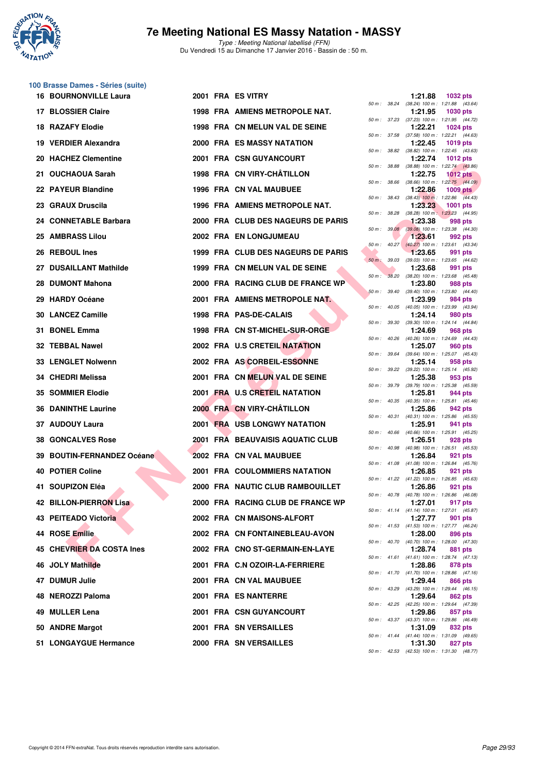

Type : Meeting National labellisé (FFN) Du Vendredi 15 au Dimanche 17 Janvier 2016 - Bassin de : 50 m.

#### **100 Brasse Dames - Séries (suite) 16 BOURNONVILLE Laura 10 2001 FRA ES VITRY**

|                            |  |                                      |        |              |         | 50 m: 38.24 (38.24) 100 m: 1:21.88 (43.64)                    |  |
|----------------------------|--|--------------------------------------|--------|--------------|---------|---------------------------------------------------------------|--|
| 17 BLOSSIER Claire         |  | 1998 FRA AMIENS METROPOLE NAT.       |        |              | 1:21.95 | <b>1030 pts</b>                                               |  |
| 18 RAZAFY Elodie           |  | 1998 FRA CN MELUN VAL DE SEINE       |        |              | 1:22.21 | 50 m: 37.23 (37.23) 100 m: 1:21.95 (44.72)<br>1024 pts        |  |
| 19 VERDIER Alexandra       |  | 2000 FRA ES MASSY NATATION           |        |              | 1:22.45 | 50 m: 37.58 (37.58) 100 m: 1:22.21 (44.63)<br>1019 pts        |  |
| 20 HACHEZ Clementine       |  | 2001 FRA CSN GUYANCOURT              |        |              | 1:22.74 | 50 m: 38.82 (38.82) 100 m: 1:22.45 (43.63)<br><b>1012 pts</b> |  |
| 21 OUCHAOUA Sarah          |  | 1998 FRA CN VIRY-CHÂTILLON           |        |              | 1:22.75 | 50 m: 38.88 (38.88) 100 m: 1:22.74 (43.86)<br><b>1012 pts</b> |  |
| 22 PAYEUR Blandine         |  | 1996 FRA CN VAL MAUBUEE              |        |              | 1:22.86 | 50 m : 38.66 (38.66) 100 m : 1:22.75 (44.09)<br>$1009$ pts    |  |
| 23 GRAUX Druscila          |  | 1996 FRA AMIENS METROPOLE NAT.       |        | 50 m : 38.43 | 1:23.23 | $(38.43)$ 100 m : 1:22.86 $(44.43)$<br><b>1001 pts</b>        |  |
| 24 CONNETABLE Barbara      |  | 2000 FRA CLUB DES NAGEURS DE PARIS   |        | 50 m : 38.28 | 1:23.38 | $(38.28)$ 100 m : 1:23.23 $(44.95)$<br>998 pts                |  |
| 25 AMBRASS Lilou           |  | 2002 FRA EN LONGJUMEAU               |        |              | 1:23.61 | 50 m : 39.08 (39.08) 100 m : 1:23.38 (44.30)                  |  |
|                            |  |                                      |        |              |         | 992 pts<br>50 m : 40.27 (40.27) 100 m : 1:23.61 (43.34)       |  |
| 26 REBOUL Ines             |  | 1999 FRA CLUB DES NAGEURS DE PARIS   |        |              | 1:23.65 | 991 pts<br>50 m : 39.03 (39.03) 100 m : 1:23.65 (44.62)       |  |
| 27 DUSAILLANT Mathilde     |  | 1999 FRA CN MELUN VAL DE SEINE       | 50 m : | 38.20        | 1:23.68 | 991 pts<br>$(38.20)$ 100 m : 1:23.68 $(45.48)$                |  |
| 28 DUMONT Mahona           |  | 2000 FRA RACING CLUB DE FRANCE WP    |        |              | 1:23.80 | 988 pts<br>50 m : 39.40 (39.40) 100 m : 1:23.80 (44.40)       |  |
| 29 HARDY Océane            |  | 2001 FRA AMIENS METROPOLE NAT        |        |              | 1:23.99 | 984 pts<br>50 m : 40.05 (40.05) 100 m : 1:23.99 (43.94)       |  |
| 30 LANCEZ Camille          |  | 1998 FRA PAS-DE-CALAIS               |        | 50 m : 39.30 | 1:24.14 | 980 pts<br>$(39.30)$ 100 m : 1:24.14 $(44.84)$                |  |
| 31 BONEL Emma              |  | 1998 FRA CN ST-MICHEL-SUR-ORGE       |        |              | 1:24.69 | 968 pts<br>50 m: 40.26 (40.26) 100 m: 1:24.69 (44.43)         |  |
| 32 TEBBAL Nawel            |  | 2002 FRA U.S CRETEIL NATATION        |        |              | 1:25.07 | <b>960 pts</b><br>50 m: 39.64 (39.64) 100 m: 1:25.07 (45.43)  |  |
| 33 LENGLET Nolwenn         |  | 2002 FRA AS CORBEIL-ESSONNE          |        |              | 1:25.14 | 958 pts                                                       |  |
| 34 CHEDRI Melissa          |  | 2001 FRA CN MELUN VAL DE SEINE       |        |              | 1:25.38 | 50 m: 39.22 (39.22) 100 m: 1:25.14 (45.92)<br>953 pts         |  |
| 35 SOMMIER Elodie          |  | 2001 FRA U.S CRETEIL NATATION        |        | 50 m : 39.79 | 1:25.81 | (39.79) 100 m : 1:25.38 (45.59)<br>944 pts                    |  |
| <b>36 DANINTHE Laurine</b> |  | 2000 FRA CN VIRY-CHÂTILLON           |        |              | 1:25.86 | 50 m: 40.35 (40.35) 100 m: 1:25.81 (45.46)<br>942 pts         |  |
| 37 AUDOUY Laura            |  | <b>2001 FRA USB LONGWY NATATION</b>  |        |              | 1:25.91 | 50 m: 40.31 (40.31) 100 m: 1:25.86 (45.55)<br>941 pts         |  |
| <b>38 GONCALVES Rose</b>   |  | 2001 FRA BEAUVAISIS AQUATIC CLUB     |        |              | 1:26.51 | 50 m : 40.66 (40.66) 100 m : 1:25.91 (45.25)<br>928 pts       |  |
| 39 BOUTIN-FERNANDEZ Océane |  | 2002 FRA CN VAL MAUBUEE              |        |              | 1:26.84 | 50 m: 40.98 (40.98) 100 m: 1:26.51 (45.53)<br>921 pts         |  |
| 40 POTIER Coline           |  | <b>2001 FRA COULOMMIERS NATATION</b> |        |              | 1:26.85 | 50 m: 41.08 (41.08) 100 m: 1:26.84 (45.76)<br>921 pts         |  |
| 41 SOUPIZON Eléa           |  | 2000 FRA NAUTIC CLUB RAMBOUILLET     |        |              | 1:26.86 | 50 m: 41.22 (41.22) 100 m: 1:26.85 (45.63)<br>921 pts         |  |
| 42 BILLON-PIERRON Lisa     |  | 2000 FRA RACING CLUB DE FRANCE WP    |        |              | 1:27.01 | 50 m : 40.78 (40.78) 100 m : 1:26.86 (46.08)<br>917 pts       |  |
| 43 PEITEADO Victoria       |  | 2002 FRA CN MAISONS-ALFORT           |        |              | 1:27.77 | 50 m: 41.14 (41.14) 100 m: 1:27.01 (45.87)<br>901 pts         |  |
|                            |  |                                      |        |              |         | 50 m: 41.53 (41.53) 100 m: 1:27.77 (46.24)                    |  |
| 44 ROSE Emilie             |  | 2002 FRA CN FONTAINEBLEAU-AVON       |        |              | 1:28.00 | 896 pts<br>50 m : 40.70 (40.70) 100 m : 1:28.00 (47.30)       |  |
| 45 CHEVRIER DA COSTA Ines  |  | 2002 FRA CNO ST-GERMAIN-EN-LAYE      |        |              | 1:28.74 | 881 pts<br>50 m: 41.61 (41.61) 100 m: 1:28.74 (47.13)         |  |
| 46 JOLY Mathilde           |  | 2001 FRA C.N OZOIR-LA-FERRIERE       |        |              | 1:28.86 | 878 pts<br>50 m: 41.70 (41.70) 100 m: 1:28.86 (47.16)         |  |
| 47 DUMUR Julie             |  | 2001 FRA CN VAL MAUBUEE              |        |              | 1:29.44 | 866 pts<br>50 m : 43.29 (43.29) 100 m : 1:29.44 (46.15)       |  |
| 48 NEROZZI Paloma          |  | 2001 FRA ES NANTERRE                 |        |              | 1:29.64 | 862 pts<br>50 m: 42.25 (42.25) 100 m: 1:29.64 (47.39)         |  |
| 49 MULLER Lena             |  | 2001 FRA CSN GUYANCOURT              |        |              | 1:29.86 | 857 pts<br>50 m: 43.37 (43.37) 100 m: 1:29.86 (46.49)         |  |
| 50 ANDRE Margot            |  | 2001 FRA SN VERSAILLES               |        |              | 1:31.09 | 832 pts<br>50 m: 41.44 (41.44) 100 m: 1:31.09 (49.65)         |  |
| 51 LONGAYGUE Hermance      |  | 2000 FRA SN VERSAILLES               |        |              | 1:31.30 | 827 pts                                                       |  |

|              |       | 1:21.88                      | 1032 pts                             |
|--------------|-------|------------------------------|--------------------------------------|
| 50 m : 38.24 |       | $(38.24) 100 m$ :            | 1:21.88 (43.64)                      |
|              |       | 1:21.95                      | 1030 pts                             |
| 50 m :       | 37.23 | $(37.23) 100 m$ :            | 1:21.95<br>(44.72)                   |
|              |       | 1:22.21                      | 1024 pts                             |
| $50 m$ :     | 37.58 | (37.58) 100 m :<br>1:22.45   | 1:22.21<br>(44.63)                   |
| $50 m$ :     | 38.82 | $(38.82) 100 m$ :            | 1019 pts<br>1:22.45<br>(43.63)       |
|              |       | 1:22.74                      | 1012 pts                             |
| $50 m$ :     | 38.88 | (38.88) 100 m :              | 1:22.74<br>(43.86)                   |
|              |       | 1:22.75                      | <b>1012 pts</b>                      |
| $50 m$ :     | 38.66 | $(38.66) 100 m$ :            | 1:22.75 (44.09)                      |
|              |       | 1:22.86                      | <b>1009 pts</b>                      |
| $50 m$ :     | 38.43 | $(38.43)$ 100 m :            | 1:22.86<br>(44.43)                   |
| $50 m$ :     | 38.28 | 1:23.23<br>$(38.28) 100 m$ : | 1001 pts<br>1:23.23<br>(44.95)       |
|              |       | 1:23.38                      | 998 pts                              |
| $50 m$ :     | 39.08 | $(39.08) 100 m$ :            | 1:23.38<br>(44.30)                   |
|              |       | 1:23.61                      | 992 pts                              |
| 50 m :       | 40.27 | $(40.27)$ 100 m :            | 1:23.61<br>(43.34)                   |
|              |       | 1:23.65                      | 991 pts                              |
| $50 m$ :     | 39.03 | $(39.03) 100 m$ :            | 1:23.65<br>(44.62)                   |
|              | 38.20 | 1:23.68<br>(38.20) 100 m :   | 991 pts<br>1:23.68 (45.48)           |
| 50 m :       |       | 1:23.80                      | 988 pts                              |
| $50 m$ :     | 39.40 | $(39.40)$ 100 m :            | 1:23.80<br>(44.40)                   |
|              |       | 1:23.99                      | 984 pts                              |
| $50 m$ :     | 40.05 | $(40.05)$ 100 m :            | 1:23.99<br>(43.94)                   |
|              |       | 1:24.14                      | 980 pts                              |
| 50 m :       | 39.30 | $(39.30)$ 100 m :            | 1:24.14<br>(44.84)                   |
| 50 m :       | 40.26 | 1:24.69<br>$(40.26)$ 100 m : | <b>968 pts</b><br>1:24.69<br>(44.43) |
|              |       | 1:25.07                      | 960 pts                              |
| $50 m$ :     | 39.64 | $(39.64) 100 m$ :            | 1:25.07<br>(45.43)                   |
|              |       | 1:25.14                      | 958 pts                              |
| 50 m :       | 39.22 | (39.22) 100 m :              | 1:25.14<br>(45.92)                   |
|              |       | 1:25.38                      | 953 pts                              |
| 50 m :       | 39.79 | $(39.79)$ 100 m :<br>1:25.81 | 1:25.38<br>(45.59)<br>944 pts        |
| $50 m$ :     | 40.35 | $(40.35) 100 m$ :            | 1:25.81<br>(45.46)                   |
|              |       | 1:25.86                      | 942 pts                              |
| $50 m$ :     | 40.31 | $(40.31) 100 m$ :            | 1:25.86<br>(45.55)                   |
|              |       | 1:25.91                      | 941<br>pts                           |
| 50 m :       | 40.66 | $(40.66)$ 100 m :            | 1:25.91<br>(45.25)                   |
| $50 m$ :     | 40.98 | 1:26.51<br>(40.98) 100 m :   | 928 pts<br>1:26.51<br>(45.53)        |
|              |       | 1:26.84                      | 921<br>pts                           |
| $50 m$ :     | 41.08 | $(41.08) 100 m$ :            | 1:26.84<br>(45.76)                   |
|              |       | 1:26.85                      | 921<br>pts                           |
| $50 m$ :     | 41.22 | $(41.22)$ 100 m :            | 1:26.85<br>(45.63)                   |
|              | 40.78 | 1:26.86                      | 921 pts<br>(46.08)                   |
| $50 m$ :     |       | (40.78) 100 m :<br>1:27.01   | 1:26.86<br>917 pts                   |
| 50 m :       | 41.14 | (41.14) 100 m:               | 1:27.01<br>(45.87)                   |
|              |       | 1:27.77                      | 901<br>pts                           |
| $50 m$ :     | 41.53 | $(41.53) 100 m$ :            | 1:27.77<br>(46.24)                   |
|              |       | 1:28.00                      | 896 pts                              |
| $50 m$ :     | 40.70 | $(40.70)$ 100 m :<br>1:28.74 | 1:28.00<br>(47.30)<br>881 pts        |
| $50 m$ :     | 41.61 | $(41.61) 100 m$ :            | (47.13)<br>1:28.74                   |
|              |       | 1:28.86                      | 878 pts                              |
| $50 m$ :     | 41.70 | $(41.70) 100 m$ :            | 1:28.86<br>(47.16)                   |
|              |       | 1:29.44                      | 866 pts                              |
| $50 m$ :     | 43.29 | $(43.29) 100 m$ :            | 1:29.44<br>(46.15)                   |
| $50 m$ :     | 42.25 | 1:29.64<br>$(42.25)$ 100 m : | 862 pts<br>1:29.64<br>(47.39)        |
|              |       | 1:29.86                      | 857 pts                              |
| $50 m$ :     | 43.37 | (43.37) 100 m :              | 1:29.86<br>(46.49)                   |
|              |       | 1:31.09                      | 832 pts                              |
| $50 m$ :     | 41.44 | (41.44) 100 m:               | 1:31.09<br>(49.65)                   |
|              |       | 1:31.30                      | 827 pts                              |
| 50 m :       | 42.53 |                              | $(42.53)$ 100 m : 1:31.30 $(48.77)$  |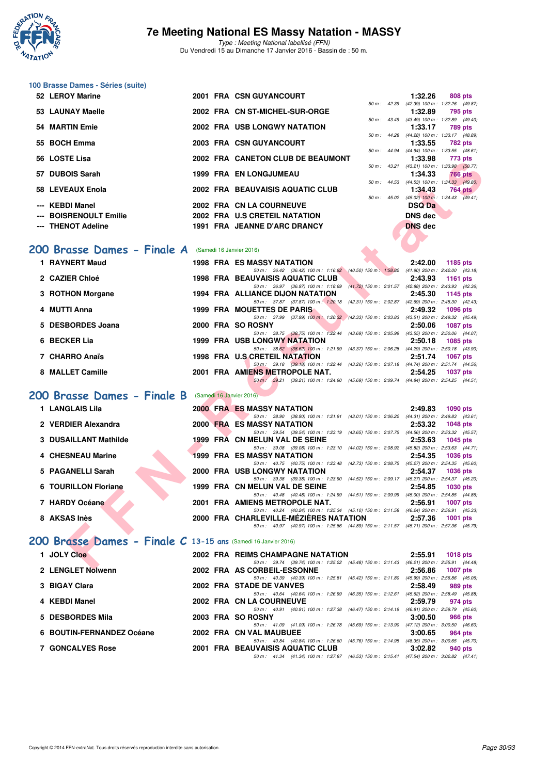

Type : Meeting National labellisé (FFN) Du Vendredi 15 au Dimanche 17 Janvier 2016 - Bassin de : 50 m.

## **100 Brasse Dames - Séries (suite)**

| 52 LEROY Marine        |  | 2001 FRA CSN GUYANCOURT             |                | 1:32.26                                    | 808 pts |                |
|------------------------|--|-------------------------------------|----------------|--------------------------------------------|---------|----------------|
|                        |  |                                     | $50 m$ : 42.39 | (42.39) 100 m: 1:32.26 (49.87)             |         |                |
| 53 LAUNAY Maelle       |  | 2002 FRA CN ST-MICHEL-SUR-ORGE      |                | 1:32.89                                    |         | 795 pts        |
|                        |  |                                     | 50 m : 43.49   | $(43.49)$ 100 m : 1:32.89 $(49.40)$        |         |                |
| 54 MARTIN Emie         |  | <b>2002 FRA USB LONGWY NATATION</b> |                | $1:33.17$ 789 pts                          |         |                |
|                        |  |                                     |                | 50 m: 44.28 (44.28) 100 m: 1:33.17 (48.89) |         |                |
| 55 BOCH Emma           |  | 2003 FRA CSN GUYANCOURT             |                | 1:33.55                                    | 782 pts |                |
|                        |  |                                     |                | 50 m: 44.94 (44.94) 100 m: 1:33.55 (48.61) |         |                |
| 56 LOSTE Lisa          |  | 2002 FRA CANETON CLUB DE BEAUMONT   |                | 1:33.98                                    | 773 pts |                |
|                        |  |                                     |                | 50 m: 43.21 (43.21) 100 m: 1:33.98 (50.77) |         |                |
| 57 DUBOIS Sarah        |  | <b>1999 FRA EN LONGJUMEAU</b>       |                | 1:34.33                                    |         | <b>766 pts</b> |
|                        |  |                                     | 50 m: 44.53    | $(44.53)$ 100 m : 1:34.33 $(49.80)$        |         |                |
| 58 LEVEAUX Enola       |  | 2002 FRA BEAUVAISIS AQUATIC CLUB    |                | 1:34.43                                    |         | 764 pts        |
|                        |  |                                     | 50 m: 45.02    | $(45.02)$ 100 m : 1:34.43 $(49.41)$        |         |                |
| --- KEBDI Manel        |  | 2002 FRA CN LA COURNEUVE            |                | <b>DSQ Da</b>                              |         |                |
| --- BOISRENOULT Emilie |  | 2002 FRA U.S CRETEIL NATATION       |                | <b>DNS</b> dec                             |         |                |
| --- THENOT Adeline     |  | 1991 FRA JEANNE D'ARC DRANCY        |                | <b>DNS</b> dec                             |         |                |
|                        |  |                                     |                |                                            |         |                |

#### [200 Brasse Dames - Finale A](http://www.ffnatation.fr/webffn/resultats.php?idact=nat&go=epr&idcpt=35299&idepr=23) **(Samedi 16 Janvier 2016**)

|  | 50 m: 44.94 (44.94) 100 m: 1:33. |   |
|--|----------------------------------|---|
|  | 1:33.98                          | 7 |
|  | 50 m: 43.21 (43.21) 100 m: 1:33. |   |
|  | 1:34.33                          | 7 |
|  | 50 m: 44.53 (44.53) 100 m: 1:34. |   |
|  | 1:34.43                          | 7 |
|  | 50 m: 45.02 (45.02) 100 m: 1:34. |   |
|  | <b>DSQ Da</b>                    |   |
|  | <b>DNS</b> dec                   |   |
|  | <b>DNS</b> dec                   |   |
|  |                                  |   |
|  |                                  |   |
|  |                                  |   |

| 1 RAYNERT Maud    |  | <b>1998 FRA ES MASSY NATATION</b>       |                                      |                                                           | 2:42.00                             | 1185 pts        |         |
|-------------------|--|-----------------------------------------|--------------------------------------|-----------------------------------------------------------|-------------------------------------|-----------------|---------|
|                   |  |                                         | 50 m: 36.42 (36.42) 100 m: 1:16.92   | $(40.50)$ 150 m : 1:58.82                                 | $(41.90)$ 200 m : 2:42.00 $(43.18)$ |                 |         |
| 2 CAZIER Chloé    |  | <b>1998 FRA BEAUVAISIS AQUATIC CLUB</b> |                                      |                                                           | 2:43.93                             | 1161 pts        |         |
|                   |  |                                         | 50 m : 36.97 (36.97) 100 m : 1:18.69 | $(41.72)$ 150 m : 2:01.57                                 | $(42.88)$ 200 m : 2:43.93 $(42.36)$ |                 |         |
| 3 ROTHON Morgane  |  | 1994 FRA ALLIANCE DIJON NATATION        |                                      |                                                           | 2:45.30                             | 1145 $pts$      |         |
|                   |  |                                         | 50 m: 37.87 (37.87) 100 m: 1:20.18   | $(42.31)$ 150 m : 2:02.87                                 | $(42.69)$ 200 m : 2:45.30 $(42.43)$ |                 |         |
| 4 MUTTI Anna      |  | 1999 FRA MOUETTES DE PARIS              |                                      |                                                           | 2:49.32                             | <b>1096 pts</b> |         |
|                   |  |                                         |                                      | 50 m: 37.99 (37.99) 100 m: 1:20.32 (42.33) 150 m: 2:03.83 | $(43.51)$ 200 m : 2:49.32 $(45.49)$ |                 |         |
| 5 DESBORDES Joana |  | 2000 FRA SO ROSNY                       |                                      |                                                           | 2:50.06                             | <b>1087 pts</b> |         |
|                   |  |                                         | 50 m : 38.75 (38.75) 100 m : 1:22.44 | $(43.69)$ 150 m : 2:05.99                                 | $(43.55)$ 200 m : 2:50.06 $(44.07)$ |                 |         |
| 6 BECKER Lia      |  | <b>1999 FRA USB LONGWY NATATION</b>     |                                      |                                                           | 2:50.18                             | 1085 pts        |         |
|                   |  |                                         | 50 m : 38.62 (38.62) 100 m : 1:21.99 | $(43.37)$ 150 m : 2:06.28                                 | $(44.29)$ 200 m : 2:50.18 $(43.90)$ |                 |         |
| 7 CHARRO Anaïs    |  | 1998 FRA U.S. CRETEIL NATATION          |                                      |                                                           | 2:51.74                             | <b>1067 pts</b> |         |
|                   |  |                                         | 50 m: 39.18 (39.18) 100 m: 1:22.44   | $(43.26)$ 150 m : 2:07.18                                 | $(44.74)$ 200 m : 2:51.74 $(44.56)$ |                 |         |
| 8 MALLET Camille  |  | 2001 FRA AMIENS METROPOLE NAT.          |                                      |                                                           | 2:54.25                             | <b>1037 pts</b> |         |
|                   |  | $50 \text{ m}$ ; $39.21$                | (39.21) 100 m : 1:24.90              | (45.69) 150 m : 2:09.74                                   | $(44.84)$ 200 m : 2:54.25           |                 | (44.51) |
|                   |  |                                         |                                      |                                                           |                                     |                 |         |

# **[200 Brasse Dames - Finale B](http://www.ffnatation.fr/webffn/resultats.php?idact=nat&go=epr&idcpt=35299&idepr=23)** (Samedi 16 Janvier 2016)

| LUJIE LISC                                                     |  | ZUUZ FRA CANETON CLUD DE DEAUMONT                                                                                               | 1.99.90        | $113 \mu s$                                                  |
|----------------------------------------------------------------|--|---------------------------------------------------------------------------------------------------------------------------------|----------------|--------------------------------------------------------------|
| 57 DUBOIS Sarah                                                |  | <b>1999 FRA EN LONGJUMEAU</b>                                                                                                   | 1:34.33        | 50 m: 43.21 (43.21) 100 m: 1:33.98 (50.77)<br><b>766 pts</b> |
| 58 LEVEAUX Enola                                               |  | 2002 FRA BEAUVAISIS AQUATIC CLUB                                                                                                | 1:34.43        | 50 m : 44.53 (44.53) 100 m : 1:34.33 (49.80)                 |
|                                                                |  |                                                                                                                                 |                | 764 pts<br>50 m : 45.02 (45.02) 100 m : 1:34.43 (49.41)      |
| --- KEBDI Manel                                                |  | 2002 FRA CN LA COURNEUVE                                                                                                        | <b>DSQ Da</b>  |                                                              |
| <b>BOISRENOULT Emilie</b>                                      |  | 2002 FRA U.S CRETEIL NATATION                                                                                                   | <b>DNS</b> dec |                                                              |
| --- THENOT Adeline                                             |  | 1991 FRA JEANNE D'ARC DRANCY                                                                                                    | <b>DNS</b> dec |                                                              |
|                                                                |  |                                                                                                                                 |                |                                                              |
| 200 Brasse Dames - Finale A (Samedi 16 Janvier 2016)           |  |                                                                                                                                 |                |                                                              |
| 1 RAYNERT Maud                                                 |  | <b>1998 FRA ES MASSY NATATION</b>                                                                                               | 2:42.00        | 1185 pts                                                     |
|                                                                |  | 50 m: 36.42 (36.42) 100 m: 1:16.92 (40.50) 150 m: 1:58.82 (41.90) 200 m: 2:42.00 (43.18)                                        |                |                                                              |
| 2 CAZIER Chloé                                                 |  | <b>1998 FRA BEAUVAISIS AQUATIC CLUB</b>                                                                                         | 2:43.93        | <b>1161 pts</b>                                              |
|                                                                |  | 50 m: 36.97 (36.97) 100 m: 1:18.69 (41.72) 150 m: 2:01.57 (42.88) 200 m: 2:43.93 (42.36)                                        |                |                                                              |
| 3 ROTHON Morgane                                               |  | 1994 FRA ALLIANCE DIJON NATATION<br>50 m: 37.87 (37.87) 100 m: 1:20.18 (42.31) 150 m: 2:02.87 (42.69) 200 m: 2:45.30 (42.43)    | 2:45.30        | 1145 pts                                                     |
| 4 MUTTI Anna                                                   |  | <b>1999 FRA MOUETTES DE PARIS</b>                                                                                               | 2:49.32        | <b>1096 pts</b>                                              |
|                                                                |  | 50 m: 37.99 (37.99) 100 m: 1:20.32 (42.33) 150 m: 2:03.83 (43.51) 200 m: 2:49.32 (45.49)                                        |                |                                                              |
| 5 DESBORDES Joana                                              |  | 2000 FRA SO ROSNY                                                                                                               | 2:50.06        | <b>1087 pts</b>                                              |
| 6 BECKER Lia                                                   |  | 50 m: 38.75 (38.75) 100 m: 1:22.44 (43.69) 150 m: 2:05.99 (43.55) 200 m: 2:50.06 (44.07)<br><b>1999 FRA USB LONGWY NATATION</b> | 2:50.18        |                                                              |
|                                                                |  | 50 m: 38.62 (38.62) 100 m: 1:21.99 (43.37) 150 m: 2:06.28 (44.29) 200 m: 2:50.18 (43.90)                                        |                | <b>1085 pts</b>                                              |
| 7 CHARRO Anaïs                                                 |  | 1998 FRA U.S CRETEIL NATATION                                                                                                   | 2:51.74        | 1067 pts                                                     |
|                                                                |  | 50 m: 39.18 (39.18) 100 m: 1:22.44 (43.26) 150 m: 2:07.18 (44.74) 200 m: 2:51.74 (44.56)                                        |                |                                                              |
| 8 MALLET Camille                                               |  | 2001 FRA AMIENS METROPOLE NAT.                                                                                                  | 2:54.25        | <b>1037 pts</b>                                              |
|                                                                |  | 50 m: 39.21 (39.21) 100 m: 1:24.90 (45.69) 150 m: 2:09.74 (44.84) 200 m: 2:54.25 (44.51)                                        |                |                                                              |
| 200 Brasse Dames - Finale B (Samedi 16 Janvier 2016)           |  |                                                                                                                                 |                |                                                              |
| 1 LANGLAIS Lila                                                |  | <b>2000 FRA ES MASSY NATATION</b>                                                                                               | 2:49.83        | 1090 pts                                                     |
|                                                                |  | 50 m: 38.90 (38.90) 100 m: 1:21.91 (43.01) 150 m: 2:06.22 (44.31) 200 m: 2:49.83 (43.61)                                        |                |                                                              |
| 2 VERDIER Alexandra                                            |  | <b>2000 FRA ES MASSY NATATION</b>                                                                                               | 2:53.32        | <b>1048 pts</b>                                              |
|                                                                |  | 50 m: 39.54 (39.54) 100 m: 1:23.19 (43.65) 150 m: 2:07.75 (44.56) 200 m: 2:53.32 (45.57)                                        |                |                                                              |
| 3 DUSAILLANT Mathilde                                          |  | 1999 FRA CN MELUN VAL DE SEINE                                                                                                  | 2:53.63        | 1045 pts                                                     |
| 4 CHESNEAU Marine                                              |  | 50 m: 39.08 (39.08) 100 m: 1:23.10 (44.02) 150 m: 2:08.92 (45.82) 200 m: 2:53.63 (44.71)<br><b>1999 FRA ES MASSY NATATION</b>   | 2:54.35        | <b>1036 pts</b>                                              |
|                                                                |  | 50 m: 40.75 (40.75) 100 m: 1:23.48 (42.73) 150 m: 2:08.75 (45.27) 200 m: 2:54.35 (45.60)                                        |                |                                                              |
| 5 PAGANELLI Sarah                                              |  | <b>2000 FRA USB LONGWY NATATION</b>                                                                                             | 2:54.37        | <b>1036 pts</b>                                              |
|                                                                |  | 50 m: 39.38 (39.38) 100 m: 1:23.90 (44.52) 150 m: 2:09.17 (45.27) 200 m: 2:54.37 (45.20)                                        |                |                                                              |
| 6 TOURILLON Floriane                                           |  | 1999 FRA CN MELUN VAL DE SEINE<br>50 m: 40.48 (40.48) 100 m: 1:24.99 (44.51) 150 m: 2:09.99 (45.00) 200 m: 2:54.85 (44.86)      | 2:54.85        | 1030 pts                                                     |
| 7 HARDY Océane                                                 |  | 2001 FRA AMIENS METROPOLE NAT.                                                                                                  | 2:56.91        | <b>1007 pts</b>                                              |
|                                                                |  | 50 m: 40.24 (40.24) 100 m: 1:25.34 (45.10) 150 m: 2:11.58 (46.24) 200 m: 2:56.91 (45.33)                                        |                |                                                              |
| 8 AKSAS Inès                                                   |  | 2000 FRA CHARLEVILLE-MÉZIÈRES NATATION                                                                                          | 2:57.36        | $1001$ pts                                                   |
|                                                                |  | 50 m: 40.97 (40.97) 100 m: 1:25.86 (44.89) 150 m: 2:11.57 (45.71) 200 m: 2:57.36 (45.79)                                        |                |                                                              |
| 200 Brasse Dames - Finale C 13-15 ans (Samedi 16 Janvier 2016) |  |                                                                                                                                 |                |                                                              |
|                                                                |  |                                                                                                                                 |                |                                                              |
| 1 JOLY Cloe                                                    |  | 2002 FRA REIMS CHAMPAGNE NATATION                                                                                               |                | $2:55.91$ 1018 pts                                           |
| <b>O. LENOLET Nahuenn</b>                                      |  | 50 m: 39.74 (39.74) 100 m: 1:25.22 (45.48) 150 m: 2:11.43 (46.21) 200 m: 2:55.91 (44.48)<br>2002. EDA AC CODDEIL ECCONNIE       |                |                                                              |

| 1 JOLY Cloe               |  | 2002 FRA REIMS CHAMPAGNE NATATION                                                               | 2:55.91 | $1018$ pts                          |
|---------------------------|--|-------------------------------------------------------------------------------------------------|---------|-------------------------------------|
|                           |  | 50 m: 39.74 (39.74) 100 m: 1:25.22 (45.48) 150 m: 2:11.43 (46.21) 200 m: 2:55.91 (44.48)        |         |                                     |
| 2 LENGLET Nolwenn         |  | 2002 FRA AS CORBEIL-ESSONNE                                                                     | 2:56.86 | 1007 pts                            |
|                           |  | 50 m: 40.39 (40.39) 100 m: 1:25.81 (45.42) 150 m: 2:11.80                                       |         | $(45.99)$ 200 m : 2:56.86 $(45.06)$ |
| 3 BIGAY Clara             |  | 2002 FRA STADE DE VANVES                                                                        | 2:58.49 | 989 pts                             |
|                           |  | (46.35) 150 m : 2:12.61<br>50 m: 40.64 (40.64) 100 m: 1:26.99                                   |         | $(45.62)$ 200 m : 2:58.49 $(45.88)$ |
| 4 KEBDI Manel             |  | 2002 FRA CN LA COURNEUVE                                                                        | 2:59.79 | 974 pts                             |
|                           |  | 50 m: 40.91 (40.91) 100 m: 1:27.38 (46.47) 150 m: 2:14.19 (46.81) 200 m: 2:59.79 (45.60)        |         |                                     |
| 5 DESBORDES Mila          |  | 2003 FRA SO ROSNY                                                                               | 3:00.50 | 966 pts                             |
|                           |  | 50 m: 41.09 (41.09) 100 m: 1:26.78 (45.69) 150 m: 2:13.90                                       |         | $(47.12)$ 200 m : 3:00.50 $(46.60)$ |
| 6 BOUTIN-FERNANDEZ Océane |  | 2002 FRA CN VAL MAUBUEE                                                                         | 3:00.65 | 964 pts                             |
|                           |  | 50 m : 40.84 (40.84) 100 m : 1:26.60 (45.76) 150 m : 2:14.95                                    |         | $(48.35)$ 200 m : 3:00.65 $(45.70)$ |
| <b>7 GONCALVES Rose</b>   |  | 2001 FRA BEAUVAISIS AQUATIC CLUB                                                                | 3:02.82 | 940 pts                             |
|                           |  | (46.53) 150 m : 2:15.41 (47.54) 200 m : 3:02.82 (47.41)<br>50 m : 41.34 (41.34) 100 m : 1:27.87 |         |                                     |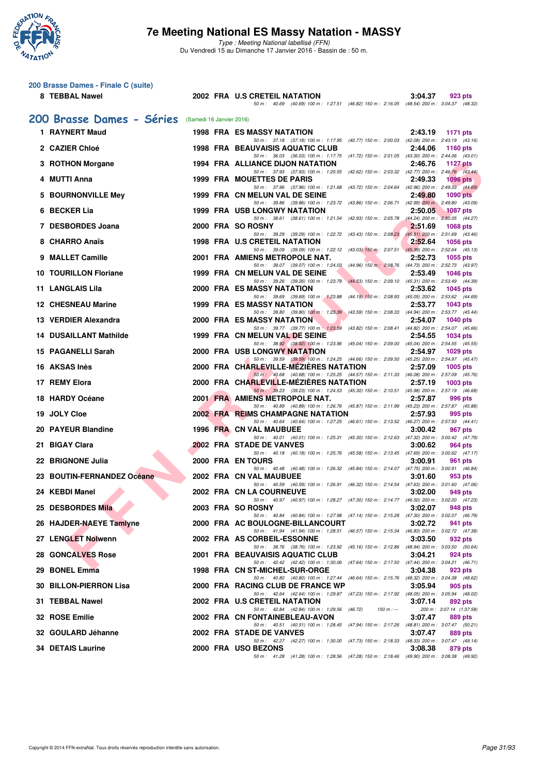

Type : Meeting National labellisé (FFN) Du Vendredi 15 au Dimanche 17 Janvier 2016 - Bassin de : 50 m.

#### **200 Brasse Dames - Finale C (suite)**

#### **8 TEBBAL Nawel 2002 FRA U.S CRETEIL NATATION 3:04.37 923 pts** 50 m : 40.69 (40.69) 100 m : 1:27.51 (46.82) 150 m : 2:16.05 (48.54) 200 m : 3:04.37 (48.32)

#### **[200 Brasse Dames - Séries](http://www.ffnatation.fr/webffn/resultats.php?idact=nat&go=epr&idcpt=35299&idepr=23)** (Samedi 16 Janvier 2016)

| 1 RAYNERT Maud                |  | <b>1998 FRA ES MASSY NATATION</b>                                                                                                   | 2:43.19 | <b>1171 pts</b>                     |
|-------------------------------|--|-------------------------------------------------------------------------------------------------------------------------------------|---------|-------------------------------------|
| 2 CAZIER Chloé                |  | 50 m: 37.18 (37.18) 100 m: 1:17.95 (40.77) 150 m: 2:00.03 (42.08) 200 m: 2:43.19 (43.16)<br><b>1998 FRA BEAUVAISIS AQUATIC CLUB</b> | 2:44.06 | 1160 pts                            |
| 3 ROTHON Morgane              |  | 50 m: 36.03 (36.03) 100 m: 1:17.75 (41.72) 150 m: 2:01.05 (43.30) 200 m: 2:44.06 (43.01)<br>1994 FRA ALLIANCE DIJON NATATION        | 2:46.76 | <b>1127 pts</b>                     |
| 4 MUTTI Anna                  |  | 50 m: 37.93 (37.93) 100 m: 1:20.55 (42.62) 150 m: 2:03.32 (42.77) 200 m: 2:46.76 (43.44)<br>1999 FRA MOUETTES DE PARIS              | 2:49.33 | $1096$ pts                          |
| 5 BOURNONVILLE Mey            |  | 50 m: 37.96 (37.96) 100 m: 1:21.68 (43.72) 150 m: 2:04.64 (42.96) 200 m: 2:49.33 (44.69)<br>1999 FRA CN MELUN VAL DE SEINE          | 2:49.80 | $1090$ pts                          |
| 6 BECKER Lia                  |  | 50 m: 39.86 (39.86) 100 m: 1:23.72 (43.86) 150 m: 2:06.71 (42.99) 200 m: 2:49.80 (43.09)<br>1999 FRA USB LONGWY NATATION            | 2:50.05 | 1087 pts                            |
| 7 DESBORDES Joana             |  | 50 m: 38.61 (38.61) 100 m: 1:21.54 (42.93) 150 m: 2:05.78 (44.24) 200 m: 2:50.05 (44.27)<br>2000 FRA SO ROSNY                       |         |                                     |
|                               |  | 50 m: 39.29 (39.29) 100 m: 1:22.72 (43.43) 150 m: 2:08.23 (45.51) 200 m: 2:51.69 (43.46)                                            | 2:51.69 | <b>1068 pts</b>                     |
| 8 CHARRO Anaïs                |  | <b>1998 FRA U.S CRETEIL NATATION</b><br>50 m: 39.09 (39.09) 100 m: 1:22.12 (43.03) 150 m: 2:07.51 (45.39) 200 m: 2:52.64 (45.13)    | 2:52.64 | <b>1056 pts</b>                     |
| 9 MALLET Camille              |  | 2001 FRA AMIENS METROPOLE NAT.<br>50 m: 39.07 (39.07) 100 m: 1:24.03 (44.96) 150 m: 2:08.76 (44.73) 200 m: 2:52.73 (43.97)          | 2:52.73 | 1055 pts                            |
| <b>10 TOURILLON Floriane</b>  |  | 1999 FRA CN MELUN VAL DE SEINE<br>50 m: 39.26 (39.26) 100 m: 1:23.79 (44.53) 150 m: 2:09.10 (45.31) 200 m: 2:53.49 (44.39)          | 2:53.49 | <b>1046 pts</b>                     |
| 11 LANGLAIS Lila              |  | 2000 FRA ES MASSY NATATION<br>50 m: 39.69 (39.69) 100 m: 1:23.88 (44.19) 150 m: 2:08.93 (45.05) 200 m: 2:53.62 (44.69)              | 2:53.62 | <b>1045 pts</b>                     |
| <b>12 CHESNEAU Marine</b>     |  | 1999 FRA ES MASSY NATATION                                                                                                          | 2:53.77 | <b>1043 pts</b>                     |
| 13 VERDIER Alexandra          |  | 50 m: 39.80 (39.80) 100 m: 1:23.39 (43.59) 150 m: 2:08.33 (44.94) 200 m: 2:53.77 (45.44)<br>2000 FRA ES MASSY NATATION              | 2:54.07 | <b>1040 pts</b>                     |
| <b>14 DUSAILLANT Mathilde</b> |  | 50 m: 39.77 (39.77) 100 m: 1:23.59 (43.82) 150 m: 2:08.41 (44.82) 200 m: 2:54.07 (45.66)<br>1999 FRA CN MELUN VAL DE SEINE          | 2:54.55 | <b>1034 pts</b>                     |
| 15 PAGANELLI Sarah            |  | 50 m: 38.92 (38.92) 100 m: 1:23.96 (45.04) 150 m: 2:09.00 (45.04) 200 m: 2:54.55 (45.55)<br><b>2000 FRA USB LONGWY NATATION</b>     | 2:54.97 | $1029$ pts                          |
| 16 AKSAS Inès                 |  | 50 m: 39.59 (39.59) 100 m: 1:24.25 (44.66) 150 m: 2:09.50 (45.25) 200 m: 2:54.97 (45.47)<br>2000 FRA CHARLEVILLE-MEZIERES NATATION  | 2:57.09 | 1005 pts                            |
| 17 REMY Elora                 |  | 50 m: 40.68 (40.68) 100 m: 1:25.25 (44.57) 150 m: 2:11.33 (46.08) 200 m: 2:57.09 (45.76)<br>2000 FRA CHARLEVILLE-MÉZIÈRES NATATION  | 2:57.19 | 1003 pts                            |
|                               |  | 50 m: 39.23 (39.23) 100 m: 1:24.53 (45.30) 150 m: 2:10.51 (45.98) 200 m: 2:57.19 (46.68)                                            |         |                                     |
| 18 HARDY Océane               |  | 2001 FRA AMIENS METROPOLE NAT.<br>50 m: 40.89 (40.89) 100 m: 1:26.76 (45.87) 150 m: 2:11.99 (45.23) 200 m: 2:57.87 (45.88)          | 2:57.87 | 996 pts                             |
| 19 JOLY Cloe                  |  | 2002 FRA REIMS CHAMPAGNE NATATION<br>50 m: 40.64 (40.64) 100 m: 1:27.25 (46.61) 150 m: 2:13.52 (46.27) 200 m: 2:57.93 (44.41)       | 2:57.93 | 995 pts                             |
| 20 PAYEUR Blandine            |  | 1996 FRA CN VAL MAUBUEE<br>50 m: 40.01 (40.01) 100 m: 1:25.31 (45.30) 150 m: 2:12.63 (47.32) 200 m: 3:00.42 (47.79)                 | 3:00.42 | 967 pts                             |
| 21 BIGAY Clara                |  | 2002 FRA STADE DE VANVES<br>50 m: 40.18 (40.18) 100 m: 1:25.76 (45.58) 150 m: 2:13.45 (47.69) 200 m: 3:00.62 (47.17)                | 3:00.62 | 964 pts                             |
| 22 BRIGNONE Julia             |  | <b>2000 FRA ENTOURS</b>                                                                                                             | 3:00.91 | 961 pts                             |
| 23 BOUTIN-FERNANDEZ Océane    |  | 50 m: 40.48 (40.48) 100 m: 1:26.32 (45.84) 150 m: 2:14.07 (47.75) 200 m: 3:00.91 (46.84)<br>2002 FRA CN VAL MAUBUEE                 | 3:01.60 | 953 pts                             |
| 24 KEBDI Manel                |  | 50 m: 40.59 (40.59) 100 m: 1:26.91 (46.32) 150 m: 2:14.54 (47.63) 200 m: 3:01.60 (47.06)<br><b>2002 FRA CN LA COURNEUVE</b>         | 3:02.00 | 949 pts                             |
| 25 DESBORDES Mila             |  | 50 m: 40.97 (40.97) 100 m: 1:28.27 (47.30) 150 m: 2:14.77 (46.50) 200 m: 3:02.00 (47.23)<br>2003 FRA SO ROSNY                       | 3:02.07 | 948 pts                             |
| 26 HAJDER-NAEYE Tamlyne       |  | 50 m: 40.84 (40.84) 100 m: 1:27.98 (47.14) 150 m: 2:15.28 (47.30) 200 m: 3:02.07 (46.79)<br>2000 FRA AC BOULOGNE-BILLANCOURT        | 3:02.72 | 941 pts                             |
| 27 LENGLET Nolwenn            |  | 50 m: 41.94 (41.94) 100 m: 1:28.51 (46.57) 150 m: 2:15.34 (46.83) 200 m: 3:02.72 (47.38)<br>2002 FRA AS CORBEIL-ESSONNE             | 3:03.50 | 932 pts                             |
|                               |  | 50 m: 38.76 (38.76) 100 m: 1:23.92 (45.16) 150 m: 2:12.86 (48.94) 200 m: 3:03.50 (50.64)                                            |         |                                     |
| <b>28 GONCALVES Rose</b>      |  | 2001 FRA BEAUVAISIS AQUATIC CLUB<br>50 m: 42.42 (42.42) 100 m: 1:30.06 (47.64) 150 m: 2:17.50 (47.44) 200 m: 3:04.21 (46.71)        | 3:04.21 | 924 pts                             |
| 29 BONEL Emma                 |  | 1998 FRA CN ST-MICHEL-SUR-ORGE<br>50 m: 40.80 (40.80) 100 m: 1:27.44 (46.64) 150 m: 2:15.76 (48.32) 200 m: 3:04.38 (48.62)          | 3:04.38 | 923 pts                             |
| 30 BILLON-PIERRON Lisa        |  | 2000 FRA RACING CLUB DE FRANCE WP<br>50 m: 42.64 (42.64) 100 m: 1:29.87 (47.23) 150 m: 2:17.92 (48.05) 200 m: 3:05.94 (48.02)       | 3:05.94 | 905 pts                             |
| 31 TEBBAL Nawel               |  | 2002 FRA U.S CRETEIL NATATION<br>50 m : 42.84 (42.84) 100 m : 1:29.56 (46.72)<br>$150 m : -$                                        | 3:07.14 | 892 pts<br>200 m: 3:07.14 (1:37.58) |
| 32 ROSE Emilie                |  | 2002 FRA CN FONTAINEBLEAU-AVON                                                                                                      | 3:07.47 | 889 pts                             |
| 32 GOULARD Jéhanne            |  | 50 m: 40.51 (40.51) 100 m: 1:28.45 (47.94) 150 m: 2:17.26 (48.81) 200 m: 3:07.47 (50.21)<br>2002 FRA STADE DE VANVES                | 3:07.47 | 889 pts                             |
| <b>34 DETAIS Laurine</b>      |  | 50 m: 42.27 (42.27) 100 m: 1:30.00 (47.73) 150 m: 2:18.33 (48.33) 200 m: 3:07.47 (49.14)<br>2000 FRA USO BEZONS                     | 3:08.38 | 879 pts                             |
|                               |  | 50 m: 41.28 (41.28) 100 m: 1:28.56 (47.28) 150 m: 2:18.46 (49.90) 200 m: 3:08.38 (49.92)                                            |         |                                     |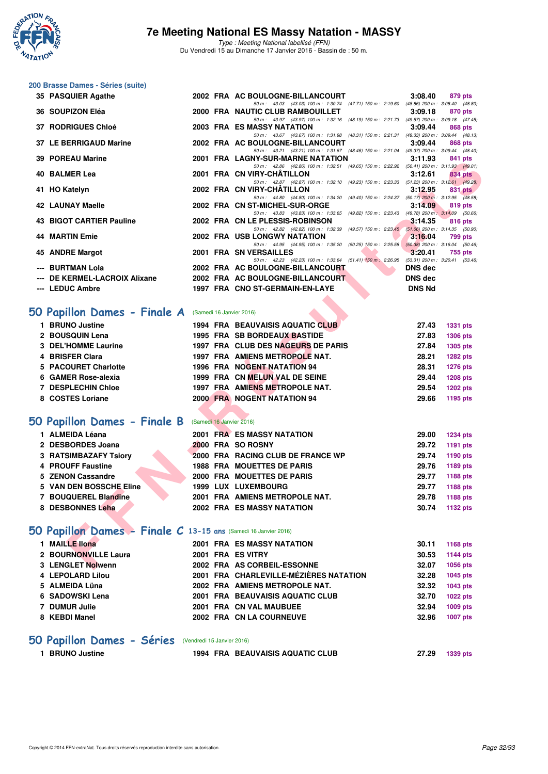

Type : Meeting National labellisé (FFN) Du Vendredi 15 au Dimanche 17 Janvier 2016 - Bassin de : 50 m.

#### **200 Brasse Dames - Séries (suite)**

| 35 PASQUIER Agathe                                              |  | 2002 FRA AC BOULOGNE-BILLANCOURT                                                                                              | 3:08.40        | 879 pts         |
|-----------------------------------------------------------------|--|-------------------------------------------------------------------------------------------------------------------------------|----------------|-----------------|
| 36 SOUPIZON Eléa                                                |  | 50 m: 43.03 (43.03) 100 m: 1:30.74 (47.71) 150 m: 2:19.60 (48.86) 200 m: 3:08.40 (48.80)<br>2000 FRA NAUTIC CLUB RAMBOUILLET  | 3:09.18        | <b>870 pts</b>  |
| <b>37 RODRIGUES Chloé</b>                                       |  | 50 m: 43.97 (43.97) 100 m: 1:32.16 (48.19) 150 m: 2:21.73 (49.57) 200 m: 3:09.18 (47.45)<br>2003 FRA ES MASSY NATATION        | 3:09.44        | 868 pts         |
|                                                                 |  | 50 m: 43.67 (43.67) 100 m: 1:31.98 (48.31) 150 m: 2:21.31 (49.33) 200 m: 3:09.44 (48.13)                                      |                |                 |
| 37 LE BERRIGAUD Marine                                          |  | 2002 FRA AC BOULOGNE-BILLANCOURT                                                                                              | 3:09.44        | <b>868 pts</b>  |
| 39 POREAU Marine                                                |  | 50 m: 43.21 (43.21) 100 m: 1:31.67 (48.46) 150 m: 2:21.04 (49.37) 200 m: 3:09.44 (48.40)<br>2001 FRA LAGNY-SUR-MARNE NATATION | 3:11.93        | 841 pts         |
|                                                                 |  | 50 m: 42.86 (42.86) 100 m: 1:32.51 (49.65) 150 m: 2:22.92 (50.41) 200 m: 3:11.93 (49.01)                                      |                |                 |
| 40 BALMER Lea                                                   |  | 2001 FRA CN VIRY-CHATILLON<br>50 m: 42.87 (42.87) 100 m: 1:32.10 (49.23) 150 m: 2:23.33 (51.23) 200 m: 3:12.61 (49.28)        | 3:12.61        | <b>834 pts</b>  |
| 41 HO Katelyn                                                   |  | 2002 FRA CN VIRY-CHATILLON                                                                                                    | 3:12.95        | 831 pts         |
| <b>42 LAUNAY Maelle</b>                                         |  | 50 m: 44.80 (44.80) 100 m: 1:34.20 (49.40) 150 m: 2:24.37 (50.17) 200 m: 3:12.95 (48.58)<br>2002 FRA CN ST-MICHEL-SUR-ORGE    | 3:14.09        | 819 pts         |
|                                                                 |  | 50 m: 43.83 (43.83) 100 m: 1:33.65 (49.82) 150 m: 2:23.43 (49.78) 200 m: 3:14.09 (50.66)                                      |                |                 |
| <b>43 BIGOT CARTIER Pauline</b>                                 |  | 2002 FRA CN LE PLESSIS-ROBINSON<br>50 m: 42.82 (42.82) 100 m: 1:32.39 (49.57) 150 m: 2:23.45 (51.06) 200 m: 3:14.35 (50.90)   | 3:14.35        | 816 pts         |
| <b>44 MARTIN Emie</b>                                           |  | 2002 FRA USB LONGWY NATATION                                                                                                  | 3:16.04        | 799 pts         |
|                                                                 |  | 50 m: 44.95 (44.95) 100 m: 1:35.20 (50.25) 150 m: 2:25.58 (50.38) 200 m: 3:16.04 (50.46)                                      |                |                 |
| 45 ANDRE Margot                                                 |  | 2001 FRA SN VERSAILLES<br>50 m: 42.23 (42.23) 100 m: 1:33.64 (51.41) 150 m: 2:26.95 (53.31) 200 m: 3:20.41 (53.46)            | 3:20.41        | 755 pts         |
| --- BURTMAN Lola                                                |  | 2002 FRA AC BOULOGNE-BILLANCOURT                                                                                              | <b>DNS dec</b> |                 |
| --- DE KERMEL-LACROIX Alixane                                   |  | 2002 FRA AC BOULOGNE-BILLANCOURT                                                                                              | <b>DNS dec</b> |                 |
| --- LEDUC Ambre                                                 |  | 1997 FRA CNO ST-GERMAIN-EN-LAYE                                                                                               | <b>DNS Nd</b>  |                 |
|                                                                 |  |                                                                                                                               |                |                 |
| iO Papillon Dames - Finale A                                    |  | (Samedi 16 Janvier 2016)                                                                                                      |                |                 |
| 1 BRUNO Justine                                                 |  | <b>1994 FRA BEAUVAISIS AQUATIC CLUB</b>                                                                                       | 27.43          | <b>1331 pts</b> |
| 2 BOUSQUIN Lena                                                 |  | <b>1995 FRA SB BORDEAUX BASTIDE</b>                                                                                           | 27.83          | <b>1306 pts</b> |
| 3 DEL'HOMME Laurine                                             |  | 1997 FRA CLUB DES NAGEURS DE PARIS                                                                                            | 27.84          | 1305 pts        |
| 4 BRISFER Clara                                                 |  | 1997 FRA AMIENS METROPOLE NAT.                                                                                                | 28.21          | 1282 pts        |
| 5 PACOURET Charlotte                                            |  | 1996 FRA NOGENT NATATION 94                                                                                                   | 28.31          | <b>1276 pts</b> |
| 6 GAMER Rose-alexia                                             |  | 1999 FRA CN MELUN VAL DE SEINE                                                                                                | 29.44          | <b>1208 pts</b> |
| 7 DESPLECHIN Chloe                                              |  | 1997 FRA AMIENS METROPOLE NAT.                                                                                                | 29.54          | 1202 pts        |
| 8 COSTES Loriane                                                |  | <b>2000 FRA NOGENT NATATION 94</b>                                                                                            | 29.66          | 1195 pts        |
|                                                                 |  |                                                                                                                               |                |                 |
| iO Papillon Dames - Finale B                                    |  | (Samedi 16 Janvier 2016)                                                                                                      |                |                 |
| 1 ALMEIDA Léana                                                 |  | <b>2001 FRA ES MASSY NATATION</b>                                                                                             | 29.00          | <b>1234 pts</b> |
| 2 DESBORDES Joana                                               |  | 2000 FRA SO ROSNY                                                                                                             | 29.72          | 1191 pts        |
| 3 RATSIMBAZAFY Tsiory                                           |  | 2000 FRA RACING CLUB DE FRANCE WP                                                                                             | 29.74          | 1190 pts        |
| 4 PROUFF Faustine                                               |  | <b>1988 FRA MOUETTES DE PARIS</b>                                                                                             | 29.76          | 1189 pts        |
| 5 ZENON Cassandre                                               |  | 2000 FRA MOUETTES DE PARIS                                                                                                    | 29.77          | 1188 pts        |
| 5 VAN DEN BOSSCHE Eline                                         |  | <b>1999 LUX LUXEMBOURG</b>                                                                                                    | 29.77          | 1188 pts        |
| 7 BOUQUEREL Blandine                                            |  | 2001 FRA AMIENS METROPOLE NAT.                                                                                                | 29.78          | 1188 pts        |
| 8 DESBONNES Leha                                                |  | <b>2002 FRA ES MASSY NATATION</b>                                                                                             | 30.74          | 1132 pts        |
| iO Papillon Dames - Finale C 13-15 ans (Samedi 16 Janvier 2016) |  |                                                                                                                               |                |                 |
| 1 MAILLE Ilona                                                  |  | 2001 FRA ES MASSY NATATION                                                                                                    | 30.11          | 1168 pts        |
| 2 BOURNONVILLE Laura                                            |  | 2001 FRA ES VITRY                                                                                                             | 30.53          | 1144 pts        |
| 3 LENGLET Nolwenn                                               |  | 2002 FRA AS CORBEIL-ESSONNE                                                                                                   | 32.07          | 1056 pts        |

## **[50 Papillon Dames - Finale A](http://www.ffnatation.fr/webffn/resultats.php?idact=nat&go=epr&idcpt=35299&idepr=31)** (Samedi 16 Janvier 2016)

| 1 BRUNO Justine           | <b>1994 FRA BEAUVAISIS AQUATIC CLUB</b> | 27.43<br><b>1331 pts</b> |
|---------------------------|-----------------------------------------|--------------------------|
| 2 BOUSQUIN Lena           | <b>1995 FRA SB BORDEAUX BASTIDE</b>     | <b>1306 pts</b><br>27.83 |
| 3 DEL'HOMME Laurine       | 1997 FRA CLUB DES NAGEURS DE PARIS      | 1305 pts<br>27.84        |
| 4 BRISFER Clara           | 1997 FRA AMIENS METROPOLE NAT.          | 28.21<br><b>1282 pts</b> |
| 5 PACOURET Charlotte      | 1996 FRA NOGENT NATATION 94             | <b>1276 pts</b><br>28.31 |
| 6 GAMER Rose-alexia       | 1999 FRA CN MELUN VAL DE SEINE          | <b>1208 pts</b><br>29.44 |
| <b>7 DESPLECHIN Chloe</b> | 1997 FRA AMIENS METROPOLE NAT.          | <b>1202 pts</b><br>29.54 |
| 8 COSTES Loriane          | 2000 FRA NOGENT NATATION 94             | 29.66<br>1195 pts        |
|                           |                                         |                          |

#### **[50 Papillon Dames - Finale B](http://www.ffnatation.fr/webffn/resultats.php?idact=nat&go=epr&idcpt=35299&idepr=31)** (Samedi 16 Janvier 2016)

| 1 ALMEIDA Léana         |  | 2001 FRA ES MASSY NATATION        | 29.00 | <b>1234 pts</b> |
|-------------------------|--|-----------------------------------|-------|-----------------|
| 2 DESBORDES Joana       |  | 2000 FRA SO ROSNY                 | 29.72 | 1191 pts        |
| 3 RATSIMBAZAFY Tsiory   |  | 2000 FRA RACING CLUB DE FRANCE WP | 29.74 | 1190 pts        |
| 4 PROUFF Faustine       |  | <b>1988 FRA MOUETTES DE PARIS</b> | 29.76 | 1189 pts        |
| 5 ZENON Cassandre       |  | 2000 FRA MOUETTES DE PARIS        | 29.77 | 1188 pts        |
| 5 VAN DEN BOSSCHE Eline |  | 1999 LUX LUXEMBOURG               | 29.77 | 1188 pts        |
| 7 BOUQUEREL Blandine    |  | 2001 FRA AMIENS METROPOLE NAT.    | 29.78 | 1188 pts        |
| 8 DESBONNES Leha        |  | 2002 FRA ES MASSY NATATION        | 30.74 | 1132 pts        |
|                         |  |                                   |       |                 |

## **[50 Papillon Dames - Finale C](http://www.ffnatation.fr/webffn/resultats.php?idact=nat&go=epr&idcpt=35299&idepr=31) 13-15 ans** (Samedi 16 Janvier 2016)

| <b>MAILLE llona</b>  |  | <b>2001 FRA ES MASSY NATATION</b>      | 30.11 | 1168 pts        |
|----------------------|--|----------------------------------------|-------|-----------------|
| 2 BOURNONVILLE Laura |  | 2001 FRA ES VITRY                      | 30.53 | 1144 pts        |
| 3 LENGLET Nolwenn    |  | 2002 FRA AS CORBEIL-ESSONNE            | 32.07 | 1056 pts        |
| 4 LEPOLARD Lilou     |  | 2001 FRA CHARLEVILLE-MÉZIÈRES NATATION | 32.28 | 1045 pts        |
| 5 ALMEIDA Lüna       |  | 2002 FRA AMIENS METROPOLE NAT.         | 32.32 | 1043 pts        |
| 6 SADOWSKI Lena      |  | 2001 FRA BEAUVAISIS AQUATIC CLUB       | 32.70 | <b>1022 pts</b> |
| 7 DUMUR Julie        |  | 2001 FRA CN VAL MAUBUEE                | 32.94 | 1009 pts        |
| 8 KEBDI Manel        |  | 2002 FRA CN LA COURNEUVE               | 32.96 | <b>1007 pts</b> |
|                      |  |                                        |       |                 |

## **[50 Papillon Dames - Séries](http://www.ffnatation.fr/webffn/resultats.php?idact=nat&go=epr&idcpt=35299&idepr=31)** (Vendredi 15 Janvier 2016)

| 1 BRUNO Justine | <b>1994 FRA BEAUVAISIS AQUATIC CLUB</b> | 27.29 | 1339 pts |
|-----------------|-----------------------------------------|-------|----------|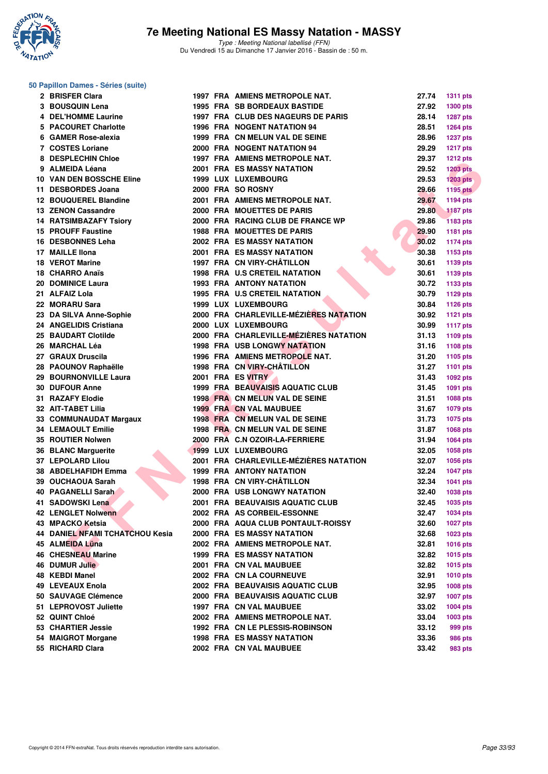

#### **50 Papillon Dames - Séries (suite)**

| 2 BRISFER Clara                        |  | 1997 FRA AMIENS METROPOLE NAT.          | 27.74          | <b>1311 pts</b>             |
|----------------------------------------|--|-----------------------------------------|----------------|-----------------------------|
| 3 BOUSQUIN Lena                        |  | <b>1995 FRA SB BORDEAUX BASTIDE</b>     | 27.92          | 1300 pts                    |
| <b>4 DEL'HOMME Laurine</b>             |  | 1997 FRA CLUB DES NAGEURS DE PARIS      | 28.14          | <b>1287 pts</b>             |
| 5 PACOURET Charlotte                   |  | <b>1996 FRA NOGENT NATATION 94</b>      | 28.51          | <b>1264 pts</b>             |
| 6 GAMER Rose-alexia                    |  | 1999 FRA CN MELUN VAL DE SEINE          | 28.96          | <b>1237 pts</b>             |
| 7 COSTES Loriane                       |  | 2000 FRA NOGENT NATATION 94             | 29.29          | <b>1217 pts</b>             |
| 8 DESPLECHIN Chloe                     |  | 1997 FRA AMIENS METROPOLE NAT.          | 29.37          | <b>1212 pts</b>             |
| 9 ALMEIDA Léana                        |  | <b>2001 FRA ES MASSY NATATION</b>       | 29.52          | <b>1203 pts</b>             |
| <b>10 VAN DEN BOSSCHE Eline</b>        |  | 1999 LUX LUXEMBOURG                     | 29.53          | <b>1203 pts</b>             |
| 11 DESBORDES Joana                     |  | 2000 FRA SO ROSNY                       | 29.66          | <b>1195 pts</b>             |
| 12 BOUQUEREL Blandine                  |  | 2001 FRA AMIENS METROPOLE NAT.          | 29.67          | 1194 pts                    |
| <b>13 ZENON Cassandre</b>              |  | 2000 FRA MOUETTES DE PARIS              | 29.80          | <b>1187 pts</b>             |
| <b>14 RATSIMBAZAFY Tsiory</b>          |  | 2000 FRA RACING CLUB DE FRANCE WP       | 29.86          | <b>1183 pts</b>             |
| <b>15 PROUFF Faustine</b>              |  | <b>1988 FRA MOUETTES DE PARIS</b>       | 29.90          | 1181 pts                    |
| 16 DESBONNES Leha                      |  | 2002 FRA ES MASSY NATATION              | 30.02          | <b>1174 pts</b>             |
| 17 MAILLE IIona                        |  | <b>2001 FRA ES MASSY NATATION</b>       | 30.38          | 1153 pts                    |
| <b>18 VEROT Marine</b>                 |  | 1997 FRA CN VIRY-CHÂTILLON              | 30.61          | 1139 pts                    |
| 18 CHARRO Anaïs                        |  | <b>1998 FRA U.S CRETEIL NATATION</b>    | 30.61          | 1139 pts                    |
| 20 DOMINICE Laura                      |  | <b>1993 FRA ANTONY NATATION</b>         | 30.72          | 1133 pts                    |
| 21 ALFAIZ Lola                         |  | 1995 FRA U.S CRETEIL NATATION           | 30.79          | <b>1129 pts</b>             |
| 22 MORARU Sara                         |  | 1999 LUX LUXEMBOURG                     | 30.84          | <b>1126 pts</b>             |
| 23 DA SILVA Anne-Sophie                |  | 2000 FRA CHARLEVILLE-MÉZIÈRES NATATION  | 30.92          | <b>1121 pts</b>             |
| 24 ANGELIDIS Cristiana                 |  | 2000 LUX LUXEMBOURG                     | 30.99          | <b>1117 pts</b>             |
| 25 BAUDART Clotilde                    |  | 2000 FRA CHARLEVILLE-MÉZIÈRES NATATION  | 31.13          | 1109 pts                    |
| 26 MARCHAL Léa                         |  | <b>1998 FRA USB LONGWY NATATION</b>     | 31.16          | 1108 pts                    |
| 27 GRAUX Druscila                      |  | 1996 FRA AMIENS METROPOLE NAT.          | 31.20          | 1105 pts                    |
| 28 PAOUNOV Raphaëlle                   |  | 1998 FRA CN VIRY-CHÂTILLON              | 31.27          | <b>1101 pts</b>             |
| 29 BOURNONVILLE Laura                  |  | 2001 FRA ES VITRY                       | 31.43          | 1092 pts                    |
| <b>30 DUFOUR Anne</b>                  |  | <b>1999 FRA BEAUVAISIS AQUATIC CLUB</b> | 31.45          | 1091 pts                    |
| 31 RAZAFY Elodie                       |  | 1998 FRA CN MELUN VAL DE SEINE          | 31.51          | <b>1088 pts</b>             |
| 32 AIT-TABET Lilia                     |  | <b>1999 FRA CN VAL MAUBUEE</b>          | 31.67          | 1079 pts                    |
| 33 COMMUNAUDAT Margaux                 |  | 1998 FRA CN MELUN VAL DE SEINE          | 31.73          | 1075 pts                    |
| <b>34 LEMAOULT Emilie</b>              |  | 1998 FRA CN MELUN VAL DE SEINE          | 31.87          | <b>1068 pts</b>             |
| 35 ROUTIER Nolwen                      |  | 2000 FRA C.N OZOIR-LA-FERRIERE          | 31.94          | <b>1064 pts</b>             |
| <b>36 BLANC Marquerite</b>             |  | 1999 LUX LUXEMBOURG                     | 32.05          | 1058 pts                    |
| 37 LEPOLARD Lilou                      |  | 2001 FRA CHARLEVILLE-MÉZIÈRES NATATION  | 32.07          | <b>1056 pts</b>             |
| 38 ABDELHAFIDH Emma                    |  | 1999 FRA ANTONY NATATION                | 32.24          |                             |
| 39 OUCHAOUA Sarah                      |  | 1998 FRA CN VIRY-CHÂTILLON              | 32.34          | <b>1047 pts</b>             |
| 40 PAGANELLI Sarah                     |  | <b>2000 FRA USB LONGWY NATATION</b>     | 32.40          | <b>1041 pts</b>             |
| 41 SADOWSKI Lena                       |  | 2001 FRA BEAUVAISIS AQUATIC CLUB        | 32.45          | 1038 pts                    |
|                                        |  | 2002 FRA AS CORBEIL-ESSONNE             |                | <b>1035 pts</b>             |
| 42 LENGLET Nolwenn<br>43 MPACKO Ketsia |  | 2000 FRA AQUA CLUB PONTAULT-ROISSY      | 32.47<br>32.60 | <b>1034 pts</b>             |
| 44 DANIEL NFAMI TCHATCHOU Kesia        |  | <b>2000 FRA ES MASSY NATATION</b>       | 32.68          | <b>1027 pts</b><br>1023 pts |
| 45 ALMEIDA Lüna                        |  | 2002 FRA AMIENS METROPOLE NAT.          | 32.81          |                             |
| <b>46 CHESNEAU Marine</b>              |  | <b>1999 FRA ES MASSY NATATION</b>       | 32.82          | <b>1016 pts</b>             |
|                                        |  |                                         | 32.82          | <b>1015 pts</b>             |
| 46 DUMUR Julie                         |  | 2001 FRA CN VAL MAUBUEE                 |                | 1015 pts                    |
| 48 KEBDI Manel                         |  | 2002 FRA CN LA COURNEUVE                | 32.91          | 1010 pts                    |
| 49 LEVEAUX Enola                       |  | 2002 FRA BEAUVAISIS AQUATIC CLUB        | 32.95          | 1008 pts                    |
| 50 SAUVAGE Clémence                    |  | 2000 FRA BEAUVAISIS AQUATIC CLUB        | 32.97          | <b>1007 pts</b>             |
| 51 LEPROVOST Juliette                  |  | 1997 FRA CN VAL MAUBUEE                 | 33.02          | 1004 pts                    |
| 52 QUINT Chloé                         |  | 2002 FRA AMIENS METROPOLE NAT.          | 33.04          | 1003 pts                    |
| 53 CHARTIER Jessie                     |  | 1992 FRA CN LE PLESSIS-ROBINSON         | 33.12          | 999 pts                     |
| 54 MAIGROT Morgane                     |  | <b>1998 FRA ES MASSY NATATION</b>       | 33.36          | 986 pts                     |
| 55 RICHARD Clara                       |  | 2002 FRA CN VAL MAUBUEE                 | 33.42          | 983 pts                     |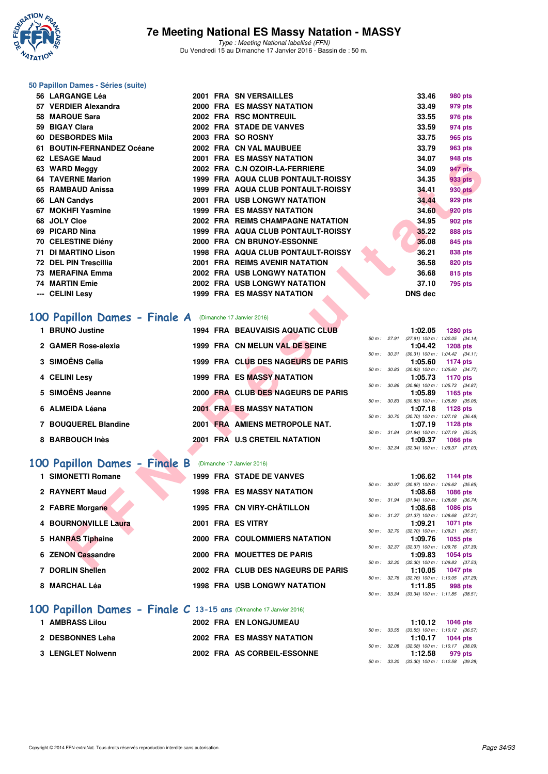

#### **50 Papillon Dames - Séries (suite)**

| 56 LARGANGE Léa                                                                   |  | <b>2001 FRA SN VERSAILLES</b>       |              | 33.46          | 980 pts                                                       |
|-----------------------------------------------------------------------------------|--|-------------------------------------|--------------|----------------|---------------------------------------------------------------|
| 57 VERDIER Alexandra                                                              |  | 2000 FRA ES MASSY NATATION          |              | 33.49          | 979 pts                                                       |
| 58 MARQUE Sara                                                                    |  | 2002 FRA RSC MONTREUIL              |              | 33.55          | 976 pts                                                       |
| 59 BIGAY Clara                                                                    |  | 2002 FRA STADE DE VANVES            |              | 33.59          | 974 pts                                                       |
| 60 DESBORDES Mila                                                                 |  | 2003 FRA SO ROSNY                   |              | 33.75          | 965 pts                                                       |
| 61 BOUTIN-FERNANDEZ Océane                                                        |  | 2002 FRA CN VAL MAUBUEE             |              | 33.79          | 963 pts                                                       |
| 62 LESAGE Maud                                                                    |  | <b>2001 FRA ES MASSY NATATION</b>   |              | 34.07          | <b>948 pts</b>                                                |
| 63 WARD Meggy                                                                     |  | 2002 FRA C.N OZOIR-LA-FERRIERE      |              | 34.09          | 947 pts                                                       |
| <b>64 TAVERNE Marion</b>                                                          |  | 1999 FRA AQUA CLUB PONTAULT-ROISSY  |              | 34.35          | 933 pts                                                       |
| 65 RAMBAUD Anissa                                                                 |  | 1999 FRA AQUA CLUB PONTAULT-ROISSY  |              | 34.41          | 930 pts                                                       |
| 66 LAN Candys                                                                     |  | 2001 FRA USB LONGWY NATATION        |              | 34.44          | 929 pts                                                       |
| 67 MOKHFI Yasmine                                                                 |  | <b>1999 FRA ES MASSY NATATION</b>   |              | 34.60          | <b>920 pts</b>                                                |
| 68 JOLY Cloe                                                                      |  | 2002 FRA REIMS CHAMPAGNE NATATION   |              | 34.95          | <b>902 pts</b>                                                |
| 69 PICARD Nina                                                                    |  | 1999 FRA AQUA CLUB PONTAULT-ROISSY  |              | 35.22          | <b>888 pts</b>                                                |
| 70 CELESTINE Diény                                                                |  | 2000 FRA CN BRUNOY-ESSONNE          |              | 36.08          | 845 pts                                                       |
| 71 DI MARTINO Lison                                                               |  | 1998 FRA AQUA CLUB PONTAULT-ROISSY  |              | 36.21          | 838 pts                                                       |
| 72 DEL PIN Trescillia                                                             |  | 2001 FRA REIMS AVENIR NATATION      |              | 36.58          | 820 pts                                                       |
| 73 MERAFINA Emma                                                                  |  | 2002 FRA USB LONGWY NATATION        |              | 36.68          | 815 pts                                                       |
| <b>74 MARTIN Emie</b>                                                             |  | 2002 FRA USB LONGWY NATATION        |              | 37.10          | <b>795 pts</b>                                                |
| --- CELINI Lesy                                                                   |  | 1999 FRA ES MASSY NATATION          |              | <b>DNS dec</b> |                                                               |
| <b>00 Papillon Dames - Finale A</b> (Dimanche 17 Janvier 2016)<br>1 BRUNO Justine |  | 1994 FRA BEAUVAISIS AQUATIC CLUB    |              | 1:02.05        | <b>1280 pts</b>                                               |
| 2 GAMER Rose-alexia                                                               |  | 1999 FRA CN MELUN VAL DE SEINE      |              | 1:04.42        | 50 m: 27.91 (27.91) 100 m: 1:02.05 (34.14)<br><b>1208 pts</b> |
|                                                                                   |  |                                     |              |                | 50 m: 30.31 (30.31) 100 m: 1:04.42 (34.11)                    |
| 3 SIMOËNS Celia                                                                   |  | 1999 FRA CLUB DES NAGEURS DE PARIS  |              | 1:05.60        | 1174 pts<br>50 m: 30.83 (30.83) 100 m: 1:05.60 (34.77)        |
| 4 CELINI Lesy                                                                     |  | <b>1999 FRA ES MASSY NATATION</b>   |              | 1:05.73        | 1170 pts                                                      |
|                                                                                   |  |                                     | 50 m : 30.86 |                | $(30.86)$ 100 m : 1:05.73 $(34.87)$                           |
| 5 SIMOËNS Jeanne                                                                  |  | 2000 FRA CLUB DES NAGEURS DE PARIS  |              | 1:05.89        | 1165 pts<br>50 m : 30.83 (30.83) 100 m : 1:05.89 (35.06)      |
| 6 ALMEIDA Léana                                                                   |  | <b>2001 FRA ES MASSY NATATION</b>   |              | 1:07.18        | 1128 pts                                                      |
|                                                                                   |  |                                     | 50 m : 30.70 |                | $(30.70)$ 100 m : 1:07.18 $(36.48)$                           |
| 7 BOUQUEREL Blandine                                                              |  | 2001 FRA AMIENS METROPOLE NAT.      |              | 1:07.19        | 1128 pts<br>50 m: 31.84 (31.84) 100 m: 1:07.19 (35.35)        |
| 8 BARBOUCH Inès                                                                   |  | 2001 FRA U.S CRETEIL NATATION       |              | 1:09.37        | <b>1066 pts</b>                                               |
|                                                                                   |  |                                     |              |                | 50 m: 32.34 (32.34) 100 m: 1:09.37 (37.03)                    |
| 00 Papillon Dames - Finale B (Dimanche 17 Janvier 2016)                           |  |                                     |              |                |                                                               |
|                                                                                   |  |                                     |              |                |                                                               |
| 1 SIMONETTI Romane                                                                |  | <b>1999 FRA STADE DE VANVES</b>     |              | 1:06.62        | 1144 pts<br>50 m: 30.97 (30.97) 100 m: 1:06.62 (35.65)        |
| 2 RAYNERT Maud                                                                    |  | <b>1998 FRA ES MASSY NATATION</b>   |              | 1:08.68        | <b>1086 pts</b>                                               |
|                                                                                   |  |                                     | 50 m: 31.94  |                | $(31.94)$ 100 m : 1:08.68 $(36.74)$                           |
| 2 FABRE Morgane                                                                   |  | 1995 FRA CN VIRY-CHÂTILLON          |              | 1:08.68        | <b>1086 pts</b><br>50 m: 31.37 (31.37) 100 m: 1:08.68 (37.31) |
| 4 BOURNONVILLE Laura                                                              |  | 2001 FRA ES VITRY                   |              | 1:09.21        | 1071 pts                                                      |
|                                                                                   |  | 2000 FRA COULOMMIERS NATATION       | 50 m : 32.70 | 1:09.76        | $(32.70)$ 100 m : 1:09.21 $(36.51)$                           |
| 5 HANRAS Tiphaine                                                                 |  |                                     |              |                | 1055 pts<br>50 m: 32.37 (32.37) 100 m: 1:09.76 (37.39)        |
| 6 ZENON Cassandre                                                                 |  | 2000 FRA MOUETTES DE PARIS          |              | 1:09.83        | <b>1054 pts</b>                                               |
| 7.0001000                                                                         |  | 0000 FBA OLUB BEG MAGELIBO BE BABIC |              | 4.40.05        | 50 m: 32.30 (32.30) 100 m: 1:09.83 (37.53)                    |

# **[100 Papillon Dames - Finale A](http://www.ffnatation.fr/webffn/resultats.php?idact=nat&go=epr&idcpt=35299&idepr=32)** (Dimanche 17 Janvier 2016)

| 1 BRUNO Justine      | <b>1994 FRA BEAUVAISIS AQUATIC CLUB</b> |                  | 1:02.05<br>1280 pts                                     |
|----------------------|-----------------------------------------|------------------|---------------------------------------------------------|
| 2 GAMER Rose-alexia  | 1999 FRA CN MELUN VAL DE SEINE          | $50 m$ : 27.91   | $(27.91)$ 100 m : 1:02.05 (34.<br>1:04.42<br>1208 pts   |
| 3 SIMOËNS Celia      | 1999 FRA CLUB DES NAGEURS DE PARIS      | 50 m: 30.31      | $(30.31)$ 100 m : 1.04.42 $(34.$<br>1:05.60<br>1174 pts |
| 4 CELINI Lesv        | <b>1999 FRA ES MASSY NATATION</b>       | 30.83<br>50 m :  | $(30.83)$ 100 m : 1:05.60 $(34.$<br>1:05.73<br>1170 pts |
| 5 SIMOËNS Jeanne     | 2000 FRA CLUB DES NAGEURS DE PARIS      | 30.86<br>50 m :  | $(30.86)$ 100 m : 1:05.73 $(34.$<br>1:05.89<br>1165 pts |
| 6 ALMEIDA Léana      | <b>2001 FRA ES MASSY NATATION</b>       | 50 m: 30.83      | $(30.83)$ 100 m : 1:05.89 $(35.$<br>1:07.18<br>1128 pts |
| 7 BOUQUEREL Blandine | 2001 FRA AMIENS METROPOLE NAT.          | $50 m$ : $30.70$ | $(30.70)$ 100 m : 1:07.18 $(36.$<br>1:07.19<br>1128 pts |
| 8 BARBOUCH Inès      | 2001 FRA U.S CRETEIL NATATION           | 50 m : 31.84     | $(31.84)$ 100 m : 1:07.19 $(35.$<br>1:09.37<br>1066 pts |
|                      |                                         |                  | $50 m \cdot 3234$ (32 34) $100 m \cdot 10937$ (37)      |

# **[100 Papillon Dames - Finale B](http://www.ffnatation.fr/webffn/resultats.php?idact=nat&go=epr&idcpt=35299&idepr=32)** (Dimanche 17 Janvier 2016)

| 1 SIMONETTI Romane   |  | <b>1999 FRA STADE DE VANVES</b>      |                  | 1:06.62                                                     | 1144 pts |  |
|----------------------|--|--------------------------------------|------------------|-------------------------------------------------------------|----------|--|
| 2 RAYNERT Maud       |  | <b>1998 FRA ES MASSY NATATION</b>    | $50 m$ : $30.97$ | $(30.97)$ 100 m : 1:06.62 (35.                              |          |  |
|                      |  |                                      |                  | 1:08.68 1086 pts<br>50 m: 31.94 (31.94) 100 m: 1:08.68 (36. |          |  |
| 2 FABRE Morgane      |  | 1995 FRA CN VIRY-CHÂTILLON           |                  | 1:08.68 1086 pts                                            |          |  |
| 4 BOURNONVILLE Laura |  | 2001 FRA ES VITRY                    |                  | 50 m: 31.37 (31.37) 100 m: 1:08.68 (37.<br>1:09.21          | 1071 pts |  |
| 5 HANRAS Tiphaine    |  | <b>2000 FRA COULOMMIERS NATATION</b> | 50 m : 32.70     | $(32.70)$ 100 m : 1:09.21 $(36.$<br>1:09.76 1055 pts        |          |  |
| 6 ZENON Cassandre    |  | 2000 FRA MOUETTES DE PARIS           |                  | 50 m: 32.37 (32.37) 100 m: 1:09.76 (37.<br>1:09.83 1054 pts |          |  |
| 7 DORLIN Shellen     |  | 2002 FRA CLUB DES NAGEURS DE PARIS   | 50 m : 32.30     | $(32.30)$ 100 m : 1:09.83 (37.<br>1:10.05                   | 1047 pts |  |
| 8 MARCHAL Léa        |  | <b>1998 FRA USB LONGWY NATATION</b>  | 50 m: 32.76      | $(32.76)$ 100 m : 1:10.05 (37.                              |          |  |
|                      |  |                                      |                  | 1:11.85                                                     | 998 pts  |  |

#### **[100 Papillon Dames - Finale C](http://www.ffnatation.fr/webffn/resultats.php?idact=nat&go=epr&idcpt=35299&idepr=32) 13-15 ans** (Dimanche 17 Janvier 2016)

| <b>AMBRASS Lilou</b> | <b>2002 FRA EN LONGJUMEAU</b>     | 1:10.12 1046 pts                                              |
|----------------------|-----------------------------------|---------------------------------------------------------------|
| 2 DESBONNES Leha     | <b>2002 FRA ES MASSY NATATION</b> | 50 m : 33.55 (33.55) 100 m : 1:10.12 (36.<br>1:10.17 1044 pts |
|                      |                                   | 50 m: 32.08 (32.08) 100 m: 1:10.17 (38.                       |
| 3 LENGLET Nolwenn    | 2002 FRA AS CORBEIL-ESSONNE       | 1:12.58<br>979 pts                                            |

|          |       | 1:02.05           | <b>1280 pts</b>                     |
|----------|-------|-------------------|-------------------------------------|
| $50 m$ : | 27.91 | $(27.91)$ 100 m : | $1:02.05$ $(34.14)$                 |
|          |       | 1:04.42           | <b>1208 pts</b>                     |
| $50 m$ : | 30.31 | $(30.31)$ 100 m : | $1:04.42$ $(34.11)$                 |
|          |       | 1:05.60           | 1174 pts                            |
| $50 m$ : | 30.83 | $(30.83)$ 100 m : | $1:05.60$ $(34.77)$                 |
|          |       | 1:05.73           | 1170 pts                            |
| $50 m$ : | 30.86 | $(30.86)$ 100 m : | 1:05.73 (34.87)                     |
|          |       |                   |                                     |
|          |       | 1:05.89           | 1165 pts                            |
| $50 m$ : | 30.83 | $(30.83)$ 100 m : | 1:05.89 (35.06)                     |
|          |       | 1:07.18           | 1128 pts                            |
| $50 m$ : | 30.70 | $(30.70)$ 100 m : | $1:07.18$ $(36.48)$                 |
|          |       | 1:07.19           | 1128 pts                            |
| $50 m$ : | 31.84 |                   | $(31.84)$ 100 m : 1:07.19 $(35.35)$ |
|          |       |                   | 1:09.37 1066 pts                    |

|                  |                  | 1:06.62                            | 1144 pts                       |
|------------------|------------------|------------------------------------|--------------------------------|
| $50 m$ :         | 30.97            | $(30.97)$ 100 m :                  | 1:06.62 (35.65)                |
|                  |                  | 1:08.68                            | 1086 pts                       |
|                  | 50 m : 31.94     | $(31.94) 100 m$ :                  | 1:08.68 (36.74)                |
|                  |                  | 1:08.68                            | 1086 pts                       |
|                  | 50 m : 31.37     | $(31.37) 100 m$ :                  | 1:08.68 (37.31)                |
|                  |                  |                                    | $1:09.21$ 1071 pts             |
|                  | $50 m$ : $32.70$ | $(32.70)$ 100 m :                  | $1:09.21$ $(36.51)$            |
|                  |                  |                                    | $1:09.76$ 1055 pts             |
|                  |                  |                                    |                                |
|                  | 50 m : 32.37     | $(32.37)$ 100 m :                  | 1:09.76 (37.39)                |
|                  |                  |                                    | 1:09.83 1054 pts               |
| $50 m$ : $32.30$ |                  | $(32.30)$ 100 m :                  | 1:09.83 (37.53)                |
|                  |                  |                                    | $1:10.05$ 1047 pts             |
|                  |                  | $50 m$ : $32.76$ $(32.76) 100 m$ : | 1:10.05 (37.29)                |
|                  |                  |                                    | $1:11.85$ 998 pts              |
| $50 m$ :         | 33.34            |                                    | (33.34) 100 m: 1:11.85 (38.51) |

|  |  | $1:10.12$ 1046 pts                         |
|--|--|--------------------------------------------|
|  |  | 50 m: 33.55 (33.55) 100 m: 1:10.12 (36.57) |
|  |  | $1:10.17$ 1044 pts                         |
|  |  | 50 m: 32.08 (32.08) 100 m: 1:10.17 (38.09) |
|  |  | $1:12.58$ 979 pts                          |
|  |  | 50 m: 33.30 (33.30) 100 m: 1:12.58 (39.28) |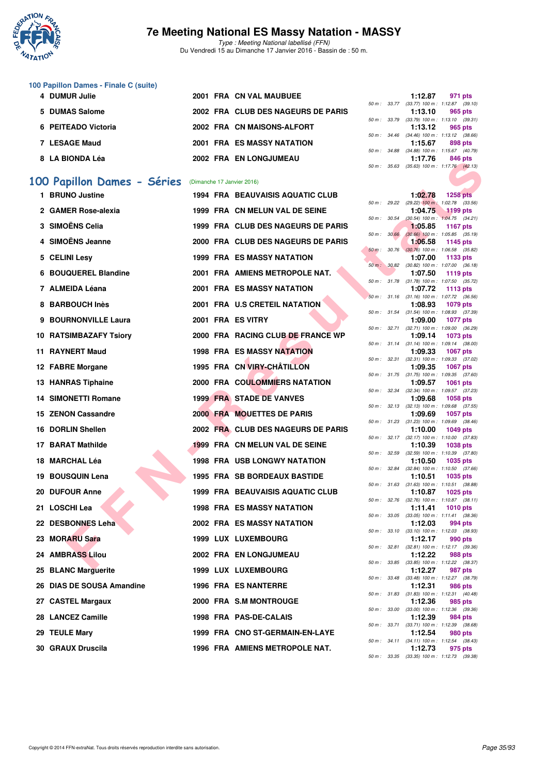

Type : Meeting National labellisé (FFN) Du Vendredi 15 au Dimanche 17 Janvier 2016 - Bassin de : 50 m.

#### **100 Papillon Dames - Finale C (suite)**

| 4 DUMUR Julie       | 2001 FRA CN VAL MAUBUEE            |                                                                                 | 1:12.87<br>971 pts |
|---------------------|------------------------------------|---------------------------------------------------------------------------------|--------------------|
|                     |                                    | 50 m: 33.77 (33.77) 100 m: 1:12.87 (39.                                         |                    |
| 5 DUMAS Salome      | 2002 FRA CLUB DES NAGEURS DE PARIS |                                                                                 | 1:13.10<br>965 pts |
|                     |                                    | 50 m: 33.79 (33.79) 100 m: 1:13.10 (39.                                         |                    |
| 6 PEITEADO Victoria | 2002 FRA CN MAISONS-ALFORT         |                                                                                 | 1:13.12<br>965 pts |
|                     |                                    | 50 m: 34.46 (34.46) 100 m: 1:13.12 (38.                                         |                    |
| 7 LESAGE Maud       | <b>2001 FRA ES MASSY NATATION</b>  |                                                                                 | 1:15.67<br>898 pts |
|                     |                                    | 50 m: 34.88 (34.88) 100 m: 1:15.67 (40.                                         |                    |
| 8 LA BIONDA Léa     | 2002 FRA EN LONGJUMEAU             |                                                                                 | 1:17.76<br>846 pts |
|                     |                                    | $E(1, m)$ $E(2, m)$ $E(3, m)$ $E(3, m)$ $E(1, m)$ $E(1, m)$ $E(2, m)$ $E(3, m)$ |                    |

## **[100 Papillon Dames - Séries](http://www.ffnatation.fr/webffn/resultats.php?idact=nat&go=epr&idcpt=35299&idepr=32)** (Dimanche 17 Janvier 2016)

| <b>0 LA DIVIVA LEG</b>                                |  | <b><i>LUUL EIN EN LUINGUUMERU</i></b>   |             | 50 m : 35.63 | . <i>. .</i> 0 | ט+ט טא<br>$(35.63)$ 100 m : 1:17.76 $(42.13)$                 |
|-------------------------------------------------------|--|-----------------------------------------|-------------|--------------|----------------|---------------------------------------------------------------|
| 00 Papillon Dames - Séries (Dimanche 17 Janvier 2016) |  |                                         |             |              |                |                                                               |
| 1 BRUNO Justine                                       |  | <b>1994 FRA BEAUVAISIS AQUATIC CLUB</b> |             |              | 1:02.78        | <b>1258 pts</b>                                               |
| 2 GAMER Rose-alexia                                   |  | 1999 FRA CN MELUN VAL DE SEINE          |             | 50 m : 29.22 | 1:04.75        | $(29.22)$ 100 m : 1:02.78 $(33.56)$<br><b>1199 pts</b>        |
|                                                       |  |                                         | 50 m: 30.54 |              |                | $(30.54)$ 100 m : 1:04.75 $(34.21)$                           |
| 3 SIMOËNS Celia                                       |  | 1999 FRA CLUB DES NAGEURS DE PARIS      | 50 m: 30.66 |              | 1:05.85        | <b>1167 pts</b><br>$(30.66)$ 100 m : 1:05.85 $(35.19)$        |
| 4 SIMOËNS Jeanne                                      |  | 2000 FRA CLUB DES NAGEURS DE PARIS      |             | 50 m : 30.76 | 1:06.58        | 1145 pts<br>$(30.76)$ 100 m : 1:06.58 $(35.82)$               |
| 5 CELINI Lesy                                         |  | <b>1999 FRA ES MASSY NATATION</b>       |             |              | 1:07.00        | 1133 pts                                                      |
| 6 BOUQUEREL Blandine                                  |  | 2001 FRA AMIENS METROPOLE NAT.          |             |              | 1:07.50        | 50 m : 30.82 (30.82) 100 m : 1:07.00 (36.18)<br>1119 pts      |
| 7 ALMEIDA Léana                                       |  | 2001 FRA ES MASSY NATATION              |             |              | 1:07.72        | 50 m: 31.78 (31.78) 100 m: 1:07.50 (35.72)<br>1113 pts        |
| 8 BARBOUCH Inès                                       |  | 2001 FRA U.S CRETEIL NATATION           |             |              | 1:08.93        | 50 m: 31.16 (31.16) 100 m: 1:07.72 (36.56)<br>1079 pts        |
|                                                       |  |                                         |             |              |                | 50 m: 31.54 (31.54) 100 m: 1:08.93 (37.39)                    |
| 9 BOURNONVILLE Laura                                  |  | 2001 FRA ES VITRY                       |             |              | 1:09.00        | <b>1077 pts</b><br>50 m: 32.71 (32.71) 100 m: 1:09.00 (36.29) |
| 10 RATSIMBAZAFY Tsiory                                |  | 2000 FRA RACING CLUB DE FRANCE WP       |             |              | 1:09.14        | 1073 pts                                                      |
| 11 RAYNERT Maud                                       |  | <b>1998 FRA ES MASSY NATATION</b>       |             |              | 1:09.33        | 50 m: 31.14 (31.14) 100 m: 1:09.14 (38.00)<br><b>1067 pts</b> |
|                                                       |  | 1995 FRA CN VIRY-CHÂTILLON              |             |              |                | 50 m: 32.31 (32.31) 100 m: 1:09.33 (37.02)                    |
| 12 FABRE Morgane                                      |  |                                         |             |              | 1:09.35        | <b>1067 pts</b><br>50 m: 31.75 (31.75) 100 m: 1:09.35 (37.60) |
| 13 HANRAS Tiphaine                                    |  | 2000 FRA COULOMMIERS NATATION           |             | 50 m: 32.34  | 1:09.57        | 1061 pts<br>$(32.34)$ 100 m : 1:09.57 $(37.23)$               |
| 14 SIMONETTI Romane                                   |  | <b>1999 FRA STADE DE VANVES</b>         |             |              | 1:09.68        | 1058 pts                                                      |
| <b>15 ZENON Cassandre</b>                             |  | 2000 FRA MOUETTES DE PARIS              |             |              | 1:09.69        | 50 m: 32.13 (32.13) 100 m: 1:09.68 (37.55)<br><b>1057 pts</b> |
| 16 DORLIN Shellen                                     |  | 2002 FRA CLUB DES NAGEURS DE PARIS      |             |              | 1:10.00        | 50 m: 31.23 (31.23) 100 m: 1:09.69 (38.46)<br><b>1049 pts</b> |
| 17 BARAT Mathilde                                     |  | 1999 FRA CN MELUN VAL DE SEINE          |             |              | 1:10.39        | 50 m: 32.17 (32.17) 100 m: 1:10.00 (37.83)<br><b>1038 pts</b> |
|                                                       |  |                                         |             |              |                | 50 m: 32.59 (32.59) 100 m: 1:10.39 (37.80)                    |
| 18  MARCHAL Léa                                       |  | <b>1998 FRA USB LONGWY NATATION</b>     |             | 50 m : 32.84 | 1:10.50        | 1035 pts<br>$(32.84)$ 100 m : 1:10.50 $(37.66)$               |
| 19 BOUSQUIN Lena                                      |  | 1995 FRA SB BORDEAUX BASTIDE            |             |              | 1:10.51        | 1035 pts<br>50 m: 31.63 (31.63) 100 m: 1:10.51 (38.88)        |
| <b>20 DUFOUR Anne</b>                                 |  | <b>1999 FRA BEAUVAISIS AQUATIC CLUB</b> |             |              | 1:10.87        | <b>1025 pts</b>                                               |
| 21   LOSCHI Lea                                       |  | <b>1998 FRA ES MASSY NATATION</b>       |             | 50 m : 32.76 | 1:11.41        | $(32.76)$ 100 m : 1:10.87 $(38.11)$<br><b>1010 pts</b>        |
| 22 DESBONNES Leha                                     |  | <b>2002 FRA ES MASSY NATATION</b>       |             |              | 1:12.03        | 50 m: 33.05 (33.05) 100 m: 1:11.41 (38.36)<br>994 pts         |
| 23 MORARU Sara                                        |  | 1999 LUX LUXEMBOURG                     |             |              | 1:12.17        | 50 m: 33.10 (33.10) 100 m: 1:12.03 (38.93)<br>990 pts         |
| 24 AMBRASS Lilou                                      |  | 2002 FRA EN LONGJUMEAU                  |             |              | 1:12.22        | 50 m: 32.81 (32.81) 100 m: 1:12.17 (39.36)<br>988 pts         |
|                                                       |  |                                         |             |              |                | 50 m: 33.85 (33.85) 100 m: 1:12.22 (38.37)                    |
| 25 BLANC Marguerite                                   |  | <b>1999 LUX LUXEMBOURG</b>              |             |              | 1:12.27        | 987 pts<br>50 m: 33.48 (33.48) 100 m: 1:12.27 (38.79)         |
| 26 DIAS DE SOUSA Amandine                             |  | <b>1996 FRA ES NANTERRE</b>             |             |              | 1:12.31        | 986 pts<br>50 m: 31.83 (31.83) 100 m: 1:12.31 (40.48)         |
| 27 CASTEL Margaux                                     |  | 2000 FRA S.M MONTROUGE                  |             |              | 1:12.36        | 985 pts<br>50 m : 33.00 (33.00) 100 m : 1:12.36 (39.36)       |
| 28 LANCEZ Camille                                     |  | 1998 FRA PAS-DE-CALAIS                  |             |              | 1:12.39        | 984 pts<br>50 m: 33.71 (33.71) 100 m: 1:12.39 (38.68)         |
| 29 TEULE Mary                                         |  | 1999 FRA CNO ST-GERMAIN-EN-LAYE         |             |              | 1:12.54        | 980 pts                                                       |
| 30 GRAUX Druscila                                     |  | 1996 FRA AMIENS METROPOLE NAT.          |             |              | 1:12.73        | 50 m: 34.11 (34.11) 100 m: 1:12.54 (38.43)<br>975 pts         |
|                                                       |  |                                         |             |              |                |                                                               |

|  | 1:12.87 971 pts                            |
|--|--------------------------------------------|
|  | 50 m: 33.77 (33.77) 100 m: 1:12.87 (39.10) |
|  | $1:13,10$ 965 pts                          |
|  | 50 m: 33.79 (33.79) 100 m: 1:13.10 (39.31) |
|  | $1:13.12$ 965 pts                          |
|  | 50 m: 34.46 (34.46) 100 m: 1:13.12 (38.66) |
|  | $1:15.67$ 898 pts                          |
|  | 50 m: 34.88 (34.88) 100 m: 1:15.67 (40.79) |
|  | 1:17.76 846 pts                            |
|  | 50 m: 35.63 (35.63) 100 m: 1:17.76 (42.13) |
|  |                                            |

|          |       | 1:02.78                      | 1258 pts                  |                |
|----------|-------|------------------------------|---------------------------|----------------|
| $50 m$ : | 29.22 | $(29.22)$ 100 m :            | 1:02.78                   | (33.56)        |
|          |       | 1:04.75                      | <b>1199 pts</b>           |                |
| $50 m$ : | 30.54 | $(30.54) 100 m$ :            | 1:04.75                   | (34.21)        |
|          |       | 1:05.85                      | 1167 pts                  |                |
| $50 m$ : | 30.66 | $(30.66)$ 100 m :            | 1:05.85                   | (35.19)        |
|          |       | 1:06.58                      | 1145 pts                  |                |
| $50 m$ : | 30.76 | $(30.76)$ 100 m :            | 1:06.58                   | (35.82)        |
|          |       | 1:07.00                      | 1133 pts                  |                |
| $50 m$ : | 30.82 | $(30.82)$ 100 m :            | 1:07.00                   | (36.18)        |
|          |       | 1:07.50                      | 1119 pts                  |                |
| $50 m$ : | 31.78 | $(31.78) 100 m$ :            | 1:07.50                   | (35.72)        |
|          |       | 1:07.72                      | 1113 pts                  |                |
| $50 m$ : | 31.16 | $(31.16) 100 m$ :            | 1:07.72                   | (36.56)        |
|          |       | 1:08.93                      | 1079 pts                  |                |
| $50 m$ : | 31.54 | $(31.54) 100 m$ :            | 1:08.93                   | (37.39)        |
|          |       | 1:09.00                      | 1077                      | pts            |
| $50 m$ : | 32.71 | $(32.71)$ 100 m :            | 1:09.00                   | (36.29)        |
|          |       | 1:09.14                      | 1073 pts                  |                |
| $50 m$ : | 31.14 | $(31.14) 100 m$ :            | 1:09.14                   | (38.00)        |
|          |       | 1:09.33                      | 1067 pts                  |                |
| $50 m$ : | 32.31 | $(32.31)$ 100 m :            | 1:09.33                   | (37.02)        |
| $50 m$ : | 31.75 | 1:09.35<br>$(31.75) 100 m$ : | 1067<br>1:09.35           | pts            |
|          |       | 1:09.57                      | 1061                      | (37.60)        |
| $50 m$ : | 32.34 | $(32.34) 100 m$ :            | 1:09.57                   | pts<br>(37.23) |
|          |       | 1:09.68                      | 1058 pts                  |                |
| $50 m$ : | 32.13 | $(32.13) 100 m$ :            | 1:09.68                   | (37.55)        |
|          |       | 1:09.69                      | 1057 pts                  |                |
| $50 m$ : | 31.23 | $(31.23) 100 m$ :            | 1:09.69                   | (38.46)        |
|          |       | 1:10.00                      | 1049 pts                  |                |
| $50 m$ : | 32.17 | $(32.17) 100 m$ :            | 1:10.00                   | (37.83)        |
|          |       | 1:10.39                      | 1038 pts                  |                |
| 50 m :   | 32.59 | $(32.59)$ 100 m :            | 1:10.39                   | (37.80)        |
|          |       | 1:10.50                      | 1035 pts                  |                |
| $50 m$ : | 32.84 | $(32.84) 100 m$ :            | 1:10.50                   | (37.66)        |
|          |       | 1:10.51                      | 1035 pts                  |                |
| $50 m$ : | 31.63 | $(31.63) 100 m$ :            | 1:10.51                   | (38.88)        |
|          |       | 1:10.87                      | 1025 pts                  |                |
| $50 m$ : | 32.76 | $(32.76)$ 100 m :            | 1:10.87                   | (38.11)        |
|          |       | 1:11.41                      | 1010 pts                  |                |
| $50 m$ : | 33.05 | $(33.05)$ 100 m :            | 1:11.41                   | (38.36)        |
|          |       | 1:12.03                      | 994 pts                   |                |
| $50 m$ : | 33.10 | $(33.10) 100 m$ :            | 1:12.03                   | (38.93)        |
|          |       | 1:12.17                      | <b>990 pts</b>            |                |
| $50 m$ : | 32.81 | $(32.81)$ 100 m :            | 1:12.17                   | (39.36)        |
|          |       | 1:12.22                      | <b>988 pts</b>            |                |
| $50 m$ : | 33.85 | $(33.85)$ 100 m :            | 1:12.22                   | (38.37)        |
|          |       | 1:12.27                      | 987 pts                   |                |
| $50 m$ : | 33.48 | $(33.48) 100 m$ :            | 1:12.27                   | (38.79)        |
| $50 m$ : | 31.83 | 1:12.31<br>$(31.83) 100 m$ : | <b>986 pts</b><br>1:12.31 |                |
|          |       | 1:12.36                      |                           | (40.48)        |
| $50 m$ : | 33.00 | $(33.00)$ 100 m :            | 985 pts<br>1:12.36        | (39.36)        |
|          |       | 1:12.39                      | 984 pts                   |                |
| $50 m$ : | 33.71 | $(33.71)$ 100 m :            | 1:12.39                   | (38.68)        |
|          |       | 1:12.54                      | 980 pts                   |                |
| $50 m$ : | 34.11 | $(34.11) 100 m$ :            | 1:12.54                   | (38.43)        |
|          |       | 1:12.73                      | 975 pts                   |                |
| 50 m:    | 33.35 | $(33.35)$ 100 m :            | 1:12.73 (39.38)           |                |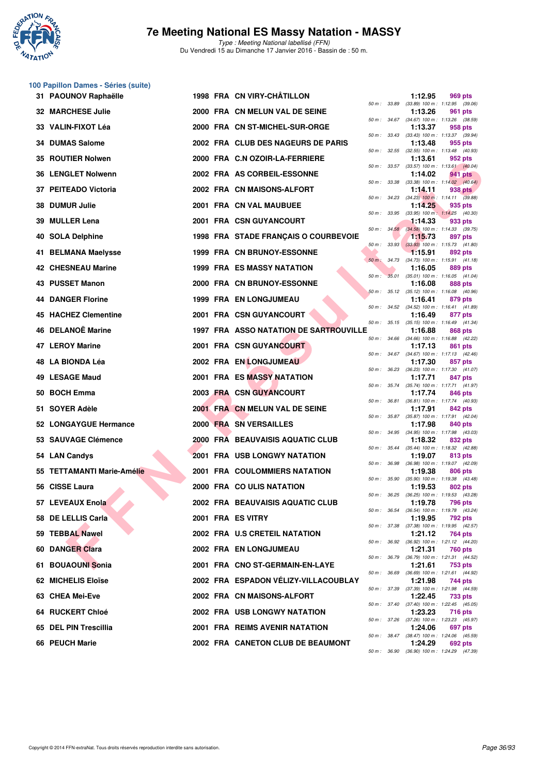

**100 Papillon Dames - Séries (suite)**

#### **7e Meeting National ES Massy Natation - MASSY**

|     | 31 PAOUNOV Raphaëlle           |  | 1998 FRA CN VIRY-CHATILLON                    |              |              | 1:12.95                                                                                               | 969 pts |  |
|-----|--------------------------------|--|-----------------------------------------------|--------------|--------------|-------------------------------------------------------------------------------------------------------|---------|--|
|     | 32 MARCHESE Julie              |  | 2000 FRA CN MELUN VAL DE SEINE                | 50 m : 33.89 |              | $(33.89)$ 100 m : 1:12.95 $(39.06)$<br>1:13.26                                                        | 961 pts |  |
| 33  | VALIN-FIXOT Léa                |  | 2000 FRA CN ST-MICHEL-SUR-ORGE                |              |              | 50 m: 34.67 (34.67) 100 m: 1:13.26 (38.59)<br>1:13.37                                                 | 958 pts |  |
|     | 34 DUMAS Salome                |  | 2002 FRA CLUB DES NAGEURS DE PARIS            | 50 m : 33.43 |              | (33.43) 100 m: 1:13.37 (39.94)<br>1:13.48                                                             | 955 pts |  |
| 35  | <b>ROUTIER Nolwen</b>          |  | 2000 FRA C.N OZOIR-LA-FERRIERE                |              | 50 m : 32.55 | (32.55) 100 m: 1:13.48 (40.93)<br>1:13.61                                                             | 952 pts |  |
|     | 36 LENGLET Nolwenn             |  | 2002 FRA AS CORBEIL-ESSONNE                   |              |              | 50 m: 33.57 (33.57) 100 m: 1:13.61 (40.04)<br>1:14.02                                                 | 941 pts |  |
|     | 37 PEITEADO Victoria           |  | 2002 FRA CN MAISONS-ALFORT                    | 50 m : 33.38 |              | $(33.38)$ 100 m : 1:14.02 $(40.64)$<br>1:14.11                                                        | 938 pts |  |
| 38  | <b>DUMUR Julie</b>             |  | 2001 FRA CN VAL MAUBUEE                       |              |              | 50 m: 34.23 (34.23) 100 m: 1:14.11 (39.88)<br>1:14.25                                                 | 935 pts |  |
| 39  | <b>MULLER Lena</b>             |  | 2001 FRA CSN GUYANCOURT                       | 50 m : 33.95 |              | $(33.95)$ 100 m : 1:14.25 $(40.30)$<br>1:14.33                                                        | 933 pts |  |
| 40  | <b>SOLA Delphine</b>           |  | 1998 FRA STADE FRANÇAIS O COURBEVOIE          |              | 50 m: 34.58  | $(34.58)$ 100 m : 1:14.33 $(39.75)$<br>1:15.73                                                        | 897 pts |  |
|     | 41 BELMANA Maelysse            |  | <b>1999 FRA CN BRUNOY-ESSONNE</b>             |              | 50 m: 33.93  | $(33.93)$ 100 m : 1:15.73 $(41.80)$<br>1:15.91                                                        | 892 pts |  |
|     | 42 CHESNEAU Marine             |  | <b>1999 FRA ES MASSY NATATION</b>             |              |              | 50 m : 34.73 (34.73) 100 m : 1:15.91 (41.18)<br>1:16.05                                               | 889 pts |  |
|     | 43 PUSSET Manon                |  | 2000 FRA CN BRUNOY-ESSONNE                    | $50 m$ :     |              | 35.01 (35.01) 100 m: 1:16.05 (41.04)<br>1:16.08                                                       | 888 pts |  |
|     | <b>44 DANGER Florine</b>       |  | <b>1999 FRA EN LONGJUMEAU</b>                 |              |              | 50 m : 35.12 (35.12) 100 m : 1:16.08 (40.96)<br>1:16.41                                               | 879 pts |  |
|     | 45 HACHEZ Clementine           |  | 2001 FRA CSN GUYANCOURT                       |              |              | 50 m: 34.52 (34.52) 100 m: 1:16.41 (41.89)<br>1:16.49                                                 | 877 pts |  |
| 46  | <b>DELANOË Marine</b>          |  | <b>1997 FRA ASSO NATATION DE SARTROUVILLE</b> | 50 m: 35.15  |              | $(35.15)$ 100 m : 1:16.49 $(41.34)$<br>1:16.88                                                        | 868 pts |  |
|     | 47 LEROY Marine                |  | <b>2001 FRA CSN GUYANCOURT</b>                |              | 50 m : 34.66 | $(34.66)$ 100 m : 1:16.88 $(42.22)$<br>1:17.13                                                        | 861 pts |  |
|     | 48 LA BIONDA Léa               |  | 2002 FRA EN LONGJUMEAU                        |              |              | 50 m: 34.67 (34.67) 100 m: 1:17.13 (42.46)<br>1:17.30                                                 | 857 pts |  |
| 49. | <b>LESAGE Maud</b>             |  | <b>2001 FRA ES MASSY NATATION</b>             |              | 50 m : 36.23 | $(36.23)$ 100 m : 1:17.30 $(41.07)$<br>1:17.71                                                        | 847 pts |  |
| 50  | <b>BOCH Emma</b>               |  | <b>2003 FRA CSN GUYANCOURT</b>                |              |              | 50 m: 35.74 (35.74) 100 m: 1:17.71 (41.97)<br>1:17.74                                                 | 846 pts |  |
|     | 51 SOYER Adèle                 |  | 2001 FRA CN MELUN VAL DE SEINE                | 50 m : 36.81 |              | (36.81) 100 m: 1:17.74 (40.93)<br>1:17.91                                                             | 842 pts |  |
| 52  | <b>LONGAYGUE Hermance</b>      |  | 2000 FRA SN VERSAILLES                        |              | 50 m : 35.87 | (35.87) 100 m: 1:17.91 (42.04)<br>1:17.98                                                             | 840 pts |  |
| 53  | <b>SAUVAGE Clémence</b>        |  | 2000 FRA BEAUVAISIS AQUATIC CLUB              | 50 m: 34.95  |              | $(34.95)$ 100 m : 1:17.98 $(43.03)$<br>1:18.32                                                        | 832 pts |  |
|     | 54 LAN Candys                  |  | <b>2001 FRA USB LONGWY NATATION</b>           |              | 50 m : 35.44 | (35.44) 100 m: 1:18.32 (42.88)<br>1:19.07                                                             | 813 pts |  |
| 55  | <b>TETTAMANTI Marie-Amélie</b> |  | <b>2001 FRA COULOMMIERS NATATION</b>          |              | 50 m : 36.98 | $(36.98)$ 100 m : 1:19.07 $(42.09)$<br>1:19.38                                                        | 806 pts |  |
|     | 56 CISSE Laura                 |  | 2000 FRA COULIS NATATION                      | 50 m : 35.90 |              | $(35.90)$ 100 m : 1:19.38 $(43.48)$<br>1:19.53                                                        | 802 pts |  |
|     | 57 LEVEAUX Enola               |  | 2002 FRA BEAUVAISIS AQUATIC CLUB              | 50 m : 36.25 |              | (36.25) 100 m: 1:19.53 (43.28)<br>1:19.78                                                             | 796 pts |  |
|     | 58 DE LELLIS Carla             |  | 2001 FRA ES VITRY                             |              |              | 50 m : 36.54 (36.54) 100 m : 1:19.78 (43.24)<br>1:19.95                                               | 792 pts |  |
|     | 59 TEBBAL Nawel                |  | 2002 FRA U.S CRETEIL NATATION                 |              |              | 50 m: 37.38 (37.38) 100 m: 1:19.95 (42.57)<br>1:21.12                                                 | 764 pts |  |
|     | 60 DANGER Clara                |  | 2002 FRA EN LONGJUMEAU                        |              |              | 50 m: 36.92 (36.92) 100 m: 1:21.12 (44.20)<br>1:21.31                                                 | 760 pts |  |
|     | 61 BOUAOUNI Sonia              |  | 2001 FRA CNO ST-GERMAIN-EN-LAYE               |              |              | 50 m : 36.79 (36.79) 100 m : 1:21.31 (44.52)<br>1:21.61                                               | 753 pts |  |
|     | 62 MICHELIS Eloïse             |  | 2002 FRA ESPADON VÉLIZY-VILLACOUBLAY          |              |              | 50 m: 36.69 (36.69) 100 m: 1:21.61 (44.92)<br>1:21.98                                                 | 744 pts |  |
|     | 63 CHEA Mei-Eve                |  | 2002 FRA CN MAISONS-ALFORT                    |              |              | 50 m : 37.39 (37.39) 100 m : 1:21.98 (44.59)<br>1:22.45                                               | 733 pts |  |
|     | 64 RUCKERT Chloé               |  | <b>2002 FRA USB LONGWY NATATION</b>           |              |              | 50 m: 37.40 (37.40) 100 m: 1:22.45 (45.05)<br>1:23.23                                                 | 716 pts |  |
|     | 65 DEL PIN Trescillia          |  | 2001 FRA REIMS AVENIR NATATION                |              |              | 50 m: 37.26 (37.26) 100 m: 1:23.23 (45.97)<br>1:24.06                                                 | 697 pts |  |
|     | 66 PEUCH Marie                 |  | 2002 FRA CANETON CLUB DE BEAUMONT             |              |              | 50 m : 38.47 (38.47) 100 m : 1:24.06 (45.59)<br>1:24.29<br>50 m: 36.90 (36.90) 100 m: 1:24.29 (47.39) | 692 pts |  |
|     |                                |  |                                               |              |              |                                                                                                       |         |  |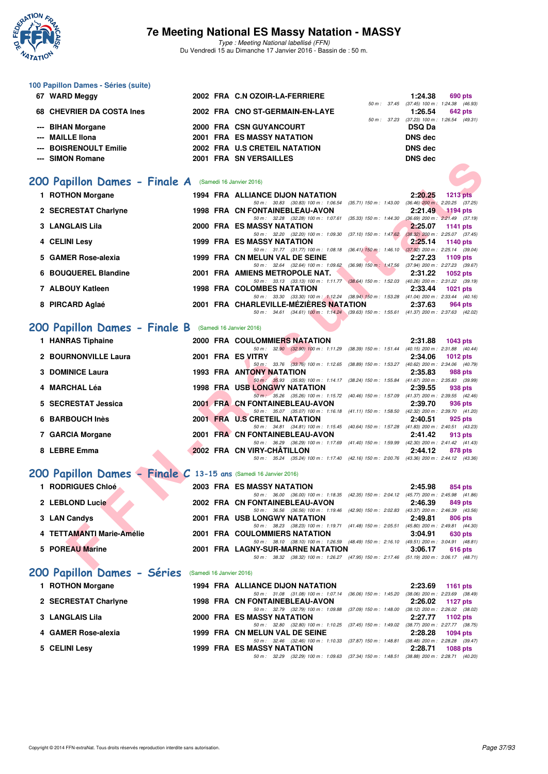

| 100 Papillon Dames - Séries (suite)                              |                          |                                                                                                                                                       |                                                                  |
|------------------------------------------------------------------|--------------------------|-------------------------------------------------------------------------------------------------------------------------------------------------------|------------------------------------------------------------------|
| 67 WARD Meggy                                                    |                          | 2002 FRA C.N OZOIR-LA-FERRIERE                                                                                                                        | 1:24.38<br>690 pts<br>50 m: 37.45 (37.45) 100 m: 1:24.38 (46.93) |
| 68 CHEVRIER DA COSTA Ines                                        |                          | 2002 FRA CNO ST-GERMAIN-EN-LAYE                                                                                                                       | 1:26.54<br>642 pts<br>50 m: 37.23 (37.23) 100 m: 1:26.54 (49.31) |
| --- BIHAN Morgane                                                |                          | 2000 FRA CSN GUYANCOURT                                                                                                                               | <b>DSQ Da</b>                                                    |
| --- MAILLE IIona                                                 |                          | <b>2001 FRA ES MASSY NATATION</b>                                                                                                                     | <b>DNS dec</b>                                                   |
| <b>BOISRENOULT Emilie</b>                                        |                          | 2002 FRA U.S CRETEIL NATATION                                                                                                                         | <b>DNS dec</b>                                                   |
| --- SIMON Romane                                                 |                          | 2001 FRA SN VERSAILLES                                                                                                                                | <b>DNS dec</b>                                                   |
| 200 Papillon Dames - Finale A (Samedi 16 Janvier 2016)           |                          |                                                                                                                                                       |                                                                  |
| 1 ROTHON Morgane                                                 |                          | <b>1994 FRA ALLIANCE DIJON NATATION</b>                                                                                                               | 2:20.25<br><b>1213 pts</b>                                       |
| 2 SECRESTAT Charlyne                                             |                          | 50 m: 30.83 (30.83) 100 m: 1:06.54 (35.71) 150 m: 1:43.00 (36.46) 200 m: 2:20.25 (37.25)<br>1998 FRA CN FONTAINEBLEAU-AVON                            | 2:21.49<br>$1194$ pts                                            |
|                                                                  |                          | 50 m: 32.28 (32.28) 100 m: 1:07.61 (35.33) 150 m: 1:44.30 (36.69) 200 m: 2:21.49 (37.19)                                                              |                                                                  |
| <b>3 LANGLAIS Lila</b>                                           |                          | 2000 FRA ES MASSY NATATION<br>50 m: 32.20 (32.20) 100 m: 1:09.30 (37.10) 150 m: 1:47.62 (38.32) 200 m: 2:25.07 (37.45)                                | 2:25.07<br><b>1141 pts</b>                                       |
| 4 CELINI Lesy                                                    |                          | <b>1999 FRA ES MASSY NATATION</b><br>50 m: 31.77 (31.77) 100 m: 1:08.18 (36.41) 150 m: 1:46.10 (37.92) 200 m: 2:25.14 (39.04)                         | 2:25.14<br>1140 pts                                              |
| <b>GAMER Rose-alexia</b><br>5.                                   |                          | 1999 FRA CN MELUN VAL DE SEINE                                                                                                                        | 2:27.23<br>1109 pts                                              |
| <b>BOUQUEREL Blandine</b><br>6                                   |                          | 50 m: 32.64 (32.64) 100 m: 1:09.62 (36.98) 150 m: 1:47.56 (37.94) 200 m: 2:27.23 (39.67)<br>2001 FRA AMIENS METROPOLE NAT.                            | 2:31.22<br>1052 pts                                              |
| 7 ALBOUY Katleen                                                 |                          | 50 m: 33.13 (33.13) 100 m: 1:11.77 (38.64) 150 m: 1:52.03 (40.26) 200 m: 2:31.22 (39.19)<br><b>1998 FRA COLOMBES NATATION</b>                         | 2:33.44<br>1021 pts                                              |
|                                                                  |                          | 50 m: 33.30 (33.30) 100 m: 1:12.24 (38.94) 150 m: 1:53.28 (41.04) 200 m: 2:33.44 (40.16)                                                              |                                                                  |
| 8 PIRCARD Aglaé                                                  |                          | 2001 FRA CHARLEVILLE-MEZIERES NATATION<br>50 m: 34.61 (34.61) 100 m: 1:14.24 (39.63) 150 m: 1:55.61 (41.37) 200 m: 2:37.63 (42.02)                    | 2:37.63<br>964 pts                                               |
| 200 Papillon Dames - Finale B (Samedi 16 Janvier 2016)           |                          |                                                                                                                                                       |                                                                  |
| 1 HANRAS Tiphaine                                                |                          | <b>2000 FRA COULOMMIERS NATATION</b>                                                                                                                  | 2:31.88<br>1043 pts                                              |
|                                                                  |                          | 50 m: 32.90 (32.90) 100 m: 1:11.29 (38.39) 150 m: 1:51.44 (40.15) 200 m: 2:31.88 (40.44)                                                              |                                                                  |
| 2 BOURNONVILLE Laura                                             | 2001 FRA ES VITRY        | 50 m: 33.76 (33.76) 100 m: 1:12.65 (38.89) 150 m: 1:53.27 (40.62) 200 m: 2:34.06 (40.79)                                                              | 2:34.06<br><b>1012 pts</b>                                       |
| 3 DOMINICE Laura                                                 |                          | <b>1993 FRA ANTONY NATATION</b><br>50 m: 35.93 (35.93) 100 m: 1:14.17 (38.24) 150 m: 1:55.84 (41.67) 200 m: 2:35.83 (39.99)                           | 2:35.83<br>988 pts                                               |
| 4 MARCHAL Léa                                                    |                          | <b>1998 FRA USB LONGWY NATATION</b><br>50 m: 35.26 (35.26) 100 m: 1:15.72 (40.46) 150 m: 1:57.09 (41.37) 200 m: 2:39.55 (42.46)                       | 2:39.55<br>938 pts                                               |
| 5 SECRESTAT Jessica                                              |                          | 2001 FRA CN FONTAINEBLEAU-AVON                                                                                                                        | 2:39.70<br>936 pts                                               |
| 6 BARBOUCH Inès                                                  |                          | 50 m: 35.07 (35.07) 100 m: 1:16.18 (41.11) 150 m: 1:58.50 (42.32) 200 m: 2:39.70 (41.20)<br>2001 FRA U.S CRETEIL NATATION                             | 2:40.51<br>925 pts                                               |
| 7 GARCIA Morgane                                                 |                          | 50 m: 34.81 (34.81) 100 m: 1:15.45 (40.64) 150 m: 1:57.28 (41.83) 200 m: 2:40.51 (43.23)<br>2001 FRA CN FONTAINEBLEAU-AVON                            | 2:41.42<br>913 pts                                               |
|                                                                  |                          | 50 m: 36.29 (36.29) 100 m: 1:17.69 (41.40) 150 m: 1:59.99 (42.30) 200 m: 2:41.42 (41.43)                                                              |                                                                  |
| 8 LEBRE Emma                                                     |                          | 2002 FRA CN VIRY-CHATILLON<br>50 m: 35.24 (35.24) 100 m: 1:17.40 (42.16) 150 m: 2:00.76 (43.36) 200 m: 2:44.12 (43.36)                                | 2:44.12<br>878 pts                                               |
| 200 Papillon Dames - Finale C 13-15 ans (Samedi 16 Janvier 2016) |                          |                                                                                                                                                       |                                                                  |
| 1 RODRIGUES Chloé                                                |                          | <b>2003 FRA ES MASSY NATATION</b>                                                                                                                     | 2:45.98<br>854 pts                                               |
| 2 LEBLOND Lucie                                                  |                          | 50 m: 36.00 (36.00) 100 m: 1:18.35 (42.35) 150 m: 2:04.12 (45.77) 200 m: 2:45.98 (41.86)<br>2002 FRA CN FONTAINEBLEAU-AVON                            | 2:46.39<br>849 pts                                               |
|                                                                  |                          | 50 m: 36.56 (36.56) 100 m: 1:19.46 (42.90) 150 m: 2:02.83 (43.37) 200 m: 2:46.39 (43.56)                                                              |                                                                  |
| 3 LAN Candys                                                     |                          | <b>2001 FRA USB LONGWY NATATION</b><br>50 m: 38.23 (38.23) 100 m: 1:19.71 (41.48) 150 m: 2:05.51 (45.80) 200 m: 2:49.81 (44.30)                       | 2:49.81<br>806 pts                                               |
| 4 TETTAMANTI Marie-Amélie                                        |                          | 2001 FRA COULOMMIERS NATATION<br>50 m :    38.10    (38.10)  100 m :   1:26.59    (48.49)  150 m :   2:16.10    (49.51)  200 m :   3:04.91    (48.81) | 3:04.91<br>630 pts                                               |
| 5 POREAU Marine                                                  |                          | 2001 FRA LAGNY-SUR-MARNE NATATION                                                                                                                     | 3:06.17<br>616 pts                                               |
|                                                                  |                          | 50 m: 38.32 (38.32) 100 m: 1:26.27 (47.95) 150 m: 2:17.46 (51.19) 200 m: 3:06.17 (48.71)                                                              |                                                                  |
| 200 Papillon Dames - Séries                                      | (Samedi 16 Janvier 2016) |                                                                                                                                                       |                                                                  |
| 1 ROTHON Morgane                                                 |                          | 1994 FRA ALLIANCE DIJON NATATION<br>50 m: 31.08 (31.08) 100 m: 1:07.14 (36.06) 150 m: 1:45.20 (38.06) 200 m: 2:23.69 (38.49)                          | 2:23.69<br>1161 pts                                              |
| 2 SECRESTAT Charlyne                                             |                          | 1998 FRA CN FONTAINEBLEAU-AVON                                                                                                                        | 2:26.02<br><b>1127 pts</b>                                       |
| 3 LANGLAIS Lila                                                  |                          | 50 m: 32.79 (32.79) 100 m: 1:09.88 (37.09) 150 m: 1:48.00 (38.12) 200 m: 2:26.02 (38.02)<br>2000 FRA ES MASSY NATATION                                | 2:27.77<br>1102 pts                                              |
| 4 GAMER Rose-alexia                                              |                          | 50 m: 32.80 (32.80) 100 m: 1:10.25 (37.45) 150 m: 1:49.02 (38.77) 200 m: 2:27.77 (38.75)<br>1999 FRA CN MELUN VAL DE SEINE                            | 2:28.28<br>1094 pts                                              |
|                                                                  |                          | 50 m: 32.46 (32.46) 100 m: 1:10.33 (37.87) 150 m: 1:48.81 (38.48) 200 m: 2:28.28 (39.47)                                                              |                                                                  |
| 5 CELINI Lesy                                                    |                          | 1999 FRA ES MASSY NATATION<br>50 m: 32.29 (32.29) 100 m: 1:09.63 (37.34) 150 m: 1:48.51 (38.88) 200 m: 2:28.71 (40.20)                                | 2:28.71<br>1088 pts                                              |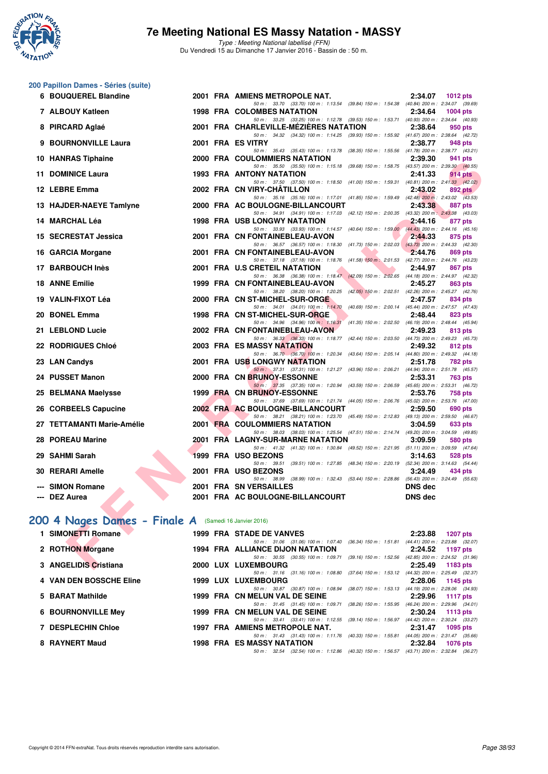

Type : Meeting National labellisé (FFN) Du Vendredi 15 au Dimanche 17 Janvier 2016 - Bassin de : 50 m.

|  | 200 Papillon Dames - Séries (suite) |  |
|--|-------------------------------------|--|
|--|-------------------------------------|--|

| 6 BOUQUEREL Blandine                                 |  | 2001 FRA AMIENS METROPOLE NAT.                                                                                                                                                                                                                                                                                                   | 2:34.07        | <b>1012 pts</b> |
|------------------------------------------------------|--|----------------------------------------------------------------------------------------------------------------------------------------------------------------------------------------------------------------------------------------------------------------------------------------------------------------------------------|----------------|-----------------|
| 7 ALBOUY Katleen                                     |  | 50 m: 33.70 (33.70) 100 m: 1:13.54 (39.84) 150 m: 1:54.38 (40.84) 200 m: 2:34.07 (39.69)<br><b>1998 FRA COLOMBES NATATION</b>                                                                                                                                                                                                    | 2:34.64        | <b>1004 pts</b> |
| 8 PIRCARD Aglaé                                      |  | 50 m: 33.25 (33.25) 100 m: 1:12.78 (39.53) 150 m: 1:53.71 (40.93) 200 m: 2:34.64 (40.93)<br>2001 FRA CHARLEVILLE-MEZIERES NATATION                                                                                                                                                                                               | 2:38.64        | 950 pts         |
|                                                      |  | 50 m: 34.32 (34.32) 100 m: 1:14.25 (39.93) 150 m: 1:55.92 (41.67) 200 m: 2:38.64 (42.72)                                                                                                                                                                                                                                         |                |                 |
| 9 BOURNONVILLE Laura                                 |  | 2001 FRA ES VITRY<br>50 m: 35.43 (35.43) 100 m: 1:13.78 (38.35) 150 m: 1:55.56 (41.78) 200 m: 2:38.77 (43.21)                                                                                                                                                                                                                    | 2:38.77        | 948 pts         |
| 10 HANRAS Tiphaine                                   |  | <b>2000 FRA COULOMMIERS NATATION</b>                                                                                                                                                                                                                                                                                             | 2:39.30        | 941 pts         |
| 11 DOMINICE Laura                                    |  | 50 m: 35.50 (35.50) 100 m: 1:15.18 (39.68) 150 m: 1:58.75 (43.57) 200 m: 2:39.30 (40.55)<br><b>1993 FRA ANTONY NATATION</b>                                                                                                                                                                                                      | 2:41.33        | 914 pts         |
|                                                      |  | 50 m: 37.50 (37.50) 100 m: 1:18.50 (41.00) 150 m: 1:59.31 (40.81) 200 m: 2:41.33 (42.02)                                                                                                                                                                                                                                         |                |                 |
| 12 LEBRE Emma                                        |  | 2002 FRA CN VIRY-CHATILLON                                                                                                                                                                                                                                                                                                       | 2:43.02        | 892 pts         |
| 13 HAJDER-NAEYE Tamlyne                              |  | 50 m: 35.16 (35.16) 100 m: 1:17.01 (41.85) 150 m: 1:59.49 (42.48) 200 m: 2:43.02 (43.53)<br>2000 FRA AC BOULOGNE-BILLANCOURT                                                                                                                                                                                                     | 2:43.38        | 887 pts         |
|                                                      |  | 50 m: 34.91 (34.91) 100 m: 1:17.03 (42.12) 150 m: 2:00.35 (43.32) 200 m: 2:43.38 (43.03)                                                                                                                                                                                                                                         |                |                 |
| 14 MARCHAL Léa                                       |  | <b>1998 FRA USB LONGWY NATATION</b><br>50 m: 33.93 (33.93) 100 m: 1:14.57 (40.64) 150 m: 1:59.00 (44.43) 200 m: 2:44.16 (45.16)                                                                                                                                                                                                  | 2:44.16        | 877 pts         |
| 15 SECRESTAT Jessica                                 |  | 2001 FRA CN FONTAINEBLEAU-AVON                                                                                                                                                                                                                                                                                                   | 2:44.33        | 875 pts         |
|                                                      |  | 50 m: 36.57 (36.57) 100 m: 1:18.30 (41.73) 150 m: 2:02.03 (43.73) 200 m: 2:44.33 (42.30)<br><u>and the set of the set of the set of the set of the set of the set of the set of the set of the set of the set of the set of the set of the set of the set of the set of the set of the set of the set of the set of the set </u> |                |                 |
| 16 GARCIA Morgane                                    |  | 2001 FRA CN FONTAINEBLEAU-AVON<br>50 m: 37.18 (37.18) 100 m: 1:18.76 (41.58) 150 m: 2:01.53 (42.77) 200 m: 2:44.76 (43.23)                                                                                                                                                                                                       | 2:44.76        | 869 pts         |
| 17 BARBOUCH Inès                                     |  | 2001 FRA U.S CRETEIL NATATION                                                                                                                                                                                                                                                                                                    | 2:44.97        | 867 pts         |
| <b>18 ANNE Emilie</b>                                |  | 50 m: 36.38 (36.38) 100 m: 1:18.47 (42.09) 150 m: 2:02.65 (44.18) 200 m: 2:44.97 (42.32)<br>1999 FRA CN FONTAINEBLEAU-AVON                                                                                                                                                                                                       | 2:45.27        | 863 pts         |
|                                                      |  | 50 m: 38.20 (38.20) 100 m: 1:20.25 (42.05) 150 m: 2:02.51 (42.26) 200 m: 2:45.27 (42.76)                                                                                                                                                                                                                                         |                |                 |
| 19 VALIN-FIXOT Léa                                   |  | 2000 FRA CN ST-MICHEL-SUR-ORGE                                                                                                                                                                                                                                                                                                   | 2:47.57        | 834 pts         |
| 20 BONEL Emma                                        |  | 50 m: 34.01 (34.01) 100 m: 1:14.70 (40.69) 150 m: 2:00.14 (45.44) 200 m: 2:47.57 (47.43)<br>1998 FRA CN ST-MICHEL-SUR-ORGE                                                                                                                                                                                                       | 2:48.44        | 823 pts         |
|                                                      |  | 50 m: 34.96 (34.96) 100 m: 1:16.31 (41.35) 150 m: 2:02.50 (46.19) 200 m: 2:48.44 (45.94)                                                                                                                                                                                                                                         |                |                 |
| 21 LEBLOND Lucie                                     |  | 2002 FRA CN FONTAINEBLEAU-AVON<br>50 m: 36.33 (36.33) 100 m: 1:18.77 (42.44) 150 m: 2:03.50 (44.73) 200 m: 2:49.23 (45.73)                                                                                                                                                                                                       | 2:49.23        | 813 pts         |
| <b>22 RODRIGUES Chloé</b>                            |  | 2003 FRA ES MASSY NATATION                                                                                                                                                                                                                                                                                                       | 2:49.32        | 812 pts         |
|                                                      |  | 50 m: 36.70 (36.70) 100 m: 1:20.34 (43.64) 150 m: 2:05.14 (44.80) 200 m: 2:49.32 (44.18)                                                                                                                                                                                                                                         |                |                 |
| 23 LAN Candys                                        |  | 2001 FRA USB LONGWY NATATION<br>50 m: 37.31 (37.31) 100 m: 1:21.27 (43.96) 150 m: 2:06.21 (44.94) 200 m: 2:51.78 (45.57)                                                                                                                                                                                                         | 2:51.78        | 782 pts         |
| 24 PUSSET Manon                                      |  | 2000 FRA CN BRUNOY-ESSONNE                                                                                                                                                                                                                                                                                                       | 2:53.31        | 763 pts         |
| 25 BELMANA Maelysse                                  |  | 50 m: 37.35 (37.35) 100 m: 1:20.94 (43.59) 150 m: 2:06.59 (45.65) 200 m: 2:53.31 (46.72)<br>1999 FRA CN BRUNOY-ESSONNE                                                                                                                                                                                                           | 2:53.76        | 758 pts         |
|                                                      |  | 50 m: 37.69 (37.69) 100 m: 1:21.74 (44.05) 150 m: 2:06.76 (45.02) 200 m: 2:53.76 (47.00)                                                                                                                                                                                                                                         |                |                 |
| 26 CORBEELS Capucine                                 |  | 2002 FRA AC BOULOGNE-BILLANCOURT                                                                                                                                                                                                                                                                                                 | 2:59.50        | 690 pts         |
| 27 TETTAMANTI Marie-Amélie                           |  | 50 m: 38.21 (38.21) 100 m: 1:23.70 (45.49) 150 m: 2:12.83 (49.13) 200 m: 2:59.50 (46.67)<br>2001 FRA COULOMMIERS NATATION                                                                                                                                                                                                        | 3:04.59        | 633 pts         |
|                                                      |  | 50 m: 38.03 (38.03) 100 m: 1:25.54 (47.51) 150 m: 2:14.74 (49.20) 200 m: 3:04.59 (49.85)                                                                                                                                                                                                                                         |                |                 |
| 28 POREAU Marine                                     |  | 2001 FRA LAGNY-SUR-MARNE NATATION<br>50 m: 41.32 (41.32) 100 m: 1:30.84 (49.52) 150 m: 2:21.95 (51.11) 200 m: 3:09.59 (47.64)                                                                                                                                                                                                    | 3:09.59        | 580 pts         |
| 29 SAHMI Sarah                                       |  | 1999 FRA USO BEZONS                                                                                                                                                                                                                                                                                                              | 3:14.63        | 528 pts         |
|                                                      |  | 50 m: 39.51 (39.51) 100 m: 1:27.85 (48.34) 150 m: 2:20.19 (52.34) 200 m: 3:14.63 (54.44)                                                                                                                                                                                                                                         |                |                 |
| 30 RERARI Amelle                                     |  | 2001 FRA USO BEZONS<br>50 m: 38.99 (38.99) 100 m: 1:32.43 (53.44) 150 m: 2:28.86 (56.43) 200 m: 3:24.49 (55.63)                                                                                                                                                                                                                  | 3:24.49        | 434 pts         |
| --- SIMON Romane                                     |  | 2001 FRA SN VERSAILLES                                                                                                                                                                                                                                                                                                           | <b>DNS</b> dec |                 |
| --- DEZ Aurea                                        |  | 2001 FRA AC BOULOGNE-BILLANCOURT                                                                                                                                                                                                                                                                                                 | <b>DNS dec</b> |                 |
|                                                      |  |                                                                                                                                                                                                                                                                                                                                  |                |                 |
| 00 4 Nages Dames - Finale A (Samedi 16 Janvier 2016) |  |                                                                                                                                                                                                                                                                                                                                  |                |                 |
| 1 SIMONETTI Romane                                   |  | 1999 FRA STADE DE VANVES                                                                                                                                                                                                                                                                                                         | 2:23.88        | <b>1207 pts</b> |
|                                                      |  | 50 m: 31.06 (31.06) 100 m: 1:07.40 (36.34) 150 m: 1:51.81 (44.41) 200 m: 2:23.88 (32.07)                                                                                                                                                                                                                                         |                |                 |
| 2 ROTHON Morgane                                     |  | 1994 FRA ALLIANCE DIJON NATATION<br>50 m: 30.55 (30.55) 100 m: 1:09.71 (39.16) 150 m: 1:52.56 (42.85) 200 m: 2:24.52 (31.96)                                                                                                                                                                                                     | 2:24.52        | 1197 pts        |
| 3 ANGELIDIS Cristiana                                |  | 2000 LUX LUXEMBOURG                                                                                                                                                                                                                                                                                                              | 2:25.49        | 1183 $pts$      |

# [200 4 Nages Dames - Finale A](http://www.ffnatation.fr/webffn/resultats.php?idact=nat&go=epr&idcpt=35299&idepr=41) (Samedi 16 Janvier 2016)

| 1 SIMONETTI Romane             |  | <b>1999 FRA STADE DE VANVES</b>                                                                                                               |                           | 2:23.88 | 1207 pts                                                                                     |
|--------------------------------|--|-----------------------------------------------------------------------------------------------------------------------------------------------|---------------------------|---------|----------------------------------------------------------------------------------------------|
| 2 ROTHON Morgane               |  | 50 m : 31.06 (31.06) 100 m : 1:07.40 (36.34) 150 m : 1:51.81<br>1994 FRA ALLIANCE DIJON NATATION                                              |                           | 2:24.52 | $(44.41)$ 200 m : 2:23.88 $(32.07)$<br>1197 pts                                              |
| 3 ANGELIDIS Cristiana          |  | 50 m: 30.55 (30.55) 100 m: 1:09.71 (39.16) 150 m: 1:52.56<br>2000 LUX LUXEMBOURG                                                              |                           | 2:25.49 | (42.85) 200 m : 2:24.52 (31.96)<br>1183 pts                                                  |
| <b>4 VAN DEN BOSSCHE Eline</b> |  | 50 m: 31.16 (31.16) 100 m: 1:08.80 (37.64) 150 m: 1:53.12<br>1999 LUX LUXEMBOURG<br>50 m: 30.87 (30.87) 100 m: 1:08.94 (38.07) 150 m: 1:53.13 |                           |         | (44.32) 200 m : 2:25.49 (32.37)<br>$2:28.06$ 1145 pts<br>$(44.19)$ 200 m : 2:28.06 $(34.93)$ |
| 5 BARAT Mathilde               |  | 1999 FRA CN MELUN VAL DE SEINE<br>50 m: 31.45 (31.45) 100 m: 1:09.71 (38.26) 150 m: 1:55.95                                                   |                           | 2:29.96 | 1117 pts<br>(46.24) 200 m : 2:29.96 (34.01)                                                  |
| <b>6 BOURNONVILLE Mey</b>      |  | 1999 FRA CN MELUN VAL DE SEINE<br>50 m: 33.41 (33.41) 100 m: 1:12.55                                                                          | $(39.14)$ 150 m : 1:56.97 |         | $2:30.24$ 1113 pts<br>(44.42) 200 m : 2:30.24 (33.27)                                        |
| <b>7 DESPLECHIN Chloe</b>      |  | <b>1997 FRA AMIENS METROPOLE NAT.</b><br>50 m: 31.43 (31.43) 100 m: 1:11.76 (40.33) 150 m: 1:55.81                                            |                           | 2:31.47 | 1095 pts<br>$(44.05)$ 200 m : 2:31.47 $(35.66)$                                              |
| 8 RAYNERT Maud                 |  | <b>1998 FRA ES MASSY NATATION</b><br>50 m: 32.54 (32.54) 100 m: 1:12.86 (40.32) 150 m: 1:56.57 (43.71) 200 m: 2:32.84 (36.27)                 |                           | 2:32.84 | 1076 pts                                                                                     |
|                                |  |                                                                                                                                               |                           |         |                                                                                              |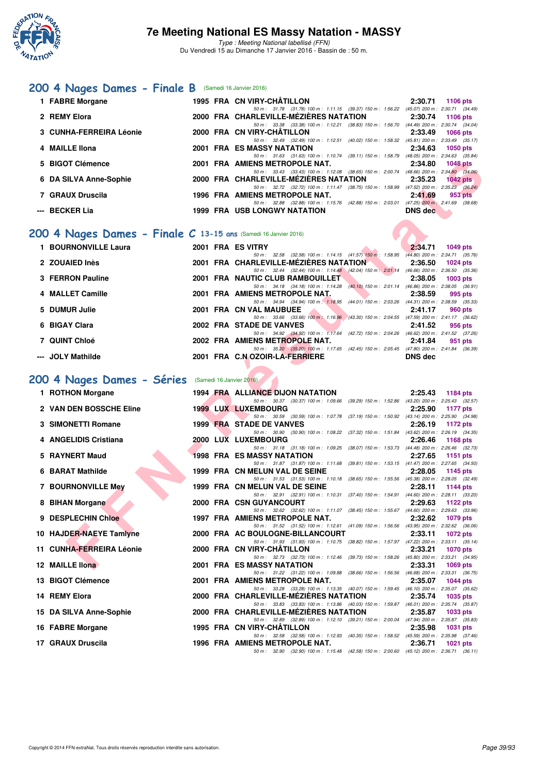

### [200 4 Nages Dames - Finale B](http://www.ffnatation.fr/webffn/resultats.php?idact=nat&go=epr&idcpt=35299&idepr=41) (Samedi 16 Janvier 2016)

| 1 FABRE Morgane         |  | 1995 FRA CN VIRY-CHÂTILLON                                                               | 2:30.71                             | $1106$ pts      |  |
|-------------------------|--|------------------------------------------------------------------------------------------|-------------------------------------|-----------------|--|
|                         |  | 50 m: 31.78 (31.78) 100 m: 1:11.15 (39.37) 150 m: 1:56.22 (45.07) 200 m: 2:30.71 (34.49) |                                     |                 |  |
| 2 REMY Elora            |  | 2000 FRA CHARLEVILLE-MEZIERES NATATION                                                   | 2:30.74                             | 1106 pts        |  |
|                         |  | 50 m: 33.38 (33.38) 100 m: 1:12.21 (38.83) 150 m: 1:56.70 (44.49) 200 m: 2:30.74 (34.04) |                                     |                 |  |
| 3 CUNHA-FERREIRA Léonie |  | 2000 FRA CN VIRY-CHATILLON                                                               | 2:33.49                             | <b>1066 pts</b> |  |
|                         |  | 50 m: 32.49 (32.49) 100 m: 1:12.51 (40.02) 150 m: 1:58.32                                | $(45.81)$ 200 m : 2:33.49 $(35.17)$ |                 |  |
| 4 MAILLE Ilona          |  | <b>2001 FRA ES MASSY NATATION</b>                                                        | 2:34.63                             | 1050 pts        |  |
|                         |  | 50 m: 31.63 (31.63) 100 m: 1:10.74 (39.11) 150 m: 1:58.79                                | (48.05) 200 m : 2:34.63 (35.84)     |                 |  |
| 5 BIGOT Clémence        |  | 2001 FRA AMIENS METROPOLE NAT.                                                           | 2:34.80                             | 1048 pts        |  |
|                         |  | 50 m: 33.43 (33.43) 100 m: 1:12.08 (38.65) 150 m: 2:00.74                                | $(48.66)$ 200 m : 2:34.80 $(34.06)$ |                 |  |
| 6 DA SILVA Anne-Sophie  |  | 2000 FRA CHARLEVILLE-MÉZIÈRES NATATION                                                   | 2:35.23                             | $1042$ pts      |  |
|                         |  | 50 m: 32.72 (32.72) 100 m: 1:11.47 (38.75) 150 m: 1:58.99                                | $(47.52)$ 200 m : 2:35.23 $(36.24)$ |                 |  |
| 7 GRAUX Druscila        |  | 1996 FRA AMIENS METROPOLE NAT.                                                           | 2:41.69                             | 953 pts         |  |
|                         |  | 50 m: 32.88 (32.88) 100 m: 1:15.76 (42.88) 150 m: 2:03.01                                | $(47.25)$ 200 m : 2:41.69 (38.68)   |                 |  |
| --- BECKER Lia          |  | 1999 FRA USB LONGWY NATATION                                                             | DNS dec                             |                 |  |

### **[200 4 Nages Dames - Finale C](http://www.ffnatation.fr/webffn/resultats.php?idact=nat&go=epr&idcpt=35299&idepr=41) 13-15 ans** (Samedi 16 Janvier 2016)

| 1 BOURNONVILLE Laura |  | 2001 FRA ES VITRY                                         |                           | 2:34.71        | <b>1049 pts</b>                     |
|----------------------|--|-----------------------------------------------------------|---------------------------|----------------|-------------------------------------|
|                      |  |                                                           |                           |                |                                     |
|                      |  | 50 m: 32.58 (32.58) 100 m: 1:14.15 (41.57) 150 m: 1:58.95 |                           |                | $(44.80)$ 200 m : 2:34.71 $(35.76)$ |
| 2 ZOUAIED Inès       |  | 2001 FRA CHARLEVILLE-MÉZIÈRES NATATION                    |                           | 2:36.50        | <b>1024 pts</b>                     |
|                      |  | 50 m: 32.44 (32.44) 100 m: 1:14.48 (42.04) 150 m: 2:01.14 |                           |                | $(46.66)$ 200 m : 2:36.50 $(35.36)$ |
| 3 FERRON Pauline     |  | 2001 FRA NAUTIC CLUB RAMBOUILLET                          |                           | 2:38.05        | $1003$ pts                          |
|                      |  | 50 m: 34.18 (34.18) 100 m: 1:14.28                        | $(40.10)$ 150 m : 2:01.14 |                | $(46.86)$ 200 m : 2:38.05 $(36.91)$ |
| 4 MALLET Camille     |  | 2001 FRA AMIENS METROPOLE NAT.                            |                           | 2:38.59        | 995 pts                             |
|                      |  | 50 m : 34.94 (34.94) 100 m : 1:18.95                      | $(44.01)$ 150 m : 2:03.26 |                | $(44.31)$ 200 m : 2:38.59 $(35.33)$ |
| 5 DUMUR Julie        |  | 2001 FRA CN VAL MAUBUEE                                   |                           | 2:41.17        | 960 pts                             |
|                      |  | 50 m : 33.66 (33.66) 100 m : 1:16.96                      | $(43.30)$ 150 m : 2:04.55 |                | $(47.59)$ 200 m : 2:41.17 $(36.62)$ |
| 6 BIGAY Clara        |  | 2002 FRA STADE DE VANVES                                  |                           | 2:41.52        | 956 pts                             |
|                      |  | 50 m : 34.92 (34.92) 100 m : 1:17.64                      | (42.72) 150 m : 2:04.26   |                | $(46.62)$ 200 m : 2:41.52 $(37.26)$ |
| 7 QUINT Chloé        |  | 2002 FRA AMIENS METROPOLE NAT.                            |                           | 2:41.84        | 951 pts                             |
|                      |  | 50 m : 35.20 (35.20) 100 m : 1:17.65                      | (42.45) 150 m : 2:05.45   |                | $(47.80)$ 200 m : 2:41.84 $(36.39)$ |
| --- JOLY Mathilde    |  | 2001 FRA C.N OZOIR-LA-FERRIERE                            |                           | <b>DNS</b> dec |                                     |

#### **[200 4 Nages Dames - Séries](http://www.ffnatation.fr/webffn/resultats.php?idact=nat&go=epr&idcpt=35299&idepr=41)** (Samedi 16 Janvier 2016)

| 5 BIGOT Clémence                                               |  | 2001 FRA AMIENS METROPOLE NAT.                                                                                                     | 2:34.80        | <b>1048 pts</b> |
|----------------------------------------------------------------|--|------------------------------------------------------------------------------------------------------------------------------------|----------------|-----------------|
| 6 DA SILVA Anne-Sophie                                         |  | 50 m: 33.43 (33.43) 100 m: 1:12.08 (38.65) 150 m: 2:00.74 (48.66) 200 m: 2:34.80 (34.06)<br>2000 FRA CHARLEVILLE-MEZIERES NATATION | 2:35.23        | $1042$ pts      |
| 7 GRAUX Druscila                                               |  | 50 m: 32.72 (32.72) 100 m: 1:11.47 (38.75) 150 m: 1:58.99 (47.52) 200 m: 2:35.23 (36.24)<br>1996 FRA AMIENS METROPOLE NAT.         | 2:41.69        | 953 pts         |
| --- BECKER Lia                                                 |  | 50 m: 32.88 (32.88) 100 m: 1:15.76 (42.88) 150 m: 2:03.01 (47.25) 200 m: 2:41.69 (38.68)<br>1999 FRA USB LONGWY NATATION           | <b>DNS</b> dec |                 |
|                                                                |  |                                                                                                                                    |                |                 |
| 00 4 Nages Dames - Finale C 13-15 ans (Samedi 16 Janvier 2016) |  |                                                                                                                                    |                |                 |
| 1 BOURNONVILLE Laura                                           |  | 2001 FRA ES VITRY                                                                                                                  | 2:34.71        | 1049 pts        |
| 2 ZOUAIED Inès                                                 |  | 50 m: 32.58 (32.58) 100 m: 1:14.15 (41.57) 150 m: 1:58.95 (44.80) 200 m: 2:34.71 (35.76)<br>2001 FRA CHARLEVILLE-MEZIERES NATATION | 2:36.50        | <b>1024 pts</b> |
| 3 FERRON Pauline                                               |  | 50 m: 32.44 (32.44) 100 m: 1:14.48 (42.04) 150 m: 2:01.14 (46.66) 200 m: 2:36.50 (35.36)<br>2001 FRA NAUTIC CLUB RAMBOUILLET       | 2:38.05        | 1003 pts        |
|                                                                |  | 50 m: 34.18 (34.18) 100 m: 1:14.28 (40.10) 150 m: 2:01.14 (46.86) 200 m: 2:38.05 (36.91)                                           |                |                 |
| 4 MALLET Camille                                               |  | 2001 FRA AMIENS METROPOLE NAT.<br>50 m: 34.94 (34.94) 100 m: 1:18.95 (44.01) 150 m: 2:03.26 (44.31) 200 m: 2:38.59 (35.33)         | 2:38.59        | 995 pts         |
| 5 DUMUR Julie                                                  |  | 2001 FRA CN VAL MAUBUEE                                                                                                            | 2:41.17        | 960 pts         |
| 6 BIGAY Clara                                                  |  | 50 m: 33.66 (33.66) 100 m: 1:16.96 (43.30) 150 m: 2:04.55 (47.59) 200 m: 2:41.17 (36.62)<br>2002 FRA STADE DE VANVES               | 2:41.52        | 956 pts         |
|                                                                |  | 50 m: 34.92 (34.92) 100 m: 1:17.64 (42.72) 150 m: 2:04.26 (46.62) 200 m: 2:41.52 (37.26)                                           |                |                 |
| 7 QUINT Chloé                                                  |  | 2002 FRA AMIENS METROPOLE NAT.<br>50 m: 35.20 (35.20) 100 m: 1:17.65 (42.45) 150 m: 2:05.45 (47.80) 200 m: 2:41.84 (36.39)         | 2:41.84        | 951 pts         |
| --- JOLY Mathilde                                              |  | 2001 FRA C.N.OZOIR-LA-FERRIERE                                                                                                     | <b>DNS</b> dec |                 |
|                                                                |  |                                                                                                                                    |                |                 |
| 00 4 Nages Dames - Séries (Samedi 16 Janvier 2016)             |  |                                                                                                                                    |                |                 |
| 1 ROTHON Morgane                                               |  | 1994 FRA ALLIANCE DIJON NATATION                                                                                                   | 2:25.43        | 1184 pts        |
| 2 VAN DEN BOSSCHE Eline                                        |  | 50 m: 30.37 (30.37) 100 m: 1:09.66 (39.29) 150 m: 1:52.86 (43.20) 200 m: 2:25.43 (32.57)<br><b>1999 LUX LUXEMBOURG</b>             | 2:25.90        | 1177 pts        |
|                                                                |  | 50 m: 30.59 (30.59) 100 m: 1:07.78 (37.19) 150 m: 1:50.92 (43.14) 200 m: 2:25.90 (34.98)                                           |                |                 |
| 3 SIMONETTI Romane                                             |  | 1999 FRA STADE DE VANVES<br>50 m: 30.90 (30.90) 100 m: 1:08.22 (37.32) 150 m: 1:51.84 (43.62) 200 m: 2:26.19 (34.35)               | 2:26.19        | <b>1172 pts</b> |
| 4 ANGELIDIS Cristiana                                          |  | 2000 LUX LUXEMBOURG                                                                                                                | 2:26.46        | 1168 pts        |
| 5 RAYNERT Maud                                                 |  | 50 m: 31.18 (31.18) 100 m: 1:09.25 (38.07) 150 m: 1:53.73 (44.48) 200 m: 2:26.46 (32.73)<br><b>1998 FRA ES MASSY NATATION</b>      | 2:27.65        | 1151 pts        |
| 6 BARAT Mathilde                                               |  | 50 m: 31.87 (31.87) 100 m: 1:11.68 (39.81) 150 m: 1:53.15 (41.47) 200 m: 2:27.65 (34.50)<br>1999 FRA CN MELUN VAL DE SEINE         | 2:28.05        | 1145 pts        |
|                                                                |  | 50 m: 31.53 (31.53) 100 m: 1:10.18 (38.65) 150 m: 1:55.56 (45.38) 200 m: 2:28.05 (32.49)                                           |                |                 |
| 7 BOURNONVILLE Mey                                             |  | 1999 FRA CN MELUN VAL DE SEINE<br>50 m: 32.91 (32.91) 100 m: 1:10.31 (37.40) 150 m: 1:54.91 (44.60) 200 m: 2:28.11 (33.20)         | 2:28.11        | 1144 pts        |
| 8 BIHAN Morgane                                                |  | 2000 FRA CSN GUYANCOURT                                                                                                            | 2:29.63        | 1122 $pts$      |
| 9 DESPLECHIN Chloe                                             |  | 50 m: 32.62 (32.62) 100 m: 1:11.07 (38.45) 150 m: 1:55.67 (44.60) 200 m: 2:29.63 (33.96)<br>1997 FRA AMIENS METROPOLE NAT.         | 2:32.62        | 1079 pts        |
|                                                                |  | 50 m: 31.52 (31.52) 100 m: 1:12.61 (41.09) 150 m: 1:56.56 (43.95) 200 m: 2:32.62 (36.06)                                           |                |                 |
| 10 HAJDER-NAEYE Tamlyne                                        |  | 2000 FRA AC BOULOGNE-BILLANCOURT<br>50 m: 31.93 (31.93) 100 m: 1:10.75 (38.82) 150 m: 1:57.97 (47.22) 200 m: 2:33.11 (35.14)       | 2:33.11        | 1072 pts        |
| 11 CUNHA-FERREIRA Léonie                                       |  | 2000 FRA CN VIRY-CHATILLON                                                                                                         | 2:33.21        | <b>1070 pts</b> |
| 12 MAILLE Ilona                                                |  | 50 m: 32.73 (32.73) 100 m: 1:12.46 (39.73) 150 m: 1:58.26 (45.80) 200 m: 2:33.21 (34.95)<br><b>2001 FRA ES MASSY NATATION</b>      | 2:33.31        | 1069 pts        |
|                                                                |  | 50 m: 31.22 (31.22) 100 m: 1:09.88 (38.66) 150 m: 1:56.56 (46.68) 200 m: 2:33.31 (36.75)                                           |                |                 |
| 13 BIGOT Clémence                                              |  | 2001 FRA AMIENS METROPOLE NAT.<br>50 m : 33.28 (33.28) 100 m : 1:13.35 (40.07) 150 m : 1:59.45 (46.10) 200 m : 2:35.07 (35.62)     | 2:35.07        | 1044 pts        |
| 14 REMY Elora                                                  |  | 2000 FRA CHARLEVILLE-MEZIERES NATATION                                                                                             | 2:35.74        | 1035 pts        |
| 15 DA SILVA Anne-Sophie                                        |  | 50 m: 33.83 (33.83) 100 m: 1:13.86 (40.03) 150 m: 1:59.87 (46.01) 200 m: 2:35.74 (35.87)<br>2000 FRA CHARLEVILLE-MEZIERES NATATION | 2:35.87        | 1033 pts        |
|                                                                |  | 50 m: 32.89 (32.89) 100 m: 1:12.10 (39.21) 150 m: 2:00.04 (47.94) 200 m: 2:35.87 (35.83)                                           |                |                 |
| 16 FABRE Morgane                                               |  | 1995 FRA CN VIRY-CHATILLON<br>50 m: 32.58 (32.58) 100 m: 1:12.93 (40.35) 150 m: 1:58.52 (45.59) 200 m: 2:35.98 (37.46)             | 2:35.98        | <b>1031 pts</b> |
| 17 GRAUX Druscila                                              |  | 1996 FRA AMIENS METROPOLE NAT.                                                                                                     | 2:36.71        | 1021 pts        |
|                                                                |  | 50 m: 32.90 (32.90) 100 m: 1:15.48 (42.58) 150 m: 2:00.60 (45.12) 200 m: 2:36.71 (36.11)                                           |                |                 |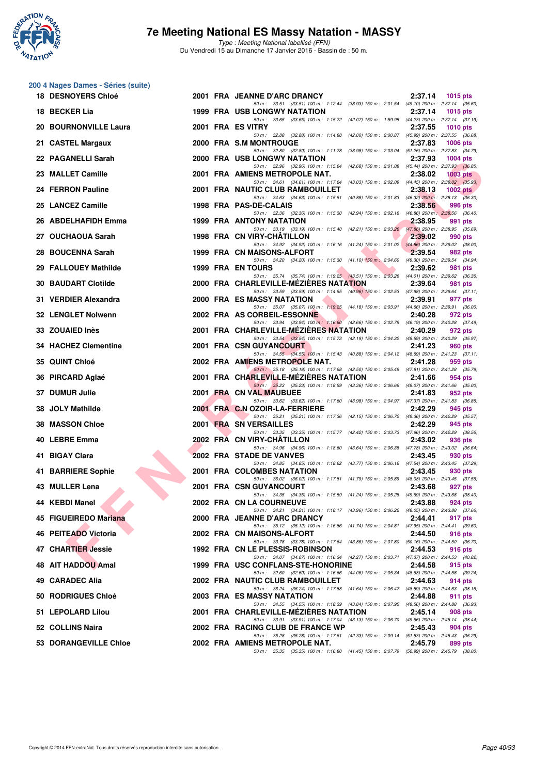

**200 4 Nages Dames - Séries (suite)**

### **7e Meeting National ES Massy Natation - MASSY**

| <b>18 DESNOYERS Chloé</b>   |  | 2001 FRA JEANNE D'ARC DRANCY                                                                                                           | 2:37.14<br>1015 pts   |
|-----------------------------|--|----------------------------------------------------------------------------------------------------------------------------------------|-----------------------|
| 18 BECKER Lia               |  | 50 m: 33.51 (33.51) 100 m: 1:12.44 (38.93) 150 m: 2:01.54 (49.10) 200 m: 2:37.14 (35.60)<br><b>1999 FRA USB LONGWY NATATION</b>        | 2:37.14<br>1015 $pts$ |
| 20 BOURNONVILLE Laura       |  | 50 m: 33.65 (33.65) 100 m: 1:15.72 (42.07) 150 m: 1:59.95 (44.23) 200 m: 2:37.14 (37.19)<br>2001 FRA ES VITRY                          | 2:37.55<br>1010 $pts$ |
| 21 CASTEL Margaux           |  | 50 m: 32.88 (32.88) 100 m: 1:14.88 (42.00) 150 m: 2:00.87 (45.99) 200 m: 2:37.55 (36.68)<br>2000 FRA S.M MONTROUGE                     | 2:37.83<br>1006 pts   |
| 22 PAGANELLI Sarah          |  | 50 m: 32.80 (32.80) 100 m: 1:11.78 (38.98) 150 m: 2:03.04 (51.26) 200 m: 2:37.83 (34.79)<br>2000 FRA USB LONGWY NATATION               | 2:37.93<br>$1004$ pts |
| 23 MALLET Camille           |  | 50 m: 32.96 (32.96) 100 m: 1:15.64 (42.68) 150 m: 2:01.08 (45.44) 200 m: 2:37.93 (36.85)<br>2001 FRA AMIENS METROPOLE NAT.             | 2:38.02<br>$1003$ pts |
| 24 FERRON Pauline           |  | 50 m: 34.61 (34.61) 100 m: 1:17.64 (43.03) 150 m: 2:02.09 (44.45) 200 m: 2:38.02 (35.93)<br>2001 FRA NAUTIC CLUB RAMBOUILLET           | 2:38.13<br>1002 $pts$ |
| 25 LANCEZ Camille           |  | 50 m: 34.63 (34.63) 100 m: 1:15.51 (40.88) 150 m: 2:01.83 (46.32) 200 m: 2:38.13 (36.30)<br>1998 FRA PAS-DE-CALAIS                     | 2:38.56<br>996 pts    |
|                             |  | 50 m: 32.36 (32.36) 100 m: 1:15.30 (42.94) 150 m: 2:02.16 (46.86) 200 m: 2:38.56 (36.40)                                               |                       |
| 26 ABDELHAFIDH Emma         |  | 1999 FRA ANTONY NATATION<br>50 m: 33.19 (33.19) 100 m: 1:15.40 (42.21) 150 m: 2:03.26 (47.86) 200 m: 2:38.95 (35.69)                   | 2:38.95<br>991 pts    |
| 27 OUCHAOUA Sarah           |  | 1998 FRA CN VIRY-CHATILLON<br>50 m: 34.92 (34.92) 100 m: 1:16.16 (41.24) 150 m: 2:01.02 (44.86) 200 m: 2:39.02 (38.00)                 | 2:39.02<br>990 pts    |
| 28 BOUCENNA Sarah           |  | 1999 FRA CN MAISONS-ALFORT<br>50 m: 34.20 (34.20) 100 m: 1:15.30 (41.10) 150 m: 2:04.60 (49.30) 200 m: 2:39.54 (34.94)                 | 2:39.54<br>982 pts    |
| 29 FALLOUEY Mathilde        |  | <b>1999 FRA EN TOURS</b><br>50 m: 35.74 (35.74) 100 m: 1:19.25 (43.51) 150 m: 2:03.26 (44.01) 200 m: 2:39.62 (36.36)                   | 2:39.62<br>981 pts    |
| <b>30 BAUDART Clotilde</b>  |  | 2000 FRA CHARLEVILLE-MEZIERES NATATION<br>50 m: 33.59 (33.59) 100 m: 1:14.55 (40.96) 150 m: 2:02.53 (47.98) 200 m: 2:39.64 (37.11)     | 2:39.64<br>981 pts    |
| 31 VERDIER Alexandra        |  | <b>2000 FRA ES MASSY NATATION</b><br>50 m: 35.07 (35.07) 100 m: 1:19.25 (44.18) 150 m: 2:03.91 (44.66) 200 m: 2:39.91 (36.00)          | 2:39.91<br>977 pts    |
| 32 LENGLET Nolwenn          |  | 2002 FRA AS CORBEIL-ESSONNE<br>50 m: 33.94 (33.94) 100 m: 1:16.60 (42.66) 150 m: 2:02.79 (46.19) 200 m: 2:40.28 (37.49)                | 2:40.28<br>972 pts    |
| 33 ZOUAIED Inès             |  | 2001 FRA CHARLEVILLE-MEZIERES NATATION<br>50 m: 33.54 (33.54) 100 m: 1:15.73 (42.19) 150 m: 2:04.32 (48.59) 200 m: 2:40.29 (35.97)     | 2:40.29<br>972 pts    |
| <b>34 HACHEZ Clementine</b> |  | 2001 FRA CSN GUYANCOURT                                                                                                                | 2:41.23<br>960 pts    |
| 35 QUINT Chloé              |  | 50 m: 34.55 (34.55) 100 m: 1:15.43 (40.88) 150 m: 2:04.12 (48.69) 200 m: 2:41.23 (37.11)<br>2002 FRA AMIENS METROPOLE NAT.             | 2:41.28<br>959 pts    |
| 36 PIRCARD Aglaé            |  | 50 m: 35.18 (35.18) 100 m: 1:17.68 (42.50) 150 m: 2:05.49 (47.81) 200 m: 2:41.28 (35.79)<br>2001 FRA CHARLEVILLE-MEZIERES NATATION     | 2:41.66<br>954 pts    |
| <b>DUMUR Julie</b><br>37.   |  | 50 m: 35.23 (35.23) 100 m: 1:18.59 (43.36) 150 m: 2:06.66 (48.07) 200 m: 2:41.66 (35.00)<br>2001 FRA CN VAL MAUBUEE                    | 2:41.83<br>952 pts    |
| <b>JOLY Mathilde</b><br>38. |  | 50 m: 33.62 (33.62) 100 m: 1:17.60 (43.98) 150 m: 2:04.97 (47.37) 200 m: 2:41.83 (36.86)<br>2001 FRA C.N OZOIR-LA-FERRIERE             | 2:42.29<br>945 pts    |
| <b>MASSON Chloe</b><br>38   |  | 50 m: 35.21 (35.21) 100 m: 1:17.36 (42.15) 150 m: 2:06.72 (49.36) 200 m: 2:42.29 (35.57)<br>2001 FRA SN VERSAILLES                     | 2:42.29<br>945 pts    |
| 40 LEBRE Emma               |  | 50 m: 33.35 (33.35) 100 m: 1:15.77 (42.42) 150 m: 2:03.73 (47.96) 200 m: 2:42.29 (38.56)<br>2002 FRA CN VIRY-CHATILLON                 | 2:43.02<br>936 pts    |
| <b>BIGAY Clara</b><br>41    |  | 50 m: 34.96 (34.96) 100 m: 1:18.60 (43.64) 150 m: 2:06.38 (47.78) 200 m: 2:43.02 (36.64)<br>2002 FRA STADE DE VANVES                   | 2:43.45<br>930 pts    |
| 41 BARRIERE Sophie          |  | 50 m: 34.85 (34.85) 100 m: 1:18.62 (43.77) 150 m: 2:06.16 (47.54) 200 m: 2:43.45 (37.29)<br>2001 FRA COLOMBES NATATION                 | 2:43.45<br>930 pts    |
| 43 MULLER Lena              |  | 50 m: 36.02 (36.02) 100 m: 1:17.81 (41.79) 150 m: 2:05.89 (48.08) 200 m: 2:43.45 (37.56)<br>2001 FRA CSN GUYANCOURT                    | 2:43.68<br>927 pts    |
| 44 KEBDI Manel              |  | 50 m: 34.35 (34.35) 100 m: 1:15.59 (41.24) 150 m: 2:05.28 (49.69) 200 m: 2:43.68 (38.40)<br><b>2002 FRA CN LA COURNEUVE</b>            | 2:43.88<br>924 pts    |
| 45 FIGUEIREDO Mariana       |  | 50 m: 34.21 (34.21) 100 m: 1:18.17 (43.96) 150 m: 2:06.22 (48.05) 200 m: 2:43.88 (37.66)<br>2000 FRA JEANNE D'ARC DRANCY               | 2:44.41<br>917 pts    |
| 46 PEITEADO Victoria        |  | 50 m: 35.12 (35.12) 100 m: 1:16.86 (41.74) 150 m: 2:04.81 (47.95) 200 m: 2:44.41 (39.60)<br>2002 FRA CN MAISONS-ALFORT                 | 2:44.50<br>916 pts    |
| 47 CHARTIER Jessie          |  | 50 m: 33.78 (33.78) 100 m: 1:17.64 (43.86) 150 m: 2:07.80 (50.16) 200 m: 2:44.50 (36.70)<br>1992 FRA CN LE PLESSIS-ROBINSON            | 2:44.53               |
|                             |  | 50 m : 34.07 (34.07) 100 m : 1:16.34 (42.27) 150 m : 2:03.71 (47.37) 200 m : 2:44.53 (40.82)                                           | 916 pts               |
| 48 AIT HADDOU Amal          |  | 1999 FRA USC CONFLANS-STE-HONORINE<br>50 m : 32.60 (32.60) 100 m : 1:16.66 (44.06) 150 m : 2:05.34 (48.68) 200 m : 2:44.58 (39.24)     | 2:44.58<br>915 pts    |
| 49 CARADEC Alia             |  | 2002 FRA NAUTIC CLUB RAMBOUILLET<br>50 m : 36.24 (36.24) 100 m : 1:17.88 (41.64) 150 m : 2:06.47 (48.59) 200 m : 2:44.63 (38.16)       | 2:44.63<br>914 pts    |
| 50 RODRIGUES Chloé          |  | 2003 FRA ES MASSY NATATION<br>50 m: 34.55 (34.55) 100 m: 1:18.39 (43.84) 150 m: 2:07.95 (49.56) 200 m: 2:44.88 (36.93)                 | 2:44.88<br>911 pts    |
| 51 LEPOLARD Lilou           |  | 2001 FRA CHARLEVILLE-MEZIERES NATATION<br>50 m : 33.91 (33.91) 100 m : 1:17.04 (43.13) 150 m : 2:06.70 (49.66) 200 m : 2:45.14 (38.44) | 2:45.14<br>908 pts    |
| 52 COLLINS Naira            |  | 2002 FRA RACING CLUB DE FRANCE WP<br>50 m : 35.28 (35.28) 100 m : 1:17.61 (42.33) 150 m : 2:09.14 (51.53) 200 m : 2:45.43 (36.29)      | 2:45.43<br>904 pts    |
| 53 DORANGEVILLE Chloe       |  | 2002 FRA AMIENS METROPOLE NAT.<br>50 m: 35.35 (35.35) 100 m: 1:16.80 (41.45) 150 m: 2:07.79 (50.99) 200 m: 2:45.79 (38.00)             | 2:45.79<br>899 pts    |
|                             |  |                                                                                                                                        |                       |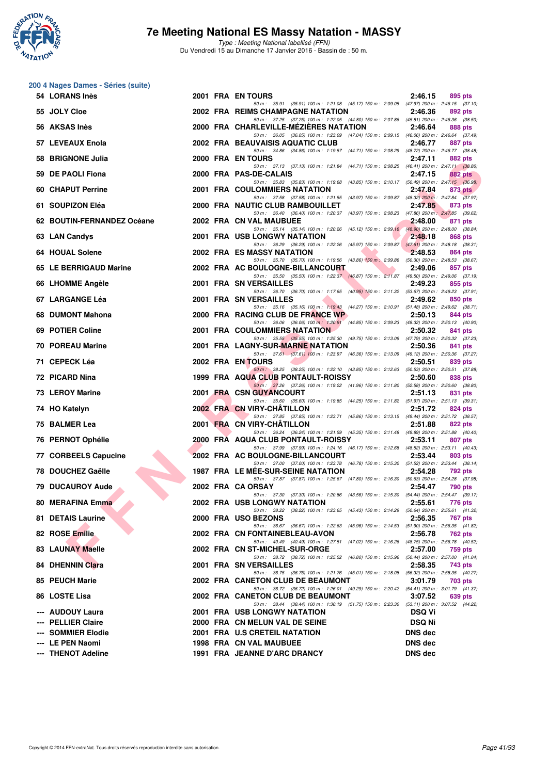

| 200 4 Nages Dames - Séries (suite) |  |  |  |
|------------------------------------|--|--|--|
|------------------------------------|--|--|--|

| 54 LORANS Inès             |  | 2001 FRA EN TOURS                                                                                                                     | 2:46.15       | 895 pts |
|----------------------------|--|---------------------------------------------------------------------------------------------------------------------------------------|---------------|---------|
| 55 JOLY Cloe               |  | 50 m: 35.91 (35.91) 100 m: 1:21.08 (45.17) 150 m: 2:09.05 (47.97) 200 m: 2:46.15 (37.10)<br>2002 FRA REIMS CHAMPAGNE NATATION         | 2:46.36       | 892 pts |
| 56 AKSAS Inès              |  | 50 m: 37.25 (37.25) 100 m: 1:22.05 (44.80) 150 m: 2:07.86 (45.81) 200 m: 2:46.36 (38.50)<br>2000 FRA CHARLEVILLE-MEZIERES NATATION    | 2:46.64       | 888 pts |
| 57 LEVEAUX Enola           |  | 50 m: 36.05 (36.05) 100 m: 1:23.09 (47.04) 150 m: 2:09.15 (46.06) 200 m: 2:46.64 (37.49)<br>2002 FRA BEAUVAISIS AQUATIC CLUB          | 2:46.77       | 887 pts |
| 58 BRIGNONE Julia          |  | 50 m: 34.86 (34.86) 100 m: 1:19.57 (44.71) 150 m: 2:08.29 (48.72) 200 m: 2:46.77 (38.48)<br>2000 FRA EN TOURS                         | 2:47.11       | 882 pts |
| 59 DE PAOLI Fiona          |  | 50 m: 37.13 (37.13) 100 m: 1:21.84 (44.71) 150 m: 2:08.25 (46.41) 200 m: 2:47.11 (38.86)<br>2000 FRA PAS-DE-CALAIS                    | 2:47.15       | 882 pts |
| 60 CHAPUT Perrine          |  | 50 m: 35.83 (35.83) 100 m: 1:19.68 (43.85) 150 m: 2:10.17 (50.49) 200 m: 2:47.15 (36.98)<br>2001 FRA COULOMMIERS NATATION             | 2:47.84       | 873 pts |
| 61 SOUPIZON Eléa           |  | 50 m: 37.58 (37.58) 100 m: 1:21.55 (43.97) 150 m: 2:09.87 (48.32) 200 m: 2:47.84 (37.97)<br>2000 FRA NAUTIC CLUB RAMBOUILLET          | 2:47.85       | 873 pts |
| 62 BOUTIN-FERNANDEZ Océane |  | 50 m: 36.40 (36.40) 100 m: 1:20.37 (43.97) 150 m: 2:08.23 (47.86) 200 m: 2:47.85 (39.62)<br>2002 FRA CN VAL MAUBUEE                   | 2:48.00       | 871 pts |
|                            |  | 50 m: 35.14 (35.14) 100 m: 1:20.26 (45.12) 150 m: 2:09.16 (48.90) 200 m: 2:48.00 (38.84)<br>2001 FRA USB LONGWY NATATION              |               |         |
| 63 LAN Candys              |  | 50 m: 36.29 (36.29) 100 m: 1:22.26 (45.97) 150 m: 2:09.87 (47.61) 200 m: 2:48.18 (38.31)                                              | 2:48.18       | 868 pts |
| 64 HOUAL Solene            |  | 2002 FRA ES MASSY NATATION<br>50 m: 35.70 (35.70) 100 m: 1:19.56 (43.86) 150 m: 2:09.86 (50.30) 200 m: 2:48.53 (38.67)                | 2:48.53       | 864 pts |
| 65 LE BERRIGAUD Marine     |  | 2002 FRA AC BOULOGNE-BILLANCOURT<br>50 m: 35.50 (35.50) 100 m: 1:22.37 (46.87) 150 m: 2:11.87 (49.50) 200 m: 2:49.06 (37.19)          | 2:49.06       | 857 pts |
| 66 LHOMME Angèle           |  | 2001 FRA SN VERSAILLES<br>50 m: 36.70 (36.70) 100 m: 1:17.65 (40.95) 150 m: 2:11.32 (53.67) 200 m: 2:49.23 (37.91)                    | 2:49.23       | 855 pts |
| 67 LARGANGE Léa            |  | 2001 FRA SN VERSAILLES<br>50 m: 35.16 (35.16) 100 m: 1:19.43 (44.27) 150 m: 2:10.91 (51.48) 200 m: 2:49.62 (38.71)                    | 2:49.62       | 850 pts |
| 68 DUMONT Mahona           |  | 2000 FRA RACING CLUB DE FRANCE WP<br>50 m: 36.06 (36.06) 100 m: 1:20.91 (44.85) 150 m: 2:09.23 (48.32) 200 m: 2:50.13 (40.90)         | 2:50.13       | 844 pts |
| 69 POTIER Coline           |  | <b>2001 FRA COULOMMIERS NATATION</b><br>50 m: 35.55 (35.55) 100 m: 1:25.30 (49.75) 150 m: 2:13.09 (47.79) 200 m: 2:50.32 (37.23)      | 2:50.32       | 841 pts |
| 70 POREAU Marine           |  | 2001 FRA LAGNY-SUR-MARNE NATATION<br>50 m: 37.61 (37.61) 100 m: 1:23.97 (46.36) 150 m: 2:13.09 (49.12) 200 m: 2:50.36 (37.27)         | 2:50.36       | 841 pts |
| 71 CEPECK Léa              |  | 2002 FRA EN TOURS                                                                                                                     | 2:50.51       | 839 pts |
| 72 PICARD Nina             |  | 50 m: 38.25 (38.25) 100 m: 1:22.10 (43.85) 150 m: 2:12.63 (50.53) 200 m: 2:50.51 (37.88)<br>1999 FRA AQUA CLUB PONTAULT-ROISSY        | 2:50.60       | 838 pts |
| <b>73 LEROY Marine</b>     |  | 50 m: 37.26 (37.26) 100 m: 1:19.22 (41.96) 150 m: 2:11.80 (52.58) 200 m: 2:50.60 (38.80)<br>2001 FRA CSN GUYANCOURT                   | 2:51.13       | 831 pts |
| 74 HO Katelyn              |  | 50 m: 35.60 (35.60) 100 m: 1:19.85 (44.25) 150 m: 2:11.82 (51.97) 200 m: 2:51.13 (39.31)<br>2002 FRA CN VIRY-CHATILLON                | 2:51.72       | 824 pts |
| 75 BALMER Lea              |  | 50 m: 37.85 (37.85) 100 m: 1:23.71 (45.86) 150 m: 2:13.15 (49.44) 200 m: 2:51.72 (38.57)<br>2001 FRA CN VIRY-CHATILLON                | 2:51.88       | 822 pts |
| 76 PERNOT Ophélie          |  | 50 m: 36.24 (36.24) 100 m: 1:21.59 (45.35) 150 m: 2:11.48 (49.89) 200 m: 2:51.88 (40.40)<br>2000 FRA AQUA CLUB PONTAULT-ROISSY        | 2:53.11       | 807 pts |
| 77 CORBEELS Capucine       |  | 50 m: 37.99 (37.99) 100 m: 1:24.16 (46.17) 150 m: 2:12.68 (48.52) 200 m: 2:53.11 (40.43)<br>2002 FRA AC BOULOGNE-BILLANCOURT          | 2:53.44       | 803 pts |
| 78 DOUCHEZ Gaëlle          |  | 50 m: 37.00 (37.00) 100 m: 1:23.78 (46.78) 150 m: 2:15.30 (51.52) 200 m: 2:53.44 (38.14)<br><b>1987 FRA LE MEE-SUR-SEINE NATATION</b> | 2:54.28       | 792 pts |
| <b>79 DUCAUROY Aude</b>    |  | 50 m: 37.87 (37.87) 100 m: 1:25.67 (47.80) 150 m: 2:16.30 (50.63) 200 m: 2:54.28 (37.98)<br>2002 FRA CA ORSAY                         | 2:54.47       |         |
|                            |  | 50 m: 37.30 (37.30) 100 m: 1:20.86 (43.56) 150 m: 2:15.30 (54.44) 200 m: 2:54.47 (39.17)                                              |               | 790 pts |
| 80 MERAFINA Emma           |  | 2002 FRA USB LONGWY NATATION<br>50 m: 38.22 (38.22) 100 m: 1:23.65 (45.43) 150 m: 2:14.29 (50.64) 200 m: 2:55.61 (41.32)              | 2:55.61       | 776 pts |
| 81 DETAIS Laurine          |  | 2000 FRA USO BEZONS<br>50 m: 36.67 (36.67) 100 m: 1:22.63 (45.96) 150 m: 2:14.53 (51.90) 200 m: 2:56.35 (41.82)                       | 2:56.35       | 767 pts |
| 82 ROSE Emilie             |  | 2002 FRA CN FONTAINEBLEAU-AVON<br>50 m: 40.49 (40.49) 100 m: 1:27.51 (47.02) 150 m: 2:16.26 (48.75) 200 m: 2:56.78 (40.52)            | 2:56.78       | 762 pts |
| <b>83 LAUNAY Maelle</b>    |  | 2002 FRA CN ST-MICHEL-SUR-ORGE<br>50 m: 38.72 (38.72) 100 m: 1:25.52 (46.80) 150 m: 2:15.96 (50.44) 200 m: 2:57.00 (41.04)            | 2:57.00       | 759 pts |
| 84 DHENNIN Clara           |  | 2001 FRA SN VERSAILLES<br>50 m: 36.75 (36.75) 100 m: 1:21.76 (45.01) 150 m: 2:18.08 (56.32) 200 m: 2:58.35 (40.27)                    | 2:58.35       | 743 pts |
| 85 PEUCH Marie             |  | 2002 FRA CANETON CLUB DE BEAUMONT<br>50 m: 36.72 (36.72) 100 m: 1:26.01 (49.29) 150 m: 2:20.42 (54.41) 200 m: 3:01.79 (41.37)         | 3:01.79       | 703 pts |
| 86 LOSTE Lisa              |  | 2002 FRA CANETON CLUB DE BEAUMONT<br>50 m: 38.44 (38.44) 100 m: 1:30.19 (51.75) 150 m: 2:23.30 (53.11) 200 m: 3:07.52 (44.22)         | 3:07.52       | 639 pts |
| --- AUDOUY Laura           |  | <b>2001 FRA USB LONGWY NATATION</b>                                                                                                   | <b>DSQ Vi</b> |         |
| --- PELLIER Claire         |  | 2000 FRA CN MELUN VAL DE SEINE                                                                                                        | <b>DSQ Ni</b> |         |
| --- SOMMIER Elodie         |  | 2001 FRA U.S CRETEIL NATATION                                                                                                         | DNS dec       |         |
| --- LE PEN Naomi           |  | 1998 FRA CN VAL MAUBUEE                                                                                                               | DNS dec       |         |
| --- THENOT Adeline         |  | 1991 FRA JEANNE D'ARC DRANCY                                                                                                          | DNS dec       |         |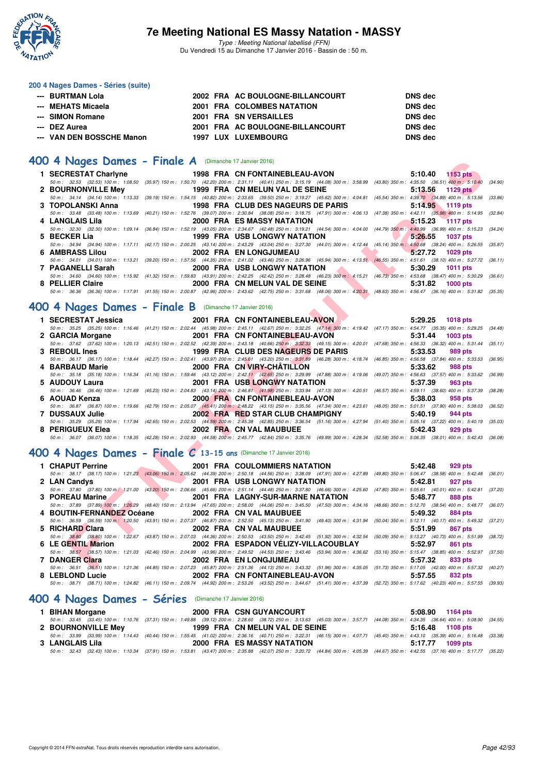

Type : Meeting National labellisé (FFN) Du Vendredi 15 au Dimanche 17 Janvier 2016 - Bassin de : 50 m.

#### **200 4 Nages Dames - Séries (suite)**

| ---   BURTMAN Lola        |  | 2002 FRA AC BOULOGNE-BILLANCOURT | DNS dec        |
|---------------------------|--|----------------------------------|----------------|
| --- MEHATS Micaela        |  | 2001 FRA COLOMBES NATATION       | <b>DNS</b> dec |
| --- SIMON Romane          |  | 2001 FRA SN VERSAILLES           | DNS dec        |
| --- DEZ Aurea             |  | 2001 FRA AC BOULOGNE-BILLANCOURT | DNS dec        |
| --- VAN DEN BOSSCHE Manon |  | <b>1997 LUX LUXEMBOURG</b>       | DNS dec        |

### **[400 4 Nages Dames - Finale A](http://www.ffnatation.fr/webffn/resultats.php?idact=nat&go=epr&idcpt=35299&idepr=42)** (Dimanche 17 Janvier 2016)

| <b>JU 4 Nages Dames - Finale A</b> (Dimanche 17 Janvier 2016)                                                                                                                                             |                         |                                      |  |         |                 |         |
|-----------------------------------------------------------------------------------------------------------------------------------------------------------------------------------------------------------|-------------------------|--------------------------------------|--|---------|-----------------|---------|
| 1 SECRESTAT Charlyne                                                                                                                                                                                      |                         | 1998 FRA CN FONTAINEBLEAU-AVON       |  | 5:10.40 | $1153$ pts      |         |
| 50 m: 32.53 (32.53) 100 m: 1:08.50 (35.97) 150 m: 1:50.70 (42.20) 200 m: 2:31.11 (40.41) 250 m: 3:15.19 (44.08) 300 m: 3:58.99 (43.80) 350 m: 4:35.50 (36.51) 400 m: 5:10.40                              |                         |                                      |  |         |                 | (34.90) |
| 2 BOURNONVILLE Mey                                                                                                                                                                                        |                         | 1999 FRA CN MELUN VAL DE SEINE       |  | 5:13.56 | <b>1129 pts</b> |         |
| 50 m: 34.14 (34.14) 100 m: 1:13.33 (39.19) 150 m: 1:54.15 (40.82) 200 m: 2:33.65 (39.50) 250 m: 3:19.27 (45.62) 300 m: 4:04.81 (45.54) 350 m: 4:39.70 (34.89) 400 m: 5:13.56 (33.86)                      |                         |                                      |  |         |                 |         |
| 3 TOPOLANSKI Anna                                                                                                                                                                                         |                         | 1998 FRA CLUB DES NAGEURS DE PARIS   |  | 5:14.95 | 1119 pts        |         |
| 50 m: 33.48 (33.48) 100 m: 1:13.69 (40.21) 150 m: 1:52.76 (39.07) 200 m: 2:30.84 (38.08) 250 m: 3:18.75 (47.91) 300 m: 4:06.13 (47.38) 350 m: 4:42.11 (35.98) 400 m: 5:14.95                              |                         |                                      |  |         |                 | (32.84) |
| 4 LANGLAIS Lila                                                                                                                                                                                           |                         | <b>2000 FRA ES MASSY NATATION</b>    |  | 5:15.23 | <b>1117 pts</b> |         |
| 50 m : 32.30 (32.30) 100 m : 1:09.14 (36.84) 150 m : 1:52.19 (43.05) 200 m : 2:34.67 (42.48) 250 m : 3:19.21 (44.54) 300 m : 4:04.00 (44.79) 350 m : 4:40.99 (36.99) 400 m : 5:15.23 (34.24)              |                         |                                      |  |         |                 |         |
| 5 BECKER Lia                                                                                                                                                                                              |                         | <b>1999 FRA USB LONGWY NATATION</b>  |  | 5:26.55 | <b>1037 pts</b> |         |
| 50 m: 34.94 (34.94) 100 m: 1:17.11 (42.17) 150 m: 2:00.25 (43.14) 200 m: 2:43.29 (43.04) 250 m: 3:27.30 (44.01) 300 m: 4:12.44 (45.14) 350 m: 4:50.68 (38.24) 400 m: 5:26.55 (35.87)                      |                         |                                      |  |         |                 |         |
| 6 AMBRASS Lilou                                                                                                                                                                                           | 2002 FRA EN LONGJUMEAU  |                                      |  | 5:27.72 | 1029 pts        |         |
| 50 m: 34.01 (34.01) 100 m: 1:13.21 (39.20) 150 m: 1:57.56 (44.35) 200 m: 2:41.02 (43.46) 250 m: 3:26.96 (45.94) 300 m: 4:13.51 (46.55) 350 m: 4:51.61 (38.10) 400 m: 5:27.72 (36.11)                      |                         |                                      |  | 5:30.29 |                 |         |
| 7 PAGANELLI Sarah<br>50 m: 34.60 (34.60) 100 m: 1:15.92 (41.32) 150 m: 1:59.83 (43.91) 200 m: 2:42.25 (42.42) 250 m: 3:28.48 (46.23) 300 m: 4:15.21 (46.73) 350 m: 4:53.68 (38.47) 400 m: 5:30.29 (36.61) |                         | 2000 FRA USB LONGWY NATATION         |  |         | <b>1011 pts</b> |         |
| 8 PELLIER Claire                                                                                                                                                                                          |                         | 2000 FRA CN MELUN VAL DE SEINE       |  | 5:31.82 | <b>1000 pts</b> |         |
| 50 m: 36.36 (36.36) 100 m: 1:17.91 (41.55) 150 m: 2:00.87 (42.96) 200 m: 2:43.62 (42.75) 250 m: 3:31.68 (48.06) 300 m: 4:20.31 (48.63) 350 m: 4:56.47 (36.16) 400 m: 5:31.82 (35.35)                      |                         |                                      |  |         |                 |         |
|                                                                                                                                                                                                           |                         |                                      |  |         |                 |         |
| 00 4 Nages Dames - Finale B (Dimanche 17 Janvier 2016)                                                                                                                                                    |                         |                                      |  |         |                 |         |
|                                                                                                                                                                                                           |                         |                                      |  |         |                 |         |
| 1 SECRESTAT Jessica                                                                                                                                                                                       |                         | 2001 FRA CN FONTAINEBLEAU-AVON       |  | 5:29.25 | <b>1018 pts</b> |         |
| 50 m: 35.25 (35.25) 100 m: 1:16.46 (41.21) 150 m: 2:02.44 (45.98) 200 m: 2:45.11 (42.67) 250 m: 3:32.25 (47.14) 300 m: 4:19.42 (47.17) 350 m: 4:54.77 (35.35) 400 m: 5:29.25 (34.48)                      |                         |                                      |  |         |                 |         |
| 2 GARCIA Morgane                                                                                                                                                                                          |                         | 2001 FRA CN FONTAINEBLEAU-AVON       |  | 5:31.44 | 1003 pts        |         |
| 50 m: 37.62 (37.62) 100 m: 1:20.13 (42.51) 150 m: 2:02.52 (42.39) 200 m: 2:43.18 (40.66) 250 m: 3:32.33 (49.15) 300 m: 4:20.01 (47.68) 350 m: 4:56.33 (36.32) 400 m: 5:31.44                              |                         |                                      |  |         |                 | (35.11) |
| 3 REBOUL Ines                                                                                                                                                                                             |                         | 1999 FRA CLUB DES NAGEURS DE PARIS   |  | 5:33.53 | 989 pts         |         |
| 50 m: 36.17 (36.17) 100 m: 1:18.44 (42.27) 150 m: 2:02.41 (43.97) 200 m: 2:45.61 (43.20) 250 m: 3:31,89 (46.28) 300 m: 4:18.74 (46.85) 350 m: 4:56.58 (37.84) 400 m: 5:33.53                              |                         |                                      |  |         |                 | (36.95) |
| 4 BARBAUD Marie                                                                                                                                                                                           |                         | 2000 FRA CN VIRY-CHATILLON           |  | 5:33.62 | <b>988 pts</b>  |         |
| 50 m: 35.18 (35.18) 100 m: 1:16.34 (41.16) 150 m: 1:59.46 (43.12) 200 m: 2:42.11 (42.65) 250 m: 3:29.99 (47.88) 300 m: 4:19.06 (49.07) 350 m: 4:56.63 (37.57) 400 m: 5:33.62 (36.99)<br>5 AUDOUY Laura    |                         | <b>2001 FRA USB LONGWY NATATION</b>  |  | 5:37.39 | 963 pts         |         |
| 50 m: 36.46 (36.46) 100 m: 1:21.69 (45.23) 150 m: 2:04.83 (43.14) 200 m: 2:46.81 (41.98) 250 m: 3:33.94 (47.13) 300 m: 4:20.51 (46.57) 350 m: 4:59.11 (38.60) 400 m: 5:37.39                              |                         |                                      |  |         |                 | (38.28) |
| 6 AOUAD Kenza                                                                                                                                                                                             |                         | 2000 FRANCN FONTAINEBLEAU-AVON       |  | 5:38.03 | 958 pts         |         |
| 50 m: 36.87 (36.87) 100 m: 1:19.66 (42.79) 150 m: 2:05.07 (45.41) 200 m: 2:48.22 (43.15) 250 m: 3:35.56 (47.34) 300 m: 4:23.61 (48.05) 350 m: 5:01.51 (37.90) 400 m: 5:38.03 (36.52)                      |                         |                                      |  |         |                 |         |
| 7 DUSSAUX Julie                                                                                                                                                                                           |                         | 2002 FRA RED STAR CLUB CHAMPIGNY     |  | 5:40.19 | 944 pts         |         |
| 50 m: 35.29 (35.29) 100 m: 1:17.94 (42.65) 150 m: 2:02.53 (44.59) 200 m: 2:45.38 (42.85) 250 m: 3:36.54 (51.16) 300 m: 4:27.94 (51.40) 350 m: 5:05.16 (37.22) 400 m: 5:40.19 (35.03)                      |                         |                                      |  |         |                 |         |
| 8 PERIGUEUX Elea                                                                                                                                                                                          | 2002 FRA CN VAL MAUBUEE |                                      |  | 5:42.43 | 929 pts         |         |
| 50 m : 36.07 (36.07) 100 m : 1:18.35 (42.28) 150 m : 2:02.93 (44.58) 200 m : 2:45.77 (42.84) 250 m : 3:35.76 (49.99) 300 m : 4:28.34 (52.58) 350 m : 5:06.35 (38.01) 400 m : 5:42.43 (36.08)              |                         |                                      |  |         |                 |         |
|                                                                                                                                                                                                           |                         |                                      |  |         |                 |         |
| 00 4 Nages Dames - Finale $C$ 13-15 ans (Dimanche 17 Janvier 2016)                                                                                                                                        |                         |                                      |  |         |                 |         |
|                                                                                                                                                                                                           |                         |                                      |  |         |                 |         |
| 1 CHAPUT Perrine<br>50 m: 38.17 (38.17) 100 m: 1:21.23 (43.06) 150 m: 2:05.62 (44.39) 200 m: 2:50.18 (44.56) 250 m: 3:38.09 (47.91) 300 m: 4:27.89 (49.80) 350 m: 5:06.47 (38.58) 400 m: 5:42.48 (36.01)  |                         | 2001 FRA COULOMMIERS NATATION        |  | 5:42.48 | 929 pts         |         |
| 2 LAN Candys                                                                                                                                                                                              |                         | <b>2001 FRA USB LONGWY NATATION</b>  |  | 5:42.81 |                 |         |
| 50 m: 37.80 (37.80) 100 m: 1:21.00 (43.20) 150 m: 2:06.66 (45.66) 200 m: 2:51.14 (44.48) 250 m: 3:37.80 (46.66) 300 m: 4:25.60 (47.80) 350 m: 5:05.61 (40.01) 400 m: 5:42.81 (37.20)                      |                         |                                      |  |         | 927 pts         |         |
| 3 POREAU Marine                                                                                                                                                                                           |                         | 2001 FRA LAGNY-SUR-MARNE NATATION    |  | 5:48.77 | 888 pts         |         |
| 50 m : 37.89 (37.89) 100 m : 1:26.29 (48.40) 150 m : 2:13.94 (47.65) 200 m : 2:58.00 (44.06) 250 m : 3:45.50 (47.50) 300 m : 4:34.16 (48.66) 350 m : 5:12.70 (38.54) 400 m : 5:48.77 (36.07)              |                         |                                      |  |         |                 |         |
| 4 BOUTIN-FERNANDEZ Océane                                                                                                                                                                                 | 2002 FRA CN VAL MAUBUEE |                                      |  | 5:49.32 | <b>884 pts</b>  |         |
| 50 m: 36.59 (36.59) 100 m: 1:20.50 (43.91) 150 m: 2:07.37 (46.87) 200 m: 2:52.50 (45.13) 250 m: 3:41.90 (49.40) 300 m: 4:31.94 (50.04) 350 m: 5:12.11 (40.17) 400 m: 5:49.32                              |                         |                                      |  |         |                 | (37.21) |
| 5 RICHARD Clara                                                                                                                                                                                           | 2002 FRA CN VAL MAUBUEE |                                      |  | 5:51.99 | <b>867 pts</b>  |         |
| 50 m: 38.80 (38.80) 100 m: 1:22.67 (43.87) 150 m: 2:07.03 (44.36) 200 m: 2:50.53 (43.50) 250 m: 3:42.45 (51.92) 300 m: 4:32.54 (50.09) 350 m: 5:13.27 (40.73) 400 m: 5:51.99 (38.72)                      |                         |                                      |  |         |                 |         |
| <b>6 LE GENTIL Marion</b>                                                                                                                                                                                 |                         | 2002 FRA ESPADON VELIZY-VILLACOUBLAY |  | 5:52.97 | 861 pts         |         |
| 50 m: 38.57 (38.57) 100 m: 1:21.03 (42.46) 150 m: 2:04.99 (43.96) 200 m: 2:49.52 (44.53) 250 m: 3:43.46 (53.94) 300 m: 4:36.62 (53.16) 350 m: 5:15.47 (38.85) 400 m: 5:52.97 (37.50)                      |                         |                                      |  |         |                 |         |
| 7 DANGER Clara                                                                                                                                                                                            | 2002 FRA EN LONGJUMEAU  |                                      |  | 5:57.32 | 833 pts         |         |
| 50 m: 36.51 (36.51) 100 m: 1:21.36 (44.85) 150 m: 2:07.23 (45.87) 200 m: 2:51.36 (44.13) 250 m: 3:43.32 (51.96) 300 m: 4:35.05 (51.73) 350 m: 5:17.05 (42.00) 400 m: 5:57.32 (40.27)                      |                         |                                      |  |         |                 |         |

### **[400 4 Nages Dames - Finale B](http://www.ffnatation.fr/webffn/resultats.php?idact=nat&go=epr&idcpt=35299&idepr=42)** (Dimanche 17 Janvier 2016)

|                  |                                       |                                     |                                    | $5:29.25$ 1018 pts                                                                                                                                                                           |
|------------------|---------------------------------------|-------------------------------------|------------------------------------|----------------------------------------------------------------------------------------------------------------------------------------------------------------------------------------------|
|                  |                                       |                                     |                                    | 50 m: 35.25 (35.25) 100 m: 1:16.46 (41.21) 150 m: 2:02.44 (45.98) 200 m: 2:45.11 (42.67) 250 m: 3:32.25 (47.14) 300 m: 4:19.42 (47.17) 350 m: 4:54.77 (35.35) 400 m: 5:29.25 (34.48)         |
| 2 GARCIA Morgane | <b>2001 FRA CN FONTAINEBLEAU-AVON</b> |                                     |                                    | $5:31.44$ 1003 pts                                                                                                                                                                           |
|                  |                                       |                                     |                                    | 50 m: 37.62 (37.62) 100 m: 1:20.13 (42.51) 150 m: 2:02.52 (42.39) 200 m: 2:43.18 (40.66) 250 m: 3:32.33 (49.15) 300 m: 4:20.01 (47.68) 350 m: 4:56.33 (36.32) 400 m: 5:31.44 (35.11)         |
| 3 REBOUL Ines    |                                       |                                     | 1999 FRA CLUB DES NAGEURS DE PARIS | 5:33.53<br>989 pts                                                                                                                                                                           |
|                  |                                       |                                     |                                    | 50 m : 36.17 (36.17) 100 m : 1:18.44 (42.27) 150 m : 2:02.41 (43.97) 200 m : 2:45.61 (43.20) 250 m : 3:31.89 (46.28) 300 m : 4:18.74 (46.85) 350 m : 4:56.58 (37.84) 400 m : 5:33.53 (36.95) |
| 4 BARBAUD Marie  |                                       | 2000 FRA CN VIRY-CHÂTILLON          |                                    | 5:33.62<br>988 pts                                                                                                                                                                           |
|                  |                                       |                                     |                                    | 50 m : 35.18 (35.18) 100 m : 1:16.34 (41.16) 150 m : 1:59.46 (43.12) 200 m : 2:42.11 (42.65) 250 m : 3:29.99 (47.88) 300 m : 4:19.06 (49.07) 350 m : 4:56.63 (37.57) 400 m : 5:33.62 (36.99) |
| 5 AUDOUY Laura   |                                       | <b>2001 FRA USB LONGWY NATATION</b> |                                    | 5:37.39<br>963 pts                                                                                                                                                                           |
|                  |                                       |                                     |                                    | 50 m : 36.46 (36.46) 100 m : 1:21.69 (45.23) 150 m : 2:04.83 (43.14) 200 m : 2:46.81 (41.98) 250 m : 3:33.94 (47.13) 300 m : 4:20.51 (46.57) 350 m : 4:59.11 (38.60) 400 m : 5:37.39 (38.28) |
| 6 AOUAD Kenza    |                                       | 2000 FRA CN FONTAINEBLEAU-AVON      |                                    | 5:38.03<br>958 pts                                                                                                                                                                           |
|                  |                                       |                                     |                                    | 50 m: 36.87 (36.87) 100 m: 1:19.66 (42.79) 150 m: 2:05.07 (45.41) 200 m: 2:48.22 (43.15) 250 m: 3:35.56 (47.34) 300 m: 4:23.61 (48.05) 350 m: 5:01.51 (37.90) 400 m: 5:38.03 (36.52)         |
| 7 DUSSAUX Julie  |                                       | 2002 FRA RED STAR CLUB CHAMPIGNY    |                                    | 5:40.19<br>944 pts                                                                                                                                                                           |
|                  |                                       |                                     |                                    | 50 m: 35.29 (35.29) 100 m: 1:17.94 (42.65) 150 m: 2:02.53 (44.59) 200 m: 2:45.38 (42.85) 250 m: 3:36.54 (51.16) 300 m: 4:27.94 (51.40) 350 m: 5:05.16 (37.22) 400 m: 5:40.19 (35.03)         |
| 8 PERIGUEUX Elea |                                       | 2002 FRA CN VAL MAUBUEE             |                                    | 5:42.43<br>929 pts                                                                                                                                                                           |
|                  |                                       |                                     |                                    | 50 m : 36.07 (36.07) 100 m : 1:18.35 (42.28) 150 m : 2:02.93 (44.58) 200 m : 2:45.77 (42.84) 250 m : 3:35.76 (49.99) 300 m : 4:28.34 (52.58) 350 m : 5:06.35 (38.01) 400 m : 5:42.43 (36.08) |

### **[400 4 Nages Dames - Finale C](http://www.ffnatation.fr/webffn/resultats.php?idact=nat&go=epr&idcpt=35299&idepr=42) 13-15 ans** (Dimanche 17 Janvier 2016)

| 1 CHAPUT Perrine   | 2001 FRA COULOMMIERS NATATION                                                                                                                                                                | $5:42.48$ 929 pts  |
|--------------------|----------------------------------------------------------------------------------------------------------------------------------------------------------------------------------------------|--------------------|
|                    | 50 m : 38.17 (38.17) 100 m : 1:21.23 (43.06) 150 m : 2:05.62 (44.39) 200 m : 2:50.18 (44.56) 250 m : 3:38.09 (47.91) 300 m : 4:27.89 (49.80) 350 m : 5:06.47 (38.58) 400 m : 5:42.48 (36.01) |                    |
| 2 LAN Candys       | <b>EXAMPLE 2001 FRA USB LONGWY NATATION</b>                                                                                                                                                  | 5:42.81<br>927 pts |
|                    | 50 m: 37.80 (37.80) 100 m: 1:21.00 (43.20) 150 m: 2:06.66 (45.66) 200 m: 2:51.14 (44.48) 250 m: 3:37.80 (46.66) 300 m: 4:25.60 (47.80) 350 m: 5:05.61 (40.01) 400 m: 5:42.81 (37.20)         |                    |
| 3 POREAU Marine    | <b>EXAMPLE 2001 FRA LAGNY-SUR-MARNE NATATION</b>                                                                                                                                             | 5:48.77<br>888 pts |
|                    | 50 m : 37.89 (37.89) 100 m : 1:26.29 (48.40) 150 m : 2:13.94 (47.65) 200 m : 2:58.00 (44.06) 250 m : 3:45.50 (47.50) 300 m : 4:34.16 (48.66) 350 m : 5:12.70 (38.54) 400 m : 5:48.77 (36.07) |                    |
|                    | 4 BOUTIN-FERNANDEZ Océane 2002 FRA CN VAL MAUBUEE                                                                                                                                            | 5:49.32<br>884 pts |
|                    | 50 m: 36.59 (36.59) 100 m: 1:20.50 (43.91) 150 m: 2:07.37 (46.87) 200 m: 2:52.50 (45.13) 250 m: 3:41.90 (49.40) 300 m: 4:31.94 (50.04) 350 m: 5:12.11 (40.17) 400 m: 5:49.32 (37.21)         |                    |
| 5 RICHARD Clara    | 2002 FRA CN VAL MAUBUEE                                                                                                                                                                      | 5:51.99<br>867 pts |
|                    | 50 m: 38.80 (38.80) 100 m: 1:22.67 (43.87) 150 m: 2:07.03 (44.36) 200 m: 2:50.53 (43.50) 250 m: 3:42.45 (51.92) 300 m: 4:32.54 (50.09) 350 m: 5:13.27 (40.73) 400 m: 5:51.99 (38.72)         |                    |
| 6 LE GENTIL Marion | 2002 FRA ESPADON VELIZY-VILLACOUBLAY                                                                                                                                                         | 5:52.97<br>861 pts |
|                    | 50 m: 38.57 (38.57) 100 m: 1:21.03 (42.46) 150 m: 2:04.99 (43.96) 200 m: 2:49.52 (44.53) 250 m: 3:43.46 (53.94) 300 m: 4:36.62 (53.16) 350 m: 5:15.47 (38.85) 400 m: 5:52.97 (37.50)         |                    |
| 7 DANGER Clara     | 2002 FRA EN LONGJUMEAU                                                                                                                                                                       | 5:57.32<br>833 pts |
|                    | 50 m: 36.51 (36.51) 100 m: 1:21.36 (44.85) 150 m: 2:07.23 (45.87) 200 m: 2:51.36 (44.13) 250 m: 3:43.32 (51.96) 300 m: 4:35.05 (51.73) 350 m: 5:17.05 (42.00) 400 m: 5:57.32 (40.27)         |                    |
| 8 LEBLOND Lucie    | 2002 FRA CN FONTAINEBLEAU-AVON                                                                                                                                                               | 5:57.55<br>832 pts |
|                    | 50 m: 38.71 (38.71) 100 m: 1:24.82 (46.11) 150 m: 2:09.74 (44.92) 200 m: 2:53.26 (43.52) 250 m: 3:44.67 (51.41) 300 m: 4:37.39 (52.72) 350 m: 5:17.62 (40.23) 400 m: 5:57.55 (39.93)         |                    |

### **[400 4 Nages Dames - Séries](http://www.ffnatation.fr/webffn/resultats.php?idact=nat&go=epr&idcpt=35299&idepr=42)** (Dimanche 17 Janvier 2016)

| 1 BIHAN Morgane        | <b>2000 FRA CSN GUYANCOURT</b>                                                                                                                                                               | $5:08.90$ 1164 pts |
|------------------------|----------------------------------------------------------------------------------------------------------------------------------------------------------------------------------------------|--------------------|
|                        | 50 m: 33.45 (33.45) 100 m: 1:10.76 (37.31) 150 m: 1:49.88 (39.12) 200 m: 2:28.60 (38.72) 250 m: 3:13.63 (45.03) 300 m: 3:57.71 (44.08) 350 m: 4:34.35 (36.64) 400 m: 5:08.90 (34.55)         |                    |
| 2 BOURNONVILLE Mey     | 1999 FRA CN MELUN VAL DE SEINE                                                                                                                                                               | 5:16.48 1108 pts   |
|                        | 50 m : 33.99 (33.99) 100 m : 1:14.43 (40.44) 150 m : 1:55.45 (41.02) 200 m : 2:36.16 (40.71) 250 m : 3:22.31 (46.15) 300 m : 4:07.71 (45.40) 350 m : 4:43.10 (35.39) 400 m : 5:16.48 (33.38) |                    |
| <b>3 LANGLAIS Lila</b> | <b>2000 FRA ES MASSY NATATION</b>                                                                                                                                                            | 5:17.77 1099 pts   |
|                        | 50 m : 32.43 (32.43) 100 m : 1:10.34 (37.91) 150 m : 1:53.81 (43.47) 200 m : 2:35.88 (42.07) 250 m : 3:20.72 (44.84) 300 m : 4:05.39 (44.67) 350 m : 4:42.55 (37.16) 400 m : 5:17.77 (35.22) |                    |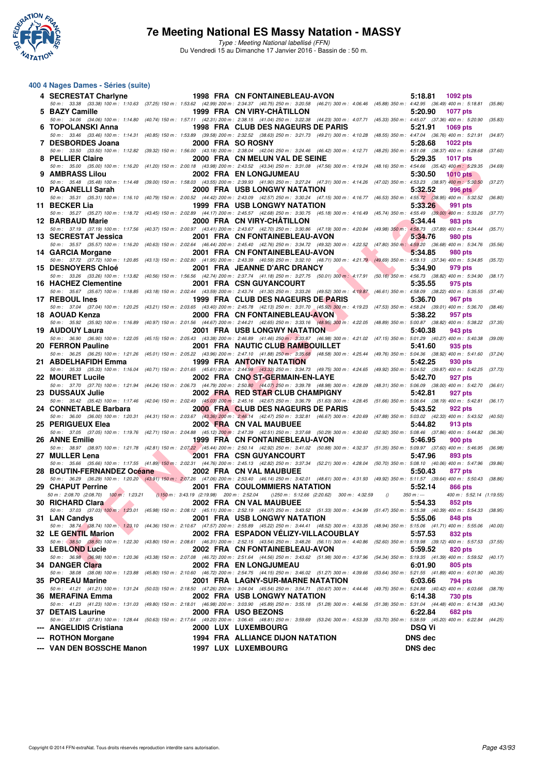

Type : Meeting National labellisé (FFN) Du Vendredi 15 au Dimanche 17 Janvier 2016 - Bassin de : 50 m.

#### **400 4 Nages Dames - Séries (suite)**

| 4 SECRESTAT Charlyne                                          |                                                               | 1998 FRA CN FONTAINEBLEAU-AVON                                                                                                                                                                                                    |          | 5:18.81 1092 pts                                                      |         |
|---------------------------------------------------------------|---------------------------------------------------------------|-----------------------------------------------------------------------------------------------------------------------------------------------------------------------------------------------------------------------------------|----------|-----------------------------------------------------------------------|---------|
| 5 BAZY Camille                                                |                                                               | 50 m: 33.38 (33.38) 100 m: 1:10.63 (37.25) 150 m: 1:53.62 (42.99) 200 m: 2:34.37 (40.75) 250 m: 3:20.58 (46.21) 300 m: 4:06.46 (45.88) 350 m: 4:42.95 (36.49) 400 m: 5:18.81 (35.86)<br>1999 FRA CN VIRY-CHATILLON                |          | 5:20.90<br><b>1077 pts</b>                                            |         |
| 6 TOPOLANSKI Anna                                             |                                                               | 50 m: 34.06 (34.06) 100 m: 1:14.80 (40.74) 150 m: 1:57.11 (42.31) 200 m: 2:38.15 (41.04) 250 m: 3:22.38 (44.23) 300 m: 4:07.71 (45.33) 350 m: 4:45.07 (37.36) 400 m: 5:20.90 (35.83)<br><b>1998 FRA CLUB DES NAGEURS DE PARIS</b> |          | 5:21.91<br>1069 pts                                                   |         |
| 7 DESBORDES Joana                                             |                                                               | 50 m: 33.46 (33.46) 100 m: 1:14.31 (40.85) 150 m: 1:53.89 (39.58) 200 m: 2:32.52 (38.63) 250 m: 3:21.73 (49.21) 300 m: 4:10.28 (48.55) 350 m: 4:47.04 (36.76) 400 m: 5:21.91<br>2000 FRA SO ROSNY                                 |          | 5:28.68<br><b>1022 pts</b>                                            | (34.87) |
| 8 PELLIER Claire                                              |                                                               | 50 m: 33.50 (33.50) 100 m: 1:12.82 (39.32) 150 m: 1:56.00 (43.18) 200 m: 2:38.04 (42.04) 250 m: 3:24.46 (46.42) 300 m: 4:12.71 (48.25) 350 m: 4:51.08 (38.37) 400 m: 5:28.68<br>2000 FRA CN MELUN VAL DE SEINE                    |          | 5:29.35<br><b>1017 pts</b>                                            | (37.60) |
| 9 AMBRASS Lilou                                               |                                                               | 50 m: 35.00 (35.00) 100 m: 1:16.20 (41.20) 150 m: 2:00.18 (43.98) 200 m: 2:43.52 (43.34) 250 m: 3:31.08 (47.56) 300 m: 4:19.24 (48.16) 350 m: 4:54.66 (35.42) 400 m: 5:29.35 (34.69)<br>2002 FRA EN LONGJUMEAU                    |          | 5:30.50<br><b>1010 pts</b>                                            |         |
|                                                               |                                                               | 50 m: 35.48 (35.48) 100 m: 1:14.48 (39.00) 150 m: 1:58.03 (43.55) 200 m: 2:39.93 (41.90) 250 m: 3:27.24 (47.31) 300 m: 4:14.26 (47.02) 350 m: 4:53.23 (38.97) 400 m: 5:30.50                                                      |          |                                                                       | (37.27) |
| 10 PAGANELLI Sarah                                            |                                                               | <b>2000 FRA USB LONGWY NATATION</b><br>50 m: 35.31 (35.31) 100 m: 1:16.10 (40.79) 150 m: 2:00.52 (44.42) 200 m: 2:43.09 (42.57) 250 m: 3:30.24 (47.15) 300 m: 4:16.77 (46.53) 350 m: 4:55.72 (38.95) 400 m: 5:32.52 (36.80)       |          | 5:32.52<br><b>996 pts</b>                                             |         |
| 11 BECKER Lia                                                 |                                                               | <b>1999 FRA USB LONGWY NATATION</b><br>50 m: 35.27 (35.27) 100 m: 1:18.72 (43.45) 150 m: 2:02.89 (44.17) 200 m: 2:45.57 (42.68) 250 m: 3:30.75 (45.18) 300 m: 4:16.49 (45.74) 350 m: 4:55.49 (39.00) 400 m: 5:33.26 (37.77)       |          | 5:33.26<br>991 pts                                                    |         |
| 12 BARBAUD Marie                                              |                                                               | 2000 FRA CN VIRY-CHATILLON<br>50 m: 37.19 (37.19) 100 m: 1:17.56 (40.37) 150 m: 2:00.97 (43.41) 200 m: 2:43.67 (42.70) 250 m: 3:30.86 (47.19) 300 m: 4:20.84 (49.98) 350 m: 4:58.73 (37.89) 400 m: 5:34.44                        |          | 5:34.44<br>983 pts                                                    | (35.71) |
| 13 SECRESTAT Jessica                                          |                                                               | 2001 FRA CN FONTAINEBLEAU-AVON<br>50 m : 35.57 (35.57) 100 m : 1:16.20 (40.63) 150 m : 2:02.64 (46.44) 200 m : 2:45.40 (42.76) 250 m : 3:34.72 (49.32) 300 m : 4:22.52 (47.80) 350 m : 4:59.20 (36.68) 400 m : 5:34.76            |          | 5:34.76<br><b>980 pts</b>                                             | (35.56) |
| 14 GARCIA Morgane                                             |                                                               | 2001 FRA CN FONTAINEBLEAU-AVON                                                                                                                                                                                                    |          | 5:34.85<br>980 pts                                                    |         |
| <b>15 DESNOYERS Chloé</b>                                     |                                                               | 50 m: 37.72 (37.72) 100 m: 1:20.85 (43.13) 150 m: 2:02.80 (41.95) 200 m: 2:43.39 (40.59) 250 m: 3:32.10 (48.71) 300 m: 4:21.79 (49.69) 350 m: 4:59.13 (37.34) 400 m: 5:34.85 (35.72)<br>2001 FRA JEANNE D'ARC DRANCY              |          | 5:34.90<br>979 pts                                                    |         |
| <b>16 HACHEZ Clementine</b>                                   |                                                               | 50 m: 33.26 (33.26) 100 m: 1:13.82 (40.56) 150 m: 1:56.56 (42.74) 200 m: 2:37.74 (41.18) 250 m: 3:27.75 (50.01) 300 m: 4:17.91 (50.16) 350 m: 4:56.73 (38.82) 400 m: 5:34.90 (38.17)<br>2001 FRA CSN GUYANCOURT                   |          | 5:35.55<br>975 pts                                                    |         |
| 17 REBOUL Ines                                                |                                                               | 50 m: 35.67 (35.67) 100 m: 1:18.85 (43.18) 150 m: 2:02.44 (43.59) 200 m: 2:43.74 (41.30) 250 m: 3:33.26 (49.52) 300 m: 4:19.87 (46.61) 350 m: 4:58.09 (38.22) 400 m: 5:35.55 (37.46)<br>1999 FRA CLUB DES NAGEURS DE PARIS        |          | 5:36.70<br>967 pts                                                    |         |
|                                                               |                                                               | 50 m : 37.04 (37.04) 100 m : 1:20.25 (43.21) 150 m : 2:03.65 (43.40) 200 m : 2:45.78 (42.13) 250 m : 3:31.70 (45.92) 300 m : 4:19.23 (47.53) 350 m : 4:58.24 (39.01) 400 m : 5:36.70 (38.46)                                      |          |                                                                       |         |
| 18 AOUAD Kenza                                                |                                                               | 2000 FRA CN FONTAINEBLEAU-AVON<br>50 m: 35.92 (35.92) 100 m: 1:16.89 (40.97) 150 m: 2:01.56 (44.67) 200 m: 2:44.21 (42.65) 250 m: 3:33.16 (48.95) 300 m: 4:22.05 (48.89) 350 m: 5:00.87 (38.82) 400 m: 5:38.22                    |          | 5:38.22<br>957 pts                                                    | (37.35) |
| 19 AUDOUY Laura                                               |                                                               | <b>2001 FRA USB LONGWY NATATION</b><br>50 m: 36.90 (36.90) 100 m: 1:22.05 (45.15) 150 m: 2:05.43 (43.38) 200 m: 2:46.89 (41.46) 250 m; 3:33.87 (46.98) 300 m: 4:21.02 (47.15) 350 m: 5:01.29 (40.27) 400 m: 5:40.38 (39.09)       |          | 5:40.38<br>943 pts                                                    |         |
| 20 FERRON Pauline                                             |                                                               | 2001 FRA NAUTIC CLUB RAMBOUILLET<br>50 m: 36.25 (36.25) 100 m: 1:21.26 (45.01) 150 m: 2:05.22 (43.96) 200 m: 2:47.10 (41.88) 250 m: 3:35.68 (48.58) 300 m: 4:25.44 (49.76) 350 m: 5:04.36 (38.92) 400 m: 5:41.60 (37.24)          |          | 5:41.60<br>935 pts                                                    |         |
| 21 ABDELHAFIDH Emma                                           |                                                               | <b>1999 FRA ANTONY NATATION</b><br>50 m: 35.33 (35.33) 100 m: 1:16.04 (40.71) 150 m: 2:01.65 (45.61) 200 m: 2:44.98 (43.33) 250 m: 3:34.73 (49.75) 300 m: 4:24.65 (49.92) 350 m: 5:04.52 (39.87) 400 m: 5:42.25 (37.73)           |          | 5:42.25<br>930 pts                                                    |         |
| 22 MOURET Lucile                                              |                                                               | 2002 FRA CNO ST-GERMAIN-EN-LAYE                                                                                                                                                                                                   |          | 5:42.70<br>927 pts                                                    |         |
| 23 DUSSAUX Julie                                              |                                                               | 50 m : 37.70 (37.70) 100 m : 1:21.94 (44.24) 150 m : 2:06.73 (44.79) 200 m : 2:50.80 (44.07) 250 m : 3:39.78 (48.98) 300 m : 4:28.09 (48.31) 350 m : 5:06.09 (38.00) 400 m : 5:42.70 (36.61)<br>2002 FRA RED STAR CLUB CHAMPIGNY  |          | 5:42.81<br>927 pts                                                    |         |
| 24 CONNETABLE Barbara                                         |                                                               | 50 m: 35.42 (35.42) 100 m: 1:17.46 (42.04) 150 m: 2:02.49 (45.03) 200 m: 2:45.16 (42.67) 250 m: 3:36.79 (51.63) 300 m: 4:28.45 (51.66) 350 m: 5:06.64 (38.19) 400 m: 5:42.81<br>2000 FRA CLUB DES NAGEURS DE PARIS                |          | 5:43.52<br>922 pts                                                    | (36.17) |
| 25 PERIGUEUX Elea                                             |                                                               | 50 m: 36.00 (36.00) 100 m: 1:20.31 (44.31) 150 m: 2:03.67 (43.36) 200 m: 2:46.14 (42.47) 250 m: 3:32.81 (46.67) 300 m: 4:20.69 (47.88) 350 m: 5:03.02 (42.33) 400 m: 5:43.52 (40.50)<br>2002 FRA CN VAL MAUBUEE                   |          | 5:44.82<br>913 pts                                                    |         |
| 26 ANNE Emilie                                                |                                                               | 50 m : 37.05 (37.05) 100 m : 1:19.76 (42.71) 150 m : 2:04.88 (45.12) 200 m : 2:47.39 (42.51) 250 m : 3:37.68 (50.29) 300 m : 4:30.60 (52.92) 350 m : 5:08.46 (37.06) 400 m : 5:44.82 (36.36)<br>1999 FRA CN FONTAINEBLEAU-AVON    |          | 5:46.95<br><b>900 pts</b>                                             |         |
| 27 MULLER Lena                                                |                                                               | 50 m: 38.97 (38.97) 100 m: 1:21.78 (42.81) 150 m: 2:07.22 (45.44) 200 m: 2:50.14 (42.92) 250 m: 3:41.02 (50.88) 300 m: 4:32.37 (51.35) 350 m: 5:09.97 (37.60) 400 m: 5:46.95 (36.98)<br><b>2001 FRA CSN GUYANCOURT</b>            |          | 5:47.96<br>893 pts                                                    |         |
| 28 BOUTIN-FERNANDEZ Océane                                    |                                                               | 50 m: 35.66 (35.66) 100 m: 1:17.55 (41.89) 150 m: 2:02.31 (44.76) 200 m: 2:45.13 (42.82) 250 m: 3:37.34 (52.21) 300 m: 4:28.04 (50.70) 350 m: 5:08.10 (40.06) 400 m: 5:47.96 (39.86)<br>2002 FRA CN VAL MAUBUEE                   |          | 5:50.43<br>877 pts                                                    |         |
|                                                               |                                                               | 50 m : 36.29 (36.29) 100 m : 1:20.20 (43.91) 150 m : 2:07.26 (47.06) 200 m : 2:53.40 (46.14) 250 m : 3:42.01 (48.61) 300 m : 4:31.93 (49.92) 350 m : 5:11.57 (39.64) 400 m : 5:50.43 (38.86)                                      |          |                                                                       |         |
| 29 CHAPUT Perrine<br>50 m : 2:08.70 (2:08.70) 100 m : 1:23.21 | $(150 \text{ m} : 3:43.19 \text{ } (2:19.98)$ 200 m : 2:52.04 | <b>2001 FRA COULOMMIERS NATATION</b><br>() 250 m : 5:12.66 (2:20.62) 300 m : 4:32.59                                                                                                                                              | $\theta$ | 5:52.14<br>866 pts<br>$350 m : -$<br>400 m: 5:52.14 (1:19.55)         |         |
| 30 RICHARD Clara                                              |                                                               | 2002 FRA CN VAL MAUBUEE<br>50 m: 37.03 (37.03) 100 m: 1:23.01 (45.98) 150 m: 2:08.12 (45.11) 200 m: 2:52.19 (44.07) 250 m: 3:43.52 (51.33) 300 m: 4:34.99 (51.47) 350 m: 5:15.38 (40.39) 400 m: 5:54.33                           |          | 5:54.33<br>852 pts                                                    | (38.95) |
| 31 LAN Candys                                                 |                                                               | <b>2001 FRA USB LONGWY NATATION</b><br>50 m: 38.74 (38.74) 100 m: 1:23.10 (44.36) 150 m: 2:10.67 (47.57) 200 m: 2:55.89 (45.22) 250 m: 3:44.41 (48.52) 300 m: 4:33.35 (48.94) 350 m: 5:15.06 (41.71) 400 m: 5:55.06 (40.00)       |          | 5:55.06<br>848 pts                                                    |         |
| 32 LE GENTIL Marion                                           |                                                               | 2002 FRA ESPADON VÉLIZY-VILLACOUBLAY                                                                                                                                                                                              |          | 5:57.53<br>832 pts                                                    |         |
| 33 LEBLOND Lucie                                              |                                                               | 50 m: 38.50 (38.50) 100 m: 1:22.30 (43.80) 150 m: 2:08.61 (46.31) 200 m: 2:52.15 (43.54) 250 m: 3:48.26 (56.11) 300 m: 4:40.86 (52.60) 350 m: 5:19.98 (39.12) 400 m: 5:57.53<br>2002 FRA CN FONTAINEBLEAU-AVON                    |          | 5:59.52<br>820 pts                                                    | (37.55) |
| 34 DANGER Clara                                               |                                                               | 50 m : 36.98 (36.98) 100 m : 1:20.36 (43.38) 150 m : 2:07.08 (46.72) 200 m : 2:51.64 (44.56) 250 m : 3:43.62 (51.98) 300 m : 4:37.96<br><b>2002 FRA EN LONGJUMEAU</b>                                                             |          | (54.34) 350 m : 5:19.35 (41.39) 400 m : 5:59.52<br>6:01.90<br>805 pts | (40.17) |
| 35 POREAU Marine                                              |                                                               | 50 m: 38.08 (38.08) 100 m: 1:23.88 (45.80) 150 m: 2:10.60 (46.72) 200 m: 2:54.75 (44.15) 250 m: 3:46.02 (51.27) 300 m: 4:39.66 (53.64) 350 m: 5:21.55 (41.89) 400 m: 6:01.90 (40.35)<br>2001 FRA LAGNY-SUR-MARNE NATATION         |          | 6:03.66<br>794 pts                                                    |         |
| 36 MERAFINA Emma                                              |                                                               | 50 m: 41.21 (41.21) 100 m: 1:31.24 (50.03) 150 m: 2:18.50 (47.26) 200 m: 3:04.04 (45.54) 250 m: 3:54.71 (50.67) 300 m: 4:44.46 (49.75) 350 m: 5:24.88 (40.42) 400 m: 6:03.66<br>2002 FRA USB LONGWY NATATION                      |          | 6:14.38<br>730 pts                                                    | (38.78) |
|                                                               |                                                               | 50 m: 41.23 (41.23) 100 m: 1:31.03 (49.80) 150 m: 2:18.01 (46.98) 200 m: 3:03.90 (45.89) 250 m: 3:55.18 (51.28) 300 m: 4:46.56 (51.38) 350 m: 5:31.04 (44.48) 400 m: 6:14.38 (43.34)                                              |          |                                                                       |         |
| 37 DETAIS Laurine                                             |                                                               | 2000 FRA USO BEZONS<br>50 m: 37.81 (37.81) 100 m: 1:28.44 (50.63) 150 m: 2:17.64 (49.20) 200 m: 3:06.45 (48.81) 250 m: 3:59.69 (53.24) 300 m: 4:53.39 (53.70) 350 m: 5:38.59 (45.20) 400 m: 6:22.84 (44.25)                       |          | 6:22.84<br>682 pts                                                    |         |
| --- ANGELIDIS Cristiana<br>--- ROTHON Morgane                 |                                                               | 2000 LUX LUXEMBOURG<br>1994 FRA ALLIANCE DIJON NATATION                                                                                                                                                                           |          | <b>DSQ Vi</b><br><b>DNS dec</b>                                       |         |
| --- VAN DEN BOSSCHE Manon                                     |                                                               | 1997 LUX LUXEMBOURG                                                                                                                                                                                                               |          | <b>DNS dec</b>                                                        |         |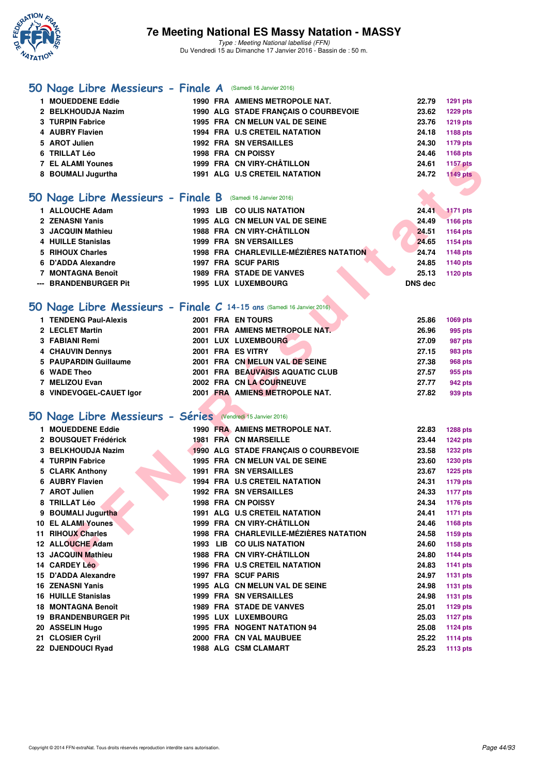

### **[50 Nage Libre Messieurs - Finale A](http://www.ffnatation.fr/webffn/resultats.php?idact=nat&go=epr&idcpt=35299&idepr=51)** (Samedi 16 Janvier 2016)

| 1 MOUEDDENE Eddie                                          |             | 1990 FRA AMIENS METROPOLE NAT.       | 22.79 | 1291 pts             |
|------------------------------------------------------------|-------------|--------------------------------------|-------|----------------------|
| 2 BELKHOUDJA Nazim                                         |             | 1990 ALG STADE FRANCAIS O COURBEVOIE | 23.62 | 1229 pts             |
| 3 TURPIN Fabrice                                           |             | 1995 FRA CN MELUN VAL DE SEINE       | 23.76 | 1219 pts             |
| 4 AUBRY Flavien                                            |             | 1994 FRA U.S CRETEIL NATATION        | 24.18 | 1188 pts             |
| 5 AROT Julien                                              |             | <b>1992 FRA SN VERSAILLES</b>        | 24.30 | 1179 pts             |
| 6 TRILLAT Léo                                              |             | <b>1998 FRA CN POISSY</b>            | 24.46 | 1168 pts             |
| <b>7 EL ALAMI Younes</b>                                   |             | 1999 FRA CN VIRY-CHÂTILLON           | 24.61 | <b>1157 pts</b>      |
| 8 BOUMALI Jugurtha                                         |             | <b>1991 ALG U.S CRETEIL NATATION</b> | 24.72 | <b>1149 pts</b>      |
| O Nage Libre Messieurs - Finale B (Samedi 16 Janvier 2016) |             |                                      |       |                      |
| $\overline{A}$ ALLOID LE A James                           | $1000 + 10$ | <b>COULIC MATATION</b>               | 04.44 | <b>ALACTER STATE</b> |

### **[50 Nage Libre Messieurs - Finale B](http://www.ffnatation.fr/webffn/resultats.php?idact=nat&go=epr&idcpt=35299&idepr=51)** (Samedi 16 Janvier 2016)

| 1 ALLOUCHE Adam       |  | 1993 LIB CO ULIS NATATION              | 24.41          | 1171 pts        |
|-----------------------|--|----------------------------------------|----------------|-----------------|
| 2 ZENASNI Yanis       |  | 1995 ALG CN MELUN VAL DE SEINE         | 24.49          | <b>1166 pts</b> |
| 3 JACQUIN Mathieu     |  | 1988 FRA CN VIRY-CHÂTILLON             | 24.51          | 1164 pts        |
| 4 HUILLE Stanislas    |  | <b>1999 FRA SN VERSAILLES</b>          | 24.65          | 1154 pts        |
| 5 RIHOUX Charles      |  | 1998 FRA CHARLEVILLE-MÉZIÈRES NATATION | 24.74          | 1148 pts        |
| 6 D'ADDA Alexandre    |  | <b>1997 FRA SCUF PARIS</b>             | 24.85          | 1140 pts        |
| 7 MONTAGNA Benoît     |  | <b>1989 FRA STADE DE VANVES</b>        | 25.13          | 1120 pts        |
| --- BRANDENBURGER Pit |  | 1995 LUX LUXEMBOURG                    | <b>DNS dec</b> |                 |

### **[50 Nage Libre Messieurs - Finale C](http://www.ffnatation.fr/webffn/resultats.php?idact=nat&go=epr&idcpt=35299&idepr=51) 14-15 ans** (Samedi 16 Janvier 2016)

| 1 TENDENG Paul-Alexis   | 2001 FRA EN TOURS                | 25.86 | 1069 pts |
|-------------------------|----------------------------------|-------|----------|
| 2 LECLET Martin         | 2001 FRA AMIENS METROPOLE NAT.   | 26.96 | 995 pts  |
| 3 FABIANI Remi          | 2001 LUX LUXEMBOURG              | 27.09 | 987 pts  |
| 4 CHAUVIN Dennys        | 2001 FRA ES VITRY                | 27.15 | 983 pts  |
| 5 PAUPARDIN Guillaume   | 2001 FRA CN MELUN VAL DE SEINE   | 27.38 | 968 pts  |
| 6 WADE Theo             | 2001 FRA BEAUVAISIS AQUATIC CLUB | 27.57 | 955 pts  |
| 7 MELIZOU Evan          | 2002 FRA CN LA COURNEUVE         | 27.77 | 942 pts  |
| 8 VINDEVOGEL-CAUET lgor | 2001 FRA AMIENS METROPOLE NAT.   | 27.82 | 939 pts  |
|                         |                                  |       |          |

### **[50 Nage Libre Messieurs - Séries](http://www.ffnatation.fr/webffn/resultats.php?idact=nat&go=epr&idcpt=35299&idepr=51)** (Vendredi 15 Janvier 2016)

| <b>7 EL ALAMI Younes</b>                                              |  | 1999 FRA CN VIRY-CHÂTILLON             | 24.61          | <b>1157 pts</b> |
|-----------------------------------------------------------------------|--|----------------------------------------|----------------|-----------------|
| 8 BOUMALI Jugurtha                                                    |  | 1991 ALG U.S CRETEIL NATATION          | 24.72          | <b>1149 pts</b> |
|                                                                       |  |                                        |                |                 |
| <b>iO Nage Libre Messieurs - Finale B</b> (Samedi 16 Janvier 2016)    |  |                                        |                |                 |
| 1 ALLOUCHE Adam                                                       |  | 1993 LIB CO ULIS NATATION              | 24.41          | <b>1171 pts</b> |
| 2 ZENASNI Yanis                                                       |  | 1995 ALG CN MELUN VAL DE SEINE         | 24.49          | <b>1166 pts</b> |
| 3 JACQUIN Mathieu                                                     |  | 1988 FRA CN VIRY-CHÂTILLON             | 24.51          | 1164 pts        |
| 4 HUILLE Stanislas                                                    |  | <b>1999 FRA SN VERSAILLES</b>          | 24.65          | <b>1154 pts</b> |
| 5 RIHOUX Charles                                                      |  | 1998 FRA CHARLEVILLE-MÉZIÈRES NATATION | 24.74          | 1148 pts        |
| 6 D'ADDA Alexandre                                                    |  | 1997 FRA SCUF PARIS                    | 24.85          | 1140 pts        |
| 7 MONTAGNA Benoît                                                     |  | <b>1989 FRA STADE DE VANVES</b>        | 25.13          | <b>1120 pts</b> |
| --- BRANDENBURGER Pit                                                 |  | 1995 LUX LUXEMBOURG                    | <b>DNS dec</b> |                 |
|                                                                       |  |                                        |                |                 |
| iO Nage Libre Messieurs - Finale C 14-15 ans (Samedi 16 Janvier 2016) |  |                                        |                |                 |
| 1 TENDENG Paul-Alexis                                                 |  | 2001 FRA EN TOURS                      | 25.86          | 1069 pts        |
| 2 LECLET Martin                                                       |  | 2001 FRA AMIENS METROPOLE NAT.         | 26.96          | 995 pts         |
| 3 FABIANI Remi                                                        |  | 2001 LUX LUXEMBOURG                    | 27.09          | 987 pts         |
| <b>4 CHAUVIN Dennys</b>                                               |  | 2001 FRA ES VITRY                      | 27.15          | 983 pts         |
| 5 PAUPARDIN Guillaume                                                 |  | 2001 FRA CN MELUN VAL DE SEINE         | 27.38          | <b>968 pts</b>  |
| 6 WADE Theo                                                           |  | 2001 FRA BEAUVAISIS AQUATIC CLUB       | 27.57          | 955 pts         |
| 7 MELIZOU Evan                                                        |  | 2002 FRA CN LA COURNEUVE               | 27.77          | 942 pts         |
| 8 VINDEVOGEL-CAUET Igor                                               |  | 2001 FRA AMIENS METROPOLE NAT.         | 27.82          | 939 pts         |
|                                                                       |  |                                        |                |                 |
| 50 Nage Libre Messieurs - Séries (Vendredi 15 Janvier 2016)           |  |                                        |                |                 |
| 1 MOUEDDENE Eddie                                                     |  | 1990 FRA AMIENS METROPOLE NAT.         | 22.83          | <b>1288 pts</b> |
| 2 BOUSQUET Frédérick                                                  |  | 1981 FRA CN MARSEILLE                  | 23.44          | <b>1242 pts</b> |
| 3 BELKHOUDJA Nazim                                                    |  | 1990 ALG STADE FRANÇAIS O COURBEVOIE   | 23.58          | 1232 pts        |
| 4 TURPIN Fabrice                                                      |  | 1995 FRA CN MELUN VAL DE SEINE         | 23.60          | 1230 pts        |
| 5 CLARK Anthony                                                       |  | <b>1991 FRA SN VERSAILLES</b>          | 23.67          | <b>1225 pts</b> |
| 6 AUBRY Flavien                                                       |  | 1994 FRA U.S CRETEIL NATATION          | 24.31          | <b>1179 pts</b> |
| 7 AROT Julien                                                         |  | <b>1992 FRA SN VERSAILLES</b>          | 24.33          | <b>1177 pts</b> |
| 8 TRILLAT Léo                                                         |  | 1998 FRA CN POISSY                     | 24.34          | 1176 pts        |
| 9 BOUMALI Jugurtha                                                    |  | <b>1991 ALG U.S CRETEIL NATATION</b>   | 24.41          | <b>1171 pts</b> |
| 10 EL ALAMI Younes                                                    |  | 1999 FRA CN VIRY-CHÂTILLON             | 24.46          | 1168 pts        |
| 11 RIHOUX Charles                                                     |  | 1998 FRA CHARLEVILLE-MÉZIÈRES NATATION | 24.58          | 1159 pts        |
| 12 ALLOUCHE Adam                                                      |  | 1993 LIB CO ULIS NATATION              | 24.60          | 1158 pts        |
| 13 JACQUIN Mathieu                                                    |  | 1988 FRA CN VIRY-CHÂTILLON             | 24.80          | <b>1144 pts</b> |
| 14 CARDEY Léo                                                         |  | <b>1996 FRA U.S CRETEIL NATATION</b>   | 24.83          | <b>1141 pts</b> |
| 15 D'ADDA Alexandre                                                   |  | <b>1997 FRA SCUF PARIS</b>             | 24.97          | <b>1131 pts</b> |
| 16 ZENASNI Yanis                                                      |  | 1995 ALG CN MELUN VAL DE SEINE         | 24.98          | 1131 pts        |
| <b>16 HUILLE Stanislas</b>                                            |  | <b>1999 FRA SN VERSAILLES</b>          | 24.98          | <b>1131 pts</b> |
| 18 MONTAGNA Benoît                                                    |  | <b>1989 FRA STADE DE VANVES</b>        | 25.01          | 1129 pts        |
| <b>19 BRANDENBURGER Pit</b>                                           |  | 1995 LUX LUXEMBOURG                    | 25.03          | <b>1127 pts</b> |
| 20 ASSELIN Hugo                                                       |  | <b>1995 FRA NOGENT NATATION 94</b>     | 25.08          | 1124 pts        |
| 21 CLOSIER Cyril                                                      |  | 2000 FRA CN VAL MAUBUEE                | 25.22<br>25.23 | 1114 pts        |
| 22 DJENDOUCI Ryad                                                     |  | 1988 ALG CSM CLAMART                   |                | 1113 pts        |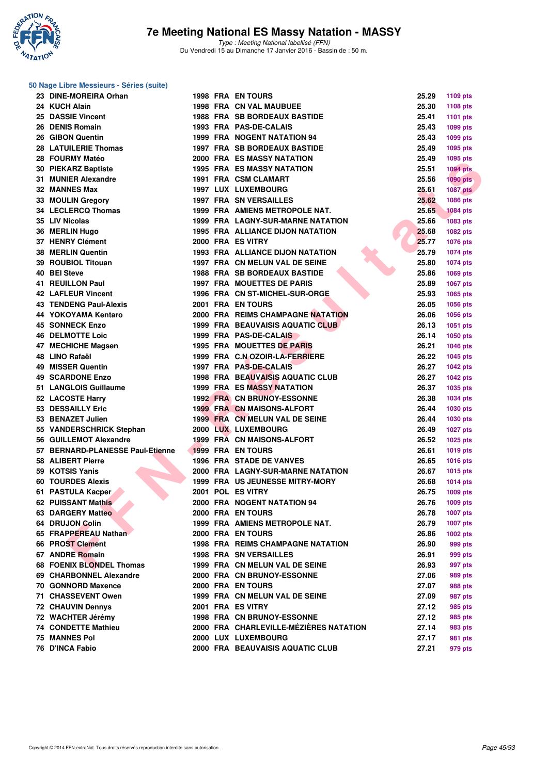

#### **50 Nage Libre Messieurs - Séries (suite)**

| 23 DINE-MOREIRA Orhan            |  | <b>1998 FRA EN TOURS</b>                 | 25.29 | 1109 pts        |
|----------------------------------|--|------------------------------------------|-------|-----------------|
| 24 KUCH Alain                    |  | <b>1998 FRA CN VAL MAUBUEE</b>           | 25.30 | <b>1108 pts</b> |
| 25 DASSIE Vincent                |  | <b>1988 FRA SB BORDEAUX BASTIDE</b>      | 25.41 | <b>1101 pts</b> |
| 26 DENIS Romain                  |  | 1993 FRA PAS-DE-CALAIS                   | 25.43 | 1099 pts        |
| 26 GIBON Quentin                 |  | <b>1999 FRA NOGENT NATATION 94</b>       | 25.43 | 1099 pts        |
| 28 LATUILERIE Thomas             |  | 1997 FRA SB BORDEAUX BASTIDE             | 25.49 | 1095 pts        |
| 28 FOURMY Matéo                  |  | <b>2000 FRA ES MASSY NATATION</b>        | 25.49 | 1095 pts        |
| 30 PIEKARZ Baptiste              |  | <b>1995 FRA ES MASSY NATATION</b>        | 25.51 | <b>1094 pts</b> |
| 31 MUNIER Alexandre              |  | <b>1991 FRA CSM CLAMART</b>              | 25.56 | $1090$ pts      |
| 32 MANNES Max                    |  | 1997 LUX LUXEMBOURG                      | 25.61 | <b>1087 pts</b> |
| 33 MOULIN Gregory                |  | 1997 FRA SN VERSAILLES                   | 25.62 | 1086 pts        |
| 34 LECLERCQ Thomas               |  | 1999 FRA AMIENS METROPOLE NAT.           | 25.65 | <b>1084 pts</b> |
| 35 LIV Nicolas                   |  | <b>1999 FRA LAGNY-SUR-MARNE NATATION</b> | 25.66 | <b>1083 pts</b> |
| 36 MERLIN Hugo                   |  | <b>1995 FRA ALLIANCE DIJON NATATION</b>  | 25.68 | 1082 pts        |
| 37 HENRY Clément                 |  | 2000 FRA ES VITRY                        | 25.77 | <b>1076 pts</b> |
| 38 MERLIN Quentin                |  | <b>1993 FRA ALLIANCE DIJON NATATION</b>  | 25.79 | <b>1074 pts</b> |
| 39 ROUBIOL Titouan               |  | 1997 FRA CN MELUN VAL DE SEINE           | 25.80 | <b>1074 pts</b> |
| 40 BEI Steve                     |  | <b>1988 FRA SB BORDEAUX BASTIDE</b>      | 25.86 | 1069 pts        |
| <b>41 REUILLON Paul</b>          |  | <b>1997 FRA MOUETTES DE PARIS</b>        | 25.89 | 1067 pts        |
| <b>42 LAFLEUR Vincent</b>        |  | 1996 FRA CN ST-MICHEL-SUR-ORGE           | 25.93 | 1065 pts        |
| <b>43 TENDENG Paul-Alexis</b>    |  | 2001 FRA EN TOURS                        | 26.05 | 1056 pts        |
| 44 YOKOYAMA Kentaro              |  | 2000 FRA REIMS CHAMPAGNE NATATION        | 26.06 | <b>1056 pts</b> |
| <b>45 SONNECK Enzo</b>           |  | 1999 FRA BEAUVAISIS AQUATIC CLUB         | 26.13 | 1051 pts        |
| <b>46 DELMOTTE Loic</b>          |  | 1999 FRA PAS-DE-CALAIS                   | 26.14 | 1050 pts        |
| 47 MECHICHE Magsen               |  | 1995 FRA MOUETTES DE PARIS               | 26.21 | 1046 pts        |
| 48 LINO Rafaël                   |  | 1999 FRA C.N.OZOIR-LA-FERRIERE           | 26.22 | <b>1045 pts</b> |
| 49 MISSER Quentin                |  | 1997 FRA PAS-DE-CALAIS                   | 26.27 |                 |
| <b>49 SCARDONE Enzo</b>          |  |                                          | 26.27 | <b>1042 pts</b> |
|                                  |  | <b>1998 FRA BEAUVAISIS AQUATIC CLUB</b>  | 26.37 | <b>1042 pts</b> |
| 51 LANGLOIS Guillaume            |  | <b>1999 FRA ES MASSY NATATION</b>        | 26.38 | 1035 pts        |
| 52 LACOSTE Harry                 |  | <b>1992 FRA CN BRUNOY-ESSONNE</b>        |       | 1034 pts        |
| 53 DESSAILLY Eric                |  | 1999 FRA CN MAISONS-ALFORT               | 26.44 | 1030 pts        |
| 53 BENAZET Julien                |  | 1999 FRA CN MELUN VAL DE SEINE           | 26.44 | 1030 pts        |
| 55 VANDERSCHRICK Stephan         |  | 2000 LUX LUXEMBOURG                      | 26.49 | <b>1027 pts</b> |
| 56 GUILLEMOT Alexandre           |  | 1999 FRA CN MAISONS-ALFORT               | 26.52 | 1025 pts        |
| 57 BERNARD-PLANESSE Paul-Etienne |  | <b>1999 FRA EN TOURS</b>                 | 26.61 | <b>1019 pts</b> |
| 58 ALIBERT Pierre                |  | <b>1996 FRA STADE DE VANVES</b>          | 26.65 | 1016 pts        |
| 59 KOTSIS Yanis                  |  | 2000 FRA LAGNY-SUR-MARNE NATATION        | 26.67 | 1015 pts        |
| <b>60 TOURDES Alexis</b>         |  | <b>1999 FRA US JEUNESSE MITRY-MORY</b>   | 26.68 | <b>1014 pts</b> |
| 61 PASTULA Kacper                |  | 2001 POL ES VITRY                        | 26.75 | $1009$ pts      |
| <b>62 PUISSANT Mathis</b>        |  | 2000 FRA NOGENT NATATION 94              | 26.76 | 1009 pts        |
| 63 DARGERY Matteo                |  | 2000 FRA ENTOURS                         | 26.78 | <b>1007 pts</b> |
| 64 DRUJON Colin                  |  | 1999 FRA AMIENS METROPOLE NAT.           | 26.79 | 1007 pts        |
| 65 FRAPPEREAU Nathan             |  | 2000 FRA EN TOURS                        | 26.86 | 1002 pts        |
| 66 PROST Clement                 |  | <b>1998 FRA REIMS CHAMPAGNE NATATION</b> | 26.90 | 999 pts         |
| 67 ANDRE Romain                  |  | <b>1998 FRA SN VERSAILLES</b>            | 26.91 | 999 pts         |
| <b>68 FOENIX BLONDEL Thomas</b>  |  | 1999 FRA CN MELUN VAL DE SEINE           | 26.93 | 997 pts         |
| 69 CHARBONNEL Alexandre          |  | 2000 FRA CN BRUNOY-ESSONNE               | 27.06 | 989 pts         |
| 70 GONNORD Maxence               |  | 2000 FRA EN TOURS                        | 27.07 | 988 pts         |
| 71 CHASSEVENT Owen               |  | 1999 FRA CN MELUN VAL DE SEINE           | 27.09 | 987 pts         |
| <b>72 CHAUVIN Dennys</b>         |  | 2001 FRA ES VITRY                        | 27.12 | 985 pts         |
| 72 WACHTER Jérémy                |  | <b>1998 FRA CN BRUNOY-ESSONNE</b>        | 27.12 | 985 pts         |
| 74 CONDETTE Mathieu              |  | 2000 FRA CHARLEVILLE-MÉZIÈRES NATATION   | 27.14 | 983 pts         |
| <b>75 MANNES Pol</b>             |  | 2000 LUX LUXEMBOURG                      | 27.17 | 981 pts         |
| 76 D'INCA Fabio                  |  | 2000 FRA BEAUVAISIS AQUATIC CLUB         | 27.21 | 979 pts         |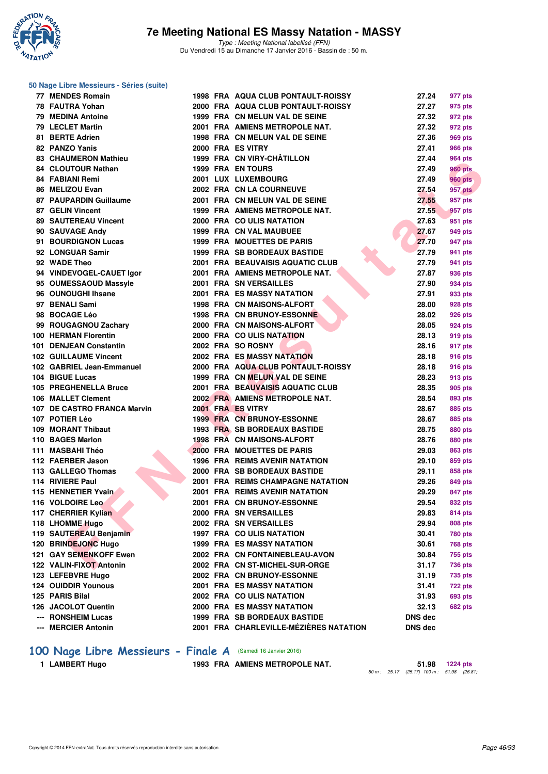

#### **50 Nage Libre Messieurs - Séries (suite)**

|     | 77 MENDES Romain             |  | 1998 FRA AQUA CLUB PONTAULT-ROISSY     | 27.24          | 977 pts                   |
|-----|------------------------------|--|----------------------------------------|----------------|---------------------------|
|     | 78 FAUTRA Yohan              |  | 2000 FRA AQUA CLUB PONTAULT-ROISSY     | 27.27          | 975 pts                   |
|     | <b>79 MEDINA Antoine</b>     |  | 1999 FRA CN MELUN VAL DE SEINE         | 27.32          | 972 pts                   |
|     | 79 LECLET Martin             |  | 2001 FRA AMIENS METROPOLE NAT.         | 27.32          | 972 pts                   |
|     | 81 BERTE Adrien              |  | 1998 FRA CN MELUN VAL DE SEINE         | 27.36          | 969 pts                   |
|     | 82 PANZO Yanis               |  | 2000 FRA ES VITRY                      | 27.41          | <b>966 pts</b>            |
|     | <b>83 CHAUMERON Mathieu</b>  |  | 1999 FRA CN VIRY-CHÂTILLON             | 27.44          | 964 pts                   |
|     | <b>84 CLOUTOUR Nathan</b>    |  | 1999 FRA EN TOURS                      | 27.49          | <b>960 pts</b>            |
|     | 84 FABIANI Remi              |  | 2001 LUX LUXEMBOURG                    | 27.49          | <b>960 pts</b>            |
|     | 86 MELIZOU Evan              |  | 2002 FRA CN LA COURNEUVE               | 27.54          | 957 pts                   |
|     | 87 PAUPARDIN Guillaume       |  | 2001 FRA CN MELUN VAL DE SEINE         | 27.55          | 957 pts                   |
|     | 87 GELIN Vincent             |  | 1999 FRA AMIENS METROPOLE NAT.         | 27.55          | 957 pts                   |
|     | <b>89 SAUTEREAU Vincent</b>  |  | 2000 FRA COULIS NATATION               | 27.63          | 951 pts                   |
|     | 90 SAUVAGE Andy              |  | <b>1999 FRA CN VAL MAUBUEE</b>         | 27.67          | 949 pts                   |
|     | 91 BOURDIGNON Lucas          |  | <b>1999 FRA MOUETTES DE PARIS</b>      | 27.70          | 947 pts                   |
|     | 92 LONGUAR Samir             |  | <b>1999 FRA SB BORDEAUX BASTIDE</b>    | 27.79          | 941 pts                   |
|     | 92 WADE Theo                 |  | 2001 FRA BEAUVAISIS AQUATIC CLUB       | 27.79          | 941 pts                   |
|     | 94 VINDEVOGEL-CAUET Igor     |  | 2001 FRA AMIENS METROPOLE NAT.         | 27.87          | 936 pts                   |
|     | 95 OUMESSAOUD Massyle        |  | 2001 FRA SN VERSAILLES                 | 27.90          | 934 pts                   |
|     | 96 OUNOUGHI Ihsane           |  | 2001 FRA ES MASSY NATATION             | 27.91          | 933 pts                   |
|     | 97 BENALI Sami               |  | <b>1998 FRA CN MAISONS-ALFORT</b>      | 28.00          | 928 pts                   |
|     | 98 BOCAGE Léo                |  | <b>1998 FRA CN BRUNOY-ESSONNE</b>      | 28.02          | 926 pts                   |
|     | 99 ROUGAGNOU Zachary         |  | 2000 FRA CN MAISONS-ALFORT             | 28.05          | 924 pts                   |
|     | <b>100 HERMAN Florentin</b>  |  | 2000 FRA COULIS NATATION               | 28.13          | 919 pts                   |
|     | 101 DENJEAN Constantin       |  | 2002 FRA SO ROSNY                      | 28.16          | 917 pts                   |
|     | <b>102 GUILLAUME Vincent</b> |  | <b>2002 FRA ES MASSY NATATION</b>      | 28.18          | 916 pts                   |
|     | 102 GABRIEL Jean-Emmanuel    |  | 2000 FRA AQUA CLUB PONTAULT-ROISSY     | 28.18          | 916 pts                   |
|     | 104 BIGUE Lucas              |  | 1999 FRA CN MELUN VAL DE SEINE         | 28.23          | 913 pts                   |
|     | 105 PREGHENELLA Bruce        |  | 2001 FRA BEAUVAISIS AQUATIC CLUB       | 28.35          | 905 pts                   |
|     | 106 MALLET Clement           |  | 2002 FRA AMIENS METROPOLE NAT.         | 28.54          | 893 pts                   |
|     | 107 DE CASTRO FRANCA Marvin  |  | 2001 FRA ES VITRY                      | 28.67          | 885 pts                   |
|     | 107 POTIER Léo               |  | 1999 FRA CN BRUNOY-ESSONNE             | 28.67          | 885 pts                   |
|     | 109 MORANT Thibaut           |  | <b>1993 FRA SB BORDEAUX BASTIDE</b>    | 28.75          | 880 pts                   |
|     | 110 BAGES Marlon             |  | 1998 FRA CN MAISONS-ALFORT             | 28.76          | 880 pts                   |
|     | 111 MASBAHI Théo             |  | 2000 FRA MOUETTES DE PARIS             | 29.03          | 863 pts                   |
|     | 112 FAERBER Jason            |  | <b>1996 FRA REIMS AVENIR NATATION</b>  | 29.10          | 859 pts                   |
|     | 113 GALLEGO Thomas           |  | 2000 FRA SB BORDEAUX BASTIDE           | 29.11          | 858 pts                   |
|     | 114 RIVIERE Paul             |  | 2001 FRA REIMS CHAMPAGNE NATATION      | 29.26          | 849 pts                   |
|     | 115 HENNETIER Yvain          |  | 2001 FRA REIMS AVENIR NATATION         | 29.29          | 847 pts                   |
|     | 116 VOLDOIRE Leo             |  | 2001 FRA CN BRUNOY-ESSONNE             | 29.54          | 832 pts                   |
|     | 117 CHERRIER Kylian          |  | <b>2000 FRA SN VERSAILLES</b>          | 29.83          | <b>814 pts</b>            |
|     | 118 LHOMME Hugo              |  | 2002 FRA SN VERSAILLES                 | 29.94          | <b>808 pts</b>            |
|     | 119 SAUTEREAU Benjamin       |  | <b>1997 FRA COULIS NATATION</b>        | 30.41          | 780 pts                   |
|     | 120 BRINDEJONC Hugo          |  | <b>1999 FRA ES MASSY NATATION</b>      | 30.61          | <b>768 pts</b>            |
|     | 121 GAY SEMENKOFF Ewen       |  | 2002 FRA CN FONTAINEBLEAU-AVON         | 30.84          | 755 pts                   |
|     | 122 VALIN-FIXOT Antonin      |  | 2002 FRA CN ST-MICHEL-SUR-ORGE         | 31.17          |                           |
|     | 123 LEFEBVRE Hugo            |  | 2002 FRA CN BRUNOY-ESSONNE             | 31.19          | 736 pts                   |
|     | <b>124 OUIDDIR Younous</b>   |  | <b>2001 FRA ES MASSY NATATION</b>      | 31.41          | 735 pts<br><b>722 pts</b> |
|     | 125 PARIS Bilal              |  | <b>2002 FRA COULIS NATATION</b>        | 31.93          | <b>693 pts</b>            |
|     | 126 JACOLOT Quentin          |  | 2000 FRA ES MASSY NATATION             | 32.13          | 682 pts                   |
|     | <b>RONSHEIM Lucas</b>        |  | <b>1999 FRA SB BORDEAUX BASTIDE</b>    | <b>DNS dec</b> |                           |
|     |                              |  | 2001 FRA CHARLEVILLE-MÉZIÈRES NATATION |                |                           |
| --- | <b>MERCIER Antonin</b>       |  |                                        | <b>DNS</b> dec |                           |

# **100 Nage Libre Messieurs - Finale A** (Samedi 16 Janvier 2016)<br>1 LAMBERT Hugo<br>1993 FRA AMIENS METROPO

**1993 FRA AMIENS METROPOLE NAT.** 

50 m : 25.17 (25.17)  $1.98$   $1224 \text{ pts}$ <br>50 m : 25.17 (25.17)  $100 \text{ m}$  : 51.98 (26.81)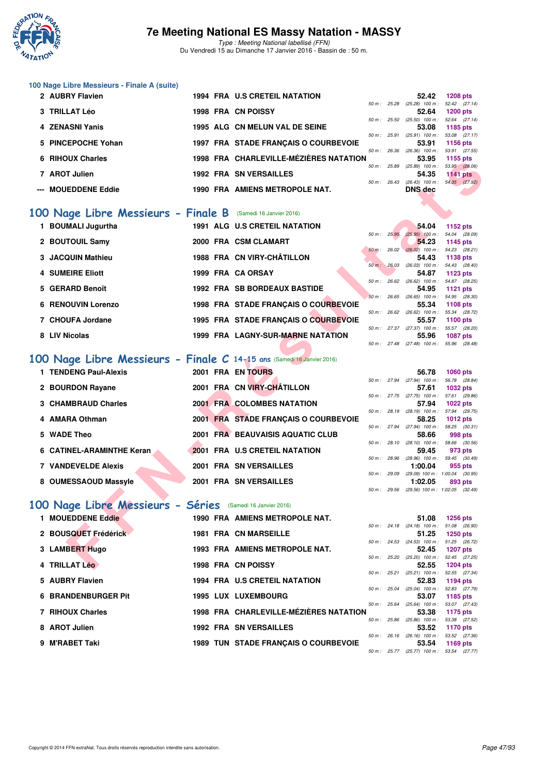

Type : Meeting National labellisé (FFN) Du Vendredi 15 au Dimanche 17 Janvier 2016 - Bassin de : 50 m.

|  |  | 100 Nage Libre Messieurs - Finale A (suite) |  |  |
|--|--|---------------------------------------------|--|--|
|--|--|---------------------------------------------|--|--|

| 2 AUBRY Flavien     |  | <b>1994 FRA U.S CRETEIL NATATION</b>   |                | 52.42                             | <b>1208 pts</b> |  |
|---------------------|--|----------------------------------------|----------------|-----------------------------------|-----------------|--|
|                     |  |                                        | $50 m$ : 25.28 | $(25.28)$ 100 m :                 | 52.42 (27.14)   |  |
| 3 TRILLAT Léo       |  | <b>1998 FRA CN POISSY</b>              |                | 52.64                             | $1200$ pts      |  |
|                     |  |                                        | 50 m: 25.50    | $(25.50)$ 100 m :                 | 52.64 (27.14)   |  |
| 4 ZENASNI Yanis     |  | 1995 ALG CN MELUN VAL DE SEINE         |                | 53.08                             | 1185 pts        |  |
|                     |  |                                        | $50 m$ : 25.91 | $(25.91)$ 100 m :                 | 53.08 (27.17)   |  |
| 5 PINCEPOCHE Yohan  |  | 1997 FRA STADE FRANCAIS O COURBEVOIE   |                | 53.91                             | 1156 pts        |  |
|                     |  |                                        | 50 m: 26.36    | $(26.36)$ 100 m : 53.91 $(27.55)$ |                 |  |
| 6 RIHOUX Charles    |  | 1998 FRA CHARLEVILLE-MÉZIÈRES NATATION |                | 53.95                             | 1155 pts        |  |
|                     |  |                                        | 50 m: 25.89    | $(25.89)$ 100 m :                 | 53.95 (28.06)   |  |
| 7 AROT Julien       |  | <b>1992 FRA SN VERSAILLES</b>          |                | 54.35                             | 1141 $pts$      |  |
|                     |  |                                        | $50 m$ : 26.43 | $(26.43)$ 100 m :                 | 54.35 (27.92)   |  |
| --- MOUEDDENE Eddie |  | 1990 FRA AMIENS METROPOLE NAT.         |                | <b>DNS</b> dec                    |                 |  |

### **[100 Nage Libre Messieurs - Finale B](http://www.ffnatation.fr/webffn/resultats.php?idact=nat&go=epr&idcpt=35299&idepr=52)** (Samedi 16 Janvier 2016)

| <b>NII IVUA VIIAHES</b>                                               |  | <b>CHARLEVILLE-MEZIERES NATATION</b> |              | ບບ.ບບ                                                         | <u>າ ເບບ ນເຣ</u>          |  |
|-----------------------------------------------------------------------|--|--------------------------------------|--------------|---------------------------------------------------------------|---------------------------|--|
| 7 AROT Julien                                                         |  | <b>1992 FRA SN VERSAILLES</b>        | 50 m : 25.89 | $(25.89)$ 100 m : 53.95 $(28.06)$<br>54.35                    | <b>1141 pts</b>           |  |
|                                                                       |  |                                      | 50 m: 26.43  | $(26.43)$ 100 m :                                             | 54.35 (27.92)             |  |
| --- MOUEDDENE Eddie                                                   |  | 1990 FRA AMIENS METROPOLE NAT.       |              | <b>DNS</b> dec                                                |                           |  |
|                                                                       |  |                                      |              |                                                               |                           |  |
| 00 Nage Libre Messieurs - Finale B (Samedi 16 Janvier 2016)           |  |                                      |              |                                                               |                           |  |
| 1 BOUMALI Jugurtha                                                    |  | <b>1991 ALG U.S CRETEIL NATATION</b> |              | 54.04                                                         | 1152 pts                  |  |
|                                                                       |  |                                      | 50 m: 25.95  | $(25.95)$ 100 m : 54.04 (28.09)                               |                           |  |
| 2 BOUTOUIL Samy                                                       |  | 2000 FRA CSM CLAMART                 |              | 54.23                                                         | 1145 pts                  |  |
| 3 JACQUIN Mathieu                                                     |  | 1988 FRA CN VIRY-CHÂTILLON           |              | $50 \text{ m}$ : 26.02 (26.02) 100 m : 54.23 (28.21)<br>54.43 | 1138 pts                  |  |
|                                                                       |  |                                      |              | 50 m: 26.03 (26.03) 100 m: 54.43 (28.40)                      |                           |  |
| 4 SUMEIRE Eliott                                                      |  | 1999 FRA CA ORSAY                    |              | 54.87                                                         | 1123 pts                  |  |
|                                                                       |  |                                      |              | 50 m : 26.62 (26.62) 100 m : 54.87 (28.25)                    |                           |  |
| 5 GERARD Benoît                                                       |  | <b>1992 FRA SB BORDEAUX BASTIDE</b>  |              | 54.95<br>50 m: 26.65 (26.65) 100 m: 54.95 (28.30)             | <b>1121 pts</b>           |  |
| <b>6 RENOUVIN Lorenzo</b>                                             |  | 1998 FRA STADE FRANÇAIS O COURBEVOIE |              | 55.34                                                         | 1108 pts                  |  |
|                                                                       |  |                                      |              | $50 m$ : $26.62$ $(26.62)$ $100 m$ :                          | 55.34 (28.72)             |  |
| 7 CHOUFA Jordane                                                      |  | 1995 FRA STADE FRANÇAIS O COURBEVOIE |              | 55.57                                                         | <b>1100 pts</b>           |  |
|                                                                       |  |                                      |              | 50 m: 27.37 (27.37) 100 m: 55.57 (28.20)                      |                           |  |
| 8 LIV Nicolas                                                         |  | 1999 FRA LAGNY-SUR-MARNE NATATION    |              | 55.96<br>50 m: 27.48 (27.48) 100 m: 55.96 (28.48)             | <b>1087 pts</b>           |  |
|                                                                       |  |                                      |              |                                                               |                           |  |
| 00 Nage Libre Messieurs - Finale C 14-15 ans (Samedi 16 Janvier 2016) |  |                                      |              |                                                               |                           |  |
| 1 TENDENG Paul-Alexis                                                 |  | 2001 FRA EN TOURS                    |              | 56.78                                                         | <b>1060 pts</b>           |  |
|                                                                       |  |                                      |              | 50 m: 27.94 (27.94) 100 m: 56.78 (28.84)                      |                           |  |
| 2 BOURDON Rayane                                                      |  | 2001 FRA CN VIRY-CHÂTILLON           |              | 57.61                                                         | 1032 pts                  |  |
|                                                                       |  |                                      |              | 50 m: 27.75 (27.75) 100 m: 57.61 (29.86)                      |                           |  |
| <b>3 CHAMBRAUD Charles</b>                                            |  | <b>2001 FRA COLOMBES NATATION</b>    |              | 57.94<br>50 m: 28.19 (28.19) 100 m:                           | 1022 pts<br>57.94 (29.75) |  |
| 4 AMARA Othman                                                        |  | 2001 FRA STADE FRANÇAIS O COURBEVOIE |              | 58.25                                                         | 1012 pts                  |  |
|                                                                       |  |                                      |              | 50 m: 27.94 (27.94) 100 m: 58.25 (30.31)                      |                           |  |
| 5 WADE Theo                                                           |  | 2001 FRA BEAUVAISIS AQUATIC CLUB     |              | 58.66                                                         | 998 pts                   |  |
| 6 CATINEL-ARAMINTHE Keran                                             |  | 2001 FRA U.S CRETEIL NATATION        |              | 50 m: 28.10 (28.10) 100 m: 58.66 (30.56)<br>59.45             | 973 pts                   |  |
|                                                                       |  |                                      |              | 50 m : 28.96 (28.96) 100 m : 59.45 (30.49)                    |                           |  |
| <b>7 VANDEVELDE Alexis</b>                                            |  | 2001 FRA SN VERSAILLES               |              | 1:00.04                                                       | 955 pts                   |  |
|                                                                       |  |                                      |              | 50 m: 29.09 (29.09) 100 m: 1:00.04 (30.95)                    |                           |  |
| 8 OUMESSAOUD Massyle                                                  |  | 2001 FRA SN VERSAILLES               |              | 1:02.05<br>50 m: 29.56 (29.56) 100 m: 1:02.05 (32.49)         | 893 pts                   |  |
|                                                                       |  |                                      |              |                                                               |                           |  |
| 00 Nage Libre Messieurs - Séries                                      |  | (Samedi 16 Janvier 2016)             |              |                                                               |                           |  |
| 1 MOUEDDENE Eddie                                                     |  | 1990 FRA AMIENS METROPOLE NAT.       |              | 51.08                                                         | <b>1256 pts</b>           |  |
|                                                                       |  |                                      |              | 50 m: 24.18 (24.18) 100 m: 51.08 (26.90)                      |                           |  |
| 2 BOUSQUET Frédérick                                                  |  | <b>1981 FRA CN MARSEILLE</b>         |              | 51.25                                                         | 1250 pts                  |  |
|                                                                       |  |                                      |              | 50 m: 24.53 (24.53) 100 m: 51.25 (26.72)                      |                           |  |
| 3 LAMBERT Hugo                                                        |  | 1993 FRA AMIENS METROPOLE NAT.       |              | 52.45<br>50 m: 25.20 (25.20) 100 m: 52.45 (27.25)             | <b>1207 pts</b>           |  |
| 4 TRILLAT Léo                                                         |  | 1998 FRA CN POISSY                   |              | 52.55                                                         | <b>1204 pts</b>           |  |
|                                                                       |  |                                      |              |                                                               |                           |  |

# **[100 Nage Libre Messieurs - Finale C](http://www.ffnatation.fr/webffn/resultats.php?idact=nat&go=epr&idcpt=35299&idepr=52) 14-15 ans** (Samedi 16 Janvier 2016)

| 1 TENDENG Paul-Alexis      |  | 2001 FRA EN TOURS                    |        |                | 56.78                          | 1060 pts                    |  |
|----------------------------|--|--------------------------------------|--------|----------------|--------------------------------|-----------------------------|--|
|                            |  |                                      |        | 50 m: 27.94    | $(27.94)$ 100 m :              | 56.78 (28.                  |  |
| 2 BOURDON Rayane           |  | 2001 FRA CN VIRY-CHÂTILLON           |        |                | 57.61                          | 1032 pts                    |  |
|                            |  |                                      |        | $50 m$ : 27.75 | $(27.75)$ 100 m :              | 57.61 (29.                  |  |
| 3 CHAMBRAUD Charles        |  | <b>2001 FRA COLOMBES NATATION</b>    | 50 m : | 28.19          | 57.94<br>$(28.19)$ 100 m :     | 1022 pts<br>57.94 (29.      |  |
| 4 AMARA Othman             |  | 2001 FRA STADE FRANCAIS O COURBEVOIE |        |                | 58.25                          | 1012 pts                    |  |
|                            |  |                                      |        | 50 m: 27.94    | $(27.94)$ 100 m :              | 58.25 (30.                  |  |
| 5 WADE Theo                |  | 2001 FRA BEAUVAISIS AQUATIC CLUB     |        |                | 58.66                          | 998 pts                     |  |
|                            |  |                                      |        | 50 m: 28.10    | $(28.10)$ 100 m :              | 58.66 (30.                  |  |
| 6 CATINEL-ARAMINTHE Keran  |  | 2001 FRA U.S CRETEIL NATATION        |        |                | 59.45                          | 973 pts                     |  |
| <b>7 VANDEVELDE Alexis</b> |  | 2001 FRA SN VERSAILLES               | 50 m : | 28.96          | $(28.96)$ 100 m :<br>1:00.04   | $59.45$ $(30.4)$<br>955 pts |  |
|                            |  |                                      | 50 m : | 29.09          | $(29.09)$ 100 m : 1:00.04 (30. |                             |  |
| 8 OUMESSAOUD Massyle       |  | 2001 FRA SN VERSAILLES               |        |                | 1:02.05                        | 893 pts                     |  |
|                            |  |                                      |        |                |                                |                             |  |

### **[100 Nage Libre Messieurs - Séries](http://www.ffnatation.fr/webffn/resultats.php?idact=nat&go=epr&idcpt=35299&idepr=52)** (Samedi 16 Janvier 2016)

| 1 MOUEDDENE Eddie          |  | 1990 FRA AMIENS METROPOLE NAT.              |              |              | 51.08                             | <b>1256 pts</b> |
|----------------------------|--|---------------------------------------------|--------------|--------------|-----------------------------------|-----------------|
|                            |  |                                             |              | 50 m: 24.18  | $(24.18)$ 100 m :                 | 51.08 (26.90)   |
| 2 BOUSQUET Frédérick       |  | <b>1981 FRA CN MARSEILLE</b>                |              |              | 51.25                             | 1250 pts        |
|                            |  |                                             |              | 50 m : 24.53 | $(24.53)$ 100 m :                 | 51.25 (26.72)   |
| 3 LAMBERT Hugo             |  | <b>1993 FRA AMIENS METROPOLE NAT.</b>       |              |              | 52.45                             | <b>1207 pts</b> |
|                            |  |                                             |              | 50 m : 25.20 | $(25.20)$ 100 m :                 | 52.45 (27.25)   |
| 4 TRILLAT Léo              |  | <b>1998 FRA CN POISSY</b>                   |              |              | 52.55                             | <b>1204 pts</b> |
|                            |  |                                             |              | 50 m : 25.21 | $(25.21)$ 100 m :                 | 52.55 (27.34)   |
| 5 AUBRY Flavien            |  | <b>1994 FRA U.S CRETEIL NATATION</b>        |              |              | 52.83                             | 1194 pts        |
|                            |  |                                             | 50 m: 25.04  |              | $(25.04)$ 100 m :                 | 52.83 (27.79)   |
| <b>6 BRANDENBURGER Pit</b> |  | <b>1995 LUX LUXEMBOURG</b>                  |              |              | 53.07                             | 1185 pts        |
|                            |  |                                             | 50 m : 25.64 |              | $(25.64)$ 100 m :                 | 53.07 (27.43)   |
| 7 RIHOUX Charles           |  | 1998 FRA CHARLEVILLE-MÉZIÈRES NATATION      |              |              | 53.38                             | 1175 pts        |
|                            |  |                                             | 50 m : 25.86 |              | $(25.86)$ 100 m :                 | 53.38 (27.52)   |
| 8 AROT Julien              |  | <b>1992 FRA SN VERSAILLES</b>               |              |              | 53.52                             | 1170 pts        |
|                            |  |                                             | 50 m: 26.16  |              | $(26.16)$ 100 m :                 | 53.52 (27.36)   |
| 9 M'RABET Taki             |  | <b>1989 TUN STADE FRANCAIS O COURBEVOIE</b> |              |              | 53.54                             | 1169 pts        |
|                            |  |                                             |              | 50 m : 25.77 | $(25.77)$ 100 m : 53.54 $(27.77)$ |                 |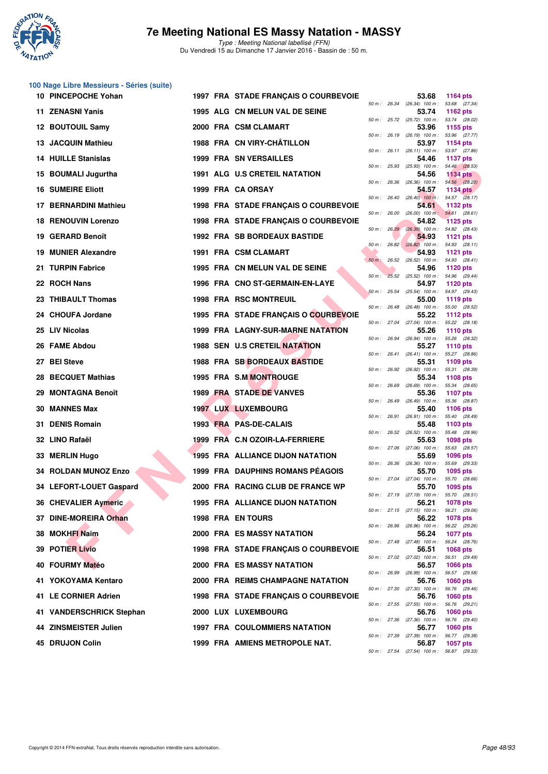

**100 Nage Libre Messieurs - Séries (suite)**

|     | 10 PINCEPOCHE Yohan        |  | 1997 FRA STADE FRANÇAIS O COURBEVOIE     |                |              | 53.68                                                                                         | <b>1164 pts</b>                  |
|-----|----------------------------|--|------------------------------------------|----------------|--------------|-----------------------------------------------------------------------------------------------|----------------------------------|
|     | 11 ZENASNI Yanis           |  | 1995 ALG CN MELUN VAL DE SEINE           |                | 50 m : 26.34 | $(26.34)$ 100 m :<br>53.74                                                                    | 53.68 (27.34)<br>1162 pts        |
|     | 12 BOUTOUIL Samy           |  | 2000 FRA CSM CLAMART                     |                |              | 50 m: 25.72 (25.72) 100 m: 53.74 (28.02)<br>53.96                                             | 1155 pts                         |
|     | 13 JACQUIN Mathieu         |  | 1988 FRA CN VIRY-CHATILLON               |                |              | 50 m : 26.19 (26.19) 100 m :<br>53.97                                                         | 53.96 (27.77)<br>1154 pts        |
|     | <b>14 HUILLE Stanislas</b> |  | <b>1999 FRA SN VERSAILLES</b>            |                |              | 50 m: 26.11 (26.11) 100 m: 53.97 (27.86)<br>54.46                                             | <b>1137 pts</b>                  |
|     | 15 BOUMALI Jugurtha        |  | 1991 ALG U.S CRETEIL NATATION            |                |              | 50 m: 25.93 (25.93) 100 m: 54.46 (28.53)<br>54.56                                             | <b>1134 pts</b>                  |
|     | <b>16 SUMEIRE Eliott</b>   |  | 1999 FRA CA ORSAY                        | 50 m: 26.36    |              | $(26.36)$ 100 m : 54.56 $(28.20)$<br>54.57                                                    | <b>1134 pts</b>                  |
|     | 17 BERNARDINI Mathieu      |  | 1998 FRA STADE FRANCAIS O COURBEVOIE     |                |              | 50 m: 26.40 (26.40) 100 m: 54.57 (28.17)<br>54.61                                             | 1132 pts                         |
|     | <b>18 RENOUVIN Lorenzo</b> |  | 1998 FRA STADE FRANÇAIS O COURBEVOIE     | 50 m: 26.00    |              | $(26.00)$ 100 m : 54.61 $(28.61)$<br>54.82                                                    | <b>1125 pts</b>                  |
| 19. | <b>GERARD Benoît</b>       |  | <b>1992 FRA SB BORDEAUX BASTIDE</b>      |                | 50 m : 26.39 | $(26.39)$ 100 m : 54.82 $(28.43)$<br>54.93                                                    | 1121 $pts$                       |
| 19. | <b>MUNIER Alexandre</b>    |  | 1991 FRA CSM CLAMART                     |                |              | $50 m$ : $26.82$ $(26.82)$ $100 m$ :<br>54.93                                                 | 54.93 (28.11)<br>1121 pts        |
| 21  | <b>TURPIN Fabrice</b>      |  | 1995 FRA CN MELUN VAL DE SEINE           | $50 m$ : 26.52 |              | $(26.52)$ 100 m : 54.93 $(28.41)$<br>54.96                                                    | <b>1120 pts</b>                  |
|     | 22 ROCH Nans               |  | 1996 FRA CNO ST-GERMAIN-EN-LAYE          |                |              | 50 m : 25.52 (25.52) 100 m : 54.96 (29.44)<br>54.97                                           | 1120 pts                         |
|     | 23 THIBAULT Thomas         |  | <b>1998 FRA RSC MONTREUIL</b>            | 50 m: 25.54    |              | $(25.54)$ 100 m : 54.97 (29.43)<br>55.00                                                      | 1119 pts                         |
|     | 24 CHOUFA Jordane          |  | 1995 FRA STADE FRANÇAIS O COURBEVOIE     |                |              | 50 m: 26.48 (26.48) 100 m: 55.00 (28.52)<br>55.22                                             | 1112 pts                         |
|     | 25 LIV Nicolas             |  | <b>1999 FRA LAGNY-SUR-MARNE NATATION</b> |                |              | 50 m: 27.04 (27.04) 100 m: 55.22 (28.18)<br>55.26<br>(26.94) 100 m: 55.26 (28.32)             | 1110 pts                         |
| 26  | <b>FAME Abdou</b>          |  | <b>1988 SEN U.S CRETEIL NATATION</b>     |                | 50 m : 26.94 | 55.27                                                                                         | <b>1110 pts</b>                  |
|     | 27 BEI Steve               |  | 1988 FRA SB BORDEAUX BASTIDE             |                |              | $50 m$ : 26.41 (26.41) 100 m :<br>55.31                                                       | 55.27 (28.86)<br>1109 pts        |
| 28  | <b>BECQUET Mathias</b>     |  | 1995 FRA S.M MONTROUGE                   |                |              | 50 m: 26.92 (26.92) 100 m: 55.31 (28.39)<br>55.34                                             | <b>1108 pts</b>                  |
| 29. | <b>MONTAGNA Benoît</b>     |  | <b>1989 FRA STADE DE VANVES</b>          |                |              | 50 m : 26.69 (26.69) 100 m :<br>55.36                                                         | 55.34 (28.65)<br><b>1107 pts</b> |
| 30. | <b>MANNES Max</b>          |  | <b>1997 LUX LUXEMBOURG</b>               | 50 m: 26.49    |              | $(26.49)$ 100 m :<br>55.40                                                                    | 55.36 (28.87)<br>1106 pts        |
| 31. | <b>DENIS Romain</b>        |  | 1993 FRA PAS-DE-CALAIS                   |                |              | 50 m: 26.91 (26.91) 100 m: 55.40 (28.49)<br>55.48                                             | 1103 pts                         |
|     | 32 LINO Rafaël             |  | 1999 FRA C.N OZOIR-LA-FERRIERE           | 50 m: 26.52    |              | $(26.52)$ 100 m :<br>55.63                                                                    | 55.48 (28.96)<br>1098 pts        |
| 33  | <b>MERLIN Hugo</b>         |  | <b>1995 FRA ALLIANCE DIJON NATATION</b>  | $50 m$ : 27.06 |              | $(27.06)$ 100 m :<br>55.69<br>50 m: 26.36 (26.36) 100 m: 55.69 (29.33)                        | 55.63 (28.57)<br>1096 pts        |
|     | 34 ROLDAN MUNOZ Enzo       |  | <b>1999 FRA DAUPHINS ROMANS PEAGOIS</b>  |                |              | 55.70                                                                                         | 1095 pts                         |
|     | 34 LEFORT-LOUET Gaspard    |  | 2000 FRA RACING CLUB DE FRANCE WP        |                | 50 m : 27.04 | (27.04) 100 m: 55.70 (28.66)<br>55.70                                                         | 1095 pts                         |
|     | 36 CHEVALIER Aymeric       |  | 1995 FRA ALLIANCE DIJON NATATION         |                |              | 50 m: 27.19 (27.19) 100 m: 55.70 (28.51)<br>56.21<br>50 m: 27.15 (27.15) 100 m: 56.21 (29.06) | 1078 pts                         |
|     | 37 DINE-MOREIRA Orhan      |  | <b>1998 FRA EN TOURS</b>                 |                |              | 56.22<br>50 m : 26.96 (26.96) 100 m : 56.22 (29.26)                                           | <b>1078 pts</b>                  |
|     | 38 MOKHFI Naim             |  | <b>2000 FRA ES MASSY NATATION</b>        |                |              | 56.24<br>50 m: 27.48 (27.48) 100 m: 56.24 (28.76)                                             | 1077 pts                         |
|     | <b>39 POTIER Livio</b>     |  | 1998 FRA STADE FRANÇAIS O COURBEVOIE     |                |              | 56.51<br>50 m: 27.02 (27.02) 100 m: 56.51 (29.49)                                             | 1068 pts                         |
|     | 40 FOURMY Matéo            |  | <b>2000 FRA ES MASSY NATATION</b>        |                |              | 56.57<br>50 m : 26.99 (26.99) 100 m : 56.57 (29.58)                                           | <b>1066 pts</b>                  |
|     | 41 YOKOYAMA Kentaro        |  | 2000 FRA REIMS CHAMPAGNE NATATION        |                |              | 56.76                                                                                         | 1060 pts                         |
|     | 41 LE CORNIER Adrien       |  | 1998 FRA STADE FRANÇAIS O COURBEVOIE     |                |              | 50 m : 27.30 (27.30) 100 m : 56.76 (29.46)<br>56.76                                           | 1060 pts                         |
|     | 41 VANDERSCHRICK Stephan   |  | 2000 LUX LUXEMBOURG                      |                |              | 50 m: 27.55 (27.55) 100 m: 56.76 (29.21)<br>56.76                                             | <b>1060 pts</b>                  |
|     | 44 ZINSMEISTER Julien      |  | <b>1997 FRA COULOMMIERS NATATION</b>     |                |              | 50 m : 27.36 (27.36) 100 m : 56.76 (29.40)<br>56.77                                           | 1060 pts                         |
|     | 45 DRUJON Colin            |  | 1999 FRA AMIENS METROPOLE NAT.           |                |              | 50 m : 27.39 (27.39) 100 m :<br>56.87<br>50 m : 27.54 (27.54) 100 m : 56.87 (29.33)           | 56.77 (29.38)<br>1057 pts        |
|     |                            |  |                                          |                |              |                                                                                               |                                  |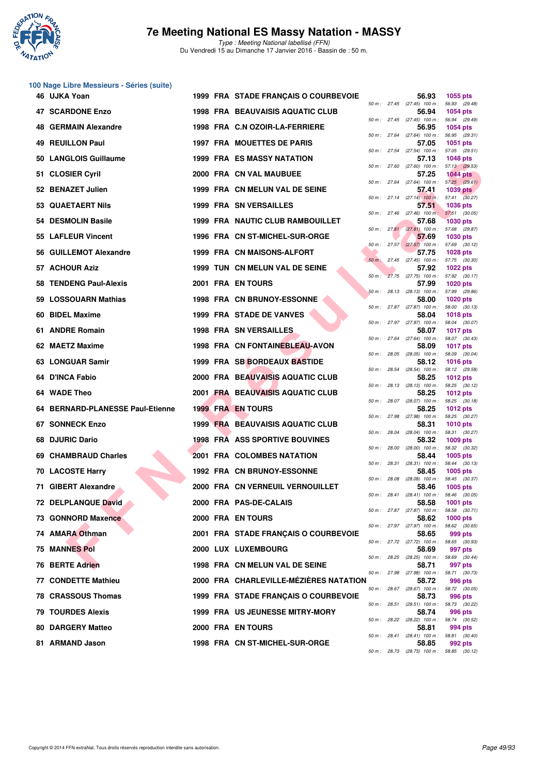

Type : Meeting National labellisé (FFN) Du Vendredi 15 au Dimanche 17 Janvier 2016 - Bassin de : 50 m.

# **100 Nage Libre Messieurs - Séries (suite)**

| 46 UJKA Yoan                     |  | 1999 FRA STADE FRANÇAIS O COURBEVOIE    |  | 56.93                                               | 1055 pts                         |  |
|----------------------------------|--|-----------------------------------------|--|-----------------------------------------------------|----------------------------------|--|
| <b>47 SCARDONE Enzo</b>          |  | <b>1998 FRA BEAUVAISIS AQUATIC CLUB</b> |  | 50 m: 27.45 (27.45) 100 m: 56.93 (29.48)<br>56.94   | <b>1054 pts</b>                  |  |
| 48 GERMAIN Alexandre             |  | 1998 FRA C.N OZOIR-LA-FERRIERE          |  | 50 m: 27.45 (27.45) 100 m: 56.94 (29.49)<br>56.95   | 1054 pts                         |  |
| 49 REUILLON Paul                 |  | 1997 FRA MOUETTES DE PARIS              |  | 50 m: 27.64 (27.64) 100 m: 56.95 (29.31)<br>57.05   | <b>1051 pts</b>                  |  |
| 50 LANGLOIS Guillaume            |  | <b>1999 FRA ES MASSY NATATION</b>       |  | 50 m: 27.54 (27.54) 100 m: 57.05 (29.51)<br>57.13   | <b>1048 pts</b>                  |  |
| 51 CLOSIER Cyril                 |  | 2000 FRA CN VAL MAUBUEE                 |  | 50 m: 27.60 (27.60) 100 m: 57.13 (29.53)<br>57.25   | 1044 pts                         |  |
| 52 BENAZET Julien                |  | 1999 FRA CN MELUN VAL DE SEINE          |  | 50 m: 27.64 (27.64) 100 m: 57.25 (29.61)<br>57.41   | <b>1039 pts</b>                  |  |
| 53 QUAETAERT Nils                |  | <b>1999 FRA SN VERSAILLES</b>           |  | 50 m: 27.14 (27.14) 100 m: 57.41 (30.27)<br>57.51   | <b>1036 pts</b>                  |  |
| 54 DESMOLIN Basile               |  | 1999 FRA NAUTIC CLUB RAMBOUILLET        |  | 50 m : 27.46 (27.46) 100 m : 57.51 (30.05)<br>57.68 | <b>1030 pts</b>                  |  |
| 55 LAFLEUR Vincent               |  | 1996 FRA CN ST-MICHEL-SUR-ORGE          |  | 50 m: 27.81 (27.81) 100 m: 57.68 (29.87)<br>57.69   | 1030 pts                         |  |
| 56 GUILLEMOT Alexandre           |  | 1999 FRA CN MAISONS-ALFORT              |  | 50 m: 27.57 (27.57) 100 m: 57.69 (30.12)<br>57.75   | <b>1028 pts</b>                  |  |
| 57 ACHOUR Aziz                   |  | 1999 TUN CN MELUN VAL DE SEINE          |  | 50 m : 27.45 (27.45) 100 m : 57.75 (30.30)<br>57.92 | 1022 pts                         |  |
| 58 TENDENG Paul-Alexis           |  | 2001 FRA EN TOURS                       |  | 50 m: 27.75 (27.75) 100 m: 57.92 (30.17)<br>57.99   | <b>1020 pts</b>                  |  |
| 59 LOSSOUARN Mathias             |  | <b>1998 FRA CN BRUNOY-ESSONNE</b>       |  | 50 m: 28.13 (28.13) 100 m: 57.99 (29.86)<br>58.00   | <b>1020 pts</b>                  |  |
| 60 BIDEL Maxime                  |  | 1999 FRA STADE DE VANVES                |  | 50 m: 27.87 (27.87) 100 m: 58.00 (30.13)<br>58.04   | <b>1018 pts</b>                  |  |
| 61 ANDRE Romain                  |  | <b>1998 FRA SN VERSAILLES</b>           |  | 50 m: 27.97 (27.97) 100 m: 58.04 (30.07)<br>58.07   | <b>1017 pts</b>                  |  |
| 62 MAETZ Maxime                  |  | 1998 FRA CN FONTAINEBLEAU-AVON          |  | 50 m : 27.64 (27.64) 100 m : 58.07 (30.43)<br>58.09 | <b>1017 pts</b>                  |  |
| 63 LONGUAR Samir                 |  | 1999 FRA SB BORDEAUX BASTIDE            |  | 50 m : 28.05 (28.05) 100 m : 58.09 (30.04)<br>58.12 | <b>1016 pts</b>                  |  |
| 64 D'INCA Fabio                  |  | 2000 FRA BEAUVAISIS AQUATIC CLUB        |  | 50 m: 28.54 (28.54) 100 m: 58.12 (29.58)<br>58.25   | <b>1012 pts</b>                  |  |
| 64 WADE Theo                     |  | 2001 FRA BEAUVAISIS AQUATIC CLUB        |  | 50 m : 28.13 (28.13) 100 m :<br>58.25               | 58.25 (30.12)<br>1012 $pts$      |  |
| 64 BERNARD-PLANESSE Paul-Etienne |  | <b>1999 FRA EN TOURS</b>                |  | 50 m: 28.07 (28.07) 100 m: 58.25 (30.18)<br>58.25   | 1012 $pts$                       |  |
| 67 SONNECK Enzo                  |  | 1999 FRA BEAUVAISIS AQUATIC CLUB        |  | 50 m: 27.98 (27.98) 100 m: 58.25 (30.27)<br>58.31   | <b>1010 pts</b>                  |  |
| 68 DJURIC Dario                  |  | <b>1998 FRA ASS SPORTIVE BOUVINES</b>   |  | 50 m: 28.04 (28.04) 100 m: 58.31 (30.27)<br>58.32   | $1009$ pts                       |  |
| 69 CHAMBRAUD Charles             |  | 2001 FRA COLOMBES NATATION              |  | 50 m : 28.00 (28.00) 100 m : 58.32 (30.32)<br>58.44 | $1005$ pts                       |  |
| <b>70 LACOSTE Harry</b>          |  | <b>1992 FRA CN BRUNOY-ESSONNE</b>       |  | 50 m: 28.31 (28.31) 100 m: 58.44 (30.13)<br>58.45   | $1005$ pts                       |  |
| 71 GIBERT Alexandre              |  | 2000 FRA CN VERNEUIL VERNOUILLET        |  | 50 m : 28.08 (28.08) 100 m : 58.45 (30.37)<br>58.46 | 1005 $pts$                       |  |
| 72 DELPLANQUE David              |  | 2000 FRA PAS-DE-CALAIS                  |  | 50 m: 28.41 (28.41) 100 m: 58.46 (30.05)<br>58.58   | <b>1001 pts</b>                  |  |
| 73 GONNORD Maxence               |  | 2000 FRA EN TOURS                       |  | 50 m : 27.87 (27.87) 100 m :<br>58.62               | 58.58 (30.71)<br><b>1000 pts</b> |  |
| 74 AMARA Othman                  |  | 2001 FRA STADE FRANÇAIS O COURBEVOIE    |  | 50 m: 27.97 (27.97) 100 m: 58.62 (30.65)<br>58.65   | 999 pts                          |  |
| <b>75 MANNES Pol</b>             |  | 2000 LUX LUXEMBOURG                     |  | 50 m: 27.72 (27.72) 100 m: 58.65 (30.93)<br>58.69   | 997 pts                          |  |
| 76 BERTE Adrien                  |  | 1998 FRA CN MELUN VAL DE SEINE          |  | 50 m : 28.25 (28.25) 100 m : 58.69 (30.44)<br>58.71 | 997 pts                          |  |
| 77 CONDETTE Mathieu              |  | 2000 FRA CHARLEVILLE-MÉZIÈRES NATATION  |  | 50 m: 27.98 (27.98) 100 m: 58.71 (30.73)<br>58.72   | <b>996 pts</b>                   |  |
| 78 CRASSOUS Thomas               |  | 1999 FRA STADE FRANÇAIS O COURBEVOIE    |  | 50 m : 28.67 (28.67) 100 m :<br>58.73               | 58.72 (30.05)<br><b>996 pts</b>  |  |
| <b>79 TOURDES Alexis</b>         |  | <b>1999 FRA US JEUNESSE MITRY-MORY</b>  |  | 50 m : 28.51 (28.51) 100 m : 58.73 (30.22)<br>58.74 | 996 pts                          |  |
|                                  |  |                                         |  | 50 m: 28.22 (28.22) 100 m: 58.74 (30.52)            |                                  |  |
| <b>80 DARGERY Matteo</b>         |  | 2000 FRA EN TOURS                       |  | 58.81<br>50 m : 28.41 (28.41) 100 m : 58.81 (30.40) | 994 pts                          |  |
| 81 ARMAND Jason                  |  | 1998 FRA CN ST-MICHEL-SUR-ORGE          |  | 58.85<br>50 m: 28.73 (28.73) 100 m: 58.85 (30.12)   | 992 pts                          |  |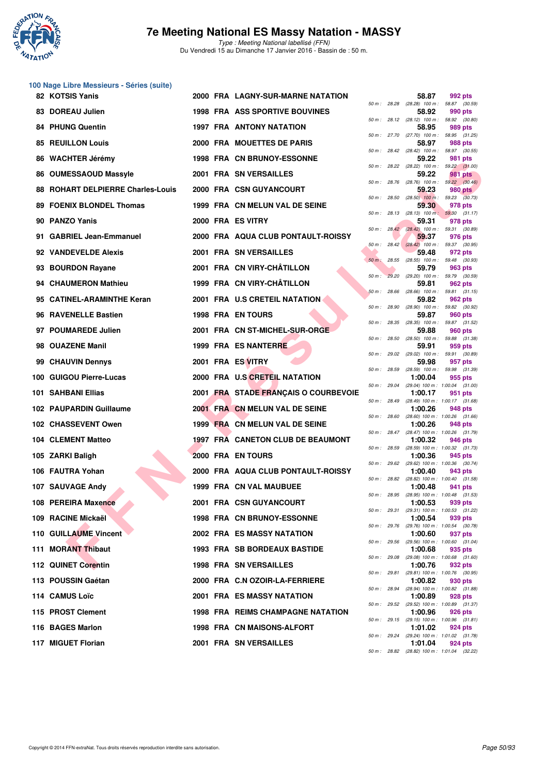

**100 Nage Libre Messieurs - Séries (suite)**

### **7e Meeting National ES Massy Natation - MASSY**

Type : Meeting National labellisé (FFN) Du Vendredi 15 au Dimanche 17 Janvier 2016 - Bassin de : 50 m.

|     | 82 KOTSIS Yanis                       |  | 2000 FRA LAGNY-SUR-MARNE NATATION        |                         |              | 58.87                                                                                 | 992 pts        |  |
|-----|---------------------------------------|--|------------------------------------------|-------------------------|--------------|---------------------------------------------------------------------------------------|----------------|--|
| 83  | <b>DOREAU Julien</b>                  |  | <b>1998 FRA ASS SPORTIVE BOUVINES</b>    | 50 m: 28.28             |              | (28.28) 100 m : 58.87 (30.59)<br>58.92                                                | 990 pts        |  |
| 84  | <b>PHUNG Quentin</b>                  |  | <b>1997 FRA ANTONY NATATION</b>          |                         |              | 50 m: 28.12 (28.12) 100 m: 58.92 (30.80)<br>58.95                                     | 989 pts        |  |
| 85  | <b>REUILLON Louis</b>                 |  | 2000 FRA MOUETTES DE PARIS               |                         |              | 50 m: 27.70 (27.70) 100 m: 58.95 (31.25)<br>58.97                                     | 988 pts        |  |
| 86  | <b>WACHTER Jérémy</b>                 |  | <b>1998 FRA CN BRUNOY-ESSONNE</b>        |                         |              | 50 m: 28.42 (28.42) 100 m: 58.97 (30.55)<br>59.22                                     | 981 pts        |  |
| 86  | <b>OUMESSAOUD Massyle</b>             |  | 2001 FRA SN VERSAILLES                   |                         |              | 50 m: 28.22 (28.22) 100 m: 59.22 (31.00)<br>59.22                                     | 981 pts        |  |
| 88  | <b>ROHART DELPIERRE Charles-Louis</b> |  | 2000 FRA CSN GUYANCOURT                  |                         |              | 50 m: 28.76 (28.76) 100 m: 59.22 (30.46)<br>59.23                                     | <b>980 pts</b> |  |
| 89  | <b>FOENIX BLONDEL Thomas</b>          |  | 1999 FRA CN MELUN VAL DE SEINE           |                         |              | 50 m : 28.50 (28.50) 100 m : 59.23 (30.73)<br>59.30                                   | 978 pts        |  |
| 90  | <b>PANZO Yanis</b>                    |  | 2000 FRA ES VITRY                        |                         |              | 50 m: 28.13 (28.13) 100 m: 59.30 (31.17)<br>59.31                                     | 978 pts        |  |
| 91  | <b>GABRIEL Jean-Emmanuel</b>          |  | 2000 FRA AQUA CLUB PONTAULT-ROISSY       |                         |              | 50 m : 28.42 (28.42) 100 m : 59.31 (30.89)<br>59.37                                   | 976 pts        |  |
|     | 92 VANDEVELDE Alexis                  |  | 2001 FRA SN VERSAILLES                   |                         |              | 50 m: 28.42 (28.42) 100 m: 59.37 (30.95)<br>59.48                                     | 972 pts        |  |
| 93  | <b>BOURDON Rayane</b>                 |  | 2001 FRA CN VIRY-CHÂTILLON               | $50 m$ :                |              | 28.55 (28.55) 100 m : 59.48 (30.93)<br>59.79                                          | 963 pts        |  |
| 94  | <b>CHAUMERON Mathieu</b>              |  | 1999 FRA CN VIRY-CHÂTILLON               | $50 m$ :<br>50 m: 28.66 | 29.20        | $(29.20)$ 100 m : 59.79 $(30.59)$<br>59.81<br>$(28.66)$ 100 m : 59.81 $(31.15)$       | 962 pts        |  |
| 95  | <b>CATINEL-ARAMINTHE Keran</b>        |  | 2001 FRA U.S CRETEIL NATATION            |                         |              | 59.82<br>50 m : 28.90 (28.90) 100 m : 59.82 (30.92)                                   | 962 pts        |  |
| 96  | <b>RAVENELLE Bastien</b>              |  | <b>1998 FRA EN TOURS</b>                 | 50 m: 28.35             |              | 59.87<br>$(28.35)$ 100 m : 59.87 $(31.52)$                                            | 960 pts        |  |
|     | 97 POUMAREDE Julien                   |  | 2001 FRA CN ST-MICHEL-SUR-ORGE           | 50 m: 28.50             |              | 59.88<br>(28.50) 100 m : 59.88 (31.38)                                                | 960 pts        |  |
| 98  | <b>OUAZENE Manil</b>                  |  | 1999 FRA ES NANTERRE                     | 50 m : 29.02            |              | 59.91<br>$(29.02)$ 100 m : 59.91 $(30.89)$                                            | 959 pts        |  |
| 99  | <b>CHAUVIN Dennys</b>                 |  | 2001 FRA ES VITRY                        | 50 m: 28.59             |              | 59.98                                                                                 | 957 pts        |  |
| 100 | <b>GUIGOU Pierre-Lucas</b>            |  | 2000 FRA U.S CRETEIL NATATION            |                         |              | (28.59) 100 m: 59.98 (31.39)<br>1:00.04<br>50 m: 29.04 (29.04) 100 m: 1:00.04 (31.00) | 955 pts        |  |
|     | 101 SAHBANI Ellias                    |  | 2001 FRA STADE FRANÇAIS O COURBEVOIE     | 50 m : 28.49            |              | 1:00.17<br>$(28.49)$ 100 m : 1:00.17 $(31.68)$                                        | 951 pts        |  |
|     | 102 PAUPARDIN Guillaume               |  | 2001 FRA CN MELUN VAL DE SEINE           |                         |              | 1:00.26<br>50 m: 28.60 (28.60) 100 m: 1:00.26 (31.66)                                 | 948 pts        |  |
|     | 102 CHASSEVENT Owen                   |  | 1999 FRA CN MELUN VAL DE SEINE           |                         | 50 m : 28.47 | 1:00.26<br>$(28.47)$ 100 m : 1:00.26 $(31.79)$                                        | 948 pts        |  |
|     | <b>104 CLEMENT Matteo</b>             |  | 1997 FRA CANETON CLUB DE BEAUMONT        | 50 m: 28.59             |              | 1:00.32<br>(28.59) 100 m : 1:00.32 (31.73)                                            | 946 pts        |  |
|     | 105 ZARKI Baligh                      |  | 2000 FRA EN TOURS                        | 50 m : 29.62            |              | 1:00.36<br>(29.62) 100 m: 1:00.36 (30.74)                                             | 945 pts        |  |
|     | 106 FAUTRA Yohan                      |  | 2000 FRA AQUA CLUB PONTAULT-ROISSY       |                         |              | 1:00.40<br>50 m : 28.82 (28.82) 100 m : 1:00.40 (31.58)                               | 943 pts        |  |
|     | 107 SAUVAGE Andy                      |  | 1999 FRA CN VAL MAUBUEE                  | 50 m : 28.95            |              | 1:00.48<br>(28.95) 100 m: 1:00.48 (31.53)                                             | 941 pts        |  |
|     | 108 PEREIRA Maxence                   |  | 2001 FRA CSN GUYANCOURT                  |                         |              | 1:00.53<br>50 m: 29.31 (29.31) 100 m: 1:00.53 (31.22)                                 | 939 pts        |  |
|     | 109 RACINE Mickaël                    |  | <b>1998 FRA CN BRUNOY-ESSONNE</b>        |                         |              | 1:00.54<br>50 m: 29.76 (29.76) 100 m: 1:00.54 (30.78)                                 | 939 pts        |  |
|     | <b>110 GUILLAUME Vincent</b>          |  | 2002 FRA ES MASSY NATATION               |                         |              | 1:00.60<br>50 m : 29.56 (29.56) 100 m : 1:00.60 (31.04)                               | 937 pts        |  |
|     | 111 MORANT Thibaut                    |  | <b>1993 FRA SB BORDEAUX BASTIDE</b>      |                         | 50 m : 29.08 | 1:00.68<br>$(29.08)$ 100 m : 1:00.68 $(31.60)$                                        | 935 pts        |  |
|     | 112 QUINET Corentin                   |  | <b>1998 FRA SN VERSAILLES</b>            |                         |              | 1:00.76<br>50 m: 29.81 (29.81) 100 m: 1:00.76 (30.95)                                 | 932 pts        |  |
|     | 113 POUSSIN Gaétan                    |  | 2000 FRA C.N OZOIR-LA-FERRIERE           |                         |              | 1:00.82<br>50 m : 28.94 (28.94) 100 m : 1:00.82 (31.88)                               | 930 pts        |  |
|     | 114 CAMUS Loïc                        |  | <b>2001 FRA ES MASSY NATATION</b>        |                         |              | 1:00.89<br>50 m: 29.52 (29.52) 100 m: 1:00.89 (31.37)                                 | 928 pts        |  |
|     | 115 PROST Clement                     |  | <b>1998 FRA REIMS CHAMPAGNE NATATION</b> |                         |              | 1:00.96<br>50 m : 29.15 (29.15) 100 m : 1:00.96 (31.81)                               | 926 pts        |  |
|     | 116 BAGES Marlon                      |  | 1998 FRA CN MAISONS-ALFORT               |                         |              | 1:01.02<br>50 m : 29.24 (29.24) 100 m : 1:01.02 (31.78)                               | 924 pts        |  |
|     | 117 MIGUET Florian                    |  | 2001 FRA SN VERSAILLES                   |                         |              | 1:01.04<br>50 m: 28.82 (28.82) 100 m: 1:01.04 (32.22)                                 | 924 pts        |  |
|     |                                       |  |                                          |                         |              |                                                                                       |                |  |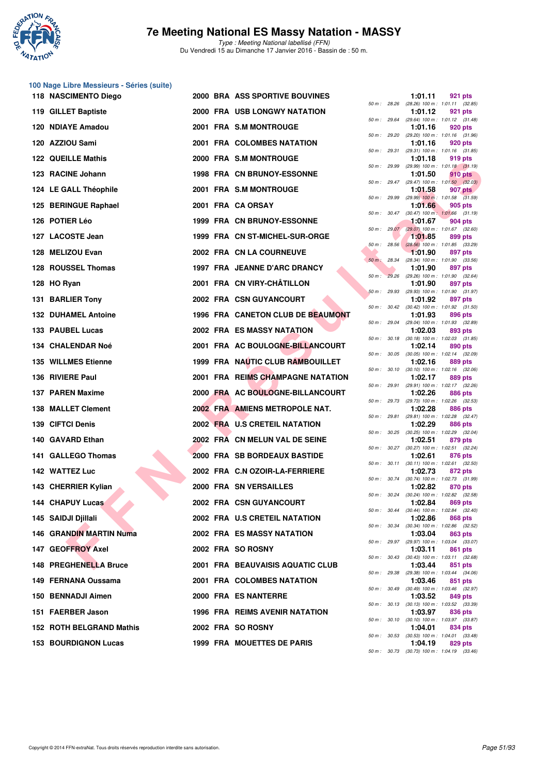

Type : Meeting National labellisé (FFN) Du Vendredi 15 au Dimanche 17 Janvier 2016 - Bassin de : 50 m.

# **100 Nage Libre Messieurs - Séries (suite)**

| $(28.26)$ 100 m : 1:01.11 $(32.85)$<br>50 m : 28.26<br><b>2000 FRA USB LONGWY NATATION</b><br>119 GILLET Baptiste<br>1:01.12<br>921 pts<br>50 m: 29.64 (29.64) 100 m: 1:01.12 (31.48)<br>120 NDIAYE Amadou<br>2001 FRA S.M MONTROUGE<br>1:01.16<br>920 pts<br>50 m : 29.20<br>(29.20) 100 m: 1:01.16 (31.96)<br>120 AZZIOU Sami<br>2001 FRA COLOMBES NATATION<br>1:01.16<br>920 pts<br>$(29.31)$ 100 m : 1:01.16 $(31.85)$<br>50 m: 29.31<br><b>122 QUEILLE Mathis</b><br>2000 FRA S.M MONTROUGE<br>1:01.18<br>919 pts<br>50 m: 29.99<br>(29.99) 100 m: 1:01.18 (31.19)<br>123 RACINE Johann<br><b>1998 FRA CN BRUNOY-ESSONNE</b><br>1:01.50<br>910 pts<br>$50 m$ : 29.47<br>$(29.47)$ 100 m : 1:01.50 $(32.03)$<br>124 LE GALL Théophile<br>2001 FRA S.M MONTROUGE<br>1:01.58<br>907 pts<br>$(29.99)$ 100 m : 1:01.58 $(31.59)$<br>50 m : 29.99<br>125 BERINGUE Raphael<br>2001 FRA CA ORSAY<br>1:01.66<br>905 pts<br>50 m: 30.47 (30.47) 100 m: 1:01.66 (31.19)<br>126 POTIER Léo<br><b>1999 FRA CN BRUNOY-ESSONNE</b><br>1:01.67<br>904 pts<br>50 m: 29.07 (29.07) 100 m: 1:01.67 (32.60)<br>127 LACOSTE Jean<br>1999 FRA CN ST-MICHEL-SUR-ORGE<br>1:01.85<br>899 pts<br>$50 m$ : 28.56<br>$(28.56)$ 100 m : 1:01.85 $(33.29)$<br>128 MELIZOU Evan<br><b>2002 FRA CN LA COURNEUVE</b><br>1:01.90<br>897 pts<br>(28.34) 100 m: 1:01.90 (33.56)<br>50 m: 28.34<br>128 ROUSSEL Thomas<br>1997 FRA JEANNE D'ARC DRANCY<br>1:01.90<br>897 pts<br>$50 m$ :<br>29.26<br>(29.26) 100 m: 1:01.90 (32.64)<br>2001 FRA CN VIRY-CHATILLON<br>128 HO Ryan<br>1:01.90<br>897 pts<br>(29.93) 100 m: 1:01.90 (31.97)<br>50 m: 29.93<br>131 BARLIER Tony<br>2002 FRA CSN GUYANCOURT<br>1:01.92<br>897 pts<br>50 m: 30.42 (30.42) 100 m: 1:01.92 (31.50)<br>1996 FRA CANETON CLUB DE BEAUMONT<br><b>132 DUHAMEL Antoine</b><br>1:01.93<br>896 pts<br>50 m : 29.04<br>(29.04) 100 m : 1:01.93 (32.89)<br>133 PAUBEL Lucas<br><b>2002 FRA ES MASSY NATATION</b><br>1:02.03<br>893 pts<br>50 m: 30.18 (30.18) 100 m: 1:02.03 (31.85)<br>2001 FRA AC BOULOGNE-BILLANCOURT<br>134 CHALENDAR Noé<br>1:02.14<br>890 pts<br>$(30.05)$ 100 m : 1:02.14 $(32.09)$<br>50 m: 30.05<br>1999 FRA NAUTIC CLUB RAMBOUILLET<br><b>135 WILLMES Etienne</b><br>1:02.16<br>889 pts<br>$(30.10)$ 100 m : 1:02.16 $(32.06)$<br>50 m : 30.10<br>136 RIVIERE Paul<br>2001 FRA REIMS CHAMPAGNE NATATION<br>1:02.17<br>889 pts<br>50 m : 29.91<br>(29.91) 100 m: 1:02.17 (32.26)<br>137 PAREN Maxime<br>2000 FRA AC BOULOGNE-BILLANCOURT<br>1:02.26<br>886 pts<br>50 m : 29.73<br>(29.73) 100 m : 1:02.26 (32.53)<br>2002 FRA AMIENS METROPOLE NAT.<br>138 MALLET Clement<br>1:02.28<br>886 pts<br>50 m: 29.81 (29.81) 100 m: 1:02.28 (32.47)<br>2002 FRA U.S CRETEIL NATATION<br>139 CIFTCI Denis<br>1:02.29<br>886 pts<br>50 m : 30.25<br>$(30.25)$ 100 m : 1:02.29 $(32.04)$<br>140 GAVARD Ethan<br>2002 FRA CN MELUN VAL DE SEINE<br>1:02.51<br>879 pts<br>50 m: 30.27 (30.27) 100 m: 1:02.51 (32.24)<br>141 GALLEGO Thomas<br>2000 FRA SB BORDEAUX BASTIDE<br>1:02.61<br>876 pts<br>50 m: 30.11 (30.11) 100 m: 1:02.61 (32.50)<br>142 WATTEZ Luc<br>2002 FRA C.N OZOIR-LA-FERRIERE<br>1:02.73<br>872 pts<br>50 m : 30.74 (30.74) 100 m : 1:02.73 (31.99)<br>143 CHERRIER Kylian<br>2000 FRA SN VERSAILLES<br>1:02.82<br>870 pts<br>50 m : 30.24<br>$(30.24)$ 100 m : 1:02.82 $(32.58)$<br>144 CHAPUY Lucas<br>2002 FRA CSN GUYANCOURT<br>1:02.84 869 pts<br>50 m: 30.44 (30.44) 100 m: 1:02.84 (32.40) |  | 921 pts | 1:01.11 |  | 2000 BRA ASS SPORTIVE BOUVINES |  | 118 NASCIMENTO Diego |  |
|--------------------------------------------------------------------------------------------------------------------------------------------------------------------------------------------------------------------------------------------------------------------------------------------------------------------------------------------------------------------------------------------------------------------------------------------------------------------------------------------------------------------------------------------------------------------------------------------------------------------------------------------------------------------------------------------------------------------------------------------------------------------------------------------------------------------------------------------------------------------------------------------------------------------------------------------------------------------------------------------------------------------------------------------------------------------------------------------------------------------------------------------------------------------------------------------------------------------------------------------------------------------------------------------------------------------------------------------------------------------------------------------------------------------------------------------------------------------------------------------------------------------------------------------------------------------------------------------------------------------------------------------------------------------------------------------------------------------------------------------------------------------------------------------------------------------------------------------------------------------------------------------------------------------------------------------------------------------------------------------------------------------------------------------------------------------------------------------------------------------------------------------------------------------------------------------------------------------------------------------------------------------------------------------------------------------------------------------------------------------------------------------------------------------------------------------------------------------------------------------------------------------------------------------------------------------------------------------------------------------------------------------------------------------------------------------------------------------------------------------------------------------------------------------------------------------------------------------------------------------------------------------------------------------------------------------------------------------------------------------------------------------------------------------------------------------------------------------------------------------------------------------------------------------------------------------------------------------------------------------------------------------------------------------------------------------------------------------------------------------------------------------------------------------------------------------------------------------|--|---------|---------|--|--------------------------------|--|----------------------|--|
|                                                                                                                                                                                                                                                                                                                                                                                                                                                                                                                                                                                                                                                                                                                                                                                                                                                                                                                                                                                                                                                                                                                                                                                                                                                                                                                                                                                                                                                                                                                                                                                                                                                                                                                                                                                                                                                                                                                                                                                                                                                                                                                                                                                                                                                                                                                                                                                                                                                                                                                                                                                                                                                                                                                                                                                                                                                                                                                                                                                                                                                                                                                                                                                                                                                                                                                                                                                                                                                                    |  |         |         |  |                                |  |                      |  |
|                                                                                                                                                                                                                                                                                                                                                                                                                                                                                                                                                                                                                                                                                                                                                                                                                                                                                                                                                                                                                                                                                                                                                                                                                                                                                                                                                                                                                                                                                                                                                                                                                                                                                                                                                                                                                                                                                                                                                                                                                                                                                                                                                                                                                                                                                                                                                                                                                                                                                                                                                                                                                                                                                                                                                                                                                                                                                                                                                                                                                                                                                                                                                                                                                                                                                                                                                                                                                                                                    |  |         |         |  |                                |  |                      |  |
|                                                                                                                                                                                                                                                                                                                                                                                                                                                                                                                                                                                                                                                                                                                                                                                                                                                                                                                                                                                                                                                                                                                                                                                                                                                                                                                                                                                                                                                                                                                                                                                                                                                                                                                                                                                                                                                                                                                                                                                                                                                                                                                                                                                                                                                                                                                                                                                                                                                                                                                                                                                                                                                                                                                                                                                                                                                                                                                                                                                                                                                                                                                                                                                                                                                                                                                                                                                                                                                                    |  |         |         |  |                                |  |                      |  |
|                                                                                                                                                                                                                                                                                                                                                                                                                                                                                                                                                                                                                                                                                                                                                                                                                                                                                                                                                                                                                                                                                                                                                                                                                                                                                                                                                                                                                                                                                                                                                                                                                                                                                                                                                                                                                                                                                                                                                                                                                                                                                                                                                                                                                                                                                                                                                                                                                                                                                                                                                                                                                                                                                                                                                                                                                                                                                                                                                                                                                                                                                                                                                                                                                                                                                                                                                                                                                                                                    |  |         |         |  |                                |  |                      |  |
|                                                                                                                                                                                                                                                                                                                                                                                                                                                                                                                                                                                                                                                                                                                                                                                                                                                                                                                                                                                                                                                                                                                                                                                                                                                                                                                                                                                                                                                                                                                                                                                                                                                                                                                                                                                                                                                                                                                                                                                                                                                                                                                                                                                                                                                                                                                                                                                                                                                                                                                                                                                                                                                                                                                                                                                                                                                                                                                                                                                                                                                                                                                                                                                                                                                                                                                                                                                                                                                                    |  |         |         |  |                                |  |                      |  |
|                                                                                                                                                                                                                                                                                                                                                                                                                                                                                                                                                                                                                                                                                                                                                                                                                                                                                                                                                                                                                                                                                                                                                                                                                                                                                                                                                                                                                                                                                                                                                                                                                                                                                                                                                                                                                                                                                                                                                                                                                                                                                                                                                                                                                                                                                                                                                                                                                                                                                                                                                                                                                                                                                                                                                                                                                                                                                                                                                                                                                                                                                                                                                                                                                                                                                                                                                                                                                                                                    |  |         |         |  |                                |  |                      |  |
|                                                                                                                                                                                                                                                                                                                                                                                                                                                                                                                                                                                                                                                                                                                                                                                                                                                                                                                                                                                                                                                                                                                                                                                                                                                                                                                                                                                                                                                                                                                                                                                                                                                                                                                                                                                                                                                                                                                                                                                                                                                                                                                                                                                                                                                                                                                                                                                                                                                                                                                                                                                                                                                                                                                                                                                                                                                                                                                                                                                                                                                                                                                                                                                                                                                                                                                                                                                                                                                                    |  |         |         |  |                                |  |                      |  |
|                                                                                                                                                                                                                                                                                                                                                                                                                                                                                                                                                                                                                                                                                                                                                                                                                                                                                                                                                                                                                                                                                                                                                                                                                                                                                                                                                                                                                                                                                                                                                                                                                                                                                                                                                                                                                                                                                                                                                                                                                                                                                                                                                                                                                                                                                                                                                                                                                                                                                                                                                                                                                                                                                                                                                                                                                                                                                                                                                                                                                                                                                                                                                                                                                                                                                                                                                                                                                                                                    |  |         |         |  |                                |  |                      |  |
|                                                                                                                                                                                                                                                                                                                                                                                                                                                                                                                                                                                                                                                                                                                                                                                                                                                                                                                                                                                                                                                                                                                                                                                                                                                                                                                                                                                                                                                                                                                                                                                                                                                                                                                                                                                                                                                                                                                                                                                                                                                                                                                                                                                                                                                                                                                                                                                                                                                                                                                                                                                                                                                                                                                                                                                                                                                                                                                                                                                                                                                                                                                                                                                                                                                                                                                                                                                                                                                                    |  |         |         |  |                                |  |                      |  |
|                                                                                                                                                                                                                                                                                                                                                                                                                                                                                                                                                                                                                                                                                                                                                                                                                                                                                                                                                                                                                                                                                                                                                                                                                                                                                                                                                                                                                                                                                                                                                                                                                                                                                                                                                                                                                                                                                                                                                                                                                                                                                                                                                                                                                                                                                                                                                                                                                                                                                                                                                                                                                                                                                                                                                                                                                                                                                                                                                                                                                                                                                                                                                                                                                                                                                                                                                                                                                                                                    |  |         |         |  |                                |  |                      |  |
|                                                                                                                                                                                                                                                                                                                                                                                                                                                                                                                                                                                                                                                                                                                                                                                                                                                                                                                                                                                                                                                                                                                                                                                                                                                                                                                                                                                                                                                                                                                                                                                                                                                                                                                                                                                                                                                                                                                                                                                                                                                                                                                                                                                                                                                                                                                                                                                                                                                                                                                                                                                                                                                                                                                                                                                                                                                                                                                                                                                                                                                                                                                                                                                                                                                                                                                                                                                                                                                                    |  |         |         |  |                                |  |                      |  |
|                                                                                                                                                                                                                                                                                                                                                                                                                                                                                                                                                                                                                                                                                                                                                                                                                                                                                                                                                                                                                                                                                                                                                                                                                                                                                                                                                                                                                                                                                                                                                                                                                                                                                                                                                                                                                                                                                                                                                                                                                                                                                                                                                                                                                                                                                                                                                                                                                                                                                                                                                                                                                                                                                                                                                                                                                                                                                                                                                                                                                                                                                                                                                                                                                                                                                                                                                                                                                                                                    |  |         |         |  |                                |  |                      |  |
|                                                                                                                                                                                                                                                                                                                                                                                                                                                                                                                                                                                                                                                                                                                                                                                                                                                                                                                                                                                                                                                                                                                                                                                                                                                                                                                                                                                                                                                                                                                                                                                                                                                                                                                                                                                                                                                                                                                                                                                                                                                                                                                                                                                                                                                                                                                                                                                                                                                                                                                                                                                                                                                                                                                                                                                                                                                                                                                                                                                                                                                                                                                                                                                                                                                                                                                                                                                                                                                                    |  |         |         |  |                                |  |                      |  |
|                                                                                                                                                                                                                                                                                                                                                                                                                                                                                                                                                                                                                                                                                                                                                                                                                                                                                                                                                                                                                                                                                                                                                                                                                                                                                                                                                                                                                                                                                                                                                                                                                                                                                                                                                                                                                                                                                                                                                                                                                                                                                                                                                                                                                                                                                                                                                                                                                                                                                                                                                                                                                                                                                                                                                                                                                                                                                                                                                                                                                                                                                                                                                                                                                                                                                                                                                                                                                                                                    |  |         |         |  |                                |  |                      |  |
|                                                                                                                                                                                                                                                                                                                                                                                                                                                                                                                                                                                                                                                                                                                                                                                                                                                                                                                                                                                                                                                                                                                                                                                                                                                                                                                                                                                                                                                                                                                                                                                                                                                                                                                                                                                                                                                                                                                                                                                                                                                                                                                                                                                                                                                                                                                                                                                                                                                                                                                                                                                                                                                                                                                                                                                                                                                                                                                                                                                                                                                                                                                                                                                                                                                                                                                                                                                                                                                                    |  |         |         |  |                                |  |                      |  |
|                                                                                                                                                                                                                                                                                                                                                                                                                                                                                                                                                                                                                                                                                                                                                                                                                                                                                                                                                                                                                                                                                                                                                                                                                                                                                                                                                                                                                                                                                                                                                                                                                                                                                                                                                                                                                                                                                                                                                                                                                                                                                                                                                                                                                                                                                                                                                                                                                                                                                                                                                                                                                                                                                                                                                                                                                                                                                                                                                                                                                                                                                                                                                                                                                                                                                                                                                                                                                                                                    |  |         |         |  |                                |  |                      |  |
|                                                                                                                                                                                                                                                                                                                                                                                                                                                                                                                                                                                                                                                                                                                                                                                                                                                                                                                                                                                                                                                                                                                                                                                                                                                                                                                                                                                                                                                                                                                                                                                                                                                                                                                                                                                                                                                                                                                                                                                                                                                                                                                                                                                                                                                                                                                                                                                                                                                                                                                                                                                                                                                                                                                                                                                                                                                                                                                                                                                                                                                                                                                                                                                                                                                                                                                                                                                                                                                                    |  |         |         |  |                                |  |                      |  |
|                                                                                                                                                                                                                                                                                                                                                                                                                                                                                                                                                                                                                                                                                                                                                                                                                                                                                                                                                                                                                                                                                                                                                                                                                                                                                                                                                                                                                                                                                                                                                                                                                                                                                                                                                                                                                                                                                                                                                                                                                                                                                                                                                                                                                                                                                                                                                                                                                                                                                                                                                                                                                                                                                                                                                                                                                                                                                                                                                                                                                                                                                                                                                                                                                                                                                                                                                                                                                                                                    |  |         |         |  |                                |  |                      |  |
|                                                                                                                                                                                                                                                                                                                                                                                                                                                                                                                                                                                                                                                                                                                                                                                                                                                                                                                                                                                                                                                                                                                                                                                                                                                                                                                                                                                                                                                                                                                                                                                                                                                                                                                                                                                                                                                                                                                                                                                                                                                                                                                                                                                                                                                                                                                                                                                                                                                                                                                                                                                                                                                                                                                                                                                                                                                                                                                                                                                                                                                                                                                                                                                                                                                                                                                                                                                                                                                                    |  |         |         |  |                                |  |                      |  |
|                                                                                                                                                                                                                                                                                                                                                                                                                                                                                                                                                                                                                                                                                                                                                                                                                                                                                                                                                                                                                                                                                                                                                                                                                                                                                                                                                                                                                                                                                                                                                                                                                                                                                                                                                                                                                                                                                                                                                                                                                                                                                                                                                                                                                                                                                                                                                                                                                                                                                                                                                                                                                                                                                                                                                                                                                                                                                                                                                                                                                                                                                                                                                                                                                                                                                                                                                                                                                                                                    |  |         |         |  |                                |  |                      |  |
|                                                                                                                                                                                                                                                                                                                                                                                                                                                                                                                                                                                                                                                                                                                                                                                                                                                                                                                                                                                                                                                                                                                                                                                                                                                                                                                                                                                                                                                                                                                                                                                                                                                                                                                                                                                                                                                                                                                                                                                                                                                                                                                                                                                                                                                                                                                                                                                                                                                                                                                                                                                                                                                                                                                                                                                                                                                                                                                                                                                                                                                                                                                                                                                                                                                                                                                                                                                                                                                                    |  |         |         |  |                                |  |                      |  |
|                                                                                                                                                                                                                                                                                                                                                                                                                                                                                                                                                                                                                                                                                                                                                                                                                                                                                                                                                                                                                                                                                                                                                                                                                                                                                                                                                                                                                                                                                                                                                                                                                                                                                                                                                                                                                                                                                                                                                                                                                                                                                                                                                                                                                                                                                                                                                                                                                                                                                                                                                                                                                                                                                                                                                                                                                                                                                                                                                                                                                                                                                                                                                                                                                                                                                                                                                                                                                                                                    |  |         |         |  |                                |  |                      |  |
|                                                                                                                                                                                                                                                                                                                                                                                                                                                                                                                                                                                                                                                                                                                                                                                                                                                                                                                                                                                                                                                                                                                                                                                                                                                                                                                                                                                                                                                                                                                                                                                                                                                                                                                                                                                                                                                                                                                                                                                                                                                                                                                                                                                                                                                                                                                                                                                                                                                                                                                                                                                                                                                                                                                                                                                                                                                                                                                                                                                                                                                                                                                                                                                                                                                                                                                                                                                                                                                                    |  |         |         |  |                                |  |                      |  |
|                                                                                                                                                                                                                                                                                                                                                                                                                                                                                                                                                                                                                                                                                                                                                                                                                                                                                                                                                                                                                                                                                                                                                                                                                                                                                                                                                                                                                                                                                                                                                                                                                                                                                                                                                                                                                                                                                                                                                                                                                                                                                                                                                                                                                                                                                                                                                                                                                                                                                                                                                                                                                                                                                                                                                                                                                                                                                                                                                                                                                                                                                                                                                                                                                                                                                                                                                                                                                                                                    |  |         |         |  |                                |  |                      |  |
|                                                                                                                                                                                                                                                                                                                                                                                                                                                                                                                                                                                                                                                                                                                                                                                                                                                                                                                                                                                                                                                                                                                                                                                                                                                                                                                                                                                                                                                                                                                                                                                                                                                                                                                                                                                                                                                                                                                                                                                                                                                                                                                                                                                                                                                                                                                                                                                                                                                                                                                                                                                                                                                                                                                                                                                                                                                                                                                                                                                                                                                                                                                                                                                                                                                                                                                                                                                                                                                                    |  |         |         |  |                                |  |                      |  |
|                                                                                                                                                                                                                                                                                                                                                                                                                                                                                                                                                                                                                                                                                                                                                                                                                                                                                                                                                                                                                                                                                                                                                                                                                                                                                                                                                                                                                                                                                                                                                                                                                                                                                                                                                                                                                                                                                                                                                                                                                                                                                                                                                                                                                                                                                                                                                                                                                                                                                                                                                                                                                                                                                                                                                                                                                                                                                                                                                                                                                                                                                                                                                                                                                                                                                                                                                                                                                                                                    |  |         |         |  |                                |  |                      |  |
|                                                                                                                                                                                                                                                                                                                                                                                                                                                                                                                                                                                                                                                                                                                                                                                                                                                                                                                                                                                                                                                                                                                                                                                                                                                                                                                                                                                                                                                                                                                                                                                                                                                                                                                                                                                                                                                                                                                                                                                                                                                                                                                                                                                                                                                                                                                                                                                                                                                                                                                                                                                                                                                                                                                                                                                                                                                                                                                                                                                                                                                                                                                                                                                                                                                                                                                                                                                                                                                                    |  |         |         |  |                                |  |                      |  |
| 145 SAIDJI Djillali<br>2002 FRA U.S CRETEIL NATATION<br>1:02.86<br>868 pts                                                                                                                                                                                                                                                                                                                                                                                                                                                                                                                                                                                                                                                                                                                                                                                                                                                                                                                                                                                                                                                                                                                                                                                                                                                                                                                                                                                                                                                                                                                                                                                                                                                                                                                                                                                                                                                                                                                                                                                                                                                                                                                                                                                                                                                                                                                                                                                                                                                                                                                                                                                                                                                                                                                                                                                                                                                                                                                                                                                                                                                                                                                                                                                                                                                                                                                                                                                         |  |         |         |  |                                |  |                      |  |
| 50 m: 30.34 (30.34) 100 m: 1:02.86 (32.52)<br>146 GRANDIN MARTIN Numa<br>2002 FRA ES MASSY NATATION<br>1:03.04<br>863 pts                                                                                                                                                                                                                                                                                                                                                                                                                                                                                                                                                                                                                                                                                                                                                                                                                                                                                                                                                                                                                                                                                                                                                                                                                                                                                                                                                                                                                                                                                                                                                                                                                                                                                                                                                                                                                                                                                                                                                                                                                                                                                                                                                                                                                                                                                                                                                                                                                                                                                                                                                                                                                                                                                                                                                                                                                                                                                                                                                                                                                                                                                                                                                                                                                                                                                                                                          |  |         |         |  |                                |  |                      |  |
| 50 m: 29.97 (29.97) 100 m: 1:03.04 (33.07)<br>147 GEOFFROY Axel<br>2002 FRA SO ROSNY<br>1:03.11<br>861 pts                                                                                                                                                                                                                                                                                                                                                                                                                                                                                                                                                                                                                                                                                                                                                                                                                                                                                                                                                                                                                                                                                                                                                                                                                                                                                                                                                                                                                                                                                                                                                                                                                                                                                                                                                                                                                                                                                                                                                                                                                                                                                                                                                                                                                                                                                                                                                                                                                                                                                                                                                                                                                                                                                                                                                                                                                                                                                                                                                                                                                                                                                                                                                                                                                                                                                                                                                         |  |         |         |  |                                |  |                      |  |
| 50 m: 30.43 (30.43) 100 m: 1:03.11 (32.68)<br>148 PREGHENELLA Bruce<br>2001 FRA BEAUVAISIS AQUATIC CLUB<br>1:03.44<br>851 pts                                                                                                                                                                                                                                                                                                                                                                                                                                                                                                                                                                                                                                                                                                                                                                                                                                                                                                                                                                                                                                                                                                                                                                                                                                                                                                                                                                                                                                                                                                                                                                                                                                                                                                                                                                                                                                                                                                                                                                                                                                                                                                                                                                                                                                                                                                                                                                                                                                                                                                                                                                                                                                                                                                                                                                                                                                                                                                                                                                                                                                                                                                                                                                                                                                                                                                                                      |  |         |         |  |                                |  |                      |  |
| 50 m : 29.38 (29.38) 100 m : 1:03.44 (34.06)<br>149 FERNANA Oussama<br>2001 FRA COLOMBES NATATION<br>1:03.46<br>851 pts                                                                                                                                                                                                                                                                                                                                                                                                                                                                                                                                                                                                                                                                                                                                                                                                                                                                                                                                                                                                                                                                                                                                                                                                                                                                                                                                                                                                                                                                                                                                                                                                                                                                                                                                                                                                                                                                                                                                                                                                                                                                                                                                                                                                                                                                                                                                                                                                                                                                                                                                                                                                                                                                                                                                                                                                                                                                                                                                                                                                                                                                                                                                                                                                                                                                                                                                            |  |         |         |  |                                |  |                      |  |
| 50 m: 30.49 (30.49) 100 m: 1:03.46 (32.97)<br>150 BENNADJI Aimen<br>2000 FRA ES NANTERRE<br>1:03.52<br>849 pts                                                                                                                                                                                                                                                                                                                                                                                                                                                                                                                                                                                                                                                                                                                                                                                                                                                                                                                                                                                                                                                                                                                                                                                                                                                                                                                                                                                                                                                                                                                                                                                                                                                                                                                                                                                                                                                                                                                                                                                                                                                                                                                                                                                                                                                                                                                                                                                                                                                                                                                                                                                                                                                                                                                                                                                                                                                                                                                                                                                                                                                                                                                                                                                                                                                                                                                                                     |  |         |         |  |                                |  |                      |  |
| 50 m: 30.13 (30.13) 100 m: 1:03.52 (33.39)<br>151 FAERBER Jason<br>1996 FRA REIMS AVENIR NATATION<br>1:03.97<br>836 pts                                                                                                                                                                                                                                                                                                                                                                                                                                                                                                                                                                                                                                                                                                                                                                                                                                                                                                                                                                                                                                                                                                                                                                                                                                                                                                                                                                                                                                                                                                                                                                                                                                                                                                                                                                                                                                                                                                                                                                                                                                                                                                                                                                                                                                                                                                                                                                                                                                                                                                                                                                                                                                                                                                                                                                                                                                                                                                                                                                                                                                                                                                                                                                                                                                                                                                                                            |  |         |         |  |                                |  |                      |  |
| 50 m: 30.10 (30.10) 100 m: 1:03.97 (33.87)<br>152 ROTH BELGRAND Mathis<br>2002 FRA SO ROSNY<br>1:04.01<br>834 pts                                                                                                                                                                                                                                                                                                                                                                                                                                                                                                                                                                                                                                                                                                                                                                                                                                                                                                                                                                                                                                                                                                                                                                                                                                                                                                                                                                                                                                                                                                                                                                                                                                                                                                                                                                                                                                                                                                                                                                                                                                                                                                                                                                                                                                                                                                                                                                                                                                                                                                                                                                                                                                                                                                                                                                                                                                                                                                                                                                                                                                                                                                                                                                                                                                                                                                                                                  |  |         |         |  |                                |  |                      |  |
| 50 m: 30.53 (30.53) 100 m: 1:04.01 (33.48)<br><b>153 BOURDIGNON Lucas</b><br><b>1999 FRA MOUETTES DE PARIS</b><br>1:04.19<br>829 pts                                                                                                                                                                                                                                                                                                                                                                                                                                                                                                                                                                                                                                                                                                                                                                                                                                                                                                                                                                                                                                                                                                                                                                                                                                                                                                                                                                                                                                                                                                                                                                                                                                                                                                                                                                                                                                                                                                                                                                                                                                                                                                                                                                                                                                                                                                                                                                                                                                                                                                                                                                                                                                                                                                                                                                                                                                                                                                                                                                                                                                                                                                                                                                                                                                                                                                                               |  |         |         |  |                                |  |                      |  |

| $50 m$ : | 28.26 | 1:01.11<br>$(28.26)$ 100 m : | 921 pts<br>$1:01.11$ (32.85)         |
|----------|-------|------------------------------|--------------------------------------|
|          |       | 1:01.12                      | 921 pts                              |
| $50 m$ : | 29.64 | $(29.64) 100 m$ :            | 1:01.12<br>(31.48)                   |
|          |       | 1:01.16                      | 920 pts                              |
| $50 m$ : | 29.20 | (29.20) 100 m :<br>1:01.16   | 1:01.16<br>(31.96)<br><b>920 pts</b> |
| $50 m$ : | 29.31 | $(29.31)$ 100 m :            | 1:01.16<br>(31.85)                   |
|          |       | 1:01.18                      | 919 pts                              |
| $50 m$ : | 29.99 | (29.99) 100 m :<br>1:01.50   | $1:01.18$ $(31.19)$<br>910 pts       |
| $50 m$ : | 29.47 | (29.47) 100 m :              | 1:01.50 (32.03)                      |
|          |       | 1:01.58                      | 907 pts                              |
| $50 m$ : | 29.99 | $(29.99)$ 100 m :<br>1:01.66 | 1:01.58 (31.59)<br><b>905 pts</b>    |
| $50 m$ : | 30.47 | $(30.47)$ 100 m:             | 1:01.66<br>(31.19)                   |
|          |       | 1:01.67                      | 904 pts                              |
| 50 m :   | 29.07 | $(29.07)$ 100 m :<br>1:01.85 | 1:01.67 (32.60)<br>899 pts           |
| $50 m$ : | 28.56 | $(28.56)$ 100 m :            | 1:01.85<br>(33.29)                   |
|          |       | 1:01.90                      | 897 pts                              |
| $50 m$ : | 28.34 | (28.34) 100 m :              | 1:01.90<br>(33.56)                   |
| $50 m$ : | 29.26 | 1:01.90<br>(29.26) 100 m :   | 897 pts<br>1:01.90 (32.64)           |
|          |       | 1:01.90                      | 897 pts                              |
| $50 m$ : | 29.93 | (29.93) 100 m :              | 1:01.90 (31.97)                      |
| $50 m$ : | 30.42 | 1:01.92<br>$(30.42)$ 100 m : | 897 pts<br>1:01.92 (31.50)           |
|          |       | 1:01.93                      | 896 pts                              |
| $50 m$ : | 29.04 | (29.04) 100 m :              | 1:01.93<br>(32.89)                   |
| $50 m$ : | 30.18 | 1:02.03<br>$(30.18) 100 m$ : | <b>893 pts</b><br>1:02.03<br>(31.85) |
|          |       | 1:02.14                      | 890 pts                              |
| 50 m :   | 30.05 | $(30.05)$ 100 m :            | 1:02.14<br>(32.09)                   |
| $50 m$ : | 30.10 | 1:02.16                      | 889 pts<br>1:02.16                   |
|          |       | $(30.10) 100 m$ :<br>1:02.17 | (32.06)<br><b>889 pts</b>            |
| $50 m$ : | 29.91 | (29.91) 100 m :              | 1:02.17<br>(32.26)                   |
| $50 m$ : | 29.73 | 1:02.26<br>(29.73) 100 m :   | 886 pts<br>1:02.26<br>(32.53)        |
|          |       | 1:02.28                      | <b>886 pts</b>                       |
| $50 m$ : | 29.81 | $(29.81)$ 100 m :            | 1:02.28<br>(32.47)                   |
| $50 m$ : | 30.25 | 1:02.29<br>$(30.25)$ 100 m : | 886 pts<br>1:02.29<br>(32.04)        |
|          |       | 1:02.51                      | 879 pts                              |
| $50 m$ : | 30.27 | $(30.27)$ 100 m :            | 1:02.51<br>(32.24)                   |
| $50 m$ : | 30.11 | 1:02.61<br>$(30.11)$ 100 m : | 876 pts<br>1:02.61<br>(32.50)        |
|          |       | 1:02.73                      | 872 pts                              |
| $50 m$ : | 30.74 | $(30.74) 100 m$ :            | 1:02.73<br>(31.99)                   |
| $50 m$ : | 30.24 | 1:02.82<br>$(30.24)$ 100 m : | 870 pts<br>1:02.82<br>(32.58)        |
|          |       | 1:02.84                      | 869 pts                              |
| $50 m$ : | 30.44 | $(30.44)$ 100 m :            | 1:02.84<br>(32.40)                   |
| $50 m$ : | 30.34 | 1:02.86<br>$(30.34) 100 m$ : | <b>868 pts</b>                       |
|          |       | 1:03.04                      | 1:02.86<br>(32.52)<br>863 pts        |
| $50 m$ : | 29.97 | (29.97) 100 m :              | 1:03.04<br>(33.07)                   |
| $50 m$ : |       | 1:03.11                      | 861 pts                              |
|          | 30.43 | $(30.43)$ 100 m :<br>1:03.44 | 1:03.11<br>(32.68)<br>851 pts        |
| $50 m$ : | 29.38 | $(29.38) 100 m$ :            | 1:03.44<br>(34.06)                   |
|          |       | 1:03.46                      | 851 pts                              |
| $50 m$ : | 30.49 | $(30.49)$ 100 m :<br>1:03.52 | 1:03.46<br>(32.97)<br>849 pts        |
| $50 m$ : | 30.13 | $(30.13) 100 m$ :            | 1:03.52<br>(33.39)                   |
|          |       | 1:03.97                      | 836 pts                              |
| $50 m$ : | 30.10 | $(30.10)$ 100 m :<br>1:04.01 | 1:03.97<br>(33.87)<br>834 pts        |
| $50 m$ : | 30.53 | $(30.53)$ 100 m :            | 1:04.01<br>(33.48)                   |
|          |       | 1:04.19                      | 829 pts                              |
| 50 m :   | 30.73 | $(30.73)$ 100 m :            | 1:04.19<br>(33.46)                   |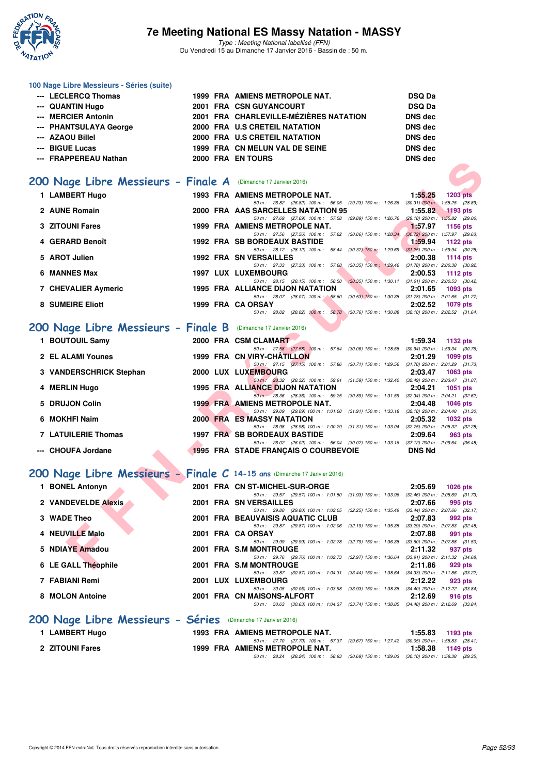

Type : Meeting National labellisé (FFN) Du Vendredi 15 au Dimanche 17 Janvier 2016 - Bassin de : 50 m.

| 100 Nage Libre Messieurs - Séries (suite) |  |                                        |                |
|-------------------------------------------|--|----------------------------------------|----------------|
| --- LECLERCQ Thomas                       |  | 1999 FRA AMIENS METROPOLE NAT.         | <b>DSQ Da</b>  |
| --- QUANTIN Hugo                          |  | 2001 FRA CSN GUYANCOURT                | <b>DSQ Da</b>  |
| --- MERCIER Antonin                       |  | 2001 FRA CHARLEVILLE-MÉZIÈRES NATATION | <b>DNS</b> dec |
| --- PHANTSULAYA George                    |  | 2000 FRA U.S CRETEIL NATATION          | <b>DNS</b> dec |
| --- AZAOU Billel                          |  | 2000 FRA U.S CRETEIL NATATION          | <b>DNS</b> dec |
| --- BIGUE Lucas                           |  | 1999 FRA CN MELUN VAL DE SEINE         | DNS dec        |
| --- FRAPPEREAU Nathan                     |  | 2000 FRA EN TOURS                      | DNS dec        |
|                                           |  |                                        |                |
|                                           |  |                                        |                |

### [200 Nage Libre Messieurs - Finale A](http://www.ffnatation.fr/webffn/resultats.php?idact=nat&go=epr&idcpt=35299&idepr=53) (Dimanche 17 Janvier 2016)

| -- ГЛАГГЕЛЕАО NAUIAU                                                    |  | TRA EN IVURJ                                                                                                                      | DING ACC      |                 |
|-------------------------------------------------------------------------|--|-----------------------------------------------------------------------------------------------------------------------------------|---------------|-----------------|
| 00 Nage Libre Messieurs - Finale A (Dimanche 17 Janvier 2016)           |  |                                                                                                                                   |               |                 |
| 1 LAMBERT Hugo                                                          |  | 1993 FRA AMIENS METROPOLE NAT.                                                                                                    | 1:55.25       | <b>1203 pts</b> |
|                                                                         |  | 50 m: 26.82 (26.82) 100 m: 56.05 (29.23) 150 m: 1:26.36 (30.31) 200 m: 1:55.25 (28.89)                                            |               |                 |
| 2 AUNE Romain                                                           |  | 2000 FRA AAS SARCELLES NATATION 95                                                                                                | 1:55.82       | $1193$ pts      |
|                                                                         |  | 50 m: 27.69 (27.69) 100 m: 57.58 (29.89) 150 m: 1:26.76 (29.18) 200 m: 1:55.82 (29.06)                                            |               |                 |
| <b>3 ZITOUNI Fares</b>                                                  |  | 1999 FRA AMIENS METROPOLE NAT.                                                                                                    | 1:57.97       | <b>1156 pts</b> |
|                                                                         |  | 50 m: 27.56 (27.56) 100 m: 57.62 (30.06) 150 m: 1:28.34 (30.72) 200 m: 1:57.97 (29.63)                                            |               |                 |
| 4 GERARD Benoît                                                         |  | <b>1992 FRA SB BORDEAUX BASTIDE</b>                                                                                               | 1:59.94       | 1122 pts        |
|                                                                         |  | 50 m: 28.12 (28.12) 100 m: 58.44 (30.32) 150 m: 1.29.69 (31.25) 200 m: 1.59.94 (30.25)                                            |               |                 |
| 5 AROT Julien                                                           |  | <b>1992 FRA SN VERSAILLES</b><br>50 m: 27.33 (27.33) 100 m: 57.68                                                                 | 2:00.38       | <b>1114 pts</b> |
| 6 MANNES Max                                                            |  | (30.35) 150 m : 1:29.46 (31.78) 200 m : 2:00.38 (30.92)<br>1997 LUX LUXEMBOURG                                                    | 2:00.53       | <b>1112 pts</b> |
|                                                                         |  | 50 m: 28.15 (28.15) 100 m: 58.50 (30.35) 150 m: 1:30.11 (31.61) 200 m: 2:00.53 (30.42)                                            |               |                 |
| 7 CHEVALIER Aymeric                                                     |  | 1995 FRA ALLIANCE DIJON NATATION                                                                                                  | 2:01.65       | 1093 pts        |
|                                                                         |  | 50 m: 28.07 (28.07) 100 m: 58.60 (30.53) 150 m: 1:30.38 (31.78) 200 m: 2:01.65 (31.27)                                            |               |                 |
| <b>8 SUMEIRE Eliott</b>                                                 |  | 1999 FRA CA ORSAY                                                                                                                 | 2:02.52       | 1079 pts        |
|                                                                         |  | 50 m: 28.02 (28.02) 100 m: 58.78 (30.76) 150 m: 1.30.88 (32.10) 200 m: 2.02.52 (31.64)                                            |               |                 |
| 00 Nage Libre Messieurs - Finale B (Dimanche 17 Janvier 2016)           |  |                                                                                                                                   |               |                 |
| 1 BOUTOUIL Samy                                                         |  | 2000 FRA CSM CLAMART                                                                                                              | 1:59.34       | 1132 pts        |
|                                                                         |  | 50 m: 27.58 (27.58) 100 m: 57.64 (30.06) 150 m: 1:28.58 (30.94) 200 m: 1:59.34 (30.76)                                            |               |                 |
| 2 EL ALAMI Younes                                                       |  | 1999 FRA CN VIRY-CHATILLON                                                                                                        | 2:01.29       | 1099 pts        |
|                                                                         |  | 50 m: 27.15 (27.15) 100 m: 57.86 (30.71) 150 m: 1:29.56 (31.70) 200 m: 2:01.29 (31.73)                                            |               |                 |
| 3 VANDERSCHRICK Stephan                                                 |  | 2000 LUX LUXEMBOURG                                                                                                               | 2:03.47       | 1063 pts        |
|                                                                         |  | 50 m: 28.32 (28.32) 100 m: 59.91 (31.59) 150 m: 1.32.40 (32.49) 200 m: 2.03.47 (31.07)                                            |               |                 |
| 4 MERLIN Hugo                                                           |  | <b>1995 FRA ALLIANCE DIJON NATATION</b>                                                                                           | 2:04.21       | <b>1051 pts</b> |
|                                                                         |  | 50 m: 28.36 (28.36) 100 m: 59.25 (30.89) 150 m: 1.31.59 (32.34) 200 m: 2.04.21 (32.62)                                            |               |                 |
| 5 DRUJON Colin                                                          |  | <b>1999 FRA AMIENS METROPOLE NAT.</b><br>50 m: 29.09 (29.09) 100 m: 1:01.00 (31.91) 150 m: 1:33.18 (32.18) 200 m: 2:04.48 (31.30) | 2:04.48       | 1046 pts        |
| 6 MOKHFI Naim                                                           |  | 2000 FRA ES MASSY NATATION                                                                                                        | 2:05.32       | 1032 pts        |
|                                                                         |  | 50 m: 28.98 (28.98) 100 m: 1:00.29 (31.31) 150 m: 1:33.04 (32.75) 200 m: 2:05.32 (32.28)                                          |               |                 |
| <b>7 LATUILERIE Thomas</b>                                              |  | <b>1997 FRA SB BORDEAUX BASTIDE</b>                                                                                               | 2:09.64       | 963 pts         |
|                                                                         |  | 50 m: 26.02 (26.02) 100 m: 56.04 (30.02) 150 m: 1.33.16 (37.12) 200 m: 2:09.64 (36.48)                                            |               |                 |
| --- CHOUFA Jordane                                                      |  | <b>1995 FRA STADE FRANÇAIS O COURBEVOIE</b>                                                                                       | <b>DNS Nd</b> |                 |
|                                                                         |  |                                                                                                                                   |               |                 |
|                                                                         |  |                                                                                                                                   |               |                 |
| 00 Nage Libre Messieurs - Finale C 14-15 ans (Dimanche 17 Janvier 2016) |  |                                                                                                                                   |               |                 |
| 1 BONEL Antonyn                                                         |  | 2001 FRA CN ST-MICHEL-SUR-ORGE                                                                                                    | 2:05.69       | <b>1026 pts</b> |
|                                                                         |  | 50 m: 29.57 (29.57) 100 m: 1:01.50 (31.93) 150 m: 1:33.96 (32.46) 200 m: 2:05.69 (31.73)                                          |               |                 |
| 2 VANDEVELDE Alexis                                                     |  | 2001 FRA SN VERSAILLES                                                                                                            | 2:07.66       | 995 pts         |
|                                                                         |  | 50 m: 29.80 (29.80) 100 m: 1:02.05 (32.25) 150 m: 1:35.49 (33.44) 200 m: 2:07.66 (32.17)                                          |               |                 |
| 3 WADE Theo                                                             |  | 2001 FRA BEAUVAISIS AQUATIC CLUB                                                                                                  | 2:07.83       | 992 pts         |
|                                                                         |  | 50 m: 29.87 (29.87) 100 m: 1:02.06 (32.19) 150 m: 1:35.35 (33.29) 200 m: 2:07.83 (32.48)                                          |               |                 |
| 4 NEUVILLE Malo                                                         |  | 2001 FRA CA ORSAY                                                                                                                 | 2:07.88       | 991 pts         |
|                                                                         |  | 50 m: 29.99 (29.99) 100 m: 1:02.78 (32.79) 150 m: 1:36.38 (33.60) 200 m: 2:07.88 (31.50)                                          |               |                 |
| 5 NDIAYE Amadou                                                         |  | 2001 FRA S.M MONTROUGE                                                                                                            | 2:11.32       | 937 pts         |
| 6 LE GALL Théophile                                                     |  | 50 m: 29.76 (29.76) 100 m: 1:02.73 (32.97) 150 m: 1:36.64 (33.91) 200 m: 2:11.32 (34.68)<br>2001 FRA S.M MONTROUGE                | 2:11.86       |                 |
|                                                                         |  |                                                                                                                                   |               | 929 pts         |

### **[200 Nage Libre Messieurs - Finale B](http://www.ffnatation.fr/webffn/resultats.php?idact=nat&go=epr&idcpt=35299&idepr=53)** (Dimanche 17 Janvier 2016)

| 1 BOUTOUIL Samy         |  | 2000 FRA CSM CLAMART                    |                                    |                                                                                        | 1:59.34                               | <b>1132 pts</b> |         |
|-------------------------|--|-----------------------------------------|------------------------------------|----------------------------------------------------------------------------------------|---------------------------------------|-----------------|---------|
|                         |  |                                         | 50 m : 27.58 (27.58) 100 m : 57.64 | $(30.06)$ 150 m : 1:28.58                                                              | $(30.94)$ 200 m : 1:59.34 $(30.76)$   |                 |         |
| 2 EL ALAMI Younes       |  | 1999 FRA CN VIRY-CHATILLON              |                                    |                                                                                        | 2:01.29                               | <b>1099 pts</b> |         |
|                         |  |                                         | 50 m: 27.15 (27.15) 100 m: 57.86   | $(30.71)$ 150 m : 1:29.56                                                              | $(31.70)$ 200 m : 2:01.29 $(31.73)$   |                 |         |
| 3 VANDERSCHRICK Stephan |  | 2000 LUX LUXEMBOURG                     |                                    |                                                                                        | 2:03.47                               | $1063$ pts      |         |
|                         |  |                                         | 50 m : 28.32 (28.32) 100 m : 59.91 | (31.59) 150 m : 1:32.40                                                                | $(32.49)$ 200 m : 2:03.47 $(31.07)$   |                 |         |
| 4 MERLIN Hugo           |  | <b>1995 FRA ALLIANCE DIJON NATATION</b> |                                    |                                                                                        | 2:04.21                               | 1051 pts        |         |
|                         |  |                                         | 50 m : 28.36 (28.36) 100 m : 59.25 | $(30.89)$ 150 m : 1:31.59                                                              | $(32.34)$ 200 m : $2.04.21$ $(32.62)$ |                 |         |
| 5 DRUJON Colin          |  | <b>1999 FRA AMIENS METROPOLE NAT.</b>   |                                    |                                                                                        | 2:04.48                               | <b>1046 pts</b> |         |
|                         |  |                                         |                                    | 50 m: 29.09 (29.09) 100 m: 1:01.00 (31.91) 150 m: 1:33.18                              | $(32.18)$ 200 m : 2:04.48 $(31.30)$   |                 |         |
| 6 MOKHFI Naim           |  | <b>2000 FRA ES MASSY NATATION</b>       |                                    |                                                                                        | 2:05.32                               | <b>1032 pts</b> |         |
|                         |  |                                         |                                    | 50 m: 28.98 (28.98) 100 m: 1:00.29 (31.31) 150 m: 1:33.04                              | $(32.75)$ 200 m : 2:05.32 $(32.28)$   |                 |         |
| 7 LATUILERIE Thomas     |  | <b>1997 FRA SB BORDEAUX BASTIDE</b>     |                                    |                                                                                        | 2:09.64                               |                 | 963 pts |
|                         |  |                                         |                                    | 50 m: 26.02 (26.02) 100 m: 56.04 (30.02) 150 m: 1:33.16 (37.12) 200 m: 2:09.64 (36.48) |                                       |                 |         |
| --- CHOUFA Jordane      |  | 1995 FRA STADE FRANCAIS O COURBEVOIE    |                                    |                                                                                        | <b>DNS Nd</b>                         |                 |         |

### **[200 Nage Libre Messieurs - Finale C](http://www.ffnatation.fr/webffn/resultats.php?idact=nat&go=epr&idcpt=35299&idepr=53) 14-15 ans** (Dimanche 17 Janvier 2016)

|   | <b>BONEL Antonyn</b>                                         |  |  | 2001 FRA CN ST-MICHEL-SUR-ORGE                               |                                                 | 2:05.69                             | $1026$ pts |  |  |  |  |  |
|---|--------------------------------------------------------------|--|--|--------------------------------------------------------------|-------------------------------------------------|-------------------------------------|------------|--|--|--|--|--|
|   |                                                              |  |  | 50 m: 29.57 (29.57) 100 m: 1:01.50 (31.93) 150 m: 1:33.96    |                                                 | $(32.46)$ 200 m : 2:05.69 $(31.73)$ |            |  |  |  |  |  |
|   | 2 VANDEVELDE Alexis                                          |  |  | 2001 FRA SN VERSAILLES                                       |                                                 | 2:07.66                             | 995 pts    |  |  |  |  |  |
|   |                                                              |  |  | 50 m : 29.80 (29.80) 100 m : 1:02.05 (32.25) 150 m : 1:35.49 |                                                 | $(33.44)$ 200 m : 2:07.66 $(32.17)$ |            |  |  |  |  |  |
|   | 3 WADE Theo                                                  |  |  | 2001 FRA BEAUVAISIS AQUATIC CLUB                             |                                                 | 2:07.83                             | 992 pts    |  |  |  |  |  |
|   |                                                              |  |  | 50 m : 29.87                                                 | (29.87) 100 m : 1:02.06 (32.19) 150 m : 1:35.35 | $(33.29)$ 200 m : 2:07.83 $(32.48)$ |            |  |  |  |  |  |
|   | 4 NEUVILLE Malo                                              |  |  | 2001 FRA CA ORSAY                                            |                                                 | 2:07.88                             | 991 pts    |  |  |  |  |  |
|   |                                                              |  |  | 50 m : 29.99                                                 | (29.99) 100 m : 1:02.78 (32.79) 150 m : 1:36.38 | $(33.60)$ 200 m : 2:07.88 $(31.50)$ |            |  |  |  |  |  |
|   | 5 NDIAYE Amadou                                              |  |  | 2001 FRA S.M MONTROUGE                                       |                                                 | 2:11.32                             | 937 pts    |  |  |  |  |  |
|   |                                                              |  |  | 50 m: 29.76 (29.76) 100 m: 1:02.73 (32.97) 150 m: 1:36.64    |                                                 | $(33.91)$ 200 m : 2:11.32 $(34.68)$ |            |  |  |  |  |  |
|   | 6 LE GALL Théophile                                          |  |  | 2001 FRA S.M MONTROUGE                                       |                                                 | 2:11.86                             | 929 pts    |  |  |  |  |  |
|   |                                                              |  |  | 50 m : 30.87 (30.87) 100 m : 1:04.31 (33.44) 150 m : 1:38.64 |                                                 | $(34.33)$ 200 m : 2:11.86 $(33.22)$ |            |  |  |  |  |  |
|   | 7 FABIANI Remi                                               |  |  | 2001 LUX LUXEMBOURG                                          |                                                 | 2:12.22                             | 923 pts    |  |  |  |  |  |
|   |                                                              |  |  | 50 m : 30.05 (30.05) 100 m : 1:03.98 (33.93) 150 m : 1:38.38 |                                                 | $(34.40)$ 200 m : 2:12.22 $(33.84)$ |            |  |  |  |  |  |
| 8 | <b>MOLON Antoine</b>                                         |  |  | 2001 FRA CN MAISONS-ALFORT                                   |                                                 | 2:12.69                             | 916 pts    |  |  |  |  |  |
|   |                                                              |  |  | 50 m : 30.63                                                 | (30.63) 100 m : 1:04.37 (33.74) 150 m : 1:38.85 | $(34.48)$ 200 m : 2:12.69 $(33.84)$ |            |  |  |  |  |  |
|   | 200 Nage Libre Messieurs - Séries (Dimanche 17 Janvier 2016) |  |  |                                                              |                                                 |                                     |            |  |  |  |  |  |

| 1 LAMBERT Hugo         |  | 1993 FRA AMIENS METROPOLE NAT.                                                             |  | $1:55.83$ 1193 pts |
|------------------------|--|--------------------------------------------------------------------------------------------|--|--------------------|
|                        |  | 50 m: 27.70 (27.70) 100 m: 57.37 (29.67) 150 m: 1:27.42 (30.05) 200 m: 1:55.83 (28.41)     |  |                    |
| <b>2 ZITOUNI Fares</b> |  | 1999 FRA AMIENS METROPOLE NAT.                                                             |  | $1:58.38$ 1149 pts |
|                        |  | 50 m : 28.24 (28.24) 100 m : 58.93 (30.69) 150 m : 1:29.03 (30.10) 200 m : 1:58.38 (29.35) |  |                    |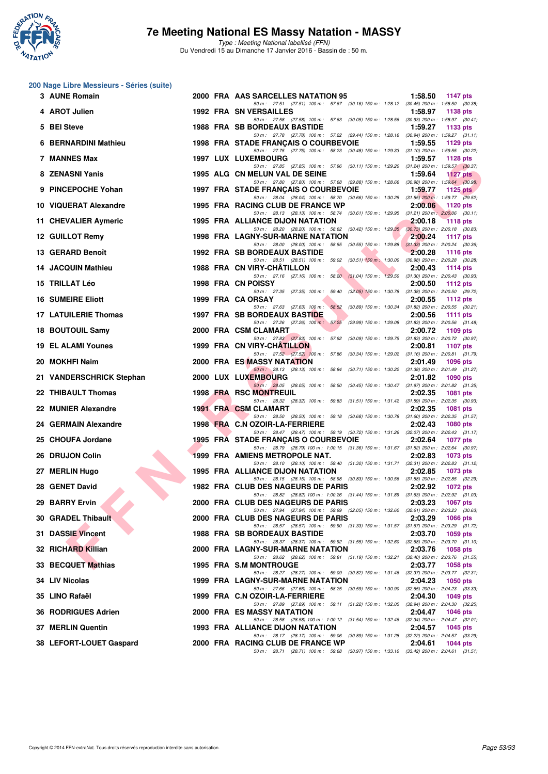

Type : Meeting National labellisé (FFN) Du Vendredi 15 au Dimanche 17 Janvier 2016 - Bassin de : 50 m.

#### **200 Nage Libre Messieurs - Séries (suite)**

| 3 AUNE Romain             |  | 2000 FRA AAS SARCELLES NATATION 95                                                                                                 | 1:58.50 | 1147 pts        |
|---------------------------|--|------------------------------------------------------------------------------------------------------------------------------------|---------|-----------------|
| 4 AROT Julien             |  | 50 m: 27.51 (27.51) 100 m: 57.67 (30.16) 150 m: 1:28.12 (30.45) 200 m: 1:58.50 (30.38)<br>1992 FRA SN VERSAILLES                   | 1:58.97 | 1138 pts        |
| 5 BEI Steve               |  | 50 m: 27.58 (27.58) 100 m: 57.63 (30.05) 150 m: 1:28.56 (30.93) 200 m: 1:58.97 (30.41)<br><b>1988 FRA SB BORDEAUX BASTIDE</b>      | 1:59.27 | 1133 pts        |
| 6 BERNARDINI Mathieu      |  | 50 m : 27.78 (27.78) 100 m : 57.22 (29.44) 150 m : 1:28.16 (30.94) 200 m : 1:59.27 (31.11)<br>1998 FRA STADE FRANÇAIS O COURBEVOIE | 1:59.55 | 1129 pts        |
| 7 MANNES Max              |  | 50 m: 27.75 (27.75) 100 m: 58.23 (30.48) 150 m: 1:29.33 (31.10) 200 m: 1:59.55 (30.22)<br>1997 LUX LUXEMBOURG                      | 1:59.57 | 1128 pts        |
| 8 ZENASNI Yanis           |  | 50 m: 27.85 (27.85) 100 m: 57.96 (30.11) 150 m: 1:29.20 (31.24) 200 m: 1:59.57 (30.37)<br>1995 ALG CN MELUN VAL DE SEINE           | 1:59.64 | 1127 $pts$      |
| 9 PINCEPOCHE Yohan        |  | 50 m : 27.80 (27.80) 100 m : 57.68 (29.88) 150 m : 1:28.66 (30.98) 200 m : 1:59.64 (30.98)<br>1997 FRA STADE FRANÇAIS O COURBEVOIE | 1:59.77 | 1125 $p$ ts     |
| 10 VIQUERAT Alexandre     |  | 50 m: 28.04 (28.04) 100 m: 58.70 (30.66) 150 m: 1:30.25 (31.55) 200 m: 1:59.77 (29.52)<br>1995 FRA RACING CLUB DE FRANCE WP        | 2:00.06 | 1120 $pts$      |
| 11 CHEVALIER Aymeric      |  | 50 m: 28.13 (28.13) 100 m: 58.74 (30.61) 150 m: 1.29.95 (31.21) 200 m: 2:00.06 (30.11)<br>1995 FRA ALLIANCE DIJON NATATION         | 2:00.18 | 1118 pts        |
| 12 GUILLOT Remy           |  | 50 m: 28.20 (28.20) 100 m: 58.62 (30.42) 150 m: 1:29.35 (30.73) 200 m: 2:00.18 (30.83)<br><b>1998 FRA LAGNY-SUR-MARNE NATATION</b> | 2:00.24 | <b>1117 pts</b> |
| 13 GERARD Benoît          |  | 50 m: 28.00 (28.00) 100 m: 58.55 (30.55) 150 m: 1:29.88 (31.33) 200 m: 2:00.24 (30.36)<br>1992 FRA SB BORDEAUX BASTIDE             | 2:00.28 | <b>1116 pts</b> |
| 14 JACQUIN Mathieu        |  | 50 m: 28.51 (28.51) 100 m: 59.02 (30.51) 150 m: 1:30.00 (30.98) 200 m: 2:00.28 (30.28)<br>1988 FRA CN VIRY-CHATILLON               | 2:00.43 | 1114 $pts$      |
| 15 TRILLAT Léo            |  | 50 m: 27.16 (27.16) 100 m: 58.20 (31.04) 150 m: 1:29.50 (31.30) 200 m: 2:00.43 (30.93)<br>1998 FRA CN POISSY                       | 2:00.50 | <b>1112 pts</b> |
| <b>16 SUMEIRE Eliott</b>  |  | 50 m: 27.35 (27.35) 100 m: 59.40 (32.05) 150 m: 1:30.78 (31.38) 200 m: 2:00.50 (29.72)<br>1999 FRA CA ORSAY                        | 2:00.55 | 1112 pts        |
| 17 LATUILERIE Thomas      |  | 50 m: 27.63 (27.63) 100 m: 58.52 (30.89) 150 m: 1.30.34 (31.82) 200 m: 2.00.55 (30.21)<br>1997 FRA SB BORDEAUX BASTIDE             | 2:00.56 | <b>1111 pts</b> |
| 18 BOUTOUIL Samy          |  | 50 m : 27.26 (27.26) 100 m : 57.25<br>(29.99) 150 m : 1:29.08 (31.83) 200 m : 2:00.56 (31.48)<br>2000 FRA CSM CLAMART              | 2:00.72 | 1109 pts        |
| <b>19 EL ALAMI Younes</b> |  | 50 m: 27.83 (27.83) 100 m: 57.92 (30.09) 150 m: 1:29.75 (31.83) 200 m: 2:00.72 (30.97)<br>1999 FRA CN VIRY-CHATILLON               | 2:00.81 | 1107 pts        |
| 20 MOKHFI Naim            |  | 50 m: 27.52 (27.52) 100 m: 57.86 (30.34) 150 m: 1:29.02 (31.16) 200 m: 2:00.81 (31.79)<br>2000 FRA ES MASSY NATATION               | 2:01.49 | <b>1096 pts</b> |
| 21 VANDERSCHRICK Stephan  |  | 50 m: 28.13 (28.13) 100 m: 58.84 (30.71) 150 m: 1:30.22 (31.38) 200 m: 2:01.49 (31.27)<br>2000 LUX LUXEMBOURG                      | 2:01.82 | <b>1090 pts</b> |
| 22 THIBAULT Thomas        |  | 50 m: 28.05 (28.05) 100 m: 58.50 (30.45) 150 m: 1:30.47 (31.97) 200 m: 2:01.82 (31.35)<br><b>1998 FRA RSC MONTREUIL</b>            | 2:02.35 | <b>1081 pts</b> |
| 22 MUNIER Alexandre       |  | 50 m: 28.32 (28.32) 100 m: 59.83 (31.51) 150 m: 1:31.42 (31.59) 200 m: 2:02.35 (30.93)<br><b>1991 FRA CSM CLAMART</b>              | 2:02.35 | 1081 pts        |
| 24 GERMAIN Alexandre      |  | 50 m: 28.50 (28.50) 100 m: 59.18 (30.68) 150 m: 1:30.78 (31.60) 200 m: 2:02.35 (31.57)<br>1998 FRA C.N OZOIR-LA-FERRIERE           | 2:02.43 | 1080 pts        |
| 25 CHOUFA Jordane         |  | 50 m: 28.47 (28.47) 100 m: 59.19 (30.72) 150 m: 1:31.26 (32.07) 200 m: 2:02.43 (31.17)<br>1995 FRA STADE FRANÇAIS O COURBEVOIE     | 2:02.64 | <b>1077 pts</b> |
| 26 DRUJON Colin           |  | 50 m: 28.79 (28.79) 100 m: 1:00.15 (31.36) 150 m: 1:31.67 (31.52) 200 m: 2:02.64 (30.97)<br>1999 FRA AMIENS METROPOLE NAT.         | 2:02.83 | 1073 pts        |
| 27 MERLIN Hugo            |  | 50 m: 28.10 (28.10) 100 m: 59.40 (31.30) 150 m: 1:31.71 (32.31) 200 m: 2:02.83 (31.12)<br>1995 FRA ALLIANCE DIJON NATATION         | 2:02.85 | 1073 pts        |
| 28 GENET David            |  | 50 m: 28.15 (28.15) 100 m: 58.98 (30.83) 150 m: 1:30.56 (31.58) 200 m: 2:02.85 (32.29)                                             | 2:02.92 |                 |
|                           |  | 1982 FRA CLUB DES NAGEURS DE PARIS<br>50 m : 28.82 (28.82) 100 m : 1:00.26 (31.44) 150 m : 1:31.89 (31.63) 200 m : 2:02.92 (31.03) |         | <b>1072 pts</b> |
| 29 BARRY Ervin            |  | 2000 FRA CLUB DES NAGEURS DE PARIS<br>50 m : 27.94 (27.94) 100 m : 59.99 (32.05) 150 m : 1:32.60 (32.61) 200 m : 2:03.23 (30.63)   | 2:03.23 | <b>1067 pts</b> |
| 30 GRADEL Thibault        |  | 2000 FRA CLUB DES NAGEURS DE PARIS<br>50 m: 28.57 (28.57) 100 m: 59.90 (31.33) 150 m: 1:31.57 (31.67) 200 m: 2:03.29 (31.72)       | 2:03.29 | 1066 pts        |
| <b>31 DASSIE Vincent</b>  |  | 1988 FRA SB BORDEAUX BASTIDE<br>50 m : 28.37 (28.37) 100 m : 59.92 (31.55) 150 m : 1:32.60 (32.68) 200 m : 2:03.70 (31.10)         | 2:03.70 | 1059 pts        |
| 32 RICHARD Killian        |  | 2000 FRA LAGNY-SUR-MARNE NATATION<br>50 m: 28.62 (28.62) 100 m: 59.81 (31.19) 150 m: 1:32.21 (32.40) 200 m: 2:03.76 (31.55)        | 2:03.76 | 1058 pts        |
| 33 BECQUET Mathias        |  | 1995 FRA S.M MONTROUGE<br>50 m : 28.27 (28.27) 100 m : 59.09 (30.82) 150 m : 1:31.46 (32.37) 200 m : 2:03.77 (32.31)               | 2:03.77 | <b>1058 pts</b> |
| 34 LIV Nicolas            |  | 1999 FRA LAGNY-SUR-MARNE NATATION<br>50 m: 27.66 (27.66) 100 m: 58.25 (30.59) 150 m: 1:30.90 (32.65) 200 m: 2:04.23 (33.33)        | 2:04.23 | <b>1050 pts</b> |
| 35 LINO Rafaël            |  | 1999 FRA C.N OZOIR-LA-FERRIERE<br>50 m : 27.89 (27.89) 100 m : 59.11 (31.22) 150 m : 1:32.05 (32.94) 200 m : 2:04.30 (32.25)       | 2:04.30 | 1049 pts        |
| 36 RODRIGUES Adrien       |  | 2000 FRA ES MASSY NATATION<br>50 m : 28.58 (28.58) 100 m : 1:00.12 (31.54) 150 m : 1:32.46 (32.34) 200 m : 2:04.47 (32.01)         | 2:04.47 | <b>1046 pts</b> |
| 37 MERLIN Quentin         |  | 1993 FRA ALLIANCE DIJON NATATION<br>50 m : 28.17 (28.17) 100 m : 59.06 (30.89) 150 m : 1:31.28 (32.22) 200 m : 2:04.57 (33.29)     | 2:04.57 | 1045 pts        |
| 38 LEFORT-LOUET Gaspard   |  | 2000 FRA RACING CLUB DE FRANCE WP<br>50 m : 28.71 (28.71) 100 m : 59.68 (30.97) 150 m : 1:33.10 (33.42) 200 m : 2:04.61 (31.51)    | 2:04.61 | 1044 pts        |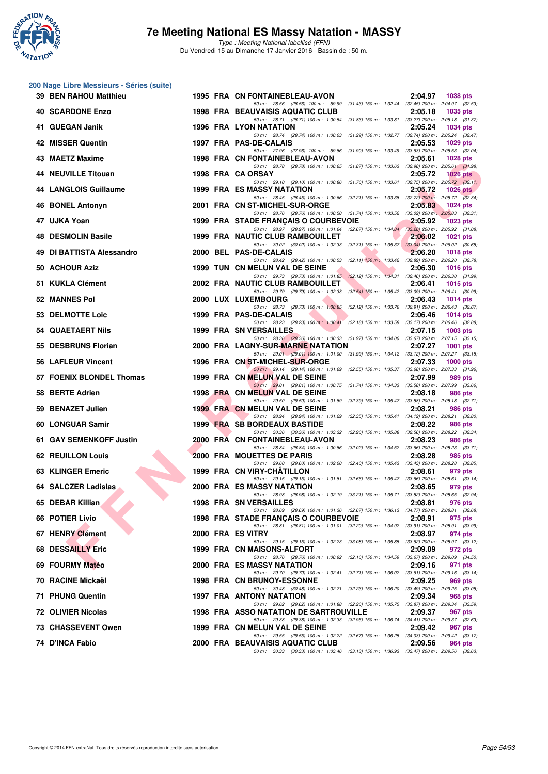

**200 Nage Libre Messieurs - Séries (suite)**

### **7e Meeting National ES Massy Natation - MASSY**

|     | 39 BEN RAHOU Matthieu        |  | 1995 FRA CN FONTAINEBLEAU-AVON                                                                                                                                                                                  | 2:04.97 | <b>1038 pts</b> |
|-----|------------------------------|--|-----------------------------------------------------------------------------------------------------------------------------------------------------------------------------------------------------------------|---------|-----------------|
|     | <b>40 SCARDONE Enzo</b>      |  | 50 m: 28.56 (28.56) 100 m: 59.99 (31.43) 150 m: 1:32.44 (32.45) 200 m: 2:04.97 (32.53)<br>1998 FRA BEAUVAISIS AQUATIC CLUB                                                                                      | 2:05.18 | <b>1035 pts</b> |
|     | 41 GUEGAN Janik              |  | 50 m: 28.71 (28.71) 100 m: 1:00.54 (31.83) 150 m: 1:33.81 (33.27) 200 m: 2:05.18 (31.37)<br><b>1996 FRA LYON NATATION</b>                                                                                       | 2:05.24 | <b>1034 pts</b> |
|     | 42 MISSER Quentin            |  | 50 m: 28.74 (28.74) 100 m: 1:00.03 (31.29) 150 m: 1:32.77 (32.74) 200 m: 2:05.24 (32.47)<br>1997 FRA PAS-DE-CALAIS                                                                                              | 2:05.53 | 1029 pts        |
|     | 43 MAETZ Maxime              |  | 50 m: 27.96 (27.96) 100 m: 59.86 (31.90) 150 m: 1:33.49 (33.63) 200 m: 2:05.53 (32.04)<br>1998 FRA CN FONTAINEBLEAU-AVON                                                                                        | 2:05.61 | <b>1028 pts</b> |
|     | 44 NEUVILLE Titouan          |  | 50 m: 28.78 (28.78) 100 m: 1:00.65 (31.87) 150 m: 1:33.63 (32.98) 200 m: 2:05.61 (31.98)<br>1998 FRA CA ORSAY                                                                                                   | 2:05.72 | $1026$ pts      |
|     | <b>44 LANGLOIS Guillaume</b> |  | 50 m : 29.10 (29.10) 100 m : 1:00.86 (31.76) 150 m : 1:33.61 (32.75) 200 m : 2:05.72 (32.11)<br>1999 FRA ES MASSY NATATION                                                                                      | 2:05.72 | $1026$ pts      |
|     | 46 BONEL Antonyn             |  | 50 m: 28.45 (28.45) 100 m: 1:00.66 (32.21) 150 m: 1:33.38 (32.72) 200 m: 2:05.72 (32.34)<br>2001 FRA CN ST-MICHEL-SUR-ORGE                                                                                      | 2:05.83 | <b>1024 pts</b> |
|     | 47 UJKA Yoan                 |  | 50 m: 28.76 (28.76) 100 m: 1:00.50 (31.74) 150 m: 1:33.52 (33.02) 200 m: 2:05.83 (32.31)<br>1999 FRA STADE FRANÇAIS O COURBEVOIE                                                                                | 2:05.92 | <b>1023 pts</b> |
| 48. | <b>DESMOLIN Basile</b>       |  | 50 m: 28.97 (28.97) 100 m: 1:01.64 (32.67) 150 m: 1:34.84 (33.20) 200 m: 2:05.92 (31.08)<br><b>1999 FRA NAUTIC CLUB RAMBOUILLET</b>                                                                             | 2:06.02 | <b>1021 pts</b> |
|     | 49 DI BATTISTA Alessandro    |  | 50 m: 30.02 (30.02) 100 m: 1:02.33 (32.31) 150 m: 1:35.37 (33.04) 200 m: 2:06.02 (30.65)<br>2000 BEL PAS-DE-CALAIS                                                                                              | 2:06.20 | 1018 pts        |
|     | 50 ACHOUR Aziz               |  | 50 m: 28.42 (28.42) 100 m: 1:00.53 (32.11) 150 m: 1:33.42 (32.89) 200 m: 2:06.20 (32.78)<br>1999 TUN CN MELUN VAL DE SEINE                                                                                      | 2:06.30 | <b>1016 pts</b> |
|     | 51 KUKLA Clément             |  | 50 m: 29.73 (29.73) 100 m: 1:01.85 (32.12) 150 m: 1:34.31 (32.46) 200 m: 2:06.30 (31.99)<br>2002 FRA NAUTIC CLUB RAMBOUILLET                                                                                    | 2:06.41 | 1015 pts        |
|     | 52 MANNES Pol                |  | 50 m : 29.79 (29.79) 100 m : 1:02.33 (32.54) 150 m : 1:35.42 (33.09) 200 m : 2:06.41 (30.99)<br>2000 LUX LUXEMBOURG<br>50 m: 28.73 (28.73) 100 m: 1:00.85 (32.12) 150 m: 1:33.76 (32.91) 200 m: 2:06.43 (32.67) | 2:06.43 | 1014 $pts$      |
|     | 53 DELMOTTE Loic             |  | 1999 FRA PAS-DE-CALAIS<br>50 m: 28.23 (28.23) 100 m: 1:00.41 (32.18) 150 m: 1:33.58 (33.17) 200 m: 2:06.46 (32.88)                                                                                              | 2:06.46 | 1014 pts        |
|     | 54 QUAETAERT Nils            |  | <b>1999 FRA SN VERSAILLES</b><br>50 m: 28.36 (28.36) 100 m: 1:00.33 (31.97) 150 m: 1:34.00 (33.67) 200 m: 2:07.15 (33.15)                                                                                       | 2:07.15 | $1003$ pts      |
|     | 55 DESBRUNS Florian          |  | 2000 FRA LAGNY-SUR-MARNE NATATION<br>50 m: 29.01 (29.01) 100 m: 1:01.00 (31.99) 150 m: 1:34.12 (33.12) 200 m: 2:07.27 (33.15)                                                                                   | 2:07.27 | <b>1001 pts</b> |
|     | 56 LAFLEUR Vincent           |  | 1996 FRA CN ST-MICHEL-SUR-ORGE<br>50 m: 29.14 (29.14) 100 m: 1:01.69 (32.55) 150 m: 1:35.37 (33.68) 200 m: 2:07.33 (31.96)                                                                                      | 2:07.33 | <b>1000 pts</b> |
|     | 57 FOENIX BLONDEL Thomas     |  | 1999 FRA CN MELUN VAL DE SEINE<br>50 m: 29.01 (29.01) 100 m: 1:00.75 (31.74) 150 m: 1:34.33 (33.58) 200 m: 2:07.99 (33.66)                                                                                      | 2:07.99 | 989 pts         |
|     | 58 BERTE Adrien              |  | 1998 FRA CN MELUN VAL DE SEINE<br>50 m: 29.50 (29.50) 100 m: 1:01.89 (32.39) 150 m: 1:35.47 (33.58) 200 m: 2:08.18 (32.71)                                                                                      | 2:08.18 | 986 pts         |
|     | 59 BENAZET Julien            |  | 1999 FRA CN MELUN VAL DE SEINE<br>50 m: 28.94 (28.94) 100 m: 1:01.29 (32.35) 150 m: 1:35.41 (34.12) 200 m: 2:08.21 (32.80)                                                                                      | 2:08.21 | 986 pts         |
|     | 60 LONGUAR Samir             |  | <b>1999 FRA SB BORDEAUX BASTIDE</b><br>50 m: 30.36 (30.36) 100 m: 1:03.32 (32.96) 150 m: 1:35.88 (32.56) 200 m: 2:08.22 (32.34)                                                                                 | 2:08.22 | 986 pts         |
|     | 61 GAY SEMENKOFF Justin      |  | 2000 FRA CN FONTAINEBLEAU-AVON<br>50 m: 28.84 (28.84) 100 m: 1:00.86 (32.02) 150 m: 1:34.52 (33.66) 200 m: 2:08.23 (33.71)                                                                                      | 2:08.23 | 986 pts         |
|     | 62 REUILLON Louis            |  | 2000 FRA MOUETTES DE PARIS<br>50 m: 29.60 (29.60) 100 m: 1:02.00 (32.40) 150 m: 1:35.43 (33.43) 200 m: 2:08.28 (32.85)                                                                                          | 2:08.28 | 985 pts         |
|     | <b>63 KLINGER Emeric</b>     |  | 1999 FRA CN VIRY-CHATILLON<br>50 m: 29.15 (29.15) 100 m: 1:01.81 (32.66) 150 m: 1:35.47 (33.66) 200 m: 2:08.61 (33.14)                                                                                          | 2:08.61 | 979 pts         |
|     | 64 SALCZER Ladislas          |  | 2000 FRA ES MASSY NATATION<br>50 m: 28.98 (28.98) 100 m: 1:02.19 (33.21) 150 m: 1:35.71 (33.52) 200 m: 2:08.65 (32.94)                                                                                          | 2:08.65 | 979 pts         |
|     | 65 DEBAR Killian             |  | <b>1998 FRA SN VERSAILLES</b><br>50 m: 28.69 (28.69) 100 m: 1:01.36 (32.67) 150 m: 1:36.13 (34.77) 200 m: 2:08.81 (32.68)                                                                                       | 2:08.81 | 976 pts         |
|     | 66 POTIER Livio              |  | 1998 FRA STADE FRANÇAIS O COURBEVOIE<br>50 m: 28.81 (28.81) 100 m: 1:01.01 (32.20) 150 m: 1:34.92 (33.91) 200 m: 2:08.91 (33.99)                                                                                | 2:08.91 | 975 pts         |
|     | 67 HENRY Clément             |  | 2000 FRA ES VITRY<br>50 m: 29.15 (29.15) 100 m: 1:02.23 (33.08) 150 m: 1:35.85 (33.62) 200 m: 2:08.97 (33.12)                                                                                                   | 2:08.97 | 974 pts         |
|     | <b>68 DESSAILLY Eric</b>     |  | 1999 FRA CN MAISONS-ALFORT<br>50 m: 28.76 (28.76) 100 m: 1:00.92 (32.16) 150 m: 1:34.59 (33.67) 200 m: 2:09.09 (34.50)                                                                                          | 2:09.09 | 972 pts         |
|     | 69 FOURMY Matéo              |  | 2000 FRA ES MASSY NATATION<br>50 m: 29.70 (29.70) 100 m: 1:02.41 (32.71) 150 m: 1:36.02 (33.61) 200 m: 2:09.16 (33.14)                                                                                          | 2:09.16 | 971 pts         |
|     | 70 RACINE Mickaël            |  | 1998 FRA CN BRUNOY-ESSONNE<br>50 m: 30.48 (30.48) 100 m: 1:02.71 (32.23) 150 m: 1:36.20 (33.49) 200 m: 2:09.25 (33.05)                                                                                          | 2:09.25 | 969 pts         |
|     | 71 PHUNG Quentin             |  | 1997 FRA ANTONY NATATION<br>50 m: 29.62 (29.62) 100 m: 1:01.88 (32.26) 150 m: 1:35.75 (33.87) 200 m: 2:09.34 (33.59)                                                                                            | 2:09.34 | 968 pts         |
|     | 72 OLIVIER Nicolas           |  | 1998 FRA ASSO NATATION DE SARTROUVILLE<br>50 m: 29.38 (29.38) 100 m: 1:02.33 (32.95) 150 m: 1:36.74 (34.41) 200 m: 2:09.37 (32.63)                                                                              | 2:09.37 | 967 pts         |
|     | <b>73 CHASSEVENT Owen</b>    |  | 1999 FRA CN MELUN VAL DE SEINE<br>50 m : 29.55 (29.55) 100 m : 1:02.22 (32.67) 150 m : 1:36.25 (34.03) 200 m : 2:09.42 (33.17)                                                                                  | 2:09.42 | 967 pts         |
|     | 74 D'INCA Fabio              |  | 2000 FRA BEAUVAISIS AQUATIC CLUB<br>50 m: 30.33 (30.33) 100 m: 1:03.46 (33.13) 150 m: 1:36.93 (33.47) 200 m: 2:09.56 (32.63)                                                                                    | 2:09.56 | 964 pts         |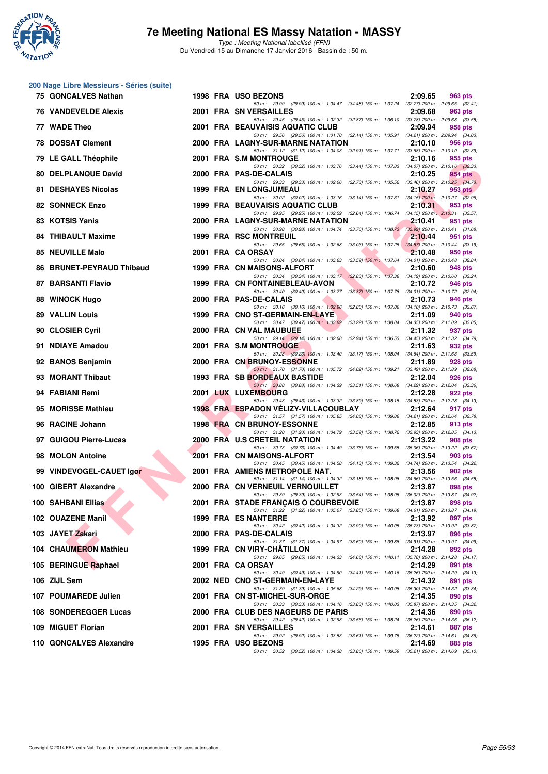

|    | 200 Nage Libre Messieurs - Séries (suite) |  |                                                                                                                                      |         |         |
|----|-------------------------------------------|--|--------------------------------------------------------------------------------------------------------------------------------------|---------|---------|
|    | 75 GONCALVES Nathan                       |  | 1998 FRA USO BEZONS<br>50 m: 29.99 (29.99) 100 m: 1:04.47 (34.48) 150 m: 1:37.24 (32.77) 200 m: 2:09.65 (32.41)                      | 2:09.65 | 963 pts |
|    | <b>76 VANDEVELDE Alexis</b>               |  | 2001 FRA SN VERSAILLES                                                                                                               | 2:09.68 | 963 pts |
|    | 77 WADE Theo                              |  | 50 m: 29.45 (29.45) 100 m: 1:02.32 (32.87) 150 m: 1:36.10 (33.78) 200 m: 2:09.68 (33.58)<br>2001 FRA BEAUVAISIS AQUATIC CLUB         | 2:09.94 | 958 pts |
|    | <b>78 DOSSAT Clement</b>                  |  | 50 m: 29.56 (29.56) 100 m: 1:01.70 (32.14) 150 m: 1:35.91 (34.21) 200 m: 2:09.94 (34.03)<br>2000 FRA LAGNY-SUR-MARNE NATATION        | 2:10.10 | 956 pts |
|    | 79 LE GALL Théophile                      |  | 50 m: 31.12 (31.12) 100 m: 1:04.03 (32.91) 150 m: 1:37.71 (33.68) 200 m: 2:10.10 (32.39)<br>2001 FRA S.M MONTROUGE                   | 2:10.16 | 955 pts |
|    | <b>80 DELPLANQUE David</b>                |  | 50 m: 30.32 (30.32) 100 m: 1:03.76 (33.44) 150 m: 1:37.83 (34.07) 200 m: 2:10.16 (32.33)<br>2000 FRA PAS-DE-CALAIS                   | 2:10.25 | 954 pts |
|    | 81 DESHAYES Nicolas                       |  | 50 m: 29.33 (29.33) 100 m: 1:02.06 (32.73) 150 m: 1:35.52 (33.46) 200 m: 2:10.25 (34.73)<br><b>1999 FRA EN LONGJUMEAU</b>            | 2:10.27 | 953 pts |
|    | 82 SONNECK Enzo                           |  | 50 m: 30.02 (30.02) 100 m: 1:03.16 (33.14) 150 m: 1:37.31 (34.15) 200 m: 2:10.27 (32.96)<br>1999 FRA BEAUVAISIS AQUATIC CLUB         | 2:10.31 | 953 pts |
|    | 83 KOTSIS Yanis                           |  | 50 m: 29.95 (29.95) 100 m: 1:02.59 (32.64) 150 m: 1:36.74 (34.15) 200 m: 2:10.31 (33.57)<br>2000 FRA LAGNY-SUR-MARNE NATATION        | 2:10.41 | 951 pts |
|    | 84 THIBAULT Maxime                        |  | 50 m: 30.98 (30.98) 100 m: 1:04.74 (33.76) 150 m: 1:38.73 (33.99) 200 m: 2:10.41 (31.68)<br><b>1999 FRA RSC MONTREUIL</b>            | 2:10.44 | 951 pts |
|    | 85 NEUVILLE Malo                          |  | 50 m: 29.65 (29.65) 100 m: 1:02.68 (33.03) 150 m: 1:37.25 (34.57) 200 m: 2:10.44 (33.19)<br>2001 FRA CA ORSAY                        | 2:10.48 | 950 pts |
| 86 | <b>BRUNET-PEYRAUD Thibaud</b>             |  | 50 m: 30.04 (30.04) 100 m: 1:03.63 (33.59) 150 m: 1:37.64 (34.01) 200 m: 2:10.48 (32.84)<br>1999 FRA CN MAISONS-ALFORT               | 2:10.60 | 948 pts |
|    | 87 BARSANTI Flavio                        |  | 50 m: 30.34 (30.34) 100 m: 1:03.17 (32.83) 150 m: 1:37.36 (34.19) 200 m: 2:10.60 (33.24)<br>1999 FRA CN FONTAINEBLEAU-AVON           | 2:10.72 | 946 pts |
|    | 88 WINOCK Hugo                            |  | 50 m: 30.40 (30.40) 100 m: 1:03.77 (33.37) 150 m: 1:37.78 (34.01) 200 m: 2:10.72 (32.94)<br>2000 FRA PAS-DE-CALAIS                   | 2:10.73 | 946 pts |
|    | <b>89 VALLIN Louis</b>                    |  | 50 m: 30.16 (30.16) 100 m: 1:02.96 (32.80) 150 m: 1:37.06 (34.10) 200 m: 2:10.73 (33.67)<br>1999 FRA CNO ST-GERMAIN-EN-LAYE          | 2:11.09 | 940 pts |
|    | 90 CLOSIER Cyril                          |  | 50 m: 30.47 (30.47) 100 m: 1.03.69 (33.22) 150 m: 1.38.04 (34.35) 200 m: 2:11.09 (33.05)<br>2000 FRA CN VAL MAUBUEE                  | 2:11.32 | 937 pts |
|    | 91 NDIAYE Amadou                          |  | 50 m: 29.14 (29.14) 100 m: 1:02.08 (32.94) 150 m: 1:36.53 (34.45) 200 m: 2:11.32 (34.79)<br>2001 FRA S.M MONTROUGE                   | 2:11.63 | 932 pts |
|    | 92 BANOS Benjamin                         |  | 50 m: 30.23 (30.23) 100 m: 1:03.40 (33.17) 150 m: 1:38.04 (34.64) 200 m: 2:11.63 (33.59)<br>2000 FRA CN BRUNOY-ESSONNE               | 2:11.89 | 928 pts |
| 93 | <b>MORANT Thibaut</b>                     |  | 50 m: 31.70 (31.70) 100 m: 1:05.72 (34.02) 150 m: 1:39.21 (33.49) 200 m: 2:11.89 (32.68)<br>1993 FRA SB BORDEAUX BASTIDE             | 2:12.04 | 926 pts |
|    | 94 FABIANI Remi                           |  | 50 m: 30.88 (30.88) 100 m: 1:04.39 (33.51) 150 m: 1:38.68 (34.29) 200 m: 2:12.04 (33.36)<br>2001 LUX LUXEMBOURG                      | 2:12.28 | 922 pts |
|    | 95 MORISSE Mathieu                        |  | 50 m: 29.43 (29.43) 100 m: 1:03.32 (33.89) 150 m: 1:38.15 (34.83) 200 m: 2:12.28 (34.13)<br>1998 FRA ESPADON VELIZY-VILLACOUBLAY     | 2:12.64 | 917 pts |
|    | 96 RACINE Johann                          |  | 50 m: 31.57 (31.57) 100 m: 1:05.65 (34.08) 150 m: 1:39.86 (34.21) 200 m: 2:12.64 (32.78)<br><b>1998 FRA CN BRUNOY-ESSONNE</b>        | 2:12.85 | 913 pts |
|    | 97 GUIGOU Pierre-Lucas                    |  | 50 m: 31.20 (31.20) 100 m: 1:04.79 (33.59) 150 m: 1:38.72 (33.93) 200 m: 2:12.85 (34.13)<br>2000 FRA U.S CRETEIL NATATION            | 2:13.22 | 908 pts |
| 98 | <b>MOLON Antoine</b>                      |  | 50 m: 30.73 (30.73) 100 m: 1:04.49 (33.76) 150 m: 1:39.55 (35.06) 200 m: 2:13.22 (33.67)<br>2001 FRA CN MAISONS-ALFORT               | 2:13.54 | 903 pts |
|    | 99 VINDEVOGEL-CAUET Igor                  |  | 50 m: 30.45 (30.45) 100 m: 1:04.58 (34.13) 150 m: 1:39.32 (34.74) 200 m: 2:13.54 (34.22)<br>2001 FRA AMIENS METROPOLE NAT.           | 2:13.56 | 902 pts |
|    | 100 GIBERT Alexandre                      |  | 50 m: 31.14 (31.14) 100 m: 1:04.32 (33.18) 150 m: 1:38.98 (34.66) 200 m: 2:13.56 (34.58)<br>2000 FRA CN VERNEUIL VERNOUILLET         | 2:13.87 | 898 pts |
|    | <b>100 SAHBANI Ellias</b>                 |  | 50 m : 29.39 (29.39) 100 m : 1:02.93 (33.54) 150 m : 1:38.95 (36.02) 200 m : 2:13.87 (34.92)<br>2001 FRA STADE FRANÇAIS O COURBEVOIE | 2:13.87 | 898 pts |
|    | 102 OUAZENE Manil                         |  | 50 m: 31.22 (31.22) 100 m: 1:05.07 (33.85) 150 m: 1:39.68 (34.61) 200 m: 2:13.87 (34.19)<br>1999 FRA ES NANTERRE                     | 2:13.92 | 897 pts |
|    | 103 JAYET Zakari                          |  | 50 m: 30.42 (30.42) 100 m: 1:04.32 (33.90) 150 m: 1:40.05 (35.73) 200 m: 2:13.92 (33.87)<br>2000 FRA PAS-DE-CALAIS                   | 2:13.97 | 896 pts |
|    | 104 CHAUMERON Mathieu                     |  | 50 m: 31.37 (31.37) 100 m: 1:04.97 (33.60) 150 m: 1:39.88 (34.91) 200 m: 2:13.97 (34.09)<br>1999 FRA CN VIRY-CHATILLON               | 2:14.28 | 892 pts |
|    | 105 BERINGUE Raphael                      |  | 50 m: 29.65 (29.65) 100 m: 1:04.33 (34.68) 150 m: 1:40.11 (35.78) 200 m: 2:14.28 (34.17)<br>2001 FRA CA ORSAY                        | 2:14.29 | 891 pts |
|    | 106 ZIJL Sem                              |  | 50 m: 30.49 (30.49) 100 m: 1:04.90 (34.41) 150 m: 1:40.16 (35.26) 200 m: 2:14.29 (34.13)<br>2002 NED CNO ST-GERMAIN-EN-LAYE          | 2:14.32 | 891 pts |
|    | 107 POUMAREDE Julien                      |  | 50 m: 31.39 (31.39) 100 m: 1.05.68 (34.29) 150 m: 1.40.98 (35.30) 200 m: 2.14.32 (33.34)<br>2001 FRA CN ST-MICHEL-SUR-ORGE           | 2:14.35 | 890 pts |
|    | 108 SONDEREGGER Lucas                     |  | 50 m: 30.33 (30.33) 100 m: 1:04.16 (33.83) 150 m: 1:40.03 (35.87) 200 m: 2:14.35 (34.32)<br>2000 FRA CLUB DES NAGEURS DE PARIS       | 2:14.36 | 890 pts |
|    | 109 MIGUET Florian                        |  | 50 m : 29.42 (29.42) 100 m : 1:02.98 (33.56) 150 m : 1:38.24 (35.26) 200 m : 2:14.36 (36.12)<br>2001 FRA SN VERSAILLES               | 2:14.61 | 887 pts |
|    | 110 GONCALVES Alexandre                   |  | 50 m: 29.92 (29.92) 100 m: 1:03.53 (33.61) 150 m: 1:39.75 (36.22) 200 m: 2:14.61 (34.86)<br>1995 FRA USO BEZONS                      | 2:14.69 | 885 pts |
|    |                                           |  | 50 m: 30.52 (30.52) 100 m: 1:04.38 (33.86) 150 m: 1:39.59 (35.21) 200 m: 2:14.69 (35.10)                                             |         |         |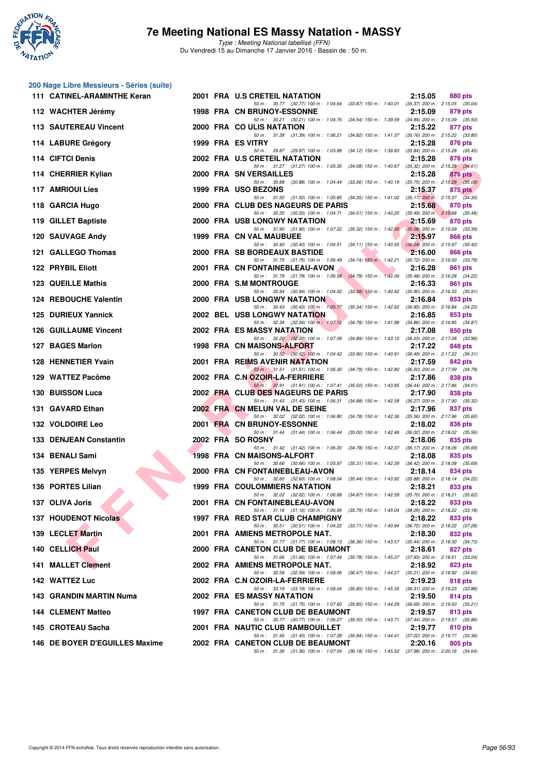

**200 Nage Libre Messieurs - Séries (suite)**

### **7e Meeting National ES Massy Natation - MASSY**

| 111 CATINEL-ARAMINTHE Keran    |  | 2001 FRA U.S CRETEIL NATATION                                                                                                    | 2:15.05 | 880 pts   |
|--------------------------------|--|----------------------------------------------------------------------------------------------------------------------------------|---------|-----------|
| 112 WACHTER Jérémy             |  | 50 m: 30.77 (30.77) 100 m: 1:04.64 (33.87) 150 m: 1:40.01 (35.37) 200 m: 2:15.05 (35.04)<br>1998 FRA CN BRUNOY-ESSONNE           | 2:15.09 | 879 pts   |
| <b>113 SAUTEREAU Vincent</b>   |  | 50 m: 30.21 (30.21) 100 m: 1:04.75 (34.54) 150 m: 1:39.59 (34.84) 200 m: 2:15.09 (35.50)<br>2000 FRA COULIS NATATION             | 2:15.22 | 877 pts   |
| 114 LABURE Grégory             |  | 50 m: 31.39 (31.39) 100 m: 1:06.21 (34.82) 150 m: 1:41.37 (35.16) 200 m: 2:15.22 (33.85)<br>1999 FRA ES VITRY                    | 2:15.28 | 876 pts   |
| 114 CIFTCI Denis               |  | 50 m: 29.87 (29.87) 100 m: 1:03.99 (34.12) 150 m: 1:39.83 (35.84) 200 m: 2:15.28 (35.45)<br>2002 FRA U.S CRETEIL NATATION        | 2:15.28 | 876 pts   |
| 114 CHERRIER Kylian            |  | 50 m: 31.27 (31.27) 100 m: 1:05.35 (34.08) 150 m: 1:40.67 (35.32) 200 m: 2:15.28 (34.61)<br>2000 FRA SN VERSAILLES               | 2:15.28 | 876 pts   |
| 117 AMRIOUI Lies               |  | 50 m: 30.88 (30.88) 100 m: 1:04.44 (33.56) 150 m: 1:40.19 (35.75) 200 m: 2:15.28 (35.09)<br>1999 FRA USO BEZONS                  | 2:15.37 | $875$ pts |
| 118 GARCIA Hugo                |  | 50 m: 31.50 (31.50) 100 m: 1:05.85 (34.35) 150 m: 1:41.02 (35.17) 200 m: 2:15.37 (34.35)<br>2000 FRA CLUB DES NAGEURS DE PARIS   | 2:15.68 | 870 pts   |
| 119 GILLET Baptiste            |  | 50 m: 30.20 (30.20) 100 m: 1:04.71 (34.51) 150 m: 1:40.20 (35.49) 200 m: 2:15.68 (35.48)<br>2000 FRA USB LONGWY NATATION         | 2:15.69 | 870 pts   |
| <b>120 SAUVAGE Andy</b>        |  | 50 m: 31.90 (31.90) 100 m: 1:07.22 (35.32) 150 m: 1:42.30 (35.08) 200 m: 2:15.69 (33.39)<br>1999 FRA CN VAL MAUBUEE              | 2:15.97 | 866 pts   |
| 121 GALLEGO Thomas             |  | 50 m: 30.40 (30.40) 100 m: 1:04.51 (34.11) 150 m: 1:40.55 (36.04) 200 m: 2:15.97 (35.42)<br>2000 FRA SB BORDEAUX BASTIDE         | 2:16.00 | 866 pts   |
| 122 PRYBIL Eliott              |  | 50 m: 31.75 (31.75) 100 m: 1:06.49 (34.74) 150 m: 1:42.21 (35.72) 200 m: 2:16.00 (33.79)<br>2001 FRA CN FONTAINEBLEAU-AVON       | 2:16.28 | 861 pts   |
| 123 QUEILLE Mathis             |  | 50 m: 31.79 (31.79) 100 m: 1:06.58 (34.79) 150 m: 1:42.06 (35.48) 200 m: 2:16.28 (34.22)<br>2000 FRA S.M MONTROUGE               | 2:16.33 | 861 pts   |
| 124 REBOUCHE Valentin          |  | 50 m: 30.94 (30.94) 100 m: 1:04.52 (33.58) 150 m: 1:40.42 (35.90) 200 m: 2:16.33 (35.91)<br><b>2000 FRA USB LONGWY NATATION</b>  | 2:16.84 | 853 pts   |
| 125 DURIEUX Yannick            |  | 50 m: 30.43 (30.43) 100 m: 1:05.77 (35.34) 150 m: 1:42.62 (36.85) 200 m: 2:16.84 (34.22)<br><b>2002 BEL USB LONGWY NATATION</b>  | 2:16.85 | 853 pts   |
| <b>126 GUILLAUME Vincent</b>   |  | 50 m: 32.34 (32.34) 100 m: 1:07.12 (34.78) 150 m: 1:41.98 (34.86) 200 m: 2:16.85 (34.87)<br>2002 FRA ES MASSY NATATION           | 2:17.08 | 850 pts   |
| 127 BAGES Marlon               |  | 50 m: 32.20 (32.20) 100 m: 1:07.09 (34.89) 150 m: 1:43.12 (36.03) 200 m: 2:17.08 (33.96)<br>1998 FRA CN MAISONS-ALFORT           | 2:17.22 | 848 pts   |
| 128 HENNETIER Yvain            |  | 50 m: 30.52 (30.52) 100 m: 1:04.42 (33.90) 150 m: 1:40.91 (36.49) 200 m: 2:17.22 (36.31)<br>2001 FRA REIMS AVENIR NATATION       | 2:17.59 | 842 pts   |
| 129 WATTEZ Pacôme              |  | 50 m: 31.51 (31.51) 100 m: 1:06.30 (34.79) 150 m: 1:42.80 (36.50) 200 m: 2:17.59 (34.79)<br>2002 FRA C.N OZOIR-LA-FERRIERE       | 2:17.86 | 838 pts   |
| 130 BUISSON Luca               |  | 50 m: 31.91 (31.91) 100 m: 1:07.41 (35.50) 150 m: 1:43.85 (36.44) 200 m: 2:17.86 (34.01)<br>2002 FRA CLUB DES NAGEURS DE PARIS   | 2:17.90 | 838 pts   |
| 131 GAVARD Ethan               |  | 50 m: 31.43 (31.43) 100 m: 1:06.31 (34.88) 150 m: 1:42.58 (36.27) 200 m: 2:17.90 (35.32)<br>2002 FRA CN MELUN VAL DE SEINE       | 2:17.96 | 837 pts   |
| 132 VOLDOIRE Leo               |  | 50 m : 32.02 (32.02) 100 m : 1:06.80 (34.78) 150 m : 1:42.36 (35.56) 200 m : 2:17.96 (35.60)<br>2001 FRA CN BRUNOY-ESSONNE       | 2:18.02 | 836 pts   |
| 133 DENJEAN Constantin         |  | 50 m: 31.44 (31.44) 100 m: 1:06.44 (35.00) 150 m: 1:42.46 (36.02) 200 m: 2:18.02 (35.56)<br>2002 FRA SO ROSNY                    | 2:18.06 | 835 pts   |
| 134 BENALI Sami                |  | 50 m: 31.42 (31.42) 100 m: 1:06.20 (34.78) 150 m: 1:42.37 (36.17) 200 m: 2:18.06 (35.69)<br>1998 FRA CN MAISONS-ALFORT           | 2:18.08 | 835 pts   |
| 135 YERPES Melvyn              |  | 50 m: 30.66 (30.66) 100 m: 1:05.97 (35.31) 150 m: 1:42.39 (36.42) 200 m: 2:18.08 (35.69)<br>2000 FRA CN FONTAINEBLEAU-AVON       | 2:18.14 | 834 pts   |
| 136 PORTES Lilian              |  | 50 m: 32.60 (32.60) 100 m: 1:08.04 (35.44) 150 m: 1:43.92 (35.88) 200 m: 2:18.14 (34.22)<br><b>1999 FRA COULOMMIERS NATATION</b> | 2:18.21 | 833 pts   |
| 137 OLIVA Joris                |  | 50 m: 32.02 (32.02) 100 m: 1:06.89 (34.87) 150 m: 1:42.59 (35.70) 200 m: 2:18.21 (35.62)<br>2001 FRA CN FONTAINEBLEAU-AVON       | 2:18.22 | 833 pts   |
| 137 HOUDENOT Nicolas           |  | 50 m: 31.16 (31.16) 100 m: 1:06.95 (35.79) 150 m: 1:45.04 (38.09) 200 m: 2:18.22 (33.18)<br>1997 FRA RED STAR CLUB CHAMPIGNY     | 2:18.22 | 833 pts   |
| 139 LECLET Martin              |  | 50 m: 30.51 (30.51) 100 m: 1:04.22 (33.71) 150 m: 1:40.94 (36.72) 200 m: 2:18.22 (37.28)<br>2001 FRA AMIENS METROPOLE NAT.       | 2:18.30 | 832 pts   |
| 140 CELLICH Paul               |  | 50 m: 31.77 (31.77) 100 m: 1:08.13 (36.36) 150 m: 1:43.57 (35.44) 200 m: 2:18.30 (34.73)<br>2000 FRA CANETON CLUB DE BEAUMONT    | 2:18.61 | 827 pts   |
| 141 MALLET Clement             |  | 50 m: 31.66 (31.66) 100 m: 1:07.44 (35.78) 150 m: 1:45.37 (37.93) 200 m: 2:18.61 (33.24)<br>2002 FRA AMIENS METROPOLE NAT.       | 2:18.92 | 823 pts   |
| 142 WATTEZ Luc                 |  | 50 m: 32.59 (32.59) 100 m: 1:09.06 (36.47) 150 m: 1:44.27 (35.21) 200 m: 2:18.92 (34.65)<br>2002 FRA C.N OZOIR-LA-FERRIERE       | 2:19.23 | 818 pts   |
| 143 GRANDIN MARTIN Numa        |  | 50 m: 33.19 (33.19) 100 m: 1:09.04 (35.85) 150 m: 1:45.35 (36.31) 200 m: 2:19.23 (33.88)<br><b>2002 FRA ES MASSY NATATION</b>    | 2:19.50 | 814 pts   |
| <b>144 CLEMENT Matteo</b>      |  | 50 m: 31.75 (31.75) 100 m: 1:07.60 (35.85) 150 m: 1:44.29 (36.69) 200 m: 2:19.50 (35.21)<br>1997 FRA CANETON CLUB DE BEAUMONT    | 2:19.57 | 813 pts   |
| 145 CROTEAU Sacha              |  | 50 m: 30.77 (30.77) 100 m: 1:06.27 (35.50) 150 m: 1:43.71 (37.44) 200 m: 2:19.57 (35.86)<br>2001 FRA NAUTIC CLUB RAMBOUILLET     | 2:19.77 | 810 pts   |
| 146 DE BOYER D'EGUILLES Maxime |  | 50 m: 31.45 (31.45) 100 m: 1:07.39 (35.94) 150 m: 1:44.41 (37.02) 200 m: 2:19.77 (35.36)<br>2002 FRA CANETON CLUB DE BEAUMONT    | 2:20.16 | 805 pts   |
|                                |  | 50 m: 31.36 (31.36) 100 m: 1:07.54 (36.18) 150 m: 1:45.52 (37.98) 200 m: 2:20.16 (34.64)                                         |         |           |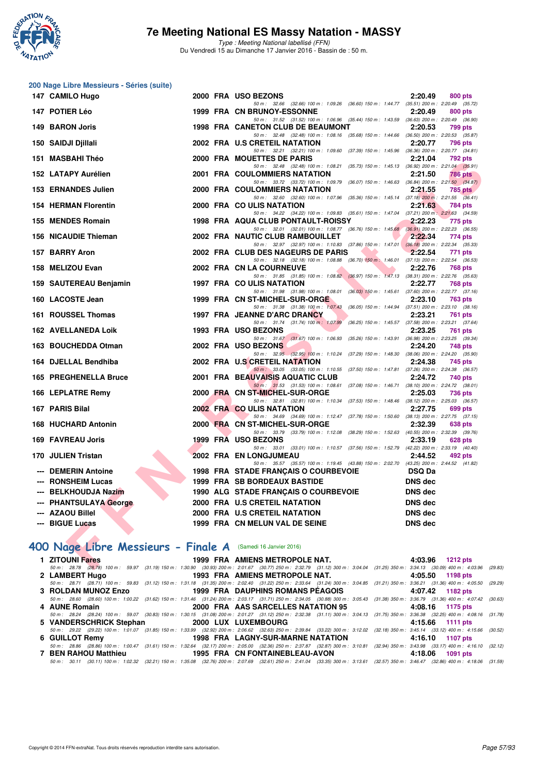

Type : Meeting National labellisé (FFN) Du Vendredi 15 au Dimanche 17 Janvier 2016 - Bassin de : 50 m.

| 200 Nage Libre Messieurs - Séries (suite)                    |  |                                                                                                                                                                                |                            |
|--------------------------------------------------------------|--|--------------------------------------------------------------------------------------------------------------------------------------------------------------------------------|----------------------------|
| 147 CAMILO Hugo                                              |  | 2000 FRA USO BEZONS                                                                                                                                                            | 2:20.49<br>800 pts         |
| 147 POTIER Léo                                               |  | 50 m: 32.66 (32.66) 100 m: 1:09.26 (36.60) 150 m: 1:44.77 (35.51) 200 m: 2:20.49 (35.72)<br>1999 FRA CN BRUNOY-ESSONNE                                                         | 2:20.49<br>800 pts         |
|                                                              |  | 50 m: 31.52 (31.52) 100 m: 1:06.96 (35.44) 150 m: 1:43.59 (36.63) 200 m: 2:20.49 (36.90)                                                                                       |                            |
| 149 BARON Joris                                              |  | 1998 FRA CANETON CLUB DE BEAUMONT                                                                                                                                              | 2:20.53<br>799 pts         |
| 150 SAIDJI Djillali                                          |  | 50 m: 32.48 (32.48) 100 m: 1:08.16 (35.68) 150 m: 1:44.66 (36.50) 200 m: 2:20.53 (35.87)<br>2002 FRA U.S CRETEIL NATATION                                                      | 2:20.77<br>796 pts         |
|                                                              |  | 50 m: 32.21 (32.21) 100 m: 1:09.60 (37.39) 150 m: 1:45.96 (36.36) 200 m: 2:20.77 (34.81)                                                                                       |                            |
| 151 MASBAHI Théo                                             |  | 2000 FRA MOUETTES DE PARIS<br>50 m: 32.48 (32.48) 100 m: 1:08.21 (35.73) 150 m: 1:45.13 (36.92) 200 m: 2:21.04 (35.91)                                                         | 2:21.04<br>792 pts         |
| 152 LATAPY Aurélien                                          |  | 2001 FRA COULOMMIERS NATATION                                                                                                                                                  | 2:21.50<br><b>786 pts</b>  |
| 153 ERNANDES Julien                                          |  | 50 m: 33.72 (33.72) 100 m: 1:09.79 (36.07) 150 m: 1:46.63 (36.84) 200 m: 2:21.50 (34.87)<br>2000 FRA COULOMMIERS NATATION                                                      | 2:21.55<br>785 pts         |
|                                                              |  | 50 m: 32.60 (32.60) 100 m: 1:07.96 (35.36) 150 m: 1:45.14 (37.18) 200 m: 2:21.55 (36.41)                                                                                       |                            |
| <b>154 HERMAN Florentin</b>                                  |  | 2000 FRA COULIS NATATION                                                                                                                                                       | 2:21.63<br>784 pts         |
| 155 MENDES Romain                                            |  | 50 m: 34.22 (34.22) 100 m: 1:09.83 (35.61) 150 m: 1:47.04 (37.21) 200 m: 2:21.63 (34.59)<br>1998 FRA AQUA CLUB PONTAULT-ROISSY                                                 | 2:22.23<br>775 pts         |
|                                                              |  | 50 m: 32.01 (32.01) 100 m: 1:08.77 (36.76) 150 m: 1:45.68 (36.91) 200 m: 2:22.23 (36.55)                                                                                       |                            |
| 156 NICAUDIE Thieman                                         |  | 2002 FRA NAUTIC CLUB RAMBOUILLET<br>50 m: 32.97 (32.97) 100 m: 1:10.83 (37.86) 150 m: 1:47.01 (36.18) 200 m: 2:22.34 (35.33)                                                   | 2:22.34<br>774 pts         |
| 157 BARRY Aron                                               |  | 2002 FRA CLUB DES NAGEURS DE PARIS                                                                                                                                             | 2:22.54<br>771 pts         |
|                                                              |  | 50 m: 32.18 (32.18) 100 m: 1:08.88 (36.70) 150 m: 1:46.01 (37.13) 200 m: 2:22.54 (36.53)<br>2002 FRA CN LA COURNEUVE                                                           |                            |
| 158 MELIZOU Evan                                             |  | 50 m: 31.85 (31.85) 100 m: 1:08.82 (36.97) 150 m: 1:47.13 (38.31) 200 m: 2:22.76 (35.63)                                                                                       | 2:22.76<br>768 pts         |
| 159 SAUTEREAU Benjamin                                       |  | 1997 FRA COULIS NATATION                                                                                                                                                       | 2:22.77<br>768 pts         |
| 160 LACOSTE Jean                                             |  | 50 m: 31.98 (31.98) 100 m: 1.08.01 (36.03) 150 m: 1.45.61 (37.60) 200 m: 2.22.77 (37.16)<br>1999 FRA CN ST-MICHEL-SUR-ORGE                                                     | 2:23.10<br>763 pts         |
|                                                              |  | 50 m: 31.38 (31.38) 100 m: 1:07.43 (36.05) 150 m: 1:44.94 (37.51) 200 m: 2:23.10 (38.16)                                                                                       |                            |
| 161 ROUSSEL Thomas                                           |  | 1997 FRA JEANNE D'ARC DRANCY                                                                                                                                                   | 2:23.21<br><b>761 pts</b>  |
| 162 AVELLANEDA Loik                                          |  | 50 m: 31.74 (31.74) 100 m: 1.07.99 (36.25) 150 m: 1.45.57 (37.58) 200 m: 2.23.21 (37.64)<br>1993 FRA USO BEZONS                                                                | 2:23.25<br>761 pts         |
|                                                              |  | 50 m: 31.67 (31.67) 100 m: 1:06.93 (35.26) 150 m: 1:43.91 (36.98) 200 m: 2:23.25 (39.34)                                                                                       |                            |
| 163 BOUCHEDDA Otman                                          |  | 2002 FRA USO BEZONS<br>50 m: 32.95 (32.95) 100 m: 1:10.24 (37.29) 150 m: 1:48.30 (38.06) 200 m: 2:24.20 (35.90)                                                                | 2:24.20<br>748 pts         |
| 164 DJELLAL Bendhiba                                         |  | 2002 FRA U.S CRETEIL NATATION                                                                                                                                                  | 2:24.38<br>745 pts         |
|                                                              |  | 50 m: 33.05 (33.05) 100 m: 1:10.55 (37.50) 150 m: 1:47.81 (37.26) 200 m: 2:24.38 (36.57)                                                                                       |                            |
| 165 PREGHENELLA Bruce                                        |  | 2001 FRA BEAUVAISIS AQUATIC CLUB<br>50 m: 31.53 (31.53) 100 m: 1:08.61 (37.08) 150 m: 1:46.71 (38.10) 200 m: 2:24.72 (38.01)                                                   | 2:24.72<br>740 pts         |
| 166 LEPLATRE Remy                                            |  | 2000 FRA CN ST-MICHEL-SUR-ORGE                                                                                                                                                 | 2:25.03<br>736 pts         |
| 167 PARIS Bilal                                              |  | 50 m: 32.81 (32.81) 100 m: 1:10.34 (37.53) 150 m: 1:48.46 (38.12) 200 m: 2:25.03 (36.57)<br>2002 FRA COULIS NATATION                                                           | 2:27.75<br>699 pts         |
|                                                              |  | 50 m: 34.69 (34.69) 100 m: 1:12.47 (37.78) 150 m: 1:50.60 (38.13) 200 m: 2:27.75 (37.15)                                                                                       |                            |
| <b>168 HUCHARD Antonin</b>                                   |  | 2000 FRA CN ST-MICHEL-SUR-ORGE                                                                                                                                                 | 2:32.39<br>638 pts         |
| 169 FAVREAU Joris                                            |  | 50 m: 33.79 (33.79) 100 m: 1:12.08 (38.29) 150 m: 1:52.63 (40.55) 200 m: 2:32.39 (39.76)<br>1999 FRA USO BEZONS                                                                | 2:33.19<br>628 pts         |
|                                                              |  | 50 m: 33.01 (33.01) 100 m: 1:10.57 (37.56) 150 m: 1:52.79 (42.22) 200 m: 2:33.19 (40.40)                                                                                       |                            |
| 170 JULIEN Tristan                                           |  | <b>2002 FRA EN LONGJUMEAU</b><br>50 m: 35.57 (35.57) 100 m: 1:19.45 (43.88) 150 m: 2:02.70 (43.25) 200 m: 2:44.52 (41.82)                                                      | 2:44.52<br>492 pts         |
| <b>DEMERIN Antoine</b>                                       |  | 1998 FRA STADE FRANÇAIS O COURBEVOIE                                                                                                                                           | <b>DSQ Da</b>              |
| --- RONSHEIM Lucas                                           |  | 1999 FRA SB BORDEAUX BASTIDE                                                                                                                                                   | <b>DNS dec</b>             |
| <b>BELKHOUDJA Nazim</b>                                      |  | 1990 ALG STADE FRANÇAIS O COURBEVOIE                                                                                                                                           | DNS dec                    |
| --- PHANTSULAYA George                                       |  | 2000 FRA U.S CRETEIL NATATION                                                                                                                                                  | <b>DNS</b> dec             |
| --- AZAOU Billel                                             |  | 2000 FRA U.S CRETEIL NATATION                                                                                                                                                  | <b>DNS dec</b>             |
| --- BIGUE Lucas                                              |  | 1999 FRA CN MELUN VAL DE SEINE                                                                                                                                                 | <b>DNS dec</b>             |
|                                                              |  |                                                                                                                                                                                |                            |
| 400 Nage Libre Messieurs - Finale A (Samedi 16 Janvier 2016) |  |                                                                                                                                                                                |                            |
| 1 ZITOUNI Fares                                              |  | 1999 FRA AMIENS METROPOLE NAT.                                                                                                                                                 | 4:03.96<br><b>1212 pts</b> |
|                                                              |  | 50 m; 28.78 (28.78) 100 m; 59.97 (31.19) 150 m; 1:30.90 (30.93) 200 m; 2:01.67 (30.77) 250 m; 2:32.79 (31.12) 300 m; 3:04.04 (31.25) 350 m; 3:34.13 (30.09) 400 m; 4:03.96 (29 |                            |

## **[400 Nage Libre Messieurs - Finale A](http://www.ffnatation.fr/webffn/resultats.php?idact=nat&go=epr&idcpt=35299&idepr=54)** (Samedi 16 Janvier 2016)

| 1 ZITOUNI Fares | 1999 FRA AMIENS METROPOLE NAT. 4:03.96 1212 pts                                                                                                                                      |                    |
|-----------------|--------------------------------------------------------------------------------------------------------------------------------------------------------------------------------------|--------------------|
|                 | 50 m: 28.78 (28.78) 100 m: 59.97 (31.19) 150 m: 1:30.90 (30.93) 200 m: 2:01.67 (30.77) 250 m: 2:32.79 (31.12) 300 m: 3:04.04 (31.25) 350 m: 3:34.13 (30.09) 400 m: 4:03.96 (29.83)   |                    |
|                 |                                                                                                                                                                                      | 4:05.50 1198 pts   |
|                 | 50 m: 28.71 (28.71) 100 m: 59.83 (31.12) 150 m: 1:31.18 (31.35) 200 m: 2:02.40 (31.22) 250 m: 2:33.64 (31.24) 300 m: 3:04.85 (31.21) 350 m: 3:36.21 (31.36) 400 m: 4:05.50 (29.29)   |                    |
|                 | 3 ROLDAN MUNOZ Enzo 1999 FRA DAUPHINS ROMANS PEAGOIS                                                                                                                                 | 4:07.42 1182 pts   |
|                 | 50 m: 28.60 (28.60) 100 m: 1:00.22 (31.62) 150 m: 1:31.46 (31.24) 200 m: 2:03.17 (31.71) 250 m: 2:34.05 (30.88) 300 m: 3:05.43 (31.38) 350 m: 3:36.79 (31.36) 400 m: 4:07.42 (30.63) |                    |
| 4 AUNE Romain   | 2000 FRA AAS SARCELLES NATATION 95 4:08.16 1175 pts                                                                                                                                  |                    |
|                 | 50 m: 28.24 (28.24) 100 m: 59.07 (30.83) 150 m: 1:30.15 (31.08) 200 m: 2:01.27 (31.12) 250 m: 2:32.38 (31.11) 300 m: 3:04.13 (31.75) 350 m: 3:36.38 (32.25) 400 m: 4:08.16 (31.78)   |                    |
|                 | 5 VANDERSCHRICK Stephan 2000 LUX LUXEMBOURG                                                                                                                                          | $4:15.66$ 1111 pts |
|                 | 50 m: 29.22 (29.22) 100 m: 1:01.07 (31.85) 150 m: 1:33.99 (32.92) 200 m: 2:06.62 (32.63) 250 m: 2:39.84 (33.22) 300 m: 3:12.02 (32.18) 350 m: 3:45.14 (33.12) 400 m: 4:15.66 (30.52) |                    |
| 6 GUILLOT Remy  | 1998 FRA LAGNY-SUR-MARNE NATATION                                                                                                                                                    | 4:16.10 1107 pts   |
|                 | 50 m: 28.86 (28.86) 100 m: 1:00.47 (31.61) 150 m: 1:32.64 (32.17) 200 m: 2:05.00 (32.36) 250 m: 2:37.87 (32.87) 300 m: 3:10.81 (32.94) 350 m: 3:43.98 (33.17) 400 m: 4:16.10 (32.12) |                    |
|                 |                                                                                                                                                                                      | 4:18.06 1091 pts   |
|                 | 50 m: 30.11 (30.11) 100 m: 1:02.32 (32.21) 150 m: 1:35.08 (32.76) 200 m: 2:07.69 (32.61) 250 m: 2:41.04 (33.35) 300 m: 3:13.61 (32.57) 350 m: 3:46.47 (32.86) 400 m: 4:18.06 (31.59) |                    |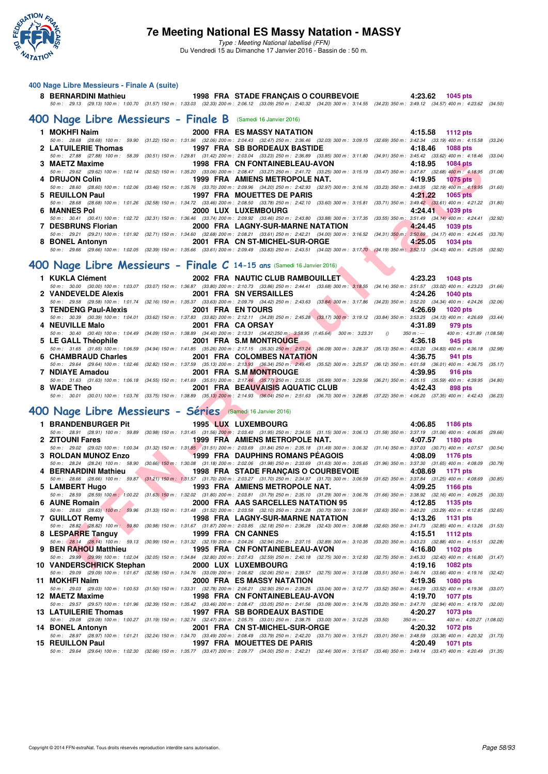

Type : Meeting National labellisé (FFN) Du Vendredi 15 au Dimanche 17 Janvier 2016 - Bassin de : 50 m.

#### **400 Nage Libre Messieurs - Finale A (suite)**

| 8 BERNARDINI Mathieu                                                                                                                                                                |  | 1998 FRA STADE FRANÇAIS O COURBEVOIE | 4:23.62 1045 pts |  |
|-------------------------------------------------------------------------------------------------------------------------------------------------------------------------------------|--|--------------------------------------|------------------|--|
| 50 m: 29.13 (29.13) 100 m: 1:00.70 (31.57) 150 m: 1:33.03 (32.33) 200 m: 2:06.12 (33.09) 250 m: 2:40.32 (34.20) 300 m: 3:14.55 (34.23) 350 m: 3:49.12 (34.57) 400 m: 4:23.62 (34.50 |  |                                      |                  |  |

#### **[400 Nage Libre Messieurs - Finale B](http://www.ffnatation.fr/webffn/resultats.php?idact=nat&go=epr&idcpt=35299&idepr=54)** (Samedi 16 Janvier 2016)

| 1 MOKHFI Naim<br>2 LATUILERIE Thomas<br>3 MAETZ Maxime |                                                                                                                                                                                                         | 2000 FRA ES MASSY NATATION<br><b>1997 FRA SB BORDEAUX BASTIDE</b><br>50 m: 27.88 (27.88) 100 m: 58.39 (30.51) 150 m: 1:29.81 (31.42) 200 m: 2:03.04 (33.23) 250 m: 2:36.89 (33.85) 300 m: 3:11.80 (34.91) 350 m: 3:45.42 (33.62) 400 m: 4:18.46 (33.04) | 4:15.58 1112 pts<br>50 m : 28.68 (28.68) 100 m : 59.90 (31.22) 150 m : 1:31.96 (32.06) 200 m : 2:04.43 (32.47) 250 m : 2:36.46 (32.03) 300 m : 3:09.15 (32.69) 350 m : 3:42.34 (33.19) 400 m : 4:15.58 (33.24)<br>4:18.46 1088 pts                                                                                                                                                                                                                                                                                                                                                                                                                                                                                                                                                                                                                                                                                                                                                                                                                                                                                                                                                                                |
|--------------------------------------------------------|---------------------------------------------------------------------------------------------------------------------------------------------------------------------------------------------------------|---------------------------------------------------------------------------------------------------------------------------------------------------------------------------------------------------------------------------------------------------------|-------------------------------------------------------------------------------------------------------------------------------------------------------------------------------------------------------------------------------------------------------------------------------------------------------------------------------------------------------------------------------------------------------------------------------------------------------------------------------------------------------------------------------------------------------------------------------------------------------------------------------------------------------------------------------------------------------------------------------------------------------------------------------------------------------------------------------------------------------------------------------------------------------------------------------------------------------------------------------------------------------------------------------------------------------------------------------------------------------------------------------------------------------------------------------------------------------------------|
|                                                        |                                                                                                                                                                                                         |                                                                                                                                                                                                                                                         |                                                                                                                                                                                                                                                                                                                                                                                                                                                                                                                                                                                                                                                                                                                                                                                                                                                                                                                                                                                                                                                                                                                                                                                                                   |
|                                                        |                                                                                                                                                                                                         |                                                                                                                                                                                                                                                         |                                                                                                                                                                                                                                                                                                                                                                                                                                                                                                                                                                                                                                                                                                                                                                                                                                                                                                                                                                                                                                                                                                                                                                                                                   |
|                                                        |                                                                                                                                                                                                         |                                                                                                                                                                                                                                                         |                                                                                                                                                                                                                                                                                                                                                                                                                                                                                                                                                                                                                                                                                                                                                                                                                                                                                                                                                                                                                                                                                                                                                                                                                   |
|                                                        |                                                                                                                                                                                                         |                                                                                                                                                                                                                                                         |                                                                                                                                                                                                                                                                                                                                                                                                                                                                                                                                                                                                                                                                                                                                                                                                                                                                                                                                                                                                                                                                                                                                                                                                                   |
|                                                        |                                                                                                                                                                                                         |                                                                                                                                                                                                                                                         | 1998 FRA CN FONTAINEBLEAU-AVON 4:18.95 1084 pts                                                                                                                                                                                                                                                                                                                                                                                                                                                                                                                                                                                                                                                                                                                                                                                                                                                                                                                                                                                                                                                                                                                                                                   |
|                                                        |                                                                                                                                                                                                         |                                                                                                                                                                                                                                                         |                                                                                                                                                                                                                                                                                                                                                                                                                                                                                                                                                                                                                                                                                                                                                                                                                                                                                                                                                                                                                                                                                                                                                                                                                   |
| 4 DRUJON Colin                                         |                                                                                                                                                                                                         |                                                                                                                                                                                                                                                         | 4:19.95 1075 pts                                                                                                                                                                                                                                                                                                                                                                                                                                                                                                                                                                                                                                                                                                                                                                                                                                                                                                                                                                                                                                                                                                                                                                                                  |
|                                                        |                                                                                                                                                                                                         |                                                                                                                                                                                                                                                         |                                                                                                                                                                                                                                                                                                                                                                                                                                                                                                                                                                                                                                                                                                                                                                                                                                                                                                                                                                                                                                                                                                                                                                                                                   |
| 5 REUILLON Paul                                        |                                                                                                                                                                                                         |                                                                                                                                                                                                                                                         | $4.21.22$ 1065 pts                                                                                                                                                                                                                                                                                                                                                                                                                                                                                                                                                                                                                                                                                                                                                                                                                                                                                                                                                                                                                                                                                                                                                                                                |
|                                                        |                                                                                                                                                                                                         |                                                                                                                                                                                                                                                         |                                                                                                                                                                                                                                                                                                                                                                                                                                                                                                                                                                                                                                                                                                                                                                                                                                                                                                                                                                                                                                                                                                                                                                                                                   |
| 6 MANNES Pol                                           |                                                                                                                                                                                                         |                                                                                                                                                                                                                                                         | 4:24.41 1039 pts                                                                                                                                                                                                                                                                                                                                                                                                                                                                                                                                                                                                                                                                                                                                                                                                                                                                                                                                                                                                                                                                                                                                                                                                  |
|                                                        |                                                                                                                                                                                                         |                                                                                                                                                                                                                                                         |                                                                                                                                                                                                                                                                                                                                                                                                                                                                                                                                                                                                                                                                                                                                                                                                                                                                                                                                                                                                                                                                                                                                                                                                                   |
|                                                        |                                                                                                                                                                                                         |                                                                                                                                                                                                                                                         |                                                                                                                                                                                                                                                                                                                                                                                                                                                                                                                                                                                                                                                                                                                                                                                                                                                                                                                                                                                                                                                                                                                                                                                                                   |
|                                                        |                                                                                                                                                                                                         |                                                                                                                                                                                                                                                         |                                                                                                                                                                                                                                                                                                                                                                                                                                                                                                                                                                                                                                                                                                                                                                                                                                                                                                                                                                                                                                                                                                                                                                                                                   |
|                                                        |                                                                                                                                                                                                         |                                                                                                                                                                                                                                                         | 1034 pts                                                                                                                                                                                                                                                                                                                                                                                                                                                                                                                                                                                                                                                                                                                                                                                                                                                                                                                                                                                                                                                                                                                                                                                                          |
|                                                        |                                                                                                                                                                                                         |                                                                                                                                                                                                                                                         |                                                                                                                                                                                                                                                                                                                                                                                                                                                                                                                                                                                                                                                                                                                                                                                                                                                                                                                                                                                                                                                                                                                                                                                                                   |
|                                                        | 8 BONEL Antonyn<br>50 m: 29.66 (29.66) 100 m: 1:02.05 (32.39) 150 m: 1:35.66 (33.61) 200 m: 2:09.49 (33.83) 250 m: 2:43.51 (34.02) 300 m: 3:17.70 (34.19) 350 m: 3:52.13 (34.43) 400 m: 4:25.05 (32.92) |                                                                                                                                                                                                                                                         | 50 m : 29.62 (29.62) 100 m : 1:02.14 (32.52) 150 m : 1:35.20 (33.06) 200 m : 2:08.47 (33.27) 250 m : 2:41.72 (33.25) 300 m : 3:15.19 (33.47) 350 m : 3:47.87 (32.68) 400 m : 4:18.95 (31.08)<br>1999 FRA AMIENS METROPOLE NAT.<br>50 m : 28.60 (28.60) 100 m : 1:02.06 (33.46) 150 m : 1:35.76 (33.70) 200 m : 2:09.96 (34.20) 250 m : 2:42.93 (32.97) 300 m : 3:16.16 (33.23) 350 m : 3:48.35 (32.19) 400 m : 4:19.95 (31.60)<br><b>1997 FRA MOUETTES DE PARIS</b><br>50 m: 28.68 (28.68) 100 m: 1:01.26 (32.58) 150 m: 1:34.72 (33.46) 200 m: 2:08.50 (33.78) 250 m: 2:42.10 (33.60) 300 m: 3:15.81 (33.71) 350 m: 3:49.42 (33.61) 400 m: 4:21.22 (31.80)<br><b>2000 LUX LUXEMBOURG</b><br>50 m: 30.41 (30.41) 100 m: 1:02.72 (32.31) 150 m: 1:36.46 (33.74) 200 m: 2:09.92 (33.46) 250 m: 2:43.80 (33.88) 300 m: 3:17.35 (33.55) 350 m: 3:51.49 (34.14) 400 m: 4:24.41 (32.92)<br>7 DESBRUNS Florian 2000 FRA LAGNY-SUR-MARNE NATATION 4:24.45 1039 pts<br>50 m : 29.21 (29.21) 100 m : 1:01.92 (32.71) 150 m : 1:34.60 (32.68) 200 m : 2:08.21 (33.61) 250 m : 2:42.21 (34.00) 300 m : 3:16.52 (34.31) 350 m : 3:50.69 (34.17) 400 m : 4:24.45 (33.76)<br>2001 FRA CN ST-MICHEL-SUR-ORGE $\overline{4.25.05}$ |

### **[400 Nage Libre Messieurs - Finale C](http://www.ffnatation.fr/webffn/resultats.php?idact=nat&go=epr&idcpt=35299&idepr=54) 14-15 ans** (Samedi 16 Janvier 2016)

| 1 KUKLA Clément       |                               | 2002 FRA NAUTIC CLUB RAMBOUILLET                                                                                                                                                                             | 4:23.23 1048 pts                                  |
|-----------------------|-------------------------------|--------------------------------------------------------------------------------------------------------------------------------------------------------------------------------------------------------------|---------------------------------------------------|
|                       |                               | 50 m: 30.00 (30.00) 100 m: 1:03.07 (33.07) 150 m: 1:36.87 (33.80) 200 m: 2:10.73 (33.86) 250 m: 2:44.41 (33.68) 300 m: 3:18.55 (34.14) 350 m: 3:51.57 (33.02) 400 m: 4:23.23 (31.66)                         |                                                   |
| 2 VANDEVELDE Alexis   | <b>2001 FRA SN VERSAILLES</b> |                                                                                                                                                                                                              | 4:24.26 1040 pts                                  |
|                       |                               | 50 m : 29.58 (29.58) 100 m : 1:01.74 (32.16) 150 m : 1:35.37 (33.63) 200 m : 2:09.79 (34.42) 250 m : 2:43.63 (33.84) 300 m : 3:17.86 (34.23) 350 m : 3:52.20 (34.34) 400 m : 4:24.26 (32.06)                 |                                                   |
| 3 TENDENG Paul-Alexis | <b>2001 FRA ENTOURS</b>       |                                                                                                                                                                                                              | 4:26.69<br><b>1020 pts</b>                        |
|                       |                               | 50 m : 30.39 (30.39) 100 m : 1:04.01 (33.62) 150 m : 1:37.83 (33.82) 200 m : 2:12.11 (34.28) 250 m : 2:45.28 (33.17) 300 m : 3:19.12 (33.84) 350 m : 3:53.25 (34.13) 400 m : 4:26.69 (33.44)                 |                                                   |
| 4 NEUVILLE Malo       | 2001 FRA CA ORSAY             |                                                                                                                                                                                                              | 4:31.89<br>979 pts                                |
|                       |                               | 50 m : 30.40 (30.40) 100 m : 1:04.49 (34.09) 150 m : 1:38.89 (34.40) 200 m : 2:13.31 (34.42) 250 m : 3:58.95 (1:45.64) 300 m : 3:23.31 ()                                                                    | 400 m: 4:31.89 (1:08.58)<br>$350 \text{ m}$ : --- |
| 5 LE GALL Théophile   |                               | 2001 FRA S.M MONTROUGE 2001 FRA                                                                                                                                                                              | 4:36.18<br>945 pts                                |
|                       |                               | 50 m: 31.65 (31.65) 100 m: 1:06.59 (34.94) 150 m: 1:41.85 (35.26) 200 m: 2:17.15 (35.30) 250 m: 2:53.24 (36.09) 300 m: 3:28.37 (35.13) 350 m: 4:03.20 (34.83) 400 m: 4:36.18 (32.98)                         |                                                   |
| 6 CHAMBRAUD Charles   |                               | 2001 FRA COLOMBES NATATION                                                                                                                                                                                   | 4:36.75<br>941 pts                                |
|                       |                               | 50 50 50 50 50 62.57 (100 5 4:00.64) 100 m : 1:02.46 (32.82) 150 m : 1:37.59 (35.13) 200 m : 2:13.93 (36.34) 250 m : 2:49.45 (35.52) 300 m : 3:25.57 (36.12) 350 m : 4:01.58 (36.01) 400 m : 4:36.75 (35.17) |                                                   |
| 7 NDIAYE Amadou       | <b>2001 FRA S.M MONTROUGE</b> |                                                                                                                                                                                                              | 4:39.95<br>916 pts                                |
|                       |                               | 50 m: 31.63 (31.63) 100 m: 1:06.18 (34.55) 150 m: 1:41.69 (35.51) 200 m: 2:17.46 (35.77) 250 m: 2:53.35 (35.89) 300 m: 3:29.56 (36.21) 350 m: 4:05.15 (35.59) 400 m: 4:39.95 (34.80)                         |                                                   |
| 8 WADE Theo           |                               | 2001 FRA BEAUVAISIS AQUATIC CLUB                                                                                                                                                                             | 4:42.43<br>898 pts                                |
|                       |                               | 50 m : 30.01 (30.01) 100 m : 1:03.76 (33.75) 150 m : 1:38.89 (35.13) 200 m : 2:14.93 (36.04) 250 m : 2:51.63 (36.70) 300 m : 3:28.85 (37.22) 350 m : 4:06.20 (37.35) 400 m : 4:42.43 (36.23)                 |                                                   |

# **[400 Nage Libre Messieurs - Séries](http://www.ffnatation.fr/webffn/resultats.php?idact=nat&go=epr&idcpt=35299&idepr=54)** (Samedi 16 Janvier 2016)

| 3 MAETZ Maxime                                            |                                                     | 1998 FRA CN FONTAINEBLEAU-AVON                                                                                                                                                                                                         | 4:18.95<br><b>1084 pts</b>              |  |
|-----------------------------------------------------------|-----------------------------------------------------|----------------------------------------------------------------------------------------------------------------------------------------------------------------------------------------------------------------------------------------|-----------------------------------------|--|
|                                                           |                                                     | 50 m: 29.62 (29.62) 100 m: 1:02.14 (32.52) 150 m: 1:35.20 (33.06) 200 m: 2:08.47 (33.27) 250 m: 2:41.72 (33.25) 300 m: 3:15.19 (33.47) 350 m: 3:47.87 (32.68) 400 m: 4:18.95 (31.08)                                                   |                                         |  |
| 4 DRUJON Colin                                            |                                                     | 1999 FRA AMIENS METROPOLE NAT.                                                                                                                                                                                                         | 4:19.95<br><b>1075 pts</b>              |  |
| 5 REUILLON Paul                                           |                                                     | 50 m : 28.60 (28.60) 100 m : 1:02.06 (33.46) 150 m : 1:35.76 (33.70) 200 m : 2:09.96 (34.20) 250 m : 2:42.93 (32.97) 300 m : 3:16.16 (33.23) 350 m : 3:48.35 (32.19) 400 m : 4:19.95 (31.60)<br>1997 FRA MOUETTES DE PARIS             | 4:21.22<br><b>1065 pts</b>              |  |
|                                                           |                                                     | 50 m: 28.68 (28.68) 100 m: 1:01.26 (32.58) 150 m: 1:34.72 (33.46) 200 m: 2:08.50 (33.78) 250 m: 2:42.10 (33.60) 300 m: 3:15.81 (33.71) 350 m: 3:49.42 (33.61) 400 m: 4:21.22                                                           | (31.80)                                 |  |
| <b>6 MANNES Pol</b>                                       |                                                     | 2000 LUX LUXEMBOURG                                                                                                                                                                                                                    | 4:24.41<br>1039 pts                     |  |
|                                                           |                                                     | 50 m : 30.41 (30.41) 100 m : 1:02.72 (32.31) 150 m : 1:36.46 (33.74) 200 m : 2:09.92 (33.46) 250 m : 2:43.80 (33.88) 300 m : 3:17.35 (33.55) 350 m : 3:51.49 (34.14) 400 m : 4:24.41 (32.92)                                           |                                         |  |
| 7 DESBRUNS Florian                                        |                                                     | 2000 FRA LAGNY-SUR-MARNE NATATION<br>50 m: 29.21 (29.21) 100 m: 1:01.92 (32.71) 150 m: 1:34.60 (32.68) 200 m: 2:08.21 (33.61) 250 m: 2:42.21 (34.00) 300 m: 3:16.52 (34.31) 350 m: 3:50.69 (34.17) 400 m: 4:24.45 (33.76)              | 4:24.45<br><b>1039 pts</b>              |  |
| 8 BONEL Antonyn                                           |                                                     | 2001 FRA CN ST-MICHEL-SUR-ORGE                                                                                                                                                                                                         | 4:25.05<br><b>1034 pts</b>              |  |
|                                                           |                                                     | 50 m : 29.66 (29.66) 100 m : 1:02.05 (32.39) 150 m : 1:35.66 (33.61) 200 m : 2:09.49 (33.83) 250 m : 2:43.51 (34.02) 300 m : 3:17.70 (34.19) 350 m : 3:52.13 (34.43) 400 m : 4:25.05 (32.92)                                           |                                         |  |
|                                                           |                                                     |                                                                                                                                                                                                                                        |                                         |  |
|                                                           |                                                     | 00 Nage Libre Messieurs - Finale $C$ 14-15 ans (Samedi 16 Janvier 2016)                                                                                                                                                                |                                         |  |
| 1 KUKLA Clément                                           |                                                     | 2002 FRA NAUTIC CLUB RAMBOUILLET                                                                                                                                                                                                       | 4:23.23<br><b>1048 pts</b>              |  |
|                                                           |                                                     | 50 m : 30.00 (30.00) 100 m : 1:03.07 (33.07) 150 m : 1:36.87 (33.80) 200 m : 2:10.73 (33.86) 250 m : 2:44.41 (33.68) 300 m : 3:18.55 (34.14) 350 m : 3:51.57 (33.02) 400 m : 4:23.23 (31.66)                                           |                                         |  |
| 2 VANDEVELDE Alexis                                       |                                                     | 2001 FRA SN VERSAILLES                                                                                                                                                                                                                 | 4:24.26<br><b>1040 pts</b>              |  |
| 3 TENDENG Paul-Alexis                                     |                                                     | 50 m: 29.58 (29.58) 100 m: 1:01.74 (32.16) 150 m: 1:35.37 (33.63) 200 m: 2:09.79 (34.42) 250 m: 2:43.63 (33.84) 300 m: 3:17.86 (34.23) 350 m: 3:52.20 (34.34) 400 m: 4:24.26<br>2001 FRA EN TOURS                                      | (32.06)<br>4:26.69<br><b>1020 pts</b>   |  |
|                                                           |                                                     | 50 m: 30.39 (30.39) 100 m: 1:04.01 (33.62) 150 m: 1:37.83 (33.82) 200 m: 2:12.11 (34.28) 250 m: 2:45.28 (33.17) 300 m: 3:19.12 (33.84) 350 m: 3:53.25 (34.13) 400 m: 4:26.69 (33.44)                                                   |                                         |  |
| 4 NEUVILLE Malo                                           |                                                     | 2001 FRA CA ORSAY                                                                                                                                                                                                                      | 4:31.89<br>979 pts                      |  |
|                                                           |                                                     | 50 m : 30.40 (30.40) 100 m : 1:04.49 (34.09) 150 m : 1:38.89 (34.40) 200 m : 2:13.31 (34.42) 250 m : 3:58.95 (1:45.64) 300 m : 3:23.31 ()                                                                                              | $350 m : -$<br>400 m: 4:31.89 (1:08.58) |  |
| 5 LE GALL Théophile                                       |                                                     | 2001 FRA S.M MONTROUGE<br>50 m : 31.65 (31.65) 100 m : 1:06.59 (34.94) 150 m : 1:41.85 (35.26) 200 m : 2:17.15 (35.30) 250 m : 2:53.24 (36.09) 300 m : 3:28.37 (35.13) 350 m : 4:03.20 (34.83) 400 m : 4:36.18 (32.98)                 | 4:36.18<br>945 pts                      |  |
| 6 CHAMBRAUD Charles                                       |                                                     | 2001 FRA COLOMBES NATATION                                                                                                                                                                                                             | 4:36.75<br>941 pts                      |  |
|                                                           |                                                     | 50 m: 29.64 (29.64) 100 m: 1:02.46 (32.82) 150 m: 1:37.59 (35.13) 200 m: 2:13,93 (36.34) 250 m: 2:49.45 (35.52) 300 m: 3:25.57 (36.12) 350 m: 4:01.58 (36.01) 400 m: 4:36.75 (35.17)                                                   |                                         |  |
| 7 NDIAYE Amadou                                           |                                                     | 2001 FRA S.M MONTROUGE                                                                                                                                                                                                                 | 4:39.95<br><b>916 pts</b>               |  |
|                                                           |                                                     | 50 m: 31.63 (31.63) 100 m: 1:06.18 (34.55) 150 m: 1:41.69 (35.51) 200 m: 2:17.46 (35.77) 250 m: 2:53.35 (35.89) 300 m: 3:29.56 (36.21) 350 m: 4:05.15 (35.59) 400 m: 4:39.95 (34.80)                                                   |                                         |  |
| 8 WADE Theo                                               |                                                     | 2001 FRA BEAUVAISIS AQUATIC CLUB<br>50 m : 30.01 (30.01) 100 m : 1:03.76 (33.75) 150 m : 1:38.89 (35.13) 200 m : 2:14.93 (36.04) 250 m : 2:51.63 (36.70) 300 m : 3:28.85 (37.22) 350 m : 4:06.20 (37.35) 400 m : 4:42.43 (36.23)       | 4:42.43<br>898 pts                      |  |
|                                                           |                                                     |                                                                                                                                                                                                                                        |                                         |  |
|                                                           |                                                     |                                                                                                                                                                                                                                        |                                         |  |
| 00 Nage Libre Messieurs - Séries (Samedi 16 Janvier 2016) |                                                     |                                                                                                                                                                                                                                        |                                         |  |
| 1 BRANDENBURGER Pit                                       |                                                     |                                                                                                                                                                                                                                        |                                         |  |
|                                                           |                                                     | <b>1995 LUX LUXEMBOURG</b><br>50 m: 28.91 (28.91) 100 m: 59.89 (30.98) 150 m: 1:31.45 (31.56) 200 m: 2:03.40 (31.95) 250 m: 2:34.55 (31.15) 300 m: 3:06.13 (31.58) 350 m: 3:37.19 (31.06) 400 m: 4:06.85 (29.66)                       | 4:06.85<br>1186 pts                     |  |
| 2 ZITOUNI Fares                                           |                                                     | 1999 FRA AMIENS METROPOLE NAT.                                                                                                                                                                                                         | 4:07.57<br>1180 pts                     |  |
|                                                           |                                                     | 50 m: 29.02 (29.02) 100 m: 1:00.34 (31.32) 150 m: 1:31.85 (31.51) 200 m: 2:03.69 (31.84) 250 m: 2:35.18 (31.49) 300 m: 3:06.32 (31.14) 350 m: 3:37.03 (30.71) 400 m: 4:07.57 (30.54)                                                   |                                         |  |
| 3 ROLDAN MUNOZ Enzo                                       | <b>START CONTINUES</b>                              | <b>1999 FRA DAUPHINS ROMANS PEAGOIS</b>                                                                                                                                                                                                | 4:08.09<br>1176 pts                     |  |
| 4 BERNARDINI Mathieu                                      | <b>Contract Contract Contract Contract Contract</b> | 50 m : 28.24 (28.24) 100 m : 58.90 (30.66) 150 m : 1:30.08 (31.18) 200 m : 2:02.06 (31.98) 250 m : 2:33.69 (31.65) 300 m : 3:05.65 (31.96) 350 m : 3:37.30 (31.65) 400 m : 4:08.09 (30.79)                                             | 4:08.69<br>1171 pts                     |  |
|                                                           |                                                     | 1998 FRA STADE FRANÇAIS O COURBEVOIE<br>50 m: 28.66 (28.66) 100 m: 59.87 (31.21) 150 m: 1:31.57 (31.70) 200 m: 2:03.27 (31.70) 250 m: 2:34.97 (31.70) 300 m: 3:06.59 (31.62) 350 m: 3:37.84 (31.25) 400 m: 4:08.69                     | (30.85)                                 |  |
| 5 LAMBERT Hugo                                            |                                                     | 1993 FRA AMIENS METROPOLE NAT.                                                                                                                                                                                                         | 4:09.25<br>1166 pts                     |  |
|                                                           |                                                     | 50 m: 28.59 (28.59) 100 m: 1:00.22 (31.63) 150 m: 1:32.02 (31.80) 200 m: 2:03.81 (31.79) 250 m: 2:35.10 (31.29) 300 m: 3:06.76 (31.66) 350 m: 3:38.92 (32.16) 400 m: 4:09.25                                                           | (30.33)                                 |  |
| 6 AUNE Romain                                             |                                                     | 2000 FRA AAS SARCELLES NATATION 95                                                                                                                                                                                                     | 4:12.85<br>1135 pts                     |  |
| 7 GUILLOT Remy                                            |                                                     | 50 m : 28.63 (28.63) 100 m : 59.96 (31.33) 150 m : 1:31.48 (31.52) 200 m : 2:03.58 (32.10) 250 m : 2:34.28 (30.70) 300 m : 3:06.91 (32.63) 350 m : 3:40.20 (33.29) 400 m : 4:12.85 (32.65)<br><b>1998 FRA LAGNY-SUR-MARNE NATATION</b> | 4:13.26<br><b>1131 pts</b>              |  |
|                                                           |                                                     | 50 m: 28.82 (28.82) 100 m: 59.80 (30.98) 150 m: 1:31.67 (31.87) 200 m: 2:03.85 (32.18) 250 m: 2:36.28 (32.43) 300 m: 3:08.88 (32.60) 350 m: 3:41.73 (32.85) 400 m: 4:13.26 (31.53)                                                     |                                         |  |
| 8 LESPARRE Tanguy                                         |                                                     | 1999 FRA CN CANNES                                                                                                                                                                                                                     | 4:15.51<br><b>1112 pts</b>              |  |
|                                                           |                                                     | 50 m: 28.14 (28.14) 100 m: 59.13 (30.99) 150 m: 1:31.32 (32.19) 200 m: 2:04.26 (32.94) 250 m: 2:37.15 (32.89) 300 m: 3:10.35 (33.20) 350 m: 3:43.23 (32.88) 400 m: 4:15.51 (32.28)                                                     |                                         |  |
| 9 BEN RAHOU Matthieu                                      |                                                     | 1995 FRA CN FONTAINEBLEAU-AVON<br>50 m: 29.99 (29.99) 100 m: 1:02.04 (32.05) 150 m: 1:34.84 (32.80) 200 m: 2:07.43 (32.59) 250 m: 2:40.18 (32.75) 300 m: 3:12.93 (32.75) 350 m: 3:45.33 (32.40) 400 m: 4:16.80 (31.47)                 | 4:16.80<br>1102 pts                     |  |
| 10 VANDERSCHRICK Stephan                                  | 2000 LUX LUXEMBOURG                                 |                                                                                                                                                                                                                                        | 4:19.16<br><b>1082 pts</b>              |  |
|                                                           |                                                     | 50 m: 29.09 (29.09) 100 m: 1:01.67 (32.58) 150 m: 1:34.76 (33.09) 200 m: 2:06.82 (32.06) 250 m: 2:39.57 (32.75) 300 m: 3:13.08 (33.51) 350 m: 3:46.74 (33.66) 400 m: 4:19.16 (32.42)                                                   |                                         |  |
| 11 MOKHFI Naim                                            |                                                     | <b>2000 FRA ES MASSY NATATION</b>                                                                                                                                                                                                      | 4:19.36<br><b>1080 pts</b>              |  |
|                                                           |                                                     | 50 m: 29.03 (29.03) 100 m: 1:00.53 (31.50) 150 m: 1:33.31 (32.78) 200 m: 2:06.21 (32.90) 250 m: 2:39.25 (33.04) 300 m: 3:12.77 (33.52) 350 m: 3:46.29 (33.52) 400 m: 4:19.36 (33.07)                                                   |                                         |  |
| 12 MAETZ Maxime                                           |                                                     | 1998 FRA CN FONTAINEBLEAU-AVON<br>50 m: 29.57 (29.57) 100 m: 1:01.96 (32.39) 150 m: 1:35.42 (33.46) 200 m: 2:08.47 (33.05) 250 m: 2:41.56 (33.09) 300 m: 3:14.76 (33.20) 350 m: 3:47.70 (32.94) 400 m: 4:19.70 (32.00)                 | 4:19.70<br><b>1077 pts</b>              |  |
| 13 LATUILERIE Thomas                                      |                                                     | 1997 FRA SB BORDEAUX BASTIDE                                                                                                                                                                                                           | 4:20.27<br>1073 pts                     |  |
|                                                           |                                                     | 50 m : 29.08 (29.08) 100 m : 1:00.27 (31.19) 150 m : 1:32.74 (32.47) 200 m : 2:05.75 (33.01) 250 m : 2:38.75 (33.00) 300 m : 3:12.25 (33.50)                                                                                           | $350 m : -$<br>400 m: 4:20.27 (1:08.02) |  |
| 14 BONEL Antonyn                                          |                                                     | 2001 FRA CN ST-MICHEL-SUR-ORGE                                                                                                                                                                                                         | 4:20.32<br>1072 pts                     |  |
| 15 REUILLON Paul                                          |                                                     | 50 m: 28.97 (28.97) 100 m: 1:01.21 (32.24) 150 m: 1:34.70 (33.49) 200 m: 2:08.49 (33.79) 250 m: 2:42.20 (33.71) 300 m: 3:15.21 (33.01) 350 m: 3:48.59 (33.38) 400 m: 4:20.32 (31.73)<br><b>1997 FRA MOUETTES DE PARIS</b>              | 4:20.49<br>1071 pts                     |  |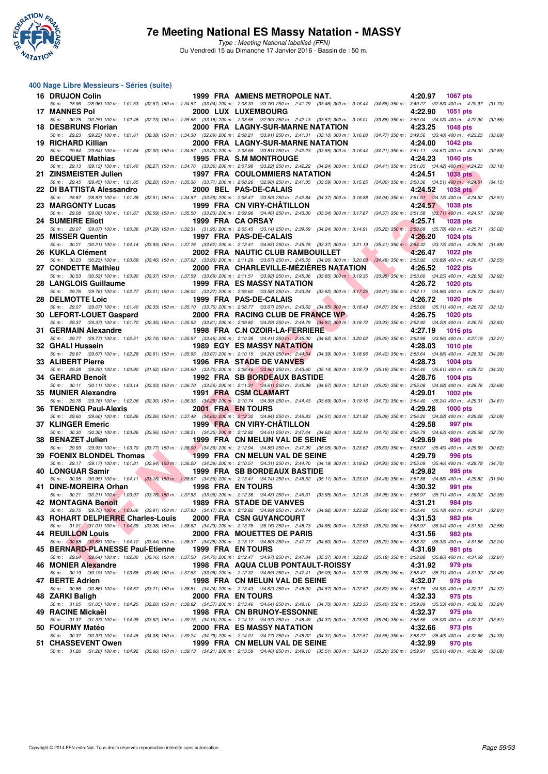

Type : Meeting National labellisé (FFN) Du Vendredi 15 au Dimanche 17 Janvier 2016 - Bassin de : 50 m.

#### **400 Nage Libre Messieurs - Séries (suite)**

| 16 DRUJON Colin                   | 1999 FRA AMIENS METROPOLE NAT.                                                                                                                                                                                                      | 4:20.97<br>1067 pts        |         |
|-----------------------------------|-------------------------------------------------------------------------------------------------------------------------------------------------------------------------------------------------------------------------------------|----------------------------|---------|
| <b>17 MANNES Pol</b>              | 50 m: 28.96 (28.96) 100 m: 1:01.53 (32.57) 150 m: 1:34.57 (33.04) 200 m: 2:08.33 (33.76) 250 m: 2:41.79 (33.46) 300 m: 3:16.44 (34.65) 350 m: 3:49.27 (32.83) 400 m: 4:20.97 (31.70)<br>2000 LUX LUXEMBOURG                         | 4:22.90<br><b>1051 pts</b> |         |
| 18 DESBRUNS Florian               | 50 m : 30.25 (30.25) 100 m : 1:02.48 (32.23) 150 m : 1:35.66 (33.18) 200 m : 2:08.56 (32.90) 250 m : 2:42.13 (33.57) 300 m : 3:16.01 (33.88) 350 m : 3:50.04 (34.03) 400 m : 4:22.90 (32.86)<br>2000 FRA LAGNY-SUR-MARNE NATATION   | 4:23.25<br><b>1048 pts</b> |         |
| 19 RICHARD Killian                | 50 m: 29.23 (29.23) 100 m: 1:01.61 (32.38) 150 m: 1:34.30 (32.69) 200 m: 2:08.21 (33.91) 250 m: 2:41.31 (33.10) 300 m: 3:16.08 (34.77) 350 m: 3:49.56 (33.48) 400 m: 4:23.25 (33.69)<br>2000 FRA LAGNY-SUR-MARNE NATATION           | 4:24.00<br><b>1042 pts</b> |         |
|                                   | 50 m: 29.64 (29.64) 100 m: 1:01.64 (32.00) 150 m: 1:34.87 (33.23) 200 m: 2:08.68 (33.81) 250 m: 2:42.23 (33.55) 300 m: 3:16.44 (34.21) 350 m: 3:51.11 (34.67) 400 m: 4:24.00 (32.89)                                                |                            |         |
| 20 BECQUET Mathias                | 1995 FRA S.M MONTROUGE                                                                                                                                                                                                              | 4:24.23<br><b>1040 pts</b> |         |
| 21 ZINSMEISTER Julien             | 50 m: 29.13 (29.13) 100 m: 1:01.40 (32.27) 150 m: 1:34.76 (33.36) 200 m: 2:07.98 (33.22) 250 m: 2:42.22 (34.24) 300 m: 3:16.63 (34.41) 350 m: 3:51.05 (34.42) 400 m: 4:24.23<br><b>1997 FRA COULOMMIERS NATATION</b>                | 4:24.51<br><b>1038 pts</b> | (33.18) |
| 22 DI BATTISTA Alessandro         | 50 m: 29.45 (29.45) 100 m: 1:01.65 (32.20) 150 m: 1:35.36 (33.71) 200 m: 2:08.26 (32.90) 250 m: 2:41.85 (33.59) 300 m: 3:15.85 (34.00) 350 m: 3:50.36 (34.51) 400 m: 4:24.51<br>2000 BEL PAS-DE-CALAIS                              | 4:24.52                    | (34.15) |
|                                   | 50 m: 28.87 (28.87) 100 m: 1:01.38 (32.51) 150 m: 1:34.97 (33.59) 200 m: 2:08.47 (33.50) 250 m: 2:42.84 (34.37) 300 m: 3:16.88 (34.04) 350 m: 3:51.01 (34.13) 400 m: 4:24.52 (33.51)                                                | <b>1038 pts</b>            |         |
| 23 MARGONTY Lucas                 | 1999 FRA CN VIRY-CHÂTILLON<br>50 m: 29.08 (29.08) 100 m: 1:01.67 (32.59) 150 m: 1:35.50 (33.83) 200 m: 2:09.96 (34.46) 250 m: 2:43.30 (33.34) 300 m: 3:17.87 (34.57) 350 m: 3:51.58 (33.71) 400 m: 4:24.57 (32.99)                  | 4:24.57<br>$1038$ pts      |         |
| <b>24 SUMEIRE Eliott</b>          | 1999 FRA CA ORSAY                                                                                                                                                                                                                   | 4:25.71<br><b>1028 pts</b> |         |
|                                   | 50 m: 29.07 (29.07) 100 m: 1:00.36 (31.29) 150 m: 1:32.31 (31.95) 200 m: 2:05.45 (33.14) 250 m: 2:39.69 (34.24) 300 m: 3:14.91 (35.22) 350 m: 3:50.69 (35.78) 400 m: 4:25.71 (35.02)                                                |                            |         |
| 25 MISSER Quentin                 | 1997 FRA PAS-DE-CALAIS<br>50 m: 30.21 (30.21) 100 m: 1:04.14 (33.93) 150 m: 1:37.76 (33.62) 200 m: 2:12.41 (34.65) 250 m: 2:45.78 (33.37) 300 m: 3:21.19 (35.41) 350 m: 3:54.32 (33.13) 400 m: 4:26.20                              | 4:26.20<br><b>1024 pts</b> | (31.88) |
| 26 KUKLA Clément                  | 2002 FRA NAUTIC CLUB RAMBOUILLET                                                                                                                                                                                                    | 4.26.47<br><b>1022 pts</b> |         |
| 27 CONDETTE Mathieu               | 50 m: 30.23 (30.23) 100 m: 1:03.69 (33.46) 150 m: 1:37.62 (33.93) 200 m: 2:11.29 (33.67) 250 m: 2:45.55 (34.26) 300 m: 3:20.03 (34.48) 350 m: 3:53.92 (33.89) 400 m: 4:26.47 (32.55)<br>2000 FRA CHARLEVILLE-MEZIERES NATATION      | 4:26.52<br><b>1022 pts</b> |         |
|                                   | 50 m : 30.53 (30.53) 100 m : 1:03.90 (33.37) 150 m : 1:37.59 (33.69) 200 m : 2:11.51 (33.92) 250 m : 2:45.36 (33.85) 300 m : 3:19.35 (33.99) 350 m : 3:53.60 (34.25) 400 m : 4:26.52 (32.92)                                        |                            |         |
| 28 LANGLOIS Guillaume             | <b>1999 FRA ES MASSY NATATION</b>                                                                                                                                                                                                   | 4:26.72<br>1020 pts        |         |
| 28 DELMOTTE Loic                  | 50 m: 29.76 (29.76) 100 m: 1:02.77 (33.01) 150 m: 1:36.04 (33.27) 200 m: 2:09.62 (33.58) 250 m: 2:43.24 (33.62) 300 m: 3:17.25 (34.01) 350 m: 3:52.11 (34.86) 400 m: 4:26.72 (34.61)<br>1999 FRA PAS-DE-CALAIS                      | 4:26.72<br><b>1020 pts</b> |         |
|                                   | 50 m: 29.07 (29.07) 100 m: 1:01.40 (32.33) 150 m: 1:35.10 (33.70) 200 m: 2:08.77 (33.67) 250 m: 2:43.62 (34.85) 300 m: 3:18.49 (34.87) 350 m: 3:53.60 (35.11) 400 m: 4:26.72 (33.12)                                                |                            |         |
| 30 LEFORT-LOUET Gaspard           | 2000 FRA RACING CLUB DE FRANCE WP                                                                                                                                                                                                   | 4:26.75<br><b>1020 pts</b> |         |
| 31 GERMAIN Alexandre              | 50 m: 29.37 (29.37) 100 m: 1:01.72 (32.35) 150 m: 1:35.53 (33.81) 200 m: 2:09.82 (34.29) 250 m: 2:44.79 (34.97) 300 m: 3:18.72 (33.93) 350 m: 3:52.92 (34.20) 400 m: 4:26.75<br>1998 FRA C.N OZOIR-LA-FERRIERE                      | 4:27.19<br><b>1016 pts</b> | (33.83) |
|                                   | 50 m: 29.77 (29.77) 100 m: 1:02.51 (32.74) 150 m: 1:35.97 (33.46) 200 m: 2:10.38 (34.41) 250 m: 2:45.00 (34.62) 300 m: 3:20.02 (35.02) 350 m: 3:53.98 (33.96) 400 m: 4:27.19 (33.21)                                                |                            |         |
| 32 GHALI Hussein                  | <b>1989 EGY ES MASSY NATATION</b>                                                                                                                                                                                                   | 4:28.03<br><b>1010 pts</b> |         |
| 33 ALIBERT Pierre                 | 50 m: 29.67 (29.67) 100 m: 1:02.28 (32.61) 150 m: 1:35.95 (33.67) 200 m: 2:10.15 (34.20) 250 m: 2:44.54 (34.39) 300 m: 3:18.96 (34.42) 350 m: 3:53.64 (34.68) 400 m: 4:28.03<br><b>1996 FRA STADE DE VANVES</b>                     | 4:28.73<br><b>1004 pts</b> | (34.39) |
|                                   | 50 m: 29.28 (29.28) 100 m: 1:00.90 (31.62) 150 m: 1:34.60 (33.70) 200 m: 2:08.46 (33.86) 250 m: 2:43.60 (35.14) 300 m: 3:18.79 (35.19) 350 m: 3:54.40 (35.61) 400 m: 4:28.73                                                        |                            | (34.33) |
| 34 GERARD Benoît                  | 1992 FRA SB BORDEAUX BASTIDE<br>50 m: 30.11 (30.11) 100 m: 1:03.14 (33.03) 150 m: 1:36.70 (33.56) 200 m: 2:11.31 (34.61) 250 m: 2:45.98 (34.67) 300 m: 3:21.00 (35.02) 350 m: 3:55.08 (34.08) 400 m: 4:28.76 (33.68)                | 4:28.76<br>$1004$ pts      |         |
| 35 MUNIER Alexandre               | 1991 FRA CSM CLAMART                                                                                                                                                                                                                | 4:29.01<br>1002 pts        |         |
|                                   | 50 m: 29.76 (29.76) 100 m: 1:02.06 (32.30) 150 m: 1:36.35 (34.29) 200 m: 2:10.74 (34.39) 250 m: 2:44.43 (33.69) 300 m: 3:19.16 (34.73) 350 m: 3:54.40 (35.24) 400 m: 4:29.01 (34.61)                                                |                            |         |
| 36 TENDENG Paul-Alexis            | 2001 FRA EN TOURS<br>50 m: 29.60 (29.60) 100 m: 1:02.86 (33.26) 150 m: 1:37.48 (34.62) 200 m: 2:12.32 (34.84) 250 m: 2:46.83 (34.51) 300 m: 3:21.92 (35.09) 350 m: 3:56.20 (34.28) 400 m: 4:29.28 (33.08)                           | 4:29.28<br>$1000$ pts      |         |
| 37 KLINGER Emeric                 | 1999 FRA CN VIRY-CHATILLON                                                                                                                                                                                                          | 4:29.58<br>997 pts         |         |
| 38 BENAZET Julien                 | 50 m: 30.30 (30.30) 100 m: 1:03.86 (33.56) 150 m: 1:38.21 (34.35) 200 m: 2:12.82 (34.61) 250 m: 2:47.44 (34.62) 300 m: 3:22.16 (34.72) 350 m: 3:56.79 (34.63) 400 m: 4:29.58<br>1999 FRA CN MELUN VAL DE SEINE                      | 4:29.69<br>996 pts         | (32.79) |
|                                   | 50 m : 29.93 (29.93) 100 m : 1:03.70 (33.77) 150 m : 1:38.09 (34.39) 200 m : 2:12.94 (34.85) 250 m : 2:47.99 (35.05) 300 m : 3:23.62 (35.63) 350 m : 3:59.07 (35.45) 400 m : 4:29.69 (30.62)                                        |                            |         |
| 39 FOENIX BLONDEL Thomas          | <b>1999 FRA CN MELUN VAL DE SEINE</b>                                                                                                                                                                                               | 4:29.79<br>996 pts         |         |
| 40 LONGUAR Samir                  | 50 m: 29.17 (29.17) 100 m: 1:01.81 (32.64) 150 m: 1:36.20 (34.39) 200 m: 2:10.51 (34.31) 250 m: 2:44.70 (34.19) 300 m: 3:19.63 (34.93) 350 m: 3:55.09 (35.46) 400 m: 4:29.79 (34.70)<br>1999 FRA SB BORDEAUX BASTIDE                | 4:29.82<br>995 pts         |         |
|                                   | 50 m: 30.95 (30.95) 100 m: 1:04.11 (33.16) 150 m: 1:38.67 (34.56) 200 m: 2:13.41 (34.74) 250 m: 2:48.52 (35.11) 300 m: 3:23.00 (34.48) 350 m: 3:57.88 (34.88) 400 m: 4:29.82 (31.94)                                                |                            |         |
| 41 DINE-MOREIRA Orhan             | <b>1998 FRA EN TOURS</b>                                                                                                                                                                                                            | 4:30.32<br>991 pts         |         |
|                                   | 50 m: 30.21 (30.21) 100 m: 1:03.97 (33.76) 150 m: 1:37.93 (33.96) 200 m: 2:12.36 (34.43) 250 m: 2:46.31 (33.95) 300 m: 3:21.26 (34.95) 350 m: 3:56.97 (35.71) 400 m: 4:30.32 (33.35)<br>42 MONTAGNA Benoît 1989 FRA STADE DE VANVES | 4:31.21 984 pts            |         |
|                                   | 50 m: 29.75 (29.75) 100 m: 1:03.66 (33.91) 150 m: 1:37.83 (34.17) 200 m: 2:12.82 (34.99) 250 m: 2:47.74 (34.92) 300 m: 3:23.22 (35.48) 350 m: 3:58.40 (35.18) 400 m: 4:31.21 (32.81)                                                |                            |         |
| 43 ROHART DELPIERRE Charles-Louis | 2000 FRA CSN GUYANCOURT<br>50 m: 31.01 (31.01) 100 m: 1:04.39 (33.38) 150 m: 1:38.62 (34.23) 200 m: 2:13.78 (35.16) 250 m: 2:48.73 (34.95) 300 m: 3:23.93 (35.20) 350 m: 3:58.97 (35.04) 400 m: 4:31.53 (32.56)                     | 4:31.53<br>982 pts         |         |
| <b>44 REUILLON Louis</b>          | 2000 FRA MOUETTES DE PARIS                                                                                                                                                                                                          | 4:31.56<br>982 pts         |         |
|                                   | 50 m: 30.68 (30.68) 100 m: 1:04.12 (33.44) 150 m: 1:38.37 (34.25) 200 m: 2:13.17 (34.80) 250 m: 2:47.77 (34.60) 300 m: 3:22.99 (35.22) 350 m: 3:58.32 (35.33) 400 m: 4:31.56                                                        |                            | (33.24) |
| 45 BERNARD-PLANESSE Paul-Etienne  | 1999 FRA EN TOURS<br>50 m : 29.64 (29.64) 100 m : 1:02.80 (33.16) 150 m : 1:37.50 (34.70) 200 m : 2:12.47 (34.97) 250 m : 2:47.84 (35.37) 300 m : 3:23.02 (35.18) 350 m : 3:58.88 (35.86) 400 m : 4:31.69 (32.81)                   | 4:31.69<br>981 pts         |         |
| 46 MONIER Alexandre               | 1998 FRA AQUA CLUB PONTAULT-ROISSY                                                                                                                                                                                                  | 4:31.92<br>979 pts         |         |
|                                   | 50 m : 30.19 (30.19) 100 m : 1:03.65 (33.46) 150 m : 1:37.63 (33.98) 200 m : 2:12.32 (34.69) 250 m : 2:47.41 (35.09) 300 m : 3:22.76 (35.35) 350 m : 3:58.47 (35.71) 400 m : 4:31.92 (33.45)                                        |                            |         |
| 47 BERTE Adrien                   | 1998 FRA CN MELUN VAL DE SEINE<br>50 m: 30.86 (30.86) 100 m: 1:04.57 (33.71) 150 m: 1:38.81 (34.24) 200 m: 2:13.43 (34.62) 250 m: 2:48.00 (34.57) 300 m: 3:22.82 (34.82) 350 m: 3:57.75 (34.93) 400 m: 4:32.07 (34.32)              | 4:32.07<br>978 pts         |         |
| 48 ZARKI Baligh                   | 2000 FRA EN TOURS                                                                                                                                                                                                                   | 4:32.33<br>975 pts         |         |
| 49 RACINE Mickaël                 | 50 m: 31.05 (31.05) 100 m: 1:04.25 (33.20) 150 m: 1:38.82 (34.57) 200 m: 2:13.46 (34.64) 250 m: 2:48.16 (34.70) 300 m: 3:23.56 (35.40) 350 m: 3:59.09 (35.53) 400 m: 4:32.33 (33.24)<br>1998 FRA CN BRUNOY-ESSONNE                  | 4:32.37<br>975 pts         |         |
|                                   | 50 m : 31.37 (31.37) 100 m : 1:04.99 (33.62) 150 m : 1:39.15 (34.16) 200 m : 2:14.12 (34.97) 250 m : 2:48.49 (34.37) 300 m : 3:23.53 (35.04) 350 m : 3:58.56 (35.03) 400 m : 4:32.37 (33.81)                                        |                            |         |
| 50 FOURMY Matéo                   | <b>2000 FRA ES MASSY NATATION</b>                                                                                                                                                                                                   | 4:32.66<br>973 pts         |         |
| 51 CHASSEVENT Owen                | 50 m: 30.37 (30.37) 100 m: 1:04.45 (34.08) 150 m: 1:39.24 (34.79) 200 m: 2:14.01 (34.77) 250 m: 2:48.32 (34.31) 300 m: 3:22.87 (34.55) 350 m: 3:58.27 (35.40) 400 m: 4:32.66 (34.39)<br>1999 FRA CN MELUN VAL DE SEINE              | 4:32.99<br>970 pts         |         |
|                                   | 50 m : 31.26 (31.26) 100 m : 1:04.92 (33.66) 150 m : 1:39.13 (34.21) 200 m : 2:13.59 (34.46) 250 m : 2:49.10 (35.51) 300 m : 3:24.30 (35.20) 350 m : 3:59.91 (35.61) 400 m : 4:32.99 (33.08)                                        |                            |         |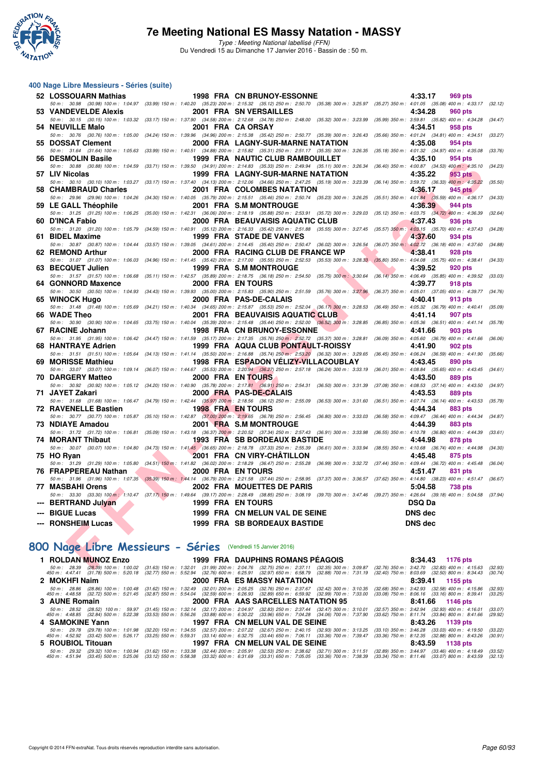

Type : Meeting National labellisé (FFN) Du Vendredi 15 au Dimanche 17 Janvier 2016 - Bassin de : 50 m.

#### **400 Nage Libre Messieurs - Séries (suite)**

| 52 LOSSOUARN Mathias                                         | <b>1998 FRA CN BRUNOY-ESSONNE</b>                                                                                                                                                                                                | 4:33.17<br><b>969 pts</b>                                                                  |         |
|--------------------------------------------------------------|----------------------------------------------------------------------------------------------------------------------------------------------------------------------------------------------------------------------------------|--------------------------------------------------------------------------------------------|---------|
| 53 VANDEVELDE Alexis                                         | 50 m : 30.98 (30.98) 100 m : 1:04.97 (33.99) 150 m : 1:40.20 (35.23) 200 m : 2:15.32 (35.12) 250 m : 2:50.70 (35.38) 300 m : 3:25.97 (35.27) 350 m : 4:01.05 (35.08) 400 m : 4:33.17 (32.12)<br>2001 FRA SN VERSAILLES           | 4:34.28<br><b>960 pts</b>                                                                  |         |
| 54 NEUVILLE Malo                                             | 50 m: 30.15 (30.15) 100 m: 1:03.32 (33.17) 150 m: 1:37.90 (34.58) 200 m: 2:12.68 (34.78) 250 m: 2:48.00 (35.32) 300 m: 3:23.99 (35.99) 350 m: 3:59.81 (35.82) 400 m: 4:34.28 (34.47)<br>2001 FRA CA ORSAY                        | 4:34.51<br>958 pts                                                                         |         |
| 50 m: 30.76 (30.76) 100 m: 1:05.00                           | $(34.24)$ 150 m : 1:39.96 $(34.96)$ 200 m : 2:15.38 $(35.42)$ 250 m : 2:50.77 $(35.39)$ 300 m : 3:26.43                                                                                                                          | (35.66) 350 m: 4:01.24 (34.81) 400 m: 4:34.51                                              | (33.27) |
| 55 DOSSAT Clement                                            | 2000 FRA LAGNY-SUR-MARNE NATATION                                                                                                                                                                                                | 4:35.08<br>954 pts                                                                         |         |
| 50 m: 31.64 (31.64) 100 m: 1:05.63<br>56 DESMOLIN Basile     | $(33.99)$ 150 m : 1:40.51 $(34.88)$ 200 m : 2:15.82 $(35.31)$ 250 m : 2:51.17 $(35.35)$ 300 m : 3:26.35<br><b>1999 FRA NAUTIC CLUB RAMBOUILLET</b>                                                                               | $(35.18)$ 350 m : 4:01.32 $(34.97)$ 400 m : 4:35.08 $(33.76)$<br>4:35.10<br>954 pts        |         |
| 50 m: 30.88 (30.88) 100 m: 1:04.59                           | $(33.71)$ 150 m : 1:39.50 $(34.91)$ 200 m : 2:14.83 $(35.33)$ 250 m : 2:49.94 $(35.11)$ 300 m : 3:26.34                                                                                                                          | (36.40) 350 m: 4:00.87 (34.53) 400 m: 4:35.10                                              | (34.23) |
| 57 LIV Nicolas                                               | 1999 FRA LAGNY-SUR-MARNE NATATION                                                                                                                                                                                                | 4:35.22<br><b>953 pts</b>                                                                  |         |
|                                                              | 50 m : 30.10 (30.10) 100 m : 1:03.27 (33.17) 150 m : 1:37.40 (34.13) 200 m : 2:12.06 (34.66) 250 m : 2:47.25 (35.19) 300 m : 3:23.39                                                                                             | (36.14) 350 m : 3:59.72 (36.33) 400 m : 4:35.22                                            | (35.50) |
| 58 CHAMBRAUD Charles                                         | 2001 FRA COLOMBES NATATION<br>50 m: 29.96 (29.96) 100 m: 1:04.26 (34.30) 150 m: 1:40.05 (35.79) 200 m: 2:15.51 (35.46) 250 m: 2:50.74 (35.23) 300 m: 3:26.25 (35.51) 350 m: 4:01.84 (35.59) 400 m: 4:36.17                       | 4:36.17<br>945 pts                                                                         | (34.33) |
| 59 LE GALL Théophile                                         | 2001 FRA S.M MONTROUGE                                                                                                                                                                                                           | 4:36.39<br>944 pts                                                                         |         |
|                                                              | 50 m: 31.25 (31.25) 100 m: 1:06.25 (35.00) 150 m: 1:42.31 (36.06) 200 m: 2:18.19 (35.88) 250 m: 2:53.91 (35.72) 300 m: 3:29.03                                                                                                   | $(35.12)$ 350 m : 4:03.75 $(34.72)$ 400 m : 4:36.39                                        | (32.64) |
| 60 D'INCA Fabio                                              | 2000 FRA BEAUVAISIS AQUATIC CLUB<br>50 m : 31.20 (31.20) 100 m : 1:05.79 (34.59) 150 m : 1:40.91 (35.12) 200 m : 2:16.33 (35.42) 250 m : 2:51.88 (35.55) 300 m : 3:27.45 (35.57) 550 m : 4:03.15 (35.70) 400 m : 4:37.43 (34.28) | 4:37.43<br>936 pts                                                                         |         |
| 61 BIDEL Maxime                                              | 1999 FRA STADE DE VANVES                                                                                                                                                                                                         | 4:37.60<br><b>934 pts</b>                                                                  |         |
|                                                              | 50 m : 30.87 (30.87) 100 m : 1:04.44 (33.57) 150 m : 1:39.05 (34.61) 200 m : 2:14.45 (35.40) 250 m : 2:50.47 (36.02) 300 m : 3:26.54 (36.07) 350 m : 4:02.72 (36.18) 400 m : 4:37.60                                             |                                                                                            | (34.88) |
| 62 REMOND Arthur                                             | 2000 FRA RACING CLUB DE FRANCE WP<br>50 m: 31.07 (31.07) 100 m: 1:06.03 (34.96) 150 m: 1:41.45 (35.42) 200 m: 2:17.00 (35.55) 250 m: 2:52.53 (35.53) 300 m: 3:28.33 (35.89) 350 m: 4:04.08 (35.75) 400 m: 4:38.41                | 4:38.41<br><b>928 pts</b>                                                                  | (34.33) |
| 63 BECQUET Julien                                            | 1999 FRA S.M MONTROUGE                                                                                                                                                                                                           | 4:39.52<br><b>920 pts</b>                                                                  |         |
| 50 m: 31.57 (31.57) 100 m: 1:06.68                           | (35.11) 150 m: 1:42.57 (35.89) 200 m: 2:18.75 (36.18) 250 m: 2:54.50 (35.75) 300 m: 3:30.64                                                                                                                                      | $(36.14)$ 350 m : 4:06.49 $(35.85)$ 400 m : 4:39.52                                        | (33.03) |
| 64 GONNORD Maxence                                           | 2000 FRA EN TOURS                                                                                                                                                                                                                | 4:39.77<br>918 pts                                                                         |         |
| 65 WINOCK Hugo                                               | 50 m : 30.50 (30.50) 100 m : 1:04.93 (34.43) 150 m : 1:39.93 (35.00) 200 m : 2:15.83 (35.90) 250 m : 2:51.59 (35.76) 300 m : 3:27.96<br>2000 FRA PAS-DE-CALAIS                                                                   | (36.37) 350 m: 4:05.01 (37.05) 400 m: 4:39.77 (34.76)<br>4:40.41<br>913 pts                |         |
| 50 m: 31.48 (31.48) 100 m: 1:05.69                           | $(34.21)$ 150 m : 1:40.34 $(34.65)$ 200 m : 2:15.87 $(35.53)$ 250 m : 2:52.04 $(36.17)$ 300 m : 3:28.53                                                                                                                          | $(36.49)$ 350 m : 4:05.32 $(36.79)$ 400 m : 4:40.41                                        | (35.09) |
| 66 WADE Theo                                                 | 2001 FRA BEAUVAISIS AQUATIC CLUB                                                                                                                                                                                                 | 4:41.14<br><b>907 pts</b>                                                                  |         |
| 67 RACINE Johann                                             | 50 m : 30.90 (30.90) 100 m : 1:04.65 (33.75) 150 m : 1:40.04 (35.39) 200 m : 2:15.48 (35.44) 250 m : 2:52.00 (36.52) 300 m : 3:28.85<br><b>1998 FRA CN BRUNOY-ESSONNE</b>                                                        | $(36.85)$ 350 m : 4:05.36 $(36.51)$ 400 m : 4:41.14 $(35.78)$<br>4:41.66<br><b>903 pts</b> |         |
|                                                              | 50 m: 31.95 (31.95) 100 m: 1:06.42 (34.47) 150 m: 1:41.59 (35.17) 200 m: 2:17.35 (35.76) 250 m: 2:52.72 (35.37) 300 m: 3:28.81                                                                                                   | $(36.09)$ 350 m : 4:05.60 $(36.79)$ 400 m : 4:41.66                                        | (36.06) |
| 68 HANTRAYE Adrien                                           | 1999 FRA AQUA CLUB PONTAULT-ROISSY                                                                                                                                                                                               | 4:41.90<br><b>902 pts</b>                                                                  |         |
|                                                              | 50 m : 31.51 (31.51) 100 m : 1:05.64 (34.13) 150 m : 1:41.14 (35.50) 200 m : 2:16.88 (35.74) 250 m : 2:53.20 (36.32) 300 m : 3:29.65 (36.45) 350 m : 4:06.24 (36.59) 400 m : 4:41.90                                             |                                                                                            | (35.66) |
| 69 MORISSE Mathieu                                           | 1998 FRA ESPADON VELIZY-VILLACOUBLAY<br>50 m: 33.07 (33.07) 100 m: 1:09.14 (36.07) 150 m: 1:44.67 (35.53) 200 m: 2:20.94 (36.27) 250 m: 2:57.18 (36.24) 300 m: 3:33.19 (36.01) 350 m: 4:08.84 (35.65) 400 m: 4:43.45 (34.61)     | 4:43.45<br><b>890 pts</b>                                                                  |         |
| 70 DARGERY Matteo                                            | 2000 FRA EN TOURS                                                                                                                                                                                                                | 4:43.50<br><b>889 pts</b>                                                                  |         |
|                                                              | 50 m: 30.92 (30.92) 100 m: 1:05.12 (34.20) 150 m: 1:40.90 (35.78) 200 m: 2:17.81 (36.91) 250 m: 2:54.31 (36.50) 300 m: 3:31.39 (37.08) 350 m: 4:08.53 (37.14) 400 m: 4:43.50                                                     |                                                                                            | (34.97) |
| 71 JAYET Zakari                                              | 2000 FRA PAS-DE-CALAIS<br>50 m: 31.68 (31.68) 100 m: 1:06.47 (34.79) 150 m: 1:42.44 (35.97) 200 m: 2:18.56 (36.12) 250 m: 2:55.09 (36.53) 300 m: 3:31.60 (36.51) 350 m: 4:07.74 (36.14) 400 m: 4:43.53                           | 4:43.53<br><b>889 pts</b>                                                                  | (35.79) |
| <b>72 RAVENELLE Bastien</b>                                  | <b>1998 FRA EN TOURS</b>                                                                                                                                                                                                         | 4:44.34<br>883 pts                                                                         |         |
|                                                              | 50 m: 30.77 (30.77) 100 m: 1:05.87 (35.10) 150 m: 1:42.87 (37.00) 200 m: 2:19.65 (36.78) 250 m: 2:56.45 (36.80) 300 m: 3:33.03                                                                                                   | (36.58) 350 m : 4:09.47 (36.44) 400 m : 4:44.34                                            | (34.87) |
| 73 NDIAYE Amadou                                             | 2001 FRA S.M MONTROUGE<br>50 m: 31.72 (31.72) 100 m: 1:06.81 (35.09) 150 m: 1:43.18 (36.37) 200 m: 2:20.52 (37.34) 250 m: 2:57.43 (36.91) 300 m: 3:33.98 (36.55) 350 m: 4:10.78 (36.80) 400 m: 4:44.39 (33.61)                   | <b>883 pts</b><br>4:44.39                                                                  |         |
| 74 MORANT Thibaut                                            | 1993 FRA SB BORDEAUX BASTIDE                                                                                                                                                                                                     | 4:44.98<br>878 pts                                                                         |         |
|                                                              | 50 m : 30.07 (30.07) 100 m : 1:04.80 (34.73) 150 m : 1:41.45 (36.65) 200 m : 2:18.78 (37.33) 250 m : 2:55.39 (36.61) 300 m : 3:33.94 (38.55) 350 m : 4:10.68 (36.74) 400 m : 4:44.98                                             |                                                                                            | (34.30) |
| 75 HO Ryan                                                   | 2001 FRA CN VIRY-CHATILLON<br>50 m : 31.29 (31.29) 100 m : 1:05.80 (34.51) 150 m : 1:41.82 (36.02) 200 m : 2:18.29 (36.47) 250 m : 2:55.28 (36.99) 300 m : 3:32.72 (37.44) 350 m : 4:09.44 (36.72) 400 m : 4:45.48 (36.04)       | 4:45.48<br>875 pts                                                                         |         |
| 76 FRAPPEREAU Nathan                                         | 2000 FRA EN TOURS                                                                                                                                                                                                                | 831 pts<br>4:51.47                                                                         |         |
|                                                              | 50 m: 31.96 (31.96) 100 m: 1:07.35 (35.39) 150 m: 1:44.14 (36.79) 200 m: 2:21.58 (37.44) 250 m: 2:58.95 (37.37) 300 m: 3:36.57 (37.62) 350 m: 4:14.80 (38.23) 400 m: 4:51.47 (36.67)                                             |                                                                                            |         |
| 77 MASBAHI Orens                                             | 2002 FRA MOUETTES DE PARIS<br>50 m: 33.30 (33.30) 100 m: 1:10.47 (37.17) 150 m: 1:49.64 (39.17) 200 m: 2:28.49 (38.85) 250 m: 3:08.19 (39.70) 300 m: 3:47.46 (39.27) 350 m: 4:26.64 (39.18) 400 m: 5:04.58 (37.94)               | 5:04.58<br><b>738 pts</b>                                                                  |         |
| --- BERTRAND Julyan                                          | 1999 FRA EN TOURS                                                                                                                                                                                                                | <b>DSQ Da</b>                                                                              |         |
| --- BIGUE Lucas                                              | 1999 FRA CN MELUN VAL DE SEINE                                                                                                                                                                                                   | <b>DNS dec</b>                                                                             |         |
| --- RONSHEIM Lucas                                           | 1999 FRA SB BORDEAUX BASTIDE                                                                                                                                                                                                     | <b>DNS</b> dec                                                                             |         |
|                                                              |                                                                                                                                                                                                                                  |                                                                                            |         |
| 100 Nage Libre Messieurs - Séries (Vendredi 15 Janvier 2016) |                                                                                                                                                                                                                                  |                                                                                            |         |
|                                                              |                                                                                                                                                                                                                                  |                                                                                            |         |
| 1 ROLDAN MUNOZ Enzo                                          | 1999 FRA DAUPHINS ROMANS PÉAGOIS<br>50 m; 28.39 (28.39) 100 m; 1:00.02 (31.63) 150 m; 1:32.01 (31.99) 200 m; 2:04.76 (32.75) 250 m; 2:37.11 (32.35) 300 m; 3:09.87 (32.76) 350 m; 3:42.70 (32.83) 400 m; 4:15.63 (32.93)         | 8:34.43 1176 pts                                                                           |         |
|                                                              |                                                                                                                                                                                                                                  |                                                                                            |         |

## **[800 Nage Libre Messieurs - Séries](http://www.ffnatation.fr/webffn/resultats.php?idact=nat&go=epr&idcpt=35299&idepr=55)** (Vendredi 15 Janvier 2016)

|                                             | <b>1 ROLDAN MUNOZ Enzo</b> |  | 1999 FRA DAUPHINS ROMANS PEAGOIS                                                                                                                                                                                                                                |                                                                                                    | 8:34.43 1176 pts                                                                                           |                    |
|---------------------------------------------|----------------------------|--|-----------------------------------------------------------------------------------------------------------------------------------------------------------------------------------------------------------------------------------------------------------------|----------------------------------------------------------------------------------------------------|------------------------------------------------------------------------------------------------------------|--------------------|
| 50 m : 28.39<br>$450 \text{ m}$ : $4.47.41$ |                            |  | (28.39) 100 m : 1:00.02 (31.63) 150 m : 1:32.01 (31.99) 200 m : 2:04.76 (32.75) 250 m : 2:37.11 (32.35) 300 m : 3:09.87<br>(31.78) 500 m : 5:20.18 (32.77) 550 m : 5:52.94 (32.76) 600 m : 6:25.91 (32.97) 650 m : 6:58.79 (32.88) 700 m : 7:31.19              |                                                                                                    | $(32.76)$ 350 m : 3:42.70 $(32.83)$ 400 m : 4:15.63<br>$(32.40)$ 750 m : 8:03.69 $(32.50)$ 800 m : 8:34.43 | (32.93)<br>(30.74) |
| 2 MOKHFI Naim                               |                            |  | <b>2000 FRA ES MASSY NATATION</b>                                                                                                                                                                                                                               |                                                                                                    | 8:39.41 1155 pts                                                                                           |                    |
| 50 m : 28.86<br>450 m : 4:48.58             |                            |  | (28.86) 100 m : 1:00.48 (31.62) 150 m : 1:32.49 (32.01) 200 m : 2:05.25 (32.76) 250 m : 2:37.67 (32.42) 300 m : 3:10.35<br>(32.72) 500 m : 5:21.45 (32.87) 550 m : 5:54.04 (32.59) 600 m : 6:26.93 (32.89) 650 m : 6:59.92 (32.99) 700 m : 7:33.00              |                                                                                                    | $(32.68)$ 350 m : 3:42.93 $(32.58)$ 400 m : 4:15.86<br>$(33.08)$ 750 m : 8:06.16 $(33.16)$ 800 m : 8:39.41 | (32.93)<br>(33.25) |
| 3 AUNE Romain                               |                            |  | 2000 FRA AAS SARCELLES NATATION 95 8:41.66 1146 pts                                                                                                                                                                                                             |                                                                                                    |                                                                                                            |                    |
| 450 m : 4:48.85                             |                            |  | 50 m: 28.52 (28.52) 100 m: 59.97 (31.45) 150 m: 1:32.14 (32.17) 200 m: 2:04.97 (32.83) 250 m: 2:37.44 (32.47) 300 m: 3:10.01<br>(32.84) 500 m : 5:22.38 (33.53) 550 m : 5:56.26 (33.88) 600 m : 6:30.22 (33.96) 650 m : 7:04.28 (34.06) 700 m : 7:37.90         |                                                                                                    | $(32.57)$ 350 m : 3:42.94 $(32.93)$ 400 m : 4:16.01<br>$(33.62)$ 750 m : 8:11.74 $(33.84)$ 800 m : 8:41.66 | (33.07)<br>(29.92) |
| 4 SAMOKINE Yann                             |                            |  | 1997 FRA CN MELUN VAL DE SEINE 8:43.26 1139 pts                                                                                                                                                                                                                 |                                                                                                    |                                                                                                            |                    |
| 50 m : 29.78<br>450 m : 4:52.92             |                            |  | (29.78) 100 m : 1:01.98 (32.20) 150 m : 1:34.55 (32.57) 200 m : 2:07.22 (32.67) 250 m : 2:40.15 (32.93) 300 m : 3:13.25<br>(33.42) 500 m: 5:26.17 (33.25) 550 m: 5:59.31 (33.14) 600 m: 6:32.75 (33.44) 650 m: 7:06.11 (33.36) 700 m: 7:39.47                   |                                                                                                    | $(33.10)$ 350 m : 3:46.28 $(33.03)$ 400 m : 4:19.50<br>$(33.36)$ 750 m : 8:12.35 $(32.88)$ 800 m : 8:43.26 | (33.22)<br>(30.91) |
| 5 ROUBIOL Titouan                           |                            |  | 1997 FRA CN MELUN VAL DE SEINE                                                                                                                                                                                                                                  |                                                                                                    | 8:43.59 1138 pts                                                                                           |                    |
| 450 m : 4:51.94                             |                            |  | 50 m : 29.32 (29.32) 100 m : 1:00.94 (31.62) 150 m : 1:33.38 (32.44) 200 m : 2:05.91 (32.53) 250 m : 2:38.62 (32.71) 300 m : 3:11.51<br>(33.45) 500 m : 5:25.06 (33.12) 550 m : 5:58.38 (33.32) 600 m : 6:31.69 (33.31) 650 m : 7:05.05 (33.36) 700 m : 7:38.39 | (32.89) 350 m : 3:44.97 (33.46) 400 m : 4:18.49<br>(33.34) 750 m : 8:11.46 (33.07) 800 m : 8:43.59 |                                                                                                            | (33.52)<br>(32.13) |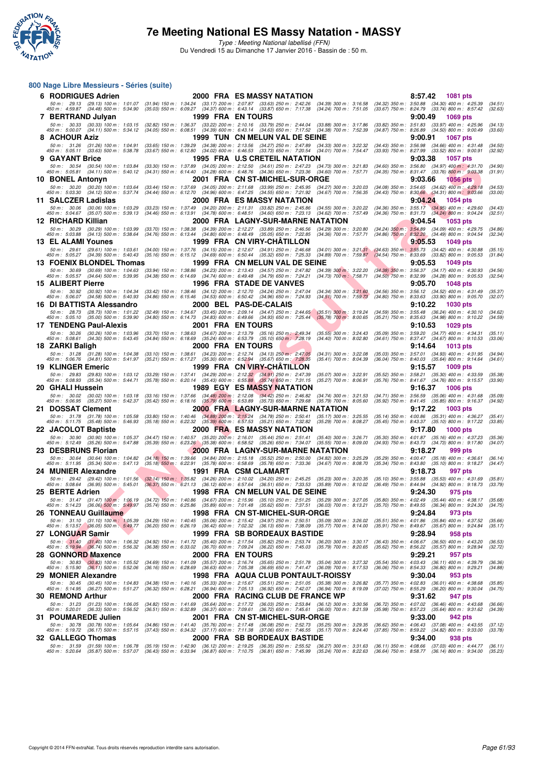

**800 Nage Libre Messieurs - Séries (suite)**

### **7e Meeting National ES Massy Natation - MASSY**

Type : Meeting National labellisé (FFN) Du Vendredi 15 au Dimanche 17 Janvier 2016 - Bassin de : 50 m.

#### The Manual Minister of the Manual Minister of the Manual Minister of the Manual Minister of the Manual Minister of the Manual Minister of the Manual Minister of the Manual Minister of the Manual Minister of the Manual **6 RODRIGUES Adrien 2000 FRA ES MASSY NATATION** 8:57.42 1081 pts<br>
50 m: 29.13 (29.13) 100 m: 1:01.07 (31.94) 150 m: 1:34.24 (33.17) 200 m: 2:07.87 (33.63) 250 m: 2:42.26 (34.39) 300 m: 3:16.58 (34.32) 350 m: 3:50.88 (34.30 50 m; 29.13 (29.13) 100 m; 1:01.07 (31.94) 150 m; 1:34.24 (33.17) 200 m; 2:07.87 (33.63) 250 m; 3:14.26 (34.39) 300 m; 3:15.58 (34.32) 350 m; 3:50.85 (34.39) 400 m; 4:59.88 (34.48) 500 m; 4:55.49 (35.74) 800 m; 4:55.42 (32 **7 BERTRAND Julyan** 1999 FRA EN TOURS<br>
50 m: 30.33 (30.33) 100 m: 1:03.15 (32.82) 150 m: 1:36.37 (33.22) 200 m: 2:10.16 (33.79) 250 m: 2:44.04 (33.88) 300 m: 3:17.86 (33.82) 350 m: 3:51.83 (33.97) 400 m: 4:2<br>
450 m: 5:00.0 50 m: 30.33 (30.33) 100 m: 1:03.15 (32.82) 150 m: 1:36.37 (33.22) 200 m: 2:10.16 (33.79) 250 m: 2:44.04 (33.88) 300 m: 3:17.86 (33.82) 350 m: 3:51.83 (33.97) 400 m: 4:25.96 (34.13)<br>450 m: 5:00.07 (34.11) 500 m: 5:34.12 (34 **8 ACHOUR Aziz 1999 TUN CN MELUN VAL DE SEINE 9:00.91 1067 pts** 50 m · 31.26 (31.26) 100 m · 1:04.91 (33.65) 150 m · 1:31.29 (34.49) 200 m · 2:13.56 (34.27) 250 m · 31.28 (34.31) 300 m · 356.98 (34.68) 400 m · 4:01.48 (34.66) 400 m · 4:01.48 (34.62) 50 m · 4:01.48 (34.62) 500 m · 4:01. **9 GAYANT Brice** 1995 FRA U.S CRETEIL NATATION 9:03.38 1057 pts<br>
50 m: 30.54 (30.54) 100 m: 1:03.84 (33.30) 150 m: 1:37.89 (34.65) 200 m: 2:12.50 (34.61) 250 m: 2:47.23 (34.73) 300 m: 3:21.83 (34.60) 350 m: 3:56.80 (34.97 50 m: 30.54 (30.54) 100 m: 1:03.84 (33.30) 150 m: 1:37.89 (34.05) 200 m: 2:12.50 (34.61) 250 m: 2:47.23 (34.73) 300 m: 3:21.83 (34.60) 350 m: 3:56.80 (34.97) 400 m: 4:31.70 (34.90)<br>450 m: 5:05.81 (34.11) 500 m: 5:40.12 (34 **10 BONEL Antonyn 2001 FRA CN ST-MICHEL-SUR-ORGE** 9:03.06 1056 pts<br>50 m: 30.20 (30.20) 100 m: 1:03.64 (33.44) 150 m: 1:37.69 (34.05) 200 m: 2:11.68 (33.99) 250 m: 2:45.95 (34.27) 300 m: 3:20.03 (34.08) 350 m: 3:54.65 (34.6 50 m; 30.20 (30.20) 100 m; 1:03.64 (33.44) 150 m; 1:37.69 (34.05) 200 m; 2:11.68 (33.99) 250 m; 32.00 (34.09) 364.09 364.69 (34.69) 360 m; 3:03.66 (34.62) 400 m; 4:03.64 (34.54) 50 m; 4:02.66 (34.12) 500 m; 4:03.66 **11 SALCZER Ladislas 2000 FRA ES MASSY NATATION 9:04.24 1054 pts** 50 m: 30.06 (30.06) 100 m: 1:03.29 (33.23) 150 m: 1:37.49 (34.20) 200 m: 2:11.31 (33.82) 250 m: 2:45.86 (34.55) 300 m: 3:20.22 (34.36) 350 m: 3:55.17 (34.95) 400 m: 4:29.60 (34.43)<br>450 m: 5:04.67 (35.07) 500 m: 5:39.13 (34 **12 RICHARD Killian 2000 FRA LAGNY-SUR-MARNE NATATION** 9:04.54 1053 pts<br>
50 m : 30.29 (30.29) 100 m : 1:03.99 (33.70) 150 m : 1:38.38 (34.39) 200 m : 2:12.27 (33.89) 250 m : 2:46.56 (34.29) 300 m : 3:20.80 (34.24) 350 m : 50 m : 30.29 (30.29) 100 m : 1:03.99 (33.70) 150.31 (34.30) 200 m : 2:12.27 (33.89) 250 m : 26.56 (34.29) 300 m : 3:20.80 (34.29) 300 m : 4:09, 400 m : 4:09, 400 m : 4:09, 400 m : 4:09, 400 m : 4:09, 400 m : 4:09, 400 m : **13 EL ALAMI Younes** 1999 FRA CN VIRY-CHÂTILLON 50 m : 3:21.31 (34.63) 350 m : 2:12.67 (34.63) 350 m : 2:131 (34.63) 350 m : 3:25.73 1049 pts<br>150 m : 2:05.27 (34.39) 500 m : 5:40.43 (35.16) 550 m : 6:15.12 (34.69) 600 m : 50 m: 29.61 (29.61) 100 m: 1:03.61 (34.00) 150 m: 1:37.76 (34.15) 200 m: 2:12.67 (34.91) 250 m: 2:46.68 (34.01) 300 m: 3:21.31 (34.63) 350 m: 3:55.73 (34.42) 400 m: 4:30.88 (35.15<br>450 m: 5:05.27 (34.39) 500 m: 5:40.43 (35. **13 FOENIX BLONDEL Thomas 1999 FRA CN MELUN VAL DE SEINE 9:05.53 9:05.53 1049 pts**<br>
50 m: 30.69 (30.69) 100 m: 1:04.63 (33.94) 150 m: 1:38.86 (34.23) 200 m: 2:13.43 (34.57) 250 m: 2:47.82 (34.38) 300 m: 3:22.20 (34.3 50 m; 30.69 (30.69) 100 m; 1:04.63 (33.94) 150 m; 1:38.86 (34.73) 200 m; 2:13.43 (34.57) 250 m; 32.29 (34.38) 300 m; 32.29 (34.64) 500 m; 3:05.37 (34.64) 500 m; 4:30.93 (34.86) 550 m; 3:05.53 (34.28) 550 m; 4:30.99 (34.28) **15 ALIBERT Pierre 1996 FRA STADE DE VANVES** 50 m: 30.92 (30.52) 1048 pts<br>51 50 m: 30.92 (30.92) 100 m: 1:04.34 (33.42) 150 m: 1:39.46 (34.12) 200 m: 2:12.70 (34.24) 250 m: 2:47.04 (34.34) 300 m: 3:21.60 (34.56) 350 m: 3:5 50 m: 30.92 (30.92) 100 m: 1:04.34 (33.42) 150 m: 1:38.46 (34.12) 200 m: 2:12.70 (34.24) 250 m: 2:47.04 (34.34) 300 m: 3:21.60 (34.56) 350 m: 3:56.12 (34.52) 400 m: 4:31.49 (35.37<br>450 m: 5:06.07 (34.58) 500 m: 5:40.93 (34. **16 DI BATTISTA Alessandro 2000 BEL PAS-DE-CALAIS 9:10.22 1030 pts** 50 m; 28.73 (28.73) 100 m; 1.01.22 (32.49) 150 m; 1.34.67 (33.45) 200 m; 2.09.14 (34.47) 250 m; 2.44.65 (35.51) 300 m; 3.19.24 (38.59) 350 m; 3.55.43 (36.24) 400 m; 4.30.10 (35.683 (34.98) 800 m; 4.30.10 (35.683 (34.98) 80 **17 TENDENG Paul-Alexis 2001 FRA EN TOURS 9:10.53 1029 pts** 50 m: 30.26 (30.26) 100 m: 1:03.96 (33.70) 150 m: 1:38.63 (34.67) 200 m: 2:13.79 (35.16) 250 m: 2:49.34 (35.55) 300 m: 3:24.43 (35.09) 350 m: 3:59.20 (34.77) 400 m: 4:34.31 (35.11)<br>450 m: 5:08.61 (34.30) 500 m: 5:43.45 (34 **18 ZARKI Baligh 2000 FRA EN TOURS 18 ZARKI Baligh 9:14.64 1013 pts**<br>- 5.00 m: 31.28 (31.28) 100 m: 1:04.38 (33.10) 150 m: 1:38.61 (34.23) 200 m: 2:12.74 (34.13) 250 m: 2:47.05 (34.31) 300 m: 3:22.08 (35.03) 350 m: 3:57. 50 m; 31.28 (31.28) 100 m; 1:04.38 (33.10) 150 m; 1:38.61 (34.23) 200 m; 2:12.74 (34.13) 250 m; 24.705 (34.31) 300 m; 3:2.08 (35.04) 35.70 m; 3:37.01 (34.81) 500 m; 4:31.95 (34.81) 500 m; 4:31.95 (34.81) 500 m; 4:31.95 (35 **19 KLINGER Emeric** 1999 FRA CN VIRY-CHÂTILLON 50 m: 2:2.81 (35.57 1009 pts<br>50 m: 29.83 (29.83) 100 m: 1:03.12 (33.29) 150 m: 1:37.41 (34.29) 200 m: 2:12.32 (34.91) 250 m: 2:47.39 (35.07) 300 m: 3:22.91 (35.52) 350 m: 3:58 50 m : 29.83 (29.83) 100 m : 1.03.12 (33.29) 150 m : 1.37.41 (34.29) 200 m : 2.12.32 (34.91) 250 m 2.47.39 (35.07) 300 m : 3:22.91 (35.52) 350 m : 3:58.21 (35.30) 400 m : 4:33.59 (35.38)<br>450 m : 5:08.93 **20 GHALI Hussein 1989 EGY ES MASSY NATATION 9:16.37 1006 pts** 50 m : 30.02 (30.02) 100 m : 1:03.18 (33.16) 150 m : 1:37.66 (34.48) 200 m : 2:12.08 (34.48.82 (34.74) 300 m : 32.1.53 (34.68, 30.07) 350 m : 3:05.85 (35.65) 500 m : 4:1.45 (35.65) 500 m : 4:1.45 (35.65) 500 m : 4:1.45 (35 **21 DOSSAT Clement** 2000 FRA LAGNY-SUR-MARNE NATATION 9:17.22 1003 pts<br>
50 m: 31.78 (31.78) 100 m: 1:05.58 (33.80) 150 m: 1:40.46 (34.88) 200 m: 2:15.24 (34.78) 250 m: 2:50.41 (35.17) 300 m: 3:25.55 (35.14) 350 m: 4:00.86 50 m: 31.78 (31.78) 100 m: 1:05.58 (33.80) 150 m: 1:40.46 (34.88) 200 m: 2:15.24 (34.78) 250 m: 2:50.41 (35.17) 300 m: 3:25.55 (35.14) 350 m: 4:00.86 (35.31) 400 m: 4:36.27 (35.41)<br>450 m: 5:11.75 (35.48) 500 m: 5:46.93 (35 **22 JACOLOT Baptiste 2000 FRA ES MASSY NATATION**<br>**50 m:** 30.90 (30.90) 100 m: 1:05.37 (34.47) 150 m: 1:40.57 (35.20) 200 m: 2:16.01 (35.44) 250 m: 251.41 (35.40) 300 m: 3:26.71 (35.30) 350 m: 4:01.87 (35.16) 400 m: 4:37.23 50 m; 30.90 (30.90) 100 m; 1:05.37 (34.47) 150 m; 1:40.57 (35.20) 200 m; 2:15.01 (35.40) 25.407 (35.40) 300 m; 3:0.71 (35.30) 350 m; 4:01.87 (35.16) 400 m; 4:372 (35.66) 36.569 (35.66) 360 m; 4:47.73 (34.73) 800 m; 4:37.78 **23 DESBRUNS Florian 2000 FRA LAGNY-SUR-MARNE NATATION 9:18.27 999 pts**<br>2000 FRA LAGNY-SUR-MARNE NATATION **9:189** 35.29 350 m: 3.25.29 (35.29) 350 m: 4:00.47 (35.18) 400 m: 4:06.61<br>250 m: 5:11.95 (35.34) 500 m: 5:47. 50 m: 30.64 (30.64) 100 m: 1:04.82 (34.18) 150 m: 1:39.66 (34.84) 200 m: 2:15.18 (35.52) 250 m: 2:50.00 (34.82) 300 m: 3:25.29 (35.29) 350 m: 4:00.47 (35.18) 400 m: 4:36.61 (36.14)<br>450 m: 5:11.95 (35.34) 500 m: 5:47.13 (35 **24 MUNIER Alexandre 1991 FRA CSM CLAMART 9:18.73 997 pts** 50 m; 29.42 (29.42) 100 m; 1.01.56 (28.14) 1501; 1.135.82 (34.26) a.m. 2.10.02 (34.20) 2000; 2.20.5 (35.29) 300 m; 2.20.35 (35.50) 300 m; 3.31.89 (36.49) 350 m; 4.31.89 (36.49) 50 m; 4.31.89 (36.49) 50 m; 4.31.89 (36.49) 5 **25 BERTE Adrien 1998 FRA CN MELUN VAL DE SEINE 9:24.30 975 pts**<br>25 *50m: 31.47* (31.47) 100m: 1:06.19 (34.72) 150m: 1:40.86 (34.67) 200m: 2:15.96 (35.10) 250m: 2:51.25 (35.29) 300m: 3:27.05 (35.80) 350m: 4:02.49 (35.44) 4 50 m: 31.47 (31.47) 100 m: 1:06.19 (34.72) 150 m: 1:40.86 (34.67) 200 m: 2:15.96 (35.10) 250 m: 2:51.25 (35.29) 300 m: 3:27.05 (35.80) 350 m: 4:02.49 (35.44) 400 m: 4:38.17 (35.68)<br>450 m: 5:14.23 (36.06) 500 m: 5:49.97 (35 **26 TONNEAU Guillaume** 1998 FRA CN ST-MICHEL-SUR-ORGE 9:24.84 973 pts<br>26 *50 m*: 31.10 (31.10) 100 m; 1:05.39 (34.29) 150 m: 1:40.45 (35.06) 200 m: 2:15.42 (34.97) 250 m: 2:50.51 (35.09) 300 m: 3:26.02 (35.51) 350 m: 4:01. 50 m; 31.10 (31.10) 100 m; 1.05.39 (34.29) 150 m; 1.40.45 (35.06) 200 m; 2.15.42 (34.97) 250 m; 3.600 m; 3.602 (35.51) 350 m; 4.01.86 (35.84) 400 m; 4.37.52 (35.67) 800 m; 4.37.52 (35.67) 800 m; 4.37.52 (35.67) 800 m; 4.37 **27 LONGUAR Samir** 1998 pts<br> **27 LONGUAR Samir 1999 FRA SB BORDEAUX BASTIDE 9:28.94** 958 pts<br>
450 m: 5:19.94 (36.74) 500 m: 5:56.32 (36.38) 550 m: 6:33.02 (36.70) 600 m: 7:05.24 (36.22) 650 m: 7:45.03 (35.77) 700 m: 8:20.6 50 m: (31.40) 100 m: 1:06.32 (34.92) 150 m: 1:41.72 (35.40) 200 m: 2:17.54 (35.82) 250 m: 2:53.74 (36.20) 300 m: 3:30.17 (36.43) 350 m: 4:06.67 (36.50) 400 m: 4:43.20 (36.53) 400 m: 4:43.20 (36.53) 400 m: 4:43.20 (36.53) 4 **28 GONNORD Maxence 2000 FRA EN TOURS 9:29.21 957 pts** 50 m : 30.83 (30.83) 100 m; 1.05.52 (34.69) 150 m; 1.41.09 (35.57) 200 m; 2.15.74 (35.69) 500 m; 3.65.04) 300 m; 3.7.7.22 (35.54) 350 m; 4.03.43 (36.10) 400 m; 4.39.79 (36.86) 800 m; 4.59.23 (36.80) 800 m; 4.39.79 (36.80) **29 MONIER Alexandre** 1998 FRA AQUA CLUB PONTAULT-ROISSY 9:30.04 953 pts<br>
50 m: 30.45 (30.45) 100 m: 1:04.83 (34.38) 150 m: 1:40.16 (35.33) 200 m: 2:15.67 (35.51) 250 m: 251.05 (35.39) 300 m: 3:26.82 (35.77) 350 m: 4:02.83 50 m: 30.45 (30.45) 100 m: 1:04.83 (34.38) 150 m: 1:40.16 (35.33) 200 m: 2:15.67 (35.51) 250 m: 2:51.05 (35.38) 300 m: 3:26.82 (35.77) 350 m: 4:02.83 (36.01) 400 m: 4:38.68 (35.85<br>450 m: 5:14.95 (36.27) 500 m: 5:51.27 (36. **30 REMOND Arthur 2000 FRA RACING CLUB DE FRANCE WP 9:31.62** 947 pts<br>50 m: 31.23 (31.23) 100 m: 1:06.05 (34.82) 150 m: 1:41.69 (35.64) 200 m: 2:17.72 (36.03) 250 m: 2:53.84 (36.12) 300 m: 3:30.56 (36.72) 350 m: 4:07.02 ( 50 m · 31.23 (31.23) 100 m · 1:06.05 (34.82) 150 m · 1:41.69 (35.64) 201 m · 2:17.72 (36.03) 250 m · 350.56 (36.72) 350 m · 40.7.02 (36.49) 400 m · 4:43.68 (36.49) 500 m · 4:43.68 (36.64) 400 m · 4:31.62 (34.39 (35.64) 500 **31 POUMAREDE Julien 2001 FRA CN ST-MICHEL-SUR-ORGE 9:33.00 942 pts**<br>50 m : 30.78 (30.78) 100 m : 1:05.64 (34.86) 150 m : 1:41.40 (35.76) 200 m : 2:17.48 (36.08) 250 m : 2:2.73 (35.25) 300 m : 3:29.35 (36.62) 350 m : 4:06. 50 m: 30.78 (30.78) 100 m: 1:05.64 (34.86) 150 m: 1:41.40 (35.76) 200 m: 2:17.48 (36.08) 250 m: 2:52.73 (35.25) 300 m: 3:29.35 (36.62) 350 m: 4:06.43 (37.08) 400 m: 4:43.55 (37.12)<br>450 m: 5:19.72 (36.17) 500 m: 5:57.15 (37 **32 GALLEGO Thomas 2000 FRA SB BORDEAUX BASTIDE 9:34.00 938 pts** 50 m; 31.59 (31.59) 100 m; 1:06.78 (35.19) 150 m; 1:42.90 (36.12) 200 m; 2:19.25 (36.37) 525.52 (36.27) 300 m; 3:31.63 (36.11) 350 m; 4:08.66 (37.03) 400 m; 4:44.77 (36.14) 800 m; 4:44.77 (36.14) 800 m; 4:34.00 (35.23)<br>450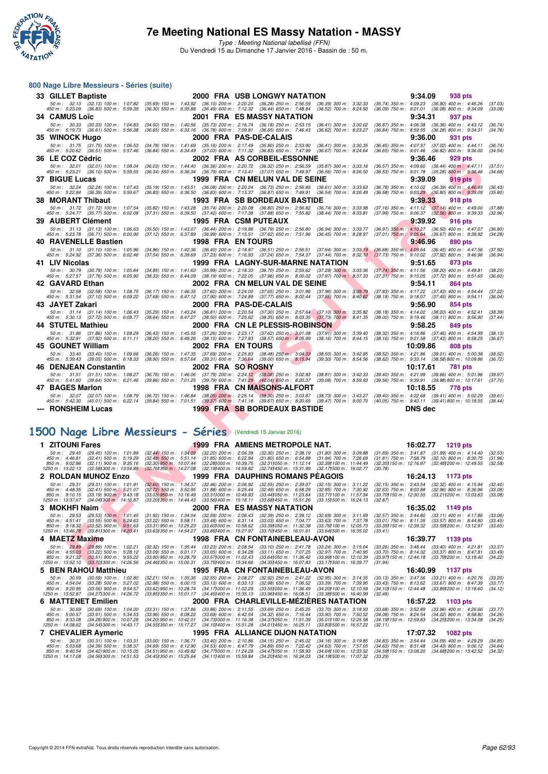

**800 Nage Libre Messieurs - Séries (suite)**

Type : Meeting National labellisé (FFN) Du Vendredi 15 au Dimanche 17 Janvier 2016 - Bassin de : 50 m.

## **F F N - R É S DE LE S DE LE S DE LE S DE LE S DE LE S DE LE S DE LE S DE LE S DE LE S DE LE S DE LE S DE LE S DE LE S DE LE S DE LE S DE LE S DE LE S DE LE S DE LE S DE LE S DE LE S DE LE S DE LE S DE LE S DE LE S DE LE S 33 GILLET Baptiste 2000 FRA USB LONGWY NATATION** 932.13 (32.13) 100 m: 1:07.82 (35.69) 150 m: 1:07.82 (35.69) 150 m: 1:07.82 (36.10) 2000 FRA USB LONGWY NATATION 938 pts<br>450 m: 5:23.09 (36.89) 500 m: 5:59.39 (36.30) 550 m 50 m; 32.13 (32.13) 100 m; 1.07.82 (35.69) 150 m; 1.43.92 (36.10) 200 m; 2.20.20 (36.29) 500 m; 3.9.39 (36.09) 400 m; 3.20,39 400 m; 4.46.26 (37.03) 400 m; 4.46.26 (37.03)<br>450 m; 5.23.09 (36.83) 500 m; 5.55.39 (36.39) 550 **34 CAMUS Loïc 2001 FRA ES MASSY NATATION 9:34.31 937 pts** 50 m: 30.33 (30.33) 100 m: 1:04.83 (34.50) 150 m: 1:40.56 (35.73) 200 m: 2:16.74 (36.18) 250 m: 2:53.15 (36.41) 300 m: 3:30.02 (36.87) 350 m: 4:06.38 (36.36) 400 m: 4:43.12 (36.74)<br>450 m: 5:19.73 (36.61) 500 m: 5:56.38 (36 **35 WINOCK Hugo 2000 FRA PAS-DE-CALAIS 9:36.00 931 pts** 50 m; 31.75 (31.75) 100 m; 1.06.53 (34.78) 150 m; 1.41.69 (35.16) 201 m; 2:17.49 (35.80) 253.90 (36.41) 300 m; 3:00.35 (36.45) 350 m; 4.07.37 (37.02) 400 m; 4.44.11 (36.82) 800 m; 4.44.11 (36.82) 800 m; 4.44.11 (36.82) 800 **36 LE COZ Cédric** 2002 FRA AS CORBEIL-ESSONNE 9:36.46 929 pts<br>
58 m : 32.01 (32.01) 100 m : 1:08.04 (36.03) 150 m : 1:44.40 (36.36) 200 m : 2:20.72 (36.32) 250 m : 2:56.59 (35.87) 300 m : 3:33.16 (36.57) 350 m : 4:09.60 ( 50 m: 32.01 (32.01) 100 m: 1:08.04 (36.03) 150 m: 1:44.40 (36.36) 200 m: 2:20.72 (36.32) 250 m: 2:56.59 (36.87) 300 m: 3:33.16 (36.57) 350 m: 4:09.60 (36.44) 400 m: 4:47.11 (37.51,<br>450 m: 5:23.21 (36.10) 500 m: 5:59.55 (36 **37 BIGUE Lucas 1999 FRA CN MELUN VAL DE SEINE 9:39.09 919 pts**<br>57 *50m: 32.24 (32.24) 100 m: 1:07.43 (35.19) 150 m: 1:42.51 (36.08) 200 m: 2:20.24 (36.73) 250 m: 2:56.85 (36.61) 300 m: 3:33.63 (36.78) 350 m: 4:10.02 (36.3* 50 m; 3224 (32.24) 100 m; 1:07.43 (35.19) 150 m; 1:43.51 (36.09) 200 m; 2:20.24 (36.49) 32568 (36.69) 300 m; 3:363 (36.79) 350 m; 4:10.02 (36.39) 400 m; 4:4645 (36.39) 400 m; 4:4645 (36.40) 400 m; 4:36.49 (36.40) 400 m; 4: **38 MORANT Thibaut** 1993 FRA SB BORDEAUX BASTIDE 9:39.33 918 pts<br>
50 m : 31.72 (31.72) 100 m : 1:07.54 (35.82) 150 m : 1:43.28 (35.74) 200 m : 2:20.08 (36.80) 250 m : 2:56.82 (36.74) 300 m : 3:39.98 (37.16) 350 m : 4:11.12 50 m: 31.72 (31.72) 100 m: 1:07.54 (35.82) 150 m: 1:43.28 (35.74) 200 m: 2:20.08 (36.80) 250 m: 2:56.82 (36.74) 300 m: 3:33.98 (37.16) 350 m: 4:11.12 (37.14) 400 m: 4:49.00 (37.88)<br>450 m: 5:24.77 (35.77) 500 m: 6:02.08 (37 **39 AUBERT Clément 1995 FRA CSM PUTEAUX 9:39.92 916 pts** 50 m; 31.13 (31.13) 100 m; 1:06.63 (35.50) 150 m; 1:43.07 (36.44) 200 m; 2:19.86 (36.49) 32.56.00 (36.94) 300 m; 323.77 (35.71) 350 m; 4:10.27 (36.57) 500 m; 4:47.07 (36.67) 600 m; 4:47.07<br>450 m; 5:23.78 (36.71) 500 m; 6:0 **40 RAVENELLE Bastien 1998 FRA EN TOURS**<br> **50 m: 31.10** (31.10) 100 m: 1:05.96 (34.86) 150 m: 1:42.36 (36.40) 200 m: 2:18.87 (36.51) 250 m: 2:56.51 (37.64) 300 m: 3:33.19 (36.68) 350 m: 4:09.64 (36.45) 400 m: 4:47.56<br>
450 50 m: 31.10 (31.10) 100 m: 1:05.96 (34.86) 150 m: 1:42.36 (36.40) 200 m: 2:18.87 (36.51) 250 m: 2:56.51 (37.64) 300 m: 3:33.19 (36.68) 350 m: 4:09.64 (36.45) 400 m: 4:47.56 (37.92)<br>450 m: 8:24.92 (37.36) 500 m: 6:02.46 (37 **41 LIV Nicolas 41 LIV Nicolas 1999 FRA LAGNY-SUR-MARNE NATATION 9:51.65 873 pts**<br>
50 m: 30.79 (30.79) 100 m: 1:05.64 (34.85) 150 m: 1:41.63 (35.99) 200 m: 2:18.33 (36.70) 250 m: 2:55.62 (37.29) 300 m; 3:33.36 (37. 50 m; 30.79 (30.79) 100 m; 1.05.64 (34.85) 150 m; 1.41.63 (35.99) 200 m; 2.18.33 (37.85.62 (37.29) 300 m; 3:33.36 (37.72) 350 m; 3:11.56 (38.20) 400 m; 4:49.81 (38.25<br>450 m; 5:27.57 (37.76) 500 m; 6:05.90 (38.39) **42 GAVARD Ethan 2002 FRA CN MELUN VAL DE SEINE 9:54.11 864 pts**<br>52.58 (32.58) 100 m : 1:08.75 (36.17) 150 m : 1:46.35 (37.60) 200 m : 2:24.00 (37.65) 250 m : 3:01.96 (37.99) 300 m : 3:39.79 (37.83) 350 m : 4:17.22 (37.43) 50 m: 32.58 (32.58) 100 m: 1:08.75 (36.17) 150 m: 1:46.35 (37.60) 200 m: 2:24.00 (37.65) 250 m: 3:01.96 (37.96) 300 m: 3:39.79 (37.83) 350 m: 4:17.22 (37.43) 400 m: 4:54.44 (37.22,<br>450 m: 5:31.54 (37.10) 500 m: 6:09.22 (37 **43 JAYET Zakari 2000 FRA PAS-DE-CALAIS 9:56.90 854 pts** 50 m; 31.14 (31.14) 100 m; 1:06.43 (35.29) 150 m; 1:43.24 (36.81) 200 m; 2:20.54 (37.03 (57.70) 300 m; 3:35.82 (38.19) 35.62 (38.20) 400 m; 4:14.02 (38.20) 400 m; 4:52.41 (38.39 m) 4:152 (38.11) 800 m; 4:56.90 (37.44)<br>450 **44 STUTEL Mathieu 2000 FRA CN LE PLESSIS-ROBINSON 9:58.25 849 pts**<br>50 m: 31.86 (31.86) 100 m: 1:08.29 (36.43) 150 m: 1:45.55 (37.26) 200 m: 2:23.17 (37.62) 250 m; 3:01.08 (37.91) 300 m: 3:39.40 (38.32) 350 m: 4:16.86 (37. 50 m: 31.86 (31.86) 100 m: 1:08.29 (36.43) 150 m: 1:45.55 (37.26) 200 m: 2:23.17 (37.62) 250 m: 3:01.08 (37.91) 300 m: 3:39.40 (38.32) 350 m: 4:16.86 (37.46) 400 m: 4:54.99 (38.13)<br>450 m: 5:32.91 (37.92) 500 m: 6:11.11 (38 **45 GOUNET William 2002 FRA EN TOURS** 13.40 (33.40) 10:09.86 808 pts<br>
50 m : 33.40 (33.40) 100 m : 1:09.66 (36.26) 150 m : 1:47.35 (37.69) 200 m : 2:25.83 (38.48) 250 m : 3:40.33 (38.50) 300 m : 3:42.85 (38.52) 350 m : 4:2 50 m : 33.40 (33.40) 100 m : 1:09.66 (36.26) 150 m : 1:47.35 (36.48 (38.48) 256,89 (38.60) 300 m : 342.85 (38.52) 350 m : 42.1.86 (39.61) 400 m : 5:39.43 (39.05) 500 m : 5:09.38 (38.62) 550 m : 5:39.43 (39.68) 500 m : 5:09 **46 DENJEAN Constantin 2002 FRA SO ROSNY 10:17.61 781 pts** 50 m: 31.51 (31.51) 100 m: 1:08.27 (36.76) 150 m: 1:46.06 (37.79) 200 m: 2:24.12 (38.06) 250 m: 3:02.93 (38.81) 300 m: 3:42.33 (39.40) 350 m: 4:21.99 (39.66) 400 m: 5:01.96 (39.97)<br>450 m: 5:41.60 (39.64) 500 m: 6:21.46 (39 **47 BAGES Marlon 1998 FRA CN MAISONS-ALFORT 10:18.55 778 pts** 50 m; 32.07 (32.07) 100 m; 1.08.79 (36.72) 150 m; 1.48.84 (38.09) 2.25.14 (38.80) 250 m; 3.03.87 (38.43.27 (39.40) 350 m; 4.22.88 (39.41) 400 m; 5.02.289 (39.41) 500 m; 5.22.14 (39.41) 500 m; 5.02.24 (39.41) 500 m; 5.0.2.5 **--- RONSHEIM Lucas 1999 FRA SB BORDEAUX BASTIDE DNS dec**

#### **[1500 Nage Libre Messieurs - Séries](http://www.ffnatation.fr/webffn/resultats.php?idact=nat&go=epr&idcpt=35299&idepr=56)** (Vendredi 15 Janvier 2016)

| 1 ZITOUNI Fares                                                                                                                                                                                      | 1999                                                                                                                                                                                                                                                  | FRA AMIENS METROPOLE NAT.                                                                                                |                                                                                                                | 16:02.77                                                                                                               | 1219 pts                                                                           |                               |
|------------------------------------------------------------------------------------------------------------------------------------------------------------------------------------------------------|-------------------------------------------------------------------------------------------------------------------------------------------------------------------------------------------------------------------------------------------------------|--------------------------------------------------------------------------------------------------------------------------|----------------------------------------------------------------------------------------------------------------|------------------------------------------------------------------------------------------------------------------------|------------------------------------------------------------------------------------|-------------------------------|
| $50 m$ : 29.45<br>$(29.45)$ 100 m : 1:01.89<br>450 m : 4:46.81<br>$(32.41)$ 500 m : 5:19.29<br>850 m : 9:02.86<br>$(32.11)$ 900 m : 9:35.16<br>1250 m: 13:22.13<br>(32.581300 m : 13:54.89)          | $(32.44)$ 150 m : 1:34.09<br>$(32.20)$ 200 m : 2:06.39<br>$(31.85)$ 600 m : 6:22.94<br>$(32.48)$ 550 m : 5:51.14<br>(32.281000 m : 10:39.75<br>$(32.30)$ 950 m : 10:07.44<br>(32.191400 m : 14:59.82<br>$(32.761350 \text{ m} : 14.27.08)$            | (32.30) 250 m : 2:38.19<br>$(31.80)$ 650 m : 6:54.88<br>(32.311050 m : 11:12.14<br>(32.741450 m : 15:31.99               | $(31.80)$ 300 m : 3:09.88<br>$(31.94)$ 700 m : 7:26.69<br>(32.39) 100 m : 11:44.49<br>(32.171500 m : 16:02.77  | $(31.69)$ 350 m : 3:41.87<br>$(31.81)$ 750 m : 7:58.79<br>(32.35) 150 m : 12:16.97<br>(30.78)                          | $(31.99)$ 400 m : 4:14.40<br>$(32.10)$ 800 m : 8:30.75<br>(32.481200 m : 12:49.55  | (32.53)<br>(31.96)<br>(32.58) |
| 2 ROLDAN MUNOZ Enzo                                                                                                                                                                                  |                                                                                                                                                                                                                                                       | <b>1999 FRA DAUPHINS ROMANS PEAGOIS</b>                                                                                  |                                                                                                                | 16:24.13                                                                                                               | 1173 pts                                                                           |                               |
| 50 m : 29.31<br>$(29.31)$ 100 m : 1:01.91<br>450 m : 4:48.35<br>$(32.41)$ 500 m : 5:21.07<br>850 m : 9:10.15<br>$(33.19)$ 900 m : 9:43.18<br>1250 m : 13:37.67<br>(34.041300 m : 14:10.87            | $(32.60)$ 150 m : 1:34.37<br>$(32.46)$ 200 m : 2:06.92<br>$(32.72)$ 550 m : 5:52.95<br>$(31.88)$ 600 m : 6:25.44<br>$(33.03)$ 950 m : 10:16.49<br>(33.311000 m : 10:49.93<br>$(33.561400 \text{ m} : 15.18.11)$<br>$(33.201350 \text{ m} : 14.44.43)$ | $(32.55)$ 250 m : 2:39.07<br>$(32.49)$ 650 m : 6:58.29<br>(33.441050 m : 11:23.64)<br>$(33.681450 \text{ m} : 15.51.26)$ | (32.15) 300 m : 3:11.22<br>(32.85) 700 m : 7:30.92<br>(33.711100 m: 11:57.34<br>(33.151500 m: 16:24.13         | $(32.15)$ 350 m : 3:43.54<br>$(32.63)$ 750 m : 8:03.88<br>(33.70) 150 m : 12:30.55<br>(32.87)                          | $(32.32)$ 400 m : 4:15.94<br>$(32.96)$ 800 m : 8:36.96<br>(33.211200 m : 13:03.63  | (32.40)<br>(33.08)<br>(33.08) |
| 3 MOKHFI Naim                                                                                                                                                                                        | 2000                                                                                                                                                                                                                                                  | <b>FRA ES MASSY NATATION</b>                                                                                             |                                                                                                                | 16:35.02                                                                                                               | 1149 pts                                                                           |                               |
| $50 \text{ m}$ : 29.53<br>$(29.53)$ 100 m : 1:01.45<br>450 m : 4:51.41<br>$(33.55)$ 500 m : 5:24.63<br>850 m : 9:18.32<br>$(33.52)$ 900 m : 9:51.63<br>1250 m : 13:46.78<br>(33.811300 m : 14:20.41) | $(31.92)$ 150 m : 1:34.04<br>$(32.59)$ 200 m : 2:06.43<br>$(33.22)$ 550 m : 5:58.11<br>$(33.48)$ 600 m : 6:31.14<br>$(33.31)$ 950 m : 10:25.23<br>(33.601000 m : 10:58.62)<br>(33.631350 m : 14:54.27<br>(33.861400 m : 15:27.97                      | $(32.39)$ 250 m : 2:39.12<br>$(33.03)$ 650 m : 7:04.77<br>(33.391050 m : 11:32.38)<br>(33.701450 m : 16:01.61            | $(32.69)$ 300 m : 3:11.69<br>$(33.63)$ 700 m : 7:37.78<br>(33.761100 m : 12:05.73<br>(33.641500 m : 16:35.02   | $(32.57)$ 350 m : 3:44.80<br>$(33.01)$ 750 m : 8:11.35<br>(33.35) 150 m : 12:39.32 (33.59) 200 m : 13:12.97<br>(33.41) | $(33.11)$ 400 m : 4:17.86<br>$(33.57)$ 800 m : 8:44.80                             | (33.06)<br>(33.45)<br>(33.65) |
| 4 MAETZ Maxime                                                                                                                                                                                       |                                                                                                                                                                                                                                                       | 1998 FRA CN FONTAINEBLEAU-AVON                                                                                           |                                                                                                                | 16:39.77                                                                                                               | 1139 pts                                                                           |                               |
| 50 m : 29.89<br>$(29.89)$ 100 m : 1:02.21<br>$(33.22)$ 500 m : 5:28.12<br>450 m : 4:55.03<br>850 m : 9:21.32<br>$(33.51)$ 900 m : 9:55.22<br>1250 m: 13:52.10<br>(33.701300 m : 14:26.56)            | $(33.23)$ 200 m : 2:08.54<br>$(32.32)$ 150 m : 1:35.44<br>$(33.09)$ 550 m : 6:01.17<br>$(33.05)$ 600 m : 6:34.28<br>$(33.90)$ 950 m : 10:28.79<br>(33.571000 m : 11:02.43)<br>(33.751400 m : 15:34.66<br>$(34.461350 \text{ m} : 15.00.31)$           | $(33.10)$ 250 m : 2:41.78<br>$(33.11)$ 650 m : 7:07.25<br>(33.641050 m: 11:36.42)<br>(34.351450 m : 16:07.83             | $(33.24)$ 300 m : 3:15.04<br>(32.97) 700 m : 7:40.95<br>(33.99) 100 m : 12:10.39<br>(33.171500 m : 16:39.77    | $(33.26)$ 350 m : 3:48.44<br>$(33.70)$ 750 m : 8:14.32<br>(33.97) 150 m : 12:44.18<br>(31.94)                          | $(33.40)$ 400 m : 4:21.81<br>$(33.37)$ 800 m : 8:47.81<br>(33.791200 m: 13:18.40   | (33.37)<br>(33.49)<br>(34.22) |
| 5 BEN RAHOU Matthieu                                                                                                                                                                                 |                                                                                                                                                                                                                                                       | 1995 FRA CN FONTAINEBLEAU-AVON                                                                                           |                                                                                                                | 16:40.99                                                                                                               | 1137 pts                                                                           |                               |
| $50 m$ : $30.59$<br>$(30.59)$ 100 m : 1:02.80<br>450 m : 4:54.04<br>$(33.28)$ 500 m : 5:27.02<br>850 m : 9:20.95<br>$(33.56)$ 900 m : 9:54.57<br>(34.271300 m: 14:26.72)<br>1250 m : 13:52.87        | $(32.55)$ 200 m : 2:08.27<br>$(32.21)$ 150 m : 1:35.35<br>$(33.13)$ 600 m : 6:33.13<br>$(32.98)$ 550 m : 6:00.15<br>$(33.62)$ 950 m : 10:28.74<br>(34.171000 m: 11:02.29)<br>(34.451400 m : 15:35.13)<br>$(33.851350 \text{ m} : 15.01.17)$           | $(32.92)$ 250 m : 2:41.22<br>$(32.98)$ 650 m : 7:06.52<br>(33.551050 m : 11:36.49)<br>(33.961450 m : 16:08.51            | $(32.95)$ 300 m : 3:14.35<br>$(33.39)$ 700 m : 7:39.95<br>(34.20) 100 m : 12:10.59<br>(33.381500 m: 16:40.99   | $(33.13)$ 350 m : 3:47.56<br>$(33.43)$ 750 m : 8:13.62<br>(34.10) 150 m : 12:44.48<br>(32.48)                          | $(33.21)$ 400 m : 4:20.76<br>$(33.67)$ 800 m : 8:47.39<br>(33.891200 m : 13:18.60  | (33.20)<br>(33.77)<br>(34.12) |
| 6 MATTENET Emilien                                                                                                                                                                                   | 2000                                                                                                                                                                                                                                                  | FRA CHARLEVILLE-MÉZIÈRES NATATION                                                                                        |                                                                                                                | 16:57.22                                                                                                               | 1103 pts                                                                           |                               |
| 50 m: 30.69<br>$(30.69)$ 100 m : 1:04.00<br>$(33.91)$ 500 m : 5:34.53<br>450 m : 5:00.57<br>850 m : 9:33.08<br>$(34.28)$ 900 m : 10:07.28<br>1250 m : 14:08.62<br>(34.541300 m : 14:43.17            | $(33.31)$ 150 m : 1:37.86<br>$(33.86)$ 200 m : 2:11.55<br>$(33.96)$ 550 m : 6:08.22<br>$(33.69)$ 600 m : 6:42.54<br>$(34.20)$ 950 m : 10:42.01<br>$(34.731000 \text{ m} : 11.16.38)$<br>(34.101400 m : 15:51.28<br>(34.551350 m : 15:17.27            | $(33.69)$ 250 m : 2:45.25<br>$(34.32)$ 650 m : 7:16.44<br>(34.371050 m : 11:51.39)<br>(34.011450 m : 16:25.11            | $(33.70)$ 300 m : 3:18.93<br>$(33.90)$ 700 m : 7:50.52<br>(35.011100 m: 12:25.58)<br>(33.831500 m : 16:57.22   | $(33.68)$ 350 m : 3:52.89<br>$(34.08)$ 750 m : 8:24.54<br>(34.19) 150 m : 12:59.83<br>(32.11)                          | $(33.96)$ 400 m : 4:26.66<br>$(34.02)$ 800 m : 8:58.80<br>(34.251200 m : 13:34.08  | (33.77)<br>(34.26)<br>(34.25) |
| <b>7 CHEVALIER Aymeric</b>                                                                                                                                                                           |                                                                                                                                                                                                                                                       | 1995 FRA ALLIANCE DIJON NATATION                                                                                         |                                                                                                                | 17:07.32                                                                                                               | 1082 pts                                                                           |                               |
| $50 \text{ m}$ : $30.31$<br>$(30.31)$ 100 m : 1:03.31<br>450 m : 5:03.68<br>$(34.39)$ 500 m : 5:38.37<br>850 m : 9:40.54<br>(34.42) 900 m : 10:15.05<br>1250 m: 14:17.08<br>(34.561300 m : 14.51.53  | $(33.40)$ 200 m : 2:10.86<br>$(33.00)$ 150 m : 1:36.71<br>$(34.69)$ 550 m : 6:12.90<br>$(34.53)$ 600 m : 6:47.79<br>(34.51) 950 m : 10:49.82<br>(34.771000 m : 11:24.29)<br>(34.451350 m : 15:25.64)<br>(34.111400 m : 15:59.84                       | $(34.15)$ 250 m : 2:45.02<br>$(34.89)$ 650 m : 7:22.42<br>(34.471050 m : 11:58.93)<br>(34.201450 m : 16:34.03)           | $(34.16)$ 300 m : 3:19.85<br>$(34.63)$ 700 m : 7:57.05<br>(34.641100 m : 12:33.52)<br>(34.191500 m : 17:07.32) | $(34.83)$ 350 m : 3:54.44<br>$(34.63)$ 750 m : 8:31.48<br>(34.591150 m : 13:08.20<br>(33.29)                           | $(34.59)$ 400 m : 4:29.29<br>$(34.43)$ 800 m : 9:06.12<br>(34.681200 m : 13:42.52) | (34.85)<br>(34.64)<br>(34.32) |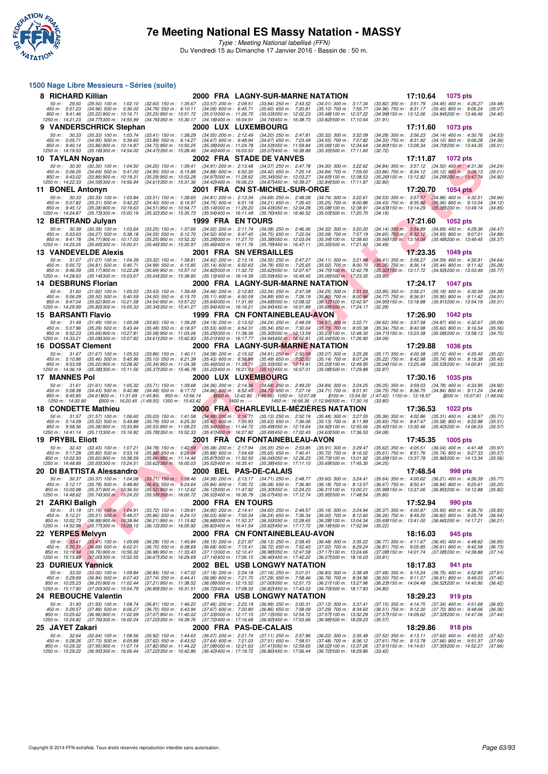

Type : Meeting National labellisé (FFN) Du Vendredi 15 au Dimanche 17 Janvier 2016 - Bassin de : 50 m.

#### **1500 Nage Libre Messieurs - Séries (suite)**

| 8 RICHARD Killian                                                                                                                                                                                 |                                                                                                                                                                                                                                  | 2000 FRA LAGNY-SUR-MARNE NATATION                                                                                                     |                                                                                                                          | 17:10.64                                                                                                                                                               | 1075 pts                                                                           |                               |
|---------------------------------------------------------------------------------------------------------------------------------------------------------------------------------------------------|----------------------------------------------------------------------------------------------------------------------------------------------------------------------------------------------------------------------------------|---------------------------------------------------------------------------------------------------------------------------------------|--------------------------------------------------------------------------------------------------------------------------|------------------------------------------------------------------------------------------------------------------------------------------------------------------------|------------------------------------------------------------------------------------|-------------------------------|
| 50 m: 29.50<br>$(29.50)$ 100 m : 1:02.10<br>450 m : 5:01.23<br>$(34.96)$ 500 m : 5:36.02<br>850 m : 9:41.46<br>$(35.22)$ 900 m : 10:16.71                                                         | (32.60) 150 m: 1:35.67 (33.57) 200 m: 2:09.51<br>$(34.09)$ 600 m : 6:45.71<br>$(34.79)$ 550 m : 6:10.11<br>(35.011000 m: 11:26.75<br>(35.25) 950 m : 10:51.72                                                                    | $(33.84)$ 250 m : 2:43.52<br>$(35.60)$ 650 m : 7:20.81<br>(35.031050 m: 12.02.23)                                                     | $(34.01)$ 300 m : 3:17.34<br>$(35.10)$ 700 m : 7:55.77<br>(35.481100 m : 12:37.22)                                       | (33.82) 350 m: 3:51.79 (34.45) 400 m: 4:26.27<br>(34.96) 750 m: 8:31.17 (35.40) 800 m: 9:06.24<br>(34.99) 150 m : 13:12.06 (34.84) 200 m : 13:46.46                    |                                                                                    | (34.48)<br>(35.07)<br>(34.40) |
| 1250 m: 14:21.23<br>(34.77) 300 m : 14:55.99<br>9 VANDERSCHRICK Stephan                                                                                                                           | (34.761350 m : 15:30.17<br>(34.18) 400 m : 16:04.91                                                                                                                                                                              | (34.741450 m : 16:38.73<br>2000 LUX LUXEMBOURG                                                                                        | (33.821500 m: 17:10.64                                                                                                   | (31.91)<br>17:11.60                                                                                                                                                    | 1073 pts                                                                           |                               |
| 50 m: 30.33<br>$(30.33)$ 100 m : 1:03.74                                                                                                                                                          | $(33.41)$ 150 m : 1:38.29<br>(34.55) 200 m : 2:12.49                                                                                                                                                                             | (34.20) 250 m : 2:47.81                                                                                                               | $(35.32)$ 300 m : 3:22.09                                                                                                | (34.28) 350 m : 3:56.23                                                                                                                                                | $(34.14)$ 400 m : 4:30.76                                                          | (34.53)                       |
| 450 m : 5:05.71<br>$(34.95)$ 500 m : 5:39.60<br>850 m : 9:40.14<br>(33.86) 900 m : 10:14.87<br>1250 m: 14:19.53<br>(35.18) 300 m : 14:54.00                                                       | $(33.89)$ 550 m : 6:14.27<br>$(34.67)$ 600 m : 6:48.94<br>(34.73) 950 m : 10:50.25<br>(35.381000 m: 11.24.78)<br>(34.47) 350 m : 15:28.46<br>(34.461400 m: 16:03.53)                                                             | $(34.67)$ 650 m : 7:23.49<br>(34.53) 050 m : 11:59.84<br>(35.07) 450 m : 16:38.88                                                     | (34.55) 700 m : 7:57.82<br>(35.06) 100 m : 12:34.64<br>$(35.35)500 \text{ m}$ : 17:11.60                                 | $(34.33)$ 750 m : 8:31.92<br>(34.80) 150 m : 13:09.34<br>(32.72)                                                                                                       | $(34.10)$ 800 m : 9:06.28<br>(34.70) 200 m : 13:44.35                              | (34.36)<br>(35.01)            |
| 10 TAYLAN Noyan                                                                                                                                                                                   |                                                                                                                                                                                                                                  | 2002 FRA STADE DE VANVES                                                                                                              |                                                                                                                          | 17:11.87                                                                                                                                                               | <b>1072 pts</b>                                                                    |                               |
| 50 m: 30.30<br>(30.30) 100 m : 1:04.50<br>450 m: 5:06.05<br>$(34.69)$ 500 m : 5:41.00<br>850 m : 9:43.02<br>(33.89) 900 m : 10:18.31<br>1250 m: 14:22.33<br>(34.59) 300 m : 14:56.94              | $(34.20)$ 150 m : 1:39.41<br>$(34.91)$ 200 m : 2:13.48<br>$(34.88)$ 600 m : 6:50.30<br>$(34.95)$ 550 m : 6:15.88<br>(35.29) 950 m : 10:53.28<br>(34.97) 000 m: 11:28.62<br>(34.611350 m : 15:31.36)<br>(34.42) 400 m : 16:06.23  | $(34.07)$ 250 m : 2:47.78<br>$(34.42)$ 650 m : 7:25.14<br>(35.34) 050 m: 12:03.27<br>(34.87) 450 m : 16:39.07                         | $(34.30)$ 300 m : 3:22.62<br>(34.84) 700 m : 7:59.00<br>(34.65) 100 m : 12:38.53<br>(32.841500 m: 17:11.87               | $(34.84)$ 350 m : 3:57.12 $(34.50)$ 400 m : 4:31.36<br>$(33.86)$ 750 m : $8:34.12$<br>(35.26) 150 m : 13:12.82<br>(32.80)                                              | $(35.12)$ 800 m : 9:09.13<br>(34.29) 200 m : 13:47.74                              | (34.24)<br>(35.01)<br>(34.92) |
| 11 BONEL Antonyn                                                                                                                                                                                  |                                                                                                                                                                                                                                  | 2001 FRA CN ST-MICHEL-SUR-ORGE                                                                                                        |                                                                                                                          | 17:20.70                                                                                                                                                               | <b>1054 pts</b>                                                                    |                               |
| 50 m: 30.33<br>$(30.33)$ 100 m : 1:03.84<br>450 m: 5:07.82<br>$(35.31)$ 500 m : 5:42.22<br>850 m : 9:45.12<br>$(35.08)$ 900 m : 10:19.63<br>1250 m: 14:24.87<br>(35.73) 300 m : 15:00.19          | $(33.51)$ 150 m : 1:38.65<br>$(34.81)$ 200 m : 2:13.34<br>$(34.40)$ 550 m : 6:16.97<br>$(34.75)$ 600 m : 6:51.18<br>(34.51) 950 m : 10:54.77<br>(35.141000 m: 11:29.20<br>(35.32) 350 m : 15:35.73<br>(35.54) 400 m : 16:11.49   | $(34.69)$ 250 m : 2:48.08<br>$(34.21)$ 650 m : 7:26.43<br>(34.43) 050 m: 12:04.28<br>(35.76) 450 m : 16:46.52                         | $(34.74)$ 300 m : 3:22.61<br>$(35.25)$ 700 m : 8:00.86<br>(35.08) 100 m : 12:38.91<br>(35.031500 m : 17:20.70            | $(34.53)$ 350 m : 3:57.57 $(34.96)$ 400 m : 4:32.51<br>(34.43) 750 m : 8:35.92 (35.06) 800 m : 9:10.04<br>(34.63) 150 m : 13:14.29 (35.38) 200 m : 13:49.14<br>(34.18) |                                                                                    | (34.94)<br>(34.12)<br>(34.85) |
| 12 BERTRAND Julyan                                                                                                                                                                                | 1999 FRA EN TOURS                                                                                                                                                                                                                |                                                                                                                                       |                                                                                                                          | 17:21.60                                                                                                                                                               | <b>1052 pts</b>                                                                    |                               |
| 50 m: 30.39<br>$(30.39)$ 100 m : 1:03.64                                                                                                                                                          | $(33.25)$ 150 m : 1:37.66<br>$(34.02)$ 200 m : 2:11.74                                                                                                                                                                           | $(34.08)$ 250 m : 2:46.06                                                                                                             | $(34.32)$ 300 m : 3:20.20                                                                                                | $(34.14)$ 350 m : 3:54.89 $(34.69)$ 400 m : 4:29.36                                                                                                                    |                                                                                    | (34.47)                       |
| 450 m: 5:03.63<br>$(34.27)$ 500 m : 5:38.18<br>850 m: 9:41.78<br>(34.77) 900 m : 10:17.03<br>1250 m : 14:25.05<br>(35.60)300 m : 15.00.51                                                         | (34.55) 550 m : 6:12.70<br>$(34.52)$ 600 m : 6:47.45<br>(35.25) 950 m : 10:52.32<br>(35.29) 000 m: 11:27.70<br>(35.46) 350 m : 15:35.97<br>$(35.46)400 \text{ m}$ : 16:11.76                                                     | $(34.75)$ 650 m : 7:22.54<br>(35.38) 050 m: 12:03.04<br>$(35.791450 \text{ m} : 16:47.11)$                                            | (35.09) 700 m : 7:57.19<br>(35.34) 100 m : 12:38.60<br>(35.35) 500 m : 17:21.60                                          | (34.65) 750 m : 8:32.12 (34.93) 800 m : 9:07.01<br>(35.56) 150 m : 13:14.08 (35.48) 200 m : 13:49.45<br>(34.49)                                                        |                                                                                    | (34.89)<br>(35.37)            |
| 13 VANDEVELDE Alexis                                                                                                                                                                              |                                                                                                                                                                                                                                  | 2001 FRA SNVERSAILLES                                                                                                                 |                                                                                                                          | 17:23.35                                                                                                                                                               | 1049 pts                                                                           |                               |
| 50 m: 31.07<br>$(31.07)$ 100 m : 1:04.39<br>450 m : 5:05.72<br>$(34.81)$ 500 m : 5:40.71<br>$(35.17)900 \text{ m}$ : 10:22.28<br>850 m : 9:46.59<br>(35.14) 300 m : 15:03.67<br>1250 m : 14:28.63 | $(33.32)$ 150 m : 1:38.81<br>$(34.42)$ 200 m : 2:13.16<br>$(35.14)$ 600 m : 6:50.63<br>$(34.99)$ 550 m : 6:15.85<br>(34.82) 000 m: 11:32.72<br>(35.69) 950 m : 10:57.10<br>(35.041350 m: 15:38.80<br>(35.13) 400 m : 16:14.39    | $(34.35)$ 250 m : 2:47.27<br>$(34.78)$ 650 m : 7:25.65<br>(35.62) 050 m: 12:07.47<br>(35.59) 450 m : 16:49.45                         | $(34.11)$ 300 m : 3:21.68<br>$(35.02)$ 700 m : 8:00.70<br>(34.75) 100 m : 12:42.79<br>$(35.061500 \text{ m} : 17.23.35)$ | $(34.41)$ 350 m : 3:56.27 $(34.59)$ 400 m : 4:30.91<br>$(35.05)$ 750 m : 8:36.14<br>(35.32) 150 m : 13:17.72<br>(33.90)                                                | $(35.44)$ 800 m : 9:11.42<br>(34.931200 m: 13.53.49)                               | (34.64)<br>(35.28)<br>(35.77) |
| 14 DESBRUNS Florian                                                                                                                                                                               |                                                                                                                                                                                                                                  | 2000   FRA   LAGNY-SUR-MARNE NATATION                                                                                                 |                                                                                                                          | 17:24.17                                                                                                                                                               | <b>1047 pts</b>                                                                    |                               |
| 50 m: 31.60<br>$(31.60)$ 100 m : 1:05.03<br>$(35.50)$ 500 m : 5:40.59<br>450 m: 5:06.09<br>850 m : 9:47.04<br>$(35.62)$ 900 m : 10:21.58<br>1250 m: 14:29.99<br>(35.80) 300 m : 15:05.33          | $(34.46)$ 200 m : 2:12.83<br>$(33.43)$ 150 m : 1:39.49<br>$(35.11)$ 600 m : 6:50.59<br>$(34.50)$ 550 m : 6:15.70<br>(34.54) 950 m : 10:57.22<br>(35.641000 m: 11:31.90<br>(35.341350 m : 15:41.27<br>(35.941400 m: 16:16.21      | $(33.34)$ 250 m : 2:47.08<br>$(34.89)$ 650 m : 7:26.19<br>(34.68)050 m : 12.08.02<br>(34.941450 m: 16:51.89)                          | $(34.25)$ 300 m : 3:21.03<br>$(35.60)$ 700 m : 8:00.96<br>(36.12) 100 m : 12:42.97<br>(35.681500 m : 17:24.17)           | $(33.95)$ 350 m : 3:56.21<br>$(34.77)$ 750 m : 8:36.91<br>(34.95) 150 m : 13:18.88 (35.91) 200 m : 13:54.19<br>(32.28)                                                 | $(35.18)$ 400 m : 4:30.59<br>$(35.95)$ 800 m : 9:11.42                             | (34.38)<br>(34.51)<br>(35.31) |
| 15 BARSANTI Flavio                                                                                                                                                                                |                                                                                                                                                                                                                                  | 1999 FRA CN FONTAINEBLEAU-AVON                                                                                                        |                                                                                                                          | 17:26.90                                                                                                                                                               | <b>1042 pts</b>                                                                    |                               |
| 50 m: 31.49<br>$(31.49)$ 100 m : 1:05.09                                                                                                                                                          | $(33.60)$ 150 m : 1:39.28<br>$(34.19)$ 200 m : 2:13.52                                                                                                                                                                           | $(34.24)$ 250 m : 2:48.09                                                                                                             | (34.57) 300 m : 3:22.71                                                                                                  | $(34.62)$ 350 m : 3:57.58                                                                                                                                              | $(34.87)$ 400 m : 4:32.67                                                          | (35.09)                       |
| 450 m : 5:07.96<br>(35.29) 500 m: 5:43.44<br>850 m : 9:52.23<br>(35.69) 900 m : 10:27.81                                                                                                          | (35.48) 550 m : 6:18.97<br>$(35.53)$ 600 m : 6:54.31<br>(35.58) 950 m : 11:03.06<br>(35.25) 000 m: 11:38.36                                                                                                                      | $(35.34)$ 650 m : 7:30.04<br>(35.30) 050 m : 12:13.59                                                                                 | $(35.73)$ 700 m : 8:05.38<br>(35.231100 m : 12:48.30                                                                     | $(35.34)$ 750 m : 8:40.98<br>(34.711150 m: 13:23.38)                                                                                                                   | $(35.60)$ 800 m : 9:16.54<br>(35.08) 200 m : 13:58.13                              | (35.56)<br>(34.75)            |
| 1250 m: 14:33.21<br>(35.081300 m : 15:07.82                                                                                                                                                       | $(34.61)350 \text{ m}$ : 15:42.83<br>(35.011400 m : 16:17.77                                                                                                                                                                     | $(34.94)450 \text{ m}$ : 16:52.81                                                                                                     | (35.041500 m: 17:26.90                                                                                                   | (34.09)                                                                                                                                                                |                                                                                    |                               |
| <b>16 DOSSAT Clement</b>                                                                                                                                                                          |                                                                                                                                                                                                                                  | 2000 FRA LAGNY-SUR-MARNE NATATION                                                                                                     |                                                                                                                          | 17:29.88                                                                                                                                                               | <b>1036 pts</b>                                                                    |                               |
| $(31.67)$ 100 m : 1:05.53<br>50 m: 31.67<br>450 m: 5:10.86<br>$(35.46)$ 500 m : 5:45.96<br>(35.20) 900 m : 10:28.92<br>850 m : 9:53.58<br>1250 m: 14:36.19<br>(35.38) 300 m : 15:11.56            | $(33.86)$ 150 m : 1:40.11<br>$(34.58)$ 200 m : 2:15.02<br>$(35.10)$ 550 m : 6:21.39<br>$(35.43)$ 600 m : 6:56.88<br>(35.46) 000 m : 11:39.71<br>(35.34) 950 m : 11:04.38<br>(35.37) 350 m : 15:46.78<br>(35.22) 400 m : 16:21.93 | $(34.91)$ 250 m : 2:50.09<br>(35.49) 650 m : 7:32.02<br>(35.33) 050 m : 12:14.91<br>(35.15) 450 m : 16:57.01                          | $(35.07)$ 300 m : 3:25.26<br>$(35.14)$ 700 m : 8:07.24<br>(35.20) 100 m : 12:49.95<br>(35.08) 500 m : 17:29.88           | $(35.17)$ 350 m : 4:00.38 $(35.12)$ 400 m : 4:35.40<br>$(35.22)$ 750 m : 8:42.98<br>(35.04) 150 m : 13:25.48<br>(32.87)                                                | $(35.74)$ 800 m : 9:18.38<br>(35.53) 200 m : 14:00.81                              | (35.02)<br>(35.40)<br>(35.33) |
|                                                                                                                                                                                                   |                                                                                                                                                                                                                                  |                                                                                                                                       |                                                                                                                          |                                                                                                                                                                        |                                                                                    |                               |
| 17 MANNES Pol                                                                                                                                                                                     |                                                                                                                                                                                                                                  | <b>2000 LUX LUXEMBOURG</b>                                                                                                            |                                                                                                                          | 17:30.16                                                                                                                                                               | 1035 pts                                                                           |                               |
| 50 m: 31.61<br>$(31.61)$ 100 m : 1:05.32<br>$(34.43)$ 500 m : 5:42.86<br>450 m : 5:08.38<br>850 m : 9:45.85                                                                                       | (33.71) 150 m: 1:39.68 (34.36) 200 m: 2:14.36 (34.68) 250 m: 2:49.20<br>$(34.48)$ 550 m : 6:17.72<br>(34.61)900 m: 11:31.69 (1:45.84) 950 m: 10:56.14                                                                            | (34.86) 600 m: 6:52.45 (34.73) 650 m: 7:27.16 (34.71) 700 m: 8:01.91<br>1000 m: 12:42.80 (1:46.66) 1050 m: 12:07.08                   | (34.84) 300 m : 3:24.25<br>$(100 \text{ m} : 13.54.50)$                                                                  | $(35.05)$ 350 m : 3:59.03 $(34.78)$ 400 m : 4:33.95<br>(34.75) 750 m : 8:36.75 (34.84) 800 m : 9:11.24<br>$(1.47.42)$ 1150 m : 13:18.57                                | (1:49.04) 15:07.61 (1:49.04)                                                       | (34.92)<br>(34.49)            |
| 1250 m: 14:30.90                                                                                                                                                                                  | (300 m: 16:20.45 (1:49.55) 1350 m: 15:43.42<br>$\theta$                                                                                                                                                                          | $1400 m$ : ---                                                                                                                        | 1450 m: 16:56.36 (1:12.94) 500 m: 17:30.16                                                                               | (33.80)                                                                                                                                                                |                                                                                    |                               |
| 18 CONDETTE Mathieu<br>$(31.57)$ 100 m : 1:06.60<br>50 m: 31.57                                                                                                                                   | $(34.98)$ 200 m : 2:16.71<br>$(35.03)$ 150 m : 1:41.58                                                                                                                                                                           | 2000 FRA CHARLEVILLE-MEZIERES NATATION<br>$(35.13)$ 250 m : 2:52.19                                                                   | (35.48) 300 m : 3:27.55                                                                                                  | 17:36.53<br>(35.36) 350 m : 4:02.86                                                                                                                                    | 1022 pts<br>$(35.31)$ 400 m : 4:38.57                                              | (35.71)                       |
| 450 m: 5:14.09<br>$(35.52)$ 500 m : 5:49.88                                                                                                                                                       | (35.79) 550 m : 6:25.30<br>$(35.42)$ 600 m : 7:00.93                                                                                                                                                                             | $(35.63)$ 650 m : 7:36.06                                                                                                             | $(35.13)$ 700 m : 8:11.89                                                                                                | $(35.83)$ 750 m : 8:47.47                                                                                                                                              | $(35.58)$ 800 m : 9:22.98                                                          | (35.51)                       |
| 850 m: 9:58.36<br>(35.38) 900 m : 10:33.89<br>1250 m : 14:41.14<br>(35.111300 m : 15:16.92                                                                                                        | (35.53) 950 m : 11:09.23<br>(35.341000 m : 11:44.72)<br>(35.411400 m : 16:27.82)<br>(35.78) 350 m : 15:52.33                                                                                                                     | (35.49) 050 m: 12:19.64<br>(35.49) 450 m : 17:02.45                                                                                   | (34.92) 100 m : 12:55.06<br>(34.63) 500 m : 17:36.53                                                                     | (35.42) 150 m : 13:30.46<br>(34.08)                                                                                                                                    | (35.40) 200 m : 14:06.03                                                           | (35.57)                       |
| <b>19 PRYBIL Eliott</b>                                                                                                                                                                           |                                                                                                                                                                                                                                  | 2001 FRA CN FONTAINEBLEAU-AVON                                                                                                        |                                                                                                                          | 17:45.35                                                                                                                                                               | <b>1005 pts</b>                                                                    |                               |
| 50 m: 32.43<br>(32.43) 100 m : 1:07.21<br>450 m: 5:17.28<br>$(35.80)$ 500 m : 5:53.16<br>850 m : 10:02.93<br>(35.60) 900 m : 10:38.59<br>1250 m: 14:48.89<br>(35.55) 300 m : 15:24.51             | $(34.78)$ 150 m : 1:42.59<br>$(35.38)$ 200 m : 2:17.94<br>$(35.88)$ 550 m : 6:29.04<br>$(35.88) 600 m$ : 7:04.69<br>$(35.66)$ 950 m : 11:14.46<br>(35.871000 m: 11:50.50<br>(35.62) 350 m : 16:00.03<br>(35.52) 400 m : 16:35.41 | $(35.35)$ 250 m : 2:53.85<br>$(35.65) 650 m$ : 7:40.41<br>(36.041050 m: 12:26.23)<br>(35.38) 450 m: 17:11.10                          | $(35.91)$ 300 m : 3:29.47<br>$(35.72)$ 700 m : 8:16.02<br>(35.73) 100 m : 13:01.92<br>(35.69) 500 m : 17:45.35           | $(35.62)$ 350 m : 4:05.51<br>$(35.61)$ 750 m : $8.51.76$<br>(35.69) 150 m : 13:37.78<br>(34.25)                                                                        | $(36.04)$ 400 m : 4:41.48<br>$(35.74)$ 800 m : 9:27.33<br>(35.86) 200 m : 14:13.34 | (35.97)<br>(35.57)<br>(35.56) |
| 20 DI BATTISTA Alessandro                                                                                                                                                                         |                                                                                                                                                                                                                                  | 2000 BEL PAS-DE-CALAIS                                                                                                                |                                                                                                                          | 17:48.54                                                                                                                                                               | 998 pts                                                                            |                               |
| 50 m: 30.37 (30.37) 100 m: 1:04.08<br>(35.78) 500 m : 5:48.80<br>450 m : 5:12.17<br>$(35.37)900 \text{ m}$ : 10:36.50<br>850 m : 10:00.98<br>1250 m: 14:48.62 (35.741300 m: 15:24.20              | $(33.71)$ 150 m : 1:38.46<br>$(34.38)$ 200 m : 2:13.17<br>$(36.63)$ 550 m : 6:24.64<br>$(35.84)$ 600 m : 7:00.72<br>$(35.52)$ 950 m : 11:12.62<br>(36.121000 m: 11:47.92)<br>(35.581350 m : 16:00.72                             | $(34.71)$ 250 m : 2:48.77<br>$(36.08)$ 650 m : 7:36.90<br>(35.30) 050 m : 12:24.23<br>(36.52) 400 m: 16:36.79 (36.07) 450 m: 17:12.74 | $(35.60)$ 300 m : 3:24.41<br>$(36.18)$ 700 m : 8:13.57<br>(36.311100 m: 13:00.21<br>(35.951500 m: 17:48.54               | (35.64) 350 m : 4:00.62 (36.21) 400 m : 4:36.39<br>$(36.67)$ 750 m : 8:50.41<br>(35.981150 m: 13:37.06 (36.851200 m: 14:12.88)<br>(35.80)                              | $(36.84)$ 800 m : 9:25.61                                                          | (35.77)<br>(35.20)<br>(35.82) |
| 21 ZARKI Baligh                                                                                                                                                                                   | 2000 FRA EN TOURS                                                                                                                                                                                                                |                                                                                                                                       |                                                                                                                          | 17:52.94                                                                                                                                                               | 990 pts                                                                            |                               |
| 50 m : 31.19<br>$(31.19)$ 100 m : 1:04.91                                                                                                                                                         | $(34.90)$ 200 m : 2:14.41<br>$(33.72)$ 150 m : 1:39.81                                                                                                                                                                           | $(34.60)$ 250 m : 2:49.57                                                                                                             | $(35.16)$ 300 m : 3:24.94                                                                                                | $(35.37)$ 350 m : 4:00.87                                                                                                                                              | $(35.93)$ 400 m : 4:36.70                                                          | (35.83)                       |
| 450 m : 5:12.21<br>$(35.51) 500 \text{ m}$ : 5:48.07<br>(36.99) 900 m : 10:38.94<br>850 m : 10:02.73                                                                                              | (35.86) 550 m : 6:24.10<br>$(36.03)$ 600 m : 7:00.34<br>(36.21) 950 m : 11:15.82<br>(36.88) 000 m: 11:52.37                                                                                                                      | $(36.24)$ 650 m : 7:36.34<br>(36.55) 050 m: 12:28.65                                                                                  | $(36.00)$ 700 m : 8:12.60<br>(36.28) 100 m : 13:04.34                                                                    | $(36.26)$ 750 m : 8:49.20<br>(35.69) 150 m : 13:41.00                                                                                                                  | $(36.60)$ 800 m : 9:25.74<br>(36.661200 m : 14:17.21                               | (36.54)<br>(36.21)            |
| 1250 m : 14:52.98 (35.77) 300 m : 15:29.10                                                                                                                                                        | (36.12) 350 m : 16:05.92<br>(36.821400 m : 16:41.54)                                                                                                                                                                             | (35.62)450 m : 17:17.72                                                                                                               | (36.181500 m: 17:52.94                                                                                                   | (35.22)                                                                                                                                                                |                                                                                    |                               |
| 22 YERPES Melvyn                                                                                                                                                                                  |                                                                                                                                                                                                                                  | 2000 FRA CN FONTAINEBLEAU-AVON                                                                                                        |                                                                                                                          | 18:16.03                                                                                                                                                               | 945 pts                                                                            |                               |
| 50 m : 33.41<br>$(33.41)$ 100 m : 1:09.69<br>450 m : 5:25.31<br>$(36.69)$ 500 m : 6:02.01<br>850 m : 10:19.34<br>(36.76) 900 m : 10:56.32<br>1250 m: 15:15.88<br>$(37.00)300$ m : 15:52.55        | (36.28) 150 m : 1:45.84<br>(36.15) 200 m : 2:21.97<br>$(36.70)$ 550 m : 6:38.69<br>$(36.68)$ 600 m : 7:15.41<br>(36.98) 950 m : 11:33.43<br>(37.111000 m: 12:10.41<br>(36.67) 350 m : 16:29.69<br>(37.14) 400 m : 17:06.15       | $(36.13)$ 250 m : 2:58.45<br>(36.72) 650 m : 7:52.43<br>(36.981050 m : 12:47.58<br>(36.46) 450 m : 17:42.22                           | (36.48) 300 m : 3:35.22<br>(37.02) 700 m : 8:29.24<br>(37.17) 100 m : 13:24.66<br>(36.07) 500 m : 18:16.03               | $(36.77)$ 350 m : 4:11.67<br>$(36.81)$ 750 m : $9:05.85$<br>(37.08) 150 m : 14:01.74<br>(33.81)                                                                        | $(36.45)$ 400 m : 4:48.62<br>$(36.61)$ 800 m : 9:42.58<br>(37.08) 200 m : 14:38.88 | (36.95)<br>(36.73)<br>(37.14) |
| 23 DURIEUX Yannick                                                                                                                                                                                |                                                                                                                                                                                                                                  | 2002   BEL   USB LONGWY NATATION                                                                                                      |                                                                                                                          | 18:17.83                                                                                                                                                               | 941 pts                                                                            |                               |
| 50 m: 33.00<br>$(33.00)$ 100 m : 1:09.84                                                                                                                                                          | $(36.84)$ 150 m : 1:47.02<br>$(37.18)$ 200 m : 2:24.18                                                                                                                                                                           | $(37.16)$ 250 m : 3:01.01                                                                                                             | (36.83) 300 m : 3:38.49                                                                                                  | $(37.48)$ 350 m : 4:15.24                                                                                                                                              | $(36.75)$ 400 m : 4:52.85                                                          | (37.61)                       |
| 450 m : 5:29.69<br>(36.84) 500 m : 6:07.43<br>850 m: 10:25.23<br>(36.20) 900 m : 11:02.44                                                                                                         | $(37.74)$ 550 m : 6:44.41<br>(36.98) 600 m : 7:21.70<br>(37.21) 950 m: 11:38.52<br>(36.08) 000 m: 12:15.52                                                                                                                       | $(37.29)$ 650 m : 7:58.46<br>(37.00) 050 m : 12:51.73                                                                                 | $(36.76)$ 700 m : 8:34.96<br>(36.211100 m: 13:27.96)                                                                     | $(36.50)$ 750 m : $9:11.57$<br>(36.23) 150 m : 14:04.48                                                                                                                | $(36.61)$ 800 m : 9:49.03<br>(36.52) 200 m : 14:40.90                              | (37.46)<br>(36.42)            |
| 1250 m: 15:17.90<br>(37.00) 300 m : 15:54.79                                                                                                                                                      | (36.89) 350 m : 16:31.51<br>(36.72) 400 m : 17:08.33                                                                                                                                                                             | (36.82) 450 m : 17:43.03                                                                                                              | (34.701500 m: 18:17.83                                                                                                   | (34.80)                                                                                                                                                                |                                                                                    |                               |
| 24 REBOUCHE Valentin<br>50 m : 31.93<br>$(31.93)$ 100 m : 1:08.74                                                                                                                                 | $(37.46)$ 200 m : 2:23.19<br>(36.81) 150 m : 1:46.20                                                                                                                                                                             | 2000 FRA USB LONGWY NATATION<br>(36.99) 250 m : 3:00.31                                                                               | $(37.12)$ 300 m : 3:37.41                                                                                                | 18:29.23<br>$(37.10)$ 350 m : 4:14.75 $(37.34)$ 400 m : 4:51.68                                                                                                        | 919 pts                                                                            | (36.93)                       |
| 450 m : 5:29.57<br>$(37.89)$ 500 m : 6:06.27                                                                                                                                                      | $(37.67)$ 600 m : 7:20.80<br>(36.70) 550 m : 6:43.94                                                                                                                                                                             | $(36.86)$ 650 m : 7:58.09                                                                                                             | $(37.29)$ 700 m : 8:34.60                                                                                                | (36.51) 750 m : 9:12.30                                                                                                                                                | $(37.70)$ 800 m : 9:48.66                                                          | (36.36)                       |
| 850 m : 10:25.62<br>$(36.96)$ 900 m : 11:02.69<br>1250 m: 15:24.82<br>(37.761300 m : 16:02.04                                                                                                     | (37.07) 950 m : 11:40.02<br>(37.33) 000 m: 12:17.15<br>(37.221350 m : 16:39.76<br>(37.72) 400 m : 17:16.68                                                                                                                       | (37.13) 050 m : 12:54.72<br>(36.92) 450 m : 17:53.66                                                                                  | (37.57) 100 m : 13:32.29<br>(36.981500 m: 18:29.23)                                                                      | (37.57) 150 m : 14:09.62<br>(35.57)                                                                                                                                    | (37.33) 200 m : 14:47.06                                                           | (37.44)                       |
| 25 JAYET Zakari                                                                                                                                                                                   |                                                                                                                                                                                                                                  | 2000 FRA PAS-DE-CALAIS                                                                                                                |                                                                                                                          | 18:29.86                                                                                                                                                               | 918 pts                                                                            |                               |
| 50 m : 32.64<br>(32.64) 100 m : 1:08.56<br>450 m: 5:28.26<br>$(37.73)$ 500 m : 6:05.88<br>850 m : 10:29.32<br>(37.95) 900 m : 11:07.14                                                            | $(35.92)$ 150 m : 1:44.63<br>(36.07) 200 m : 2:21.74<br>$(37.62)$ 550 m : 6:43.52<br>$(37.64)$ 600 m : 7:21.03<br>(37.82) 950 m : 11:44.22<br>(37.08) 000 m : 12:21.63                                                           | $(37.11)$ 250 m : 2:57.96<br>$(37.51)$ 650 m : 7:58.51<br>(37.41) 050 m : 12:59.65                                                    | $(36.22)$ 300 m : 3:35.48<br>$(37.48)$ 700 m : 8:36.12<br>(38.02) 100 m : 13:37.26                                       | (37.52) 350 m : 4:13.11<br>$(37.61)$ 750 m : $9:13.78$<br>$(37.61)150 \text{ m}$ : 14:14.61                                                                            | $(37.63)$ 400 m : 4:50.53<br>$(37.66)$ 800 m : 9:51.37<br>(37.35) 200 m : 14:52.27 | (37.42)<br>(37.59)<br>(37.66) |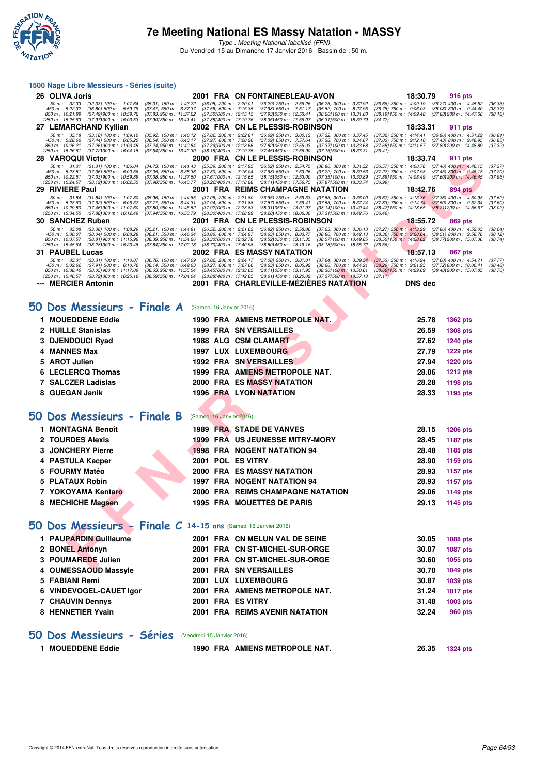

Type : Meeting National labellisé (FFN) Du Vendredi 15 au Dimanche 17 Janvier 2016 - Bassin de : 50 m.

#### **1500 Nage Libre Messieurs - Séries (suite)**

|    | 26 OLIVA Joris                                                                                                                                                                                  |                                                                                                                                                                                                                                | 2001 FRA CN FONTAINEBLEAU-AVON                                                                                                                                                                                                    | 18:30.79<br><b>916 pts</b>                                                                                                                                                                                                   |
|----|-------------------------------------------------------------------------------------------------------------------------------------------------------------------------------------------------|--------------------------------------------------------------------------------------------------------------------------------------------------------------------------------------------------------------------------------|-----------------------------------------------------------------------------------------------------------------------------------------------------------------------------------------------------------------------------------|------------------------------------------------------------------------------------------------------------------------------------------------------------------------------------------------------------------------------|
|    | 50 m : 32.33<br>$(32.33)$ 100 m : 1:07.64<br>450 m : 5:22.32<br>$(36.80)$ 500 m : 5:59.79<br>850 m: 10:21.89<br>(37.49) 900 m : 10:59.72<br>1250 m: 15:25.63<br>(37.97) 300 m : 16:03.53        | (35.31) 150 m : 1:43.72<br>$(36.08)$ 200 m : 2:20.01<br>(37.47) 550 m : 6:37.37<br>$(37.58)$ 600 m : 7:15.35<br>(37.83) 950 m : 11:37.22<br>(37.501000 m: 12:15.15<br>(37.90) 350 m : 16:41.41<br>(37.88) 400 m : 17:19.76     | $(36.29)$ 250 m : 2:56.26<br>$(36.25)$ 300 m : 3:32.92<br>$(37.98)$ 650 m : 7:51.17<br>$(35.82)$ 700 m : 8:27.95<br>(37.931050 m: 12:53.41<br>(38.26) 100 m : 13:31.60<br>(38.35) 450 m : 17:56.07<br>(36.311500 m: 18:30.79      | (36.66) 350 m : 4:09.19<br>$(36.27)$ 400 m : 4:45.52<br>(36.33)<br>$(36.78)$ 750 m : 9:06.03<br>$(38.08)$ 800 m : 9:44.40<br>(38.37)<br>(38.19) 150 m : 14:09.48<br>(37.88) 200 m : 14:47.66<br>(38.18)<br>(34.72)           |
|    | 27 LEMARCHAND Kyllian                                                                                                                                                                           |                                                                                                                                                                                                                                | 2002 FRA CN LE PLESSIS-ROBINSON                                                                                                                                                                                                   | 18:33.31<br>911 pts                                                                                                                                                                                                          |
|    | 50 m: 33.18<br>$(33.18)$ 100 m : 1:09.10<br>$(37.44)$ 500 m : 6:05.20<br>450 m: 5:28.66<br>850 m : 10:26.21<br>(37.26) 900 m : 11:03.45<br>1250 m: 15:26.61<br>(37.72) 300 m : 16:04.15         | $(37.02)$ 200 m : 2:22.81<br>$(35.92)$ 150 m : 1:46.12<br>(37.97) 600 m : 7:20.26<br>(36.54) 550 m: 6:43.17<br>(37.39) 000 m: 12:18.66<br>(37.24) 950 m : 11:40.84<br>(37.541350 m : 16:42.30<br>(38.15) 400 m : 17:19.75      | $(36.69)$ 250 m : 3:00.13<br>$(37.32)$ 300 m : 3:37.45<br>$(37.09)$ 650 m : 7:57.64<br>(37.38) 700 m : 8:34.67<br>(37.82) 050 m : 12:56.03<br>(37.37) 100 m : 13:33.68<br>(37.45) 450 m : 17:56.90<br>(37.15) 500 m : 18:33.31    | (37.32) 350 m: 4:14.41 (36.96) 400 m: 4:51.22<br>(36.81)<br>$(37.03)$ 750 m : $9:12.10$<br>(37.43) 800 m : 9.48.95<br>(36.85)<br>(37.89) 200 m : 14:48.89<br>(37.65) 150 m : 14:11.57<br>(37.32)<br>(36.41)                  |
|    | <b>28 VAROQUI Victor</b>                                                                                                                                                                        |                                                                                                                                                                                                                                | 2000 FRA CN LE PLESSIS-ROBINSON                                                                                                                                                                                                   | 18:33.74<br>911 pts                                                                                                                                                                                                          |
|    | 50 m: 31.31<br>$(31.31)$ 100 m : 1:06.04<br>$(37.36)$ 500 m : 6:00.56<br>450 m : 5:23.51<br>850 m: 10:22.51<br>(37.33) 900 m : 10:59.89<br>1250 m: 15:24.57<br>(38.12) 300 m : 16:02.55         | (34.73) 150 m : 1:41.43<br>$(35.39)$ 200 m : 2:17.95<br>$(37.05)$ 550 m : 6:38.36<br>$(37.80)$ 600 m : 7:16.04<br>(37.38) 950 m : 11:37.50<br>(37.611000 m: 12:15.65<br>(37.98) 350 m : 16:40.77<br>(38.22) 400 m : 17:18.88   | $(36.52)$ 250 m : 2:54.75<br>(36.80) 300 m : 3:31.32<br>$(37.68)$ 650 m : 7:53.26<br>$(37.22)$ 700 m : 8:30.53<br>(38.15) 050 m : 12:53.00<br>(37.35) 100 m : 13:30.89<br>(38.11) 450 m : 17:56.75<br>(37.87) 500 m : 18:33.74    | $(36.57)$ 350 m : 4:08.78<br>$(37.46)$ 400 m : 4:46.15<br>(37.37)<br>$(37.27)$ 750 m : 9:07.98<br>$(37.45)$ 800 m : 9:45.18<br>(37.20)<br>(37.60) 200 m : 14:46.45<br>(37.89) 150 m : 14:08.49<br>(37.96)<br>(36.99)         |
|    | 29 RIVIERE Paul                                                                                                                                                                                 |                                                                                                                                                                                                                                | 2001 FRA REIMS CHAMPAGNE NATATION                                                                                                                                                                                                 | 18:42.76<br>894 pts                                                                                                                                                                                                          |
|    | 50 m: 31.84<br>$(31.84)$ 100 m : 1:07.80<br>450 m: 5:28.60<br>$(37.62)$ 500 m : 6:06.37<br>850 m: 10:29.80<br>$(37.46)900 \text{ m}$ : 11:07.60<br>1250 m: 15:34.55<br>(37.88) 300 m : 16:12.49 | (35.96) 150 m : 1:44.85<br>(37.05) 200 m : 2:21.80<br>(37.94) 600 m : 7:21.88<br>(37.77) 550 m : 6.44.31<br>(37.80) 950 m : 11:45.52<br>(37.92) 000 m : 12:23.83<br>(37.941350 m : 16:50.79<br>(38.30) 400 m : 17:28.99        | (36.95) 250 m : 2:59.33<br>$(37.53)$ 300 m : 3:36.00<br>$(37.57)$ 650 m : 7:59.41<br>(37.53) 700 m : 8:37.24<br>(38.311050 m: 13.01.97<br>(38.14) 100 m : 13:40.44<br>(38.20) 450 m : 18:06.30<br>(37.311500 m: 18:42.76)         | $(37.36)$ 400 m : 4:50.98<br>$(36.67)$ 350 m : 4:13.36<br>(37.62)<br>$(37.83)$ 750 m : 9:14.74<br>$(37.50)$ 800 m : 9:52.34<br>(37.60)<br>$(38.47)150 \text{ m}$ : 14:18.65<br>(38.211200 m : 14:56.67<br>(38.02)<br>(36.46) |
|    | <b>30 SANCHEZ Ruben</b>                                                                                                                                                                         |                                                                                                                                                                                                                                | 2001 FRA CN LE PLESSIS-ROBINSON                                                                                                                                                                                                   | 18:55.72<br>869 pts                                                                                                                                                                                                          |
|    | 50 m: 33.08<br>$(33.08)$ 100 m : 1:08.29<br>450 m : 5:30.07<br>$(38.04)$ 500 m : 6:08.28<br>850 m: 10:37.57<br>(38.81) 900 m: 11:15.96<br>1250 m : 15:45.64<br>(38.28) 300 m : 16:23.48         | $(35.21)$ 150 m : 1:44.81<br>$(36.52)$ 200 m : 2:21.63<br>$(38.21)$ 550 m : 6:46.34<br>(38.06) 600 m : 7:24.97<br>(38.30) 000 m : 12:32.78<br>(38.39) 950 m : 11:54.26<br>(37.84) 350 m : 17:02.18<br>(38.70) 400 m : 17:40.98 | $(36.82)$ 250 m : 2:58.86<br>$(37.23)$ 300 m : 3:36.13<br>$(38.63)$ 650 m : 8:03.77<br>$(38.80)$ 700 m : 8:42.13<br>(38.52) 050 m: 13:11.35<br>(38.57) 100 m : 13:49.85<br>(38.80) 450 m : 18:19.16<br>(38.18) 500 m : 18:55.72   | $(37.27)$ 350 m : 4:13.99<br>$(37.86)$ 400 m : 4:52.03<br>(38.04)<br>(38.36) 750 m : 9:20.64<br>$(38.51) 800 m$ : 9:58.76<br>(38.12)<br>(38.50) 150 m : 14:28.62<br>(38.77 <b>)</b> 200 m : 15:07.36<br>(38.74)<br>(36.56)   |
|    | 31 PAUBEL Lucas                                                                                                                                                                                 |                                                                                                                                                                                                                                | 2002 FRA ES MASSY NATATION                                                                                                                                                                                                        | 18:57.13<br>867 pts                                                                                                                                                                                                          |
|    | 50 m : 33.31<br>$(33.31)$ 100 m : 1:10.07<br>450 m : 5:32.62<br>$(37.91)$ 500 m : 6:10.76<br>850 m: 10:38.46<br>$(38.05)$ 900 m : 11:17.09<br>1250 m : 15:46.57<br>(38.72) 300 m : 16:25.16     | (36.76) 150 m : 1:47.09<br>(37.02) 200 m : 2:24.17<br>$(38.27)$ 600 m : 7:27.66<br>(38.14) 550 m : 6:49.03<br>(38.63) 950 m : 11:55.54<br>(38.45) 000 m : 12:33.65<br>(38.59) 350 m : 17:04.04<br>(38.88) 400 m : 17:42.65     | $(37.08)$ 250 m : $3:01.81$<br>$(37.64)$ 300 m : 3:39.34<br>$(38.63)$ 650 m : 8:05.92<br>$(38.26)$ 700 m : 8:44.21<br>(38.11) 050 m: 13:11.95<br>(38.30) 100 m : 13:50.61<br>(38.61) 450 m : 18:20.02<br>(37.37) 500 m : 18:57.13 | $(37.53)$ 350 m : 4:16.94 $(37.60)$ 400 m : 4:54.71<br>(37.77)<br>$(38.29)$ 750 m : 9:21.93<br>(37.72) 800 m : 10:00.41<br>(38.48)<br>(38.66) 150 m : 14:29.09<br>(38.48) 200 m : 15:07.85<br>(38.76)<br>(37.11)             |
|    | <b>MERCIER Antonin</b>                                                                                                                                                                          |                                                                                                                                                                                                                                | <b>2001 FRA CHARLEVILLE-MEZIERES NATATION</b>                                                                                                                                                                                     | <b>DNS</b> dec                                                                                                                                                                                                               |
|    | 50 Dos Messieurs - Finale A<br>1 MOUEDDENE Eddie                                                                                                                                                | (Samedi 16 Janvier 2016)                                                                                                                                                                                                       |                                                                                                                                                                                                                                   | 25.78                                                                                                                                                                                                                        |
|    |                                                                                                                                                                                                 |                                                                                                                                                                                                                                | 1990 FRA AMIENS METROPOLE NAT.                                                                                                                                                                                                    | 1362 pts                                                                                                                                                                                                                     |
|    | 2 HUILLE Stanislas                                                                                                                                                                              |                                                                                                                                                                                                                                | 1999 FRA SN VERSAILLES                                                                                                                                                                                                            | 26.59<br>1308 pts                                                                                                                                                                                                            |
| з  | <b>DJENDOUCI Ryad</b>                                                                                                                                                                           |                                                                                                                                                                                                                                | 1988 ALG CSM CLAMART                                                                                                                                                                                                              | 27.62<br>1240 pts                                                                                                                                                                                                            |
|    | 4 MANNES Max                                                                                                                                                                                    |                                                                                                                                                                                                                                | 1997 LUX LUXEMBOURG                                                                                                                                                                                                               | 27.79<br>1229 pts                                                                                                                                                                                                            |
| 5. | <b>AROT Julien</b>                                                                                                                                                                              |                                                                                                                                                                                                                                | <b>1992 FRA SN VERSAILLES</b>                                                                                                                                                                                                     | 27.94<br><b>1220 pts</b>                                                                                                                                                                                                     |
| 6  | <b>LECLERCQ Thomas</b>                                                                                                                                                                          |                                                                                                                                                                                                                                | 1999 FRA AMIENS METROPOLE NAT.                                                                                                                                                                                                    | 28.06<br>1212 pts                                                                                                                                                                                                            |
|    | 7 SALCZER Ladislas                                                                                                                                                                              |                                                                                                                                                                                                                                | <b>2000 FRA ES MASSY NATATION</b>                                                                                                                                                                                                 | 28.28<br>1198 pts                                                                                                                                                                                                            |
| 8  | <b>GUEGAN Janik</b>                                                                                                                                                                             |                                                                                                                                                                                                                                | 1996 FRA LYON NATATION                                                                                                                                                                                                            | 28.33<br>1195 pts                                                                                                                                                                                                            |
|    |                                                                                                                                                                                                 |                                                                                                                                                                                                                                |                                                                                                                                                                                                                                   |                                                                                                                                                                                                                              |
| CC | Dos Messieurs - Finale B                                                                                                                                                                        | (Samedi 16 Janvier 2016)                                                                                                                                                                                                       |                                                                                                                                                                                                                                   |                                                                                                                                                                                                                              |
|    | 1 MONTAGNA Benoît                                                                                                                                                                               |                                                                                                                                                                                                                                | 1989 FRA STADE DE VANVES                                                                                                                                                                                                          | 28.15<br>1206 pts                                                                                                                                                                                                            |
|    | 2 TOURDES Alexis                                                                                                                                                                                |                                                                                                                                                                                                                                | 1999 FRA US JEUNESSE MITRY-MORY                                                                                                                                                                                                   | 28.45<br>1187 pts                                                                                                                                                                                                            |
| з  | <b>JONCHERY Pierre</b>                                                                                                                                                                          |                                                                                                                                                                                                                                | <b>1998 FRA NOGENT NATATION 94</b>                                                                                                                                                                                                | 28.48<br>1185 pts                                                                                                                                                                                                            |
| 4  | <b>PASTULA Kacper</b>                                                                                                                                                                           | 2001 POL ES VITRY                                                                                                                                                                                                              |                                                                                                                                                                                                                                   | 28.90<br>1159 pts                                                                                                                                                                                                            |
|    | 5 FOURMY Matéo                                                                                                                                                                                  |                                                                                                                                                                                                                                | <b>2000 FRA ES MASSY NATATION</b>                                                                                                                                                                                                 | 28.93<br><b>1157 pts</b>                                                                                                                                                                                                     |
| 5. | <b>PLATAUX Robin</b>                                                                                                                                                                            |                                                                                                                                                                                                                                | 1997 FRA NOGENT NATATION 94                                                                                                                                                                                                       | 28.93<br>1157 pts                                                                                                                                                                                                            |
|    | 7 YOKOYAMA Kentaro                                                                                                                                                                              |                                                                                                                                                                                                                                | 2000 FRA REIMS CHAMPAGNE NATATION                                                                                                                                                                                                 | 29.06<br>1149 pts                                                                                                                                                                                                            |
|    | 8 MECHICHE Magsen                                                                                                                                                                               |                                                                                                                                                                                                                                | 1995 FRA MOUETTES DE PARIS                                                                                                                                                                                                        | 29.13<br>1145 pts                                                                                                                                                                                                            |
|    | $50$ Dos Messieurs - Finale C 14-15 ans (Samedi 16 Janvier 2016)                                                                                                                                |                                                                                                                                                                                                                                |                                                                                                                                                                                                                                   |                                                                                                                                                                                                                              |
|    | 1 PAUPARDIN Guillaume                                                                                                                                                                           |                                                                                                                                                                                                                                | 2001 FRA CN MELUN VAL DE SEINE                                                                                                                                                                                                    | 30.05<br>1088 pts                                                                                                                                                                                                            |
|    | 2 BONEL Antonyn                                                                                                                                                                                 |                                                                                                                                                                                                                                | 2001 FRA CN ST-MICHEL-SUR-ORGE                                                                                                                                                                                                    | 30.07<br>1087 pts                                                                                                                                                                                                            |
|    | 3 POUMAREDE Julien                                                                                                                                                                              |                                                                                                                                                                                                                                | 2001 FRA CN ST-MICHEL-SUR-ORGE                                                                                                                                                                                                    | 30.60<br>1055 pts                                                                                                                                                                                                            |
|    | <b>OUMEROAQUB Message</b>                                                                                                                                                                       |                                                                                                                                                                                                                                | 0004 FBA CHILIFDOAULEC                                                                                                                                                                                                            | 00.70<br>$1010 - 1$                                                                                                                                                                                                          |

#### **[50 Dos Messieurs - Finale A](http://www.ffnatation.fr/webffn/resultats.php?idact=nat&go=epr&idcpt=35299&idepr=61)** (Samedi 16 Janvier 2016)

| <b>MOUEDDENE Eddie</b> | 1990 FRA AMIENS METROPOLE NAT.    | 25.78<br><b>1362 pts</b> |
|------------------------|-----------------------------------|--------------------------|
| 2 HUILLE Stanislas     | <b>1999 FRA SN VERSAILLES</b>     | <b>1308 pts</b><br>26.59 |
| 3 DJENDOUCI Ryad       | 1988 ALG CSM CLAMART              | <b>1240 pts</b><br>27.62 |
| 4 MANNES Max           | <b>1997 LUX LUXEMBOURG</b>        | 27.79<br><b>1229 pts</b> |
| 5 AROT Julien          | <b>1992 FRA SN VERSAILLES</b>     | <b>1220 pts</b><br>27.94 |
| 6 LECLERCQ Thomas      | 1999 FRA AMÍENS METROPOLE NAT.    | <b>1212 pts</b><br>28.06 |
| 7 SALCZER Ladislas     | <b>2000 FRA ES MASSY NATATION</b> | 1198 pts<br>28.28        |
| 8 GUEGAN Janik         | <b>1996 FRA LYON NATATION</b>     | 28.33<br>1195 pts        |
|                        |                                   |                          |

### **[50 Dos Messieurs - Finale B](http://www.ffnatation.fr/webffn/resultats.php?idact=nat&go=epr&idcpt=35299&idepr=61)** (Samedi 16 Janvier 2016)

| <b>MONTAGNA Benoît</b> |  | 1989 FRA STADE DE VANVES           | 28.15 | <b>1206 pts</b> |
|------------------------|--|------------------------------------|-------|-----------------|
| 2 TOURDES Alexis       |  | 1999 FRA US JEUNESSE MITRY-MORY    | 28.45 | 1187 pts        |
| 3 JONCHERY Pierre      |  | <b>1998 FRA NOGENT NATATION 94</b> | 28.48 | 1185 pts        |
| 4 PASTULA Kacper       |  | 2001 POL ES VITRY                  | 28.90 | 1159 pts        |
| 5 FOURMY Matéo         |  | 2000 FRA ES MASSY NATATION         | 28.93 | 1157 pts        |
| 5 PLATAUX Robin        |  | 1997 FRA NOGENT NATATION 94        | 28.93 | 1157 pts        |
| 7 YOKOYAMA Kentaro     |  | 2000 FRA REIMS CHAMPAGNE NATATION  | 29.06 | 1149 pts        |
| 8 MECHICHE Magsen      |  | <b>1995 FRA MOUETTES DE PARIS</b>  | 29.13 | 1145 pts        |

### **[50 Dos Messieurs - Finale C](http://www.ffnatation.fr/webffn/resultats.php?idact=nat&go=epr&idcpt=35299&idepr=61) 14-15 ans** (Samedi 16 Janvier 2016)

| 1 PAUPARDIN Guillaume   |      | 2001 FRA CN MELUN VAL DE SEINE | 30.05 | 1088 pts        |
|-------------------------|------|--------------------------------|-------|-----------------|
| 2 BONEL Antonyn         |      | 2001 FRA CN ST-MICHEL-SUR-ORGE | 30.07 | <b>1087 pts</b> |
| 3 POUMAREDE Julien      |      | 2001 FRA CN ST-MICHEL-SUR-ORGE | 30.60 | 1055 pts        |
| 4 OUMESSAOUD Massyle    |      | <b>2001 FRA SN VERSAILLES</b>  | 30.70 | 1049 pts        |
| 5 FABIANI Remi          |      | 2001 LUX LUXEMBOURG            | 30.87 | 1039 pts        |
| 6 VINDEVOGEL-CAUET Igor |      | 2001 FRA AMIENS METROPOLE NAT. | 31.24 | 1017 pts        |
| <b>7 CHAUVIN Dennys</b> | 2001 | <b>FRA ES VITRY</b>            | 31.48 | 1003 pts        |
| 8 HENNETIER Yvain       |      | 2001 FRA REIMS AVENIR NATATION | 32.24 | 960 pts         |
|                         |      |                                |       |                 |

### **[50 Dos Messieurs - Séries](http://www.ffnatation.fr/webffn/resultats.php?idact=nat&go=epr&idcpt=35299&idepr=61)** (Vendredi 15 Janvier 2016)

| <b>MOUEDDENE Eddie</b> | 1990 FRA AMIENS METROPOLE NAT. | 26.35 | 1324 pts |
|------------------------|--------------------------------|-------|----------|
|                        |                                |       |          |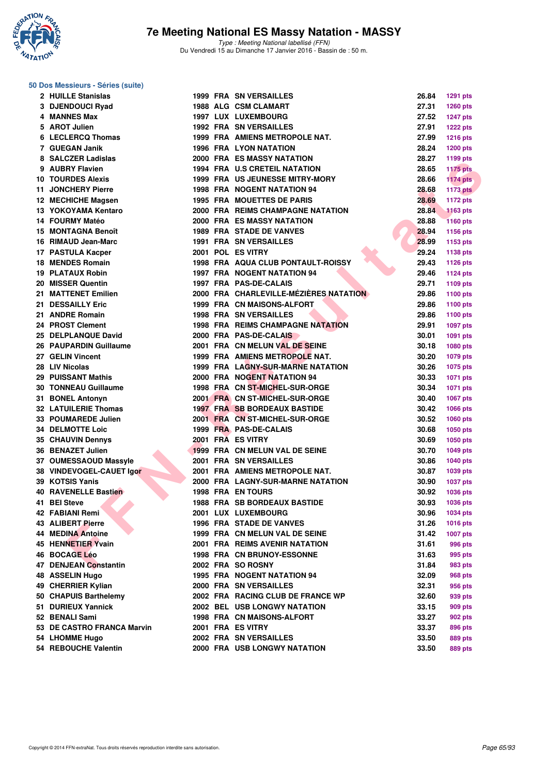

#### **50 Dos Messieurs - Séries (suite)**

| 2 HUILLE Stanislas          |  | <b>1999 FRA SN VERSAILLES</b>            | 26.84 | <b>1291 pts</b> |
|-----------------------------|--|------------------------------------------|-------|-----------------|
| 3 DJENDOUCI Ryad            |  | <b>1988 ALG CSM CLAMART</b>              | 27.31 | <b>1260 pts</b> |
| 4 MANNES Max                |  | 1997 LUX LUXEMBOURG                      | 27.52 | <b>1247 pts</b> |
| 5 AROT Julien               |  | <b>1992 FRA SN VERSAILLES</b>            | 27.91 | <b>1222 pts</b> |
| 6 LECLERCQ Thomas           |  | 1999 FRA AMIENS METROPOLE NAT.           | 27.99 | <b>1216 pts</b> |
| 7 GUEGAN Janik              |  | <b>1996 FRA LYON NATATION</b>            | 28.24 | <b>1200 pts</b> |
| 8 SALCZER Ladislas          |  | <b>2000 FRA ES MASSY NATATION</b>        | 28.27 | 1199 pts        |
| 9 AUBRY Flavien             |  | 1994 FRA U.S CRETEIL NATATION            | 28.65 | <b>1175 pts</b> |
| <b>10 TOURDES Alexis</b>    |  | <b>1999 FRA US JEUNESSE MITRY-MORY</b>   | 28.66 | $1174$ pts      |
| 11 JONCHERY Pierre          |  | <b>1998 FRA NOGENT NATATION 94</b>       | 28.68 | <b>1173 pts</b> |
| 12 MECHICHE Magsen          |  | <b>1995 FRA MOUETTES DE PARIS</b>        | 28.69 | <b>1172 pts</b> |
| 13 YOKOYAMA Kentaro         |  | 2000 FRA REIMS CHAMPAGNE NATATION        | 28.84 | <b>1163 pts</b> |
| 14 FOURMY Matéo             |  | <b>2000 FRA ES MASSY NATATION</b>        | 28.88 | <b>1160 pts</b> |
| 15 MONTAGNA Benoît          |  | <b>1989 FRA STADE DE VANVES</b>          | 28.94 | 1156 pts        |
| 16 RIMAUD Jean-Marc         |  | <b>1991 FRA SN VERSAILLES</b>            | 28.99 | 1153 pts        |
| 17 PASTULA Kacper           |  | 2001 POL ES VITRY                        | 29.24 | 1138 pts        |
| 18 MENDES Romain            |  | 1998 FRA AQUA CLUB PONTAULT-ROISSY       | 29.43 | <b>1126 pts</b> |
| 19 PLATAUX Robin            |  | 1997 FRA NOGENT NATATION 94              | 29.46 | <b>1124 pts</b> |
| 20 MISSER Quentin           |  | 1997 FRA PAS-DE-CALAIS                   | 29.71 | 1109 pts        |
| 21 MATTENET Emilien         |  | 2000 FRA CHARLEVILLE-MÉZIÈRES NATATION   | 29.86 | 1100 pts        |
| 21 DESSAILLY Eric           |  | 1999 FRA CN MAISONS-ALFORT               | 29.86 |                 |
| 21 ANDRE Romain             |  | <b>1998 FRA SN VERSAILLES</b>            | 29.86 | 1100 pts        |
| 24 PROST Clement            |  |                                          |       | 1100 pts        |
|                             |  | <b>1998 FRA REIMS CHAMPAGNE NATATION</b> | 29.91 | <b>1097 pts</b> |
| 25 DELPLANQUE David         |  | 2000 FRA PAS-DE-CALAIS                   | 30.01 | 1091 pts        |
| 26 PAUPARDIN Guillaume      |  | 2001 FRA CN MELUN VAL DE SEINE           | 30.18 | 1080 pts        |
| 27 GELIN Vincent            |  | 1999 FRA AMIENS METROPOLE NAT.           | 30.20 | 1079 pts        |
| 28 LIV Nicolas              |  | 1999 FRA LAGNY-SUR-MARNE NATATION        | 30.26 | 1075 pts        |
| 29 PUISSANT Mathis          |  | 2000 FRA NOGENT NATATION 94              | 30.33 | <b>1071 pts</b> |
| <b>30 TONNEAU Guillaume</b> |  | 1998 FRA CN ST-MICHEL-SUR-ORGE           | 30.34 | <b>1071 pts</b> |
| 31 BONEL Antonyn            |  | 2001 FRA CN ST-MICHEL-SUR-ORGE           | 30.40 | 1067 pts        |
| <b>32 LATUILERIE Thomas</b> |  | <b>1997 FRA SB BORDEAUX BASTIDE</b>      | 30.42 | 1066 pts        |
| 33 POUMAREDE Julien         |  | 2001 FRA CN ST-MICHEL-SUR-ORGE           | 30.52 | 1060 pts        |
| <b>34 DELMOTTE Loic</b>     |  | 1999 FRA PAS-DE-CALAIS                   | 30.68 | 1050 pts        |
| 35 CHAUVIN Dennys           |  | 2001 FRA ES VITRY                        | 30.69 | 1050 pts        |
| 36 BENAZET Julien           |  | 1999 FRA CN MELUN VAL DE SEINE           | 30.70 | 1049 pts        |
| 37 OUMESSAOUD Massyle       |  | 2001 FRA SN VERSAILLES                   | 30.86 | <b>1040 pts</b> |
| 38 VINDEVOGEL-CAUET Igor    |  | 2001 FRA AMIENS METROPOLE NAT.           | 30.87 | 1039 pts        |
| 39 KOTSIS Yanis             |  | 2000 FRA LAGNY-SUR-MARNE NATATION        | 30.90 | <b>1037 pts</b> |
| <b>40 RAVENELLE Bastien</b> |  | <b>1998 FRA EN TOURS</b>                 | 30.92 | 1036 pts        |
| 41 BEI Steve                |  | <b>1988 FRA SB BORDEAUX BASTIDE</b>      | 30.93 | <b>1036 pts</b> |
| 42 FABIANI Remi             |  | 2001 LUX LUXEMBOURG                      | 30.96 | 1034 pts        |
| 43 ALIBERT Pierre           |  | <b>1996 FRA STADE DE VANVES</b>          | 31.26 | 1016 pts        |
| <b>44 MEDINA Antoine</b>    |  | 1999 FRA CN MELUN VAL DE SEINE           | 31.42 | 1007 pts        |
| 45 HENNETIER Yvain          |  | 2001 FRA REIMS AVENIR NATATION           | 31.61 | 996 pts         |
| 46 BOCAGE Léo               |  | <b>1998 FRA CN BRUNOY-ESSONNE</b>        | 31.63 | 995 pts         |
| 47 DENJEAN Constantin       |  | 2002 FRA SO ROSNY                        | 31.84 | 983 pts         |
| 48 ASSELIN Hugo             |  | 1995 FRA NOGENT NATATION 94              | 32.09 | 968 pts         |
| 49 CHERRIER Kylian          |  | 2000 FRA SN VERSAILLES                   | 32.31 | 956 pts         |
| 50 CHAPUIS Barthelemy       |  | 2002 FRA RACING CLUB DE FRANCE WP        | 32.60 | 939 pts         |
| 51 DURIEUX Yannick          |  | 2002 BEL USB LONGWY NATATION             | 33.15 | 909 pts         |
| 52 BENALI Sami              |  | 1998 FRA CN MAISONS-ALFORT               | 33.27 | 902 pts         |
| 53 DE CASTRO FRANCA Marvin  |  | 2001 FRA ES VITRY                        | 33.37 | 896 pts         |
| 54 LHOMME Hugo              |  | 2002 FRA SN VERSAILLES                   | 33.50 | 889 pts         |
| 54 REBOUCHE Valentin        |  | 2000 FRA USB LONGWY NATATION             | 33.50 | 889 pts         |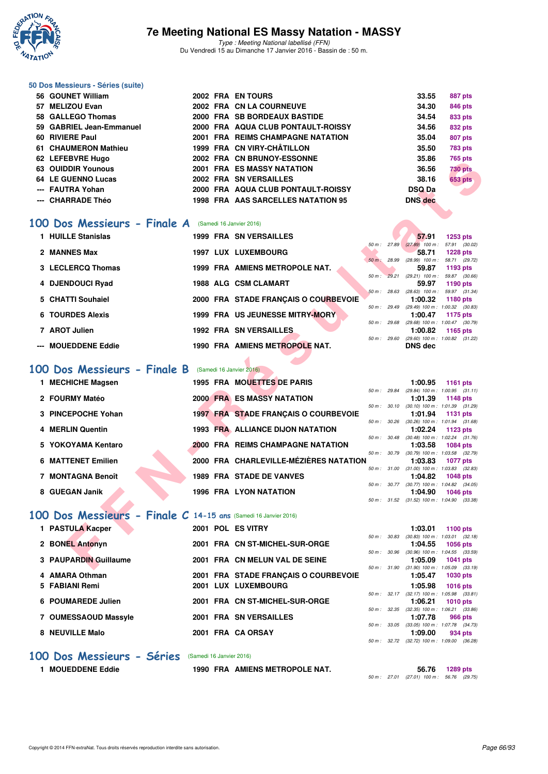

Type : Meeting National labellisé (FFN) Du Vendredi 15 au Dimanche 17 Janvier 2016 - Bassin de : 50 m.

#### **50 Dos Messieurs - Séries (suite)**

| 56 GOUNET William        |  | 2002 FRA EN TOURS                  | 33.55          | 887 pts                                    |
|--------------------------|--|------------------------------------|----------------|--------------------------------------------|
| 57 MELIZOU Evan          |  | 2002 FRA CN LA COURNEUVE           | 34.30          | 846 pts                                    |
| 58 GALLEGO Thomas        |  | 2000 FRA SB BORDEAUX BASTIDE       | 34.54          | 833 pts                                    |
| 59 GABRIEL Jean-Emmanuel |  | 2000 FRA AQUA CLUB PONTAULT-ROISSY | 34.56          | 832 pts                                    |
| 60 RIVIERE Paul          |  | 2001 FRA REIMS CHAMPAGNE NATATION  | 35.04          | 807 pts                                    |
| 61 CHAUMERON Mathieu     |  | 1999 FRA CN VIRY-CHÂTILLON         | 35.50          | <b>783 pts</b>                             |
| 62 LEFEBVRE Hugo         |  | 2002 FRA CN BRUNOY-ESSONNE         | 35.86          | 765 pts                                    |
| 63 OUIDDIR Younous       |  | <b>2001 FRA ES MASSY NATATION</b>  | 36.56          | <b>730 pts</b>                             |
| 64 LE GUENNO Lucas       |  | 2002 FRA SN VERSAILLES             | 38.16          | <b>653 pts</b>                             |
| --- FAUTRA Yohan         |  | 2000 FRA AQUA CLUB PONTAULT-ROISSY | <b>DSQ Da</b>  | <b>Contract Contract Contract Contract</b> |
| --- CHARRADE Théo        |  | 1998 FRA AAS SARCELLES NATATION 95 | <b>DNS</b> dec |                                            |
|                          |  |                                    |                |                                            |

#### **[100 Dos Messieurs - Finale A](http://www.ffnatation.fr/webffn/resultats.php?idact=nat&go=epr&idcpt=35299&idepr=62)** (Samedi 16 Janvier 2016)

| 1 HUILLE Stanislas      |      | <b>1999 FRA SN VERSAILLES</b>        |                        |       | 57.91                                          | $1253$ pts      |  |
|-------------------------|------|--------------------------------------|------------------------|-------|------------------------------------------------|-----------------|--|
|                         |      |                                      | 50 m: 27.89            |       | $(27.89)$ 100 m :                              | 57.91 (30.02)   |  |
| 2 MANNES Max            | 1997 | LUX LUXEMBOURG                       |                        |       | 58.71                                          | <b>1228 pts</b> |  |
|                         |      |                                      | $50 m$ :               | 28.99 | $(28.99)$ 100 m :                              | 58.71 (29.72)   |  |
| 3 LECLERCQ Thomas       |      | 1999 FRA AMIENS METROPOLE NAT.       |                        |       | 59.87                                          | 1193 pts        |  |
|                         |      |                                      | 50 m: 29.21            |       | $(29.21)$ 100 m :                              | 59.87 (30.66)   |  |
| 4 DJENDOUCI Ryad        |      | <b>1988 ALG CSM CLAMART</b>          |                        |       | 59.97                                          | 1190 pts        |  |
|                         |      |                                      | 50 m: 28.63            |       | $(28.63)$ 100 m :                              | 59.97 (31.34)   |  |
| 5 CHATTI Souhaiel       |      | 2000 FRA STADE FRANCAIS O COURBEVOIE |                        |       | 1:00.32                                        | 1180 pts        |  |
| <b>6 TOURDES Alexis</b> |      | 1999 FRA US JEUNESSE MITRY-MORY      | $50 \text{ m}$ : 29.49 |       | $(29.49)$ 100 m : 1:00.32 $(30.83)$            |                 |  |
|                         |      |                                      |                        |       | 1:00.47                                        | 1175 pts        |  |
| 7 AROT Julien           |      | <b>1992 FRA SN VERSAILLES</b>        | 50 m: 29.68            |       | $(29.68)$ 100 m : 1:00.47 $(30.79)$<br>1:00.82 |                 |  |
|                         |      |                                      | 50 m: 29.60            |       | $(29.60)$ 100 m : 1:00.82 $(31.22)$            | 1165 pts        |  |
| --- MOUEDDENE Eddie     |      | 1990 FRA AMIENS METROPOLE NAT.       |                        |       | <b>DNS</b> dec                                 |                 |  |
|                         |      |                                      |                        |       |                                                |                 |  |

#### **[100 Dos Messieurs - Finale B](http://www.ffnatation.fr/webffn/resultats.php?idact=nat&go=epr&idcpt=35299&idepr=62)** (Samedi 16 Janvier 2016)

| VZ LEFEDVNE HUYV                                               |  | ZUVZ FRA CN DRUNCT-EJJUNNE               |              |              | ວວ.ບບ          | ruu pis                                                         |
|----------------------------------------------------------------|--|------------------------------------------|--------------|--------------|----------------|-----------------------------------------------------------------|
| <b>63 OUIDDIR Younous</b>                                      |  | <b>2001 FRA ES MASSY NATATION</b>        |              |              | 36.56          | <b>730 pts</b>                                                  |
| <b>64 LE GUENNO Lucas</b>                                      |  | 2002 FRA SN VERSAILLES                   |              |              | 38.16          | <b>653 pts</b>                                                  |
| --- FAUTRA Yohan                                               |  | 2000 FRA AQUA CLUB PONTAULT-ROISSY       |              |              | <b>DSQ Da</b>  |                                                                 |
| --- CHARRADE Théo                                              |  | 1998 FRA AAS SARCELLES NATATION 95       |              |              | <b>DNS</b> dec |                                                                 |
|                                                                |  |                                          |              |              |                |                                                                 |
| 00 Dos Messieurs - Finale A                                    |  | (Samedi 16 Janvier 2016)                 |              |              |                |                                                                 |
|                                                                |  |                                          |              |              |                |                                                                 |
| 1 HUILLE Stanislas                                             |  | <b>1999 FRA SN VERSAILLES</b>            |              |              | 57.91          | 1253 pts                                                        |
| 2 MANNES Max                                                   |  | 1997 LUX LUXEMBOURG                      |              |              | 58.71          | 50 m: 27.89 (27.89) 100 m: 57.91 (30.02)<br><b>1228 pts</b>     |
|                                                                |  |                                          | 50 m : 28.99 |              |                | $(28.99)$ 100 m : 58.71 $(29.72)$                               |
| 3 LECLERCQ Thomas                                              |  | 1999 FRA AMIENS METROPOLE NAT.           |              |              | 59.87          | 1193 pts                                                        |
|                                                                |  |                                          | $50 m$ :     |              |                | 29.21 (29.21) 100 m : 59.87 (30.66)                             |
| 4 DJENDOUCI Ryad                                               |  | 1988 ALG CSM CLAMART                     |              |              | 59.97          | 1190 pts<br>50 m: 28.63 (28.63) 100 m: 59.97 (31.34)            |
| 5 CHATTI Souhaiel                                              |  | 2000 FRA STADE FRANÇAIS O COURBEVOIE     |              |              | 1:00.32        | 1180 pts                                                        |
|                                                                |  |                                          |              |              |                | 50 m : 29.49 (29.49) 100 m : 1:00.32 (30.83)                    |
| <b>6 TOURDES Alexis</b>                                        |  | 1999 FRA US JEUNESSE MITRY-MORY          |              |              | 1:00.47        | 1175 pts                                                        |
|                                                                |  |                                          |              |              |                | 50 m: 29.68 (29.68) 100 m: 1:00.47 (30.79)                      |
| 7 AROT Julien                                                  |  | <b>1992 FRA SN VERSAILLES</b>            |              |              | 1:00.82        | 1165 pts<br>50 m : 29.60 (29.60) 100 m : 1:00.82 (31.22)        |
| <b>MOUEDDENE Eddie</b>                                         |  | 1990 FRA AMIENS METROPOLE NAT.           |              |              | <b>DNS</b> dec |                                                                 |
|                                                                |  |                                          |              |              |                |                                                                 |
|                                                                |  |                                          |              |              |                |                                                                 |
| 00 Dos Messieurs - Finale B                                    |  | (Samedi 16 Janvier 2016)                 |              |              |                |                                                                 |
| 1 MECHICHE Magsen                                              |  | <b>1995 FRA MOUETTES DE PARIS</b>        |              |              | 1:00.95        | 1161 pts                                                        |
|                                                                |  |                                          |              |              |                | 50 m: 29.84 (29.84) 100 m: 1:00.95 (31.11)                      |
| 2 FOURMY Matéo                                                 |  | <b>2000 FRA ES MASSY NATATION</b>        |              |              | 1:01.39        | 1148 pts<br>50 m: 30.10 (30.10) 100 m: 1:01.39 (31.29)          |
| 3 PINCEPOCHE Yohan                                             |  | 1997 FRA STADE FRANÇAIS O COURBEVOIE     |              |              | 1:01.94        | <b>1131 pts</b>                                                 |
|                                                                |  |                                          |              | 50 m : 30.26 |                | $(30.26)$ 100 m : 1:01.94 $(31.68)$                             |
| 4 MERLIN Quentin                                               |  | <b>1993 FRA ALLIANCE DIJON NATATION</b>  |              |              | 1:02.24        | 1123 pts                                                        |
| 5 YOKOYAMA Kentaro                                             |  | <b>2000 FRA REIMS CHAMPAGNE NATATION</b> |              |              |                | 50 m : 30.48 (30.48) 100 m : 1:02.24 (31.76)                    |
|                                                                |  |                                          |              |              | 1:03.58        | <b>1084 pts</b><br>50 m : 30.79 (30.79) 100 m : 1:03.58 (32.79) |
| <b>6 MATTENET Emilien</b>                                      |  | 2000 FRA CHARLEVILLE-MÉZIÈRES NATATION   |              |              | 1:03.83        | <b>1077 pts</b>                                                 |
|                                                                |  |                                          |              |              |                | 50 m: 31.00 (31.00) 100 m: 1:03.83 (32.83)                      |
| 7 MONTAGNA Benoît                                              |  | <b>1989 FRA STADE DE VANVES</b>          |              |              | 1:04.82        | 1048 pts                                                        |
| 8 GUEGAN Janik                                                 |  | 1996 FRA LYON NATATION                   |              |              | 1:04.90        | 50 m: 30.77 (30.77) 100 m: 1:04.82 (34.05)<br><b>1046 pts</b>   |
|                                                                |  |                                          |              |              |                | 50 m: 31.52 (31.52) 100 m: 1:04.90 (33.38)                      |
|                                                                |  |                                          |              |              |                |                                                                 |
| 00 Dos Messieurs - Finale C 14-15 ans (Samedi 16 Janvier 2016) |  |                                          |              |              |                |                                                                 |
| 1 PASTULA Kacper                                               |  | 2001 POL ES VITRY                        |              |              | 1:03.01        | 1100 pts                                                        |
|                                                                |  |                                          |              |              |                | 50 m: 30.83 (30.83) 100 m: 1:03.01 (32.18)                      |
| 2 BONEL Antonyn                                                |  | 2001 FRA CN ST-MICHEL-SUR-ORGE           |              |              | 1:04.55        | <b>1056 pts</b>                                                 |
|                                                                |  |                                          |              |              |                | 50 m : 30.96 (30.96) 100 m : 1:04.55 (33.59)                    |
| 3 PAUPARDIN Guillaume                                          |  | 2001 FRA CN MELUN VAL DE SEINE           |              |              | 1:05.09        | 1041 pts<br>50 m: 31.90 (31.90) 100 m: 1:05.09 (33.19)          |
|                                                                |  |                                          |              |              |                |                                                                 |

# **[100 Dos Messieurs - Finale C](http://www.ffnatation.fr/webffn/resultats.php?idact=nat&go=epr&idcpt=35299&idepr=62) 14-15 ans** (Samedi 16 Janvier 2016)

| <b>PASTULA Nacper</b> |  | ZUUI PUL ES VIIRT                    |                          | 1.UJ.UT                                      | <b>TIUU DIS</b> |         |
|-----------------------|--|--------------------------------------|--------------------------|----------------------------------------------|-----------------|---------|
|                       |  |                                      | $50 \text{ m}$ : $30.83$ | $(30.83)$ 100 m : 1:03.01 $(32.18)$          |                 |         |
| 2 BONEL Antonyn       |  | 2001 FRA CN ST-MICHEL-SUR-ORGE       |                          | 1:04.55                                      | <b>1056 pts</b> |         |
|                       |  |                                      | $50 \text{ m}$ : $30.96$ | $(30.96)$ 100 m : 1:04.55 $(33.59)$          |                 |         |
| 3 PAUPARDIN Guillaume |  | 2001 FRA CN MELUN VAL DE SEINE       |                          | 1:05.09                                      | <b>1041 pts</b> |         |
|                       |  |                                      | 50 m: 31.90              | $(31.90)$ 100 m : 1:05.09 $(33.19)$          |                 |         |
| 4 AMARA Othman        |  | 2001 FRA STADE FRANCAIS O COURBEVOIE |                          | 1:05.47                                      | 1030 pts        |         |
| 5 FABIANI Remi        |  | 2001 LUX LUXEMBOURG                  |                          | 1:05.98                                      | <b>1016 pts</b> |         |
|                       |  |                                      | $50 m$ : $32.17$         | $(32.17)$ 100 m : 1:05.98 $(33.81)$          |                 |         |
| 6 POUMAREDE Julien    |  | 2001 FRA CN ST-MICHEL-SUR-ORGE       |                          | 1:06.21                                      | $1010$ pts      |         |
|                       |  |                                      | $50 m$ : $32.35$         | $(32.35)$ 100 m : 1:06.21 $(33.86)$          |                 |         |
| 7 OUMESSAOUD Massyle  |  | 2001 FRA SN VERSAILLES               |                          | 1:07.78                                      |                 | 966 pts |
|                       |  |                                      | 50 m: 33.05              | $(33.05)$ 100 m : 1:07.78 $(34.73)$          |                 |         |
| 8 NEUVILLE Malo       |  | 2001 FRA CA ORSAY                    |                          | 1:09.00                                      |                 | 934 pts |
|                       |  |                                      |                          | 50 m : 32.72 (32.72) 100 m : 1:09.00 (36.28) |                 |         |

#### **[100 Dos Messieurs - Séries](http://www.ffnatation.fr/webffn/resultats.php?idact=nat&go=epr&idcpt=35299&idepr=62)** (Samedi 16 Janvier 2016)

**1 MOUEDDENE Eddie 1990 FRA AMIENS METROPOLE NAT. 56.76 1289 pts**

50 m : 27.01 (27.01) 100 m : 56.76 (29.75)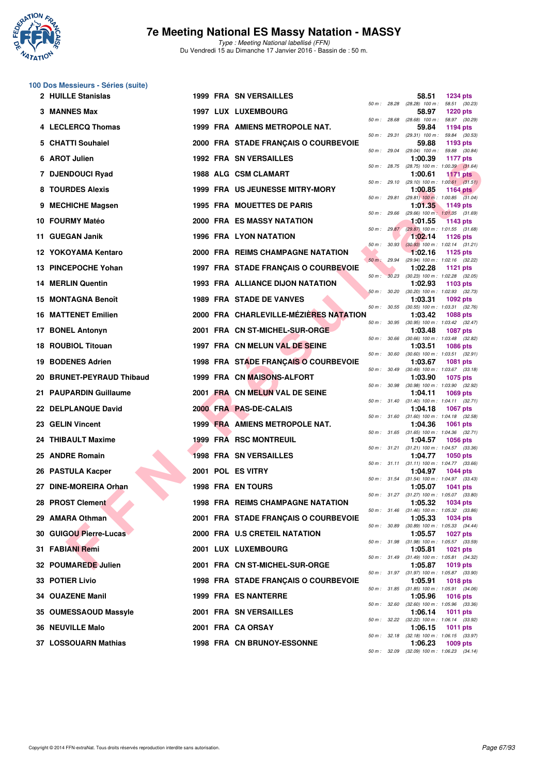

| 100 Dos Messieurs - Séries (suite) |  |
|------------------------------------|--|
| 2 HIII LE Ctaniclae                |  |

|     | 2 HUILLE Stanislas         |  | 1999 FRA SN VERSAILLES                  |                |                  | 58.51                                                   | <b>1234 pts</b> |  |
|-----|----------------------------|--|-----------------------------------------|----------------|------------------|---------------------------------------------------------|-----------------|--|
|     | 3 MANNES Max               |  | 1997 LUX LUXEMBOURG                     | $50 m$ : 28.28 |                  | $(28.28)$ 100 m : 58.51 $(30.23)$<br>58.97              | <b>1220 pts</b> |  |
|     | 4 LECLERCQ Thomas          |  | 1999 FRA AMIENS METROPOLE NAT.          | 50 m: 28.68    |                  | $(28.68)$ 100 m : 58.97 $(30.29)$<br>59.84              | 1194 pts        |  |
|     | <b>CHATTI Souhaiel</b>     |  | 2000 FRA STADE FRANÇAIS O COURBEVOIE    | 50 m: 29.31    |                  | $(29.31)$ 100 m : 59.84 $(30.53)$<br>59.88              | 1193 pts        |  |
| 6   | <b>AROT Julien</b>         |  | <b>1992 FRA SN VERSAILLES</b>           |                | 50 m : 29.04     | $(29.04)$ 100 m : 59.88 $(30.84)$<br>1:00.39            | <b>1177 pts</b> |  |
|     | 7 DJENDOUCI Ryad           |  | 1988 ALG CSM CLAMART                    | 50 m: 28.75    |                  | $(28.75)$ 100 m : 1:00.39 $(31.64)$<br>1:00.61          | <b>1171 pts</b> |  |
|     | 8 TOURDES Alexis           |  | 1999 FRA US JEUNESSE MITRY-MORY         |                |                  | 50 m: 29.10 (29.10) 100 m: 1:00.61 (31.51)<br>1:00.85   | 1164 $pts$      |  |
| 9   | <b>MECHICHE Magsen</b>     |  | <b>1995 FRA MOUETTES DE PARIS</b>       | 50 m : 29.81   |                  | $(29.81)$ 100 m : 1:00.85 $(31.04)$<br>1:01.35          | 1149 pts        |  |
|     | 10 FOURMY Matéo            |  | <b>2000 FRA ES MASSY NATATION</b>       | 50 m: 29.66    |                  | (29.66) 100 m: 1:01.35 (31.69)<br>1:01.55               | 1143 pts        |  |
|     | 11 GUEGAN Janik            |  | 1996 FRA LYON NATATION                  |                | 50 m: 29.87      | (29.87) 100 m: 1:01.55 (31.68)<br>1:02.14               | 1126 pts        |  |
|     | 12 YOKOYAMA Kentaro        |  | 2000 FRA REIMS CHAMPAGNE NATATION       |                | $50 m$ : $30.93$ | $(30.93)$ 100 m : 1:02.14 $(31.21)$<br>1:02.16          | 1125 pts        |  |
|     | 13 PINCEPOCHE Yohan        |  | 1997 FRA STADE FRANÇAIS O COURBEVOIE    | 50 m : 29.94   |                  | (29.94) 100 m: 1:02.16 (32.22)<br>1:02.28               | <b>1121 pts</b> |  |
|     | <b>14 MERLIN Quentin</b>   |  | <b>1993 FRA ALLIANCE DIJON NATATION</b> | $50 m$ :       | 30.23            | $(30.23)$ 100 m : 1:02.28 $(32.05)$<br>1:02.93          | 1103 pts        |  |
|     | 15 MONTAGNA Benoît         |  | <b>1989 FRA STADE DE VANVES</b>         | 50 m: 30.20    |                  | $(30.20)$ 100 m : 1:02.93 $(32.73)$<br>1:03.31          | 1092 pts        |  |
|     | <b>16 MATTENET Emilien</b> |  | 2000 FRA CHARLEVILLE-MÉZIÉRES NATATION  | 50 m: 30.55    |                  | $(30.55)$ 100 m : 1:03.31 $(32.76)$<br>1:03.42          | <b>1088 pts</b> |  |
| 17. | <b>BONEL Antonyn</b>       |  | 2001 FRA CN ST-MICHEL-SUR-ORGE          | 50 m: 30.95    |                  | (30.95) 100 m: 1:03.42 (32.47)<br>1:03.48               | <b>1087 pts</b> |  |
|     | <b>18 ROUBIOL Titouan</b>  |  | 1997 FRA CN MELUN VAL DE SEINE          |                | 50 m : 30.66     | $(30.66)$ 100 m : 1:03.48 $(32.82)$<br>1:03.51          | <b>1086 pts</b> |  |
| 19. | <b>BODENES Adrien</b>      |  | 1998 FRA STADE FRANÇAIS O COURBEVOIE    | 50 m: 30.60    |                  | $(30.60)$ 100 m : 1:03.51 $(32.91)$<br>1:03.67          | 1081 pts        |  |
|     | 20 BRUNET-PEYRAUD Thibaud  |  | 1999 FRA CN MAISONS-ALFORT              | 50 m : 30.49   |                  | $(30.49)$ 100 m : 1:03.67 $(33.18)$<br>1:03.90          | 1075 pts        |  |
|     | 21 PAUPARDIN Guillaume     |  | 2001 FRA CN MELUN VAL DE SEINE          | 50 m: 30.98    |                  | (30.98) 100 m: 1:03.90 (32.92)<br>1:04.11               | <b>1069 pts</b> |  |
|     | 22 DELPLANQUE David        |  | 2000 FRA PAS-DE-CALAIS                  |                | 50 m : 31.40     | $(31.40)$ 100 m : 1:04.11 $(32.71)$<br>1:04.18          | <b>1067 pts</b> |  |
|     | 23 GELIN Vincent           |  | 1999 FRA AMIENS METROPOLE NAT.          |                |                  | 50 m: 31.60 (31.60) 100 m: 1:04.18 (32.58)<br>1:04.36   | <b>1061 pts</b> |  |
|     | 24 THIBAULT Maxime         |  | 1999 FRA RSC MONTREUIL                  |                |                  | 50 m: 31.65 (31.65) 100 m: 1:04.36 (32.71)<br>1:04.57   | <b>1056 pts</b> |  |
|     | 25 ANDRE Romain            |  | <b>1998 FRA SN VERSAILLES</b>           |                |                  | 50 m: 31.21 (31.21) 100 m: 1:04.57 (33.36)<br>1:04.77   | <b>1050 pts</b> |  |
|     | 26 PASTULA Kacper          |  | 2001 POL ES VITRY                       |                |                  | 50 m: 31.11 (31.11) 100 m: 1:04.77 (33.66)<br>1:04.97   | <b>1044 pts</b> |  |
|     | 27 DINE-MOREIRA Orhan      |  | <b>1998 FRA EN TOURS</b>                |                |                  | 50 m: 31.54 (31.54) 100 m: 1:04.97 (33.43)<br>1:05.07   | <b>1041 pts</b> |  |
|     | <b>PROST Clement</b>       |  | 1998 FRA REIMS CHAMPAGNE NATATION       |                |                  | 50 m: 31.27 (31.27) 100 m: 1:05.07 (33.80)<br>1:05.32   | <b>1034 pts</b> |  |
|     | 29 AMARA Othman            |  | 2001 FRA STADE FRANÇAIS O COURBEVOIE    |                |                  | 50 m : 31.46 (31.46) 100 m : 1:05.32 (33.86)<br>1:05.33 | 1034 pts        |  |
|     | 30 GUIGOU Pierre-Lucas     |  | 2000 FRA U.S CRETEIL NATATION           |                | 50 m : 30.89     | $(30.89)$ 100 m : 1:05.33 $(34.44)$<br>1:05.57          | 1027 pts        |  |
|     | 31 FABIANI Remi            |  | 2001 LUX LUXEMBOURG                     |                |                  | 50 m: 31.98 (31.98) 100 m: 1:05.57 (33.59)<br>1:05.81   | 1021 pts        |  |
|     | 32 POUMAREDE Julien        |  | 2001 FRA CN ST-MICHEL-SUR-ORGE          |                |                  | 50 m : 31.49 (31.49) 100 m : 1:05.81 (34.32)<br>1:05.87 | 1019 pts        |  |
|     | 33 POTIER Livio            |  | 1998 FRA STADE FRANÇAIS O COURBEVOIE    |                |                  | 50 m: 31.97 (31.97) 100 m: 1:05.87 (33.90)<br>1:05.91   | <b>1018 pts</b> |  |
|     | 34 OUAZENE Manil           |  | <b>1999 FRA ES NANTERRE</b>             |                |                  | 50 m: 31.85 (31.85) 100 m: 1:05.91 (34.06)<br>1:05.96   | <b>1016 pts</b> |  |
|     | 35 OUMESSAOUD Massyle      |  | 2001 FRA SN VERSAILLES                  |                | 50 m : 32.60     | $(32.60)$ 100 m : 1:05.96 $(33.36)$<br>1:06.14          | 1011 pts        |  |
|     | <b>36 NEUVILLE Malo</b>    |  | 2001 FRA CA ORSAY                       |                |                  | 50 m: 32.22 (32.22) 100 m: 1:06.14 (33.92)<br>1:06.15   | 1011 pts        |  |
|     | 37 LOSSOUARN Mathias       |  | 1998 FRA CN BRUNOY-ESSONNE              |                |                  | 50 m : 32.18 (32.18) 100 m : 1:06.15 (33.97)<br>1:06.23 | 1009 pts        |  |
|     |                            |  |                                         |                |                  | 50 m: 32.09 (32.09) 100 m: 1:06.23 (34.14)              |                 |  |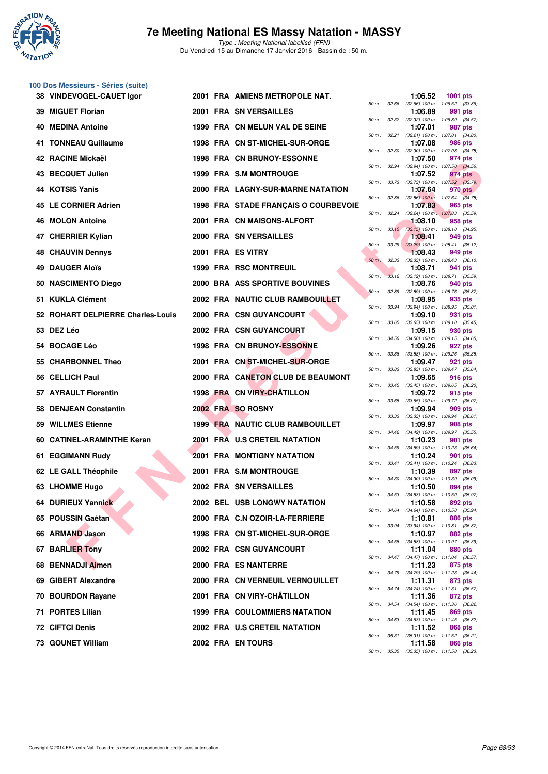

**100 Dos Messieurs - Séries (suite)**

### **7e Meeting National ES Massy Natation - MASSY**

Type : Meeting National labellisé (FFN) Du Vendredi 15 au Dimanche 17 Janvier 2016 - Bassin de : 50 m.

|    | 38 VINDEVOGEL-CAUET Igor          |  | 2001 FRA AMIENS METROPOLE NAT.          |              |              | 1:06.52                                                 | 1001 pts       |  |
|----|-----------------------------------|--|-----------------------------------------|--------------|--------------|---------------------------------------------------------|----------------|--|
|    | 39 MIGUET Florian                 |  | 2001 FRA SN VERSAILLES                  | 50 m: 32.66  |              | $(32.66)$ 100 m : 1:06.52 $(33.86)$<br>1:06.89          | 991 pts        |  |
|    | 40 MEDINA Antoine                 |  | 1999 FRA CN MELUN VAL DE SEINE          |              | 50 m : 32.32 | (32.32) 100 m: 1:06.89 (34.57)<br>1:07.01               | 987 pts        |  |
|    | 41 TONNEAU Guillaume              |  | 1998 FRA CN ST-MICHEL-SUR-ORGE          |              | 50 m : 32.21 | $(32.21)$ 100 m : 1:07.01 $(34.80)$<br>1:07.08          | 986 pts        |  |
|    | 42 RACINE Mickaël                 |  | <b>1998 FRA CN BRUNOY-ESSONNE</b>       | 50 m: 32.30  |              | $(32.30)$ 100 m : 1:07.08 $(34.78)$<br>1:07.50          | 974 pts        |  |
|    | 43 BECQUET Julien                 |  | 1999 FRA S.M MONTROUGE                  |              |              | 50 m : 32.94 (32.94) 100 m : 1:07.50 (34.56)<br>1:07.52 | 974 pts        |  |
|    | 44 KOTSIS Yanis                   |  | 2000 FRA LAGNY-SUR-MARNE NATATION       | 50 m : 33.73 |              | $(33.73)$ 100 m : 1:07.52 $(33.79)$<br>1:07.64          | 970 pts        |  |
|    | 45 LE CORNIER Adrien              |  | 1998 FRA STADE FRANÇAIS O COURBEVOIE    | 50 m: 32.86  |              | $(32.86)$ 100 m : 1:07.64 $(34.78)$<br>1:07.83          | 965 pts        |  |
|    | 46 MOLON Antoine                  |  | 2001 FRA CN MAISONS-ALFORT              | 50 m: 32.24  |              | $(32.24)$ 100 m : 1:07.83 $(35.59)$<br>1:08.10          | 958 pts        |  |
| 47 | <b>CHERRIER Kylian</b>            |  | 2000 FRA SN VERSAILLES                  |              | 50 m: 33.15  | $(33.15)$ 100 m : 1:08.10 $(34.95)$<br>1:08.41          | 949 pts        |  |
|    | 48 CHAUVIN Dennys                 |  | 2001 FRA ES VITRY                       |              | 50 m: 33.29  | $(33.29)$ 100 m : 1:08.41 $(35.12)$<br>1:08.43          | 949 pts        |  |
|    | 49 DAUGER Aloïs                   |  | <b>1999 FRA RSC MONTREUIL</b>           | $50 m$ :     | 32.33        | $(32.33)$ 100 m : 1:08.43 $(36.10)$<br>1:08.71          | 941 pts        |  |
|    |                                   |  |                                         | $50 m$ :     |              | 33.12 (33.12) 100 m : 1:08.71 (35.59)                   |                |  |
|    | 50 NASCIMENTO Diego               |  | 2000 BRA ASS SPORTIVE BOUVINES          | 50 m: 32.89  |              | 1:08.76<br>(32.89) 100 m: 1:08.76 (35.87)               | 940 pts        |  |
|    | 51 KUKLA Clément                  |  | <b>2002 FRA NAUTIC CLUB RAMBOUILLET</b> | 50 m : 33.94 |              | 1:08.95<br>$(33.94)$ 100 m : 1:08.95 $(35.01)$          | 935 pts        |  |
|    | 52 ROHART DELPIERRE Charles-Louis |  | 2000 FRA CSN GUYANCOURT                 | 50 m : 33.65 |              | 1:09.10<br>$(33.65)$ 100 m : 1:09.10 $(35.45)$          | 931 pts        |  |
|    | 53 DEZ Léo                        |  | 2002 FRA CSN GUYANCOURT                 |              | 50 m : 34.50 | 1:09.15<br>$(34.50)$ 100 m : 1:09.15 $(34.65)$          | 930 pts        |  |
|    | 54 BOCAGE Léo                     |  | 1998 FRA CN BRUNOY-ESSONNE              | 50 m : 33.88 |              | 1:09.26<br>$(33.88)$ 100 m : 1:09.26 $(35.38)$          | 927 pts        |  |
|    | 55 CHARBONNEL Theo                |  | 2001 FRA CN ST-MICHEL-SUR-ORGE          | 50 m : 33.83 |              | 1:09.47<br>$(33.83)$ 100 m : 1:09.47 $(35.64)$          | 921 pts        |  |
|    | 56 CELLICH Paul                   |  | 2000 FRA CANETON CLUB DE BEAUMONT       |              |              | 1:09.65<br>50 m: 33.45 (33.45) 100 m: 1:09.65 (36.20)   | 916 pts        |  |
|    | 57 AYRAULT Florentin              |  | 1998 FRA CN VIRY-CHATILLON              | 50 m : 33.65 |              | 1:09.72<br>(33.65) 100 m: 1:09.72 (36.07)               | 915 pts        |  |
|    | 58 DENJEAN Constantin             |  | 2002 FRA SO ROSNY                       |              | 50 m : 33.33 | 1:09.94<br>$(33.33)$ 100 m : 1:09.94 $(36.61)$          | 909 pts        |  |
|    | 59 WILLMES Etienne                |  | 1999 FRA NAUTIC CLUB RAMBOUILLET        |              |              | 1:09.97<br>50 m: 34.42 (34.42) 100 m: 1:09.97 (35.55)   | 908 pts        |  |
|    | 60 CATINEL-ARAMINTHE Keran        |  | 2001 FRA U.S CRETEIL NATATION           |              | 50 m : 34.59 | 1:10.23<br>$(34.59)$ 100 m : 1:10.23 $(35.64)$          | 901 pts        |  |
|    | 61 EGGIMANN Rudy                  |  | <b>2001 FRA MONTIGNY NATATION</b>       |              |              | 1:10.24                                                 | 901 pts        |  |
|    | 62 LE GALL Théophile              |  | 2001 FRA S.M MONTROUGE                  |              |              | 50 m: 33.41 (33.41) 100 m: 1:10.24 (36.83)<br>1:10.39   | 897 pts        |  |
|    | 63 LHOMME Hugo                    |  | 2002 FRA SN VERSAILLES                  | 50 m : 34.30 |              | $(34.30)$ 100 m : 1:10.39 $(36.09)$<br>1:10.50          | 894 pts        |  |
|    | 64 DURIEUX Yannick                |  | 2002 BEL USB LONGWY NATATION            |              |              | 50 m: 34.53 (34.53) 100 m: 1:10.50 (35.97)<br>1:10.58   | 892 pts        |  |
|    | 65 POUSSIN Gaétan                 |  | 2000 FRA C.N OZOIR-LA-FERRIERE          |              |              | 50 m : 34.64 (34.64) 100 m : 1:10.58 (35.94)<br>1:10.81 | <b>886 pts</b> |  |
|    | 66 ARMAND Jason                   |  | 1998 FRA CN ST-MICHEL-SUR-ORGE          |              | 50 m : 33.94 | (33.94) 100 m: 1:10.81 (36.87)<br>1:10.97               | 882 pts        |  |
|    | 67 BARLIER Tony                   |  | <b>2002 FRA CSN GUYANCOURT</b>          |              |              | 50 m: 34.58 (34.58) 100 m: 1:10.97 (36.39)<br>1:11.04   | 880 pts        |  |
|    | 68 BENNADJI Aimen                 |  | 2000 FRA ES NANTERRE                    |              |              | 50 m: 34.47 (34.47) 100 m: 1:11.04 (36.57)<br>1:11.23   | 875 pts        |  |
|    | 69 GIBERT Alexandre               |  | 2000 FRA CN VERNEUIL VERNOUILLET        |              |              | 50 m : 34.79 (34.79) 100 m : 1:11.23 (36.44)<br>1:11.31 | 873 pts        |  |
|    | 70 BOURDON Rayane                 |  | 2001 FRA CN VIRY-CHÂTILLON              |              |              | 50 m: 34.74 (34.74) 100 m: 1:11.31 (36.57)<br>1:11.36   | 872 pts        |  |
|    | 71 PORTES Lilian                  |  | <b>1999 FRA COULOMMIERS NATATION</b>    |              |              | 50 m: 34.54 (34.54) 100 m: 1:11.36 (36.82)<br>1:11.45   | 869 pts        |  |
|    | <b>72 CIFTCI Denis</b>            |  | 2002 FRA U.S CRETEIL NATATION           |              |              | 50 m : 34.63 (34.63) 100 m : 1:11.45 (36.82)<br>1:11.52 | 868 pts        |  |
|    | 73 GOUNET William                 |  | 2002 FRA EN TOURS                       |              |              | 50 m : 35.31 (35.31) 100 m : 1:11.52 (36.21)<br>1:11.58 | 866 pts        |  |
|    |                                   |  |                                         |              |              |                                                         |                |  |

|          | 32.66 | $(32.66)$ 100 m :            | 1:06.52<br>(33.86)            |
|----------|-------|------------------------------|-------------------------------|
|          |       | 1:06.89                      | 991<br>pts                    |
| $50 m$ : | 32.32 | $(32.32)$ 100 m :            | 1:06.89<br>(34.57)            |
|          |       | 1:07.01                      | 987 pts                       |
| $50 m$ : | 32.21 | $(32.21)$ 100 m :            | 1:07.01<br>(34.80)            |
|          |       | 1:07.08                      | 986 pts                       |
| $50 m$ : | 32.30 | $(32.30)$ 100 m :            | (34.78)<br>1:07.08            |
| $50 m$ : | 32.94 | 1:07.50                      | 974 pts                       |
|          |       | $(32.94)$ 100 m :<br>1:07.52 | 1:07.50 (34.56)<br>974 pts    |
| $50 m$ : | 33.73 | $(33.73) 100 m$ :            | 1:07.52<br>(33.79)            |
|          |       | 1:07.64                      | 970 pts                       |
| $50 m$ : | 32.86 | $(32.86)$ 100 m :            | 1:07.64<br>(34.78)            |
|          |       | 1:07.83                      | 965 pts                       |
| $50 m$ : | 32.24 | $(32.24)$ 100 m :            | 1:07.83<br>(35.59)            |
|          |       | 1:08.10                      | $958$ pts                     |
| $50 m$ : | 33.15 | $(33.15)$ 100 m :            | 1:08.10<br>(34.95)            |
|          |       | 1:08.41                      | 949 pts                       |
| $50 m$ : | 33.29 | $(33.29)$ 100 m :            | (35.12)<br>1:08.41            |
|          |       | 1:08.43                      | 949 pts                       |
| $50 m$ : | 32.33 | (32.33) 100 m :              | (36.10)<br>1:08.43            |
|          |       | 1:08.71                      | 941 pts                       |
| $50 m$ : | 33.12 | $(33.12) 100 m$ :            | 1:08.71<br>(35.59)            |
|          |       | 1:08.76                      | 940 pts                       |
| 50 m :   | 32.89 | $(32.89)$ 100 m :            | (35.87)<br>1:08.76            |
|          |       | 1:08.95                      | 935 pts                       |
| $50 m$ : | 33.94 | $(33.94)$ 100 m :            | 1:08.95<br>(35.01)            |
|          |       | 1:09.10                      | 931 pts                       |
| $50 m$ : | 33.65 | $(33.65) 100 m$ :<br>1:09.15 | $1:09.10$ $(35.45)$           |
| $50 m$ : | 34.50 | $(34.50)$ 100 m :            | 930 pts<br>1:09.15<br>(34.65) |
|          |       | 1:09.26                      | 927 pts                       |
| $50 m$ : | 33.88 | (33.88) 100 m :              | 1:09.26 (35.38)               |
|          |       | 1:09.47                      | 921 pts                       |
| $50 m$ : | 33.83 | $(33.83) 100 m$ :            | (35.64)<br>1:09.47            |
|          |       | 1:09.65                      | 916 pts                       |
| $50 m$ : | 33.45 | $(33.45) 100 m$ :            | 1:09.65<br>(36.20)            |
|          |       | 1:09.72                      | 915 pts                       |
| $50 m$ : | 33.65 | $(33.65) 100 m$ :            | 1:09.72<br>(36.07)            |
|          |       | 1:09.94                      | 909 pts                       |
| $50 m$ : |       |                              |                               |
|          | 33.33 | $(33.33) 100 m$ :            | (36.61)<br>1:09.94            |
|          |       | 1:09.97                      | <b>908 pts</b>                |
| $50 m$ : | 34.42 | $(34.42) 100 m$ :            | 1:09.97 (35.55)               |
|          |       | 1:10.23                      | 901 pts                       |
| $50 m$ : | 34.59 | $(34.59) 100 m$ :            | $1:10.23$ $(35.64)$           |
| $50 m$ : | 33.41 | 1:10.24                      | 901 pts                       |
|          |       | $(33.41)$ 100 m :<br>1:10.39 | 1:10.24 (36.83)               |
| $50 m$ : | 34.30 | $(34.30)$ 100 m :            | 897 pts<br>1:10.39<br>(36.09) |
|          |       | 1:10.50                      | 894 pts                       |
| $50 m$ : | 34.53 | $(34.53) 100 m$ :            | 1:10.50<br>(35.97)            |
|          |       | 1:10.58                      | 892 pts                       |
| $50 m$ : | 34.64 | $(34.64) 100 m$ :            | 1:10.58<br>(35.94)            |
|          |       | 1:10.81                      | <b>886 pts</b>                |
| 50 m :   | 33.94 | $(33.94)$ 100 m :            | 1:10.81<br>(36.87)            |
|          |       | 1:10.97                      | <b>882 pts</b>                |
| $50 m$ : | 34.58 | $(34.58) 100 m$ :            | 1:10.97<br>(36.39)            |
|          |       | 1:11.04                      | 880 pts                       |
| $50 m$ : | 34.47 | $(34.47) 100 m$ :            | 1:11.04<br>(36.57)            |
| $50 m$ : | 34.79 | 1:11.23<br>$(34.79) 100 m$ : | 875 pts<br>1:11.23<br>(36.44) |
|          |       | 1:11.31                      | 873 pts                       |
| $50 m$ : | 34.74 | $(34.74) 100 m$ :            | 1:11.31<br>(36.57)            |
|          |       | 1:11.36                      | 872 pts                       |
| $50 m$ : | 34.54 | $(34.54) 100 m$ :            | 1:11.36<br>(36.82)            |
|          |       | 1:11.45                      | <b>869 pts</b>                |
| $50 m$ : | 34.63 | $(34.63)$ 100 m :            | 1:11.45<br>(36.82)            |
|          |       | 1:11.52                      | 868 pts                       |
| $50 m$ : | 35.31 | $(35.31)$ 100 m :            | 1:11.52<br>(36.21)            |
| $50 m$ : | 35.35 | 1:11.58<br>$(35.35) 100 m$ : | 866 pts<br>1:11.58<br>(36.23) |

**38 VINDEVOGEL-CAUET Igor 2001 FRA AMIENS METROPOLE NAT. 1:06.52 1001 pts**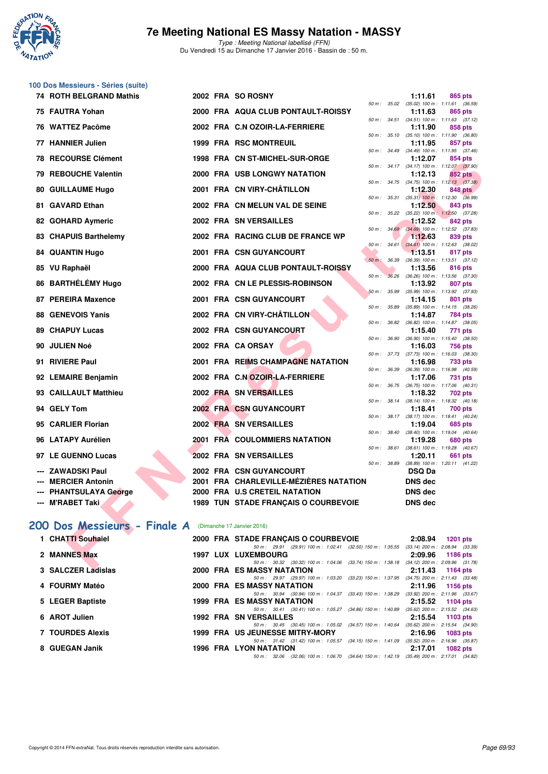

Type : Meeting National labellisé (FFN) Du Vendredi 15 au Dimanche 17 Janvier 2016 - Bassin de : 50 m.

|  | 100 Dos Messieurs - Séries (suite) |  |  |
|--|------------------------------------|--|--|
|--|------------------------------------|--|--|

| 74 ROTH BELGRAND Mathis                                 |  | 2002 FRA SO ROSNY                                                                                               |              |              | 1:11.61                                                     | 865 pts         |  |
|---------------------------------------------------------|--|-----------------------------------------------------------------------------------------------------------------|--------------|--------------|-------------------------------------------------------------|-----------------|--|
| 75 FAUTRA Yohan                                         |  | 2000 FRA AQUA CLUB PONTAULT-ROISSY                                                                              |              |              | 50 m: 35.02 (35.02) 100 m: 1:11.61 (36.59)<br>1:11.63       | 865 pts         |  |
|                                                         |  |                                                                                                                 |              |              | 50 m: 34.51 (34.51) 100 m: 1:11.63 (37.12)                  |                 |  |
| 76 WATTEZ Pacôme                                        |  | 2002 FRA C.N OZOIR-LA-FERRIERE                                                                                  |              |              | 1:11.90<br>50 m: 35.10 (35.10) 100 m: 1:11.90 (36.80)       | 858 pts         |  |
| 77 HANNIER Julien                                       |  | <b>1999 FRA RSC MONTREUIL</b>                                                                                   |              |              | 1:11.95                                                     | 857 pts         |  |
| <b>78 RECOURSE Clément</b>                              |  | 1998 FRA CN ST-MICHEL-SUR-ORGE                                                                                  |              |              | 50 m: 34.49 (34.49) 100 m: 1:11.95 (37.46)<br>1:12.07       | 854 pts         |  |
|                                                         |  |                                                                                                                 |              |              | 50 m: 34.17 (34.17) 100 m: 1:12.07 (37.90)                  |                 |  |
| 79 REBOUCHE Valentin                                    |  | 2000 FRA USB LONGWY NATATION                                                                                    |              |              | 1:12.13<br>50 m: 34.75 (34.75) 100 m: 1:12.13 (37.38)       | <b>852 pts</b>  |  |
| 80 GUILLAUME Hugo                                       |  | 2001 FRA CN VIRY-CHÂTILLON                                                                                      |              |              | 1:12.30                                                     | 848 pts         |  |
| 81 GAVARD Ethan                                         |  | 2002 FRA CN MELUN VAL DE SEINE                                                                                  | 50 m: 35.31  |              | $(35.31)$ 100 m : 1:12.30 $(36.99)$<br>1:12.50              | 843 pts         |  |
|                                                         |  |                                                                                                                 |              |              | 50 m: 35.22 (35.22) 100 m: 1:12.50 (37.28)                  |                 |  |
| 82 GOHARD Aymeric                                       |  | 2002 FRA SN VERSAILLES                                                                                          |              | 50 m: 34.69  | 1:12.52<br>$(34.69)$ 100 m : 1:12.52 $(37.83)$              | 842 pts         |  |
| 83 CHAPUIS Barthelemy                                   |  | 2002 FRA RACING CLUB DE FRANCE WP                                                                               |              |              | 1:12.63                                                     | 839 pts         |  |
| <b>84 QUANTIN Hugo</b>                                  |  | 2001 FRA CSN GUYANCOURT                                                                                         | $50 m$ :     |              | 34.61 (34.61) 100 m : 1:12.63 (38.02)<br>1:13.51            | 817 pts         |  |
|                                                         |  |                                                                                                                 | 50 m : 36.39 |              | (36.39) 100 m: 1:13.51 (37.12)                              |                 |  |
| 85 VU Raphaël                                           |  | 2000 FRA AQUA CLUB PONTAULT-ROISSY                                                                              |              |              | 1:13.56                                                     | 816 pts         |  |
| 86 BARTHÉLÉMY Hugo                                      |  | 2002 FRA CN LE PLESSIS-ROBINSON                                                                                 | $50 m$ :     | 36.26        | $(36.26)$ 100 m : 1:13.56 $(37.30)$<br>1:13.92              | 807 pts         |  |
|                                                         |  |                                                                                                                 |              | 50 m : 35.99 | $(35.99)$ 100 m : 1:13.92 $(37.93)$                         |                 |  |
| 87 PEREIRA Maxence                                      |  | 2001 FRA CSN GUYANCOURT                                                                                         | $50 m$ :     | 35.89        | 1:14.15<br>$(35.89)$ 100 m : 1:14.15 $(38.26)$              | 801 pts         |  |
| <b>88 GENEVOIS Yanis</b>                                |  | 2002 FRA CN VIRY-CHÂTILLON                                                                                      |              |              | 1:14.87                                                     | 784 pts         |  |
| <b>89 CHAPUY Lucas</b>                                  |  | 2002 FRA CSN GUYANCOURT                                                                                         | 50 m: 36.82  |              | $(36.82)$ 100 m : 1:14.87 $(38.05)$<br>1:15.40              | 771 pts         |  |
|                                                         |  |                                                                                                                 | 50 m : 36.90 |              | (36.90) 100 m: 1:15.40 (38.50)                              |                 |  |
| 90 JULIEN Noé                                           |  | 2002 FRA CA ORSAY                                                                                               |              |              | 1:16.03<br>50 m: 37.73 (37.73) 100 m: 1:16.03 (38.30)       | 756 pts         |  |
| 91 RIVIERE Paul                                         |  | 2001 FRA REIMS CHAMPAGNE NATATION                                                                               |              |              | 1:16.98                                                     | <b>733 pts</b>  |  |
| 92 LEMAIRE Benjamin                                     |  | 2002 FRA C.N OZOIR-LA-FERRIERE                                                                                  | 50 m : 36.39 |              | $(36.39)$ 100 m : 1:16.98 $(40.59)$<br>1:17.06              | <b>731 pts</b>  |  |
|                                                         |  |                                                                                                                 | 50 m : 36.75 |              | (36.75) 100 m : 1:17.06 (40.31)                             |                 |  |
| 93 CAILLAULT Matthieu                                   |  | 2002 FRA SN VERSAILLES                                                                                          |              |              | 1:18.32<br>50 m: 38.14 (38.14) 100 m: 1:18.32 (40.18)       | 702 pts         |  |
| 94 GELY Tom                                             |  | 2002 FRA CSN GUYANCOURT                                                                                         |              |              | 1:18.41                                                     | 700 pts         |  |
| 95 CARLIER Florian                                      |  | 2002 FRA SN VERSAILLES                                                                                          |              |              | 50 m: 38.17 (38.17) 100 m: 1:18.41 (40.24)<br>1:19.04       | 685 pts         |  |
|                                                         |  |                                                                                                                 |              |              | 50 m: 38.40 (38.40) 100 m: 1:19.04 (40.64)                  |                 |  |
| 96 LATAPY Aurélien                                      |  | 2001 FRA COULOMMIERS NATATION                                                                                   | 50 m : 38.61 |              | 1:19.28<br>$(38.61)$ 100 m : 1:19.28 $(40.67)$              | <b>680 pts</b>  |  |
| 97 LE GUENNO Lucas                                      |  | 2002 FRA SN VERSAILLES                                                                                          |              |              | 1:20.11                                                     | 661 pts         |  |
| --- ZAWADSKI Paul                                       |  | 2002 FRA CSN GUYANCOURT                                                                                         |              |              | 50 m: 38.89 (38.89) 100 m: 1:20.11 (41.22)<br><b>DSQ Da</b> |                 |  |
| --- MERCIER Antonin                                     |  | 2001 FRA CHARLEVILLE-MÉZIÈRES NATATION                                                                          |              |              | DNS dec                                                     |                 |  |
| --- PHANTSULAYA George                                  |  | 2000 FRA U.S CRETEIL NATATION                                                                                   |              |              | <b>DNS dec</b>                                              |                 |  |
| --- M'RABET Taki                                        |  | 1989 TUN STADE FRANÇAIS O COURBEVOIE                                                                            |              |              | DNS dec                                                     |                 |  |
|                                                         |  |                                                                                                                 |              |              |                                                             |                 |  |
| 200 Dos Messieurs - Finale A (Dimanche 17 Janvier 2016) |  |                                                                                                                 |              |              |                                                             |                 |  |
| 1 CHATTI Souhaiel                                       |  | 2000 FRA STADE FRANÇAIS O COURBEVOIE                                                                            |              |              | 2:08.94                                                     | <b>1201 pts</b> |  |
|                                                         |  | 50 m: 29.91 (29.91) 100 m: 1:02.41 (32.50) 150 m: 1:35.55 (33.14) 200 m: 2:08.94 (33.39)                        |              |              |                                                             |                 |  |
| 2 MANNES Max                                            |  | 1997 LUX LUXEMBOURG<br>50 m: 30.32 (30.32) 100 m: 1:04.06 (33.74) 150 m: 1:38.18 (34.12) 200 m: 2:09.96 (31.78) |              |              | 2:09.96                                                     | 1186 pts        |  |
| 0.010701                                                |  | 0000 FBA FO MACOV MATATION                                                                                      |              |              | 0.44.40                                                     | -------         |  |

### [200 Dos Messieurs - Finale A](http://www.ffnatation.fr/webffn/resultats.php?idact=nat&go=epr&idcpt=35299&idepr=63) (Dimanche 17 Janvier 2016)

| 1 CHATTI Souhaiel       |  | 2000 FRA STADE FRANCAIS O COURBEVOIE                                                                                                                                                   | 2:08.94 | 1201 pts                                              |
|-------------------------|--|----------------------------------------------------------------------------------------------------------------------------------------------------------------------------------------|---------|-------------------------------------------------------|
| 2 MANNES Max            |  | 50 m: 29.91 (29.91) 100 m: 1:02.41 (32.50) 150 m: 1:35.55<br><b>1997 LUX LUXEMBOURG</b>                                                                                                | 2:09.96 | $(33.14)$ 200 m : 2:08.94 $(33.39)$<br>1186 pts       |
| 3 SALCZER Ladislas      |  | 50 m: 30.32 (30.32) 100 m: 1:04.06 (33.74) 150 m: 1:38.18 (34.12) 200 m: 2:09.96 (31.78)<br>2000 FRA ES MASSY NATATION                                                                 | 2:11.43 | 1164 pts                                              |
| 4 FOURMY Matéo          |  | 50 m: 29.97 (29.97) 100 m: 1:03.20 (33.23) 150 m: 1:37.95 (34.75) 200 m: 2:11.43 (33.48)<br>2000 FRA ES MASSY NATATION<br>50 m : 30.94 (30.94) 100 m : 1:04.37 (33.43) 150 m : 1:38.29 |         | $2:11.96$ 1156 pts<br>(33.92) 200 m : 2:11.96 (33.67) |
| 5 LEGER Baptiste        |  | <b>1999 FRA ES MASSY NATATION</b><br>50 m: 30.41 (30.41) 100 m: 1:05.27 (34.86) 150 m: 1:40.89 (35.62) 200 m: 2:15.52 (34.63)                                                          | 2:15.52 | 1104 pts                                              |
| 6 AROT Julien           |  | <b>1992 FRA SN VERSAILLES</b><br>50 m : 30.45 (30.45) 100 m : 1:05.02 (34.57) 150 m : 1:40.64                                                                                          | 2:15.54 | 1103 pts<br>$(35.62)$ 200 m : 2:15.54 $(34.90)$       |
| <b>7 TOURDES Alexis</b> |  | 1999 FRA US JEUNESSE MITRY-MORY<br>50 m: 31.42 (31.42) 100 m: 1:05.57 (34.15) 150 m: 1:41.09                                                                                           | 2:16.96 | 1083 pts<br>(35.52) 200 m : 2:16.96 (35.87)           |
| 8 GUEGAN Janik          |  | 1996 FRA LYON NATATION                                                                                                                                                                 | 2:17.01 | 1082 pts                                              |
|                         |  | 50 m: 32.06 (32.06) 100 m: 1:06.70 (34.64) 150 m: 1:42.19 (35.49) 200 m: 2:17.01 (34.82)                                                                                               |         |                                                       |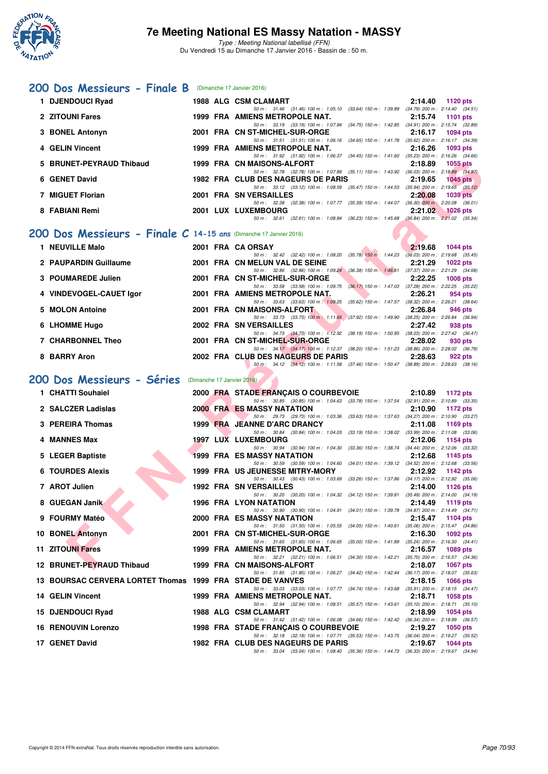

|    | 200 Dos Messieurs - Finale B (Dimanche 17 Janvier 2016)             |  |                                                                                                                                                                        |                            |
|----|---------------------------------------------------------------------|--|------------------------------------------------------------------------------------------------------------------------------------------------------------------------|----------------------------|
|    | 1 DJENDOUCI Ryad                                                    |  | 1988 ALG CSM CLAMART                                                                                                                                                   | 2:14.40<br>1120 pts        |
|    | 2 ZITOUNI Fares                                                     |  | 50 m: 31.46 (31.46) 100 m: 1:05.10 (33.64) 150 m: 1:39.89 (34.79) 200 m: 2:14.40 (34.51)<br>1999 FRA AMIENS METROPOLE NAT.                                             | 2:15.74<br><b>1101 pts</b> |
| 3. | <b>BONEL Antonyn</b>                                                |  | 50 m: 33.19 (33.19) 100 m: 1:07.94 (34.75) 150 m: 1:42.85 (34.91) 200 m: 2:15.74 (32.89)<br>2001 FRA CN ST-MICHEL-SUR-ORGE                                             | 2:16.17<br>1094 pts        |
|    | 4 GELIN Vincent                                                     |  | 50 m: 31.51 (31.51) 100 m: 1:06.16 (34.65) 150 m: 1:41.78 (35.62) 200 m: 2:16.17 (34.39)<br>1999 FRA AMIENS METROPOLE NAT.                                             | 2:16.26<br>1093 pts        |
|    |                                                                     |  | 50 m: 31.92 (31.92) 100 m: 1:06.37 (34.45) 150 m: 1:41.60 (35.23) 200 m: 2:16.26 (34.66)                                                                               |                            |
|    | 5 BRUNET-PEYRAUD Thibaud                                            |  | 1999 FRA CN MAISONS-ALFORT<br>50 m: 32.78 (32.78) 100 m: 1:07.89 (35.11) 150 m: 1:43.92 (36.03) 200 m: 2:18.89 (34.97)                                                 | 2:18.89<br>1055 pts        |
|    | 6 GENET David                                                       |  | 1982 FRA CLUB DES NAGEURS DE PARIS<br>50 m: 33.12 (33.12) 100 m: 1:08.59 (35.47) 150 m: 1:44.53 (35.94) 200 m: 2:19.65 (35.12)                                         | 2:19.65<br>$1045$ pts      |
|    | 7 MIGUET Florian                                                    |  | 2001 FRA SN VERSAILLES<br>50 m: 32.38 (32.38) 100 m: 1:07.77 (35.39) 150 m: 1:44.07 (36.30) 200 m: 2:20.08 (36.01)                                                     | 2:20.08<br>1039 pts        |
|    | 8 FABIANI Remi                                                      |  | 2001 LUX LUXEMBOURG                                                                                                                                                    | 2:21.02<br>$1026$ pts      |
|    |                                                                     |  | 50 m: 32.61 (32.61) 100 m: 1:08.84 (36.23) 150 m: 1:45.68 (36.84) 200 m: 2:21.02 (35.34)                                                                               |                            |
|    | 200 Dos Messieurs - Finale $C$ 14-15 ans (Dimanche 17 Janvier 2016) |  |                                                                                                                                                                        |                            |
|    | 1 NEUVILLE Malo                                                     |  | 2001 FRA CA ORSAY<br>50 m: 32.42 (32.42) 100 m: 1:08.20 (35.78) 150 m: 1:44.23 (36.03) 200 m: 2:19.68 (35.45)                                                          | 2:19.68<br><b>1044 pts</b> |
|    | 2 PAUPARDIN Guillaume                                               |  | 2001 FRA CN MELUN VAL DE SEINE<br>50 m: 32.86 (32.86) 100 m: 1:09.24 (36.38) 150 m: 1:46.61 (37.37) 200 m: 2:21.29 (34.68)                                             | 2:21.29<br>$1022$ pts      |
|    | 3 POUMAREDE Julien                                                  |  | 2001 FRA CN ST-MICHEL-SUR-ORGE<br>50 m: 33.58 (33.58) 100 m: 1:09.75 (36.17) 150 m: 1:47.03 (37.28) 200 m: 2:22.25 (35.22)                                             | 2:22.25<br>1008 pts        |
|    | 4 VINDEVOGEL-CAUET Igor                                             |  | 2001 FRA AMIENS METROPOLE NAT.                                                                                                                                         | 2:26.21<br>954 pts         |
|    | 5 MOLON Antoine                                                     |  | 50 m: 33.63 (33.63) 100 m: 1:09.25 (35.62) 150 m: 1:47.57 (38.32) 200 m: 2:26.21 (38.64)<br>2001 FRA CN MAISONS-ALFORT                                                 | 2:26.84<br>946 pts         |
|    | 6 LHOMME Hugo                                                       |  | 50 m: 33.73 (33.73) 100 m: 1:11.65 (37.92) 150 m: 1:49.90 (38.25) 200 m: 2:26.84 (36.94)<br>2002 FRA SN VERSAILLES                                                     | 2:27.42<br>938 pts         |
|    | 7 CHARBONNEL Theo                                                   |  | 50 m: 34.73 (34.73) 100 m: 1:12.92 (38.19) 150 m: 1:50.95 (38.03) 200 m: 2:27.42 (36.47)<br>2001 FRA CN ST-MICHEL-SUR-ORGE                                             | 2:28.02<br>930 pts         |
|    |                                                                     |  | 50 m: 34.17 (34.17) 100 m: 1:12.37 (38.20) 150 m: 1:51.23 (38.86) 200 m: 2:28.02 (36.79)                                                                               |                            |
|    | 8 BARRY Aron                                                        |  | 2002 FRA CLUB DES NAGEURS DE PARIS<br>50 m: 34.12 (34.12) 100 m: 1:11.58 (37.46) 150 m: 1:50.47 (38.89) 200 m: 2:28.63 (38.16)                                         | 2:28.63<br>922 pts         |
|    | 200 Dos Messieurs - Séries                                          |  | (Dimanche 17 Janvier 2016)                                                                                                                                             |                            |
|    | 1 CHATTI Souhaiel                                                   |  | 2000 FRA STADE FRANÇAIS O COURBEVOIE                                                                                                                                   | 2:10.89<br>1172 pts        |
|    | 2 SALCZER Ladislas                                                  |  | 50 m: 30.85 (30.85) 100 m: 1:04.63 (33.78) 150 m: 1:37.54 (32.91) 200 m: 2:10.89 (33.35)<br><b>2000 FRA ES MASSY NATATION</b>                                          | 2:10.90<br>1172 pts        |
|    | 3 PEREIRA Thomas                                                    |  | 50 m: 29.73 (29.73) 100 m: 1:03.36 (33.63) 150 m: 1:37.63 (34.27) 200 m: 2:10.90 (33.27)<br>1999 FRA JEANNE D'ARC DRANCY                                               | 2:11.08<br>1169 pts        |
|    |                                                                     |  | 50 m: 30.84 (30.84) 100 m: 1:04.03 (33.19) 150 m: 1:38.02 (33.99) 200 m: 2:11.08 (33.06)<br>1997 LUX LUXEMBOURG                                                        |                            |
|    | 4 MANNES Max                                                        |  | 50 m: 30.94 (30.94) 100 m: 1:04.30 (33.36) 150 m: 1:38.74 (34.44) 200 m: 2:12.06 (33.32)                                                                               | 2:12.06<br>1154 pts        |
|    | 5 LEGER Baptiste                                                    |  | <b>1999 FRA ES MASSY NATATION</b><br>50 m: 30.59 (30.59) 100 m: 1:04.60 (34.01) 150 m: 1:39.12 (34.52) 200 m: 2:12.68 (33.56)                                          | 2:12.68<br>1145 pts        |
|    | <b>6 TOURDES Alexis</b>                                             |  | 1999 FRA US JEUNESSE MITRY-MORY<br>50 m: 30.43 (30.43) 100 m: 1:03.69 (33.26) 150 m: 1:37.86 (34.17) 200 m: 2:12.92 (35.06)                                            | 2:12.92<br>1142 pts        |
|    | 7 AROT Julien                                                       |  | <b>1992 FRA SN VERSAILLES</b>                                                                                                                                          | 2:14.00<br>1126 pts        |
|    | 8 GUEGAN Janik                                                      |  | 50 m: 30.20 (30.20) 100 m: 1:04.32 (34.12) 150 m: 1:39.81 (35.49) 200 m: 2:14.00 (34.19)<br>1996 FRA LYON NATATION                                                     | 2:14.49<br>1119 pts        |
|    | 9 FOURMY Matéo                                                      |  | 50 m: 30.90 (30.90) 100 m: 1:04.91 (34.01) 150 m: 1:39.78 (34.87) 200 m: 2:14.49 (34.71)<br>2000 FRA ES MASSY NATATION                                                 | 2:15.47<br>1104 pts        |
|    | 10 BONEL Antonyn                                                    |  | 50 m: 31.50 (31.50) 100 m: 1:05.55 (34.05) 150 m: 1:40.61 (35.06) 200 m: 2:15.47 (34.86)<br>2001 FRA CN ST-MICHEL-SUR-ORGE                                             | 2:16.30<br>1092 pts        |
|    |                                                                     |  | 50 m: 31.65 (31.65) 100 m: 1:06.65 (35.00) 150 m: 1:41.89 (35.24) 200 m: 2:16.30 (34.41)                                                                               |                            |
|    | 11 ZITOUNI Fares                                                    |  | 1999 FRA AMIENS METROPOLE NAT.<br>50 m: 32.21 (32.21) 100 m: 1:06.51 (34.30) 150 m: 1:42.21 (35.70) 200 m: 2:16.57 (34.36)                                             | 2:16.57<br>1089 pts        |
|    | 12 BRUNET-PEYRAUD Thibaud                                           |  | 1999 FRA CN MAISONS-ALFORT<br>50 m: 31.85 (31.85) 100 m: 1:06.27 (34.42) 150 m: 1:42.44 (36.17) 200 m: 2:18.07 (35.63)                                                 | 2:18.07<br>1067 pts        |
|    |                                                                     |  |                                                                                                                                                                        |                            |
|    | 13 BOURSAC CERVERA LORTET Thomas 1999 FRA STADE DE VANVES           |  |                                                                                                                                                                        | 2:18.15<br>1066 pts        |
|    | <b>14 GELIN Vincent</b>                                             |  | 50 m: 33.03 (33.03) 100 m: 1:07.77 (34.74) 150 m: 1:43.68 (35.91) 200 m: 2:18.15 (34.47)<br>1999 FRA AMIENS METROPOLE NAT.                                             | 2:18.71<br>1058 pts        |
|    | 15 DJENDOUCI Ryad                                                   |  | 50 m: 32.94 (32.94) 100 m: 1:08.51 (35.57) 150 m: 1:43.61 (35.10) 200 m: 2:18.71 (35.10)<br>1988 ALG CSM CLAMART                                                       | 2:18.99<br>1054 pts        |
|    | <b>16 RENOUVIN Lorenzo</b>                                          |  | 50 m: 31.42 (31.42) 100 m: 1:06.08 (34.66) 150 m: 1:42.42 (36.34) 200 m: 2:18.99 (36.57)                                                                               | 2:19.27<br>1050 pts        |
|    | 17 GENET David                                                      |  | 1998 FRA STADE FRANÇAIS O COURBEVOIE<br>50 m: 32.18 (32.18) 100 m: 1:07.71 (35.53) 150 m: 1:43.75 (36.04) 200 m: 2:19.27 (35.52)<br>1982 FRA CLUB DES NAGEURS DE PARIS | 2:19.67<br>1044 pts        |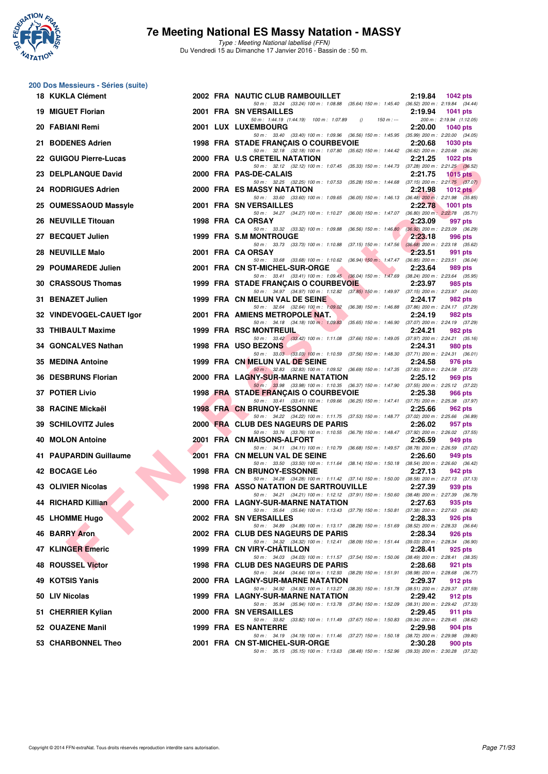

|     | 200 Dos Messieurs - Séries (suite) |  |                                                                                                                                           |         |                                             |
|-----|------------------------------------|--|-------------------------------------------------------------------------------------------------------------------------------------------|---------|---------------------------------------------|
|     | 18 KUKLA Clément                   |  | 2002 FRA NAUTIC CLUB RAMBOUILLET                                                                                                          | 2:19.84 | <b>1042 pts</b>                             |
| 19. | <b>MIGUET Florian</b>              |  | 50 m: 33.24 (33.24) 100 m: 1:08.88 (35.64) 150 m: 1:45.40 (36.52) 200 m: 2:19.84 (34.44)<br>2001 FRA SN VERSAILLES                        | 2:19.94 | <b>1041 pts</b>                             |
|     | 20 FABIANI Remi                    |  | 50 m: 1:44.19 (1:44.19) 100 m: 1:07.89<br>$150 m : -$<br>$\theta$<br>2001 LUX LUXEMBOURG                                                  | 2:20.00 | 200 m: 2:19.94 (1:12.05)<br><b>1040 pts</b> |
|     | 21 BODENES Adrien                  |  | 50 m: 33.40 (33.40) 100 m: 1:09.96 (36.56) 150 m: 1:45.95 (35.99) 200 m: 2:20.00 (34.05)<br>1998 FRA STADE FRANÇAIS O COURBEVOIE          | 2:20.68 | <b>1030 pts</b>                             |
|     | 22 GUIGOU Pierre-Lucas             |  | 50 m: 32.18 (32.18) 100 m: 1:07.80 (35.62) 150 m: 1:44.42 (36.62) 200 m: 2:20.68 (36.26)<br>2000 FRA U.S CRETEIL NATATION                 | 2:21.25 | 1022 $pts$                                  |
|     | 23 DELPLANQUE David                |  | 50 m: 32.12 (32.12) 100 m: 1:07.45 (35.33) 150 m: 1:44.73 (37.28) 200 m: 2:21.25 (36.52)<br>2000 FRA PAS-DE-CALAIS                        | 2:21.75 | $1015$ pts                                  |
|     | 24 RODRIGUES Adrien                |  | 50 m: 32.25 (32.25) 100 m: 1:07.53 (35.28) 150 m: 1:44.68 (37.15) 200 m: 2:21.75 (37.07)<br>2000 FRA ES MASSY NATATION                    | 2:21.98 | 1012 $pts1$                                 |
|     | 25 OUMESSAOUD Massyle              |  | 50 m: 33.60 (33.60) 100 m: 1:09.65 (36.05) 150 m: 1:46.13 (36.48) 200 m: 2:21.98 (35.85)<br>2001 FRA SN VERSAILLES                        | 2:22.78 | <b>1001 pts</b>                             |
|     | 26 NEUVILLE Titouan                |  | 50 m: 34.27 (34.27) 100 m: 1:10.27 (36.00) 150 m: 1:47.07 (36.80) 200 m: 2:22.78 (35.71)<br>1998 FRA CA ORSAY                             | 2:23.09 | 997 pts                                     |
|     | 27 BECQUET Julien                  |  | 50 m: 33.32 (33.32) 100 m: 1:09.88 (36.56) 150 m: 1:46.80 (36.92) 200 m: 2:23.09 (36.29)<br>1999 FRA S.M MONTROUGE                        | 2:23.18 | 996 pts                                     |
|     | 28 NEUVILLE Malo                   |  | 50 m: 33.73 (33.73) 100 m: 1:10.88 (37.15) 150 m: 1:47.56 (36.68) 200 m: 2:23.18 (35.62)<br>2001 FRA CA ORSAY                             | 2:23.51 | 991 pts                                     |
| 29  | <b>POUMAREDE Julien</b>            |  | 50 m: 33.68 (33.68) 100 m: 1:10.62 (36.94) 150 m: 1:47.47 (36.85) 200 m: 2:23.51 (36.04)<br>2001 FRA CN ST-MICHEL-SUR-ORGE                | 2:23.64 | 989 pts                                     |
|     | 30 CRASSOUS Thomas                 |  | 50 m: 33.41 (33.41) 100 m: 1.09.45 (36.04) 150 m: 1.47.69 (38.24) 200 m: 2.23.64 (35.95)<br>1999 FRA STADE FRANÇAIS O COURBEVOIE          | 2:23.97 | 985 pts                                     |
|     | 31 BENAZET Julien                  |  | 50 m: 34.97 (34.97) 100 m: 1:12.82 (37.85) 150 m: 1:49.97 (37.15) 200 m: 2:23.97 (34.00)<br>1999 FRA CN MELUN VAL DE SEINE                | 2:24.17 | 982 pts                                     |
|     | 32 VINDEVOGEL-CAUET Igor           |  | 50 m: 32.64 (32.64) 100 m: 1:09.02 (36.38) 150 m: 1:46.88 (37.86) 200 m: 2:24.17 (37.29)<br>2001 FRA AMIENS METROPOLE NAT.                | 2:24.19 | 982 pts                                     |
|     | 33 THIBAULT Maxime                 |  | 50 m: 34.18 (34.18) 100 m: 1.09.83 (35.65) 150 m: 1.46.90 (37.07) 200 m: 2.24.19 (37.29)<br><b>1999 FRA RSC MONTREUIL</b>                 | 2:24.21 | 982 pts                                     |
|     | 34 GONCALVES Nathan                |  | 50 m: 33.42 (33.42) 100 m: 1:11.08 (37.66) 150 m: 1:49.05 (37.97) 200 m: 2:24.21 (35.16)<br>1998 FRA USO BEZONS                           | 2:24.31 | 980 pts                                     |
|     | 35 MEDINA Antoine                  |  | 50 m: 33.03 (33.03) 100 m: 1:10.59 (37.56) 150 m: 1:48.30 (37.71) 200 m: 2:24.31 (36.01)<br>1999 FRA CN MELUN VAL DE SEINE                | 2:24.58 | 976 pts                                     |
| 36. | <b>DESBRUNS Florian</b>            |  | 50 m: 32.83 (32.83) 100 m: 1:09.52 (36.69) 150 m: 1:47.35 (37.83) 200 m: 2:24.58 (37.23)<br>2000 FRA LAGNY-SUR-MARNE NATATION             | 2:25.12 | 969 pts                                     |
|     | <b>37 POTIER Livio</b>             |  | 50 m: 33.98 (33.98) 100 m: 1:10.35 (36.37) 150 m: 1:47.90 (37.55) 200 m: 2:25.12 (37.22)<br>1998 FRA STADE FRANÇAIS O COURBEVOIE          | 2:25.38 | 966 pts                                     |
|     | 38 RACINE Mickaël                  |  | 50 m: 33.41 (33.41) 100 m: 1:09.66 (36.25) 150 m: 1:47.41 (37.75) 200 m: 2:25.38 (37.97)<br><b>1998 FRA CN BRUNOY-ESSONNE</b>             | 2:25.66 | 962 pts                                     |
| 39. | <b>SCHILOVITZ Jules</b>            |  | 50 m: 34.22 (34.22) 100 m: 1:11.75 (37.53) 150 m: 1:48.77 (37.02) 200 m: 2:25.66 (36.89)<br>2000 FRA CLUB DES NAGEURS DE PARIS            | 2:26.02 | 957 pts                                     |
|     | 40 MOLON Antoine                   |  | 50 m: 33.76 (33.76) 100 m: 1:10.55 (36.79) 150 m: 1:48.47 (37.92) 200 m: 2:26.02 (37.55)<br>2001 FRA CN MAISONS-ALFORT                    | 2:26.59 | 949 pts                                     |
|     | 41 PAUPARDIN Guillaume             |  | 50 m: 34.11 (34.11) 100 m: 1:10.79 (36.68) 150 m: 1:49.57 (38.78) 200 m: 2:26.59 (37.02)<br>2001 FRA CN MELUN VAL DE SEINE                | 2:26.60 | 949 pts                                     |
|     | 42 BOCAGE Léo                      |  | 50 m: 33.50 (33.50) 100 m: 1:11.64 (38.14) 150 m: 1:50.18 (38.54) 200 m: 2:26.60 (36.42)<br><b>1998 FRA CN BRUNOY-ESSONNE</b>             | 2:27.13 | 942 pts                                     |
|     | <b>43 OLIVIER Nicolas</b>          |  | 50 m: 34.28 (34.28) 100 m: 1:11.42 (37.14) 150 m: 1:50.00 (38.58) 200 m: 2:27.13 (37.13)<br><b>1998 FRA ASSO NATATION DE SARTROUVILLE</b> | 2:27.39 | 939 pts                                     |
|     | 44 RICHARD Killian                 |  | 50 m : 34.21 (34.21) 100 m : 1:12.12 (37.91) 150 m : 1:50.60 (38.48) 200 m : 2:27.39 (36.79)<br>2000 FRA LAGNY-SUR-MARNE NATATION         | 2:27.63 | 935 pts                                     |
|     | 45 LHOMME Hugo                     |  | 50 m: 35.64 (35.64) 100 m: 1:13.43 (37.79) 150 m: 1:50.81 (37.38) 200 m: 2:27.63 (36.82)<br>2002 FRA SN VERSAILLES                        | 2:28.33 | 926 pts                                     |
|     | <b>46 BARRY Aron</b>               |  | 50 m: 34.89 (34.89) 100 m: 1:13.17 (38.28) 150 m: 1:51.69 (38.52) 200 m: 2:28.33 (36.64)<br>2002 FRA CLUB DES NAGEURS DE PARIS            | 2:28.34 | 926 pts                                     |
|     | 47 KLINGER Emeric                  |  | 50 m: 34.32 (34.32) 100 m: 1:12.41 (38.09) 150 m: 1:51.44 (39.03) 200 m: 2:28.34 (36.90)<br>1999 FRA CN VIRY-CHATILLON                    | 2:28.41 | 925 pts                                     |
|     | 48 ROUSSEL Victor                  |  | 50 m: 34.03 (34.03) 100 m: 1:11.57 (37.54) 150 m: 1:50.06 (38.49) 200 m: 2:28.41 (38.35)<br>1998 FRA CLUB DES NAGEURS DE PARIS            | 2:28.68 | 921 pts                                     |
|     | 49 KOTSIS Yanis                    |  | 50 m: 34.64 (34.64) 100 m: 1:12.93 (38.29) 150 m: 1:51.91 (38.98) 200 m: 2:28.68 (36.77)<br>2000 FRA LAGNY-SUR-MARNE NATATION             | 2:29.37 | 912 pts                                     |
|     | 50 LIV Nicolas                     |  | 50 m: 34.92 (34.92) 100 m: 1:13.27 (38.35) 150 m: 1:51.78 (38.51) 200 m: 2:29.37 (37.59)<br>1999 FRA LAGNY-SUR-MARNE NATATION             | 2:29.42 | 912 pts                                     |
|     | 51 CHERRIER Kylian                 |  | 50 m: 35.94 (35.94) 100 m: 1:13.78 (37.84) 150 m: 1:52.09 (38.31) 200 m: 2:29.42 (37.33)<br>2000 FRA SN VERSAILLES                        | 2:29.45 | 911 pts                                     |
|     | 52 OUAZENE Manil                   |  | 50 m: 33.82 (33.82) 100 m: 1:11.49 (37.67) 150 m: 1:50.83<br>1999 FRA ES NANTERRE                                                         | 2:29.98 | (39.34) 200 m : 2:29.45 (38.62)<br>904 pts  |
|     | 53 CHARBONNEL Theo                 |  | 50 m: 34.19 (34.19) 100 m: 1:11.46 (37.27) 150 m: 1:50.18 (38.72) 200 m: 2:29.98 (39.80)<br>2001 FRA CN ST-MICHEL-SUR-ORGE                | 2:30.28 | 900 pts                                     |
|     |                                    |  | 50 m: 35.15 (35.15) 100 m: 1:13.63 (38.48) 150 m: 1:52.96 (39.33) 200 m: 2:30.28 (37.32)                                                  |         |                                             |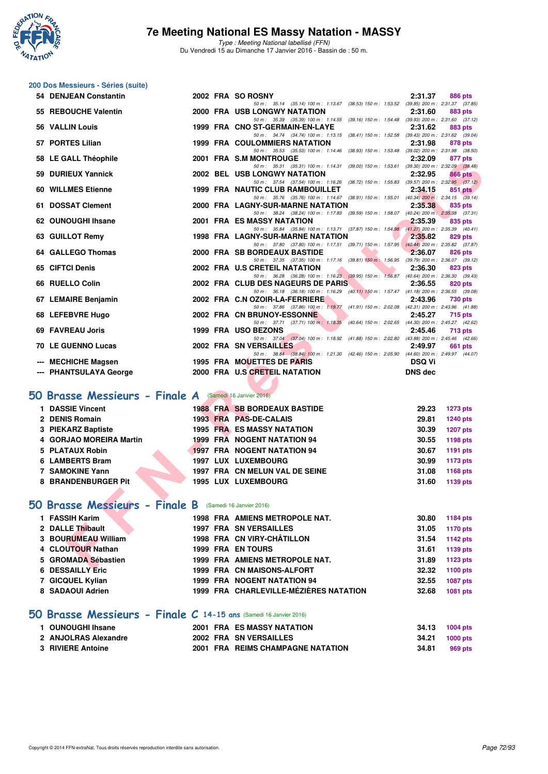

Type : Meeting National labellisé (FFN) Du Vendredi 15 au Dimanche 17 Janvier 2016 - Bassin de : 50 m.

# **200 Dos Messieurs - Séries (suite)**

| 54 DENJEAN Constantin                                          | 2002 FRA SO ROSNY                                                                                                                    | 2:31.37<br><b>886 pts</b>               |
|----------------------------------------------------------------|--------------------------------------------------------------------------------------------------------------------------------------|-----------------------------------------|
| 55 REBOUCHE Valentin                                           | 50 m: 35.14 (35.14) 100 m: 1:13.67 (38.53) 150 m: 1:53.52 (39.85) 200 m: 2:31.37 (37.85)<br><b>2000 FRA USB LONGWY NATATION</b>      | 2:31.60<br>883 pts                      |
| 56 VALLIN Louis                                                | 50 m: 35.39 (35.39) 100 m: 1:14.55 (39.16) 150 m: 1:54.48 (39.93) 200 m: 2:31.60 (37.12)<br>1999 FRA CNO ST-GERMAIN-EN-LAYE          | 2:31.62<br>883 pts                      |
|                                                                | 50 m: 34.74 (34.74) 100 m: 1:13.15 (38.41) 150 m: 1:52.58 (39.43) 200 m: 2:31.62 (39.04)                                             |                                         |
| 57 PORTES Lilian                                               | <b>1999 FRA COULOMMIERS NATATION</b><br>50 m: 35.53 (35.53) 100 m: 1:14.46 (38.93) 150 m: 1:53.48 (39.02) 200 m: 2:31.98 (38.50)     | 2:31.98<br>878 pts                      |
| 58 LE GALL Théophile                                           | 2001 FRA S.M MONTROUGE                                                                                                               | 2:32.09<br>877 pts                      |
|                                                                | 50 m: 35.31 (35.31) 100 m: 1:14.31 (39.00) 150 m: 1:53.61 (39.30) 200 m: 2:32.09 (38.48)                                             |                                         |
| 59 DURIEUX Yannick                                             | <b>2002 BEL USB LONGWY NATATION</b><br>50 m: 37.54 (37.54) 100 m: 1:16.26 (38.72) 150 m: 1:55.83 (39.57) 200 m: 2:32.95 (37.12)      | 2:32.95<br>866 pts                      |
| 60 WILLMES Etienne                                             | 1999 FRA NAUTIC CLUB RAMBOUILLET                                                                                                     | 2:34.15<br>851 pts                      |
| 61 DOSSAT Clement                                              | 50 m: 35.76 (35.76) 100 m: 1:14.67 (38.91) 150 m: 1:55.01 (40.34) 200 m: 2:34.15 (39.14)<br>2000 FRA LAGNY-SUR-MARNE NATATION        | 2:35.38<br>835 pts                      |
|                                                                | 50 m: 38.24 (38.24) 100 m: 1:17.83 (39.59) 150 m: 1:58.07 (40.24) 200 m: 2:35.38 (37.31)                                             |                                         |
| 62 OUNOUGHI Ihsane                                             | 2001 FRA ES MASSY NATATION                                                                                                           | 2:35.39<br>835 pts                      |
| 63 GUILLOT Remy                                                | 50 m: 35.84 (35.84) 100 m: 1:13.71 (37.87) 150 m: 1:54.98 (41.27) 200 m: 2:35.39 (40.41)<br><b>1998 FRA LAGNY-SUR-MARNE NATATION</b> | 2:35.82<br>829 pts                      |
|                                                                | 50 m: 37.80 (37.80) 100 m: 1:17.51 (39.71) 150 m: 1:57.95 (40.44) 200 m: 2:35.82 (37.87)                                             |                                         |
| 64 GALLEGO Thomas                                              | 2000 FRA SB BORDEAUX BASTIDE                                                                                                         | 2:36.07<br>826 pts                      |
| 65 CIFTCI Denis                                                | 50 m: 37.35 (37.35) 100 m: 1:17.16 (39.81) 150 m: 1:56.95 (39.79) 200 m: 2:36.07 (39.12)<br>2002 FRA U.S CRETEIL NATATION            | 2:36.30<br>823 pts                      |
|                                                                | 50 m: 36.28 (36.28) 100 m: 1:16.23 (39.95) 150 m: 1:56.87 (40.64) 200 m: 2:36.30 (39.43)                                             |                                         |
| 66 RUELLO Colin                                                | 2002 FRA CLUB DES NAGEURS DE PARIS<br>50 m: 36.18 (36.18) 100 m: 1:16.29 (40.11) 150 m: 1:57.47 (41.18) 200 m: 2:36.55 (39.08)       | 2:36.55<br>820 pts                      |
| 67 LEMAIRE Benjamin                                            | 2002 FRA C.N OZOIR-LA-FERRIERE                                                                                                       | 2:43.96<br>730 pts                      |
|                                                                | 50 m: 37.86 (37.86) 100 m: 1:19.77 (41.91) 150 m: 2:02.08 (42.31) 200 m: 2:43.96 (41.88)                                             |                                         |
| 68 LEFEBVRE Hugo                                               | 2002 FRA CN BRUNOY-ESSONNE<br>50 m: 37.71 (37.71) 100 m: 1:18.35 (40.64) 150 m: 2:02.65 (44.30) 200 m: 2:45.27 (42.62)               | 2:45.27<br><b>715 pts</b>               |
| 69 FAVREAU Joris                                               | 1999 FRA USO BEZONS                                                                                                                  | 2:45.46<br>713 pts                      |
| <b>70 LE GUENNO Lucas</b>                                      | 50 m: 37.04 (37.04) 100 m: 1:18.92 (41.88) 150 m: 2:02.80 (43.88) 200 m: 2:45.46 (42.66)<br>2002 FRA SN VERSAILLES                   |                                         |
|                                                                | 50 m: 38.84 (38.84) 100 m: 1:21.30 (42.46) 150 m: 2:05.90 (44.60) 200 m: 2:49.97 (44.07)                                             | 2:49.97<br>661 pts                      |
| --- MECHICHE Magsen                                            | 1995 FRA MOUETTES DE PARIS                                                                                                           | <b>DSQ Vi</b>                           |
| --- PHANTSULAYA George                                         | 2000 FRA U.S CRETEIL NATATION                                                                                                        | <b>DNS</b> dec                          |
|                                                                |                                                                                                                                      |                                         |
| <b>10 Brasse Messieurs - Finale A</b> (Samedi 16 Janvier 2016) |                                                                                                                                      |                                         |
| 1 DASSIE Vincent                                               | <b>1988 FRA SB BORDEAUX BASTIDE</b>                                                                                                  | 29.23<br><b>1273 pts</b>                |
| 2 DENIS Romain                                                 | 1993 FRA PAS-DE-CALAIS                                                                                                               | 29.81<br><b>1240 pts</b>                |
| 3 PIEKARZ Baptiste                                             | <b>1995 FRA ES MASSY NATATION</b>                                                                                                    | 30.39<br>1207 pts                       |
| 4 GORJAO MOREIRA Martin                                        | <b>1999 FRA NOGENT NATATION 94</b>                                                                                                   | 30.55<br><b>1198 pts</b>                |
| 5 PLATAUX Robin                                                | <b>1997 FRA NOGENT NATATION 94</b>                                                                                                   | 30.67<br>1191 pts                       |
| 6 LAMBERTS Bram                                                | 1997 LUX LUXEMBOURG                                                                                                                  | 30.99<br><b>1173 pts</b>                |
| 7 SAMOKINE Yann                                                | 1997 FRA CN MELUN VAL DE SEINE                                                                                                       | 31.08<br>1168 pts                       |
| <b>8 BRANDENBURGER Pit</b>                                     | 1995 LUX LUXEMBOURG                                                                                                                  | 31.60<br>1139 pts                       |
|                                                                |                                                                                                                                      |                                         |
| <b>10 Brasse Messieurs - Finale B</b> (Samedi 16 Janvier 2016) |                                                                                                                                      |                                         |
| 1 FASSIH Karim                                                 | 1998 FRA AMIENS METROPOLE NAT.                                                                                                       | 30.80<br><b>1184 pts</b>                |
| 2 DALLE Thibault                                               | <b>1997 FRA SN VERSAILLES</b>                                                                                                        | 31.05<br>1170 pts                       |
| 3 BOURUMEAU William                                            | 1998 FRA CN VIRY-CHÂTILLON                                                                                                           | 31.54<br><b>1142 pts</b>                |
| 4 CLOUTOUR Nathan                                              | 1999 FRA EN TOURS                                                                                                                    | 31.61<br>1139 pts                       |
| 5 GROMADA Sébastien                                            | 1999 FRA AMIENS METROPOLE NAT.                                                                                                       | 31.89<br>1123 pts                       |
| <b>DECOAULY E.S.</b>                                           | 4000 FBA ON MAICONG ALEGRE                                                                                                           | 00.00<br>$\sim$ 4400 $\sim$ 4400 $\sim$ |

### **[50 Brasse Messieurs - Finale A](http://www.ffnatation.fr/webffn/resultats.php?idact=nat&go=epr&idcpt=35299&idepr=71)** (Samedi 16 Janvier 2016)

| <b>DASSIE Vincent</b>   | <b>1988 FRA SB BORDEAUX BASTIDE</b> | 29.23<br>1273 pts        |
|-------------------------|-------------------------------------|--------------------------|
| 2 DENIS Romain          | 1993 FRA PAS-DE-CALAIS              | <b>1240 pts</b><br>29.81 |
| 3 PIEKARZ Baptiste      | <b>1995 FRA ES MASSY NATATION</b>   | <b>1207 pts</b><br>30.39 |
| 4 GORJAO MOREIRA Martin | 1999 FRA NOGENT NATATION 94         | 1198 pts<br>30.55        |
| 5 PLATAUX Robin         | <b>1997 FRA NOGENT NATATION 94</b>  | 1191 pts<br>30.67        |
| 6 LAMBERTS Bram         | 1997 LUX LUXEMBOURG                 | 1173 pts<br>30.99        |
| 7 SAMOKINE Yann         | 1997 FRA CN MELUN VAL DE SEINE      | 1168 pts<br>31.08        |
| 8 BRANDENBURGER Pit     | <b>1995 LUX LUXEMBOURG</b>          | 31.60<br>1139 pts        |

### **[50 Brasse Messieurs - Finale B](http://www.ffnatation.fr/webffn/resultats.php?idact=nat&go=epr&idcpt=35299&idepr=71)** (Samedi 16 Janvier 2016)

| 1 FASSIH Karim          |  | <b>1998 FRA AMIENS METROPOLE NAT.</b>  | 30.80 | 1184 pts        |
|-------------------------|--|----------------------------------------|-------|-----------------|
| 2 DALLE Thibault        |  | <b>1997 FRA SN VERSAILLES</b>          | 31.05 | 1170 pts        |
| 3 BOURUMEAU William     |  | 1998 FRA CN VIRY-CHÂTILLON             | 31.54 | 1142 pts        |
| 4 CLOUTOUR Nathan       |  | <b>1999 FRA EN TOURS</b>               | 31.61 | 1139 pts        |
| 5 GROMADA Sébastien     |  | 1999 FRA AMIENS METROPOLE NAT.         | 31.89 | 1123 pts        |
| <b>6 DESSAILLY Eric</b> |  | 1999 FRA CN MAISONS-ALFORT             | 32.32 | 1100 pts        |
| 7 GICQUEL Kylian        |  | 1999 FRA NOGENT NATATION 94            | 32.55 | <b>1087 pts</b> |
| 8 SADAOUI Adrien        |  | 1999 FRA CHARLEVILLE-MÉZIÈRES NATATION | 32.68 | 1081 pts        |
|                         |  |                                        |       |                 |

### **[50 Brasse Messieurs - Finale C](http://www.ffnatation.fr/webffn/resultats.php?idact=nat&go=epr&idcpt=35299&idepr=71) 14-15 ans** (Samedi 16 Janvier 2016)

| 1 OUNOUGHI Ihsane    |  | <b>2001 FRA ES MASSY NATATION</b> | 34.13 | <b>1004 pts</b> |
|----------------------|--|-----------------------------------|-------|-----------------|
| 2 ANJOLRAS Alexandre |  | 2002 FRA SN VERSAILLES            |       | 34.21 1000 pts  |
| 3 RIVIERE Antoine    |  | 2001 FRA REIMS CHAMPAGNE NATATION | 34.81 | 969 pts         |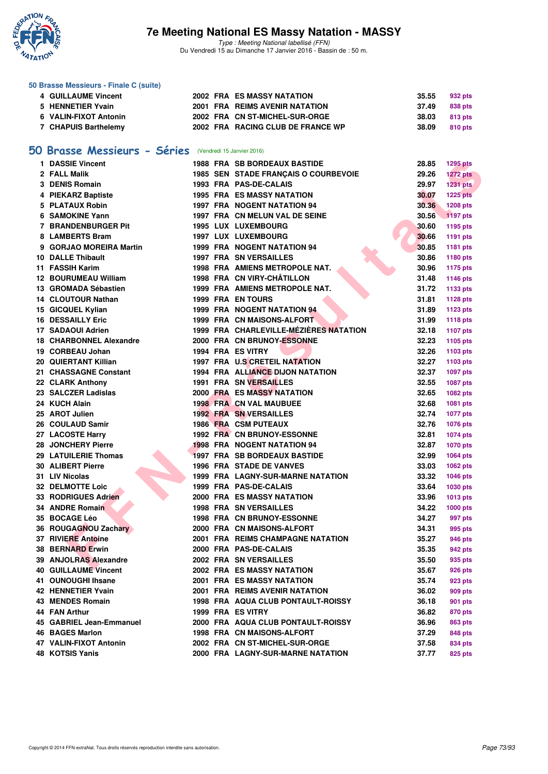

Type : Meeting National labellisé (FFN) Du Vendredi 15 au Dimanche 17 Janvier 2016 - Bassin de : 50 m.

### **50 Brasse Messieurs - Finale C (suite)**

|                                                                                                  |  | 35.55                                                                                                                                             | 932 pts        |
|--------------------------------------------------------------------------------------------------|--|---------------------------------------------------------------------------------------------------------------------------------------------------|----------------|
|                                                                                                  |  |                                                                                                                                                   | 838 pts        |
|                                                                                                  |  | 38.03                                                                                                                                             | 813 pts        |
|                                                                                                  |  |                                                                                                                                                   | 810 pts        |
| <b>4 GUILLAUME Vincent</b><br>5 HENNETIER Yvain<br>6 VALIN-FIXOT Antonin<br>7 CHAPUIS Barthelemy |  | <b>2002 FRA ES MASSY NATATION</b><br><b>2001 FRA REIMS AVENIR NATATION</b><br>2002 FRA CN ST-MICHEL-SUR-ORGE<br>2002 FRA RACING CLUB DE FRANCE WP | 37.49<br>38.09 |

### **[50 Brasse Messieurs - Séries](http://www.ffnatation.fr/webffn/resultats.php?idact=nat&go=epr&idcpt=35299&idepr=71)** (Vendredi 15 Janvier 2016)

| 1 DASSIE Vincent               |  | <b>1988 FRA SB BORDEAUX BASTIDE</b>    | 28.85 | <b>1295 pts</b> |
|--------------------------------|--|----------------------------------------|-------|-----------------|
| 2 FALL Malik                   |  | 1985 SEN STADE FRANÇAIS O COURBEVOIE   | 29.26 | <b>1272 pts</b> |
| 3 DENIS Romain                 |  | 1993 FRA PAS-DE-CALAIS                 | 29.97 | 1231 pts        |
| 4 PIEKARZ Baptiste             |  | <b>1995 FRA ES MASSY NATATION</b>      | 30.07 | <b>1225 pts</b> |
| 5 PLATAUX Robin                |  | <b>1997 FRA NOGENT NATATION 94</b>     | 30.36 | 1208 pts        |
| 6 SAMOKINE Yann                |  | 1997 FRA CN MELUN VAL DE SEINE         | 30.56 | 1197 pts        |
| <b>7 BRANDENBURGER Pit</b>     |  | <b>1995 LUX LUXEMBOURG</b>             | 30.60 | 1195 pts        |
| 8 LAMBERTS Bram                |  | <b>1997 LUX LUXEMBOURG</b>             | 30.66 | 1191 pts        |
| 9 GORJAO MOREIRA Martin        |  | 1999 FRA NOGENT NATATION 94            | 30.85 | 1181 pts        |
| <b>10 DALLE Thibault</b>       |  | <b>1997 FRA SN VERSAILLES</b>          | 30.86 | 1180 pts        |
| 11 FASSIH Karim                |  | 1998 FRA AMIENS METROPOLE NAT.         | 30.96 | 1175 pts        |
| <b>12 BOURUMEAU William</b>    |  | 1998 FRA CN VIRY-CHÂTILLON             | 31.48 | 1146 pts        |
| 13 GROMADA Sébastien           |  | 1999 FRA AMIENS METROPOLE NAT.         | 31.72 | 1133 pts        |
| 14 CLOUTOUR Nathan             |  | <b>1999 FRA EN TOURS</b>               | 31.81 | <b>1128 pts</b> |
| 15 GICQUEL Kylian              |  | 1999 FRA NOGENT NATATION 94            | 31.89 | <b>1123 pts</b> |
| <b>16 DESSAILLY Eric</b>       |  | 1999 FRA CN MAISONS-ALFORT             | 31.99 | <b>1118 pts</b> |
| 17 SADAOUI Adrien              |  | 1999 FRA CHARLEVILLE-MÉZIÈRES NATATION | 32.18 | <b>1107 pts</b> |
| <b>18 CHARBONNEL Alexandre</b> |  | 2000 FRA CN BRUNOY-ESSONNE             | 32.23 | 1105 pts        |
| 19 CORBEAU Johan               |  | 1994 FRA ES VITRY                      | 32.26 | 1103 pts        |
| <b>20 QUIERTANT Killian</b>    |  | <b>1997 FRA U.S CRETEIL NATATION</b>   | 32.27 | 1103 pts        |
| 21 CHASSAGNE Constant          |  | 1994 FRA ALLIANCE DIJON NATATION       | 32.37 | 1097 pts        |
| 22 CLARK Anthony               |  | <b>1991 FRA SN VERSAILLES</b>          | 32.55 | 1087 pts        |
| 23 SALCZER Ladislas            |  | <b>2000 FRA ES MASSY NATATION</b>      | 32.65 | <b>1082 pts</b> |
| 24 KUCH Alain                  |  | 1998 FRA CN VAL MAUBUEE                | 32.68 | 1081 pts        |
| 25 AROT Julien                 |  | <b>1992 FRA SN VERSAILLES</b>          | 32.74 | <b>1077 pts</b> |
| 26 COULAUD Samir               |  | 1986 FRA CSM PUTEAUX                   | 32.76 | <b>1076 pts</b> |
| 27 LACOSTE Harry               |  | 1992 FRA CN BRUNOY-ESSONNE             | 32.81 | 1074 pts        |
| 28 JONCHERY Pierre             |  | <b>1998 FRA NOGENT NATATION 94</b>     | 32.87 | <b>1070 pts</b> |
| 29 LATUILERIE Thomas           |  | <b>1997 FRA SB BORDEAUX BASTIDE</b>    | 32.99 | 1064 pts        |
| <b>30 ALIBERT Pierre</b>       |  | <b>1996 FRA STADE DE VANVES</b>        | 33.03 | 1062 pts        |
| 31 LIV Nicolas                 |  | 1999 FRA LAGNY-SUR-MARNE NATATION      | 33.32 | 1046 pts        |
| <b>32 DELMOTTE Loic</b>        |  | 1999 FRA PAS-DE-CALAIS                 | 33.64 | 1030 pts        |
| 33 RODRIGUES Adrien            |  | 2000 FRA ES MASSY NATATION             | 33.96 | 1013 pts        |
| 34 ANDRE Romain                |  | <b>1998 FRA SN VERSAILLES</b>          | 34.22 | <b>1000 pts</b> |
| 35 BOCAGE Léo                  |  | <b>1998 FRA CN BRUNOY-ESSONNE</b>      | 34.27 | 997 pts         |
| 36 ROUGAGNOU Zachary           |  | 2000 FRA CN MAISONS-ALFORT             | 34.31 | 995 pts         |
| 37 RIVIERE Antoine             |  | 2001 FRA REIMS CHAMPAGNE NATATION      | 35.27 | 946 pts         |
| 38 BERNARD Erwin               |  | 2000 FRA PAS-DE-CALAIS                 | 35.35 | 942 pts         |
| 39 ANJOLRAS Alexandre          |  | 2002 FRA SN VERSAILLES                 | 35.50 | 935 pts         |
| <b>40 GUILLAUME Vincent</b>    |  | 2002 FRA ES MASSY NATATION             | 35.67 | <b>926 pts</b>  |
| 41 OUNOUGHI Ihsane             |  | <b>2001 FRA ES MASSY NATATION</b>      | 35.74 | 923 pts         |
| <b>42 HENNETIER Yvain</b>      |  | 2001 FRA REIMS AVENIR NATATION         | 36.02 | 909 pts         |
| 43 MENDES Romain               |  | 1998 FRA AQUA CLUB PONTAULT-ROISSY     | 36.18 | 901 pts         |
| 44 FAN Arthur                  |  | 1999 FRA ES VITRY                      | 36.82 | 870 pts         |
| 45 GABRIEL Jean-Emmanuel       |  | 2000 FRA AQUA CLUB PONTAULT-ROISSY     | 36.96 | 863 pts         |
| <b>46 BAGES Marlon</b>         |  | <b>1998 FRA CN MAISONS-ALFORT</b>      | 37.29 | 848 pts         |
| 47 VALIN-FIXOT Antonin         |  | 2002 FRA CN ST-MICHEL-SUR-ORGE         | 37.58 | 834 pts         |
| 48 KOTSIS Yanis                |  | 2000 FRA LAGNY-SUR-MARNE NATATION      | 37.77 | 825 pts         |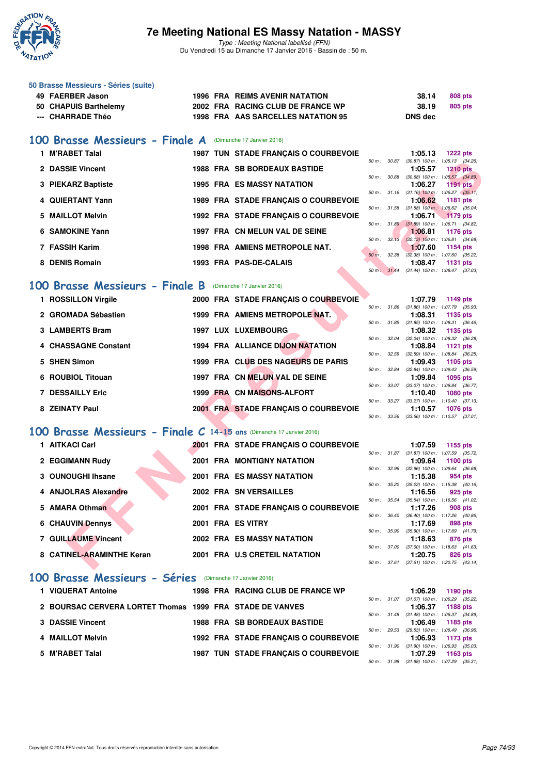

Type : Meeting National labellisé (FFN) Du Vendredi 15 au Dimanche 17 Janvier 2016 - Bassin de : 50 m.

#### **50 Brasse Messieurs - Séries (suite)**

| 49 FAERBER Jason      |  | 1996 FRA REIMS AVENIR NATATION     | 38.14   | 808 pts |
|-----------------------|--|------------------------------------|---------|---------|
| 50 CHAPUIS Barthelemy |  | 2002 FRA RACING CLUB DE FRANCE WP  | 38.19   | 805 pts |
| --- CHARRADE Théo     |  | 1998 FRA AAS SARCELLES NATATION 95 | DNS dec |         |

### **[100 Brasse Messieurs - Finale A](http://www.ffnatation.fr/webffn/resultats.php?idact=nat&go=epr&idcpt=35299&idepr=72)** (Dimanche 17 Janvier 2016)

| 1 M'RABET Talal    |  | 1987 TUN STADE FRANÇAIS O COURBEVOIE  |                        |       | 1:05.13                                                   | $1222$ pts |  |
|--------------------|--|---------------------------------------|------------------------|-------|-----------------------------------------------------------|------------|--|
|                    |  |                                       | $50 m$ : $30.87$       |       | $(30.87)$ 100 m : 1:05.13 $(34.26)$                       |            |  |
| 2 DASSIE Vincent   |  | <b>1988 FRA SB BORDEAUX BASTIDE</b>   |                        |       | 1:05.57                                                   | $1210$ pts |  |
|                    |  |                                       | 50 m: 30.68            |       | $(30.68)$ 100 m : 1:05.57 $(34.89)$                       |            |  |
| 3 PIEKARZ Baptiste |  | <b>1995 FRA ES MASSY NATATION</b>     |                        |       | 1:06.27                                                   | $1191$ pts |  |
|                    |  |                                       | 50 m: 31.16            |       | $(31.16)$ 100 m : 1:06.27 $(35.11)$                       |            |  |
| 4 QUIERTANT Yann   |  | 1989 FRA STADE FRANCAIS O COURBEVOIE  |                        |       | 1:06.62                                                   | 1181 pts   |  |
| 5 MAILLOT Melvin   |  | 1992 FRA STADE FRANCAIS O COURBEVOIE  | 50 m: 31.58            |       | $(31.58)$ 100 m : 1:06.62 $(35.04)$<br>$1:06.71$ 1179 pts |            |  |
|                    |  |                                       |                        |       | 50 m: 31.89 (31.89) 100 m: 1:06.71 (34.82)                |            |  |
| 6 SAMOKINE Yann    |  | 1997 FRA CN MELUN VAL DE SEINE        |                        |       | 1:06.81                                                   | 1176 pts   |  |
|                    |  |                                       | 50 m : 32.13           |       | $(32.13)$ 100 m : 1:06.81 $(34.68)$                       |            |  |
| 7 FASSIH Karim     |  | <b>1998 FRA AMIENS METROPOLE NAT.</b> |                        |       | 1:07.60                                                   | 1154 pts   |  |
|                    |  |                                       | $50 m$ :               | 32.38 | $(32.38)$ 100 m : 1:07.60 $(35.22)$                       |            |  |
| 8 DENIS Romain     |  | 1993 FRA PAS-DE-CALAIS                |                        |       | 1:08.47                                                   | 1131 pts   |  |
|                    |  |                                       | $50 \text{ m}$ : 31.44 |       | $(31.44)$ 100 m : 1:08.47 $(37.03)$                       |            |  |

### **[100 Brasse Messieurs - Finale B](http://www.ffnatation.fr/webffn/resultats.php?idact=nat&go=epr&idcpt=35299&idepr=72)** (Dimanche 17 Janvier 2016)

| 2 DASSIE Vincent<br><b>1988 FRA SB BORDEAUX BASTIDE</b><br>1:05.57<br><b>1210 pts</b><br>$(30.68)$ 100 m : 1:05.57 $(34.89)$<br>50 m: 30.68<br>3 PIEKARZ Baptiste<br><b>1995 FRA ES MASSY NATATION</b><br>1:06.27<br><b>1191 pts</b><br>50 m: 31.16 (31.16) 100 m: 1:06.27 (35.11)<br>4 QUIERTANT Yann<br>1989 FRA STADE FRANÇAIS O COURBEVOIE<br>1:06.62<br>1181 pts<br>$(31.58)$ 100 m : 1:06.62 $(35.04)$<br>50 m : 31.58<br>5 MAILLOT Melvin<br>1992 FRA STADE FRANÇAIS O COURBEVOIE<br>1:06.71<br><b>1179 pts</b><br>50 m : 31.89<br>$(31.89)$ 100 m : 1:06.71 $(34.82)$<br>6 SAMOKINE Yann<br>1997 FRA CN MELUN VAL DE SEINE<br>1:06.81<br><b>1176 pts</b><br>$(32.13)$ 100 m : 1:06.81 $(34.68)$<br>50 m: 32.13<br>7 FASSIH Karim<br>1998 FRA AMIENS METROPOLE NAT.<br>1:07.60<br>1154 pts<br>$(32.38)$ 100 m : 1:07.60 $(35.22)$<br>50 m: 32.38<br>8 DENIS Romain<br>1993 FRA PAS-DE-CALAIS<br>1:08.47<br><b>1131 pts</b><br>50 m: 31.44<br>$(31.44)$ 100 m : 1:08.47 $(37.03)$<br>00 Brasse Messieurs - Finale B<br>(Dimanche 17 Janvier 2016)<br>1 ROSSILLON Virgile<br>2000 FRA STADE FRANÇAIS O COURBEVOIE<br>1:07.79<br>1149 pts<br>$(31.86)$ 100 m : 1:07.79 $(35.93)$<br>50 m : 31.86<br>2 GROMADA Sébastien<br>1999 FRA AMIENS METROPOLE NAT.<br>1:08.31<br>1135 pts<br>$(31.85)$ 100 m : 1:08.31 $(36.46)$<br>50 m : 31.85<br>3 LAMBERTS Bram<br><b>1997 LUX LUXEMBOURG</b><br>1:08.32<br>1135 pts<br>50 m : 32.04<br>$(32.04)$ 100 m : 1:08.32 $(36.28)$<br>4 CHASSAGNE Constant<br><b>1994 FRA ALLIANCE DIJON NATATION</b><br>1:08.84<br>1121 pts<br>$(32.59)$ 100 m : 1:08.84 $(36.25)$<br>50 m: 32.59<br>5 SHEN Simon<br>1999 FRA CLUB DES NAGEURS DE PARIS<br>1:09.43<br>1105 pts<br>$(32.84)$ 100 m : 1:09.43 $(36.59)$<br>50 m : 32.84<br>1997 FRA CN MELUN VAL DE SEINE<br>6 ROUBIOL Titouan<br>1:09.84<br>1095 pts<br>50 m: 33.07 (33.07) 100 m: 1:09.84 (36.77)<br><b>7 DESSAILLY Eric</b><br>1999 FRA CN MAISONS-ALFORT<br>1:10.40<br><b>1080 pts</b><br>$(33.27)$ 100 m : 1:10.40 $(37.13)$<br>50 m : 33.27<br>8 ZEINATY Paul<br>2001 FRA STADE FRANÇAIS O COURBEVOIE<br>1:10.57<br><b>1076 pts</b><br>50 m : 33.56<br>$(33.56)$ 100 m : 1:10.57 $(37.01)$<br>00 Brasse Messieurs - Finale $C$ 14-15 ans (Dimanche 17 Janvier 2016)<br>1 AITKACI Carl<br>2001 FRA STADE FRANÇAIS O COURBEVOIE<br>1:07.59<br>1155 pts<br>50 m: 31.87 (31.87) 100 m: 1:07.59 (35.72)<br>2 EGGIMANN Rudy<br><b>2001 FRA MONTIGNY NATATION</b><br>1:09.64<br><b>1100 pts</b><br>50 m: 32.96<br>$(32.96)$ 100 m : 1:09.64 $(36.68)$<br>3 OUNOUGHI Ihsane<br><b>2001 FRA ES MASSY NATATION</b><br>1:15.38<br>954 pts<br>50 m: 35.22 (35.22) 100 m: 1:15.38 (40.16)<br>4 ANJOLRAS Alexandre<br>2002 FRA SN VERSAILLES<br>1:16.56<br>925 pts<br>$(35.54)$ 100 m : 1:16.56 $(41.02)$<br>50 m : 35.54<br>5 AMARA Othman<br>2001 FRA STADE FRANÇAIS O COURBEVOIE<br>1:17.26<br>908 pts<br>$(36.40)$ 100 m : 1:17.26 $(40.86)$<br>50 m : 36.40<br><b>6 CHAUVIN Dennys</b><br>2001 FRA ES VITRY<br>1:17.69<br>898 pts<br>$(35.90)$ 100 m : 1:17.69 $(41.79)$<br>50 m : 35.90<br>7 GUILLAUME Vincent<br><b>2002 FRA ES MASSY NATATION</b><br>1:18.63<br>876 pts<br>50 m : 37.00<br>$(37.00)$ 100 m : 1:18.63 $(41.63)$<br>8 CATINEL-ARAMINTHE Keran<br>2001 FRA U.S CRETEIL NATATION<br>1:20.75<br><b>826 pts</b><br>50 m: 37.61 (37.61) 100 m: 1:20.75 (43.14) |  |  |  | 50 m : 30.87 | $(30.87)$ 100 m : 1:05.13 $(34.26)$ |  |
|----------------------------------------------------------------------------------------------------------------------------------------------------------------------------------------------------------------------------------------------------------------------------------------------------------------------------------------------------------------------------------------------------------------------------------------------------------------------------------------------------------------------------------------------------------------------------------------------------------------------------------------------------------------------------------------------------------------------------------------------------------------------------------------------------------------------------------------------------------------------------------------------------------------------------------------------------------------------------------------------------------------------------------------------------------------------------------------------------------------------------------------------------------------------------------------------------------------------------------------------------------------------------------------------------------------------------------------------------------------------------------------------------------------------------------------------------------------------------------------------------------------------------------------------------------------------------------------------------------------------------------------------------------------------------------------------------------------------------------------------------------------------------------------------------------------------------------------------------------------------------------------------------------------------------------------------------------------------------------------------------------------------------------------------------------------------------------------------------------------------------------------------------------------------------------------------------------------------------------------------------------------------------------------------------------------------------------------------------------------------------------------------------------------------------------------------------------------------------------------------------------------------------------------------------------------------------------------------------------------------------------------------------------------------------------------------------------------------------------------------------------------------------------------------------------------------------------------------------------------------------------------------------------------------------------------------------------------------------------------------------------------------------------------------------------------------------------------------------------------------------------------------------------------------------------------------------------------------------------------------------------------------------------------------------------------------------------------------------------------|--|--|--|--------------|-------------------------------------|--|
|                                                                                                                                                                                                                                                                                                                                                                                                                                                                                                                                                                                                                                                                                                                                                                                                                                                                                                                                                                                                                                                                                                                                                                                                                                                                                                                                                                                                                                                                                                                                                                                                                                                                                                                                                                                                                                                                                                                                                                                                                                                                                                                                                                                                                                                                                                                                                                                                                                                                                                                                                                                                                                                                                                                                                                                                                                                                                                                                                                                                                                                                                                                                                                                                                                                                                                                                                                |  |  |  |              |                                     |  |
|                                                                                                                                                                                                                                                                                                                                                                                                                                                                                                                                                                                                                                                                                                                                                                                                                                                                                                                                                                                                                                                                                                                                                                                                                                                                                                                                                                                                                                                                                                                                                                                                                                                                                                                                                                                                                                                                                                                                                                                                                                                                                                                                                                                                                                                                                                                                                                                                                                                                                                                                                                                                                                                                                                                                                                                                                                                                                                                                                                                                                                                                                                                                                                                                                                                                                                                                                                |  |  |  |              |                                     |  |
|                                                                                                                                                                                                                                                                                                                                                                                                                                                                                                                                                                                                                                                                                                                                                                                                                                                                                                                                                                                                                                                                                                                                                                                                                                                                                                                                                                                                                                                                                                                                                                                                                                                                                                                                                                                                                                                                                                                                                                                                                                                                                                                                                                                                                                                                                                                                                                                                                                                                                                                                                                                                                                                                                                                                                                                                                                                                                                                                                                                                                                                                                                                                                                                                                                                                                                                                                                |  |  |  |              |                                     |  |
|                                                                                                                                                                                                                                                                                                                                                                                                                                                                                                                                                                                                                                                                                                                                                                                                                                                                                                                                                                                                                                                                                                                                                                                                                                                                                                                                                                                                                                                                                                                                                                                                                                                                                                                                                                                                                                                                                                                                                                                                                                                                                                                                                                                                                                                                                                                                                                                                                                                                                                                                                                                                                                                                                                                                                                                                                                                                                                                                                                                                                                                                                                                                                                                                                                                                                                                                                                |  |  |  |              |                                     |  |
|                                                                                                                                                                                                                                                                                                                                                                                                                                                                                                                                                                                                                                                                                                                                                                                                                                                                                                                                                                                                                                                                                                                                                                                                                                                                                                                                                                                                                                                                                                                                                                                                                                                                                                                                                                                                                                                                                                                                                                                                                                                                                                                                                                                                                                                                                                                                                                                                                                                                                                                                                                                                                                                                                                                                                                                                                                                                                                                                                                                                                                                                                                                                                                                                                                                                                                                                                                |  |  |  |              |                                     |  |
|                                                                                                                                                                                                                                                                                                                                                                                                                                                                                                                                                                                                                                                                                                                                                                                                                                                                                                                                                                                                                                                                                                                                                                                                                                                                                                                                                                                                                                                                                                                                                                                                                                                                                                                                                                                                                                                                                                                                                                                                                                                                                                                                                                                                                                                                                                                                                                                                                                                                                                                                                                                                                                                                                                                                                                                                                                                                                                                                                                                                                                                                                                                                                                                                                                                                                                                                                                |  |  |  |              |                                     |  |
|                                                                                                                                                                                                                                                                                                                                                                                                                                                                                                                                                                                                                                                                                                                                                                                                                                                                                                                                                                                                                                                                                                                                                                                                                                                                                                                                                                                                                                                                                                                                                                                                                                                                                                                                                                                                                                                                                                                                                                                                                                                                                                                                                                                                                                                                                                                                                                                                                                                                                                                                                                                                                                                                                                                                                                                                                                                                                                                                                                                                                                                                                                                                                                                                                                                                                                                                                                |  |  |  |              |                                     |  |
|                                                                                                                                                                                                                                                                                                                                                                                                                                                                                                                                                                                                                                                                                                                                                                                                                                                                                                                                                                                                                                                                                                                                                                                                                                                                                                                                                                                                                                                                                                                                                                                                                                                                                                                                                                                                                                                                                                                                                                                                                                                                                                                                                                                                                                                                                                                                                                                                                                                                                                                                                                                                                                                                                                                                                                                                                                                                                                                                                                                                                                                                                                                                                                                                                                                                                                                                                                |  |  |  |              |                                     |  |
|                                                                                                                                                                                                                                                                                                                                                                                                                                                                                                                                                                                                                                                                                                                                                                                                                                                                                                                                                                                                                                                                                                                                                                                                                                                                                                                                                                                                                                                                                                                                                                                                                                                                                                                                                                                                                                                                                                                                                                                                                                                                                                                                                                                                                                                                                                                                                                                                                                                                                                                                                                                                                                                                                                                                                                                                                                                                                                                                                                                                                                                                                                                                                                                                                                                                                                                                                                |  |  |  |              |                                     |  |
|                                                                                                                                                                                                                                                                                                                                                                                                                                                                                                                                                                                                                                                                                                                                                                                                                                                                                                                                                                                                                                                                                                                                                                                                                                                                                                                                                                                                                                                                                                                                                                                                                                                                                                                                                                                                                                                                                                                                                                                                                                                                                                                                                                                                                                                                                                                                                                                                                                                                                                                                                                                                                                                                                                                                                                                                                                                                                                                                                                                                                                                                                                                                                                                                                                                                                                                                                                |  |  |  |              |                                     |  |
|                                                                                                                                                                                                                                                                                                                                                                                                                                                                                                                                                                                                                                                                                                                                                                                                                                                                                                                                                                                                                                                                                                                                                                                                                                                                                                                                                                                                                                                                                                                                                                                                                                                                                                                                                                                                                                                                                                                                                                                                                                                                                                                                                                                                                                                                                                                                                                                                                                                                                                                                                                                                                                                                                                                                                                                                                                                                                                                                                                                                                                                                                                                                                                                                                                                                                                                                                                |  |  |  |              |                                     |  |
|                                                                                                                                                                                                                                                                                                                                                                                                                                                                                                                                                                                                                                                                                                                                                                                                                                                                                                                                                                                                                                                                                                                                                                                                                                                                                                                                                                                                                                                                                                                                                                                                                                                                                                                                                                                                                                                                                                                                                                                                                                                                                                                                                                                                                                                                                                                                                                                                                                                                                                                                                                                                                                                                                                                                                                                                                                                                                                                                                                                                                                                                                                                                                                                                                                                                                                                                                                |  |  |  |              |                                     |  |
|                                                                                                                                                                                                                                                                                                                                                                                                                                                                                                                                                                                                                                                                                                                                                                                                                                                                                                                                                                                                                                                                                                                                                                                                                                                                                                                                                                                                                                                                                                                                                                                                                                                                                                                                                                                                                                                                                                                                                                                                                                                                                                                                                                                                                                                                                                                                                                                                                                                                                                                                                                                                                                                                                                                                                                                                                                                                                                                                                                                                                                                                                                                                                                                                                                                                                                                                                                |  |  |  |              |                                     |  |
|                                                                                                                                                                                                                                                                                                                                                                                                                                                                                                                                                                                                                                                                                                                                                                                                                                                                                                                                                                                                                                                                                                                                                                                                                                                                                                                                                                                                                                                                                                                                                                                                                                                                                                                                                                                                                                                                                                                                                                                                                                                                                                                                                                                                                                                                                                                                                                                                                                                                                                                                                                                                                                                                                                                                                                                                                                                                                                                                                                                                                                                                                                                                                                                                                                                                                                                                                                |  |  |  |              |                                     |  |
|                                                                                                                                                                                                                                                                                                                                                                                                                                                                                                                                                                                                                                                                                                                                                                                                                                                                                                                                                                                                                                                                                                                                                                                                                                                                                                                                                                                                                                                                                                                                                                                                                                                                                                                                                                                                                                                                                                                                                                                                                                                                                                                                                                                                                                                                                                                                                                                                                                                                                                                                                                                                                                                                                                                                                                                                                                                                                                                                                                                                                                                                                                                                                                                                                                                                                                                                                                |  |  |  |              |                                     |  |
|                                                                                                                                                                                                                                                                                                                                                                                                                                                                                                                                                                                                                                                                                                                                                                                                                                                                                                                                                                                                                                                                                                                                                                                                                                                                                                                                                                                                                                                                                                                                                                                                                                                                                                                                                                                                                                                                                                                                                                                                                                                                                                                                                                                                                                                                                                                                                                                                                                                                                                                                                                                                                                                                                                                                                                                                                                                                                                                                                                                                                                                                                                                                                                                                                                                                                                                                                                |  |  |  |              |                                     |  |
|                                                                                                                                                                                                                                                                                                                                                                                                                                                                                                                                                                                                                                                                                                                                                                                                                                                                                                                                                                                                                                                                                                                                                                                                                                                                                                                                                                                                                                                                                                                                                                                                                                                                                                                                                                                                                                                                                                                                                                                                                                                                                                                                                                                                                                                                                                                                                                                                                                                                                                                                                                                                                                                                                                                                                                                                                                                                                                                                                                                                                                                                                                                                                                                                                                                                                                                                                                |  |  |  |              |                                     |  |
|                                                                                                                                                                                                                                                                                                                                                                                                                                                                                                                                                                                                                                                                                                                                                                                                                                                                                                                                                                                                                                                                                                                                                                                                                                                                                                                                                                                                                                                                                                                                                                                                                                                                                                                                                                                                                                                                                                                                                                                                                                                                                                                                                                                                                                                                                                                                                                                                                                                                                                                                                                                                                                                                                                                                                                                                                                                                                                                                                                                                                                                                                                                                                                                                                                                                                                                                                                |  |  |  |              |                                     |  |
|                                                                                                                                                                                                                                                                                                                                                                                                                                                                                                                                                                                                                                                                                                                                                                                                                                                                                                                                                                                                                                                                                                                                                                                                                                                                                                                                                                                                                                                                                                                                                                                                                                                                                                                                                                                                                                                                                                                                                                                                                                                                                                                                                                                                                                                                                                                                                                                                                                                                                                                                                                                                                                                                                                                                                                                                                                                                                                                                                                                                                                                                                                                                                                                                                                                                                                                                                                |  |  |  |              |                                     |  |
|                                                                                                                                                                                                                                                                                                                                                                                                                                                                                                                                                                                                                                                                                                                                                                                                                                                                                                                                                                                                                                                                                                                                                                                                                                                                                                                                                                                                                                                                                                                                                                                                                                                                                                                                                                                                                                                                                                                                                                                                                                                                                                                                                                                                                                                                                                                                                                                                                                                                                                                                                                                                                                                                                                                                                                                                                                                                                                                                                                                                                                                                                                                                                                                                                                                                                                                                                                |  |  |  |              |                                     |  |
|                                                                                                                                                                                                                                                                                                                                                                                                                                                                                                                                                                                                                                                                                                                                                                                                                                                                                                                                                                                                                                                                                                                                                                                                                                                                                                                                                                                                                                                                                                                                                                                                                                                                                                                                                                                                                                                                                                                                                                                                                                                                                                                                                                                                                                                                                                                                                                                                                                                                                                                                                                                                                                                                                                                                                                                                                                                                                                                                                                                                                                                                                                                                                                                                                                                                                                                                                                |  |  |  |              |                                     |  |
|                                                                                                                                                                                                                                                                                                                                                                                                                                                                                                                                                                                                                                                                                                                                                                                                                                                                                                                                                                                                                                                                                                                                                                                                                                                                                                                                                                                                                                                                                                                                                                                                                                                                                                                                                                                                                                                                                                                                                                                                                                                                                                                                                                                                                                                                                                                                                                                                                                                                                                                                                                                                                                                                                                                                                                                                                                                                                                                                                                                                                                                                                                                                                                                                                                                                                                                                                                |  |  |  |              |                                     |  |
|                                                                                                                                                                                                                                                                                                                                                                                                                                                                                                                                                                                                                                                                                                                                                                                                                                                                                                                                                                                                                                                                                                                                                                                                                                                                                                                                                                                                                                                                                                                                                                                                                                                                                                                                                                                                                                                                                                                                                                                                                                                                                                                                                                                                                                                                                                                                                                                                                                                                                                                                                                                                                                                                                                                                                                                                                                                                                                                                                                                                                                                                                                                                                                                                                                                                                                                                                                |  |  |  |              |                                     |  |
|                                                                                                                                                                                                                                                                                                                                                                                                                                                                                                                                                                                                                                                                                                                                                                                                                                                                                                                                                                                                                                                                                                                                                                                                                                                                                                                                                                                                                                                                                                                                                                                                                                                                                                                                                                                                                                                                                                                                                                                                                                                                                                                                                                                                                                                                                                                                                                                                                                                                                                                                                                                                                                                                                                                                                                                                                                                                                                                                                                                                                                                                                                                                                                                                                                                                                                                                                                |  |  |  |              |                                     |  |
|                                                                                                                                                                                                                                                                                                                                                                                                                                                                                                                                                                                                                                                                                                                                                                                                                                                                                                                                                                                                                                                                                                                                                                                                                                                                                                                                                                                                                                                                                                                                                                                                                                                                                                                                                                                                                                                                                                                                                                                                                                                                                                                                                                                                                                                                                                                                                                                                                                                                                                                                                                                                                                                                                                                                                                                                                                                                                                                                                                                                                                                                                                                                                                                                                                                                                                                                                                |  |  |  |              |                                     |  |
|                                                                                                                                                                                                                                                                                                                                                                                                                                                                                                                                                                                                                                                                                                                                                                                                                                                                                                                                                                                                                                                                                                                                                                                                                                                                                                                                                                                                                                                                                                                                                                                                                                                                                                                                                                                                                                                                                                                                                                                                                                                                                                                                                                                                                                                                                                                                                                                                                                                                                                                                                                                                                                                                                                                                                                                                                                                                                                                                                                                                                                                                                                                                                                                                                                                                                                                                                                |  |  |  |              |                                     |  |
|                                                                                                                                                                                                                                                                                                                                                                                                                                                                                                                                                                                                                                                                                                                                                                                                                                                                                                                                                                                                                                                                                                                                                                                                                                                                                                                                                                                                                                                                                                                                                                                                                                                                                                                                                                                                                                                                                                                                                                                                                                                                                                                                                                                                                                                                                                                                                                                                                                                                                                                                                                                                                                                                                                                                                                                                                                                                                                                                                                                                                                                                                                                                                                                                                                                                                                                                                                |  |  |  |              |                                     |  |
|                                                                                                                                                                                                                                                                                                                                                                                                                                                                                                                                                                                                                                                                                                                                                                                                                                                                                                                                                                                                                                                                                                                                                                                                                                                                                                                                                                                                                                                                                                                                                                                                                                                                                                                                                                                                                                                                                                                                                                                                                                                                                                                                                                                                                                                                                                                                                                                                                                                                                                                                                                                                                                                                                                                                                                                                                                                                                                                                                                                                                                                                                                                                                                                                                                                                                                                                                                |  |  |  |              |                                     |  |
|                                                                                                                                                                                                                                                                                                                                                                                                                                                                                                                                                                                                                                                                                                                                                                                                                                                                                                                                                                                                                                                                                                                                                                                                                                                                                                                                                                                                                                                                                                                                                                                                                                                                                                                                                                                                                                                                                                                                                                                                                                                                                                                                                                                                                                                                                                                                                                                                                                                                                                                                                                                                                                                                                                                                                                                                                                                                                                                                                                                                                                                                                                                                                                                                                                                                                                                                                                |  |  |  |              |                                     |  |
|                                                                                                                                                                                                                                                                                                                                                                                                                                                                                                                                                                                                                                                                                                                                                                                                                                                                                                                                                                                                                                                                                                                                                                                                                                                                                                                                                                                                                                                                                                                                                                                                                                                                                                                                                                                                                                                                                                                                                                                                                                                                                                                                                                                                                                                                                                                                                                                                                                                                                                                                                                                                                                                                                                                                                                                                                                                                                                                                                                                                                                                                                                                                                                                                                                                                                                                                                                |  |  |  |              |                                     |  |
|                                                                                                                                                                                                                                                                                                                                                                                                                                                                                                                                                                                                                                                                                                                                                                                                                                                                                                                                                                                                                                                                                                                                                                                                                                                                                                                                                                                                                                                                                                                                                                                                                                                                                                                                                                                                                                                                                                                                                                                                                                                                                                                                                                                                                                                                                                                                                                                                                                                                                                                                                                                                                                                                                                                                                                                                                                                                                                                                                                                                                                                                                                                                                                                                                                                                                                                                                                |  |  |  |              |                                     |  |
|                                                                                                                                                                                                                                                                                                                                                                                                                                                                                                                                                                                                                                                                                                                                                                                                                                                                                                                                                                                                                                                                                                                                                                                                                                                                                                                                                                                                                                                                                                                                                                                                                                                                                                                                                                                                                                                                                                                                                                                                                                                                                                                                                                                                                                                                                                                                                                                                                                                                                                                                                                                                                                                                                                                                                                                                                                                                                                                                                                                                                                                                                                                                                                                                                                                                                                                                                                |  |  |  |              |                                     |  |
|                                                                                                                                                                                                                                                                                                                                                                                                                                                                                                                                                                                                                                                                                                                                                                                                                                                                                                                                                                                                                                                                                                                                                                                                                                                                                                                                                                                                                                                                                                                                                                                                                                                                                                                                                                                                                                                                                                                                                                                                                                                                                                                                                                                                                                                                                                                                                                                                                                                                                                                                                                                                                                                                                                                                                                                                                                                                                                                                                                                                                                                                                                                                                                                                                                                                                                                                                                |  |  |  |              |                                     |  |
|                                                                                                                                                                                                                                                                                                                                                                                                                                                                                                                                                                                                                                                                                                                                                                                                                                                                                                                                                                                                                                                                                                                                                                                                                                                                                                                                                                                                                                                                                                                                                                                                                                                                                                                                                                                                                                                                                                                                                                                                                                                                                                                                                                                                                                                                                                                                                                                                                                                                                                                                                                                                                                                                                                                                                                                                                                                                                                                                                                                                                                                                                                                                                                                                                                                                                                                                                                |  |  |  |              |                                     |  |
|                                                                                                                                                                                                                                                                                                                                                                                                                                                                                                                                                                                                                                                                                                                                                                                                                                                                                                                                                                                                                                                                                                                                                                                                                                                                                                                                                                                                                                                                                                                                                                                                                                                                                                                                                                                                                                                                                                                                                                                                                                                                                                                                                                                                                                                                                                                                                                                                                                                                                                                                                                                                                                                                                                                                                                                                                                                                                                                                                                                                                                                                                                                                                                                                                                                                                                                                                                |  |  |  |              |                                     |  |
|                                                                                                                                                                                                                                                                                                                                                                                                                                                                                                                                                                                                                                                                                                                                                                                                                                                                                                                                                                                                                                                                                                                                                                                                                                                                                                                                                                                                                                                                                                                                                                                                                                                                                                                                                                                                                                                                                                                                                                                                                                                                                                                                                                                                                                                                                                                                                                                                                                                                                                                                                                                                                                                                                                                                                                                                                                                                                                                                                                                                                                                                                                                                                                                                                                                                                                                                                                |  |  |  |              |                                     |  |
|                                                                                                                                                                                                                                                                                                                                                                                                                                                                                                                                                                                                                                                                                                                                                                                                                                                                                                                                                                                                                                                                                                                                                                                                                                                                                                                                                                                                                                                                                                                                                                                                                                                                                                                                                                                                                                                                                                                                                                                                                                                                                                                                                                                                                                                                                                                                                                                                                                                                                                                                                                                                                                                                                                                                                                                                                                                                                                                                                                                                                                                                                                                                                                                                                                                                                                                                                                |  |  |  |              |                                     |  |
|                                                                                                                                                                                                                                                                                                                                                                                                                                                                                                                                                                                                                                                                                                                                                                                                                                                                                                                                                                                                                                                                                                                                                                                                                                                                                                                                                                                                                                                                                                                                                                                                                                                                                                                                                                                                                                                                                                                                                                                                                                                                                                                                                                                                                                                                                                                                                                                                                                                                                                                                                                                                                                                                                                                                                                                                                                                                                                                                                                                                                                                                                                                                                                                                                                                                                                                                                                |  |  |  |              |                                     |  |
|                                                                                                                                                                                                                                                                                                                                                                                                                                                                                                                                                                                                                                                                                                                                                                                                                                                                                                                                                                                                                                                                                                                                                                                                                                                                                                                                                                                                                                                                                                                                                                                                                                                                                                                                                                                                                                                                                                                                                                                                                                                                                                                                                                                                                                                                                                                                                                                                                                                                                                                                                                                                                                                                                                                                                                                                                                                                                                                                                                                                                                                                                                                                                                                                                                                                                                                                                                |  |  |  |              |                                     |  |
|                                                                                                                                                                                                                                                                                                                                                                                                                                                                                                                                                                                                                                                                                                                                                                                                                                                                                                                                                                                                                                                                                                                                                                                                                                                                                                                                                                                                                                                                                                                                                                                                                                                                                                                                                                                                                                                                                                                                                                                                                                                                                                                                                                                                                                                                                                                                                                                                                                                                                                                                                                                                                                                                                                                                                                                                                                                                                                                                                                                                                                                                                                                                                                                                                                                                                                                                                                |  |  |  |              |                                     |  |
|                                                                                                                                                                                                                                                                                                                                                                                                                                                                                                                                                                                                                                                                                                                                                                                                                                                                                                                                                                                                                                                                                                                                                                                                                                                                                                                                                                                                                                                                                                                                                                                                                                                                                                                                                                                                                                                                                                                                                                                                                                                                                                                                                                                                                                                                                                                                                                                                                                                                                                                                                                                                                                                                                                                                                                                                                                                                                                                                                                                                                                                                                                                                                                                                                                                                                                                                                                |  |  |  |              |                                     |  |
|                                                                                                                                                                                                                                                                                                                                                                                                                                                                                                                                                                                                                                                                                                                                                                                                                                                                                                                                                                                                                                                                                                                                                                                                                                                                                                                                                                                                                                                                                                                                                                                                                                                                                                                                                                                                                                                                                                                                                                                                                                                                                                                                                                                                                                                                                                                                                                                                                                                                                                                                                                                                                                                                                                                                                                                                                                                                                                                                                                                                                                                                                                                                                                                                                                                                                                                                                                |  |  |  |              |                                     |  |

### **[100 Brasse Messieurs - Finale C](http://www.ffnatation.fr/webffn/resultats.php?idact=nat&go=epr&idcpt=35299&idepr=72) 14-15 ans** (Dimanche 17 Janvier 2016)

| 1 AITKACI Carl            |  | <b>2001 FRA STADE FRANCAIS O COURBEVOIE</b> |                        |                  | 1:07.59                                     | 1155 pts |         |
|---------------------------|--|---------------------------------------------|------------------------|------------------|---------------------------------------------|----------|---------|
|                           |  |                                             |                        | 50 m: 31.87      | $(31.87)$ 100 m : 1:07.59 (35.              |          |         |
| 2 EGGIMANN Rudy           |  | <b>2001 FRA MONTIGNY NATATION</b>           |                        |                  | 1:09.64                                     | 1100 pts |         |
| 3 OUNOUGHI Ihsane         |  | <b>2001 FRA ES MASSY NATATION</b>           | 50 m: 32.96            |                  | $(32.96)$ 100 m : 1:09.64 (36.<br>1:15.38   |          | 954 pts |
| 4 ANJOLRAS Alexandre      |  | 2002 FRA SN VERSAILLES                      |                        | $50 m$ : $35.22$ | $(35.22)$ 100 m : 1:15.38 (40.<br>1:16.56   |          | 925 pts |
| 5 AMARA Othman            |  | 2001 FRA STADE FRANCAIS O COURBEVOIE        | $50 \text{ m}$ : 35.54 |                  | $(35.54)$ 100 m : 1:16.56 (41.<br>1:17.26   |          | 908 pts |
| 6 CHAUVIN Dennys          |  | 2001 FRA ES VITRY                           |                        | $50 m$ : $36.40$ | $(36.40)$ 100 m : 1:17.26 $(40.$<br>1:17.69 |          | 898 pts |
|                           |  |                                             |                        | 50 m: 35.90      | $(35.90)$ 100 m : 1:17.69 (41.              |          |         |
| 7 GUILLAUME Vincent       |  | 2002 FRA ES MASSY NATATION                  |                        | 50 m : 37.00     | 1:18.63<br>$(37.00)$ 100 m : 1:18.63 (41.   |          | 876 pts |
| 8 CATINEL-ARAMINTHE Keran |  | 2001 FRA U.S CRETEIL NATATION               |                        |                  | 1:20.75                                     |          | 826 pts |

### **[100 Brasse Messieurs - Séries](http://www.ffnatation.fr/webffn/resultats.php?idact=nat&go=epr&idcpt=35299&idepr=72)** (Dimanche 17 Janvier 2016)

| 1 VIQUERAT Antoine                                       |  | 1998 FRA RACING CLUB DE FRANCE WP    |             |              | 1:06.29                                                        | 1190 pts   |  |
|----------------------------------------------------------|--|--------------------------------------|-------------|--------------|----------------------------------------------------------------|------------|--|
|                                                          |  |                                      |             |              | 50 m: 31.07 (31.07) 100 m: 1:06.29 (35.22)                     |            |  |
| 2 BOURSAC CERVERA LORTET Thomas 1999 FRA STADE DE VANVES |  |                                      |             |              | 1:06.37 1188 pts<br>50 m: 31.48 (31.48) 100 m: 1:06.37 (34.89) |            |  |
| 3 DASSIE Vincent                                         |  | <b>1988 FRA SB BORDEAUX BASTIDE</b>  |             |              | $1:06.49$ 1185 pts                                             |            |  |
|                                                          |  |                                      | 50 m: 29.53 |              | $(29.53)$ 100 m : 1:06.49 $(36.96)$                            |            |  |
| 4 MAILLOT Melvin                                         |  | 1992 FRA STADE FRANCAIS O COURBEVOIE |             |              | $1:06.93$ 1173 pts                                             |            |  |
|                                                          |  |                                      |             | 50 m : 31.90 | $(31.90)$ 100 m : 1:06.93 $(35.03)$                            |            |  |
| 5 M'RABET Talal                                          |  | 1987 TUN STADE FRANÇAIS O COURBEVOIE |             |              | 1:07.29                                                        | 1163 $pts$ |  |
|                                                          |  |                                      |             |              | 50 m: 31.98 (31.98) 100 m: 1:07.29 (35.31)                     |            |  |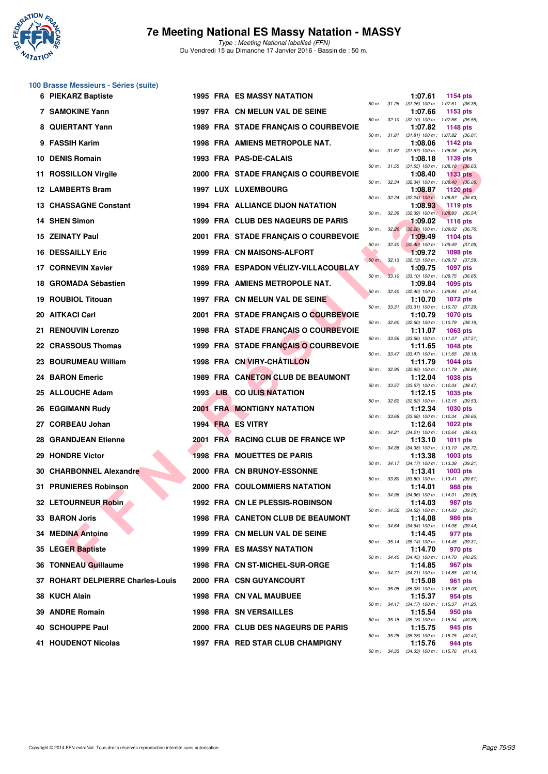

| 100 Brasse Messieurs - Séries (suite) |  |  |  |
|---------------------------------------|--|--|--|
|---------------------------------------|--|--|--|

|     | 6 PIEKARZ Baptiste                |  | <b>1995 FRA ES MASSY NATATION</b>        |              |              | 1:07.61 | 1154 pts                                                      |
|-----|-----------------------------------|--|------------------------------------------|--------------|--------------|---------|---------------------------------------------------------------|
|     | 7 SAMOKINE Yann                   |  | 1997 FRA CN MELUN VAL DE SEINE           |              |              | 1:07.66 | 50 m: 31.26 (31.26) 100 m: 1:07.61 (36.35)<br>1153 pts        |
|     | <b>QUIERTANT Yann</b>             |  | 1989 FRA STADE FRANÇAIS O COURBEVOIE     |              | 50 m : 32.10 | 1:07.82 | $(32.10)$ 100 m : 1:07.66 $(35.56)$<br><b>1148 pts</b>        |
| 9   | <b>FASSIH Karim</b>               |  | 1998 FRA AMIENS METROPOLE NAT.           |              |              | 1:08.06 | 50 m: 31.81 (31.81) 100 m: 1:07.82 (36.01)<br>1142 pts        |
| 10. | <b>DENIS Romain</b>               |  | 1993 FRA PAS-DE-CALAIS                   |              |              | 1:08.18 | 50 m: 31.67 (31.67) 100 m: 1:08.06 (36.39)<br>1139 pts        |
| 11. | <b>ROSSILLON Virgile</b>          |  | 2000 FRA STADE FRANÇAIS O COURBEVOIE     |              |              | 1:08.40 | 50 m: 31.55 (31.55) 100 m: 1:08.18 (36.63)<br><b>1133 pts</b> |
|     | 12 LAMBERTS Bram                  |  | <b>1997 LUX LUXEMBOURG</b>               | 50 m : 32.34 |              | 1:08.87 | $(32.34)$ 100 m : 1:08.40 $(36.06)$<br>1120 pts               |
|     | 13 CHASSAGNE Constant             |  | 1994 FRA ALLIANCE DIJON NATATION         |              | 50 m: 32.24  | 1:08.93 | $(32.24)$ 100 m : 1:08.87 $(36.63)$<br>1119 $pts$             |
|     | 14 SHEN Simon                     |  | 1999 FRA CLUB DES NAGEURS DE PARIS       | 50 m : 32.39 |              | 1:09.02 | $(32.39)$ 100 m : 1:08.93 $(36.54)$<br><b>1116 pts</b>        |
|     | <b>15 ZEINATY Paul</b>            |  | 2001 FRA STADE FRANÇAIS O COURBEVOIE     |              | 50 m: 32.26  | 1:09.49 | $(32.26)$ 100 m : 1:09.02 $(36.76)$<br>1104 pts               |
|     | 16 DESSAILLY Eric                 |  | 1999 FRA CN MAISONS-ALFORT               |              |              | 1:09.72 | 50 m : 32.40 (32.40) 100 m : 1:09.49 (37.09)<br>1098 pts      |
|     | 17 CORNEVIN Xavier                |  | 1989 FRA ESPADON VELIZY-VILLACOUBLAY     | $50 m$ :     | 32.13        | 1:09.75 | $(32.13)$ 100 m : 1:09.72 $(37.59)$<br><b>1097 pts</b>        |
|     | 18 GROMADA Sébastien              |  | 1999 FRA AMIENS METROPOLE NAT.           |              |              | 1:09.84 | 50 m : 33.10 (33.10) 100 m : 1:09.75 (36.65)<br>1095 pts      |
|     | 19 ROUBIOL Titouan                |  | 1997 FRA CN MELUN VAL DE SEINE           | 50 m: 32.40  |              | 1:10.70 | $(32.40)$ 100 m : 1:09.84 $(37.44)$<br>1072 pts               |
|     | 20 AITKACI Carl                   |  | 2001 FRA STADE FRANÇAIS O COURBEVOIE     | 50 m : 33.31 |              | 1:10.79 | $(33.31)$ 100 m : 1:10.70 $(37.39)$<br><b>1070 pts</b>        |
|     | 21 RENOUVIN Lorenzo               |  | 1998 FRA STADE FRANÇAIS O COURBEVOIE     | 50 m: 32.60  |              | 1:11.07 | $(32.60)$ 100 m : 1:10.79 $(38.19)$<br>1063 pts               |
|     | 22 CRASSOUS Thomas                |  | 1999 FRA STADE FRANÇAIS O COURBEVOIE     |              |              | 1:11.65 | 50 m: 33.56 (33.56) 100 m: 1:11.07 (37.51)<br><b>1048 pts</b> |
|     | 23 BOURUMEAU William              |  | 1998 FRA CN VIRY-CHÂTILLON               |              |              | 1:11.79 | 50 m: 33.47 (33.47) 100 m: 1:11.65 (38.18)<br><b>1044 pts</b> |
|     | 24 BARON Emeric                   |  | 1989 FRA CANETON CLUB DE BEAUMONT        | 50 m: 32.95  |              | 1:12.04 | (32.95) 100 m : 1:11.79 (38.84)<br><b>1038 pts</b>            |
|     | 25 ALLOUCHE Adam                  |  | 1993 LIB CO ULIS NATATION                |              |              | 1:12.15 | 50 m: 33.57 (33.57) 100 m: 1:12.04 (38.47)<br><b>1035 pts</b> |
|     | 26 EGGIMANN Rudy                  |  | <b>2001 FRA MONTIGNY NATATION</b>        | 50 m: 32.62  |              | 1:12.34 | $(32.62)$ 100 m : 1:12.15 $(39.53)$<br><b>1030 pts</b>        |
| 27  | <b>CORBEAU Johan</b>              |  | 1994 FRA ES VITRY                        | 50 m: 33.68  |              | 1:12.64 | $(33.68)$ 100 m : 1:12.34 $(38.66)$<br><b>1022 pts</b>        |
|     | <b>28 GRANDJEAN Etienne</b>       |  | 2001 FRA RACING CLUB DE FRANCE WP        |              |              | 1:13.10 | 50 m: 34.21 (34.21) 100 m: 1:12.64 (38.43)<br><b>1011 pts</b> |
|     | 29 HONDRE Victor                  |  | <b>1998 FRA MOUETTES DE PARIS</b>        | 50 m: 34.38  |              | 1:13.38 | $(34.38)$ 100 m : 1:13.10 $(38.72)$<br>$1003$ pts             |
|     | 30 CHARBONNEL Alexandre           |  | 2000 FRA CN BRUNOY-ESSONNE               |              |              | 1:13.41 | 50 m: 34.17 (34.17) 100 m: 1:13.38 (39.21)<br>1003 pts        |
|     | 31 PRUNIERES Robinson             |  | <b>2000 FRA COULOMMIERS NATATION</b>     | 50 m : 33.80 |              | 1:14.01 | $(33.80)$ 100 m : 1:13.41 $(39.61)$<br><b>988 pts</b>         |
|     | 32 LETOURNEUR Robin               |  | 1992 FRA CN LE PLESSIS-ROBINSON          | 50 m: 34.96  |              | 1:14.03 | $(34.96)$ 100 m : 1:14.01 $(39.05)$<br>987 pts                |
|     | 33 BARON Joris                    |  | <b>1998 FRA CANETON CLUB DE BEAUMONT</b> |              |              | 1:14.08 | 50 m: 34.52 (34.52) 100 m: 1:14.03 (39.51)<br>986 pts         |
|     | 34 MEDINA Antoine                 |  | 1999 FRA CN MELUN VAL DE SEINE           |              | 50 m : 34.64 | 1:14.45 | $(34.64)$ 100 m : 1:14.08 $(39.44)$<br>977 pts                |
|     | 35 LEGER Baptiste                 |  | <b>1999 FRA ES MASSY NATATION</b>        |              |              | 1:14.70 | 50 m : 35.14 (35.14) 100 m : 1:14.45 (39.31)<br>970 pts       |
|     | 36 TONNEAU Guillaume              |  | 1998 FRA CN ST-MICHEL-SUR-ORGE           |              |              | 1:14.85 | 50 m: 34.45 (34.45) 100 m: 1:14.70 (40.25)<br>967 pts         |
|     | 37 ROHART DELPIERRE Charles-Louis |  | 2000 FRA CSN GUYANCOURT                  |              | 50 m : 34.71 | 1:15.08 | $(34.71)$ 100 m : 1:14.85 $(40.14)$<br>961 pts                |
|     | 38 KUCH Alain                     |  | 1998 FRA CN VAL MAUBUEE                  | 50 m : 35.08 |              | 1:15.37 | (35.08) 100 m: 1:15.08 (40.00)<br>954 pts                     |
|     | 39 ANDRE Romain                   |  | <b>1998 FRA SN VERSAILLES</b>            |              |              | 1:15.54 | 50 m: 34.17 (34.17) 100 m: 1:15.37 (41.20)<br>950 pts         |
|     | 40 SCHOUPPE Paul                  |  | 2000 FRA CLUB DES NAGEURS DE PARIS       |              |              | 1:15.75 | 50 m : 35.18 (35.18) 100 m : 1:15.54 (40.36)<br>945 pts       |
|     | <b>41 HOUDENOT Nicolas</b>        |  |                                          | 50 m: 35.28  |              |         | $(35.28)$ 100 m : 1:15.75 $(40.47)$                           |
|     |                                   |  | 1997 FRA RED STAR CLUB CHAMPIGNY         |              |              | 1:15.76 | 944 pts                                                       |

|          |       | 1:07.66                      | 1153 pts                    |         |
|----------|-------|------------------------------|-----------------------------|---------|
| 50 m :   | 32.10 | $(32.10) 100 m$ :            | 1:07.66 (35.56)             |         |
|          | 31.81 | 1:07.82                      | 1148 pts                    | (36.01) |
| $50 m$ : |       | $(31.81) 100 m$ :<br>1:08.06 | 1:07.82<br>1142 pts         |         |
| $50 m$ : | 31.67 | $(31.67) 100 m$ :            | 1:08.06                     | (36.39) |
|          |       | 1:08.18                      | 1139 pts                    |         |
| $50 m$ : | 31.55 | $(31.55) 100 m$ :            | 1:08.18                     | (36.63) |
|          |       | 1:08.40                      | <b>1133 pts</b>             |         |
| 50 m :   | 32.34 | $(32.34) 100 m$ :            | 1:08.40                     | (36.06) |
|          |       | 1:08.87                      | <b>1120 pts</b>             |         |
| $50 m$ : | 32.24 | $(32.24)$ 100 m :<br>1:08.93 | 1:08.87 (36.63)             |         |
| $50 m$ : | 32.39 | $(32.39)$ 100 m :            | 1119 pts<br>1:08.93         | (36.54) |
|          |       | 1:09.02                      | <b>1116 pts</b>             |         |
| 50 m :   | 32.26 | $(32.26)$ 100 m :            | 1:09.02 (36.76)             |         |
|          |       | 1:09.49                      | 1104 pts                    |         |
| 50 m :   | 32.40 | $(32.40)$ 100 m :            | 1:09.49                     | (37.09) |
|          |       | 1:09.72                      | 1098 pts                    |         |
| $50 m$ : | 32.13 | $(32.13) 100 m$ :            | 1:09.72                     | (37.59) |
| $50 m$ : | 33.10 | 1:09.75                      | <b>1097 pts</b>             |         |
|          |       | $(33.10) 100 m$ :<br>1:09.84 | 1:09.75<br>1095 pts         | (36.65) |
| $50 m$ : | 32.40 | $(32.40)$ 100 m :            | 1:09.84                     | (37.44) |
|          |       | 1:10.70                      | <b>1072 pts</b>             |         |
| 50 m :   | 33.31 | $(33.31)$ 100 m :            | 1:10.70 (37.39)             |         |
|          |       | 1:10.79                      | <b>1070 pts</b>             |         |
| $50 m$ : | 32.60 | $(32.60)$ 100 m :            | 1:10.79                     | (38.19) |
|          |       | 1:11.07                      | 1063 pts                    |         |
| $50 m$ : | 33.56 | $(33.56)$ 100 m :            | 1:11.07                     | (37.51) |
| $50 m$ : | 33.47 | 1:11.65<br>$(33.47) 100 m$ : | 1048 pts<br>1:11.65         | (38.18) |
|          |       | 1:11.79                      | <b>1044 pts</b>             |         |
| $50 m$ : | 32.95 | $(32.95)$ 100 m :            | 1:11.79                     | (38.84) |
|          |       | 1:12.04                      | <b>1038 pts</b>             |         |
| $50 m$ : | 33.57 | $(33.57) 100 m$ :            | 1:12.04 (38.47)             |         |
|          |       | 1:12.15                      | 1035 pts                    |         |
| 50 m :   | 32.62 | $(32.62)$ 100 m :            | 1:12.15                     | (39.53) |
|          | 33.68 | 1:12.34                      | 1030 pts                    |         |
| $50 m$ : |       | $(33.68) 100 m$ :<br>1:12.64 | 1:12.34 (38.66)<br>1022 pts |         |
| $50 m$ : | 34.21 | $(34.21)$ 100 m :            | 1:12.64                     | (38.43) |
|          |       | 1:13.10                      | <b>1011 pts</b>             |         |
| 50 m :   | 34.38 | $(34.38) 100 m$ :            | 1:13.10                     | (38.72) |
|          |       | 1:13.38                      | 1003 pts                    |         |
| $50 m$ : | 34.17 | $(34.17) 100 m$ :            | 1:13.38                     | (39.21) |
|          | 33.80 | 1:13.41                      | 1003 pts                    |         |
| $50 m$ : |       | $(33.80)$ 100 m :<br>1:14.01 | 1:13.41                     | (39.61) |
| $50 m$ : | 34.96 | $(34.96) 100 m$ :            | 988 pts<br>1:14.01 (39.05)  |         |
|          |       | 1:14.03                      | 987 pts                     |         |
| $50 m$ : | 34.52 | $(34.52)$ 100 m :            | $1:14.03$ (39.51)           |         |
|          |       | 1:14.08                      | <b>986 pts</b>              |         |
| 50 m :   | 34.64 | $(34.64) 100 m$ :            | 1:14.08                     | (39.44) |
|          |       | 1:14.45                      | 977 pts                     |         |
| 50 m :   | 35.14 | $(35.14) 100 m$ :            | 1:14.45                     | (39.31) |
| $50 m$ : | 34.45 | 1:14.70<br>$(34.45)$ 100 m : | 970 pts<br>1:14.70          | (40.25) |
|          |       | 1:14.85                      | 967<br>pts                  |         |
| $50 m$ : | 34.71 | $(34.71)$ 100 m :            | 1:14.85                     | (40.14) |
|          |       | 1:15.08                      | 961<br>pts                  |         |
| $50 m$ : | 35.08 | $(35.08) 100 m$ :            | 1:15.08                     | (40.00) |
|          |       | 1:15.37                      | 954 pts                     |         |
| $50 m$ : | 34.17 | $(34.17) 100 m$ :            | 1:15.37                     | (41.20) |
|          |       | 1:15.54                      | 950 pts                     |         |
| 50 m :   | 35.18 | $(35.18) 100 m$ :<br>1:15.75 | 1:15.54<br>945 pts          | (40.36) |
| 50 m :   | 35.28 | $(35.28) 100 m$ :            | 1:15.75                     | (40.47) |
|          |       | 1:15.76                      | 944 pts                     |         |
| $50 m$ : | 34.33 | $(34.33) 100 m$ :            | 1:15.76                     | (41.43) |
|          |       |                              |                             |         |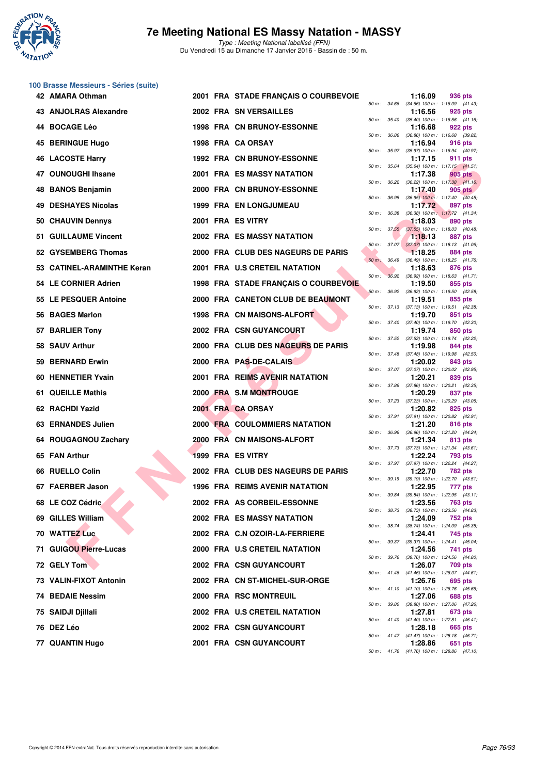

Type : Meeting National labellisé (FFN) Du Vendredi 15 au Dimanche 17 Janvier 2016 - Bassin de : 50 m.

| 100 Brasse Messieurs - Séries (suite) |  |  |  |
|---------------------------------------|--|--|--|
|---------------------------------------|--|--|--|

|    | 42 AMARA Othman            |  | 2001 FRA STADE FRANÇAIS O COURBEVOIE |              |              | 1:16.09 | 936 pts                                                      |
|----|----------------------------|--|--------------------------------------|--------------|--------------|---------|--------------------------------------------------------------|
|    | 43 ANJOLRAS Alexandre      |  | 2002 FRA SN VERSAILLES               | 50 m: 34.66  |              | 1:16.56 | (34.66) 100 m: 1:16.09 (41.43)<br>925 pts                    |
|    | 44 BOCAGE Léo              |  | <b>1998 FRA CN BRUNOY-ESSONNE</b>    |              | 50 m : 35.40 | 1:16.68 | $(35.40)$ 100 m : 1:16.56 $(41.16)$<br>922 pts               |
|    | 45 BERINGUE Hugo           |  | 1998 FRA CA ORSAY                    | 50 m : 36.86 |              | 1:16.94 | (36.86) 100 m: 1:16.68 (39.82)<br>916 pts                    |
|    | <b>46 LACOSTE Harry</b>    |  | <b>1992 FRA CN BRUNOY-ESSONNE</b>    |              |              | 1:17.15 | 50 m: 35.97 (35.97) 100 m: 1:16.94 (40.97)<br>911 pts        |
|    | 47 OUNOUGHI Ihsane         |  | <b>2001 FRA ES MASSY NATATION</b>    |              | 50 m : 35.64 | 1:17.38 | $(35.64)$ 100 m : 1:17.15 $(41.51)$<br>905 pts               |
| 48 | <b>BANOS Benjamin</b>      |  | 2000 FRA CN BRUNOY-ESSONNE           | 50 m: 36.22  |              | 1:17.40 | $(36.22)$ 100 m : 1:17.38 $(41.16)$<br>905 pts               |
|    | <b>49 DESHAYES Nicolas</b> |  | <b>1999 FRA EN LONGJUMEAU</b>        | 50 m: 36.95  |              | 1:17.72 | $(36.95)$ 100 m : 1:17.40 $(40.45)$<br>897 pts               |
| 50 | <b>CHAUVIN Dennys</b>      |  | 2001 FRA ES VITRY                    | 50 m : 36.38 |              | 1:18.03 | (36.38) 100 m: 1:17.72 (41.34)<br>890 pts                    |
|    | 51 GUILLAUME Vincent       |  | 2002 FRA ES MASSY NATATION           |              |              | 1:18.13 | 50 m: 37.55 (37.55) 100 m: 1:18.03 (40.48)<br><b>887 pts</b> |
|    | 52 GYSEMBERG Thomas        |  | 2000 FRA CLUB DES NAGEURS DE PARIS   |              | 50 m: 37.07  | 1:18.25 | $(37.07)$ 100 m : 1:18.13 $(41.06)$<br>884 pts               |
|    | 53 CATINEL-ARAMINTHE Keran |  | 2001 FRA U.S CRETEIL NATATION        | 50 m : 36.49 |              | 1:18.63 | (36.49) 100 m: 1:18.25 (41.76)<br>876 pts                    |
|    | 54 LE CORNIER Adrien       |  | 1998 FRA STADE FRANÇAIS O COURBEVOIE | $50 m$ :     | 36.92        | 1:19.50 | $(36.92)$ 100 m : 1:18.63 $(41.71)$<br>855 pts               |
|    | 55 LE PESQUER Antoine      |  | 2000 FRA CANETON CLUB DE BEAUMONT    | 50 m: 36.92  |              | 1:19.51 | (36.92) 100 m: 1:19.50 (42.58)<br>855 pts                    |
|    | 56 BAGES Marlon            |  | <b>1998 FRA CN MAISONS-ALFORT</b>    |              |              | 1:19.70 | 50 m: 37.13 (37.13) 100 m: 1:19.51 (42.38)<br>851 pts        |
|    | 57 BARLIER Tony            |  | 2002 FRA CSN GUYANCOURT              | 50 m : 37.40 |              | 1:19.74 | $(37.40)$ 100 m : 1:19.70 $(42.30)$<br>850 pts               |
|    | 58 SAUV Arthur             |  | 2000 FRA CLUB DES NAGEURS DE PARIS   |              |              | 1:19.98 | 50 m: 37.52 (37.52) 100 m: 1:19.74 (42.22)<br>844 pts        |
|    | 59 BERNARD Erwin           |  | 2000 FRA PAS-DE-CALAIS               |              | 50 m : 37.48 | 1:20.02 | $(37.48)$ 100 m : 1:19.98 $(42.50)$<br>843 pts               |
|    | 60 HENNETIER Yvain         |  | 2001 FRA REIMS AVENIR NATATION       |              | 50 m : 37.07 | 1:20.21 | $(37.07)$ 100 m : 1:20.02 $(42.95)$<br>839 pts               |
|    | 61 QUEILLE Mathis          |  | 2000 FRA S.M MONTROUGE               | 50 m : 37.86 |              | 1:20.29 | $(37.86)$ 100 m : 1:20.21 $(42.35)$<br>837 pts               |
|    | 62 RACHDI Yazid            |  | 2001 FRA CA ORSAY                    |              | 50 m : 37.23 | 1:20.82 | $(37.23)$ 100 m : 1:20.29 $(43.06)$<br>825 pts               |
|    | 63 ERNANDES Julien         |  | <b>2000 FRA COULOMMIERS NATATION</b> |              |              | 1:21.20 | 50 m: 37.91 (37.91) 100 m: 1:20.82 (42.91)<br>816 pts        |
|    | 64 ROUGAGNOU Zachary       |  | 2000 FRA CN MAISONS-ALFORT           | 50 m : 36.96 |              | 1:21.34 | (36.96) 100 m: 1:21.20 (44.24)<br>813 pts                    |
|    | 65 FAN Arthur              |  | 1999 FRA ES VITRY                    |              |              | 1:22.24 | 50 m: 37.73 (37.73) 100 m: 1:21.34 (43.61)<br>793 pts        |
|    | 66 RUELLO Colin            |  | 2002 FRA CLUB DES NAGEURS DE PARIS   |              | 50 m : 37.97 | 1:22.70 | (37.97) 100 m : 1:22.24 (44.27)<br><b>782 pts</b>            |
|    | 67 FAERBER Jason           |  | 1996 FRA REIMS AVENIR NATATION       |              | 50 m : 39.19 | 1:22.95 | (39.19) 100 m : 1:22.70 (43.51)<br>777 pts                   |
|    | 68 LE COZ Cédric           |  | 2002 FRA AS CORBEIL-ESSONNE          |              | 50 m : 39.84 | 1:23.56 | $(39.84)$ 100 m : 1:22.95 $(43.11)$<br>763 pts               |
|    | 69 GILLES William          |  | 2002 FRA ES MASSY NATATION           |              |              | 1:24.09 | 50 m : 38.73 (38.73) 100 m : 1:23.56 (44.83)<br>752 pts      |
|    | 70 WATTEZ Luc              |  | 2002 FRA C.N OZOIR-LA-FERRIERE       |              |              | 1:24.41 | 50 m: 38.74 (38.74) 100 m: 1:24.09 (45.35)<br>745 pts        |
|    | 71 GUIGOU Pierre-Lucas     |  | 2000 FRA U.S CRETEIL NATATION        |              |              | 1:24.56 | 50 m: 39.37 (39.37) 100 m: 1:24.41 (45.04)<br>741 pts        |
|    | 72 GELY Tom                |  | 2002 FRA CSN GUYANCOURT              |              |              | 1:26.07 | 50 m : 39.76 (39.76) 100 m : 1:24.56 (44.80)<br>709 pts      |
|    | 73 VALIN-FIXOT Antonin     |  | 2002 FRA CN ST-MICHEL-SUR-ORGE       |              |              | 1:26.76 | 50 m: 41.46 (41.46) 100 m: 1:26.07 (44.61)<br>695 pts        |
|    | 74 BEDAIE Nessim           |  | 2000 FRA RSC MONTREUIL               |              |              | 1:27.06 | 50 m: 41.10 (41.10) 100 m: 1:26.76 (45.66)<br>688 pts        |
|    | 75 SAIDJI Djillali         |  | 2002 FRA U.S CRETEIL NATATION        |              |              | 1:27.81 | 50 m : 39.80 (39.80) 100 m : 1:27.06 (47.26)<br>673 pts      |
|    | 76 DEZ Léo                 |  | <b>2002 FRA CSN GUYANCOURT</b>       |              |              | 1:28.18 | 50 m: 41.40 (41.40) 100 m: 1:27.81 (46.41)<br>665 pts        |
|    | 77 QUANTIN Hugo            |  | <b>2001 FRA CSN GUYANCOURT</b>       |              |              | 1:28.86 | 50 m: 41.47 (41.47) 100 m: 1:28.18 (46.71)<br>651 pts        |
|    |                            |  |                                      |              |              |         | 50 m: 41.76 (41.76) 100 m: 1:28.86 (47.10)                   |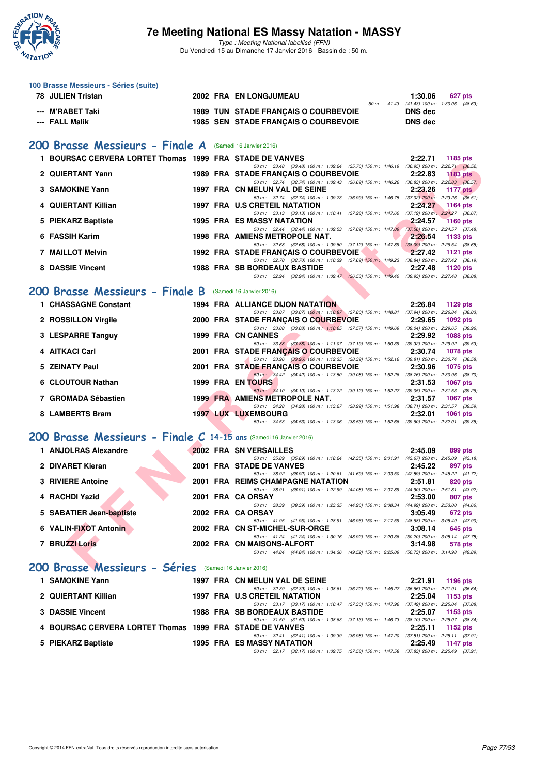

| 100 Brasse Messieurs - Séries (suite)<br>78 JULIEN Tristan                                                           |  | 2002 FRA EN LONGJUMEAU                                                                                                                                   | 1:30.06<br>627 pts                                           |
|----------------------------------------------------------------------------------------------------------------------|--|----------------------------------------------------------------------------------------------------------------------------------------------------------|--------------------------------------------------------------|
| <b>M'RABET Taki</b>                                                                                                  |  | 1989 TUN STADE FRANÇAIS O COURBEVOIE                                                                                                                     | 50 m: 41.43 (41.43) 100 m: 1:30.06 (48.63)<br><b>DNS dec</b> |
| --- FALL Malik                                                                                                       |  | 1985 SEN STADE FRANÇAIS O COURBEVOIE                                                                                                                     | <b>DNS dec</b>                                               |
|                                                                                                                      |  |                                                                                                                                                          |                                                              |
| 200 Brasse Messieurs - Finale A (Samedi 16 Janvier 2016)<br>1 BOURSAC CERVERA LORTET Thomas 1999 FRA STADE DE VANVES |  |                                                                                                                                                          | 2:22.71                                                      |
|                                                                                                                      |  | 50 m: 33.48 (33.48) 100 m: 1:09.24 (35.76) 150 m: 1:46.19 (36.95) 200 m: 2:22.71 (36.52)                                                                 | 1185 pts                                                     |
| 2 QUIERTANT Yann                                                                                                     |  | 1989 FRA STADE FRANCAIS O COURBEVOIE<br>50 m: 32.74 (32.74) 100 m: 1:09.43 (36.69) 150 m: 1:46.26 (36.83) 200 m: 2:22.83 (36.57)                         | 2:22.83<br><b>1183 pts</b>                                   |
| 3 SAMOKINE Yann                                                                                                      |  | 1997 FRA CN MELUN VAL DE SEINE<br>50 m: 32.74 (32.74) 100 m: 1:09.73 (36.99) 150 m: 1:46.75 (37.02) 200 m: 2:23.26 (36.51)                               | 2:23.26<br><b>1177 pts</b>                                   |
| 4 QUIERTANT Killian                                                                                                  |  | 1997 FRA U.S CRETEIL NATATION<br>50 m: 33.13 (33.13) 100 m: 1:10.41 (37.28) 150 m: 1:47.60 (37.19) 200 m: 2:24.27 (36.67)                                | 2:24.27<br>1164 pts                                          |
| 5 PIEKARZ Baptiste                                                                                                   |  | <b>1995 FRA ES MASSY NATATION</b>                                                                                                                        | 2:24.57<br><b>1160 pts</b>                                   |
| 6 FASSIH Karim                                                                                                       |  | 50 m: 32.44 (32.44) 100 m: 1:09.53 (37.09) 150 m: 1:47.09 (37.56) 200 m: 2:24.57 (37.48)<br>1998 FRA AMIENS METROPOLE NAT.                               | 2:26.54<br>1133 pts                                          |
| <b>7 MAILLOT Melvin</b>                                                                                              |  | 50 m: 32.68 (32.68) 100 m: 1:09.80 (37.12) 150 m: 1:47.89 (38.09) 200 m: 2:26.54 (38.65)<br><b>Marian Common</b><br>1992 FRA STADE FRANÇAIS O COURBEVOIE | 2:27.42<br>1121 pts                                          |
| 8 DASSIE Vincent                                                                                                     |  | 50 m: 32.70 (32.70) 100 m: 1:10.39 (37.69) 150 m: 1:49.23 (38.84) 200 m: 2:27.42 (38.19)<br><b>1988 FRA SB BORDEAUX BASTIDE</b>                          | 2:27.48<br>1120 pts                                          |
|                                                                                                                      |  | 50 m: 32.94 (32.94) 100 m: 1:09.47 (36.53) 150 m: 1:49.40 (39.93) 200 m: 2:27.48 (38.08)                                                                 |                                                              |
| 200 Brasse Messieurs - Finale B                                                                                      |  | (Samedi 16 Janvier 2016)                                                                                                                                 |                                                              |
| 1 CHASSAGNE Constant                                                                                                 |  | <b>1994 FRA ALLIANCE DIJON NATATION</b>                                                                                                                  | 2:26.84<br>1129 pts                                          |
| 2 ROSSILLON Virgile                                                                                                  |  | 50 m: 33.07 (33.07) 100 m: 1:10.87 (37.80) 150 m: 1:48.81 (37.94) 200 m: 2:26.84 (38.03)<br>2000 FRA STADE FRANÇAIS O COURBEVOIE                         | 2:29.65<br><b>1092 pts</b>                                   |
| 3 LESPARRE Tanguy                                                                                                    |  | 50 m: 33.08 (33.08) 100 m: 1:10.65 (37.57) 150 m: 1:49.69 (39.04) 200 m: 2:29.65 (39.96)<br>1999 FRA CN CANNES                                           | 2:29.92<br><b>1088 pts</b>                                   |
| 4 AITKACI Carl                                                                                                       |  | 50 m: 33.88 (33.88) 100 m: 1:11.07 (37.19) 150 m: 1:50.39 (39.32) 200 m: 2:29.92 (39.53)<br>2001 FRA STADE FRANÇAIS O COURBEVOIE                         | 2:30.74<br><b>1078 pts</b>                                   |
| 5 ZEINATY Paul                                                                                                       |  | 50 m: 33.96 (33.96) 100 m: 1:12.35 (38.39) 150 m: 1:52.16 (39.81) 200 m: 2:30.74 (38.58)                                                                 |                                                              |
|                                                                                                                      |  | 2001 FRA STADE FRANÇAIS O COURBEVOIE<br>50 m: 34.42 (34.42) 100 m: 1:13.50 (39.08) 150 m: 1:52.26 (38.76) 200 m: 2:30.96 (38.70)                         | 2:30.96<br><b>1075 pts</b>                                   |
| 6 CLOUTOUR Nathan                                                                                                    |  | <b>1999 FRA EN TOURS</b><br>50 m: 34.10 (34.10) 100 m: 1:13.22 (39.12) 150 m: 1:52.27 (39.05) 200 m: 2:31.53 (39.26)                                     | 2:31.53<br><b>1067 pts</b>                                   |
| 7 GROMADA Sébastien                                                                                                  |  | <b>1999 FRA AMIENS METROPOLE NAT.</b><br>50 m: 34.28 (34.28) 100 m: 1:13.27 (38.99) 150 m: 1:51.98 (38.71) 200 m: 2:31.57 (39.59)                        | 2:31.57<br><b>1067 pts</b>                                   |
| 8 LAMBERTS Bram                                                                                                      |  | <b>1997 LUX LUXEMBOURG</b><br>50 m: 34.53 (34.53) 100 m: 1:13.06 (38.53) 150 m: 1:52.66 (39.60) 200 m: 2:32.01 (39.35)                                   | 2:32.01<br><b>1061 pts</b>                                   |
| 200 Brasse Messieurs - Finale C 14-15 ans (Samedi 16 Janvier 2016)                                                   |  |                                                                                                                                                          |                                                              |
| 1 ANJOLRAS Alexandre                                                                                                 |  | 2002 FRA SN VERSAILLES                                                                                                                                   | 2:45.09<br>899 pts                                           |
|                                                                                                                      |  | 50 m: 35.89 (35.89) 100 m: 1:18.24 (42.35) 150 m: 2:01.91 (43.67) 200 m: 2:45.09 (43.18)                                                                 |                                                              |
| 2 DIVARET Kieran                                                                                                     |  | 2001 FRA STADE DE VANVES<br>50 m: 38.92 (38.92) 100 m: 1:20.61 (41.69) 150 m: 2:03.50 (42.89) 200 m: 2:45.22 (41.72)                                     | 2:45.22<br>897 pts                                           |
| 3 RIVIERE Antoine                                                                                                    |  | 2001 FRA REIMS CHAMPAGNE NATATION<br>50 m: 38.91 (38.91) 100 m: 1:22.99 (44.08) 150 m: 2:07.89 (44.90) 200 m: 2:51.81 (43.92)                            | 2:51.81<br>820 pts                                           |
| 4 RACHDI Yazid                                                                                                       |  | 2001 FRA CA ORSAY<br>50 m : 38.39 (38.39) 100 m : 1:23.35 (44.96) 150 m : 2:08.34                                                                        | 2:53.00<br>807 pts<br>(44.99) 200 m : 2:53.00 (44.66)        |
| 5 SABATIER Jean-baptiste                                                                                             |  | 2002 FRA CA ORSAY<br>50 m: 41.95 (41.95) 100 m: 1:28.91 (46.96) 150 m: 2:17.59                                                                           | 3:05.49<br>672 pts                                           |
| 6 VALIN-FIXOT Antonin                                                                                                |  | 2002 FRA CN ST-MICHEL-SUR-ORGE                                                                                                                           | (48.68) 200 m : 3:05.49 (47.90)<br>3:08.14<br>645 pts        |
| 7 BRUZZI Loris                                                                                                       |  | 50 m: 41.24 (41.24) 100 m: 1:30.16 (48.92) 150 m: 2:20.36 (50.20) 200 m: 3:08.14 (47.78)<br>2002 FRA CN MAISONS-ALFORT                                   | 3:14.98<br>578 pts                                           |
|                                                                                                                      |  | 50 m: 44.84 (44.84) 100 m: 1:34.36 (49.52) 150 m: 2:25.09 (50.73) 200 m: 3:14.98 (49.89)                                                                 |                                                              |
| 200 Brasse Messieurs - Séries (Samedi 16 Janvier 2016)                                                               |  |                                                                                                                                                          |                                                              |
| 1 SAMOKINE Yann                                                                                                      |  | 1997 FRA CN MELUN VAL DE SEINE<br>50 m: 32.39 (32.39) 100 m: 1:08.61 (36.22) 150 m: 1:45.27 (36.66) 200 m: 2:21.91 (36.64)                               | 2:21.91<br>1196 pts                                          |
| 2 QUIERTANT Killian                                                                                                  |  | 1997 FRA U.S CRETEIL NATATION                                                                                                                            | 2:25.04<br>1153 pts                                          |
| 3 DASSIE Vincent                                                                                                     |  | 50 m: 33.17 (33.17) 100 m: 1:10.47 (37.30) 150 m: 1:47.96 (37.49) 200 m: 2:25.04 (37.08)<br>1988 FRA SB BORDEAUX BASTIDE                                 | 2:25.07<br>1153 pts                                          |
| <b>BOURSAC CERVERA LORTET Thomas 1999 FRA STADE DE VANVES</b>                                                        |  | 50 m : 31.50 (31.50) 100 m : 1:08.63 (37.13) 150 m : 1:46.73                                                                                             | (38.10) 200 m : 2:25.07 (38.34)<br>2:25.11<br>1152 pts       |
| 5 PIEKARZ Baptiste                                                                                                   |  | 50 m: 32.41 (32.41) 100 m: 1:09.39 (36.98) 150 m: 1:47.20 (37.81) 200 m: 2:25.11 (37.91)<br>1995 FRA ES MASSY NATATION                                   | 2:25.49<br>1147 pts                                          |
|                                                                                                                      |  | 50 m: 32.17 (32.17) 100 m: 1:09.75 (37.58) 150 m: 1:47.58 (37.83) 200 m: 2:25.49 (37.91)                                                                 |                                                              |
|                                                                                                                      |  |                                                                                                                                                          |                                                              |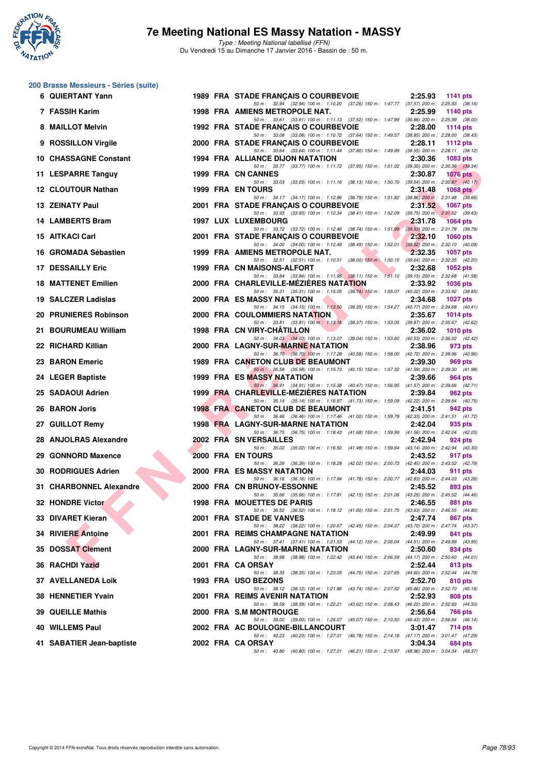

Type : Meeting National labellisé (FFN) Du Vendredi 15 au Dimanche 17 Janvier 2016 - Bassin de : 50 m.

# **200 Brasse Messieurs - Séries (suite)**

| 6 QUIERTANT Yann           |  | 1989 FRA STADE FRANÇAIS O COURBEVOIE                                                                                                                                                                                         | 2:25.93<br>1141 pts        |  |
|----------------------------|--|------------------------------------------------------------------------------------------------------------------------------------------------------------------------------------------------------------------------------|----------------------------|--|
| 7 FASSIH Karim             |  | 50 m: 32.94 (32.94) 100 m: 1:10.20 (37.26) 150 m: 1:47.77 (37.57) 200 m: 2:25.93 (38.16)<br>1998 FRA AMIENS METROPOLE NAT.                                                                                                   | 2:25.99<br>1140 pts        |  |
| 8 MAILLOT Melvin           |  | 50 m: 33.61 (33.61) 100 m: 1:11.13 (37.52) 150 m: 1:47.99 (36.86) 200 m: 2:25.99 (38.00)<br>1992 FRA STADE FRANÇAIS O COURBEVOIE<br>50 m: 33.08 (33.08) 100 m: 1:10.72 (37.64) 150 m: 1:49.57 (38.85) 200 m: 2:28.00 (38.43) | 2:28.00<br>1114 pts        |  |
| 9 ROSSILLON Virgile        |  | 2000 FRA STADE FRANÇAIS O COURBEVOIE                                                                                                                                                                                         | 2:28.11<br>1112 pts        |  |
| 10 CHASSAGNE Constant      |  | 50 m: 33.64 (33.64) 100 m: 1:11.44 (37.80) 150 m: 1:49.99 (38.55) 200 m: 2:28.11 (38.12)<br>1994 FRA ALLIANCE DIJON NATATION                                                                                                 | 2:30.36<br>1083 pts        |  |
| 11 LESPARRE Tanguy         |  | 50 m: 33.77 (33.77) 100 m: 1:11.72 (37.95) 150 m: 1:51.02 (39.30) 200 m: 2:30.36 (39.34)<br>1999 FRA CN CANNES                                                                                                               | 2:30.87<br><b>1076 pts</b> |  |
| <b>12 CLOUTOUR Nathan</b>  |  | 50 m: 33.03 (33.03) 100 m: 1:11.16 (38.13) 150 m: 1:50.70 (39.54) 200 m: 2:30.87 (40.17)<br><b>1999 FRA EN TOURS</b>                                                                                                         | 2:31.48<br>$1068$ pts      |  |
| 13 ZEINATY Paul            |  | 50 m: 34.17 (34.17) 100 m: 1:12.96 (38.79) 150 m: 1:51.82 (38.86) 200 m: 2:31.48 (39.66)<br>2001 FRA STADE FRANCAIS O COURBEVOIE                                                                                             | 2:31.52<br><b>1067 pts</b> |  |
| 14 LAMBERTS Bram           |  | 50 m: 33.93 (33.93) 100 m: 1:12.34 (38.41) 150 m: 1:52.09 (39.75) 200 m: 2:31.52 (39.43)<br><b>1997 LUX LUXEMBOURG</b>                                                                                                       | 2:31.78<br><b>1064 pts</b> |  |
| 15 AITKACI Carl            |  | 50 m: 33.72 (33.72) 100 m: 1:12.46 (38.74) 150 m: 1:51.99 (39.53) 200 m: 2:31.78 (39.79)<br>2001 FRA STADE FRANÇAIS O COURBEVOIE                                                                                             | 2:32.10<br><b>1060 pts</b> |  |
| 16 GROMADA Sébastien       |  | 50 m: 34.00 (34.00) 100 m: 1:12.49 (38.49) 150 m: 1:52.01 (39.52) 200 m: 2:32.10 (40.09)<br>1999 FRA AMIENS METROPOLE NAT.                                                                                                   | 2:32.35<br>1057 pts        |  |
| <b>17 DESSAILLY Eric</b>   |  | 50 m: 32.51 (32.51) 100 m: 1:10.51 (38.00) 150 m: 1:50.15 (39.64) 200 m: 2:32.35 (42.20)<br>1999 FRA CN MAISONS-ALFORT                                                                                                       | 2:32.68<br>1052 pts        |  |
| <b>18 MATTENET Emilien</b> |  | 50 m: 33.84 (33.84) 100 m: 1:11.95 (38.11) 150 m: 1:51.10 (39.15) 200 m: 2:32.68 (41.58)<br>2000 FRA CHARLEVILLE-MEZIERES NATATION                                                                                           | 2:33.92<br>1036 pts        |  |
| 19 SALCZER Ladislas        |  | 50 m: 35.31 (35.31) 100 m: 1:15.05 (39.74) 150 m: 1:55.07 (40.02) 200 m: 2:33.92 (38.85)<br>2000 FRA ES MASSY NATATION                                                                                                       | 2:34.68<br><b>1027 pts</b> |  |
|                            |  | 50 m: 34.15 (34.15) 100 m: 1:13.50 (39.35) 150 m: 1:54.27 (40.77) 200 m: 2:34.68 (40.41)                                                                                                                                     |                            |  |
| 20 PRUNIERES Robinson      |  | 2000 FRA COULOMMIERS NATATION<br>50 m: 33.81 (33.81) 100 m: 1:13.18 (39.37) 150 m: 1:53.05 (39.87) 200 m: 2:35.67 (42.62)                                                                                                    | 2:35.67<br>1014 pts        |  |
| 21 BOURUMEAU William       |  | 1998 FRA CN VIRY-CHATILLON<br>50 m: 34.03 (34.03) 100 m: 1:13.07 (39.04) 150 m: 1:53.60 (40.53) 200 m: 2:36.02 (42.42)                                                                                                       | 2:36.02<br>1010 $pts$      |  |
| 22 RICHARD Killian         |  | 2000 FRA LAGNY-SUR-MARNE NATATION                                                                                                                                                                                            | 2:38.96<br>973 pts         |  |
| 23 BARON Emeric            |  | 50 m: 36.70 (36.70) 100 m: 1:17.28 (40.58) 150 m: 1:58.00 (40.72) 200 m: 2:38.96 (40.96)<br>1989 FRA CANETON CLUB DE BEAUMONT                                                                                                | 2:39.30<br>969 pts         |  |
| 24 LEGER Baptiste          |  | 50 m: 35.58 (35.58) 100 m: 1:15.73 (40.15) 150 m: 1:57.32 (41.59) 200 m: 2:39.30 (41.98)<br><b>1999 FRA ES MASSY NATATION</b>                                                                                                | 2:39.66<br>964 pts         |  |
| 25 SADAOUI Adrien          |  | 50 m: 34.91 (34.91) 100 m: 1.15.38 (40.47) 150 m: 1.56.95 (41.57) 200 m: 2.39.66 (42.71)<br>1999 FRA CHARLEVILLE-MEZIERES NATATION                                                                                           | 2:39.84<br>962 pts         |  |
| 26 BARON Joris             |  | 50 m: 35.14 (35.14) 100 m: 1:16.87 (41.73) 150 m: 1:59.09 (42.22) 200 m: 2:39.84 (40.75)<br><b>1998 FRA CANETON CLUB DE BEAUMONT</b>                                                                                         | 2:41.51<br>942 pts         |  |
| 27 GUILLOT Remy            |  | 50 m: 36.46 (36.46) 100 m: 1:17.46 (41.00) 150 m: 1:59.79 (42.33) 200 m: 2:41.51 (41.72)<br>1998 FRA LAGNY-SUR-MARNE NATATION                                                                                                | 2:42.04<br>935 pts         |  |
| 28 ANJOLRAS Alexandre      |  | 50 m: 36.75 (36.75) 100 m: 1:18.43 (41.68) 150 m: 1:59.99 (41.56) 200 m: 2:42.04 (42.05)<br>2002 FRA SN VERSAILLES                                                                                                           | 2:42.94<br>924 pts         |  |
| 29 GONNORD Maxence         |  | 50 m: 35.02 (35.02) 100 m: 1:16.50 (41.48) 150 m: 1:59.64 (43.14) 200 m: 2:42.94 (43.30)<br>2000 FRA EN TOURS                                                                                                                | 2:43.52<br>917 pts         |  |
| 30 RODRIGUES Adrien        |  | 50 m: 36.26 (36.26) 100 m: 1:18.28 (42.02) 150 m: 2:00.73 (42.45) 200 m: 2:43.52 (42.79)<br>2000 FRA ES MASSY NATATION                                                                                                       | 2:44.03<br>911 pts         |  |
| 31 CHARBONNEL Alexandre    |  | 50 m: 36.16 (36.16) 100 m: 1:17.94 (41.78) 150 m: 2:00.77 (42.83) 200 m: 2:44.03 (43.26)<br>2000 FRA CN BRUNOY-ESSONNE                                                                                                       | 2:45.52<br>893 pts         |  |
|                            |  | 50 m: 35.66 (35.66) 100 m: 1:17.81 (42.15) 150 m: 2:01.06 (43.25) 200 m: 2:45.52 (44.46)                                                                                                                                     |                            |  |
| 32 HONDRE Victor           |  | 1998 FRA MOUETTES DE PARIS<br>50 m: 36.52 (36.52) 100 m: 1:18.12 (41.60) 150 m: 2:01.75 (43.63) 200 m: 2:46.55 (44.80)                                                                                                       | 2:46.55<br>881 pts         |  |
| 33 DIVARET Kieran          |  | 2001 FRA STADE DE VANVES<br>50 m: 38.22 (38.22) 100 m: 1:20.67 (42.45) 150 m: 2:04.37 (43.70) 200 m: 2:47.74 (43.37)                                                                                                         | 2:47.74<br>867 pts         |  |
| 34 RIVIERE Antoine         |  | 2001 FRA REIMS CHAMPAGNE NATATION                                                                                                                                                                                            | 2:49.99<br>841 pts         |  |
| 35 DOSSAT Clement          |  | 50 m: 37.41 (37.41) 100 m: 1:21.53 (44.12) 150 m: 2:06.04 (44.51) 200 m: 2:49.99 (43.95)<br>2000 FRA LAGNY-SUR-MARNE NATATION                                                                                                | 2:50.60<br>834 pts         |  |
| 36 RACHDI Yazid            |  | 50 m: 38.98 (38.98) 100 m: 1:22.42 (43.44) 150 m: 2:06.59 (44.17) 200 m: 2:50.60 (44.01)<br>2001 FRA CA ORSAY                                                                                                                | 2:52.44<br>813 pts         |  |
| 37 AVELLANEDA Loik         |  | 50 m: 38.35 (38.35) 100 m: 1:23.05 (44.70) 150 m: 2:07.65 (44.60) 200 m: 2:52.44 (44.79)<br>1993 FRA USO BEZONS                                                                                                              | 2:52.70<br>810 pts         |  |
| 38 HENNETIER Yvain         |  | 50 m: 38.12 (38.12) 100 m: 1:21.86 (43.74) 150 m: 2:07.52 (45.66) 200 m: 2:52.70 (45.18)<br>2001 FRA REIMS AVENIR NATATION                                                                                                   | 2:52.93<br>808 pts         |  |
| <b>39 QUEILLE Mathis</b>   |  | 50 m: 38.59 (38.59) 100 m: 1:22.21 (43.62) 150 m: 2:08.43 (46.22) 200 m: 2:52.93 (44.50)<br>2000 FRA S.M MONTROUGE                                                                                                           | 2:56.64<br>766 pts         |  |
|                            |  | 50 m: 39.00 (39.00) 100 m: 1:24.07 (45.07) 150 m: 2:10.50 (46.43) 200 m: 2:56.64 (46.14)                                                                                                                                     |                            |  |
| 40 WILLEMS Paul            |  | 2002 FRA AC BOULOGNE-BILLANCOURT<br>50 m: 40.23 (40.23) 100 m: 1:27.01 (46.78) 150 m: 2:14.18 (47.17) 200 m: 3:01.47 (47.29)                                                                                                 | 3:01.47<br>714 pts         |  |
| 41 SABATIER Jean-baptiste  |  | 2002 FRA CA ORSAY<br>50 m: 40.80 (40.80) 100 m: 1:27.01 (46.21) 150 m: 2:15.97 (48.96) 200 m: 3:04.34 (48.37)                                                                                                                | 3:04.34<br>684 pts         |  |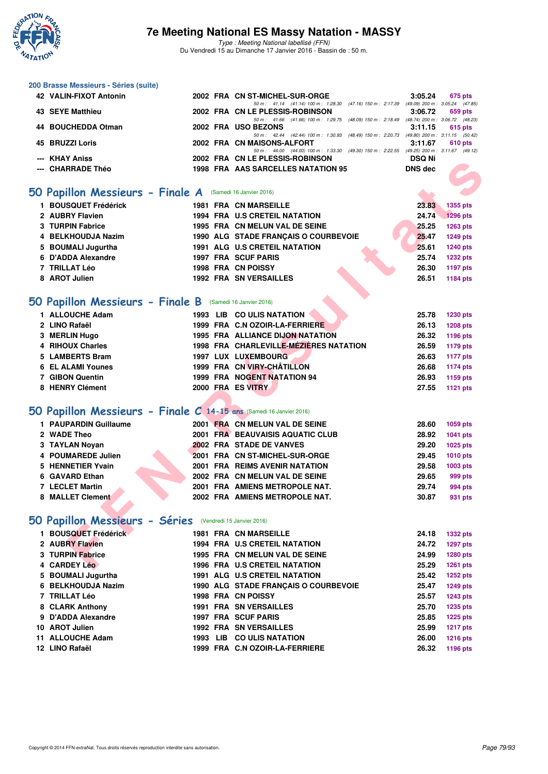

| 200 Brasse Messieurs - Séries (suite)                               |  |                                                                                                                            |                                 |                 |
|---------------------------------------------------------------------|--|----------------------------------------------------------------------------------------------------------------------------|---------------------------------|-----------------|
| 42 VALIN-FIXOT Antonin                                              |  | 2002 FRA CN ST-MICHEL-SUR-ORGE<br>50 m: 41.14 (41.14) 100 m: 1:28.30 (47.16) 150 m: 2:17.39 (49.09) 200 m: 3:05.24 (47.85) | 3:05.24                         | 675 pts         |
| 43 SEYE Matthieu                                                    |  | 2002 FRA CN LE PLESSIS-ROBINSON                                                                                            | 3:06.72                         | 659 pts         |
| 44 BOUCHEDDA Otman                                                  |  | 50 m: 41.66 (41.66) 100 m: 1:29.75 (48.09) 150 m: 2:18.49 (48.74) 200 m: 3:06.72 (48.23)<br>2002 FRA USO BEZONS            | 3:11.15                         | 615 pts         |
| 45 BRUZZI Loris                                                     |  | 50 m: 42.44 (42.44) 100 m: 1:30.93 (48.49) 150 m: 2:20.73 (49.80) 200 m: 3:11.15 (50.42)<br>2002 FRA CN MAISONS-ALFORT     | 3:11.67                         | 610 pts         |
|                                                                     |  | 50 m: 44.00 (44.00) 100 m: 1:33.30 (49.30) 150 m: 2:22.55 (49.25) 200 m: 3:11.67 (49.12)                                   |                                 |                 |
| <b>KHAY Aniss</b><br><b>CHARRADE Théo</b>                           |  | 2002 FRA CN LE PLESSIS-ROBINSON<br>1998 FRA AAS SARCELLES NATATION 95                                                      | <b>DSQ Ni</b><br><b>DNS dec</b> |                 |
|                                                                     |  |                                                                                                                            |                                 |                 |
| 50 Papillon Messieurs - Finale A (Samedi 16 Janvier 2016)           |  |                                                                                                                            |                                 |                 |
| 1 BOUSQUET Frédérick                                                |  | <b>1981 FRA CN MARSEILLE</b>                                                                                               | 23.83                           | 1355 pts        |
| 2 AUBRY Flavien                                                     |  | <b>1994 FRA U.S CRETEIL NATATION</b>                                                                                       | 24.74                           | <b>1296 pts</b> |
| 3 TURPIN Fabrice                                                    |  | 1995 FRA CN MELUN VAL DE SEINE                                                                                             | 25.25                           | 1263 pts        |
| 4 BELKHOUDJA Nazim                                                  |  | 1990 ALG STADE FRANÇAIS O COURBEVOIE                                                                                       | 25.47                           | <b>1249 pts</b> |
| 5 BOUMALI Jugurtha                                                  |  | 1991 ALG U.S CRETEIL NATATION                                                                                              | 25.61                           | <b>1240 pts</b> |
| 6 D'ADDA Alexandre                                                  |  | 1997 FRA SCUF PARIS                                                                                                        | 25.74                           | <b>1232 pts</b> |
| 7 TRILLAT Léo                                                       |  | 1998 FRA CN POISSY                                                                                                         | 26.30                           | <b>1197 pts</b> |
| 8 AROT Julien                                                       |  | <b>1992 FRA SN VERSAILLES</b>                                                                                              | 26.51                           | <b>1184 pts</b> |
|                                                                     |  |                                                                                                                            |                                 |                 |
| 50 Papillon Messieurs - Finale B (Samedi 16 Janvier 2016)           |  |                                                                                                                            |                                 |                 |
| 1 ALLOUCHE Adam                                                     |  | 1993 LIB CO ULIS NATATION                                                                                                  | 25.78                           | <b>1230 pts</b> |
| 2 LINO Rafaël                                                       |  | 1999 FRA C.N OZOIR-LA-FERRIERE                                                                                             | 26.13                           | <b>1208 pts</b> |
| 3 MERLIN Hugo                                                       |  | 1995 FRA ALLIANCE DIJON NATATION                                                                                           | 26.32                           | 1196 pts        |
| 4 RIHOUX Charles                                                    |  | 1998 FRA CHARLEVILLE-MÉZIÈRES NATATION                                                                                     | 26.59                           | <b>1179 pts</b> |
| 5 LAMBERTS Bram                                                     |  | 1997 LUX LUXEMBOURG                                                                                                        | 26.63                           | <b>1177 pts</b> |
| <b>6 EL ALAMI Younes</b>                                            |  | 1999 FRA CN VIRY-CHÂTILLON                                                                                                 | 26.68                           | <b>1174 pts</b> |
| 7 GIBON Quentin                                                     |  | 1999 FRA NOGENT NATATION 94                                                                                                | 26.93                           | 1159 pts        |
| 8 HENRY Clément                                                     |  | 2000 FRA ES VITRY                                                                                                          | 27.55                           | <b>1121 pts</b> |
|                                                                     |  |                                                                                                                            |                                 |                 |
| 50 Papillon Messieurs - Finale C 14-15 ans (Samedi 16 Janvier 2016) |  |                                                                                                                            |                                 |                 |
| 1 PAUPARDIN Guillaume                                               |  | 2001 FRA CN MELUN VAL DE SEINE                                                                                             | 28.60                           | 1059 pts        |
| 2 WADE Theo                                                         |  | 2001 FRA BEAUVAISIS AQUATIC CLUB                                                                                           | 28.92                           | 1041 pts        |
| 3 TAYLAN Noyan                                                      |  | 2002 FRA STADE DE VANVES                                                                                                   | 29.20                           | 1025 pts        |
| 4 POUMAREDE Julien                                                  |  | 2001 FRA CN ST-MICHEL-SUR-ORGE                                                                                             | 29.45                           | <b>1010 pts</b> |
| 5 HENNETIER Yvain                                                   |  | <b>2001 FRA REIMS AVENIR NATATION</b>                                                                                      | 29.58                           | 1003 pts        |
| 6 GAVARD Ethan                                                      |  | 2002 FRA CN MELUN VAL DE SEINE                                                                                             | 29.65                           | 999 pts         |
| <b>7 LECLET Martin</b>                                              |  | 2001 FRA AMIENS METROPOLE NAT.                                                                                             | 29.74                           | 994 pts         |
| 8 MALLET Clement                                                    |  | 2002 FRA AMIENS METROPOLE NAT.                                                                                             | 30.87                           | 931 pts         |
|                                                                     |  |                                                                                                                            |                                 |                 |
| 50 Papillon Messieurs - Séries                                      |  | (Vendredi 15 Janvier 2016)                                                                                                 |                                 |                 |
| 1 BOUSQUET Frédérick                                                |  | <b>1981 FRA CN MARSEILLE</b>                                                                                               | 24.18                           | <b>1332 pts</b> |
| 2 AUBRY Flavien                                                     |  | 1994 FRA U.S CRETEIL NATATION                                                                                              | 24.72                           | <b>1297 pts</b> |
| 3 TURPIN Fabrice                                                    |  | 1995 FRA CN MELUN VAL DE SEINE                                                                                             | 24.99                           | 1280 pts        |
| 4 CARDEY Léo                                                        |  | 1996 FRA U.S CRETEIL NATATION                                                                                              | 25.29                           | <b>1261 pts</b> |
| 5 BOUMALI Jugurtha                                                  |  | <b>1991 ALG U.S CRETEIL NATATION</b>                                                                                       | 25.42                           | <b>1252 pts</b> |
| 6 BELKHOUDJA Nazim                                                  |  | 1990 ALG STADE FRANÇAIS O COURBEVOIE                                                                                       | 25.47                           | <b>1249 pts</b> |
| 7 TRILLAT Léo                                                       |  | 1998 FRA CN POISSY                                                                                                         | 25.57                           | <b>1243 pts</b> |
| 8 CLARK Anthony                                                     |  | <b>1991 FRA SN VERSAILLES</b>                                                                                              | 25.70                           | 1235 pts        |
| 9 D'ADDA Alexandre                                                  |  | 1997 FRA SCUF PARIS                                                                                                        | 25.85                           | <b>1225 pts</b> |
| 10 AROT Julien                                                      |  | <b>1992 FRA SN VERSAILLES</b>                                                                                              | 25.99                           | <b>1217 pts</b> |
| 11 ALLOUCHE Adam                                                    |  | 1993 LIB CO ULIS NATATION                                                                                                  | 26.00                           | <b>1216 pts</b> |
| 12 LINO Rafaël                                                      |  | 1999 FRA C.N OZOIR-LA-FERRIERE                                                                                             | 26.32                           | 1196 pts        |
|                                                                     |  |                                                                                                                            |                                 |                 |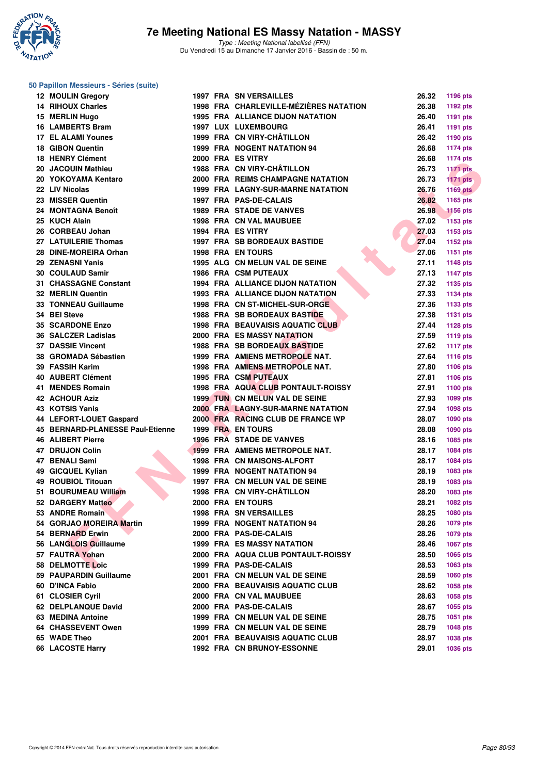

Type : Meeting National labellisé (FFN) Du Vendredi 15 au Dimanche 17 Janvier 2016 - Bassin de : 50 m.

### **50 Papillon Messieurs - Séries (suite)**

| 12 MOULIN Gregory                    |  | 1997 FRA SN VERSAILLES                             | 26.32          | 1196 pts        |
|--------------------------------------|--|----------------------------------------------------|----------------|-----------------|
| <b>14 RIHOUX Charles</b>             |  | 1998 FRA CHARLEVILLE-MÉZIÈRES NATATION             | 26.38          | 1192 pts        |
| 15 MERLIN Hugo                       |  | <b>1995 FRA ALLIANCE DIJON NATATION</b>            | 26.40          | 1191 pts        |
| 16 LAMBERTS Bram                     |  | <b>1997 LUX LUXEMBOURG</b>                         | 26.41          | 1191 pts        |
| <b>17 EL ALAMI Younes</b>            |  | 1999 FRA CN VIRY-CHÂTILLON                         | 26.42          | 1190 pts        |
| <b>18 GIBON Quentin</b>              |  | <b>1999 FRA NOGENT NATATION 94</b>                 | 26.68          | <b>1174 pts</b> |
| 18 HENRY Clément                     |  | 2000 FRA ES VITRY                                  | 26.68          | <b>1174 pts</b> |
| 20 JACQUIN Mathieu                   |  | 1988 FRA CN VIRY-CHÂTILLON                         | 26.73          | <b>1171 pts</b> |
| 20 YOKOYAMA Kentaro                  |  | 2000 FRA REIMS CHAMPAGNE NATATION                  | 26.73          | <b>1171 pts</b> |
| 22 LIV Nicolas                       |  | <b>1999 FRA LAGNY-SUR-MARNE NATATION</b>           | 26.76          | <b>1169 pts</b> |
| 23 MISSER Quentin                    |  | 1997 FRA PAS-DE-CALAIS                             | 26.82          | 1165 pts        |
| 24 MONTAGNA Benoît                   |  | <b>1989 FRA STADE DE VANVES</b>                    | 26.98          | <b>1156 pts</b> |
| 25 KUCH Alain                        |  | <b>1998 FRA CN VAL MAUBUEE</b>                     | 27.02          | <b>1153 pts</b> |
| 26 CORBEAU Johan                     |  | 1994 FRA ES VITRY                                  | 27.03          | 1153 pts        |
| 27 LATUILERIE Thomas                 |  | <b>1997 FRA SB BORDEAUX BASTIDE</b>                | 27.04          | 1152 pts        |
| 28 DINE-MOREIRA Orhan                |  | <b>1998 FRA EN TOURS</b>                           | 27.06          | <b>1151 pts</b> |
| 29 ZENASNI Yanis                     |  | 1995 ALG CN MELUN VAL DE SEINE                     | 27.11          | <b>1148 pts</b> |
| 30 COULAUD Samir                     |  | <b>1986 FRA CSM PUTEAUX</b>                        | 27.13          | <b>1147 pts</b> |
| 31 CHASSAGNE Constant                |  | 1994 FRA ALLIANCE DIJON NATATION                   | 27.32          | 1135 pts        |
| 32 MERLIN Quentin                    |  | <b>1993 FRA ALLIANCE DIJON NATATION</b>            | 27.33          | 1134 pts        |
| <b>33 TONNEAU Guillaume</b>          |  | 1998 FRA CN ST-MICHEL-SUR-ORGE                     | 27.36          | 1133 pts        |
| 34 BEI Steve                         |  | <b>1988 FRA SB BORDEAUX BASTIDE</b>                | 27.38          | <b>1131 pts</b> |
| <b>35 SCARDONE Enzo</b>              |  | 1998 FRA BEAUVAISIS AQUATIC CLUB                   | 27.44          | <b>1128 pts</b> |
| 36 SALCZER Ladislas                  |  | 2000 FRA ES MASSY NATATION                         | 27.59          | 1119 pts        |
| <b>37 DASSIE Vincent</b>             |  | <b>1988 FRA SB BORDEAUX BASTIDE</b>                | 27.62          | <b>1117 pts</b> |
| 38 GROMADA Sébastien                 |  | 1999 FRA AMIENS METROPOLE NAT.                     | 27.64          | <b>1116 pts</b> |
| 39 FASSIH Karim                      |  | <b>1998 FRA AMIENS METROPOLE NAT.</b>              | 27.80          | <b>1106 pts</b> |
| 40 AUBERT Clément                    |  | 1995 FRA CSM PUTEAUX                               | 27.81          | 1106 pts        |
| 41 MENDES Romain                     |  | 1998 FRA AQUA CLUB PONTAULT-ROISSY                 | 27.91          | 1100 pts        |
| <b>42 ACHOUR Aziz</b>                |  | <b>1999 TUN CN MELUN VAL DE SEINE</b>              | 27.93          |                 |
| 43 KOTSIS Yanis                      |  | <b>2000 FRA LAGNY-SUR-MARNE NATATION</b>           | 27.94          | 1099 pts        |
| 44 LEFORT-LOUET Gaspard              |  | 2000 FRA RACING CLUB DE FRANCE WP                  | 28.07          | 1098 pts        |
| 45 BERNARD-PLANESSE Paul-Etienne     |  | 1999 FRA EN TOURS                                  | 28.08          | 1090 pts        |
| <b>46 ALIBERT Pierre</b>             |  | 1996 FRA STADE DE VANVES                           | 28.16          | 1090 pts        |
| <b>47 DRUJON Colin</b>               |  | 1999 FRA AMIENS METROPOLE NAT.                     | 28.17          | 1085 pts        |
| 47 BENALI Sami                       |  | <b>1998 FRA CN MAISONS-ALFORT</b>                  | 28.17          | 1084 pts        |
| 49 GICQUEL Kylian                    |  | 1999 FRA NOGENT NATATION 94                        | 28.19          | 1084 pts        |
| 49 ROUBIOL Titouan                   |  | 1997 FRA CN MELUN VAL DE SEINE                     | 28.19          | 1083 pts        |
| 51 BOURUMEAU William                 |  | 1998 FRA CN VIRY-CHÂTILLON                         | 28.20          | 1083 pts        |
|                                      |  |                                                    |                | 1083 pts        |
| 52 DARGERY Matteo<br>53 ANDRE Romain |  | 2000 FRA EN TOURS<br><b>1998 FRA SN VERSAILLES</b> | 28.21<br>28.25 | 1082 pts        |
|                                      |  |                                                    | 28.26          | 1080 pts        |
| 54 GORJAO MOREIRA Martin             |  | 1999 FRA NOGENT NATATION 94                        |                | 1079 pts        |
| 54 BERNARD Erwin                     |  | 2000 FRA PAS-DE-CALAIS                             | 28.26          | 1079 pts        |
| 56 LANGLOIS Guillaume                |  | <b>1999 FRA ES MASSY NATATION</b>                  | 28.46          | 1067 pts        |
| 57 FAUTRA Yohan                      |  | 2000 FRA AQUA CLUB PONTAULT-ROISSY                 | 28.50          | 1065 pts        |
| 58 DELMOTTE Loic                     |  | 1999 FRA PAS-DE-CALAIS                             | 28.53          | 1063 pts        |
| 59 PAUPARDIN Guillaume               |  | 2001 FRA CN MELUN VAL DE SEINE                     | 28.59          | <b>1060 pts</b> |
| 60 D'INCA Fabio                      |  | 2000 FRA BEAUVAISIS AQUATIC CLUB                   | 28.62          | 1058 pts        |
| 61 CLOSIER Cyril                     |  | 2000 FRA CN VAL MAUBUEE                            | 28.63          | 1058 pts        |
| 62 DELPLANQUE David                  |  | 2000 FRA PAS-DE-CALAIS                             | 28.67          | 1055 pts        |
| 63 MEDINA Antoine                    |  | 1999 FRA CN MELUN VAL DE SEINE                     | 28.75          | 1051 pts        |
| 64 CHASSEVENT Owen                   |  | 1999 FRA CN MELUN VAL DE SEINE                     | 28.79          | <b>1048 pts</b> |
| 65 WADE Theo                         |  | 2001 FRA BEAUVAISIS AQUATIC CLUB                   | 28.97          | 1038 pts        |
| 66 LACOSTE Harry                     |  | 1992 FRA CN BRUNOY-ESSONNE                         | 29.01          | 1036 pts        |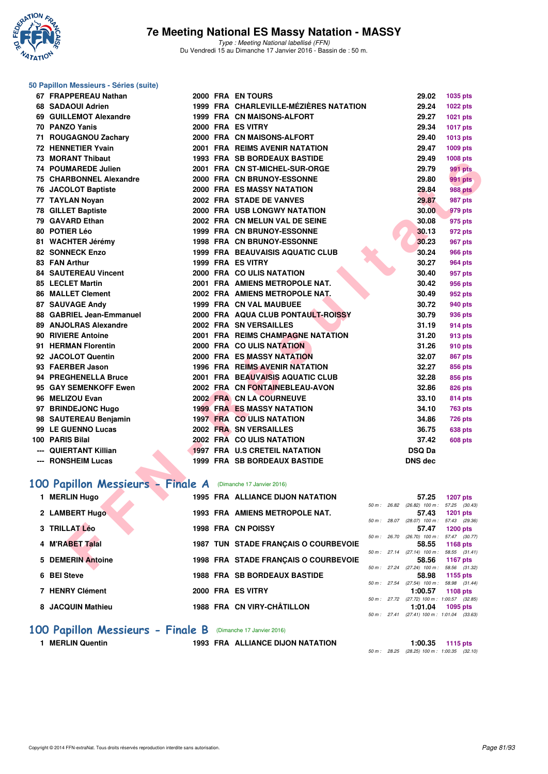

Type : Meeting National labellisé (FFN) Du Vendredi 15 au Dimanche 17 Janvier 2016 - Bassin de : 50 m.

### **50 Papillon Messieurs - Séries (suite)**

| 67 FRAPPEREAU Nathan                                        |  | 2000 FRA EN TOURS                       | 29.02                                               | 1035 pts                   |
|-------------------------------------------------------------|--|-----------------------------------------|-----------------------------------------------------|----------------------------|
| 68 SADAOUI Adrien                                           |  | 1999 FRA CHARLEVILLE-MÉZIÈRES NATATION  | 29.24                                               | <b>1022 pts</b>            |
| 69 GUILLEMOT Alexandre                                      |  | 1999 FRA CN MAISONS-ALFORT              | 29.27                                               | 1021 pts                   |
| 70 PANZO Yanis                                              |  | 2000 FRA ES VITRY                       | 29.34                                               | <b>1017 pts</b>            |
| 71 ROUGAGNOU Zachary                                        |  | 2000 FRA CN MAISONS-ALFORT              | 29.40                                               | 1013 pts                   |
| 72 HENNETIER Yvain                                          |  | <b>2001 FRA REIMS AVENIR NATATION</b>   | 29.47                                               | 1009 pts                   |
| 73 MORANT Thibaut                                           |  | <b>1993 FRA SB BORDEAUX BASTIDE</b>     | 29.49                                               | <b>1008 pts</b>            |
| 74 POUMAREDE Julien                                         |  | 2001 FRA CN ST-MICHEL-SUR-ORGE          | 29.79                                               | <b>991 pts</b>             |
| 75 CHARBONNEL Alexandre                                     |  | 2000 FRA CN BRUNOY-ESSONNE              | 29.80                                               | <b>991 pts</b>             |
| 76 JACOLOT Baptiste                                         |  | <b>2000 FRA ES MASSY NATATION</b>       | 29.84                                               | 988 pts                    |
| 77 TAYLAN Noyan                                             |  | 2002 FRA STADE DE VANVES                | 29.87                                               | 987 pts                    |
| <b>78 GILLET Baptiste</b>                                   |  | <b>2000 FRA USB LONGWY NATATION</b>     | 30.00                                               | 979 pts                    |
| 79 GAVARD Ethan                                             |  | 2002 FRA CN MELUN VAL DE SEINE          | 30.08                                               | 975 pts                    |
| 80 POTIER Léo                                               |  | 1999 FRA CN BRUNOY-ESSONNE              | 30.13                                               | 972 pts                    |
| 81 WACHTER Jérémy                                           |  | <b>1998 FRA CN BRUNOY-ESSONNE</b>       | 30.23                                               | 967 pts                    |
| <b>82 SONNECK Enzo</b>                                      |  | <b>1999 FRA BEAUVAISIS AQUATIC CLUB</b> | 30.24                                               | <b>966 pts</b>             |
| 83 FAN Arthur                                               |  | 1999 FRA ES VITRY                       | 30.27                                               | 964 pts                    |
| <b>84 SAUTEREAU Vincent</b>                                 |  | 2000 FRA COULIS NATATION                | 30.40                                               | 957 pts                    |
| 85 LECLET Martin                                            |  | 2001 FRA AMIENS METROPOLE NAT.          | 30.42                                               | 956 pts                    |
| <b>86 MALLET Clement</b>                                    |  | 2002 FRA AMIENS METROPOLE NAT.          | 30.49                                               | 952 pts                    |
| 87 SAUVAGE Andy                                             |  | 1999 FRA CN VAL MAUBUEE                 | 30.72                                               | 940 pts                    |
| 88 GABRIEL Jean-Emmanuel                                    |  | 2000 FRA AQUA CLUB PONTAULT-ROISSY      | 30.79                                               | 936 pts                    |
| 89 ANJOLRAS Alexandre                                       |  | 2002 FRA SN VERSAILLES                  | 31.19                                               | 914 pts                    |
| 90 RIVIERE Antoine                                          |  | 2001 FRA REIMS CHAMPAGNE NATATION       | 31.20                                               | 913 pts                    |
| 91 HERMAN Florentin                                         |  | 2000 FRA COULIS NATATION                | 31.26                                               | 910 pts                    |
| 92 JACOLOT Quentin                                          |  | 2000 FRA ES MASSY NATATION              | 32.07                                               | 867 pts                    |
| 93 FAERBER Jason                                            |  | <b>1996 FRA REIMS AVENIR NATATION</b>   | 32.27                                               | 856 pts                    |
| 94 PREGHENELLA Bruce                                        |  | 2001 FRA BEAUVAISIS AQUATIC CLUB        | 32.28                                               | 856 pts                    |
| 95 GAY SEMENKOFF Ewen                                       |  | 2002 FRA CN FONTAINEBLEAU-AVON          | 32.86                                               | <b>826 pts</b>             |
| 96 MELIZOU Evan                                             |  | 2002 FRA CN LA COURNEUVE                | 33.10                                               | <b>814 pts</b>             |
| 97 BRINDEJONC Hugo                                          |  | <b>1999 FRA ES MASSY NATATION</b>       | 34.10                                               | <b>763 pts</b>             |
| 98 SAUTEREAU Benjamin                                       |  | 1997 FRA COULIS NATATION                | 34.86                                               | <b>726 pts</b>             |
| 99 LE GUENNO Lucas                                          |  | 2002 FRA SN VERSAILLES                  | 36.75                                               | <b>638 pts</b>             |
| 100 PARIS Bilal                                             |  | 2002 FRA COULIS NATATION                | 37.42                                               | <b>608 pts</b>             |
| --- QUIERTANT Killian                                       |  | 1997 FRA U.S CRETEIL NATATION           | <b>DSQ Da</b>                                       |                            |
| --- RONSHEIM Lucas                                          |  | <b>1999 FRA SB BORDEAUX BASTIDE</b>     | <b>DNS dec</b>                                      |                            |
|                                                             |  |                                         |                                                     |                            |
| 00 Papillon Messieurs - Finale A (Dimanche 17 Janvier 2016) |  |                                         |                                                     |                            |
| 1 MERLIN Hugo                                               |  | <b>1995 FRA ALLIANCE DIJON NATATION</b> | 57.25<br>50 m : 26.82 (26.82) 100 m : 57.25 (30.43) | <b>1207 pts</b>            |
| 2 LAMBERT Hugo                                              |  | <b>1993 FRA AMIENS METROPOLE NAT.</b>   | 57.43                                               | <b>1201 pts</b>            |
| 3 TRILLAT Léo                                               |  | <b>1998 FRA CN POISSY</b>               | 50 m: 28.07 (28.07) 100 m: 57.43<br>57.47           | (29.36)<br><b>1200 pts</b> |
|                                                             |  |                                         | 50 m : 26.70 (26.70) 100 m : 57.47                  | (30.77)                    |
| 4 M'RABET Talal                                             |  | 1987 TUN STADE FRANÇAIS O COURBEVOIE    | 58.55<br>50 m: 27.14 (27.14) 100 m: 58.55 (31.41)   | 1168 pts                   |
| <b>5 DEMERIN Antoine</b>                                    |  | 1998 FRA STADE FRANÇAIS O COURBEVOIE    | 58.56                                               | <b>1167 pts</b>            |
|                                                             |  |                                         | 50 m: 27.24 (27.24) 100 m: 58.56 (31.32)            |                            |

# [100 Papillon Messieurs - Finale A](http://www.ffnatation.fr/webffn/resultats.php?idact=nat&go=epr&idcpt=35299&idepr=82) (Dimanche 17 Janvier 2016)

|  | 1 MERLIN Hugo     |  | <b>1995 FRA ALLIANCE DIJON NATATION</b>     |                        | 57.25                               | <b>1207 pts</b> |
|--|-------------------|--|---------------------------------------------|------------------------|-------------------------------------|-----------------|
|  |                   |  |                                             | 50 m: 26.82            | $(26.82)$ 100 m :                   | 57.25 (30.43)   |
|  | 2 LAMBERT Hugo    |  | 1993 FRA AMIENS METROPOLE NAT.              |                        | 57.43                               | <b>1201 pts</b> |
|  |                   |  |                                             | 50 m: 28.07            | $(28.07)$ 100 m :                   | 57.43 (29.36)   |
|  | 3 TRILLAT Léo     |  | <b>1998 FRA CN POISSY</b>                   |                        | 57.47                               | $1200$ pts      |
|  |                   |  |                                             | 50 m : 26.70           | $(26.70)$ 100 m :                   | 57.47 (30.77)   |
|  | 4 M'RABET Talal   |  | <b>1987 TUN STADE FRANCAIS O COURBEVOIE</b> |                        | 58.55                               | 1168 pts        |
|  |                   |  |                                             | $50 \text{ m}$ : 27.14 | $(27.14)$ 100 m :                   | 58.55 (31.41)   |
|  | 5 DEMERIN Antoine |  | 1998 FRA STADE FRANCAIS O COURBEVOIE        |                        | 58.56                               | 1167 pts        |
|  |                   |  |                                             | $50 \text{ m}$ : 27.24 | $(27.24)$ 100 m :                   | 58.56 (31.32)   |
|  | 6 BEI Steve       |  | <b>1988 FRA SB BORDEAUX BASTIDE</b>         |                        | 58.98                               | 1155 pts        |
|  |                   |  |                                             | 50 m: 27.54            | $(27.54)$ 100 m :                   | 58.98 (31.44)   |
|  | 7 HENRY Clément   |  | 2000 FRA ES VITRY                           |                        | 1:00.57                             | 1108 pts        |
|  |                   |  |                                             | 50 m: 27.72            | (27.72) 100 m : 1:00.57 (32.85)     |                 |
|  | 8 JACQUIN Mathieu |  | 1988 FRA CN VIRY-CHÂTILLON                  |                        | 1:01.04                             | 1095 pts        |
|  |                   |  |                                             | $50 \text{ m}$ : 27.41 | $(27.41)$ 100 m : 1:01.04 $(33.63)$ |                 |
|  |                   |  |                                             |                        |                                     |                 |

# **100 Papillon Messieurs - Finale B** (Dimanche 17 Janvier 2016)<br>**1 MERLIN Quentin 1993 FRA ALLIANCE DIJ**

**1993 FRA ALLIANCE DIJON NATATION 1:00.35 1115 pts** 

 $50 \text{ m}$ : 28.25 (28.25) 100 m : 1:00.35 (32.10)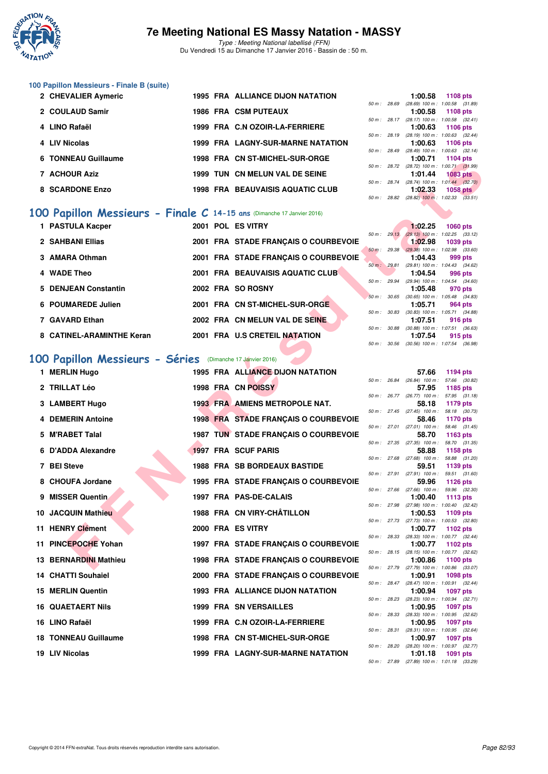

Type : Meeting National labellisé (FFN) Du Vendredi 15 au Dimanche 17 Janvier 2016 - Bassin de : 50 m.

# **100 Papillon Messieurs - Finale B (suite)**

| 2 CHEVALIER Aymeric | <b>1995 FRA ALLIANCE DIJON NATATION</b>  |                |                | 1:00.58                                 | 1108 pts        |  |
|---------------------|------------------------------------------|----------------|----------------|-----------------------------------------|-----------------|--|
|                     |                                          | $50 m$ : 28.69 |                | $(28.69)$ 100 m : 1:00.58 $(31.$        |                 |  |
| 2 COULAUD Samir     | <b>1986 FRA CSM PUTEAUX</b>              |                |                | 1:00.58                                 | 1108 pts        |  |
|                     |                                          |                | $50 m$ : 28.17 | $(28.17)$ 100 m : 1:00.58 (32.          |                 |  |
| 4 LINO Rafaël       | 1999 FRA C.N OZOIR-LA-FERRIERE           |                |                | 1:00.63 1106 pts                        |                 |  |
|                     |                                          |                | 50 m: 28.19    | $(28.19)$ 100 m : 1:00.63 (32.          |                 |  |
| 4 LIV Nicolas       | <b>1999 FRA LAGNY-SUR-MARNE NATATION</b> |                |                | 1:00.63                                 | 1106 pts        |  |
|                     |                                          |                |                | 50 m: 28.49 (28.49) 100 m: 1:00.63 (32. |                 |  |
| 6 TONNEAU Guillaume | 1998 FRA CN ST-MICHEL-SUR-ORGE           |                |                | 1:00.71                                 | 1104 pts        |  |
|                     |                                          |                | 50 m: 28.72    | $(28.72)$ 100 m : 1:00.71 (31.          |                 |  |
| 7 ACHOUR Aziz       | 1999 TUN CN MELUN VAL DE SEINE           |                |                | 1:01.44                                 | <b>1083 pts</b> |  |
|                     |                                          |                |                | 50 m: 28.74 (28.74) 100 m: 1:01.44 (32. |                 |  |
| 8 SCARDONE Enzo     | 1998 FRA BEAUVAISIS AQUATIC CLUB         |                |                | 1:02.33                                 | 1058 pts        |  |
|                     |                                          |                |                |                                         |                 |  |

# **[100 Papillon Messieurs - Finale C](http://www.ffnatation.fr/webffn/resultats.php?idact=nat&go=epr&idcpt=35299&idepr=82) 14-15 ans** (Dimanche 17 Janvier 2016)

| 1 PASTULA Kacper          |  | 2001 POL ES VITRY                    |                        | 1:02.25                                     | 1060 pts |  |
|---------------------------|--|--------------------------------------|------------------------|---------------------------------------------|----------|--|
| 2 SAHBANI Ellias          |  | 2001 FRA STADE FRANCAIS O COURBEVOIE | 50 m: 29.13            | $(29.13)$ 100 m : 1:02.25 (33.<br>1:02.98   |          |  |
|                           |  |                                      | $50 \text{ m}$ : 29.38 | $(29.38)$ 100 m : 1:02.98 (33.              | 1039 pts |  |
| 3 AMARA Othman            |  | 2001 FRA STADE FRANCAIS O COURBEVOIE |                        | 1:04.43                                     | 999 pts  |  |
| 4 WADE Theo               |  | 2001 FRA BEAUVAISIS AQUATIC CLUB     | 50 m: 29.81            | (29.81) 100 m : 1:04.43 (34.<br>1:04.54     | 996 pts  |  |
|                           |  |                                      | 50 m: 29.94            | (29.94) 100 m : 1:04.54 (34.                |          |  |
| 5 DENJEAN Constantin      |  | 2002 FRA SO ROSNY                    |                        | 1:05.48                                     | 970 pts  |  |
| 6 POUMAREDE Julien        |  | 2001 FRA CN ST-MICHEL-SUR-ORGE       | 50 m: 30.65            | $(30.65)$ 100 m : 1:05.48 $(34.$<br>1:05.71 | 964 pts  |  |
| 7 GAVARD Ethan            |  | 2002 FRA CN MELUN VAL DE SEINE       | 50 m: 30.83            | $(30.83)$ 100 m : 1:05.71 $(34.$<br>1:07.51 | 916 pts  |  |
|                           |  |                                      | 50 m: 30.88            | $(30.88)$ 100 m : 1:07.51 $(36.$            |          |  |
| 8 CATINEL-ARAMINTHE Keran |  | 2001 FRA U.S CRETEIL NATATION        |                        | 1:07.54                                     | 915 pts  |  |

# **[100 Papillon Messieurs - Séries](http://www.ffnatation.fr/webffn/resultats.php?idact=nat&go=epr&idcpt=35299&idepr=82)** (Dimanche 17 Janvier 2016)

| <b>UNIVEAU GUILIQUITE</b>                                             |  | שמטימוניונט יוט און די הא               |              |              | 1.UU.II                                 |                                                                 |  |
|-----------------------------------------------------------------------|--|-----------------------------------------|--------------|--------------|-----------------------------------------|-----------------------------------------------------------------|--|
| 7 ACHOUR Aziz                                                         |  | 1999 TUN CN MELUN VAL DE SEINE          |              |              | 1:01.44                                 | 50 m : 28.72 (28.72) 100 m : 1:00.71 (31.99)<br><b>1083 pts</b> |  |
| <b>8 SCARDONE Enzo</b>                                                |  | <b>1998 FRA BEAUVAISIS AQUATIC CLUB</b> |              | 50 m : 28.74 |                                         | $(28.74)$ 100 m : 1:01.44 $(32.70)$                             |  |
|                                                                       |  |                                         |              |              | 1:02.33                                 | 1058 $pts$<br>50 m : 28.82 (28.82) 100 m : 1:02.33 (33.51)      |  |
| 00 Papillon Messieurs - Finale C 14-15 ans (Dimanche 17 Janvier 2016) |  |                                         |              |              |                                         |                                                                 |  |
| 1 PASTULA Kacper                                                      |  | 2001 POL ES VITRY                       |              |              | 1:02.25                                 |                                                                 |  |
|                                                                       |  |                                         | 50 m: 29.13  |              |                                         | <b>1060 pts</b><br>$(29.13)$ 100 m : 1:02.25 $(33.12)$          |  |
| 2 SAHBANI Ellias                                                      |  | 2001 FRA STADE FRANÇAIS O COURBEVOIE    |              |              | 1:02.98                                 | 1039 pts                                                        |  |
| 3 AMARA Othman                                                        |  | 2001 FRA STADE FRANÇAIS O COURBEVOIE    | 50 m : 29.38 |              | 1:04.43                                 | $(29.38)$ 100 m : 1:02.98 $(33.60)$<br>999 pts                  |  |
| 4 WADE Theo                                                           |  | 2001 FRA BEAUVAISIS AQUATIC CLUB        |              | 50 m : 29.81 |                                         | (29.81) 100 m: 1:04.43 (34.62)                                  |  |
|                                                                       |  |                                         | 50 m : 29.94 |              | 1:04.54                                 | 996 pts<br>(29.94) 100 m: 1:04.54 (34.60)                       |  |
| 5 DENJEAN Constantin                                                  |  | 2002 FRA SO ROSNY                       |              |              | 1:05.48                                 | 970 pts                                                         |  |
| 6 POUMAREDE Julien                                                    |  | 2001 FRA CN ST-MICHEL-SUR-ORGE          |              | 50 m: 30.65  | 1:05.71                                 | $(30.65)$ 100 m : 1:05.48 $(34.83)$<br>964 pts                  |  |
|                                                                       |  |                                         |              | 50 m : 30.83 |                                         | $(30.83)$ 100 m : 1:05.71 $(34.88)$                             |  |
| 7 GAVARD Ethan                                                        |  | 2002 FRA CN MELUN VAL DE SEINE          | 50 m : 30.88 |              | 1:07.51                                 | 916 pts<br>$(30.88)$ 100 m : 1:07.51 $(36.63)$                  |  |
| 8 CATINEL-ARAMINTHE Keran                                             |  | 2001 FRA U.S CRETEIL NATATION           |              |              | 1:07.54                                 | 915 pts                                                         |  |
|                                                                       |  |                                         | 50 m: 30.56  |              |                                         | $(30.56)$ 100 m : 1:07.54 $(36.98)$                             |  |
| 00 Papillon Messieurs - Séries (Dimanche 17 Janvier 2016)             |  |                                         |              |              |                                         |                                                                 |  |
| 1 MERLIN Hugo                                                         |  | 1995 FRA ALLIANCE DIJON NATATION        |              |              | 57.66                                   | 1194 pts                                                        |  |
| 2 TRILLAT Léo                                                         |  | 1998 FRA CN POISSY                      | 50 m : 26.84 |              | $(26.84)$ 100 m :<br>57.95              | 57.66 (30.82)<br>1185 pts                                       |  |
|                                                                       |  |                                         |              |              |                                         | 50 m: 26.77 (26.77) 100 m: 57.95 (31.18)                        |  |
| 3 LAMBERT Hugo                                                        |  | <b>1993 FRA AMIENS METROPOLE NAT.</b>   |              |              | 58.18<br>$50 m$ : 27.45 (27.45) 100 m : | 1179 pts                                                        |  |
| <b>4 DEMERIN Antoine</b>                                              |  | 1998 FRA STADE FRANÇAIS O COURBEVOIE    |              |              | 58.46                                   | 58.18 (30.73)<br>1170 pts                                       |  |
| 5 M'RABET Talal                                                       |  | 1987 TUN STADE FRANÇAIS O COURBEVOIE    |              |              |                                         | 50 m: 27.01 (27.01) 100 m: 58.46 (31.45)                        |  |
|                                                                       |  |                                         |              |              | 58.70<br>50 m : 27.35 (27.35) 100 m :   | 1163 pts<br>58.70 (31.35)                                       |  |
| 6 D'ADDA Alexandre                                                    |  | 1997 FRA SCUF PARIS                     |              |              | 58.88                                   | 1158 pts                                                        |  |
| 7 BEI Steve                                                           |  | <b>1988 FRA SB BORDEAUX BASTIDE</b>     |              |              | 50 m : 27.68 (27.68) 100 m :<br>59.51   | 58.88 (31.20)<br>1139 pts                                       |  |
|                                                                       |  |                                         |              |              | 50 m : 27.91 (27.91) 100 m :            | 59.51 (31.60)                                                   |  |
| 8 CHOUFA Jordane                                                      |  | 1995 FRA STADE FRANÇAIS O COURBEVOIE    | 50 m: 27.66  |              | 59.96<br>$(27.66)$ 100 m :              | 1126 pts<br>59.96 (32.30)                                       |  |
| 9 MISSER Quentin                                                      |  | 1997 FRA PAS-DE-CALAIS                  |              |              | 1:00.40                                 | 1113 pts                                                        |  |
| 10 JACQUIN Mathieu                                                    |  | 1988 FRA CN VIRY-CHATILLON              |              |              | 1:00.53                                 | 50 m: 27.98 (27.98) 100 m: 1:00.40 (32.42)<br>1109 pts          |  |
|                                                                       |  |                                         |              |              |                                         | 50 m: 27.73 (27.73) 100 m: 1:00.53 (32.80)                      |  |
| 11 HENRY Clément                                                      |  | 2000 FRA ES VITRY                       |              | 50 m : 28.33 | 1:00.77                                 | 1102 pts<br>(28.33) 100 m : 1:00.77 (32.44)                     |  |
| 11 PINCEPOCHE Yohan                                                   |  | 1997 FRA STADE FRANÇAIS O COURBEVOIE    |              |              | 1:00.77                                 | 1102 pts                                                        |  |
| <b>13 BERNARDINI Mathieu</b>                                          |  | 1998 FRA STADE FRANÇAIS O COURBEVOIE    |              |              | 1:00.86                                 | 50 m: 28.15 (28.15) 100 m: 1:00.77 (32.62)<br><b>1100 pts</b>   |  |
|                                                                       |  |                                         |              |              |                                         | 50 m: 27.79 (27.79) 100 m: 1:00.86 (33.07)                      |  |
| <b>14 CHATTI Souhaiel</b>                                             |  | 2000 FRA STADE FRANÇAIS O COURBEVOIE    |              | 50 m : 28.47 | 1:00.91                                 | 1098 pts<br>$(28.47)$ 100 m : 1:00.91 $(32.44)$                 |  |
| <b>15 MERLIN Quentin</b>                                              |  | <b>1993 FRA ALLIANCE DIJON NATATION</b> |              |              | 1:00.94                                 | <b>1097 pts</b>                                                 |  |
| <b>16 QUAETAERT Nils</b>                                              |  | 1999 FRA SN VERSAILLES                  |              |              | 1:00.95                                 | 50 m: 28.23 (28.23) 100 m: 1:00.94 (32.71)<br><b>1097 pts</b>   |  |
|                                                                       |  |                                         |              |              |                                         | 50 m: 28.33 (28.33) 100 m: 1:00.95 (32.62)                      |  |
| 16 LINO Rafaël                                                        |  | 1999 FRA C.N OZOIR-LA-FERRIERE          |              | 50 m : 28.31 | 1:00.95                                 | 1097 pts<br>(28.31) 100 m: 1:00.95 (32.64)                      |  |
| <b>18 TONNEAU Guillaume</b>                                           |  | 1998 FRA CN ST-MICHEL-SUR-ORGE          |              |              | 1:00.97                                 | 1097 pts                                                        |  |
| 19 LIV Nicolas                                                        |  | 1999 FRA LAGNY-SUR-MARNE NATATION       |              |              | 1:01.18                                 | 50 m : 28.20 (28.20) 100 m : 1:00.97 (32.77)<br>1091 pts        |  |
|                                                                       |  |                                         |              |              |                                         |                                                                 |  |

|                |                | 1:00.58                                    | <b>1108 pts</b>     |  |
|----------------|----------------|--------------------------------------------|---------------------|--|
| 50 m: 28.69    |                | $(28.69)$ 100 m :                          | 1:00.58 (31.89)     |  |
|                |                | 1:00.58                                    | 1108 pts            |  |
|                | $50 m$ : 28.17 | $(28.17)$ 100 m :                          | $1:00.58$ $(32.41)$ |  |
|                |                | 1:00.63                                    | 1106 pts            |  |
|                | 50 m : 28.19   | $(28.19) 100 m$ :                          | $1:00.63$ $(32.44)$ |  |
|                |                | 1:00.63 1106 pts                           |                     |  |
|                |                | 50 m: 28.49 (28.49) 100 m:                 | $1:00.63$ $(32.14)$ |  |
|                |                | 1:00.71 1104 pts                           |                     |  |
| $50 m$ : 28.72 |                | $(28.72)$ 100 m :                          | $1:00.71$ $(31.99)$ |  |
|                |                | $1:01.44$ 1083 pts                         |                     |  |
|                | 50 m : 28.74   | $(28.74) 100 m$ :                          | $1:01.44$ $(32.70)$ |  |
|                |                | 1:02.33 1058 pts                           |                     |  |
|                |                | 50 m: 28.82 (28.82) 100 m: 1:02.33 (33.51) |                     |  |
|                |                |                                            |                     |  |

|                        | 1:02.25                             | $1060$ pts          |  |
|------------------------|-------------------------------------|---------------------|--|
| 50 m: 29.13            | $(29.13) 100 m$ :                   | $1:02.25$ $(33.12)$ |  |
|                        | 1:02.98                             | <b>1039 pts</b>     |  |
| $50 \text{ m}$ : 29.38 | $(29.38) 100 m$ :                   | 1:02.98 (33.60)     |  |
|                        | 1:04.43                             | 999 pts             |  |
| 50 m: 29.81            | $(29.81)$ 100 m :                   | $1:04.43$ $(34.62)$ |  |
|                        | 1:04.54                             | 996 pts             |  |
| 50 m: 29.94            | $(29.94) 100 m$ :                   | $1:04.54$ $(34.60)$ |  |
|                        | 1:05.48                             | 970 pts             |  |
| 50 m: 30.65            | $(30.65)$ 100 m :                   | 1:05.48 (34.83)     |  |
|                        | $1:05.71$ 964 pts                   |                     |  |
| 50 m : 30.83           | $(30.83)$ 100 m :                   | 1:05.71 (34.88)     |  |
|                        | 1:07.51                             | 916 pts             |  |
| 50 m : 30.88           | $(30.88)$ 100 m : 1:07.51 $(36.63)$ |                     |  |
|                        | $1:07.54$ 915 pts                   |                     |  |
|                        | 50 m: 30.56 (30.56) 100 m:          | 1:07.54 (36.98)     |  |

|              |       | 57.66             | 1194 pts        |         |
|--------------|-------|-------------------|-----------------|---------|
| 50 m : 26.84 |       | $(26.84)$ 100 m : | 57.66           | (30.82) |
|              |       | 57.95             | 1185 pts        |         |
| $50 m$ :     | 26.77 | $(26.77)$ 100 m : | 57.95           | (31.18) |
|              |       | 58.18             | 1179 pts        |         |
| $50 m$ :     | 27.45 | $(27.45)$ 100 m : | 58.18           | (30.73) |
|              |       | 58.46             | 1170 pts        |         |
| 50 m :       | 27.01 | $(27.01)$ 100 m : | 58.46           | (31.45) |
|              |       | 58.70             | 1163 pts        |         |
| 50 m :       | 27.35 | $(27.35)$ 100 m : | 58.70 (31.35)   |         |
|              |       | 58.88             | 1158 pts        |         |
| $50 m$ :     | 27.68 | $(27.68)$ 100 m : | 58.88           | (31.20) |
|              |       | 59.51             | 1139 pts        |         |
| $50 m$ :     | 27.91 | $(27.91)$ 100 m : | 59.51           | (31.60) |
|              |       | 59.96             | <b>1126 pts</b> |         |
| $50 m$ :     | 27.66 | $(27.66)$ 100 m : | 59.96           | (32.30) |
|              |       | 1:00.40           | <b>1113 pts</b> |         |
| $50 m$ :     | 27.98 | $(27.98) 100 m$ : | 1:00.40         | (32.42) |
|              |       | 1:00.53           | 1109 pts        |         |
| $50 m$ :     | 27.73 | $(27.73) 100 m$ : | 1:00.53         | (32.80) |
|              |       | 1:00.77           | 1102 pts        |         |
| $50 m$ :     | 28.33 | $(28.33) 100 m$ : | 1:00.77         | (32.44) |
|              |       | 1:00.77           | 1102 pts        |         |
| $50 m$ :     | 28.15 | $(28.15)$ 100 m : | 1:00.77         | (32.62) |
|              |       | 1:00.86           | 1100 pts        |         |
| $50 m$ :     | 27.79 | $(27.79)$ 100 m : | 1:00.86         | (33.07) |
|              |       | 1:00.91           | 1098 pts        |         |
| $50 m$ :     | 28.47 | $(28.47) 100 m$ : | 1:00.91         | (32.44) |
|              |       | 1:00.94           | 1097 pts        |         |
| $50 m$ :     | 28.23 | $(28.23)$ 100 m : | 1:00.94         | (32.71) |
|              |       | 1:00.95           | 1097 pts        |         |
| $50 m$ :     | 28.33 | $(28.33) 100 m$ : | 1:00.95         | (32.62) |
|              |       | 1:00.95           | 1097 pts        |         |
| $50 m$ :     | 28.31 | $(28.31)$ 100 m : | 1:00.95         | (32.64) |
|              |       | 1:00.97           | 1097 pts        |         |
| $50 m$ :     | 28.20 | $(28.20)$ 100 m : | 1:00.97         | (32.77) |
|              |       | 1:01.18           | 1091            | pts     |
| $50 m$ :     | 27.89 | $(27.89)$ 100 m : | 1:01.18         | (33.29) |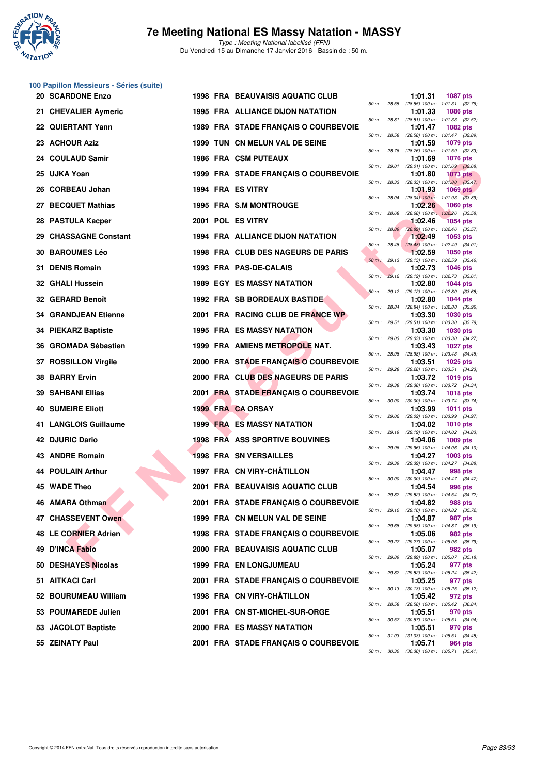

**100 Papillon Messieurs - Séries (suite)**

# **7e Meeting National ES Massy Natation - MASSY**

Type : Meeting National labellisé (FFN) Du Vendredi 15 au Dimanche 17 Janvier 2016 - Bassin de : 50 m.

| <b>20 SCARDONE Enzo</b>         | <b>1998 FRA BEAUVAISIS AQUATIC CLUB</b> |              |              | 1:01.31<br><b>1087 pts</b>                                                 |
|---------------------------------|-----------------------------------------|--------------|--------------|----------------------------------------------------------------------------|
| 21 CHEVALIER Aymeric            | <b>1995 FRA ALLIANCE DIJON NATATION</b> |              | 50 m : 28.55 | (28.55) 100 m: 1:01.31 (32.76)<br>1:01.33<br><b>1086 pts</b>               |
| 22 QUIERTANT Yann               | 1989 FRA STADE FRANÇAIS O COURBEVOIE    |              | 50 m : 28.81 | (28.81) 100 m: 1:01.33 (32.52)<br>1:01.47<br><b>1082 pts</b>               |
| 23 ACHOUR Aziz                  | 1999 TUN CN MELUN VAL DE SEINE          |              | 50 m : 28.58 | (28.58) 100 m : 1:01.47 (32.89)<br>1:01.59<br>1079 pts                     |
| <b>COULAUD Samir</b><br>24      | <b>1986 FRA CSM PUTEAUX</b>             |              | 50 m : 28.76 | (28.76) 100 m: 1:01.59 (32.83)<br>1:01.69<br><b>1076 pts</b>               |
| 25 UJKA Yoan                    | 1999 FRA STADE FRANÇAIS O COURBEVOIE    |              |              | 50 m: 29.01 (29.01) 100 m: 1:01.69 (32.68)<br>1:01.80<br><b>1073 pts</b>   |
| 26 CORBEAU Johan                | 1994 FRA ES VITRY                       |              | 50 m : 28.33 | $(28.33)$ 100 m : 1:01.80 $(33.47)$<br>1:01.93<br>1069 $pts$               |
| <b>BECQUET Mathias</b><br>27.   | 1995 FRA S.M MONTROUGE                  |              | 50 m : 28.04 | $(28.04)$ 100 m : 1:01.93 $(33.89)$<br>1:02.26<br><b>1060 pts</b>          |
| 28 PASTULA Kacper               | 2001 POL ES VITRY                       | 50 m : 28.68 |              | $(28.68)$ 100 m : 1:02.26 $(33.58)$<br>1:02.46<br><b>1054 pts</b>          |
| <b>CHASSAGNE Constant</b>       | 1994 FRA ALLIANCE DIJON NATATION        |              | 50 m : 28.89 | (28.89) 100 m : 1:02.46 (33.57)<br>1:02.49<br>1053 pts                     |
| <b>30 BAROUMES Léo</b>          | 1998 FRA CLUB DES NAGEURS DE PARIS      |              |              | 50 m : 28.48 (28.48) 100 m : 1:02.49 (34.01)<br>1:02.59<br><b>1050 pts</b> |
| <b>DENIS Romain</b><br>31.      | 1993 FRA PAS-DE-CALAIS                  |              | 50 m: 29.13  | $(29.13)$ 100 m : 1:02.59 $(33.46)$<br>1:02.73<br><b>1046 pts</b>          |
| <b>32 GHALI Hussein</b>         | <b>1989 EGY ES MASSY NATATION</b>       |              |              | 50 m : 29.12 (29.12) 100 m : 1:02.73 (33.61)<br>1:02.80<br><b>1044 pts</b> |
| 32 GERARD Benoît                | 1992 FRA SB BORDEAUX BASTIDE            |              |              | 50 m : 29.12 (29.12) 100 m : 1:02.80 (33.68)<br>1:02.80<br>1044 pts        |
| <b>GRANDJEAN Etienne</b>        | 2001 FRA RACING CLUB DE FRANCE WP       | 50 m : 28.84 |              | (28.84) 100 m : 1:02.80 (33.96)<br>1:03.30<br><b>1030 pts</b>              |
| 34 PIEKARZ Baptiste             | <b>1995 FRA ES MASSY NATATION</b>       |              | 50 m : 29.51 | (29.51) 100 m: 1:03.30 (33.79)<br>1:03.30<br><b>1030 pts</b>               |
| <b>GROMADA Sébastien</b><br>36  | 1999 FRA AMIENS METROPOLE NAT.          |              | 50 m : 29.03 | (29.03) 100 m: 1:03.30 (34.27)<br>1:03.43<br><b>1027 pts</b>               |
| 37 ROSSILLON Virgile            | 2000 FRA STADE FRANÇAIS O COURBEVOIE    |              | 50 m : 28.98 | $(28.98)$ 100 m : 1:03.43 $(34.45)$<br>1:03.51<br><b>1025 pts</b>          |
| <b>38 BARRY Ervin</b>           | 2000 FRA CLUB DES NAGEURS DE PARIS      | 50 m : 29.28 |              | (29.28) 100 m: 1:03.51 (34.23)<br>1:03.72<br>1019 pts                      |
| <b>SAHBANI Ellias</b><br>39     | 2001 FRA STADE FRANÇAIS O COURBEVOIE    |              | 50 m : 29.38 | (29.38) 100 m: 1:03.72 (34.34)<br>1:03.74<br><b>1018 pts</b>               |
| <b>40 SUMEIRE Eliott</b>        | 1999 FRA CA ORSAY                       | 50 m : 30.00 |              | $(30.00)$ 100 m : 1:03.74 $(33.74)$<br>1:03.99<br><b>1011 pts</b>          |
| <b>LANGLOIS Guillaume</b><br>41 | <b>1999 FRA ES MASSY NATATION</b>       |              | 50 m : 29.02 | (29.02) 100 m: 1:03.99 (34.97)<br>1:04.02<br><b>1010 pts</b>               |
| 42 DJURIC Dario                 | <b>1998 FRA ASS SPORTIVE BOUVINES</b>   |              |              | 50 m : 29.19 (29.19) 100 m : 1:04.02 (34.83)<br>1:04.06<br>1009 pts        |
| 43 ANDRE Romain                 | <b>1998 FRA SN VERSAILLES</b>           |              | 50 m : 29.96 | (29.96) 100 m: 1:04.06 (34.10)<br>1:04.27<br>1003 pts                      |
| <b>44 POULAIN Arthur</b>        | 1997 FRA CN VIRY-CHÂTILLON              |              |              | 50 m: 29.39 (29.39) 100 m: 1:04.27 (34.88)<br>1:04.47<br>998 pts           |
| 45 WADE Theo                    | 2001 FRA BEAUVAISIS AQUATIC CLUB        |              | 50 m : 30.00 | (30.00) 100 m: 1:04.47 (34.47)<br>1:04.54<br>996 pts                       |
| 46 AMARA Othman                 | 2001 FRA STADE FRANÇAIS O COURBEVOIE    |              | 50 m : 29.82 | (29.82) 100 m: 1:04.54 (34.72)<br>1:04.82<br>988 pts                       |
| 47 CHASSEVENT Owen              | 1999 FRA CN MELUN VAL DE SEINE          |              |              | 50 m : 29.10 (29.10) 100 m : 1:04.82 (35.72)<br>1:04.87<br>987 pts         |
| 48 LE CORNIER Adrien            | 1998 FRA STADE FRANÇAIS O COURBEVOIE    |              | 50 m : 29.68 | (29.68) 100 m : 1:04.87 (35.19)<br>1:05.06<br>982 pts                      |
| <b>D'INCA Fabio</b><br>49.      | 2000 FRA BEAUVAISIS AQUATIC CLUB        |              |              | 50 m : 29.27 (29.27) 100 m : 1:05.06 (35.79)<br>1:05.07<br>982 pts         |
| 50 DESHAYES Nicolas             | 1999 FRA EN LONGJUMEAU                  |              |              | 50 m : 29.89 (29.89) 100 m : 1:05.07 (35.18)<br>1:05.24<br>977 pts         |
| AITKACI Carl<br>51              | 2001 FRA STADE FRANÇAIS O COURBEVOIE    |              |              | 50 m : 29.82 (29.82) 100 m : 1:05.24 (35.42)<br>1:05.25<br>977 pts         |
| <b>BOURUMEAU William</b><br>52  | 1998 FRA CN VIRY-CHÂTILLON              |              |              | 50 m : 30.13 (30.13) 100 m : 1:05.25 (35.12)<br>1:05.42<br>972 pts         |
| 53 POUMAREDE Julien             | 2001 FRA CN ST-MICHEL-SUR-ORGE          |              | 50 m : 28.58 | (28.58) 100 m: 1:05.42 (36.84)<br>1:05.51<br>970 pts                       |
| 53 JACOLOT Baptiste             | <b>2000 FRA ES MASSY NATATION</b>       |              |              | 50 m: 30.57 (30.57) 100 m: 1:05.51 (34.94)<br>1:05.51<br>970 pts           |
| 55 ZEINATY Paul                 | 2001 FRA STADE FRANÇAIS O COURBEVOIE    |              |              | 50 m : 31.03 (31.03) 100 m : 1:05.51 (34.48)<br>1:05.71<br>964 pts         |
|                                 |                                         |              |              | 50 m : 30.30 (30.30) 100 m : 1:05.71 (35.41)                               |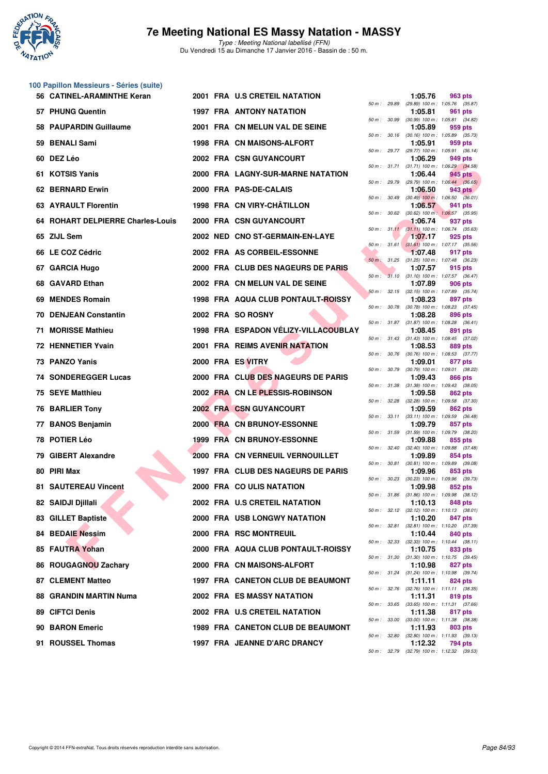

| 100 Papillon Messieurs - Séries (suite) |  |                               |
|-----------------------------------------|--|-------------------------------|
| 56 CATINEL-ARAMINTHE Keran              |  | 2001 FRA U.S CRETEIL NATATION |

| 57 PHUNG Quentin                  |  | 1997 FRA ANTONY NATATION             |                  | 50 m: 29.89 (29.89) 100 m: 1:05.76 (35.87)<br>1:05.81   | 961 pts |  |
|-----------------------------------|--|--------------------------------------|------------------|---------------------------------------------------------|---------|--|
| 58 PAUPARDIN Guillaume            |  | 2001 FRA CN MELUN VAL DE SEINE       |                  | 50 m: 30.99 (30.99) 100 m: 1:05.81 (34.82)<br>1:05.89   | 959 pts |  |
| 59 BENALI Sami                    |  | 1998 FRA CN MAISONS-ALFORT           |                  | 50 m : 30.16 (30.16) 100 m : 1:05.89 (35.73)<br>1:05.91 | 959 pts |  |
| 60 DEZ Léo                        |  | 2002 FRA CSN GUYANCOURT              |                  | 50 m: 29.77 (29.77) 100 m: 1:05.91 (36.14)<br>1:06.29   | 949 pts |  |
| 61 KOTSIS Yanis                   |  | 2000 FRA LAGNY-SUR-MARNE NATATION    |                  | 50 m: 31.71 (31.71) 100 m: 1:06.29 (34.58)<br>1:06.44   | 945 pts |  |
| 62 BERNARD Erwin                  |  | 2000 FRA PAS-DE-CALAIS               |                  | 50 m : 29.79 (29.79) 100 m : 1:06.44 (36.65)<br>1:06.50 | 943 pts |  |
| <b>63 AYRAULT Florentin</b>       |  | 1998 FRA CN VIRY-CHÂTILLON           | 50 m : 30.49     | $(30.49)$ 100 m : 1:06.50 $(36.01)$<br>1:06.57          | 941 pts |  |
| 64 ROHART DELPIERRE Charles-Louis |  | 2000 FRA CSN GUYANCOURT              |                  | 50 m : 30.62 (30.62) 100 m : 1:06.57 (35.95)<br>1:06.74 | 937 pts |  |
|                                   |  |                                      |                  | 50 m: 31.11 (31.11) 100 m: 1:06.74 (35.63)              |         |  |
| 65 ZIJL Sem                       |  | 2002 NED CNO ST-GERMAIN-EN-LAYE      |                  | 1:07.17<br>50 m: 31.61 (31.61) 100 m: 1:07.17 (35.56)   | 925 pts |  |
| 66 LE COZ Cédric                  |  | 2002 FRA AS CORBEIL-ESSONNE          |                  | 1:07.48<br>50 m : 31.25 (31.25) 100 m : 1:07.48 (36.23) | 917 pts |  |
| 67 GARCIA Hugo                    |  | 2000 FRA CLUB DES NAGEURS DE PARIS   |                  | 1:07.57<br>50 m: 31.10 (31.10) 100 m: 1:07.57 (36.47)   | 915 pts |  |
| 68 GAVARD Ethan                   |  | 2002 FRA CN MELUN VAL DE SEINE       |                  | 1:07.89<br>50 m: 32.15 (32.15) 100 m: 1:07.89 (35.74)   | 906 pts |  |
| 69 MENDES Romain                  |  | 1998 FRA AQUA CLUB PONTAULT-ROISSY   |                  | 1:08.23<br>50 m: 30.78 (30.78) 100 m: 1:08.23 (37.45)   | 897 pts |  |
| <b>70 DENJEAN Constantin</b>      |  | 2002 FRA SO ROSNY                    |                  | 1:08.28<br>50 m: 31.87 (31.87) 100 m: 1:08.28 (36.41)   | 896 pts |  |
| 71 MORISSE Mathieu                |  | 1998 FRA ESPADON VÉLIZY-VILLACOUBLAY |                  | 1:08.45                                                 | 891 pts |  |
| 72 HENNETIER Yvain                |  | 2001 FRA REIMS AVENIR NATATION       |                  | 50 m: 31.43 (31.43) 100 m: 1:08.45 (37.02)<br>1:08.53   | 889 pts |  |
| 73 PANZO Yanis                    |  | 2000 FRA ES VITRY                    | 50 m : 30.76     | (30.76) 100 m : 1:08.53 (37.77)<br>1:09.01              | 877 pts |  |
| 74 SONDEREGGER Lucas              |  | 2000 FRA CLUB DES NAGEURS DE PARIS   |                  | 50 m: 30.79 (30.79) 100 m: 1:09.01 (38.22)<br>1:09.43   | 866 pts |  |
| 75 SEYE Matthieu                  |  | 2002 FRA CN LE PLESSIS-ROBINSON      | 50 m : 31.38     | $(31.38)$ 100 m : 1:09.43 $(38.05)$<br>1:09.58          | 862 pts |  |
| 76 BARLIER Tony                   |  | <b>2002 FRA CSN GUYANCOURT</b>       | 50 m : 32.28     | $(32.28)$ 100 m : 1:09.58 $(37.30)$<br>1:09.59          | 862 pts |  |
| 77 BANOS Benjamin                 |  | 2000 FRA CN BRUNOY-ESSONNE           |                  | 50 m: 33.11 (33.11) 100 m: 1:09.59 (36.48)<br>1:09.79   | 857 pts |  |
| 78 POTIER Léo                     |  | <b>1999 FRA CN BRUNOY-ESSONNE</b>    |                  | 50 m: 31.59 (31.59) 100 m: 1:09.79 (38.20)<br>1:09.88   | 855 pts |  |
| 79 GIBERT Alexandre               |  | 2000 FRA CN VERNEUIL VERNOUILLET     |                  | 50 m: 32.40 (32.40) 100 m: 1:09.88 (37.48)<br>1:09.89   | 854 pts |  |
| 80 PIRI Max                       |  | 1997 FRA CLUB DES NAGEURS DE PARIS   |                  | 50 m: 30.81 (30.81) 100 m: 1:09.89 (39.08)<br>1:09.96   | 853 pts |  |
| 81 SAUTEREAU Vincent              |  | 2000 FRA COULIS NATATION             |                  | 50 m : 30.23 (30.23) 100 m : 1:09.96 (39.73)<br>1:09.98 | 852 pts |  |
| 82 SAIDJI Djillali                |  |                                      |                  | 50 m: 31.86 (31.86) 100 m: 1:09.98 (38.12)              |         |  |
|                                   |  | 2002 FRA U.S CRETEIL NATATION        |                  | 1:10.13<br>50 m: 32.12 (32.12) 100 m: 1:10.13 (38.01)   | 848 pts |  |
| 83 GILLET Baptiste                |  | 2000 FRA USB LONGWY NATATION         | 50 m : 32.81     | 1:10.20<br>$(32.81)$ 100 m : 1:10.20 $(37.39)$          | 847 pts |  |
| <b>84 BEDAIE Nessim</b>           |  | 2000 FRA RSC MONTREUIL               |                  | 1:10.44<br>50 m: 32.33 (32.33) 100 m: 1:10.44 (38.11)   | 840 pts |  |
| 85 FAUTRA Yohan                   |  | 2000 FRA AQUA CLUB PONTAULT-ROISSY   |                  | 1:10.75<br>50 m : 31.30 (31.30) 100 m : 1:10.75 (39.45) | 833 pts |  |
| 86 ROUGAGNOU Zachary              |  | 2000 FRA CN MAISONS-ALFORT           |                  | 1:10.98<br>50 m: 31.24 (31.24) 100 m: 1:10.98 (39.74)   | 827 pts |  |
| <b>87 CLEMENT Matteo</b>          |  | 1997 FRA CANETON CLUB DE BEAUMONT    | 50 m : 32.76     | 1:11.11<br>$(32.76)$ 100 m : 1:11.11 $(38.35)$          | 824 pts |  |
| 88 GRANDIN MARTIN Numa            |  | <b>2002 FRA ES MASSY NATATION</b>    |                  | 1:11.31<br>50 m: 33.65 (33.65) 100 m: 1:11.31 (37.66)   | 819 pts |  |
| 89 CIFTCI Denis                   |  | 2002 FRA U.S CRETEIL NATATION        |                  | 1:11.38<br>50 m: 33.00 (33.00) 100 m: 1:11.38 (38.38)   | 817 pts |  |
| 90 BARON Emeric                   |  | 1989 FRA CANETON CLUB DE BEAUMONT    |                  | 1:11.93                                                 | 803 pts |  |
| 91 ROUSSEL Thomas                 |  | 1997 FRA JEANNE D'ARC DRANCY         |                  | 50 m: 32.80 (32.80) 100 m: 1:11.93 (39.13)<br>1:12.32   | 794 pts |  |
|                                   |  |                                      | $50m \cdot 3279$ | $(32, 79)$ 100 m · 1.12 32 (39.53)                      |         |  |

| $50 m$ : | 29.89 | 1:05.76<br>$(29.89) 100 m$ : | 963 pts<br>1:05.76 (35.87)            |
|----------|-------|------------------------------|---------------------------------------|
| 50 m :   | 30.99 | 1:05.81<br>(30.99) 100 m :   | <b>961 pts</b><br>(34.82)<br>1:05.81  |
|          |       | 1:05.89                      | 959 pts                               |
| $50 m$ : | 30.16 | $(30.16) 100 m$ :            | 1:05.89<br>(35.73)                    |
| $50 m$ : | 29.77 | 1:05.91<br>(29.77) 100 m :   | 959 pts<br>1:05.91<br>(36.14)         |
|          |       | 1:06.29                      | 949 pts                               |
| $50 m$ : | 31.71 | $(31.71) 100 m$ :<br>1:06.44 | 1:06.29 (34.58)<br>945 pts            |
| $50 m$ : | 29.79 | (29.79) 100 m :              | 1:06.44<br>(36.65)                    |
| $50 m$ : | 30.49 | 1:06.50<br>$(30.49)$ 100 m : | <b>943 pts</b><br>$1:06.50$ $(36.01)$ |
| $50 m$ : | 30.62 | 1:06.57<br>$(30.62)$ 100 m : | 941 pts<br>1:06.57 (35.95)            |
|          |       | 1:06.74                      | 937 pts                               |
| $50 m$ : | 31.11 | $(31.11) 100 m$ :            | 1:06.74<br>(35.63)                    |
| $50 m$ : | 31.61 | 1:07.17<br>$(31.61)$ 100 m : | 925 pts<br>1:07.17 (35.56)            |
|          |       | 1:07.48                      | 917 pts                               |
| $50 m$ : | 31.25 | $(31.25)$ 100 m :<br>1:07.57 | 1:07.48 (36.23)<br>915 pts            |
| $50 m$ : | 31.10 | $(31.10) 100 m$ :            | 1:07.57 (36.47)                       |
| $50 m$ : | 32.15 | 1:07.89<br>$(32.15) 100 m$ : | 906 pts<br>1:07.89 (35.74)            |
|          |       | 1:08.23                      | 897 pts                               |
| 50 m :   | 30.78 | $(30.78)$ 100 m :<br>1:08.28 | 1:08.23 (37.45)<br>896 pts            |
| $50 m$ : | 31.87 | $(31.87) 100 m$ :            | 1:08.28 (36.41)                       |
| $50 m$ : | 31.43 | 1:08.45<br>$(31.43) 100 m$ : | 891 pts<br>1:08.45<br>(37.02)         |
|          |       | 1:08.53                      | 889 pts                               |
| 50 m :   | 30.76 | $(30.76)$ 100 m :<br>1:09.01 | 1:08.53<br>(37.77)<br>877 pts         |
| $50 m$ : | 30.79 | (30.79) 100 m :              | 1:09.01<br>(38.22)                    |
| $50 m$ : | 31.38 | 1:09.43<br>$(31.38) 100 m$ : | <b>866 pts</b><br>1:09.43 (38.05)     |
|          |       | 1:09.58                      | 862 pts                               |
| $50 m$ : | 32.28 | $(32.28) 100 m$ :<br>1:09.59 | (37.30)<br>1:09.58<br>862 pts         |
| $50 m$ : | 33.11 | $(33.11)$ 100 m :            | 1:09.59 (36.48)                       |
| $50 m$ : | 31.59 | 1:09.79<br>$(31.59) 100 m$ : | 857 pts<br>1:09.79 (38.20)            |
|          | 32.40 | 1:09.88<br>$(32.40)$ 100 m : | 855 pts<br>1:09.88 (37.48)            |
| $50 m$ : |       | 1:09.89                      | 854 pts                               |
| $50 m$ : | 30.81 | $(30.81)$ 100 m :<br>1:09.96 | 1:09.89 (39.08)<br>853 pts            |
| $50 m$ : | 30.23 | (30.23) 100 m :              | 1:09.96<br>(39.73)                    |
| $50 m$ : | 31.86 | 1:09.98<br>$(31.86) 100 m$ : | 852 pts<br>1:09.98<br>(38.12)         |
|          |       | 1:10.13                      | 848 pts                               |
| $50 m$ : | 32.12 | $(32.12)$ 100 m :<br>1:10.20 | 1:10.13<br>(38.01)<br>847<br>pts      |
| $50 m$ : | 32.81 | $(32.81)$ 100 m :            | 1:10.20<br>(37.39)                    |
| 50 m :   | 32.33 | 1:10.44<br>$(32.33) 100 m$ : | 840 pts<br>1:10.44<br>(38.11)         |
|          |       | 1:10.75                      | 833 pts                               |
| $50 m$ : | 31.30 | $(31.30) 100 m$ :<br>1:10.98 | 1:10.75<br>(39.45)<br>827 pts         |
| $50 m$ : | 31.24 | $(31.24) 100 m$ :            | 1:10.98<br>(39.74)                    |
| $50 m$ : | 32.76 | 1:11.11<br>$(32.76)$ 100 m : | 824 pts<br>1:11.11<br>(38.35)         |
|          |       | 1:11.31                      | 819 pts                               |
| $50 m$ : | 33.65 | $(33.65)$ 100 m :<br>1:11.38 | 1:11.31<br>(37.66)<br>817 pts         |
| $50 m$ : | 33.00 | $(33.00)$ 100 m :            | 1:11.38<br>(38.38)                    |
| 50 m :   | 32.80 | 1:11.93<br>$(32.80)$ 100 m : | 803 pts<br>1:11.93<br>(39.13)         |
|          |       | 1:12.32                      | 794 pts                               |
| $50 m$ : | 32.79 | (32.79) 100 m :              | 1:12.32<br>(39.53)                    |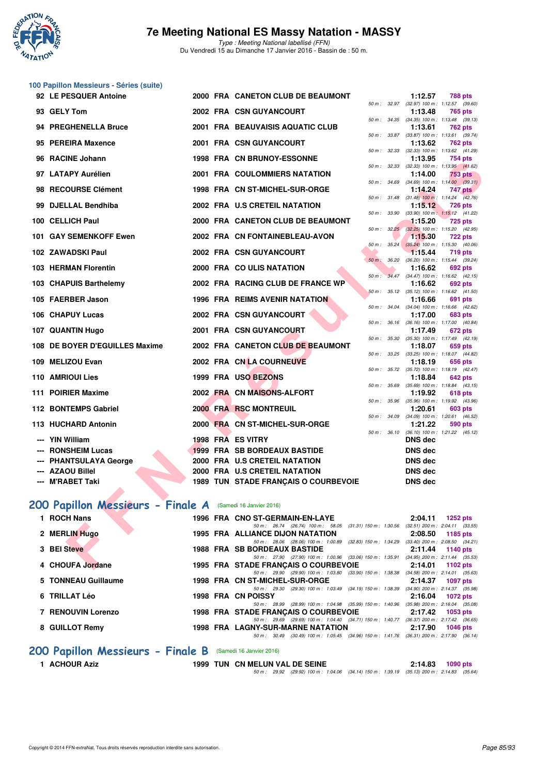

**100 Papillon Messieurs - Séries (suite)**

Type : Meeting National labellisé (FFN) Du Vendredi 15 au Dimanche 17 Janvier 2016 - Bassin de : 50 m.

| 92 LE PESQUER Antoine                                      |  | 2000 FRA CANETON CLUB DE BEAUMONT                                                                                                   |                   | 1:12.57                                               | <b>788 pts</b>                                         |
|------------------------------------------------------------|--|-------------------------------------------------------------------------------------------------------------------------------------|-------------------|-------------------------------------------------------|--------------------------------------------------------|
| 93 GELY Tom                                                |  | 2002 FRA CSN GUYANCOURT                                                                                                             | 50 m: 32.97       | 1:13.48                                               | $(32.97)$ 100 m : 1:12.57 $(39.60)$<br><b>765 pts</b>  |
| 94 PREGHENELLA Bruce                                       |  | 2001 FRA BEAUVAISIS AQUATIC CLUB                                                                                                    |                   | 50 m: 34.35 (34.35) 100 m: 1:13.48 (39.13)<br>1:13.61 | <b>762 pts</b>                                         |
| 95 PEREIRA Maxence                                         |  | 2001 FRA CSN GUYANCOURT                                                                                                             | 50 m: 33.87       | 1:13.62                                               | $(33.87)$ 100 m : 1:13.61 $(39.74)$<br>762 pts         |
| 96 RACINE Johann                                           |  | <b>1998 FRA CN BRUNOY-ESSONNE</b>                                                                                                   |                   | 50 m: 32.33 (32.33) 100 m: 1:13.62 (41.29)<br>1:13.95 | 754 pts                                                |
| 97 LATAPY Aurélien                                         |  | 2001 FRA COULOMMIERS NATATION                                                                                                       | 50 m: 32.33       | 1:14.00                                               | (32.33) 100 m: 1:13.95 (41.62)<br><b>753 pts</b>       |
| 98 RECOURSE Clément                                        |  | 1998 FRA CN ST-MICHEL-SUR-ORGE                                                                                                      | 50 m : 34.69      | 1:14.24                                               | $(34.69)$ 100 m : 1:14.00 $(39.31)$<br>747 pts         |
| 99 DJELLAL Bendhiba                                        |  | 2002 FRA U.S CRETEIL NATATION                                                                                                       | 50 m : 31.48      | 1:15.12                                               | $(31.48)$ 100 m : 1:14.24 $(42.76)$<br><b>726 pts</b>  |
| 100 CELLICH Paul                                           |  | 2000 FRA CANETON CLUB DE BEAUMONT                                                                                                   | 50 m : 33.90      | 1:15.20                                               | $(33.90)$ 100 m : 1:15.12 $(41.22)$<br><b>725 pts</b>  |
| 101 GAY SEMENKOFF Ewen                                     |  | 2002 FRA CN FONTAINEBLEAU-AVON                                                                                                      | 50 m: 32.25       | 1:15.30                                               | $(32.25)$ 100 m : 1:15.20 $(42.95)$<br><b>722 pts</b>  |
| 102 ZAWADSKI Paul                                          |  | 2002 FRA CSN GUYANCOURT                                                                                                             | 50 m: 35.24       | 1:15.44                                               | $(35.24)$ 100 m : 1:15.30 $(40.06)$<br><b>719 pts</b>  |
| 103 HERMAN Florentin                                       |  | 2000 FRA COULIS NATATION                                                                                                            | 50 m : 36.20      | 1:16.62                                               | (36.20) 100 m: 1:15.44 (39.24)<br>692 pts              |
| 103 CHAPUIS Barthelemy                                     |  | 2002 FRA RACING CLUB DE FRANCE WP                                                                                                   | $50 m$ :<br>34.47 | 1:16.62                                               | $(34.47)$ 100 m : 1:16.62 $(42.15)$<br>692 pts         |
| 105 FAERBER Jason                                          |  | 1996 FRA REIMS AVENIR NATATION                                                                                                      |                   | 50 m: 35.12 (35.12) 100 m: 1:16.62 (41.50)<br>1:16.66 | 691 pts                                                |
| 106 CHAPUY Lucas                                           |  | 2002 FRA CSN GUYANCOURT                                                                                                             | 50 m : 34.04      | 1:17.00                                               | $(34.04)$ 100 m : 1:16.66 $(42.62)$<br><b>683 pts</b>  |
| 107 QUANTIN Hugo                                           |  | 2001 FRA CSN GUYANCOURT                                                                                                             |                   | 50 m: 36.16 (36.16) 100 m: 1:17.00 (40.84)<br>1:17.49 | 672 pts                                                |
| 108 DE BOYER D'EGUILLES Maxime                             |  | 2002 FRA CANETON CLUB DE BEAUMONT                                                                                                   | 50 m : 35.30      | 1:18.07                                               | $(35.30)$ 100 m : 1:17.49 $(42.19)$<br>659 pts         |
| 109 MELIZOU Evan                                           |  | 2002 FRA CN LA COURNEUVE                                                                                                            | 50 m : 33.25      | 1:18.19                                               | $(33.25)$ 100 m : 1:18.07 $(44.82)$<br>656 pts         |
| 110 AMRIOUI Lies                                           |  | 1999 FRA USO BEZONS                                                                                                                 |                   | 50 m: 35.72 (35.72) 100 m: 1:18.19 (42.47)<br>1:18.84 | 642 pts                                                |
| 111 POIRIER Maxime                                         |  | 2002 FRA CN MAISONS-ALFORT                                                                                                          | $50 m$ : $35.69$  |                                                       | $(35.69)$ 100 m : 1:18.84 $(43.15)$                    |
|                                                            |  |                                                                                                                                     | 50 m : 35.96      | 1:19.92                                               | 618 pts<br>$(35.96)$ 100 m : 1:19.92 $(43.96)$         |
| 112 BONTEMPS Gabriel                                       |  | <b>2000 FRA RSC MONTREUIL</b>                                                                                                       | 50 m : 34.09      | 1:20.61                                               | 603 pts<br>(34.09) 100 m: 1:20.61 (46.52)              |
| 113 HUCHARD Antonin                                        |  | 2000 FRA CN ST-MICHEL-SUR-ORGE                                                                                                      | 50 m: 36.10       | 1:21.22                                               | 590 pts<br>$(36.10)$ 100 m : 1:21.22 $(45.12)$         |
| --- YIN William<br><b>RONSHEIM Lucas</b>                   |  | 1998 FRA ES VITRY<br><b>1999 FRA SB BORDEAUX BASTIDE</b>                                                                            |                   | <b>DNS dec</b><br><b>DNS dec</b>                      |                                                        |
| <b>PHANTSULAYA George</b>                                  |  | 2000 FRA U.S CRETEIL NATATION                                                                                                       |                   | <b>DNS dec</b>                                        |                                                        |
| --- AZAOU Billel                                           |  | 2000 FRA U.S CRETEIL NATATION                                                                                                       |                   | <b>DNS dec</b>                                        |                                                        |
| --- M'RABET Taki                                           |  | 1989 TUN STADE FRANÇAIS O COURBEVOIE                                                                                                |                   | <b>DNS dec</b>                                        |                                                        |
|                                                            |  |                                                                                                                                     |                   |                                                       |                                                        |
| 200 Papillon Messieurs - Finale A (Samedi 16 Janvier 2016) |  |                                                                                                                                     |                   |                                                       |                                                        |
| 1 ROCH Nans                                                |  | 1996 FRA CNO ST-GERMAIN-EN-LAYE<br>50 m: 26.74 (26.74) 100 m: 58.05 (31.31) 150 m: 1:30.56 (32.51) 200 m: 2:04.11 (33.55)           |                   | 2:04.11                                               | <b>1252 pts</b>                                        |
| 2 MERLIN Hugo                                              |  | <b>1995 FRA ALLIANCE DIJON NATATION</b><br>50 m: 28.06 (28.06) 100 m: 1:00.89 (32.83) 150 m: 1:34.29 (33.40) 200 m: 2:08.50 (34.21) |                   | 2:08.50                                               | 1185 pts                                               |
| 3 BEI Steve                                                |  | <b>1988 FRA SB BORDEAUX BASTIDE</b><br>50 m : 27.90 (27.90) 100 m : 1:00.96 (33.06) 150 m : 1:35.91                                 |                   | 2:11.44                                               | <b>1140 pts</b><br>$(34.95)$ 200 m : 2:11.44 $(35.53)$ |
| 4 CHOUFA Jordane                                           |  | 1995 FRA STADE FRANÇAIS O COURBEVOIE                                                                                                |                   | 2:14.01                                               | 1102 pts                                               |

### **[200 Papillon Messieurs - Finale A](http://www.ffnatation.fr/webffn/resultats.php?idact=nat&go=epr&idcpt=35299&idepr=83)** (Samedi 16 Janvier 2016)

| 1 ROCH Nans         |  | 1996 FRA CNO ST-GERMAIN-EN-LAYE                                                                                                      | 2:04.11 | $1252$ pts                                        |
|---------------------|--|--------------------------------------------------------------------------------------------------------------------------------------|---------|---------------------------------------------------|
| 2 MERLIN Hugo       |  | 50 m: 26.74 (26.74) 100 m: 58.05<br>(31.31) 150 m : 1:30.56<br><b>1995 FRA ALLIANCE DIJON NATATION</b>                               | 2:08.50 | $(32.51)$ 200 m : 2:04.11 $(33.55)$<br>1185 $pts$ |
| 3 BEI Steve         |  | $(32.83)$ 150 m : 1:34.29<br>50 m: 28.06 (28.06) 100 m: 1:00.89<br><b>1988 FRA SB BORDEAUX BASTIDE</b>                               | 2:11.44 | $(33.40)$ 200 m : 2:08.50 $(34.21)$<br>1140 pts   |
| 4 CHOUFA Jordane    |  | 50 m: 27.90 (27.90) 100 m: 1:00.96 (33.06) 150 m: 1:35.91<br>1995 FRA STADE FRANCAIS O COURBEVOIE                                    | 2:14.01 | $(34.95)$ 200 m : 2:11.44 $(35.53)$<br>1102 $pts$ |
| 5 TONNEAU Guillaume |  | 50 m: 29.90 (29.90) 100 m: 1:03.80 (33.90) 150 m: 1:38.38<br>1998 FRA CN ST-MICHEL-SUR-ORGE                                          | 2:14.37 | $(34.58)$ 200 m : 2:14.01 $(35.63)$<br>1097 pts   |
| 6 TRILLAT Léo       |  | 50 m: 29.30 (29.30) 100 m: 1:03.49 (34.19) 150 m: 1:38.39<br>1998 FRA CN POISSY                                                      | 2:16.04 | $(34.90)$ 200 m : 2:14.37 $(35.98)$<br>1072 pts   |
| 7 RENOUVIN Lorenzo  |  | 50 m: 28.99 (28.99) 100 m: 1:04.98 (35.99) 150 m: 1:40.96<br>1998 FRA STADE FRANCAIS O COURBEVOIE                                    | 2:17.42 | $(35.98)$ 200 m : 2:16.04 $(35.08)$<br>$1053$ pts |
| 8 GUILLOT Remy      |  | 50 m: 29.69 (29.69) 100 m: 1:04.40 (34.71) 150 m: 1:40.77 (36.37) 200 m: 2:17.42 (36.65)<br><b>1998 FRA LAGNY-SUR-MARNE NATATION</b> | 2:17.90 | <b>1046 pts</b>                                   |
|                     |  | (30.49) 100 m: 1:05.45 (34.96) 150 m: 1:41.76 (36.31) 200 m: 2:17.90 (36.14)<br>$50 \text{ m}$ : $30.49$                             |         |                                                   |

# **200 Papillon Messieurs - Finale B** (Samedi 16 Janvier 2016)<br>1 ACHOUR Aziz<br>1999 TUN CN MELUN V.

**1999 TUN CN MELUN VAL DE SEINE 2:14.83 1090 pts** 50 m : 29.92 (29.92) 100 m : 1:04.06 (34.14) 150 m : 1:39.19 (35.13) 200 m : 2:14.83 (35.64)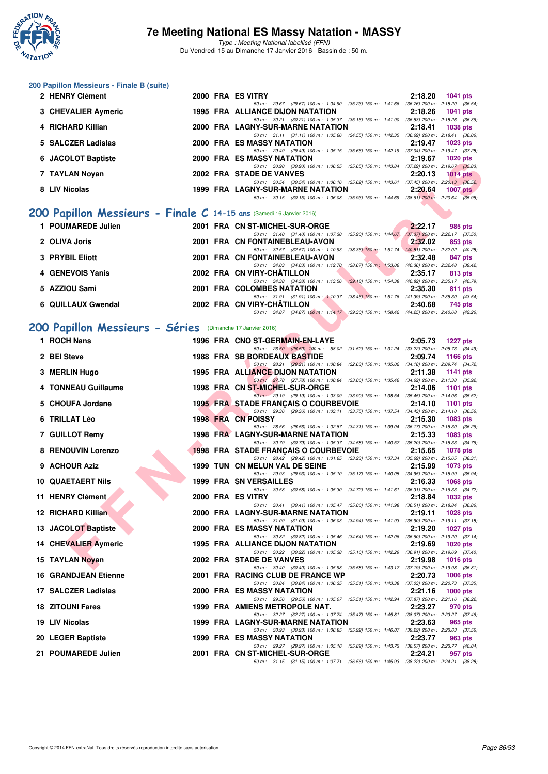

Type : Meeting National labellisé (FFN) Du Vendredi 15 au Dimanche 17 Janvier 2016 - Bassin de : 50 m.

### **200 Papillon Messieurs - Finale B (suite)**

| 2 HENRY Clément     | 2000 FRA ES VITRY                                                                        | 2:18.20 | 1041 pts                            |
|---------------------|------------------------------------------------------------------------------------------|---------|-------------------------------------|
|                     | (29.67) 100 m : 1:04.90 (35.23) 150 m : 1:41.66<br>$50 m$ : 29.67                        |         | $(36.76)$ 200 m : 2:18.20 $(36.54)$ |
| 3 CHEVALIER Aymeric | 1995 FRA ALLIANCE DIJON NATATION                                                         | 2:18.26 | <b>1041 pts</b>                     |
|                     | (30.21) 100 m : 1:05.37 (35.16) 150 m : 1:41.90<br>$50 \text{ m}$ : $30.21$              |         | $(36.53)$ 200 m : 2:18.26 $(36.36)$ |
| 4 RICHARD Killian   | 2000 FRA LAGNY-SUR-MARNE NATATION                                                        | 2:18.41 | 1038 pts                            |
|                     | 50 m: 31.11 (31.11) 100 m: 1:05.66 (34.55) 150 m: 1:42.35                                |         | $(36.69)$ 200 m : 2:18.41 $(36.06)$ |
| 5 SALCZER Ladislas  | 2000 FRA ES MASSY NATATION                                                               | 2:19.47 | <b>1023 pts</b>                     |
|                     | 50 m: 29.49 (29.49) 100 m: 1:05.15 (35.66) 150 m: 1:42.19                                |         | $(37.04)$ 200 m : 2:19.47 $(37.28)$ |
| 6 JACOLOT Baptiste  | 2000 FRA ES MASSY NATATION                                                               | 2:19.67 | <b>1020 pts</b>                     |
|                     | (30.90) 100 m: 1:06.55 (35.65) 150 m: 1:43.84<br>50 m : 30.90                            |         | $(37.29)$ 200 m : 2:19.67 $(35.83)$ |
| 7 TAYLAN Novan      | 2002 FRA STADE DE VANVES                                                                 | 2:20.13 | <b>1014 pts</b>                     |
|                     | $(30.54)$ 100 m : 1:06.16 $(35.62)$ 150 m : 1:43.61<br>50 m : 30.54                      |         | $(37.45)$ 200 m : 2:20.13 $(36.52)$ |
| 8 LIV Nicolas       | <b>1999 FRA LAGNY-SUR-MARNE NATATION</b>                                                 | 2:20.64 | $1007$ pts                          |
|                     | 50 m: 30.15 (30.15) 100 m: 1:06.08 (35.93) 150 m: 1:44.69 (38.61) 200 m: 2:20.64 (35.95) |         |                                     |
|                     |                                                                                          |         |                                     |

# **[200 Papillon Messieurs - Finale C](http://www.ffnatation.fr/webffn/resultats.php?idact=nat&go=epr&idcpt=35299&idepr=83) 14-15 ans** (Samedi 16 Janvier 2016)

| 1 POUMAREDE Julien |  | 2001 FRA CN ST-MICHEL-SUR-ORGE                                                           |                           | 2:22.17 | 985 pts                             |
|--------------------|--|------------------------------------------------------------------------------------------|---------------------------|---------|-------------------------------------|
|                    |  | 50 m: 31.40 (31.40) 100 m: 1:07.30                                                       | $(35.90)$ 150 m : 1:44.67 |         | $(37.37)$ 200 m : 2:22.17 $(37.50)$ |
| 2 OLIVA Joris      |  | 2001 FRA CN FONTAINEBLEAU-AVON                                                           |                           | 2:32.02 | 853 pts                             |
|                    |  | 50 m: 32.57 (32.57) 100 m: 1:10.93                                                       | $(38.36)$ 150 m : 1.51.74 |         | $(40.81)$ 200 m : 2:32.02 $(40.28)$ |
| 3 PRYBIL Eliott    |  | 2001 FRA CN FONTAINEBLEAU-AVON                                                           |                           | 2:32.48 | 847 pts                             |
|                    |  | 50 m: 34.03 (34.03) 100 m: 1:12.70                                                       | $(38.67)$ 150 m : 1:53.06 |         | (40.36) 200 m : 2:32.48 (39.42)     |
| 4 GENEVOIS Yanis   |  | 2002 FRA CN VIRY-CHÂTILLON                                                               |                           | 2:35.17 | 813 pts                             |
|                    |  | 50 m: 34.38 (34.38) 100 m: 1:13.56                                                       | $(39.18)$ 150 m : 1:54.38 |         | $(40.82)$ 200 m : 2:35.17 $(40.79)$ |
| 5 AZZIOU Sami      |  | 2001 FRA COLOMBES NATATION                                                               |                           | 2:35.30 | 811 pts                             |
|                    |  | 50 m: 31.91 (31.91) 100 m: 1:10.37                                                       | $(38.46)$ 150 m : 1:51.76 |         | $(41.39)$ 200 m : 2:35.30 $(43.54)$ |
| 6 QUILLAUX Gwendal |  | 2002 FRA CN VIRY-CHÂTILLON                                                               |                           | 2:40.68 | 745 pts                             |
|                    |  | 50 m: 34.87 (34.87) 100 m: 1:14.17 (39.30) 150 m: 1:58.42 (44.25) 200 m: 2:40.68 (42.26) |                           |         |                                     |

# **[200 Papillon Messieurs - Séries](http://www.ffnatation.fr/webffn/resultats.php?idact=nat&go=epr&idcpt=35299&idepr=83)** (Dimanche 17 Janvier 2016)

| <b>U JACULUI DAPIISIE</b>                                           |  | EJ MAJJI INATATIUN<br>2. I J.VI<br><b>TUZU PIS</b>                                                                                                                    |
|---------------------------------------------------------------------|--|-----------------------------------------------------------------------------------------------------------------------------------------------------------------------|
| 7 TAYLAN Novan                                                      |  | 50 m: 30.90 (30.90) 100 m: 1:06.55 (35.65) 150 m: 1:43.84 (37.29) 200 m: 2:19.67 (35.83)<br>2002 FRA STADE DE VANVES<br>2:20.13<br>$1014$ pts                         |
| 8 LIV Nicolas                                                       |  | 50 m: 30.54 (30.54) 100 m: 1:06.16 (35.62) 150 m: 1:43.61 (37.45) 200 m: 2:20.13 (36.52)<br>1999 FRA LAGNY-SUR-MARNE NATATION<br>2:20.64                              |
|                                                                     |  | 1007 $pts$<br>50 m: 30.15 (30.15) 100 m: 1:06.08 (35.93) 150 m: 1:44.69 (38.61) 200 m: 2:20.64 (35.95)                                                                |
|                                                                     |  |                                                                                                                                                                       |
| 00 Papillon Messieurs - Finale C 14-15 ans (Samedi 16 Janvier 2016) |  |                                                                                                                                                                       |
| 1 POUMAREDE Julien                                                  |  | 2001 FRA CN ST-MICHEL-SUR-ORGE<br>2:22.17<br>985 pts<br>50 m: 31.40 (31.40) 100 m: 1:07.30 (35.90) 150 m: 1:44.67 (37.37) 200 m: 2:22.17 (37.50)                      |
| 2 OLIVA Joris                                                       |  | 2001 FRA CN FONTAINEBLEAU-AVON<br>2:32.02<br>853 pts                                                                                                                  |
| 3 PRYBIL Eliott                                                     |  | 50 m: 32.57 (32.57) 100 m: 1:10.93 (38.36) 150 m: 1:51.74 (40.81) 200 m: 2:32.02 (40.28)<br>2001 FRA CN FONTAINEBLEAU-AVON<br>2:32.48<br>847 pts                      |
|                                                                     |  | 50 m: 34.03 (34.03) 100 m: 1:12.70 (38.67) 150 m: 1:53.06 (40.36) 200 m: 2:32.48 (39.42)                                                                              |
| 4 GENEVOIS Yanis                                                    |  | 2002 FRA CN VIRY-CHATILLON<br>2:35.17<br>813 pts<br>50 m: 34.38 (34.38) 100 m: 1:13.56 (39.18) 150 m: 1:54.38 (40.82) 200 m: 2:35.17 (40.79)                          |
| 5 AZZIOU Sami                                                       |  | 2001 FRA COLOMBES NATATION<br>2:35.30<br>811 pts                                                                                                                      |
| 6 QUILLAUX Gwendal                                                  |  | 50 m: 31.91 (31.91) 100 m: 1:10.37 (38.46) 150 m: 1:51.76 (41.39) 200 m: 2:35.30 (43.54)<br>2002 FRA CN VIRY-CHATILLON<br>2:40.68<br>745 pts                          |
|                                                                     |  | 50 m: 34.87 (34.87) 100 m: 1:14.17 (39.30) 150 m: 1:58.42 (44.25) 200 m: 2:40.68 (42.26)                                                                              |
| 00 Papillon Messieurs - Séries (Dimanche 17 Janvier 2016)           |  |                                                                                                                                                                       |
| 1 ROCH Nans                                                         |  | 1996 FRA CNO ST-GERMAIN-EN-LAYE<br>2:05.73 1227 pts                                                                                                                   |
|                                                                     |  | 50 m: 26.50 (26.50) 100 m: 58.02 (31.52) 150 m: 1:31.24 (33.22) 200 m: 2:05.73 (34.49)                                                                                |
| 2 BEI Steve                                                         |  | <b>1988 FRA SB BORDEAUX BASTIDE</b><br>2:09.74<br>1166 pts<br>50 m: 28.21 (28.21) 100 m: 1:00.84 (32.63) 150 m: 1:35.02 (34.18) 200 m: 2:09.74 (34.72)                |
| 3 MERLIN Hugo                                                       |  | 1995 FRA ALLIANCE DIJON NATATION<br>2:11.38<br>1141 pts                                                                                                               |
| 4 TONNEAU Guillaume                                                 |  | 50 m: 27.78 (27.78) 100 m: 1:00.84 (33.06) 150 m: 1:35.46 (34.62) 200 m: 2:11.38 (35.92)<br>1998 FRA CN ST-MICHEL-SUR-ORGE<br>2:14.06<br>1101 $pts$                   |
|                                                                     |  | 50 m : 29.19 (29.19) 100 m : 1:03.09 (33.90) 150 m : 1:38.54 (35.45) 200 m : 2:14.06 (35.52)                                                                          |
| 5 CHOUFA Jordane                                                    |  | <b>1995 FRA STADE FRANÇAIS O COURBEVOIE</b><br>2:14.10<br><b>1101 pts</b><br>50 m: 29.36 (29.36) 100 m: 1:03.11 (33.75) 150 m: 1:37.54 (34.43) 200 m: 2:14.10 (36.56) |
| 6 TRILLAT Léo                                                       |  | 1998 FRA CN POISSY<br>2:15.30<br>1083 pts                                                                                                                             |
| 7 GUILLOT Remy                                                      |  | 50 m: 28.56 (28.56) 100 m: 1:02.87 (34.31) 150 m: 1:39.04 (36.17) 200 m: 2:15.30 (36.26)<br><b>1998 FRA LAGNY-SUR-MARNE NATATION</b><br>2:15.33<br>1083 pts           |
|                                                                     |  | 50 m: 30.79 (30.79) 100 m: 1:05.37 (34.58) 150 m: 1:40.57 (35.20) 200 m: 2:15.33 (34.76)                                                                              |
| 8 RENOUVIN Lorenzo                                                  |  | 1998 FRA STADE FRANCAIS O COURBEVOIE<br>2:15.65<br><b>1078 pts</b><br>50 m: 28.42 (28.42) 100 m: 1:01.65 (33.23) 150 m: 1:37.34 (35.69) 200 m: 2:15.65 (38.31)        |
| 9 ACHOUR Aziz                                                       |  | 1999 TUN CN MELUN VAL DE SEINE<br>2:15.99<br>1073 pts                                                                                                                 |
| <b>10 QUAETAERT Nils</b>                                            |  | 50 m: 29.93 (29.93) 100 m: 1:05.10 (35.17) 150 m: 1:40.05 (34.95) 200 m: 2:15.99 (35.94)<br>1999 FRA SN VERSAILLES<br>2:16.33<br>1068 pts                             |
|                                                                     |  | 50 m: 30.58 (30.58) 100 m: 1:05.30 (34.72) 150 m: 1:41.61 (36.31) 200 m: 2:16.33 (34.72)                                                                              |
| 11 HENRY Clément                                                    |  | 2000 FRA ES VITRY<br>2:18.84<br>1032 pts<br>50 m: 30.41 (30.41) 100 m: 1:05.47 (35.06) 150 m: 1:41.98 (36.51) 200 m: 2:18.84 (36.86)                                  |
| 12 RICHARD Killian                                                  |  | 2000 FRA LAGNY-SUR-MARNE NATATION<br>2:19.11<br>1028 pts                                                                                                              |
| 13 JACOLOT Baptiste                                                 |  | 50 m: 31.09 (31.09) 100 m: 1.06.03 (34.94) 150 m: 1.41.93 (35.90) 200 m: 2.19.11 (37.18)<br>2000 FRA ES MASSY NATATION<br>2:19.20<br><b>1027 pts</b>                  |
|                                                                     |  | 50 m: 30.82 (30.82) 100 m: 1:05.46 (34.64) 150 m: 1:42.06 (36.60) 200 m: 2:19.20 (37.14)                                                                              |
| 14 CHEVALIER Aymeric                                                |  | <b>1995 FRA ALLIANCE DIJON NATATION</b><br>2:19.69<br><b>1020 pts</b><br>50 m: 30.22 (30.22) 100 m: 1:05.38 (35.16) 150 m: 1:42.29 (36.91) 200 m: 2:19.69 (37.40)     |
| 15 TAYLAN Noyan                                                     |  | 2002 FRA STADE DE VANVES<br>2:19.98<br>1016 pts                                                                                                                       |
| <b>16 GRANDJEAN Etienne</b>                                         |  | 50 m: 30.40 (30.40) 100 m: 1:05.98 (35.58) 150 m: 1:43.17 (37.19) 200 m: 2:19.98 (36.81)<br>2001 FRA RACING CLUB DE FRANCE WP<br>2:20.73<br><b>1006 pts</b>           |
|                                                                     |  | 50 m: 30.84 (30.84) 100 m: 1:06.35 (35.51) 150 m: 1:43.38 (37.03) 200 m: 2:20.73 (37.35)                                                                              |
| 17 SALCZER Ladislas                                                 |  | 2000 FRA ES MASSY NATATION<br>2:21.16<br>1000 pts<br>50 m: 29.56 (29.56) 100 m: 1:05.07 (35.51) 150 m: 1:42.94 (37.87) 200 m: 2:21.16 (38.22)                         |
| <b>18 ZITOUNI Fares</b>                                             |  | 1999 FRA AMIENS METROPOLE NAT.<br>2:23.27<br>970 pts                                                                                                                  |
| 19 LIV Nicolas                                                      |  | 50 m: 32.27 (32.27) 100 m: 1:07.74 (35.47) 150 m: 1:45.81 (38.07) 200 m: 2:23.27 (37.46)<br>1999 FRA LAGNY-SUR-MARNE NATATION<br>2:23.63<br>965 pts                   |
|                                                                     |  | 50 m: 30.93 (30.93) 100 m: 1:06.85 (35.92) 150 m: 1:46.07 (39.22) 200 m: 2:23.63 (37.56)                                                                              |
| 20 LEGER Baptiste                                                   |  | 1999 FRA ES MASSY NATATION<br>2:23.77<br>963 pts<br>50 m: 29.27 (29.27) 100 m: 1:05.16 (35.89) 150 m: 1:43.73 (38.57) 200 m: 2:23.77 (40.04)                          |
| 21 POUMAREDE Julien                                                 |  | 2001 FRA CN ST-MICHEL-SUR-ORGE<br>2:24.21<br>957 pts                                                                                                                  |
|                                                                     |  | 50 m: 31.15 (31.15) 100 m: 1:07.71 (36.56) 150 m: 1:45.93 (38.22) 200 m: 2:24.21 (38.28)                                                                              |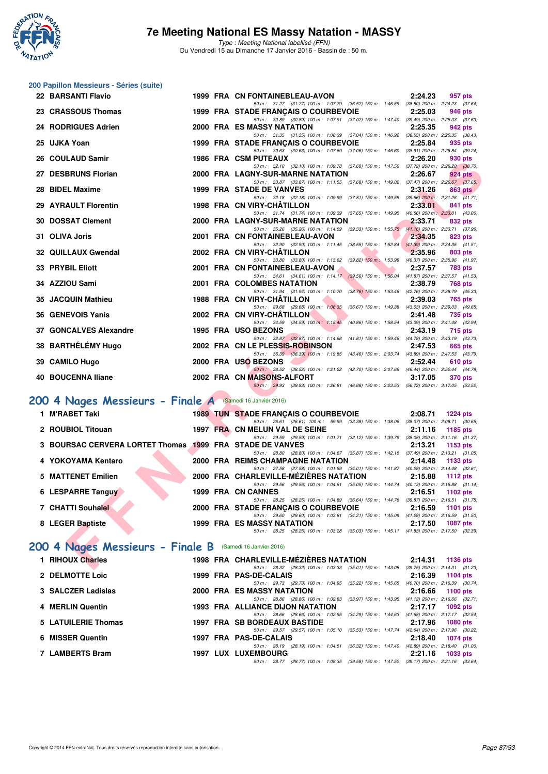

Type : Meeting National labellisé (FFN) Du Vendredi 15 au Dimanche 17 Janvier 2016 - Bassin de : 50 m.

# **200 Papillon Messieurs - Séries (suite)**

| 22 BARSANTI Flavio                                        |  | 2:24.23<br>1999 FRA CN FONTAINEBLEAU-AVON<br>957 pts                                                                                                        |
|-----------------------------------------------------------|--|-------------------------------------------------------------------------------------------------------------------------------------------------------------|
| 23 CRASSOUS Thomas                                        |  | 50 m: 31.27 (31.27) 100 m: 1:07.79 (36.52) 150 m: 1:46.59 (38.80) 200 m: 2:24.23 (37.64)<br>1999 FRA STADE FRANÇAIS O COURBEVOIE<br>2:25.03<br>946 pts      |
| 24 RODRIGUES Adrien                                       |  | 50 m: 30.89 (30.89) 100 m: 1:07.91 (37.02) 150 m: 1:47.40 (39.49) 200 m: 2:25.03 (37.63)<br>2000 FRA ES MASSY NATATION<br>2:25.35<br>942 pts                |
|                                                           |  | 50 m: 31.35 (31.35) 100 m: 1:08.39 (37.04) 150 m: 1:46.92 (38.53) 200 m: 2:25.35 (38.43)                                                                    |
| 25 UJKA Yoan                                              |  | 2:25.84<br>1999 FRA STADE FRANÇAIS O COURBEVOIE<br>935 pts<br>50 m: 30.63 (30.63) 100 m: 1:07.69 (37.06) 150 m: 1:46.60 (38.91) 200 m: 2:25.84 (39.24)      |
| 26 COULAUD Samir                                          |  | <b>1986 FRA CSM PUTEAUX</b><br>2:26.20<br>930 pts                                                                                                           |
| 27 DESBRUNS Florian                                       |  | 50 m: 32.10 (32.10) 100 m: 1:09.78 (37.68) 150 m: 1:47.50 (37.72) 200 m: 2:26.20 (38.70)<br>2000 FRA LAGNY-SUR-MARNE NATATION<br>2:26.67<br>924 pts         |
|                                                           |  | 50 m: 33.87 (33.87) 100 m: 1:11.55 (37.68) 150 m: 1:49.02 (37.47) 200 m: 2:26.67 (37.65)                                                                    |
| 28 BIDEL Maxime                                           |  | 1999 FRA STADE DE VANVES<br>2:31.26<br>863 pts<br>50 m: 32.18 (32.18) 100 m: 1:09.99 (37.81) 150 m: 1:49.55 (39.56) 200 m: 2:31.26 (41.71)                  |
| 29 AYRAULT Florentin                                      |  | 1998 FRA CN VIRY-CHATILLON<br>2:33.01<br>841 pts                                                                                                            |
| <b>30 DOSSAT Clement</b>                                  |  | 50 m: 31.74 (31.74) 100 m: 1:09.39 (37.65) 150 m: 1:49.95 (40.56) 200 m: 2:33.01 (43.06)<br>2000 FRA LAGNY-SUR-MARNE NATATION<br>2:33.71<br>832 pts         |
|                                                           |  | 50 m: 35.26 (35.26) 100 m: 1:14.59 (39.33) 150 m: 1:55.75 (41.16) 200 m: 2:33.71 (37.96)                                                                    |
| 31 OLIVA Joris                                            |  | 2001 FRA CN FONTAINEBLEAU-AVON<br>2:34.35<br>823 pts<br>50 m: 32.90 (32.90) 100 m: 1:11.45 (38.55) 150 m: 1:52.84 (41.39) 200 m: 2:34.35 (41.51)            |
| <b>32 QUILLAUX Gwendal</b>                                |  | 2002 FRA CN VIRY-CHATILLON<br>2:35.96<br>803 pts                                                                                                            |
| <b>33 PRYBIL Eliott</b>                                   |  | 50 m: 33.80 (33.80) 100 m: 1:13.62 (39.82) 150 m: 1:53.99 (40.37) 200 m: 2:35.96 (41.97)<br>2001 FRA CN FONTAINEBLEAU-AVON<br>2:37.57<br>783 pts            |
|                                                           |  | 50 m: 34.61 (34.61) 100 m: 1:14.17 (39.56) 150 m: 1:56.04 (41.87) 200 m: 2:37.57 (41.53)                                                                    |
| 34 AZZIOU Sami                                            |  | 2:38.79<br>2001 FRA COLOMBES NATATION<br><b>768 pts</b>                                                                                                     |
| 35 JACQUIN Mathieu                                        |  | 50 m: 31.94 (31.94) 100 m: 1:10.70 (38.76) 150 m: 1:53.46 (42.76) 200 m: 2:38.79 (45.33)<br>1988 FRA CN VIRY-CHATILLON<br>2:39.03<br>765 pts                |
|                                                           |  | 50 m: 29.68 (29.68) 100 m: 1:06.35 (36.67) 150 m: 1:49.38 (43.03) 200 m: 2:39.03 (49.65)                                                                    |
| 36 GENEVOIS Yanis                                         |  | 2002 FRA CN VIRY-CHATILLON<br>2:41.48<br>735 pts<br>50 m: 34.59 (34.59) 100 m: 1:15.45 (40.86) 150 m: 1:58.54 (43.09) 200 m: 2:41.48 (42.94)                |
| 37 GONCALVES Alexandre                                    |  | 1995 FRA USO BEZONS<br>2:43.19<br>715 pts                                                                                                                   |
| 38 BARTHELEMY Hugo                                        |  | 50 m: 32.87 (32.87) 100 m: 1:14.68 (41.81) 150 m: 1:59.46 (44.78) 200 m: 2:43.19 (43.73)<br>2002 FRA CN LE PLESSIS-ROBINSON<br>2:47.53<br>665 pts           |
|                                                           |  | 50 m: 36.39 (36.39) 100 m: 1:19.85 (43.46) 150 m: 2:03.74 (43.89) 200 m: 2:47.53 (43.79)                                                                    |
| 39 CAMILO Hugo                                            |  | 2000 FRA USO BEZONS<br>2:52.44<br>610 pts                                                                                                                   |
| 40 BOUCENNA Iliane                                        |  | 50 m: 38.52 (38.52) 100 m: 1:21.22 (42.70) 150 m: 2:07.66 (46.44) 200 m: 2:52.44 (44.78)<br>2002 FRA CN MAISONS-ALFORT<br>3:17.05<br><b>370 pts</b>         |
|                                                           |  | 50 m: 39.93 (39.93) 100 m: 1:26.81 (46.88) 150 m: 2:23.53 (56.72) 200 m: 3:17.05 (53.52)                                                                    |
| 200 4 Nages Messieurs - Finale A (Samedi 16 Janvier 2016) |  |                                                                                                                                                             |
| 1 M'RABET Taki                                            |  | 1989 TUN STADE FRANÇAIS O COURBEVOIE<br>2:08.71<br><b>1224 pts</b>                                                                                          |
|                                                           |  | 50 m: 26.61 (26.61) 100 m: 59.99 (33.38) 150 m: 1:38.06 (38.07) 200 m: 2:08.71 (30.65)                                                                      |
| 2 ROUBIOL Titouan                                         |  | 1997 FRA CN MELUN VAL DE SEINE<br>2:11.16<br>1185 pts                                                                                                       |
| 3 BOURSAC CERVERA LORTET Thomas 1999 FRA STADE DE VANVES  |  | 50 m: 29.59 (29.59) 100 m: 1:01.71 (32.12) 150 m: 1:39.79 (38.08) 200 m: 2:11.16 (31.37)<br>2:13.21<br>1153 pts                                             |
|                                                           |  | 50 m: 28.80 (28.80) 100 m: 1:04.67 (35.87) 150 m: 1:42.16 (37.49) 200 m: 2:13.21 (31.05)                                                                    |
| 4 YOKOYAMA Kentaro                                        |  | 2000 FRA REIMS CHAMPAGNE NATATION<br>2:14.48<br>1133 pts<br>50 m: 27.58 (27.58) 100 m: 1:01.59 (34.01) 150 m: 1:41.87 (40.28) 200 m: 2:14.48 (32.61)        |
| <b>5 MATTENET Emilien</b>                                 |  | 2000 FRA CHARLEVILLE-MEZIERES NATATION<br>2:15.88<br>1112 $pts$                                                                                             |
|                                                           |  | 50 m: 29.56 (29.56) 100 m: 1:04.61 (35.05) 150 m: 1:44.74 (40.13) 200 m: 2:15.88 (31.14)                                                                    |
| 6 LESPARRE Tanguy                                         |  | 1999 FRA CN CANNES<br>2:16.51<br>1102 pts<br>50 m: 28.25 (28.25) 100 m: 1:04.89 (36.64) 150 m: 1:44.76 (39.87) 200 m: 2:16.51 (31.75)                       |
| 7 CHATTI Souhaiel                                         |  | 2000 FRA STADE FRANCAIS O COURBEVOIE<br>2:16.59<br><b>1101 pts</b>                                                                                          |
| 8 LEGER Baptiste                                          |  | 50 m: 29.60 (29.60) 100 m: 1:03.81 (34.21) 150 m: 1:45.09 (41.28) 200 m: 2:16.59 (31.50)<br><b>1999 FRA ES MASSY NATATION</b><br>2:17.50<br><b>1087 pts</b> |
|                                                           |  | 50 m: 28.25 (28.25) 100 m: 1:03.28 (35.03) 150 m: 1:45.11 (41.83) 200 m: 2:17.50 (32.39)                                                                    |
| 200 4 Nages Messieurs - Finale B (Samedi 16 Janvier 2016) |  |                                                                                                                                                             |
|                                                           |  |                                                                                                                                                             |
| 1 RIHOUX Charles                                          |  | 1998 FRA CHARLEVILLE-MÉZIÈRES NATATION<br>2:14.31 1136 pts<br>50 m: 28.32 (28.32) 100 m: 1:03.33 (35.01) 150 m: 1:43.08 (39.75) 200 m: 2:14.31 (31.23)      |

# **[200 4 Nages Messieurs - Finale A](http://www.ffnatation.fr/webffn/resultats.php?idact=nat&go=epr&idcpt=35299&idepr=91)** (Samedi 16 Janvier 2016)

| 1 M'RABET Taki                                           |  | <b>1989 TUN STADE FRANCAIS O COURBEVOIE</b>                                                                                        | 2:08.71 | <b>1224 pts</b>                                   |
|----------------------------------------------------------|--|------------------------------------------------------------------------------------------------------------------------------------|---------|---------------------------------------------------|
| 2 ROUBIOL Titouan                                        |  | 50 m: 26.61 (26.61) 100 m: 59.99 (33.38) 150 m: 1:38.06 (38.07) 200 m: 2:08.71 (30.65)<br>1997 FRA CN MELUN VAL DE SEINE           | 2:11.16 | 1185 pts                                          |
| 3 BOURSAC CERVERA LORTET Thomas 1999 FRA STADE DE VANVES |  | 50 m: 29.59 (29.59) 100 m: 1:01.71 (32.12) 150 m: 1:39.79 (38.08) 200 m: 2:11.16 (31.37                                            | 2:13.21 | 1153 pts                                          |
| 4 YOKOYAMA Kentaro                                       |  | 50 m: 28.80 (28.80) 100 m: 1:04.67 (35.87) 150 m: 1:42.16<br>2000 FRA REIMS CHAMPAGNE NATATION                                     | 2:14.48 | $(37.49)$ 200 m : 2:13.21 $(31.05)$<br>1133 pts   |
| 5 MATTENET Emilien                                       |  | 50 m: 27.58 (27.58) 100 m: 1:01.59 (34.01) 150 m: 1:41.87 (40.28) 200 m: 2:14.48 (32.61)<br>2000 FRA CHARLEVILLE-MÉZIÈRES NATATION | 2:15.88 | 1112 pts                                          |
| 6 LESPARRE Tanguy                                        |  | 50 m: 29.56 (29.56) 100 m: 1:04.61 (35.05) 150 m: 1:44.74 (40.13) 200 m: 2:15.88 (31.14,<br>1999 FRA CN CANNES                     | 2:16.51 | 1102 $pts$                                        |
| 7 CHATTI Souhaiel                                        |  | 50 m: 28.25 (28.25) 100 m: 1:04.89 (36.64) 150 m: 1:44.76<br>2000 FRA STADE FRANCAIS O COURBEVOIE 2:16.59                          |         | $(39.87)$ 200 m : 2:16.51 $(31.75)$<br>1101 $pts$ |
| 8 LEGER Baptiste                                         |  | 50 m: 29.60 (29.60) 100 m: 1:03.81 (34.21) 150 m: 1:45.09 (41.28) 200 m: 2:16.59 (31.50)<br><b>1999 FRA ES MASSY NATATION</b>      | 2:17.50 | 1087 pts                                          |
|                                                          |  | 50 m: 28.25 (28.25) 100 m: 1:03.28 (35.03) 150 m: 1:45.11 (41.83) 200 m: 2:17.50 (32.39,                                           |         |                                                   |

# **[200 4 Nages Messieurs - Finale B](http://www.ffnatation.fr/webffn/resultats.php?idact=nat&go=epr&idcpt=35299&idepr=91)** (Samedi 16 Janvier 2016)

| 1 RIHOUX Charles    | 1998 FRA CHARLEVILLE-MEZIERES NATATION                                                   | 2:14.31 | 1136 $pts$                          |
|---------------------|------------------------------------------------------------------------------------------|---------|-------------------------------------|
|                     | 50 m : 28.32 (28.32) 100 m : 1:03.33 (35.01) 150 m : 1:43.08                             |         | $(39.75)$ 200 m : 2:14.31 $(31.23)$ |
| 2 DELMOTTE Loic     | 1999 FRA PAS-DE-CALAIS                                                                   | 2:16.39 | 1104 pts                            |
|                     | 50 m: 29.73 (29.73) 100 m: 1:04.95 (35.22) 150 m: 1:45.65                                |         | (40.70) 200 m : 2:16.39 (30.74)     |
| 3 SALCZER Ladislas  | 2000 FRA ES MASSY NATATION                                                               |         | 2:16.66 1100 pts                    |
|                     | 50 m: 28.86 (28.86) 100 m: 1:02.83 (33.97) 150 m: 1:43.95 (41.12) 200 m: 2:16.66 (32.71  |         |                                     |
| 4 MERLIN Quentin    | 1993 FRA ALLIANCE DIJON NATATION                                                         |         | 2:17.17 1092 pts                    |
|                     | $(34.29)$ 150 m : 1:44.63<br>50 m : 28.66 (28.66) 100 m : 1:02.95                        |         | $(41.68)$ 200 m : 2:17.17 $(32.54)$ |
| 5 LATUILERIE Thomas | <b>1997 FRA SB BORDEAUX BASTIDE</b>                                                      | 2:17.96 | 1080 pts                            |
|                     | 50 m: 29.57 (29.57) 100 m: 1:05.10 (35.53) 150 m: 1:47.74                                |         | (42.64) 200 m : 2:17.96 (30.22)     |
| 6 MISSER Quentin    | 1997 FRA PAS-DE-CALAIS                                                                   | 2:18.40 | 1074 pts                            |
|                     | (36.32) 150 m : 1:47.40<br>50 m: 28.19 (28.19) 100 m: 1:04.51                            |         | $(42.89)$ 200 m : 2:18.40 $(31.00)$ |
| 7 LAMBERTS Bram     | <b>1997 LUX LUXEMBOURG</b>                                                               | 2:21.16 | 1033 pts                            |
|                     | 50 m: 28.77 (28.77) 100 m: 1:08.35 (39.58) 150 m: 1:47.52 (39.17) 200 m: 2:21.16 (33.64, |         |                                     |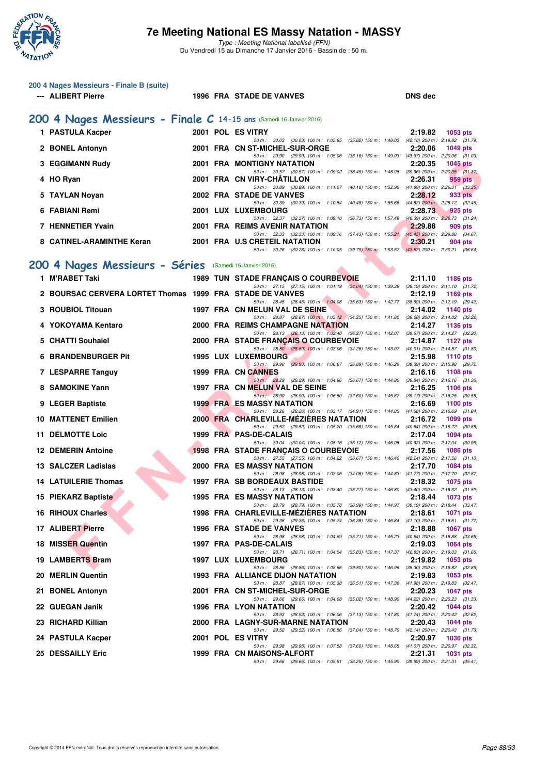

| 200 4 Nages Messieurs - Finale B (suite)<br>--- ALIBERT Pierre      |  | 1996 FRA STADE DE VANVES                                                                                                                | <b>DNS</b> dec                                                                 |
|---------------------------------------------------------------------|--|-----------------------------------------------------------------------------------------------------------------------------------------|--------------------------------------------------------------------------------|
| 200 4 Nages Messieurs - Finale C 14-15 ans (Samedi 16 Janvier 2016) |  |                                                                                                                                         |                                                                                |
| 1 PASTULA Kacper                                                    |  | 2001 POL ES VITRY                                                                                                                       | 2:19.82<br>1053 pts                                                            |
| 2 BONEL Antonyn                                                     |  | 50 m: 30.03 (30.03) 100 m: 1:05.85 (35.82) 150 m: 1:48.03 (42.18) 200 m: 2:19.82 (31.79)<br>2001 FRA CN ST-MICHEL-SUR-ORGE              | 2:20.06<br><b>1049 pts</b>                                                     |
| 3 EGGIMANN Rudy                                                     |  | 50 m: 29.90 (29.90) 100 m: 1:05.06 (35.16) 150 m: 1:49.03 (43.97) 200 m: 2:20.06 (31.03)<br>2001 FRA MONTIGNY NATATION                  | 2:20.35<br><b>1045 pts</b>                                                     |
| 4 HO Ryan                                                           |  | 50 m: 30.57 (30.57) 100 m: 1:09.02 (38.45) 150 m: 1:48.98 (39.96) 200 m: 2:20.35 (31.37)<br>2001 FRA CN VIRY-CHATILLON                  | 2:26.31<br>959 pts                                                             |
| 5 TAYLAN Noyan                                                      |  | 50 m: 30.89 (30.89) 100 m: 1:11.07 (40.18) 150 m: 1:52.96 (41.89) 200 m: 2:26.31 (33.35)<br>2002 FRA STADE DE VANVES                    | 2:28.12<br>933 pts                                                             |
| 6 FABIANI Remi                                                      |  | 50 m: 30.39 (30.39) 100 m: 1:10.84 (40.45) 150 m: 1:55.66 (44.82) 200 m: 2:28.12 (32.46)<br>2001 LUX LUXEMBOURG                         | 2:28.73<br>925 pts                                                             |
| 7 HENNETIER Yvain                                                   |  | 50 m: 32.37 (32.37) 100 m: 1:09.10 (36.73) 150 m: 1:57.49 (48.39) 200 m: 2:28.73 (31.24)<br>2001 FRA REIMS AVENIR NATATION              | 2:29.88<br>909 pts                                                             |
| 8 CATINEL-ARAMINTHE Keran                                           |  | 50 m: 32.33 (32.33) 100 m: 1:09.76 (37.43) 150 m: 1:55.21 (45.45) 200 m: 2:29.88 (34.67)<br>2001 FRA U.S CRETEIL NATATION               | 2:30.21<br>904 pts                                                             |
|                                                                     |  | 50 m: 30.26 (30.26) 100 m: 1:10.05 (39.79) 150 m: 1:53.57 (43.52) 200 m: 2:30.21 (36.64)                                                |                                                                                |
| 200 4 Nages Messieurs - Séries (Samedi 16 Janvier 2016)             |  |                                                                                                                                         |                                                                                |
| 1 M'RABET Taki                                                      |  | <b>1989 TUN STADE FRANÇAIS O COURBEVOIE</b><br>50 m: 27.15 (27.15) 100 m: 1:01.19 (34.04) 150 m: 1:39.38 (38.19) 200 m: 2:11.10 (31.72) | 2:11.10<br>1186 pts                                                            |
| 2 BOURSAC CERVERA LORTET Thomas 1999 FRA STADE DE VANVES            |  |                                                                                                                                         | 2:12.19<br>1169 pts                                                            |
| 3 ROUBIOL Titouan                                                   |  | 50 m: 28.45 (28.45) 100 m: 1:04.08 (35.63) 150 m: 1:42.77 (38.69) 200 m: 2:12.19 (29.42)<br>1997 FRA CN MELUN VAL DE SEINE              | 2:14.02<br>1140 pts                                                            |
| 4 YOKOYAMA Kentaro                                                  |  | 50 m: 28.87 (28.87) 100 m: 1:03.12 (34.25) 150 m: 1:41.80 (38.68) 200 m: 2:14.02 (32.22)<br>2000 FRA REIMS CHAMPAGNE NATATION           | 2:14.27<br><b>1136 pts</b>                                                     |
| 5 CHATTI Souhaiel                                                   |  | 50 m: 28.13 (28.13) 100 m: 1:02.40 (34.27) 150 m: 1:42.07 (39.67) 200 m: 2:14.27 (32.20)<br>2000 FRA STADE FRANÇAIS O COURBEVOIE        | 2:14.87<br>1127 pts                                                            |
| <b>6 BRANDENBURGER Pit</b>                                          |  | 50 m: 28.80 (28.80) 100 m: 1:03.06 (34.26) 150 m: 1:43.07 (40.01) 200 m: 2:14.87 (31.80)<br><b>1995 LUX LUXEMBOURG</b>                  | 2:15.98<br><b>1110 pts</b>                                                     |
| 7 LESPARRE Tanguy                                                   |  | 50 m: 29.98 (29.98) 100 m: 1:06.87 (36.89) 150 m: 1:46.26 (39.39) 200 m: 2:15.98 (29.72)<br>1999 FRA CN CANNES                          | 2:16.16<br>1108 pts                                                            |
| 8 SAMOKINE Yann                                                     |  | 50 m : 28.29 (28.29) 100 m : 1:04.96 (36.67) 150 m : 1:44.80 (39.84) 200 m : 2:16.16 (31.36)<br>1997 FRA CN MELUN VAL DE SEINE          | 2:16.25<br>1106 pts                                                            |
| 9 LEGER Baptiste                                                    |  | 50 m : 28.90 (28.90) 100 m : 1:06.50 (37.60) 150 m : 1:45.67 (39.17) 200 m : 2:16.25 (30.58)<br><b>1999 FRAMES MASSY NATATION</b>       | 2:16.69<br>$1100$ pts                                                          |
| <b>10 MATTENET Emilien</b>                                          |  | 50 m: 28.26 (28.26) 100 m: 1:03.17 (34.91) 150 m: 1:44.85 (41.68) 200 m: 2:16.69 (31.84)<br>2000 FRA CHARLEVILLE-MEZIERES NATATION      | 2:16.72<br>1099 pts                                                            |
| <b>11 DELMOTTE Loic</b>                                             |  | 50 m: 29.52 (29.52) 100 m: 1:05.20 (35.68) 150 m: 1:45.84 (40.64) 200 m: 2:16.72 (30.88)<br>1999 FRA PAS-DE-CALAIS                      | 2:17.04<br><b>1094 pts</b>                                                     |
| <b>12 DEMERIN Antoine</b>                                           |  | 50 m: 30.04 (30.04) 100 m: 1:05.16 (35.12) 150 m: 1:46.08 (40.92) 200 m: 2:17.04 (30.96)<br>1998 FRA STADE FRANCAIS O COURBEVOIE        | 2:17.56<br><b>1086 pts</b>                                                     |
| 13 SALCZER Ladislas                                                 |  | 50 m: 27.55 (27.55) 100 m: 1:04.22 (36.67) 150 m: 1:46.46 (42.24) 200 m: 2:17.56 (31.10)<br>2000 FRA ES MASSY NATATION                  | 2:17.70<br>1084 pts                                                            |
| <b>14 LATUILERIE Thomas</b>                                         |  | 50 m: 28.98 (28.98) 100 m: 1:03.06 (34.08) 150 m: 1:44.83 (41.77) 200 m: 2:17.70 (32.87)<br><b>1997 FRA SB BORDEAUX BASTIDE</b>         | 2:18.32<br>1075 pts                                                            |
| 15 PIEKARZ Baptiste                                                 |  | 50 m : 28.13 (28.13) 100 m : 1:03.40 (35.27) 150 m : 1:46.80 (43.40) 200 m : 2:18.32 (31.52)<br>1995 FRA ES MASSY NATATION              | 2:18.44<br>1073 pts                                                            |
| <b>16 RIHOUX Charles</b>                                            |  | 50 m: 28.79 (28.79) 100 m: 1:05.78 (36.99) 150 m: 1:44.97 (39.19) 200 m: 2:18.44 (33.47)<br>1998 FRA CHARLEVILLE-MEZIERES NATATION      | 2:18.61<br>1071 pts                                                            |
| 17 ALIBERT Pierre                                                   |  | 50 m : 29.36 (29.36) 100 m : 1:05.74 (36.38) 150 m : 1:46.84 (41.10) 200 m : 2:18.61 (31.77)<br>1996 FRA STADE DE VANVES                | 2:18.88<br><b>1067 pts</b>                                                     |
| <b>18 MISSER Quentin</b>                                            |  | 50 m : 28.98 (28.98) 100 m : 1:04.69 (35.71) 150 m : 1:45.23 (40.54) 200 m : 2:18.88 (33.65)<br>1997 FRA PAS-DE-CALAIS                  | 2:19.03<br>1064 pts                                                            |
| 19 LAMBERTS Bram                                                    |  | 50 m: 28.71 (28.71) 100 m: 1:04.54 (35.83) 150 m: 1:47.37 (42.83) 200 m: 2:19.03 (31.66)<br>1997 LUX LUXEMBOURG                         | 2:19.82<br>1053 pts                                                            |
| 20 MERLIN Quentin                                                   |  | 50 m : 28.86 (28.86) 100 m : 1:08.66<br>1993 FRA ALLIANCE DIJON NATATION                                                                | (39.80) 150 m : 1:46.96 (38.30) 200 m : 2:19.82 (32.86)<br>2:19.83<br>1053 pts |
| 21 BONEL Antonyn                                                    |  | 50 m : 28.87 (28.87) 100 m : 1:05.38 (36.51) 150 m : 1:47.36 (41.98) 200 m : 2:19.83 (32.47)<br>2001 FRA CN ST-MICHEL-SUR-ORGE          | 2:20.23<br><b>1047 pts</b>                                                     |
| 22 GUEGAN Janik                                                     |  | 50 m : 29.66 (29.66) 100 m : 1:04.68 (35.02) 150 m : 1:48.90 (44.22) 200 m : 2:20.23 (31.33)<br>1996 FRA LYON NATATION                  | 2:20.42<br>1044 pts                                                            |
| 23 RICHARD Killian                                                  |  | 50 m : 28.93 (28.93) 100 m : 1:06.06 (37.13) 150 m : 1:47.80 (41.74) 200 m : 2:20.42 (32.62)<br>2000 FRA LAGNY-SUR-MARNE NATATION       | 2:20.43<br>1044 pts                                                            |
|                                                                     |  | 50 m: 29.52 (29.52) 100 m: 1:06.56 (37.04) 150 m: 1:48.70 (42.14) 200 m: 2:20.43 (31.73)                                                |                                                                                |
| 24 PASTULA Kacper                                                   |  | 2001 POL ES VITRY<br>50 m: 29.98 (29.98) 100 m: 1:07.58 (37.60) 150 m: 1:48.65 (41.07) 200 m: 2:20.97 (32.32)                           | 2:20.97<br><b>1036 pts</b>                                                     |
| <b>25 DESSAILLY Eric</b>                                            |  | 1999 FRA CN MAISONS-ALFORT<br>50 m: 29.66 (29.66) 100 m: 1:05.91 (36.25) 150 m: 1:45.90 (39.99) 200 m: 2:21.31 (35.41)                  | 2:21.31<br>1031 pts                                                            |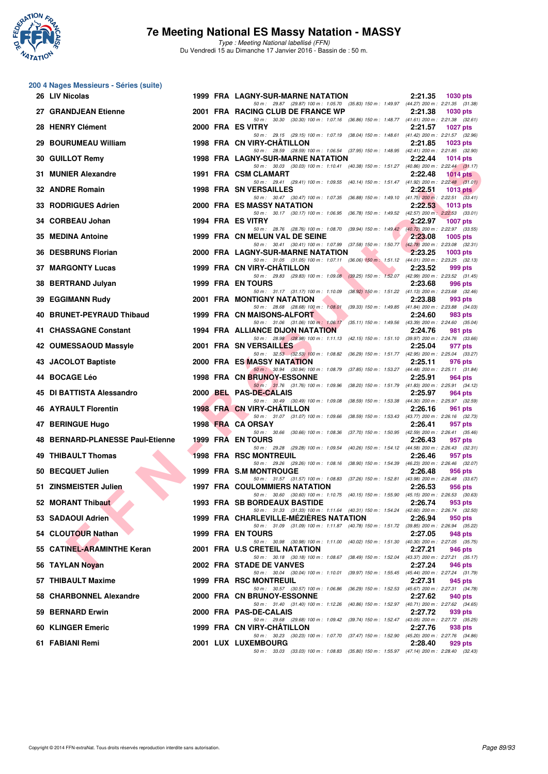

**200 4 Nages Messieurs - Séries (suite)**

### **7e Meeting National ES Massy Natation - MASSY**

Type : Meeting National labellisé (FFN) Du Vendredi 15 au Dimanche 17 Janvier 2016 - Bassin de : 50 m.

#### **EFRAID The state of the COUTHY (CASTIFATED)**<br> **FIFRAID THE AGENT CANART WAS CONSUMED AND CONSUMER STATE OF THE AGE ASSAULT CONSULTAINING STATE OF THE STATE OF THE STATE OF THE STATE OF THE STATE OF THE STATE OF THE STATE 26 LIV Nicolas** 1999 FRA LAGNY-SUR-MARNE NATATION 2:21.35 1030 pts<br>
<sup>50 m:</sup> 29.87 (29.87) 100 m: 1:05.70 (35.83) 150 m: 1:49.97 (44.27) 200 m: 2:21.35 (31.38) 50 m : 29.87 (29.87) 100 m : 1:05.70 (35.83) 150 m : 1:49.97 **27 GRANDJEAN Etienne** 2001 FRA RACING CLUB DE FRANCE WP 2:21.38 1030 pts<br><sup>50 50</sup> 30.30 (30.30) 100 m 1.107.16 (36.86) 150 m 1.48.77 (41.61) 200 m 2:21.38 (32.61) 50 m : 30.30 (30.30) 100 m : 1:07.16 (36.86) 150 m : 1:48.77 (41.61) 200 m : 2:21.38 (32.61) **28 HENRY Clément 2000 FRA ES VITRY 2:21.57 1027 pts** 50 m : 29.15 (29.15) 100 m : 1:07.19 (38.04) 150 m : 1:48.61 (41.42) 200 m : 2:21.57 (32.96) **29 BOURUMEAU William 1998 FRA CN VIRY-CHÂTILLON** 2:21.85 1023 pts<br>
<sup>50 50</sup> 2:21.85 12.90  $50 \text{ m}$ : 28.59 (28.59) 100 m : 1:06.54 **30 GUILLOT Remy 1998 FRA LAGNY-SUR-MARNE NATATION 2:22.44 1014 pts** 50 m : 30.03 (30.03) 100 m : 1:10.41 (40.38) 150 m : 1:51.27 (40.86) 200 m : 2:22.44 (31.17) **31 MUNIER Alexandre 1991 FRA CSM CLAMART 2:22.48 1014 pts** 50 m : 29.41 (29.41) 100 m : 1:09.55 (40.14) 150 m : 1:51.47 (41.92) 200 m : 2:22.48 (31.01) **32 ANDRE Romain** 1998 FRA SN VERSAILLES 202.51 **1013 pts**<br>50 3047 (3047) 100 m i 107.35 (36.88) 150 m i 149.10 (41.75) 200 m i 222.51 (3341) 50 m : 30.47 (30.47) 100 m : 1:07.35 (36.88) 150 m : 1:49.10 (41.75) 200 m : 2:22.51 **33 RODRIGUES Adrien 2000 FRA ES MASSY NATATION 2:22.53 1013 pts** 50 m : 30.17 (30.17) 100 m : 1:06.95 (36.78) 150 m : 1:49.52 (42.57) 200 m : 2:22.53 (33.01) **34 CORBEAU Johan** 1994 FRA ES VITRY **2:22.67 2:22.97 2:22.97 1007 pts**  $50 \text{ m}$ : 28.76 (28.76) 100 m: 1:08.70 (39.94) 150 m: 1:49.42 (40.72) 200 m: 2:22.97 (33.5 50 m : 28.76 (28.76) 100 m : 1:08.70 (39.94) 150 m : 1:49.42 (40.72) 200 m : 2:22.97 (33.55)<br>ELUN VAL DE SEINE (2:23.08 1005 pts **35 MEDINA Antoine 1999 FRA CN MELUN VAL DE SEINE 2:23.08** 50 m : 30.41 (30.41) 100 m : 1:07.99 (37.58) 150 m : 1:50.77 (42.78) 200 m : 2:23.08 (32.31) **36 DESBRUNS Florian** 2000 FRA LAGNY-SUR-MARNE NATATION 2:23.25 1003 pts<br>
<sup>50 m:</sup> 31.05 (31.05) 100 m: 1:07.11 (36.06) 150 m: 1:07.12 (44.01) 200 m: 2:23.25 (32.13) 50 m : 31.05 (31.05) 100 m : 1:07.11 (36.06)  $150$  m : 1:51.12 (44.01) 200 m : 2:23.25 **37 MARGONTY Lucas** 1999 FRA CN VIRY-CHÂTILLON 2:23.52 999 pts<br><sup>50 50</sup> 2:23.52 (31.45) 50 50 2003 (39.25) 100 m: 1:09.08 (39.25) 150 m: 1:52.07 (42.99) 200 m: 2:23.52 (31.45) 29.83 (29.83) 100 m : 1:09.08 (39.25) 150 m : 1:52.07 **38 BERTRAND Julyan 1999 FRA EN TOURS 2:23.68 996 pts** 31.17 (31.17) 100 m : 1:10.09 (38.92) 150 m : 1:51.22 (41.13) 200 m : 2:23.68 (32.4<br> **Y NATATION** 2:23.88 993 pts **39 EGGIMANN Rudy** 2001 FRA MONTIGNY NATATION 2:23.88 993 pts<br>  $\frac{50 \text{ m} \cdot 28.68}{50 \text{ m} \cdot 28.68}$   $\frac{28.68}{28.68}$   $\frac{100 \text{ m} \cdot 1.08.01}{39.33}$  150 m : 1:49.85 (41.84) 200 m : 2:23.88 (34.03) 50 m : 28.68 (28.68) 100 m : 1:08.01 **40 BRUNET-PEYRAUD Thibaud** 1999 FRA CN MAISONS-ALFORT 2:24.60 983 pts 2:24.60 983 pts<br>  $\frac{50 \text{ m} \cdot 31.06}{31.06}$  (35.11) 150 m : 1:49.56 (43.39) 200 m : 2:24.60 (35.04) 1:06.17 (35.11) 150 m : 1:49.56 (43.39) 200 m : 2:24.60 (35.0<br>**ON** 2:24.76 981 pts **41 CHASSAGNE Constant 1994 FRA ALLIANCE DIJON NATATION 2:24.76 981 pts** 50 m : 28.98 (28.98) 100 m : 1:11.13 (42.15) 150 m : 1:51.10 (39.97) 200 m : 2:24.76 (33.66)<br>**ERSAILLES** 2:25.04 977 pts **42 OUMESSAOUD Massyle 2001 FRA SN VERSAILLES** 50 m : 32.53 (32.53) 100 m : 1:08.82 (36.29) 150 m : 1:51.77 (42.95) 200 m : 2:25.04 (33.27) **43 JACOLOT Baptiste 2000 FRA ES MASSY NATATION 2:25.11 976 pts** 50 m : 30.94 (30.94) 100 m : 1:08.79 (37.85) 150 m : 1:53.27 (44.48) 200 m : 2:25.11 (31.84)<br>**RUNOY-ESSONNE** 2:25.91 964 pts **44 BOCAGE Léo 1998 FRA CN BRUNOY-ESSONNE 2:25.91 964 pts** 50 m : 31.76 (31.76) 100 m : 1:09.96 (38.20) 150 m : 1:51.79 (41.83) 200 m : 2:25.91 (34.12) **45 DI BATTISTA Alessandro 2000 BEL PAS-DE-CALAIS 2:25.97 964 pts** 50 m : 30.49 (30.49) 100 m : 1:09.08 (38.59) 150 m : 1:53.38 (44.30) 200 m : 2:25.97 (32.59)<br>IRY-CHÂTILLON 2:26.16 961 pts **46 AYRAULT Florentin 1998 FRA CN VIRY-CHÂTILLON 2:26.16 961 pts** 50 m : 31.07 (31.07) 100 m : 1:09.66 (38.59) 150 m : 1:53.43 (43.77) 200 m : 2:26.16 (32.73) **47 BERINGUE Hugo 1998 FRA CA ORSAY 2:26.41 957 pts** 50 m: 30.66 (30.66) 100 m: 1:08.36 (37.70) 150 m: 1:50.95 (42.59) 200 m: 2:26.41 (35.46)<br>1999 FRA FN TOURS 200 9-26.43 957 nts **48 BERNARD-PLANESSE Paul-Etienne 1999 FRA EN TOURS 2:26.43 957 pts** 50 m : 29.28 (29.28) 100 m : 1:09.54 (40.26) 150 m : 1:54.12 (44.58) 200 m : 2:26.43 (32.31) **49 THIBAULT Thomas 1998 FRA RSC MONTREUIL 2:26.46 957 pts** 50 m : 29.26 (29.26) 100 m : 1:08.16 (38.90) 150 m : 1:54.39 (46.23) 200 m : 2:26.46 (32.07) **50 BECQUET Julien 1999 FRA S.M MONTROUGE 2:26.48 956 pts**<br> **50 m:** 51.57 (31.57) 100 m: 1:08.83 (37.26) 150 m: 1:52.81 (43.98) 200 m: 2:26.48 (33.67) 50 m : 31.57 (31.57) 100 m : 1:08.83 (37.26) 150 m : 1:52.81 **51 ZINSMEISTER Julien 1997 FRA COULOMMIERS NATATION 2:26.53 956 pts** 50 m : 30.60 (30.60) 100 m : 1:10.75 (40.15) 150 m : 1:55.90 (45.15) 200 m : 2:26.53 (30.63) **52 MORANT Thibaut 1993 FRA SB BORDEAUX BASTIDE** 2:26.74 953 pts<br> **50 m:** 31.33 (31.33) 100 m: 1:1.64 (40.31) 150 m: 1:54.24 (42.60) 200 m: 2:26.74 (32.50)  $50 \text{ m}$ :  $31.33$   $(31.33)$   $100 \text{ m}$ :  $1:11.64$   $(40.31)$   $150 \text{ m}$ :  $1:54.24$ **53 SADAOUI Adrien 1999 FRA CHARLEVILLE-MÉZIÈRES NATATION** 2:26.94 950 pts<br>
<sup>50 m:</sup> 31.09 (31.09) 100 m: 1:11.87 (40.78) 150 m: 1:51.72 (39.85) 200 m: 2:26.94 (35.22) 31.09 (31.09) 100 m : 1:11.87 (40.78) 150 m : 1:51.72 (39.85) 200 m : **54 CLOUTOUR Nathan 1999 FRA EN TOURS 2:27.05 2:27.05 948 pts 2:27.05 2:27.05 2018 2:27.05 2918 2018 2:27.05 2018 2:27.05 2019 2:27.05 2019 2:27.05 2019 2:27.05 2019 2:27.05 2019** 50.98 (30.98) 100 m : 1:11.00 (40.02) 150 m : 1:51.30 (40.30) 200 m : 1:51.30 (40.30) 200 m : 2:27.21 **55 CATINEL-ARAMINTHE Keran** 2001 FRA U.S CRETEIL NATATION 2:27.21 946 pts<br>
<sup>50 m:</sup> 30.18 (30.18) 100 m: 1:08.67 (38.49) 150 m: 1:52.04 (43.37) 200 m: 2:27.21 (35.17) (38.49) 150 m : 1:52.04 (43.37) 200 m : **56 TAYLAN Noyan** 2002 FRA STADE DE VANVES 2:27.24 946 pts<br><sup>50</sup> *50 m: 30.04 49.04 100 m: 1:10.01 (39.97)* 150 m: 1:55.45 *(45.44)* 200 m: 227.24 *(31.7)*  $(30.04)$  100 m : 1:10.01  $(39.97)$  150 m : 1:55.45  $(45.44)$  200 m : 2:27.24  $(31.79)$ <br> **11.** 2:27.31 945 pts **57 THIBAULT Maxime 1999 FRA RSC MONTREUIL 2:27.31 945 pts** 50 m : 30.57 (30.57) 100 m : 1:06.86 (36.29) 150 m : 1:52.53 (45.67) 200 m : 2:27.31 (34.78) **58 CHARBONNEL Alexandre** 2000 FRA CN BRUNOY-ESSONNE 2:27.62 940 pts<br>
50 m: 31.40 (31.40) 100 m: 1:12.26 (40.86) 150 m: 1:52.97 (40.71) 200 m: 2:27.62 (34.65) 50 m : 31.40 (31.40) 100 m : 1:12.26 (40.86) 150 m : 1:52.97 (40.71) 200 m : 2:27.62 (34.65) 150 m :  $2:27.72$  939 pts **59 BERNARD Erwin 1989 parts 2000 FRA PAS-DE-CALAIS 1989 parts 2:27.72 930 percent** 2:27.72 50 m : 29.68 (29.68) 100 m : 1:09.42 (39.74) 150 m : 1:52.47 (43.05) 200 m : 2:27.72 (35.25)<br>IRY-CHÂTILLON 2:27.76 938 pts **60 KLINGER Emeric 1999 FRA CN VIRY-CHÂTILLON 2:27.76 938 pts** 50 m : 30.23 (30.23) 100 m : 1:07.70 (37.47) 150 m : 1:52.90 (45.20) 200 m : 2:27.76 (34.86) **61 FABIANI Remi 2001 LUX LUXEMBOURG 2:28.40 929 pts** 50 m : 33.03 (33.03) 100 m : 1:08.83 (35.80) 150 m : 1:55.97 (47.14) 200 m : 2:28.40 (32.43)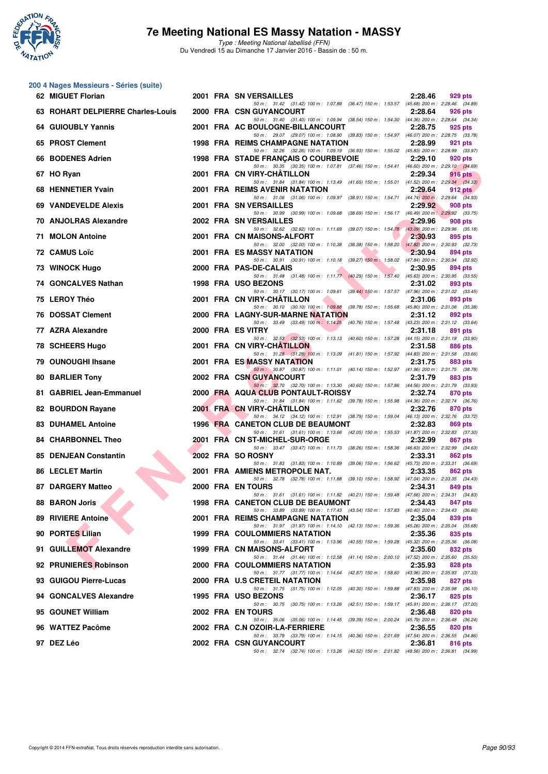

Type : Meeting National labellisé (FFN) Du Vendredi 15 au Dimanche 17 Janvier 2016 - Bassin de : 50 m.

#### **200 4 Nages Messieurs - Séries (suite)**

| 62 MIGUET Florian                 |  | 2001 FRA SN VERSAILLES                                                                                                                   | 2:28.46 | 929 pts        |
|-----------------------------------|--|------------------------------------------------------------------------------------------------------------------------------------------|---------|----------------|
| 63 ROHART DELPIERRE Charles-Louis |  | 50 m: 31.42 (31.42) 100 m: 1:07.89 (36.47) 150 m: 1:53.57 (45.68) 200 m: 2:28.46 (34.89)<br>2000 FRA CSN GUYANCOURT                      | 2:28.64 | 926 pts        |
| 64 GUIOUBLY Yannis                |  | 50 m: 31.40 (31.40) 100 m: 1:09.94 (38.54) 150 m: 1:54.30 (44.36) 200 m: 2:28.64 (34.34)<br>2001 FRA AC BOULOGNE-BILLANCOURT             | 2:28.75 | 925 pts        |
| 65 PROST Clement                  |  | 50 m : 29.07 (29.07) 100 m : 1:08.90 (39.83) 150 m : 1:54.97 (46.07) 200 m : 2:28.75 (33.78)<br><b>1998 FRA REIMS CHAMPAGNE NATATION</b> | 2:28.99 | 921 pts        |
| 66 BODENES Adrien                 |  | 50 m: 32.26 (32.26) 100 m: 1:09.19 (36.93) 150 m: 1:55.02 (45.83) 200 m: 2:28.99 (33.97)<br>1998 FRA STADE FRANÇAIS O COURBEVOIE         | 2:29.10 | 920 pts        |
| 67 HO Ryan                        |  | 50 m: 30.35 (30.35) 100 m: 1:07.81 (37.46) 150 m: 1:54.41 (46.60) 200 m: 2:29.10 (34.69)<br>2001 FRA CN VIRY-CHATILLON                   | 2:29.34 | <b>916 pts</b> |
| 68 HENNETIER Yvain                |  | 50 m: 31.84 (31.84) 100 m: 1:13.49 (41.65) 150 m: 1:55.01 (41.52) 200 m: 2:29.34 (34.33)<br>2001 FRA REIMS AVENIR NATATION               | 2:29.64 | 912 pts        |
| <b>69 VANDEVELDE Alexis</b>       |  | 50 m: 31.06 (31.06) 100 m: 1:09.97 (38.91) 150 m: 1:54.71 (44.74) 200 m: 2:29.64 (34.93)<br>2001 FRA SN VERSAILLES                       | 2:29.92 | 908 pts        |
| 70 ANJOLRAS Alexandre             |  | 50 m: 30.99 (30.99) 100 m: 1:09.68 (38.69) 150 m: 1:56.17 (46.49) 200 m: 2:29.92 (33.75)<br>2002 FRA SN VERSAILLES                       | 2:29.96 | 908 pts        |
| 71 MOLON Antoine                  |  | 50 m: 32.62 (32.62) 100 m: 1:11.69 (39.07) 150 m: 1:54.78 (43.09) 200 m: 2:29.96 (35.18)<br>2001 FRA CN MAISONS-ALFORT                   | 2:30.93 | 895 pts        |
| <b>72 CAMUS Loïc</b>              |  | 50 m: 32.00 (32.00) 100 m: 1:10.38 (38.38) 150 m: 1:58.20 (47.82) 200 m: 2:30.93 (32.73)<br>2001 FRA ES MASSY NATATION                   | 2:30.94 | 894 pts        |
| 73 WINOCK Hugo                    |  | 50 m: 30.91 (30.91) 100 m: 1:10.18 (39.27) 150 m: 1:58.02 (47.84) 200 m: 2:30.94 (32.92)<br>2000 FRA PAS-DE-CALAIS                       | 2:30.95 | 894 pts        |
| 74 GONCALVES Nathan               |  | 50 m: 31.48 (31.48) 100 m: 1:11.77 (40.29) 150 m: 1:57.40 (45.63) 200 m: 2:30.95 (33.55)<br>1998 FRA USO BEZONS                          | 2:31.02 | 893 pts        |
| 75 LEROY Théo                     |  | 50 m: 30.17 (30.17) 100 m: 1:09.61 (39.44) 150 m: 1:57.57 (47.96) 200 m: 2:31.02 (33.45)<br>2001 FRA CN VIRY-CHATILLON                   | 2:31.06 | 893 pts        |
| <b>76 DOSSAT Clement</b>          |  | 50 m: 30.10 (30.10) 100 m: 1:09.88 (39.78) 150 m: 1:55.68 (45.80) 200 m: 2:31.06 (35.38)<br>2000 FRA LAGNY-SUR-MARNE NATATION            | 2:31.12 | 892 pts        |
| 77 AZRA Alexandre                 |  | 50 m: 33.49 (33.49) 100 m: 1:14.25 (40.76) 150 m: 1:57.48 (43.23) 200 m: 2:31.12 (33.64)<br>2000 FRA ES VITRY                            | 2:31.18 | 891 pts        |
| 78 SCHEERS Hugo                   |  | 50 m: 32.53 (32.53) 100 m: 1:13.13 (40.60) 150 m: 1:57.28 (44.15) 200 m: 2:31.18 (33.90)<br>2001 FRA CN VIRY-CHATILLON                   | 2:31.58 | 886 pts        |
| 79 OUNOUGHI Ihsane                |  | 50 m: 31.28 (31.28) 100 m: 1:13.09 (41.81) 150 m: 1:57.92 (44.83) 200 m: 2:31.58 (33.66)<br>2001 FRA ES MASSY NATATION                   | 2:31.75 | 883 pts        |
| 80 BARLIER Tony                   |  | 50 m: 30.87 (30.87) 100 m: 1:11.01 (40.14) 150 m: 1:52.97 (41.96) 200 m: 2:31.75 (38.78)<br>2002 FRA CSN GUYANCOURT                      | 2:31.79 | 883 pts        |
| 81 GABRIEL Jean-Emmanuel          |  | 50 m: 32.70 (32.70) 100 m: 1:13.30 (40.60) 150 m: 1:57.86 (44.56) 200 m: 2:31.79 (33.93)<br>2000 FRA AQUA CLUB PONTAULT-ROISSY           | 2:32.74 | 870 pts        |
| 82 BOURDON Rayane                 |  | 50 m: 31.84 (31.84) 100 m: 1:11.62 (39.78) 150 m: 1:55.98 (44.36) 200 m: 2:32.74 (36.76)<br>2001 FRA CN VIRY-CHATILLON                   | 2:32.76 | 870 pts        |
| <b>83 DUHAMEL Antoine</b>         |  | 50 m: 34.12 (34.12) 100 m: 1:12.91 (38.79) 150 m: 1:59.04 (46.13) 200 m: 2:32.76 (33.72)<br>1996 FRA CANETON CLUB DE BEAUMONT            | 2:32.83 | 869 pts        |
| <b>84 CHARBONNEL Theo</b>         |  | 50 m: 31.61 (31.61) 100 m: 1:13.66 (42.05) 150 m: 1:55.53 (41.87) 200 m: 2:32.83 (37.30)<br>2001 FRA CN ST-MICHEL-SUR-ORGE               | 2:32.99 | 867 pts        |
| 85 DENJEAN Constantin             |  | 50 m: 33.47 (33.47) 100 m: 1:11.73 (38.26) 150 m: 1:58.36 (46.63) 200 m: 2:32.99 (34.63)<br>2002 FRA SO ROSNY                            | 2:33.31 | 862 pts        |
| 86 LECLET Martin                  |  | 50 m: 31.83 (31.83) 100 m: 1:10.89 (39.06) 150 m: 1:56.62 (45.73) 200 m: 2:33.31 (36.69)<br>2001 FRA AMIENS METROPOLE NAT.               | 2:33.35 | 862 pts        |
| 87 DARGERY Matteo                 |  | 50 m: 32.78 (32.78) 100 m: 1:11.88 (39.10) 150 m: 1:58.92 (47.04) 200 m: 2:33.35 (34.43)<br>2000 FRA EN TOURS                            | 2:34.31 | 849 pts        |
| <b>88 BARON Joris</b>             |  | 50 m: 31.61 (31.61) 100 m: 1:11.82 (40.21) 150 m: 1:59.48 (47.66) 200 m: 2:34.31 (34.83)<br>1998 FRA CANETON CLUB DE BEAUMONT            | 2:34.43 | 847 pts        |
| <b>89 RIVIERE Antoine</b>         |  | 50 m: 33.89 (33.89) 100 m: 1:17.43 (43.54) 150 m: 1:57.83 (40.40) 200 m: 2:34.43 (36.60)<br>2001 FRA REIMS CHAMPAGNE NATATION.           | 2:35.04 | 839 pts        |
| 90 PORTES Lilian                  |  | 50 m: 31.97 (31.97) 100 m: 1:14.10 (42.13) 150 m: 1:59.36 (45.26) 200 m: 2:35.04 (35.68)<br>1999 FRA COULOMMIERS NATATION                | 2:35.36 | 835 pts        |
| 91 GUILLEMOT Alexandre            |  | 50 m : 33.41 (33.41) 100 m : 1:13.96 (40.55) 150 m : 1:59.28 (45.32) 200 m : 2:35.36 (36.08)<br>1999 FRA CN MAISONS-ALFORT               | 2:35.60 | 832 pts        |
| 92 PRUNIERES Robinson             |  | 50 m : 31.44 (31.44) 100 m : 1:12.58 (41.14) 150 m : 2:00.10 (47.52) 200 m : 2:35.60 (35.50)<br>2000 FRA COULOMMIERS NATATION            | 2:35.93 | 828 pts        |
| 93 GUIGOU Pierre-Lucas            |  | 50 m: 31.77 (31.77) 100 m: 1:14.64 (42.87) 150 m: 1:58.60 (43.96) 200 m: 2:35.93 (37.33)<br>2000 FRA U.S CRETEIL NATATION                | 2:35.98 | 827 pts        |
| 94 GONCALVES Alexandre            |  | 50 m: 31.75 (31.75) 100 m: 1:12.05 (40.30) 150 m: 1:59.88 (47.83) 200 m: 2:35.98 (36.10)<br>1995 FRA USO BEZONS                          | 2:36.17 | 825 pts        |
| 95 GOUNET William                 |  | 50 m: 30.75 (30.75) 100 m: 1:13.26<br>(42.51) 150 m: 1:59.17 (45.91) 200 m: 2:36.17 (37.00)<br>2002 FRA EN TOURS                         | 2:36.48 | 820 pts        |
| 96 WATTEZ Pacôme                  |  | 50 m : 35.06 (35.06) 100 m : 1:14.45 (39.39) 150 m : 2:00.24 (45.79) 200 m : 2:36.48 (36.24)<br>2002 FRA C.N OZOIR-LA-FERRIERE           | 2:36.55 | 820 pts        |
| 97 DEZ Léo                        |  | 50 m: 33.79 (33.79) 100 m: 1:14.15 (40.36) 150 m: 2:01.69 (47.54) 200 m: 2:36.55 (34.86)<br>2002 FRA CSN GUYANCOURT                      | 2:36.81 | 816 pts        |
|                                   |  | 50 m: 32.74 (32.74) 100 m: 1:13.26 (40.52) 150 m: 2:01.82 (48.56) 200 m: 2:36.81 (34.99)                                                 |         |                |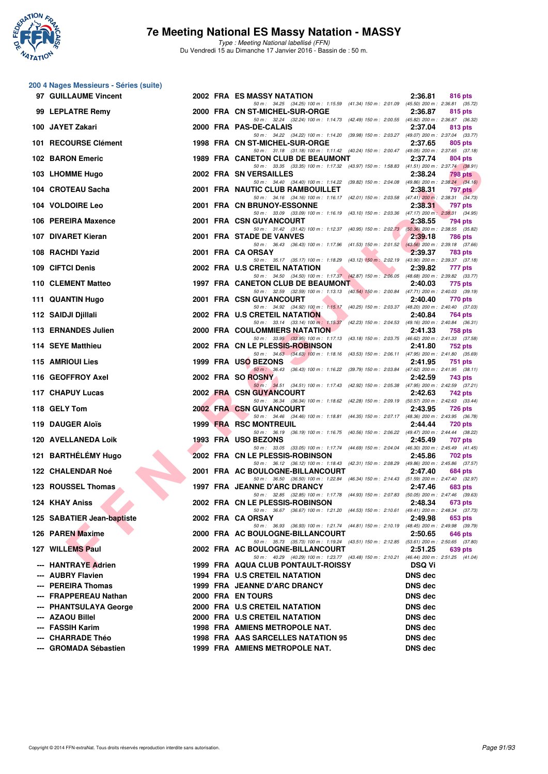

|     | 200 4 Nages Messieurs - Séries (suite)     |  |                                                                                                                                  |                                  |                |
|-----|--------------------------------------------|--|----------------------------------------------------------------------------------------------------------------------------------|----------------------------------|----------------|
|     | 97 GUILLAUME Vincent                       |  | 2002 FRA ES MASSY NATATION<br>50 m: 34.25 (34.25) 100 m: 1:15.59 (41.34) 150 m: 2:01.09 (45.50) 200 m: 2:36.81 (35.72)           | 2:36.81                          | 816 pts        |
|     | 99 LEPLATRE Remy                           |  | 2000 FRA CN ST-MICHEL-SUR-ORGE                                                                                                   | 2:36.87                          | 815 pts        |
|     | 100 JAYET Zakari                           |  | 50 m: 32.24 (32.24) 100 m: 1:14.73 (42.49) 150 m: 2:00.55 (45.82) 200 m: 2:36.87 (36.32)<br>2000 FRA PAS-DE-CALAIS               | 2:37.04                          | 813 pts        |
|     | 101 RECOURSE Clément                       |  | 50 m: 34.22 (34.22) 100 m: 1:14.20 (39.98) 150 m: 2:03.27 (49.07) 200 m: 2:37.04 (33.77)<br>1998 FRA CN ST-MICHEL-SUR-ORGE       | 2:37.65                          | 805 pts        |
|     | 102 BARON Emeric                           |  | 50 m: 31.18 (31.18) 100 m: 1:11.42 (40.24) 150 m: 2:00.47 (49.05) 200 m: 2:37.65 (37.18)<br>1989 FRA CANETON CLUB DE BEAUMONT    | 2:37.74                          | 804 pts        |
|     | 103 LHOMME Hugo                            |  | 50 m: 33.35 (33.35) 100 m: 1:17.32 (43.97) 150 m: 1:58.83 (41.51) 200 m: 2:37.74 (38.91)<br>2002 FRA SN VERSAILLES               | 2:38.24                          | 798 pts        |
|     | 104 CROTEAU Sacha                          |  | 50 m: 34.40 (34.40) 100 m: 1:14.22 (39.82) 150 m: 2:04.08 (49.86) 200 m: 2:38.24 (34.16)<br>2001 FRA NAUTIC CLUB RAMBOUILLET     | 2:38.31                          | <b>797 pts</b> |
|     | 104 VOLDOIRE Leo                           |  | 50 m: 34.16 (34.16) 100 m: 1:16.17 (42.01) 150 m: 2:03.58 (47.41) 200 m: 2:38.31 (34.73)<br>2001 FRA CN BRUNOY-ESSONNE           | 2:38.31                          | 797 pts        |
|     | 106 PEREIRA Maxence                        |  | 50 m: 33.09 (33.09) 100 m: 1:16.19 (43.10) 150 m: 2:03.36 (47.17) 200 m: 2:38.31 (34.95)<br>2001 FRA CSN GUYANCOURT              | 2:38.55                          | 794 pts        |
|     | 107 DIVARET Kieran                         |  | 50 m: 31.42 (31.42) 100 m: 1:12.37 (40.95) 150 m: 2:02.73 (50.36) 200 m: 2:38.55 (35.82)<br>2001 FRA STADE DE VANVES             | 2:39.18                          | 786 pts        |
|     | 108 RACHDI Yazid                           |  | 50 m: 36.43 (36.43) 100 m: 1:17.96 (41.53) 150 m: 2:01.52 (43.56) 200 m: 2:39.18 (37.66)<br>2001 FRA CA ORSAY                    | 2:39.37                          | 783 pts        |
|     | 109 CIFTCI Denis                           |  | 50 m: 35.17 (35.17) 100 m: 1:18.29 (43.12) 150 m: 2:02.19 (43.90) 200 m: 2:39.37 (37.18)<br>2002 FRA U.S CRETEIL NATATION        | 2:39.82                          | 777 pts        |
|     | 110 CLEMENT Matteo                         |  | 50 m: 34.50 (34.50) 100 m: 1:17.37 (42.87) 150 m: 2:06.05 (48.68) 200 m: 2:39.82 (33.77)<br>1997 FRA CANETON CLUB DE BEAUMONT    | 2:40.03                          | 775 pts        |
|     | 111 QUANTIN Hugo                           |  | 50 m: 32.59 (32.59) 100 m: 1:13.13 (40.54) 150 m: 2:00.84 (47.71) 200 m: 2:40.03 (39.19)<br>2001 FRA CSN GUYANCOURT              | 2:40.40                          | 770 pts        |
|     | 112 SAIDJI Djillali                        |  | 50 m: 34.92 (34.92) 100 m: 1:15.17 (40.25) 150 m: 2:03.37 (48.20) 200 m: 2:40.40 (37.03)<br>2002 FRA U.S CRETEIL NATATION        | 2:40.84                          | 764 pts        |
|     | 113 ERNANDES Julien                        |  | 50 m: 33.14 (33.14) 100 m: 1:15.37 (42.23) 150 m: 2:04.53 (49.16) 200 m: 2:40.84 (36.31)<br><b>2000 FRA COULOMMIERS NATATION</b> | 2:41.33                          | 758 pts        |
|     | 114 SEYE Matthieu                          |  | 50 m: 33.95 (33.95) 100 m: 1:17.13 (43.18) 150 m: 2:03.75 (46.62) 200 m: 2:41.33 (37.58)<br>2002 FRA CN LE PLESSIS-ROBINSON      | 2:41.80                          | 752 pts        |
|     |                                            |  | 50 m: 34.63 (34.63) 100 m: 1:18.16 (43.53) 150 m: 2:06.11 (47.95) 200 m: 2:41.80 (35.69)                                         |                                  |                |
|     | 115 AMRIOUI Lies                           |  | 1999 FRA USO BEZONS<br>50 m: 36.43 (36.43) 100 m: 1:16.22 (39.79) 150 m: 2:03.84 (47.62) 200 m: 2:41.95 (38.11)                  | 2:41.95                          | 751 pts        |
|     | 116 GEOFFROY Axel                          |  | 2002 FRA SO ROSNY<br>50 m: 34.51 (34.51) 100 m: 1:17.43 (42.92) 150 m: 2:05.38 (47.95) 200 m: 2:42.59 (37.21)                    | 2:42.59                          | 743 pts        |
|     | 117 CHAPUY Lucas                           |  | 2002 FRA CSN GUYANCOURT<br>50 m: 36.34 (36.34) 100 m: 1:18.62 (42.28) 150 m: 2:09.19 (50.57) 200 m: 2:42.63 (33.44)              | 2:42.63                          | 742 pts        |
|     | 118 GELY Tom                               |  | 2002 FRA CSN GUYANCOURT<br>50 m: 34.46 (34.46) 100 m: 1:18.81 (44.35) 150 m: 2:07.17 (48.36) 200 m: 2:43.95 (36.78)              | 2:43.95                          | <b>726 pts</b> |
|     | 119 DAUGER Aloïs                           |  | 1999 FRA RSC MONTREUIL<br>50 m: 36.19 (36.19) 100 m: 1:16.75 (40.56) 150 m: 2:06.22 (49.47) 200 m: 2:44.44 (38.22)               | 2:44.44                          | 720 pts        |
|     | 120 AVELLANEDA Loik                        |  | 1993 FRA USO BEZONS<br>50 m: 33.05 (33.05) 100 m: 1:17.74 (44.69) 150 m: 2:04.04 (46.30) 200 m: 2:45.49 (41.45)                  | 2:45.49                          | 707 pts        |
|     | 121 BARTHÉLÉMY Hugo                        |  | 2002 FRA CN LE PLESSIS-ROBINSON<br>50 m: 36.12 (36.12) 100 m: 1:18.43 (42.31) 150 m: 2:08.29 (49.86) 200 m: 2:45.86 (37.57)      | 2:45.86                          | 702 pts        |
|     | 122 CHALENDAR Noé                          |  | 2001 FRA AC BOULOGNE-BILLANCOURT<br>50 m: 36.50 (36.50) 100 m: 1:22.84 (46.34) 150 m: 2:14.43 (51.59) 200 m: 2:47.40 (32.97)     | 2:47.40                          | 684 pts        |
|     | 123 ROUSSEL Thomas                         |  | 1997 FRA JEANNE D'ARC DRANCY                                                                                                     | 2:47.46                          | 683 pts        |
|     | 124 KHAY Aniss                             |  | 50 m : 32.85 (32.85) 100 m : 1:17.78 (44.93) 150 m : 2:07.83 (50.05) 200 m : 2:47.46 (39.63)<br>2002 FRA CN LE PLESSIS-ROBINSON  | 2:48.34                          | 673 pts        |
|     | 125 SABATIER Jean-baptiste                 |  | 50 m: 36.67 (36.67) 100 m: 1:21.20 (44.53) 150 m: 2:10.61 (49.41) 200 m: 2:48.34 (37.73)<br>2002 FRA CA ORSAY                    | 2:49.98                          | 653 pts        |
|     | 126 PAREN Maxime                           |  | 50 m: 36.93 (36.93) 100 m: 1:21.74 (44.81) 150 m: 2:10.19 (48.45) 200 m: 2:49.98 (39.79)<br>2000 FRA AC BOULOGNE-BILLANCOURT     | 2:50.65                          | 646 pts        |
|     | 127 WILLEMS Paul                           |  | 50 m: 35.73 (35.73) 100 m: 1:19.24 (43.51) 150 m: 2:12.85 (53.61) 200 m: 2:50.65 (37.80)<br>2002 FRA AC BOULOGNE-BILLANCOURT     | 2:51.25                          | 639 pts        |
|     | --- HANTRAYE Adrien                        |  | 50 m: 40.29 (40.29) 100 m: 1:23.77 (43.48) 150 m: 2:10.21 (46.44) 200 m: 2:51.25 (41.04)<br>1999 FRA AQUA CLUB PONTAULT-ROISSY   | <b>DSQ Vi</b>                    |                |
|     | --- AUBRY Flavien                          |  | <b>1994 FRA U.S CRETEIL NATATION</b>                                                                                             | DNS dec                          |                |
|     | --- PEREIRA Thomas                         |  | 1999 FRA JEANNE D'ARC DRANCY                                                                                                     | <b>DNS dec</b>                   |                |
|     | --- FRAPPEREAU Nathan                      |  | 2000 FRA EN TOURS                                                                                                                | <b>DNS dec</b>                   |                |
| --- | <b>PHANTSULAYA George</b>                  |  | 2000 FRA U.S CRETEIL NATATION                                                                                                    | <b>DNS dec</b>                   |                |
|     | --- AZAOU Billel                           |  | 2000 FRA U.S CRETEIL NATATION                                                                                                    | <b>DNS</b> dec                   |                |
|     | --- FASSIH Karim                           |  | 1998 FRA AMIENS METROPOLE NAT.                                                                                                   | <b>DNS</b> dec                   |                |
|     | --- CHARRADE Théo<br>--- GROMADA Sébastien |  | 1998 FRA AAS SARCELLES NATATION 95<br>1999 FRA AMIENS METROPOLE NAT.                                                             | <b>DNS</b> dec<br><b>DNS</b> dec |                |
|     |                                            |  |                                                                                                                                  |                                  |                |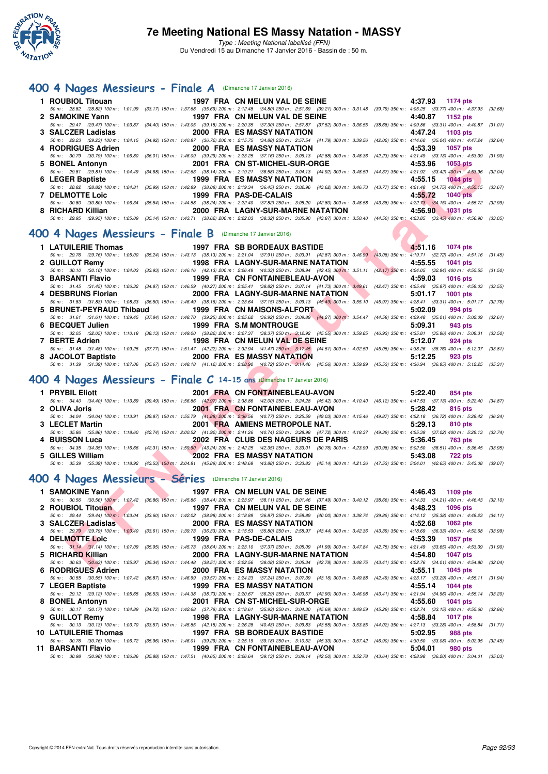

### **[400 4 Nages Messieurs - Finale A](http://www.ffnatation.fr/webffn/resultats.php?idact=nat&go=epr&idcpt=35299&idepr=92)** (Dimanche 17 Janvier 2016)

|                                               |                                   |                        |                                | 1 ROUBIOL Titouan 1997 FRA CN MELUN VAL DE SEINE 4:37.93 1174 pts                                                                                                                            |
|-----------------------------------------------|-----------------------------------|------------------------|--------------------------------|----------------------------------------------------------------------------------------------------------------------------------------------------------------------------------------------|
|                                               |                                   |                        |                                | 50 m: 28.82 (28.82) 100 m: 1:01.99 (33.17) 150 m: 1:37.68 (35.69) 200 m: 2:12.48 (34.80) 250 m: 2:51.69 (39.21) 300 m: 3:31.48 (39.79) 350 m: 4:05.25 (33.77) 400 m: 4:37.93 (32.68)         |
| 2 SAMOKINE Yann                               | 1997 FRA CN MELUN VAL DE SEINE    |                        |                                | 4:40.87 1152 pts                                                                                                                                                                             |
|                                               |                                   |                        |                                | 50 m: 29.47 (29.47) 100 m: 1:03.87 (34.40) 150 m: 1:43.05 (39.18) 200 m: 2:20.35 (37.30) 250 m: 2:57.87 (37.52) 300 m: 3:36.55 (38.68) 350 m: 4:09.86 (33.31) 400 m: 4:40.87 (31.01)         |
| 3 SALCZER Ladislas                            |                                   |                        | 2000 FRA ES MASSY NATATION     | 4:47.24 1103 pts                                                                                                                                                                             |
|                                               |                                   |                        |                                | 50 m : 29.23 (29.23) 100 m : 1:04.15 (34.92) 150 m : 1:40.87 (36.72) 200 m : 2:15.75 (34.88) 250 m : 2:57.54 (41.79) 300 m : 3:39.56 (42.02) 350 m : 4:14.60 (35.04) 400 m : 4:47.24 (32.64) |
| 4 RODRIGUES Adrien 2000 FRA ES MASSY NATATION |                                   |                        |                                | 4:53.39 1057 pts                                                                                                                                                                             |
|                                               |                                   |                        |                                | 50 m: 30.79 (30.79) 100 m: 1:06.80 (36.01) 150 m: 1:46.09 (39.29) 200 m: 2:23.25 (37.16) 250 m: 3:06.13 (42.88) 300 m: 3:48.36 (42.23) 350 m: 4:21.49 (33.13) 400 m: 4:53.39 (31.90)         |
| 5 BONEL Antonyn                               |                                   |                        | 2001 FRA CN ST-MICHEL-SUR-ORGE | 4:53.96 1053 pts                                                                                                                                                                             |
|                                               |                                   |                        |                                | 50 m: 29.81 (29.81) 100 m: 1:04.49 (34.68) 150 m: 1:42.63 (38.14) 200 m: 2:19.21 (36.58) 250 m: 3:04.13 (44.92) 300 m: 3:48.50 (44.37) 350 m: 4:21.92 (33.42) 400 m: 4:53.96 (32.04)         |
|                                               |                                   |                        |                                | $4:55.15$ 1044 pts                                                                                                                                                                           |
|                                               |                                   |                        |                                | 50 m: 28.82 (28.82) 100 m: 1:04.81 (35.99) 150 m: 1:42.89 (38.08) 200 m: 2:19.34 (36.45) 250 m: 3:02.96 (43.62) 300 m: 3:46.73 (43.77) 350 m: 4:21.48 (34.75) 400 m: 4:55.15 (33.67)         |
| 7 DELMOTTE Loic                               |                                   | 1999 FRA PAS-DE-CALAIS |                                | 4:55.72 1040 pts                                                                                                                                                                             |
|                                               |                                   |                        |                                | 50 m : 30.80 (30.80) 100 m : 1:06.34 (35.54) 150 m : 1:44.58 (38.24) 200 m : 2:22.40 (37.82) 250 m : 3:05.20 (42.80) 300 m : 3:48.58 (43.38) 350 m : 4:22.73 (34.15) 400 m : 4:55.72 (32.99) |
| 8 RICHARD Killian                             | 2000 FRA LAGNY-SUR-MARNE NATATION |                        |                                | 4:56.90 1031 pts                                                                                                                                                                             |
|                                               |                                   |                        |                                | 50 m : 29.95 (29.95) 100 m : 1:05.09 (35.14) 150 m : 1:43.71 (38.62) 200 m : 2:22.03 (38.32) 250 m : 3:05.90 (43.87) 300 m : 3:50.40 (44.50) 350 m : 4:23.85 (33.45) 400 m : 4:56.90 (33.05) |
|                                               |                                   |                        |                                |                                                                                                                                                                                              |

# **[400 4 Nages Messieurs - Finale B](http://www.ffnatation.fr/webffn/resultats.php?idact=nat&go=epr&idcpt=35299&idepr=92)** (Dimanche 17 Janvier 2016)

| 5 BONEL Antonyn                                                                                                                                                                                          |                                        |  | 2001 FRA CN ST-MICHEL-SUR-ORGE     |                                                    |  | 4:53.96 | 1053 pts         |         |
|----------------------------------------------------------------------------------------------------------------------------------------------------------------------------------------------------------|----------------------------------------|--|------------------------------------|----------------------------------------------------|--|---------|------------------|---------|
| 50 m: 29.81 (29.81) 100 m: 1:04.49 (34.68) 150 m: 1:42.63 (38.14) 200 m: 2:19.21 (36.58) 250 m: 3:04.13 (44.92) 300 m: 3:48.50 (44.37) 350 m: 4:21.92 (33.42) 400 m: 4:53.96 (32.04)                     |                                        |  |                                    |                                                    |  |         |                  |         |
| 6 LEGER Baptiste                                                                                                                                                                                         |                                        |  | 1999 FRA ES MASSY NATATION         |                                                    |  | 4:55.15 | <b>1044 pts</b>  |         |
| 50 m : 28.82 (28.82) 100 m : 1:04.81 (35.99) 150 m : 1:42.89 (38.08) 200 m : 2:19.34 (36.45) 250 m : 3:02.96 (43.62) 300 m : 3:46.73 (43.77) 350 m : 4:21.48 (34.75) 400 m : 4:55.15 (33.67)             |                                        |  |                                    |                                                    |  |         |                  |         |
| <b>7 DELMOTTE Loic</b>                                                                                                                                                                                   |                                        |  | 1999 FRA PAS-DE-CALAIS             |                                                    |  | 4:55.72 | <b>1040 pts</b>  |         |
| 50 m: 30.80 (30.80) 100 m: 1:06.34 (35.54) 150 m: 1:44.58 (38.24) 200 m: 2:22.40 (37.82) 250 m: 3:05.20 (42.80) 300 m: 3:48.58 (43.38) 350 m: 4:22.73 (34.15) 400 m: 4:55.72 (32.99)                     |                                        |  |                                    |                                                    |  |         |                  |         |
| 8 RICHARD Killian                                                                                                                                                                                        |                                        |  | 2000 FRA LAGNY-SUR-MARNE NATATION  |                                                    |  | 4:56.90 | 1031 pts         |         |
| 50 m: 29.95 (29.95) 100 m: 1:05.09 (35.14) 150 m: 1:43.71 (38.62) 200 m: 2:22.03 (38.32) 250 m: 3:05.90 (43.87) 300 m: 3:50.40 (44.50) 350 m: 4:23.85 (33.45) 400 m: 4:56.90 (33.05)                     |                                        |  |                                    |                                                    |  |         |                  |         |
|                                                                                                                                                                                                          |                                        |  |                                    |                                                    |  |         |                  |         |
| 00 4 Nages Messieurs - Finale B (Dimanche 17 Janvier 2016)                                                                                                                                               |                                        |  |                                    |                                                    |  |         |                  |         |
|                                                                                                                                                                                                          |                                        |  |                                    |                                                    |  |         |                  |         |
| 1 LATUILERIE Thomas                                                                                                                                                                                      |                                        |  | 1997 FRA SB BORDEAUX BASTIDE       |                                                    |  |         | 4:51.16 1074 pts |         |
| 50 m: 29.76 (29.76) 100 m: 1:05.00 (35.24) 150 m: 1:43.13 (38.13) 200 m: 2:21.04 (37.91) 250 m: 3:03.91 (42.87) 300 m: 3:46.99 (43.08) 350 m: 4:19.71 (32.72) 400 m: 4:51.16 (31.45)                     |                                        |  |                                    |                                                    |  |         |                  |         |
| 2 GUILLOT Remy                                                                                                                                                                                           | 1998 FRA LAGNY-SUR-MARNE NATATION      |  |                                    |                                                    |  | 4:55.55 | 1041 pts         |         |
| 50 m: 30.10 (30.10) 100 m: 1:04.03 (33.93) 150 m: 1:46.16 (42.13) 200 m: 2:26.49 (40.33) 250 m: 3:08.94 (42.45) 300 m: 3:51.11 (42.17) 350 m: 4:24.05 (32.94) 400 m: 4:55.55 (31.50)                     |                                        |  |                                    |                                                    |  |         |                  |         |
| 3 BARSANTI Flavio                                                                                                                                                                                        | 1999 FRA CN FONTAINEBLEAU-AVON         |  |                                    |                                                    |  | 4:59.03 | <b>1016 pts</b>  |         |
| 50 m: 31.45 (31.45) 100 m: 1:06.32 (34.87) 150 m: 1:46.59 (40.27) 200 m: 2:25.41 (38.82) 250 m: 3:07.14 (41.73) 300 m: 3:49.61 (42.47) 350 m: 4:25.48 (35.87) 400 m: 4:59.03 (33.55)                     |                                        |  |                                    |                                                    |  |         |                  |         |
| 4 DESBRUNS Florian                                                                                                                                                                                       |                                        |  | 2000 FRA LAGNY-SUR-MARNE NATATION  |                                                    |  | 5:01.17 | <b>1001 pts</b>  |         |
| 50 m: 31.83 (31.83) 100 m: 1:08.33 (36.50) 150 m: 1:46.49 (38.16) 200 m: 2:23.64 (37.15) 250 m: 3:09.13 (45.49) 300 m: 3:55.10 (45.97) 350 m: 4:28.41 (33.31) 400 m: 5:01.17 (32.76)                     |                                        |  |                                    |                                                    |  |         |                  |         |
| 5 BRUNET-PEYRAUD Thibaud                                                                                                                                                                                 |                                        |  | 1999 FRA CN MAISONS-ALFORT         |                                                    |  | 5:02.09 | 994 pts          |         |
| 50 m: 31.61 (31.61) 100 m: 1:09.45 (37.84) 150 m: 1:48.70 (39.25) 200 m: 2:25.62 (36.92) 250 m: 3:09.89 (44.27) 300 m: 3:54.47 (44.58) 350 m: 4:29.48 (35.01) 400 m: 5:02.09 (32.61)                     |                                        |  |                                    |                                                    |  |         |                  |         |
| 6 BECQUET Julien                                                                                                                                                                                         | 1999 FRA S.M MONTROUGE                 |  |                                    | <b>Service Contract Contract Contract Contract</b> |  | 5:09.31 | 943 pts          |         |
| 50 m: 32.05 (32.05) 100 m: 1:10.18 (38.13) 150 m: 1:49.00 (38.82) 200 m: 2:27.37 (38.37) 250 m: 3:12.92 (45.55) 300 m: 3:59.85 (46.93) 350 m: 4:35.81 (35.96) 400 m: 5:09.31 (33.50)                     |                                        |  |                                    |                                                    |  |         |                  |         |
| 7 BERTE Adrien                                                                                                                                                                                           |                                        |  | 1998 FRA CN MELUN VAL DE SEINE     |                                                    |  | 5:12.07 | 924 pts          |         |
| 50 m: 31.48 (31.48) 100 m: 1:09.25 (37.77) 150 m: 1:51.47 (42.22) 200 m: 2:32.94 (41.47) 250 m: 3:17.45 (44.51) 300 m: 4:02.50 (45.05) 350 m: 4:38.26 (35.76) 400 m: 5:12.07 (33.81)                     |                                        |  |                                    |                                                    |  |         |                  |         |
| 8 JACOLOT Baptiste 2000 FRA ES MASSY NATATION                                                                                                                                                            |                                        |  |                                    |                                                    |  | 5:12.25 | 923 pts          |         |
| 50 m: 31.39 (31.39) 100 m: 1:07.06 (35.67) 150 m: 1:48.18 (41.12) 200 m: 2:28.90 (40.72) 250 m: 3:14.46 (45.56) 300 m: 3:59.99 (45.53) 350 m: 4:36.94 (36.95) 400 m: 5:12.25 (35.31)                     |                                        |  |                                    |                                                    |  |         |                  |         |
|                                                                                                                                                                                                          |                                        |  |                                    |                                                    |  |         |                  |         |
| 00 4 Nages Messieurs - Finale C 14-15 ans (Dimanche 17 Janvier 2016)                                                                                                                                     |                                        |  |                                    |                                                    |  |         |                  |         |
|                                                                                                                                                                                                          |                                        |  |                                    |                                                    |  |         |                  |         |
| 1 PRYBIL Eliott                                                                                                                                                                                          |                                        |  | 2001 FRA CN FONTAINEBLEAU-AVON     |                                                    |  | 5:22.40 | 854 pts          |         |
| 50 m: 34.40 (34.40) 100 m: 1:13.89 (39.49) 150 m: 1:56.86 (42.97) 200 m: 2:38.86 (42.00) 250 m: 3:24.28 (45.42) 300 m: 4:10.40 (46.12) 350 m: 4:47.53 (37.13) 400 m: 5:22.40 (34.87)                     |                                        |  |                                    |                                                    |  |         |                  |         |
| 2 OLIVA Joris                                                                                                                                                                                            |                                        |  | 2001 FRA CN FONTAINEBLEAU-AVON     |                                                    |  | 5:28.42 | 815 pts          |         |
| 50 m: 34.04 (34.04) 100 m: 1:13.91 (39.87) 150 m: 1:55.79 (41.88) 200 m: 2:36.56 (40.77) 250 m: 3:25.59 (49.03) 300 m: 4:15.46 (49.87) 350 m: 4:52.18 (36.72) 400 m: 5:28.42 (36.24)                     |                                        |  |                                    |                                                    |  |         |                  |         |
| 3 LECLET Martin                                                                                                                                                                                          |                                        |  | 2001 FRA AMIENS METROPOLE NAT.     |                                                    |  | 5:29.13 | 810 pts          |         |
| 50 m: 35.86 (35.86) 100 m: 1:18.60 (42.74) 150 m: 2:00.52 (41.92) 200 m: 2:41.26 (40.74) 250 m: 3:28.98 (47.72) 300 m: 4:18.37 (49.39) 350 m: 4:55.39 (37.02) 400 m: 5:29.13 (33.74)                     |                                        |  |                                    |                                                    |  |         |                  |         |
| 4 BUISSON Luca                                                                                                                                                                                           |                                        |  | 2002 FRA CLUB DES NAGEURS DE PARIS |                                                    |  | 5:36.45 | <b>763 pts</b>   |         |
| 50 m : 34.35 (34.35) 100 m : 1:16.66 (42.31) 150 m : 1:59.90 (43.24) 200 m : 2:42.25 (42.35) 250 m : 3:33.01 (50.76) 300 m : 4:23.99 (50.98) 350 m : 5:02.50 (38.51) 400 m : 5:36.45 (33.95)             | the control of the control of the con- |  |                                    |                                                    |  |         |                  |         |
| 5 GILLES William<br>50 m: 35.39 (35.39) 100 m: 1:18.92 (43.53) 150 m: 2:04.81 (45.89) 200 m: 2:48.69 (43.88) 250 m: 3:33.83 (45.14) 300 m: 4:21.36 (47.53) 350 m: 5:04.01 (42.65) 400 m: 5:43.08 (39.07) |                                        |  | <b>2002 FRA ES MASSY NATATION</b>  |                                                    |  | 5:43.08 | <b>722 pts</b>   |         |
|                                                                                                                                                                                                          |                                        |  |                                    |                                                    |  |         |                  |         |
| 00 4 Nages Messieurs - Séries (Dimanche 17 Janvier 2016)                                                                                                                                                 |                                        |  |                                    |                                                    |  |         |                  |         |
|                                                                                                                                                                                                          |                                        |  |                                    |                                                    |  |         |                  |         |
| 1 SAMOKINE Yann                                                                                                                                                                                          |                                        |  | 1997 FRA CN MELUN VAL DE SEINE     |                                                    |  |         | 4:46.43 1109 pts |         |
| 50 m: 30.56 (30.56) 100 m: 1:07.42 (36.86) 150 m: 1:45.86 (38.44) 200 m: 2:23.97 (38.11) 250 m: 3:01.46 (37.49) 300 m: 3:40.12 (38.66) 350 m: 4:14.33 (34.21) 400 m: 4:46.43 (32.10)                     |                                        |  |                                    |                                                    |  |         |                  |         |
| 2 ROUBIOL Titouan                                                                                                                                                                                        |                                        |  | 1997 FRA CN MELUN VAL DE SEINE     |                                                    |  | 4:48.23 | 1096 pts         |         |
| 50 m: 29.44 (29.44) 100 m: 1.03.04 (33.60) 150 m: 1:42.02 (38.98) 200 m: 2:18.89 (36.87) 250 m: 2:58.89 (40.00) 300 m: 3:38.74 (39.85) 350 m: 4:14.12 (35.38) 400 m: 4:48.23 (34.11)                     |                                        |  |                                    |                                                    |  |         |                  |         |
| 3 SALCZER Ladislas                                                                                                                                                                                       | the contract of the contract of        |  | 2000 FRA ES MASSY NATATION         |                                                    |  | 4:52.68 | <b>1062 pts</b>  |         |
| 50 m: 29.79 (29.79) 100 m: 1:03.40 (33.61) 150 m: 1:39.73 (36.33) 200 m: 2:15.53 (35.80) 250 m: 2:58.97 (43.44) 300 m: 3:42.36 (43.39) 350 m: 4:18.69 (36.33) 400 m: 4:52.68                             |                                        |  |                                    |                                                    |  |         |                  | (33.99) |
| 4 DELMOTTE Loic                                                                                                                                                                                          |                                        |  | 1999 FRA PAS-DE-CALAIS             |                                                    |  | 4:53.39 | 1057 pts         |         |
|                                                                                                                                                                                                          |                                        |  |                                    |                                                    |  |         |                  |         |
| 50 m: 31.14 (31.14) 100 m: 1:07.09 (35.95) 150 m: 1:45.73 (38.64) 200 m: 2:23.10 (37.37) 250 m: 3:05.09 (41.99) 300 m: 3:47.84 (42.75) 350 m: 4:21.49 (33.65) 400 m: 4:53.39 (31.90)                     |                                        |  |                                    |                                                    |  |         |                  |         |
| 5 RICHARD Killian                                                                                                                                                                                        |                                        |  | 2000 FRA LAGNY-SUR-MARNE NATATION  |                                                    |  | 4:54.80 | <b>1047 pts</b>  |         |
| 50 m: 30.63 (30.63) 100 m: 1:05.97 (35.34) 150 m: 1:44.48 (38.51) 200 m: 2:22.56 (38.08) 250 m: 3:05.34 (42.78) 300 m: 3:48.75 (43.41) 350 m: 4:22.76 (34.01) 400 m: 4:54.80 (32.04)                     |                                        |  |                                    |                                                    |  |         |                  |         |

### **[400 4 Nages Messieurs - Finale C](http://www.ffnatation.fr/webffn/resultats.php?idact=nat&go=epr&idcpt=35299&idepr=92) 14-15 ans** (Dimanche 17 Janvier 2016)

| 1 PRYBIL Eliott  | 2001 FRA CN FONTAINEBLEAU-AVON                                                                                                                                                                         | $5:22.40$ 854 pts |
|------------------|--------------------------------------------------------------------------------------------------------------------------------------------------------------------------------------------------------|-------------------|
|                  | 50 m : 34.40 (34.40) 100 m : 1:13.89 (39.49) 150 m : 1:56.86 (42.97) 200 m : 2:38.86 (42.00) 250 m : 3:24.28 (45.42) 300 m : 4:10.40 (46.12) 350 m : 4:47.53 (37.13) 400 m : 5:22.40 (34.87)           |                   |
| 2 OLIVA Joris    | 2001 FRA CN FONTAINEBLEAU-AVON                                                                                                                                                                         | $5:28.42$ 815 pts |
|                  | 50 m : 34.04 (34.04) 100 m : 1:13.91 (39.87) 150 m : 1:55.79 (41.88) 200 m : 2:36.56 (40.77) 250 m : 3:25.59 (49.03) 300 m : 4:15.46 (49.87) 350 m : 4:52.18 (36.72) 400 m : 5:28.42 (36.24)           |                   |
| 3 LECLET Martin  | 2001 FRA AMIENS METROPOLE NAT.                                                                                                                                                                         | 5:29.13 810 pts   |
|                  | 50 m: 35.86 (35.86) 100 m: 1:18.60 (42.74) 150 m: 2:00.52 (41.92) 200 m: 2:41.26 (40.74) 250 m: 3:28.98 (47.72) 300 m: 4:18.37 (49.39) 350 m: 4:55.39 (37.02) 400 m: 5:29.13 (33.74)                   |                   |
| 4 BUISSON Luca   | 2002 FRA CLUB DES NAGEURS DE PARIS                                                                                                                                                                     | 5:36.45 763 pts   |
|                  | 50 50 50 50 50 50 50 60 50 60 50 60 50 60 60 50 60.50 60.51 (3.54) 50 61 63.35 (42.35 (42.35 (42.35 (42.35 250 m: 3:33.01 (50.76) 300 m: 4:23.99 (50.98) 350 m: 5:02.50 (38.51) 400 m: 5:36.45 (33.95) |                   |
| 5 GILLES William | 2002 FRA ES MASSY NATATION                                                                                                                                                                             | 5:43.08 722 pts   |
| 50 m : 35.39     | (35.39) 100 m : 1:18.92 (43.53) 150 m : 2:04.81 (45.89) 200 m : 2:48.69 (43.88) 250 m : 3:33.83 (45.14) 300 m : 4:21.36 (47.53) 350 m : 5:04.01 (42.65) 400 m : 5:43.08 (39.07)                        |                   |

### **[400 4 Nages Messieurs - Séries](http://www.ffnatation.fr/webffn/resultats.php?idact=nat&go=epr&idcpt=35299&idepr=92)** (Dimanche 17 Janvier 2016)

| 1 SAMOKINE Yann 1997 FRA CN MELUN VAL DE SEINE |                                     | 4:46.43 1109 pts                                                                                                                                                                             |
|------------------------------------------------|-------------------------------------|----------------------------------------------------------------------------------------------------------------------------------------------------------------------------------------------|
|                                                |                                     | 50 m : 30.56 (30.56) 100 m : 1:07.42 (36.86) 150 m : 1:45.86 (38.44) 200 m : 2:23.97 (38.11) 250 m : 3:01.46 (37.49) 300 m : 3:40.12 (38.66) 350 m : 4:14.33 (34.21) 400 m : 4:46.43 (32.10) |
| 2 ROUBIOL Titouan                              | 1997 FRA CN MELUN VAL DE SEINE      | 4:48.23<br>1096 pts                                                                                                                                                                          |
|                                                |                                     | 50 m: 29.44 (29.44) 100 m: 1:03.04 (33.60) 150 m: 1:42.02 (38.98) 200 m: 2:18.89 (36.87) 250 m: 2:58.89 (40.00) 300 m: 3:38.74 (39.85) 350 m: 4:14.12 (35.38) 400 m: 4:48.23 (34.11)         |
| 3 SALCZER Ladislas                             | 2000 FRA ES MASSY NATATION          | 4:52.68<br>$1062$ pts                                                                                                                                                                        |
|                                                |                                     | 50 m: 29.79 (29.79) 100 m: 1:03.40 (33.61) 150 m: 1:39.73 (36.33) 200 m: 2:15.53 (35.80) 250 m: 2:58.97 (43.44) 300 m: 3:42.36 (43.39) 350 m: 4:18.69 (36.33) 400 m: 4:52.68 (33.99)         |
| 4 DELMOTTE Loic                                | 1999 FRA PAS-DE-CALAIS              | 4:53.39<br>1057 pts                                                                                                                                                                          |
|                                                |                                     | 50 m: 31.14 (31.14) 100 m: 1:07.09 (35.95) 150 m: 1:45.73 (38.64) 200 m: 2:23.10 (37.37) 250 m: 3:05.09 (41.99) 300 m: 3:47.84 (42.75) 350 m: 4:21.49 (33.65) 400 m: 4:53.39 (31.90)         |
| 5 RICHARD Killian                              | 2000 FRA LAGNY-SUR-MARNE NATATION   | 4:54.80<br><b>1047 pts</b>                                                                                                                                                                   |
|                                                |                                     | 50 m: 30.63 (30.63) 100 m: 1:05.97 (35.34) 150 m: 1:44.48 (38.51) 200 m: 2:22.56 (38.08) 250 m: 3:05.34 (42.78) 300 m: 3:48.75 (43.41) 350 m: 4:22.76 (34.01) 400 m: 4:54.80 (32.04)         |
| 6 RODRIGUES Adrien                             | 2000 FRA ES MASSY NATATION          | 4:55.11<br>1045 pts                                                                                                                                                                          |
|                                                |                                     | 50 m: 30.55 (30.55) 100 m: 1:07.42 (36.87) 150 m: 1:46.99 (39.57) 200 m: 2:24.23 (37.24) 250 m: 3:07.39 (43.16) 300 m: 3:49.88 (42.49) 350 m: 4:23.17 (33.29) 400 m: 4:55.11 (31.94)         |
|                                                |                                     |                                                                                                                                                                                              |
| 7 LEGER Baptiste                               | 1999 FRA ES MASSY NATATION          | 4:55.14 1044 pts                                                                                                                                                                             |
|                                                |                                     | 50 m: 29.12 (29.12) 100 m: 1:05.65 (36.53) 150 m: 1:44.38 (38.73) 200 m: 2:20.67 (36.29) 250 m: 3:03.57 (42.90) 300 m: 3:46.98 (43.41) 350 m: 4:21.94 (34.96) 400 m: 4:55.14 (33.20)         |
| 8 BONEL Antonyn                                | 2001 FRA CN ST-MICHEL-SUR-ORGE      | 4:55.60<br><b>1041 pts</b>                                                                                                                                                                   |
|                                                |                                     | 50 m: 30.17 (30.17) 100 m: 1:04.89 (34.72) 150 m: 1:42.68 (37.79) 200 m: 2:18.61 (35.93) 250 m: 3:04.30 (45.69) 300 m: 3:49.59 (45.29) 350 m: 4:22.74 (33.15) 400 m: 4:55.60 (32.86)         |
| 9 GUILLOT Remy                                 | 1998 FRA LAGNY-SUR-MARNE NATATION   | 4:58.84<br><b>1017 pts</b>                                                                                                                                                                   |
|                                                |                                     | 50 m: 30.13 (30.13) 100 m: 1:03.70 (33.57) 150 m: 1:45.85 (42.15) 200 m: 2:26.28 (40.43) 250 m: 3:09.83 (43.55) 300 m: 3:53.85 (44.02) 350 m: 4:27.13 (33.28) 400 m: 4:58.84 (31.71)         |
| 10 LATUILERIE Thomas                           | <b>1997 FRA SB BORDEAUX BASTIDE</b> | 5:02.95<br>988 pts                                                                                                                                                                           |
|                                                |                                     | 50 m: 30.76 (30.76) 100 m: 1:06.72 (35.96) 150 m: 1:46.01 (39.29) 200 m: 2:25.19 (39.18) 250 m: 3:10.52 (45.33) 300 m: 3:57.42 (46.90) 350 m: 4:30.50 (33.08) 400 m: 5:02.95 (32.45)         |
| 11 BARSANTI Flavio                             | 1999 FRA CN FONTAINEBLEAU-AVON      | 5:04.01<br>980 pts                                                                                                                                                                           |
|                                                |                                     | 50 m : 30.98 (30.98) 100 m : 1:06.86 (35.88) 150 m : 1:47.51 (40.65) 200 m : 2:26.64 (39.13) 250 m : 3:09.14 (42.50) 300 m : 3:52.78 (43.64) 350 m : 4:28.98 (36.20) 400 m : 5:04.01 (35.03) |
|                                                |                                     |                                                                                                                                                                                              |